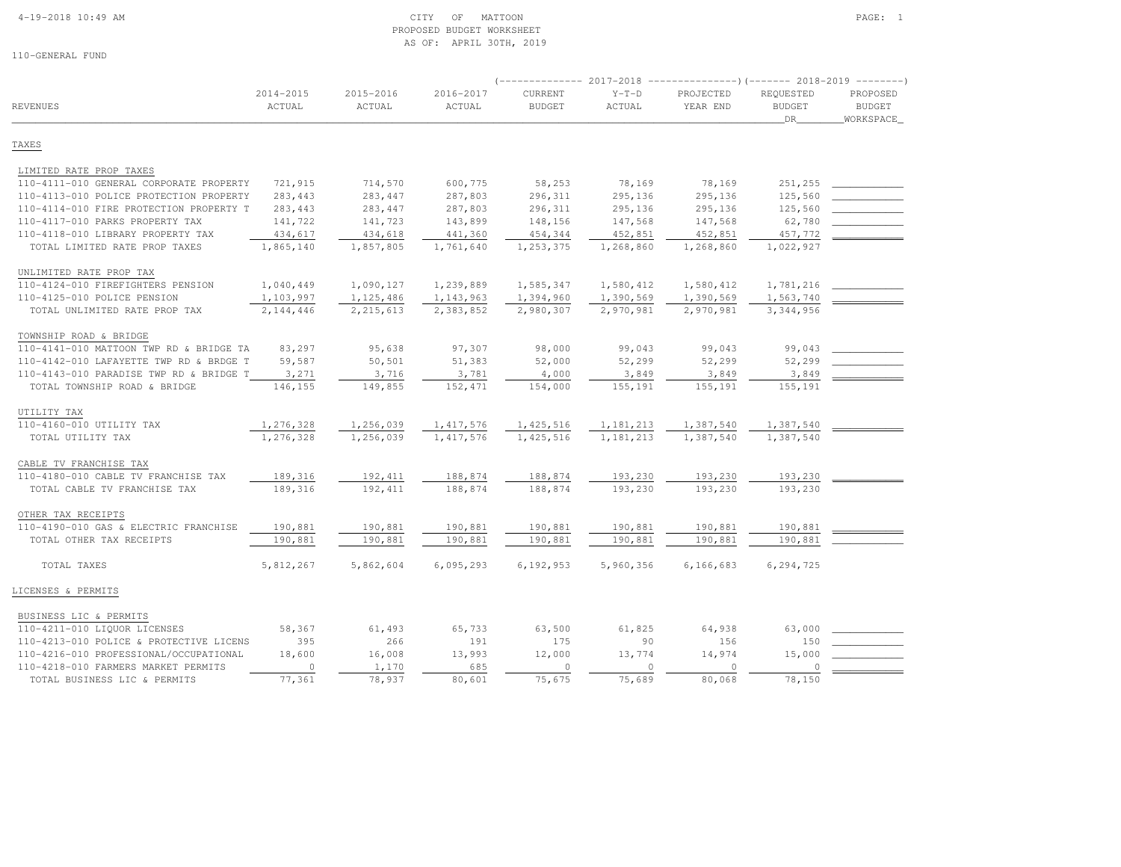#### 4-19-2018 10:49 AM CITY OF MATTOON PAGE: 1 PROPOSED BUDGET WORKSHEETAS OF: APRIL 30TH, 2019

|                                         |                         |                     |                     |                          | $---------2017-2018$<br>$---------(---)(---2018-2019------)$ |                       |                                  |                                        |
|-----------------------------------------|-------------------------|---------------------|---------------------|--------------------------|--------------------------------------------------------------|-----------------------|----------------------------------|----------------------------------------|
| <b>REVENUES</b>                         | $2014 - 2015$<br>ACTUAL | 2015-2016<br>ACTUAL | 2016-2017<br>ACTUAL | CURRENT<br><b>BUDGET</b> | $Y-T-D$<br><b>ACTUAL</b>                                     | PROJECTED<br>YEAR END | REQUESTED<br><b>BUDGET</b><br>DR | PROPOSED<br><b>BUDGET</b><br>WORKSPACE |
| TAXES                                   |                         |                     |                     |                          |                                                              |                       |                                  |                                        |
| LIMITED RATE PROP TAXES                 |                         |                     |                     |                          |                                                              |                       |                                  |                                        |
| 110-4111-010 GENERAL CORPORATE PROPERTY | 721,915                 | 714,570             | 600,775             | 58,253                   | 78,169                                                       | 78,169                | 251,255                          |                                        |
| 110-4113-010 POLICE PROTECTION PROPERTY | 283,443                 | 283,447             | 287,803             | 296,311                  | 295,136                                                      | 295,136               | 125,560                          |                                        |
| 110-4114-010 FIRE PROTECTION PROPERTY T | 283,443                 | 283,447             | 287,803             | 296,311                  | 295,136                                                      | 295,136               | 125,560                          |                                        |
| 110-4117-010 PARKS PROPERTY TAX         | 141,722                 | 141,723             | 143,899             | 148,156                  | 147,568                                                      | 147,568               | 62,780                           |                                        |
| 110-4118-010 LIBRARY PROPERTY TAX       | 434,617                 | 434,618             | 441,360             | 454,344                  | 452,851                                                      | 452,851               | 457,772                          |                                        |
| TOTAL LIMITED RATE PROP TAXES           | 1,865,140               | 1,857,805           | 1,761,640           | 1,253,375                | 1,268,860                                                    | 1,268,860             | 1,022,927                        |                                        |
| UNLIMITED RATE PROP TAX                 |                         |                     |                     |                          |                                                              |                       |                                  |                                        |
| 110-4124-010 FIREFIGHTERS PENSION       | 1,040,449               | 1,090,127           | 1,239,889           | 1,585,347                | 1,580,412                                                    | 1,580,412             | 1,781,216                        |                                        |
| 110-4125-010 POLICE PENSION             | 1,103,997               | 1, 125, 486         | 1,143,963           | 1,394,960                | 1,390,569                                                    | 1,390,569             | 1,563,740                        |                                        |
| TOTAL UNLIMITED RATE PROP TAX           | 2,144,446               | 2, 215, 613         | 2,383,852           | 2,980,307                | 2,970,981                                                    | 2,970,981             | 3,344,956                        |                                        |
| TOWNSHIP ROAD & BRIDGE                  |                         |                     |                     |                          |                                                              |                       |                                  |                                        |
| 110-4141-010 MATTOON TWP RD & BRIDGE TA | 83,297                  | 95,638              | 97,307              | 98,000                   | 99,043                                                       | 99,043                | 99,043                           |                                        |
| 110-4142-010 LAFAYETTE TWP RD & BRDGE T | 59,587                  | 50,501              | 51,383              | 52,000                   | 52,299                                                       | 52,299                | 52,299                           |                                        |
| 110-4143-010 PARADISE TWP RD & BRIDGE T | 3,271                   | 3,716               | 3,781               | 4,000                    | 3,849                                                        | 3,849                 | 3,849                            |                                        |
| TOTAL TOWNSHIP ROAD & BRIDGE            | 146,155                 | 149,855             | 152,471             | 154,000                  | 155,191                                                      | 155,191               | 155,191                          |                                        |
| UTILITY TAX                             |                         |                     |                     |                          |                                                              |                       |                                  |                                        |
| 110-4160-010 UTILITY TAX                | 1,276,328               | 1,256,039           | 1, 417, 576         | 1,425,516                | 1,181,213                                                    | 1,387,540             | 1,387,540                        |                                        |
| TOTAL UTILITY TAX                       | 1,276,328               | 1,256,039           | 1, 417, 576         | 1, 425, 516              | 1,181,213                                                    | 1,387,540             | 1,387,540                        |                                        |
| CABLE TV FRANCHISE TAX                  |                         |                     |                     |                          |                                                              |                       |                                  |                                        |
| 110-4180-010 CABLE TV FRANCHISE TAX     | 189,316                 | 192,411             | 188,874             | 188,874                  | 193,230                                                      | 193,230               | 193,230                          |                                        |
| TOTAL CABLE TV FRANCHISE TAX            | 189,316                 | 192,411             | 188,874             | 188,874                  | 193,230                                                      | 193,230               | 193,230                          |                                        |
| OTHER TAX RECEIPTS                      |                         |                     |                     |                          |                                                              |                       |                                  |                                        |
| 110-4190-010 GAS & ELECTRIC FRANCHISE   | 190,881                 | 190,881             | 190,881             | 190,881                  | 190,881                                                      | 190,881               | 190,881                          |                                        |
| TOTAL OTHER TAX RECEIPTS                | 190,881                 | 190,881             | 190,881             | 190,881                  | 190,881                                                      | 190,881               | 190,881                          |                                        |
| TOTAL TAXES                             | 5,812,267               | 5,862,604           | 6,095,293           | 6,192,953                | 5,960,356                                                    | 6,166,683             | 6,294,725                        |                                        |
| LICENSES & PERMITS                      |                         |                     |                     |                          |                                                              |                       |                                  |                                        |
| BUSINESS LIC & PERMITS                  |                         |                     |                     |                          |                                                              |                       |                                  |                                        |
| 110-4211-010 LIQUOR LICENSES            | 58,367                  | 61,493              | 65,733              | 63,500                   | 61,825                                                       | 64,938                | 63,000                           |                                        |
| 110-4213-010 POLICE & PROTECTIVE LICENS | 395                     | 266                 | 191                 | 175                      | 90                                                           | 156                   | 150                              |                                        |
| 110-4216-010 PROFESSIONAL/OCCUPATIONAL  | 18,600                  | 16,008              | 13,993              | 12,000                   | 13,774                                                       | 14,974                | 15,000                           |                                        |
| 110-4218-010 FARMERS MARKET PERMITS     | $\circ$                 | 1,170               | 685                 | $\circ$                  | $\circ$                                                      | $\circ$               | $\circ$                          |                                        |
| TOTAL BUSINESS LIC & PERMITS            | 77,361                  | 78,937              | 80,601              | 75,675                   | 75,689                                                       | 80,068                | 78,150                           |                                        |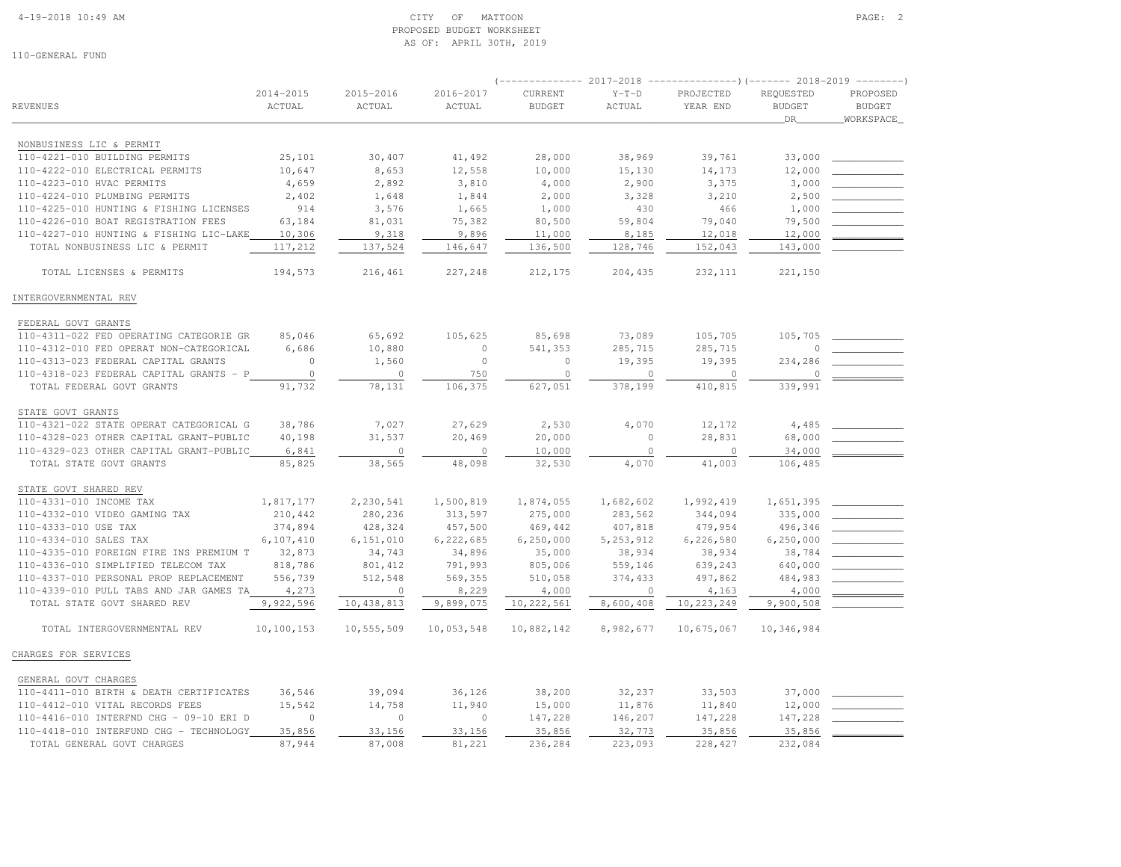#### 4-19-2018 10:49 AM CITY OF MATTOON PAGE: 2 PROPOSED BUDGET WORKSHEETAS OF: APRIL 30TH, 2019

|                                         |                     | $---------2017-2018$<br>$-----------() (------ 2018-2019$ |                     |                          |                   |                       |                            | $\begin{tabular}{cccccc} \multicolumn{2}{c}{} & \multicolumn{2}{c}{} & \multicolumn{2}{c}{} & \multicolumn{2}{c}{} & \multicolumn{2}{c}{} & \multicolumn{2}{c}{} & \multicolumn{2}{c}{} & \multicolumn{2}{c}{} & \multicolumn{2}{c}{} & \multicolumn{2}{c}{} & \multicolumn{2}{c}{} & \multicolumn{2}{c}{} & \multicolumn{2}{c}{} & \multicolumn{2}{c}{} & \multicolumn{2}{c}{} & \multicolumn{2}{c}{} & \multicolumn{2}{c}{} & \multicolumn{2}{c}{} & \multicolumn{2}{c}{} & \mult$ |  |  |
|-----------------------------------------|---------------------|-----------------------------------------------------------|---------------------|--------------------------|-------------------|-----------------------|----------------------------|--------------------------------------------------------------------------------------------------------------------------------------------------------------------------------------------------------------------------------------------------------------------------------------------------------------------------------------------------------------------------------------------------------------------------------------------------------------------------------------|--|--|
| REVENUES                                | 2014-2015<br>ACTUAL | 2015-2016<br>ACTUAL                                       | 2016-2017<br>ACTUAL | CURRENT<br><b>BUDGET</b> | $Y-T-D$<br>ACTUAL | PROJECTED<br>YEAR END | REQUESTED<br>BUDGET<br>DR_ | PROPOSED<br><b>BUDGET</b><br>WORKSPACE                                                                                                                                                                                                                                                                                                                                                                                                                                               |  |  |
|                                         |                     |                                                           |                     |                          |                   |                       |                            |                                                                                                                                                                                                                                                                                                                                                                                                                                                                                      |  |  |
| NONBUSINESS LIC & PERMIT                |                     |                                                           |                     |                          |                   |                       |                            |                                                                                                                                                                                                                                                                                                                                                                                                                                                                                      |  |  |
| 110-4221-010 BUILDING PERMITS           | 25,101              | 30,407                                                    | 41,492              | 28,000                   | 38,969            | 39,761                | 33,000                     |                                                                                                                                                                                                                                                                                                                                                                                                                                                                                      |  |  |
| 110-4222-010 ELECTRICAL PERMITS         | 10,647              | 8,653                                                     | 12,558              | 10,000                   | 15,130            | 14,173                | 12,000                     |                                                                                                                                                                                                                                                                                                                                                                                                                                                                                      |  |  |
| 110-4223-010 HVAC PERMITS               | 4,659               | 2,892                                                     | 3,810               | 4,000                    | 2,900             | 3,375                 | 3,000                      |                                                                                                                                                                                                                                                                                                                                                                                                                                                                                      |  |  |
| 110-4224-010 PLUMBING PERMITS           | 2,402               | 1,648                                                     | 1,844               | 2,000                    | 3,328             | 3,210                 | 2,500                      |                                                                                                                                                                                                                                                                                                                                                                                                                                                                                      |  |  |
| 110-4225-010 HUNTING & FISHING LICENSES | 914                 | 3,576                                                     | 1,665               | 1,000                    | 430               | 466                   | 1,000                      |                                                                                                                                                                                                                                                                                                                                                                                                                                                                                      |  |  |
| 110-4226-010 BOAT REGISTRATION FEES     | 63,184              | 81,031                                                    | 75,382              | 80,500                   | 59,804            | 79,040                | 79,500                     |                                                                                                                                                                                                                                                                                                                                                                                                                                                                                      |  |  |
| 110-4227-010 HUNTING & FISHING LIC-LAKE | 10,306              | 9,318                                                     | 9,896               | 11,000                   | 8,185             | 12,018                | 12,000                     |                                                                                                                                                                                                                                                                                                                                                                                                                                                                                      |  |  |
| TOTAL NONBUSINESS LIC & PERMIT          | 117,212             | 137,524                                                   | 146,647             | 136,500                  | 128,746           | 152,043               | 143,000                    |                                                                                                                                                                                                                                                                                                                                                                                                                                                                                      |  |  |
| TOTAL LICENSES & PERMITS                | 194,573             | 216,461                                                   | 227,248             | 212,175                  | 204,435           | 232, 111              | 221,150                    |                                                                                                                                                                                                                                                                                                                                                                                                                                                                                      |  |  |
| INTERGOVERNMENTAL REV                   |                     |                                                           |                     |                          |                   |                       |                            |                                                                                                                                                                                                                                                                                                                                                                                                                                                                                      |  |  |
| FEDERAL GOVT GRANTS                     |                     |                                                           |                     |                          |                   |                       |                            |                                                                                                                                                                                                                                                                                                                                                                                                                                                                                      |  |  |
| 110-4311-022 FED OPERATING CATEGORIE GR | 85,046              | 65,692                                                    | 105,625             | 85,698                   | 73,089            | 105,705               | 105,705                    |                                                                                                                                                                                                                                                                                                                                                                                                                                                                                      |  |  |
| 110-4312-010 FED OPERAT NON-CATEGORICAL | 6,686               | 10,880                                                    | $\circ$             | 541,353                  | 285,715           | 285,715               | $\Omega$                   |                                                                                                                                                                                                                                                                                                                                                                                                                                                                                      |  |  |
| 110-4313-023 FEDERAL CAPITAL GRANTS     | $\circ$             | 1,560                                                     | $\circ$             | $\circ$                  | 19,395            | 19,395                | 234,286                    |                                                                                                                                                                                                                                                                                                                                                                                                                                                                                      |  |  |
| 110-4318-023 FEDERAL CAPITAL GRANTS - P | $\circ$             | $\mathbb O$                                               | 750                 | $\circ$                  | $\circ$           | $\circ$               | $\Omega$                   |                                                                                                                                                                                                                                                                                                                                                                                                                                                                                      |  |  |
| TOTAL FEDERAL GOVT GRANTS               | 91,732              | 78,131                                                    | 106,375             | 627,051                  | 378,199           | 410,815               | 339,991                    |                                                                                                                                                                                                                                                                                                                                                                                                                                                                                      |  |  |
| STATE GOVT GRANTS                       |                     |                                                           |                     |                          |                   |                       |                            |                                                                                                                                                                                                                                                                                                                                                                                                                                                                                      |  |  |
| 110-4321-022 STATE OPERAT CATEGORICAL G | 38,786              | 7,027                                                     | 27,629              | 2,530                    | 4,070             | 12,172                | 4,485                      |                                                                                                                                                                                                                                                                                                                                                                                                                                                                                      |  |  |
| 110-4328-023 OTHER CAPITAL GRANT-PUBLIC | 40,198              | 31,537                                                    | 20,469              | 20,000                   | $\circ$           | 28,831                | 68,000                     |                                                                                                                                                                                                                                                                                                                                                                                                                                                                                      |  |  |
| 110-4329-023 OTHER CAPITAL GRANT-PUBLIC | 6,841               | $\mathbf 0$                                               | $\Omega$            | 10,000                   | $\Omega$          | $\circ$               | 34,000                     |                                                                                                                                                                                                                                                                                                                                                                                                                                                                                      |  |  |
| TOTAL STATE GOVT GRANTS                 | 85,825              | 38,565                                                    | 48,098              | 32,530                   | 4,070             | 41,003                | 106,485                    |                                                                                                                                                                                                                                                                                                                                                                                                                                                                                      |  |  |
| STATE GOVT SHARED REV                   |                     |                                                           |                     |                          |                   |                       |                            |                                                                                                                                                                                                                                                                                                                                                                                                                                                                                      |  |  |
| 110-4331-010 INCOME TAX                 | 1,817,177           | 2,230,541                                                 | 1,500,819           | 1,874,055                | 1,682,602         | 1,992,419             | 1,651,395                  |                                                                                                                                                                                                                                                                                                                                                                                                                                                                                      |  |  |
| 110-4332-010 VIDEO GAMING TAX           | 210,442             | 280,236                                                   | 313,597             | 275,000                  | 283,562           | 344,094               | 335,000                    |                                                                                                                                                                                                                                                                                                                                                                                                                                                                                      |  |  |
| 110-4333-010 USE TAX                    | 374,894             | 428,324                                                   | 457,500             | 469,442                  | 407,818           | 479,954               | 496,346                    |                                                                                                                                                                                                                                                                                                                                                                                                                                                                                      |  |  |
| 110-4334-010 SALES TAX                  | 6,107,410           | 6,151,010                                                 | 6,222,685           | 6, 250, 000              | 5, 253, 912       | 6,226,580             | 6,250,000                  |                                                                                                                                                                                                                                                                                                                                                                                                                                                                                      |  |  |
| 110-4335-010 FOREIGN FIRE INS PREMIUM T | 32,873              | 34,743                                                    | 34,896              | 35,000                   | 38,934            | 38,934                | 38,784                     |                                                                                                                                                                                                                                                                                                                                                                                                                                                                                      |  |  |
| 110-4336-010 SIMPLIFIED TELECOM TAX     | 818,786             | 801,412                                                   | 791,993             | 805,006                  | 559,146           | 639,243               | 640,000                    |                                                                                                                                                                                                                                                                                                                                                                                                                                                                                      |  |  |
| 110-4337-010 PERSONAL PROP REPLACEMENT  | 556,739             | 512,548                                                   | 569,355             | 510,058                  | 374,433           | 497,862               | 484,983                    |                                                                                                                                                                                                                                                                                                                                                                                                                                                                                      |  |  |
| 110-4339-010 PULL TABS AND JAR GAMES TA | 4,273               | $\circ$                                                   | 8,229               | 4,000                    | 0                 | 4,163                 | 4,000                      |                                                                                                                                                                                                                                                                                                                                                                                                                                                                                      |  |  |
| TOTAL STATE GOVT SHARED REV             | 9,922,596           | 10,438,813                                                | 9,899,075           | 10, 222, 561             | 8,600,408         | 10, 223, 249          | 9,900,508                  |                                                                                                                                                                                                                                                                                                                                                                                                                                                                                      |  |  |
| TOTAL INTERGOVERNMENTAL REV             | 10,100,153          | 10,555,509                                                | 10,053,548          | 10,882,142               | 8,982,677         | 10,675,067            | 10,346,984                 |                                                                                                                                                                                                                                                                                                                                                                                                                                                                                      |  |  |
| CHARGES FOR SERVICES                    |                     |                                                           |                     |                          |                   |                       |                            |                                                                                                                                                                                                                                                                                                                                                                                                                                                                                      |  |  |
| GENERAL GOVT CHARGES                    |                     |                                                           |                     |                          |                   |                       |                            |                                                                                                                                                                                                                                                                                                                                                                                                                                                                                      |  |  |
| 110-4411-010 BIRTH & DEATH CERTIFICATES | 36,546              | 39,094                                                    | 36,126              | 38,200                   | 32,237            | 33,503                | 37,000                     |                                                                                                                                                                                                                                                                                                                                                                                                                                                                                      |  |  |
| 110-4412-010 VITAL RECORDS FEES         | 15,542              | 14,758                                                    | 11,940              | 15,000                   | 11,876            | 11,840                | 12,000                     |                                                                                                                                                                                                                                                                                                                                                                                                                                                                                      |  |  |
| 110-4416-010 INTERFND CHG - 09-10 ERI D | $\mathbf{0}$        | $\circ$                                                   | $\circ$             | 147,228                  | 146,207           | 147,228               | 147,228                    |                                                                                                                                                                                                                                                                                                                                                                                                                                                                                      |  |  |
| 110-4418-010 INTERFUND CHG - TECHNOLOGY | 35,856              | 33,156                                                    | 33,156              | 35,856                   | 32,773            | 35,856                | 35,856                     |                                                                                                                                                                                                                                                                                                                                                                                                                                                                                      |  |  |
| TOTAL GENERAL GOVT CHARGES              | 87,944              | 87,008                                                    | 81,221              | 236,284                  | 223,093           | 228, 427              | 232,084                    |                                                                                                                                                                                                                                                                                                                                                                                                                                                                                      |  |  |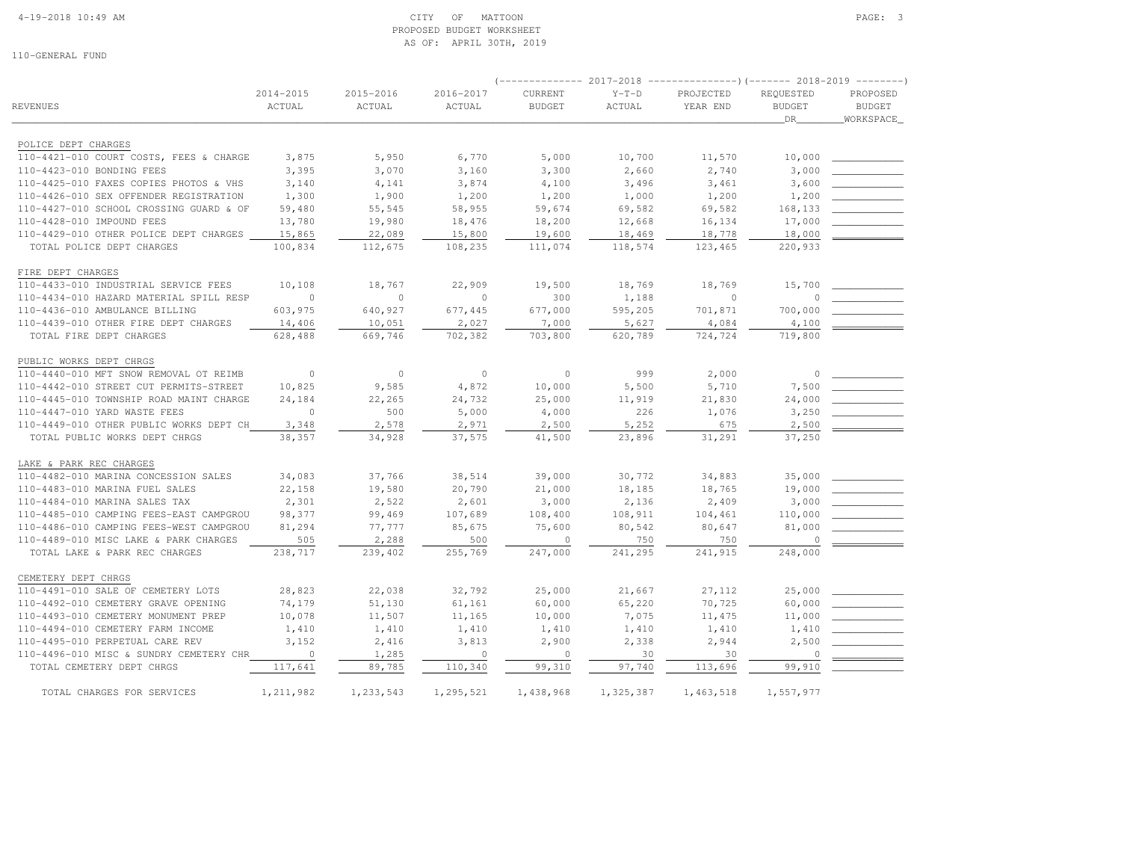### 4-19-2018 10:49 AM CITY OF MATTOON PAGE: 3 PROPOSED BUDGET WORKSHEETAS OF: APRIL 30TH, 2019

| 110-GENERAL FUND                              |                     |                     | AS OF: APRIL 30TH, 2019 |                                     |                   |                       |                     |                    |
|-----------------------------------------------|---------------------|---------------------|-------------------------|-------------------------------------|-------------------|-----------------------|---------------------|--------------------|
| REVENUES                                      | 2014-2015<br>ACTUAL | 2015-2016<br>ACTUAL | 2016-2017<br>ACTUAL     | ______________<br>CURRENT<br>BUDGET | $Y-T-D$<br>ACTUAL | PROJECTED<br>YEAR END | REQUESTED<br>BUDGET | PROPOSED<br>BUDGET |
|                                               |                     |                     |                         |                                     |                   |                       | DR.                 | WORKSPACE          |
| POLICE DEPT CHARGES                           |                     |                     |                         |                                     |                   |                       |                     |                    |
| 110-4421-010 COURT COSTS, FEES & CHARGE       | 3,875               | 5,950               | 6,770                   | 5,000                               | 10,700            | 11,570                | 10,000              |                    |
| 110-4423-010 BONDING FEES                     | 3,395               | 3,070               | 3,160                   | 3,300                               | 2,660             | 2,740                 | 3,000               |                    |
| 110-4425-010 FAXES COPIES PHOTOS & VHS        | 3,140               | 4,141               | 3,874                   | 4,100                               | 3,496             | 3,461                 | 3,600               |                    |
| 110-4426-010 SEX OFFENDER REGISTRATION        | 1,300               | 1,900               | 1,200                   | 1,200                               | 1,000             | 1,200                 | 1,200               |                    |
| $110 - 1127 - 010$ school apossing guibre for | 59 180              | 55 515              | 52 955                  | 59 674                              | 6952              | 69.582                | 168133              |                    |

| 110-4425-010 FAXES COPIES PHOTOS & VHS  | 3,140          | 4,141     | 3,874          | 4,100     | 3,496     | 3,461     | 3,600        |                          |
|-----------------------------------------|----------------|-----------|----------------|-----------|-----------|-----------|--------------|--------------------------|
| 110-4426-010 SEX OFFENDER REGISTRATION  | 1,300          | 1,900     | 1,200          | 1,200     | 1,000     | 1,200     | 1,200        |                          |
| 110-4427-010 SCHOOL CROSSING GUARD & OF | 59,480         | 55,545    | 58,955         | 59,674    | 69,582    | 69,582    | 168,133      |                          |
| 110-4428-010 IMPOUND FEES               | 13,780         | 19,980    | 18,476         | 18,200    | 12,668    | 16,134    | 17,000       |                          |
| 110-4429-010 OTHER POLICE DEPT CHARGES  | 15,865         | 22,089    | 15,800         | 19,600    | 18,469    | 18,778    | 18,000       |                          |
| TOTAL POLICE DEPT CHARGES               | 100,834        | 112,675   | 108,235        | 111,074   | 118,574   | 123,465   | 220,933      |                          |
| FIRE DEPT CHARGES                       |                |           |                |           |           |           |              |                          |
| 110-4433-010 INDUSTRIAL SERVICE FEES    | 10,108         | 18,767    | 22,909         | 19,500    | 18,769    | 18,769    | 15,700       |                          |
| 110-4434-010 HAZARD MATERIAL SPILL RESP | $\bigcirc$     | $\Omega$  | $\Omega$       | 300       | 1,188     | $\circ$   | $\Omega$     |                          |
| 110-4436-010 AMBULANCE BILLING          | 603,975        | 640,927   | 677,445        | 677,000   | 595,205   | 701,871   | 700,000      |                          |
| 110-4439-010 OTHER FIRE DEPT CHARGES    | 14,406         | 10,051    | 2,027          | 7,000     | 5,627     | 4,084     | 4,100        |                          |
| TOTAL FIRE DEPT CHARGES                 | 628,488        | 669,746   | 702,382        | 703,800   | 620,789   | 724,724   | 719,800      |                          |
| PUBLIC WORKS DEPT CHRGS                 |                |           |                |           |           |           |              |                          |
| 110-4440-010 MFT SNOW REMOVAL OT REIMB  | $\circ$        | $\circ$   | $\overline{0}$ | $\circ$   | 999       | 2,000     | $\mathbf{0}$ |                          |
| 110-4442-010 STREET CUT PERMITS-STREET  | 10,825         | 9,585     | 4,872          | 10,000    | 5,500     | 5,710     | 7,500        |                          |
| 110-4445-010 TOWNSHIP ROAD MAINT CHARGE | 24,184         | 22,265    | 24,732         | 25,000    | 11,919    | 21,830    | 24,000       |                          |
| 110-4447-010 YARD WASTE FEES            | $\overline{0}$ | 500       | 5,000          | 4,000     | 226       | 1,076     | 3,250        |                          |
| 110-4449-010 OTHER PUBLIC WORKS DEPT CH | 3,348          | 2,578     | 2,971          | 2,500     | 5,252     | 675       | 2,500        |                          |
| TOTAL PUBLIC WORKS DEPT CHRGS           | 38,357         | 34,928    | 37,575         | 41,500    | 23,896    | 31,291    | 37,250       |                          |
| LAKE & PARK REC CHARGES                 |                |           |                |           |           |           |              |                          |
| 110-4482-010 MARINA CONCESSION SALES    | 34,083         | 37,766    | 38,514         | 39,000    | 30,772    | 34,883    | 35,000       |                          |
| 110-4483-010 MARINA FUEL SALES          | 22,158         | 19,580    | 20,790         | 21,000    | 18,185    | 18,765    | 19,000       |                          |
| 110-4484-010 MARINA SALES TAX           | 2,301          | 2,522     | 2,601          | 3,000     | 2,136     | 2,409     | 3,000        |                          |
| 110-4485-010 CAMPING FEES-EAST CAMPGROU | 98,377         | 99,469    | 107,689        | 108,400   | 108,911   | 104,461   | 110,000      |                          |
| 110-4486-010 CAMPING FEES-WEST CAMPGROU | 81,294         | 77,777    | 85,675         | 75,600    | 80,542    | 80,647    | 81,000       |                          |
| 110-4489-010 MISC LAKE & PARK CHARGES   | 505            | 2,288     | 500            | $\Omega$  | 750       | 750       | $\circ$      | $\overline{\phantom{a}}$ |
| TOTAL LAKE & PARK REC CHARGES           | 238,717        | 239,402   | 255,769        | 247,000   | 241,295   | 241,915   | 248,000      |                          |
| CEMETERY DEPT CHRGS                     |                |           |                |           |           |           |              |                          |
| 110-4491-010 SALE OF CEMETERY LOTS      | 28,823         | 22,038    | 32,792         | 25,000    | 21,667    | 27,112    | 25,000       |                          |
| 110-4492-010 CEMETERY GRAVE OPENING     | 74,179         | 51,130    | 61,161         | 60,000    | 65,220    | 70,725    | 60,000       |                          |
| 110-4493-010 CEMETERY MONUMENT PREP     | 10,078         | 11,507    | 11,165         | 10,000    | 7,075     | 11,475    | 11,000       |                          |
| 110-4494-010 CEMETERY FARM INCOME       | 1,410          | 1,410     | 1,410          | 1,410     | 1,410     | 1,410     | 1,410        |                          |
| 110-4495-010 PERPETUAL CARE REV         | 3,152          | 2,416     | 3,813          | 2,900     | 2,338     | 2,944     | 2,500        |                          |
| 110-4496-010 MISC & SUNDRY CEMETERY CHR | $\overline{0}$ | 1,285     | $\overline{0}$ | $\circ$   | 30        | 30        | $\mathbb O$  |                          |
| TOTAL CEMETERY DEPT CHRGS               | 117,641        | 89,785    | 110,340        | 99,310    | 97,740    | 113,696   | 99,910       |                          |
| TOTAL CHARGES FOR SERVICES              | 1,211,982      | 1,233,543 | 1,295,521      | 1,438,968 | 1,325,387 | 1,463,518 | 1,557,977    |                          |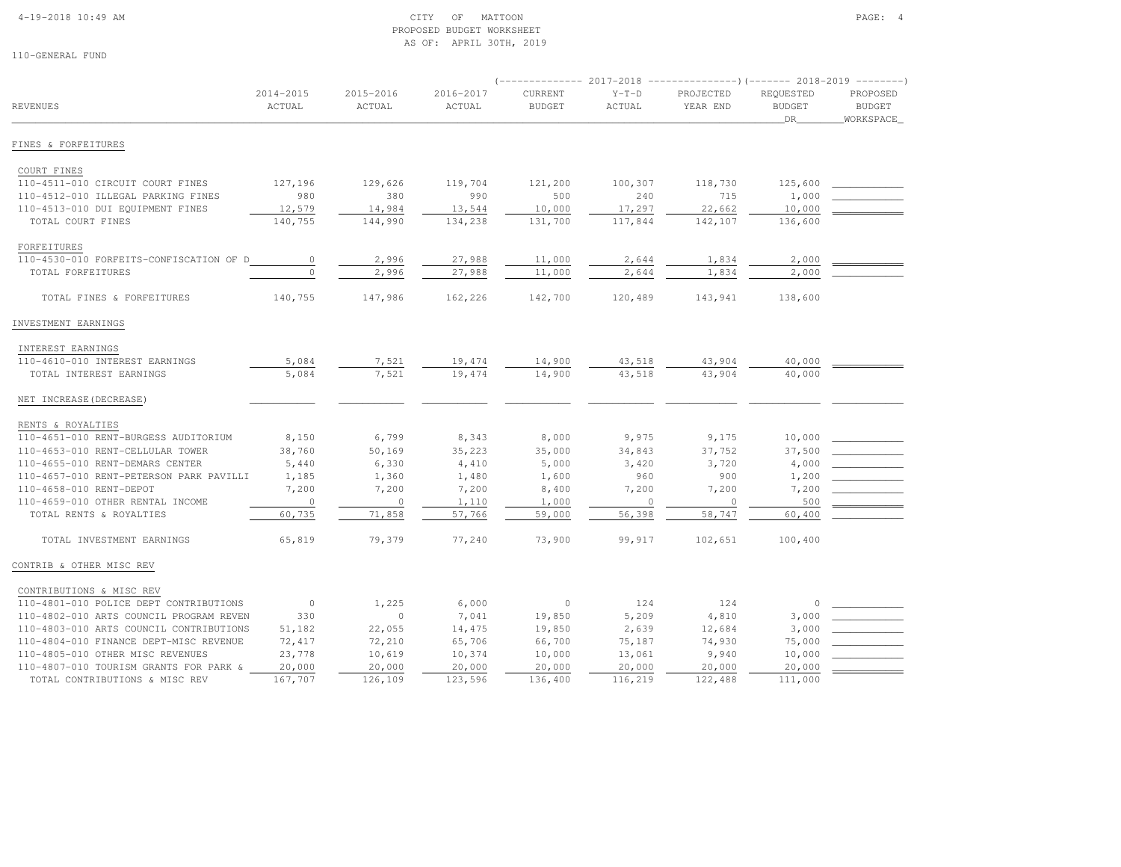#### 4-19-2018 10:49 AM CITY OF MATTOON PAGE: 4 PROPOSED BUDGET WORKSHEETAS OF: APRIL 30TH, 2019

|                                         |                         |                     |                     | $---------2017-2018$     |                   |                       | ----------------) (------- 2018-2019 ---------) |                                         |  |
|-----------------------------------------|-------------------------|---------------------|---------------------|--------------------------|-------------------|-----------------------|-------------------------------------------------|-----------------------------------------|--|
| <b>REVENUES</b>                         | $2014 - 2015$<br>ACTUAL | 2015-2016<br>ACTUAL | 2016-2017<br>ACTUAL | CURRENT<br><b>BUDGET</b> | $Y-T-D$<br>ACTUAL | PROJECTED<br>YEAR END | REQUESTED<br><b>BUDGET</b><br>DR                | PROPOSED<br><b>BUDGET</b><br>WORKSPACE_ |  |
| FINES & FORFEITURES                     |                         |                     |                     |                          |                   |                       |                                                 |                                         |  |
| COURT FINES                             |                         |                     |                     |                          |                   |                       |                                                 |                                         |  |
| 110-4511-010 CIRCUIT COURT FINES        | 127,196                 | 129,626             | 119,704             | 121,200                  | 100,307           | 118,730               | 125,600                                         |                                         |  |
| 110-4512-010 ILLEGAL PARKING FINES      | 980                     | 380                 | 990                 | 500                      | 240               | 715                   | 1,000                                           |                                         |  |
| 110-4513-010 DUI EQUIPMENT FINES        | 12,579                  | 14,984              | 13,544              | 10,000                   | 17,297            | 22,662                | 10,000                                          |                                         |  |
| TOTAL COURT FINES                       | 140,755                 | 144,990             | 134,238             | 131,700                  | 117,844           | 142,107               | 136,600                                         |                                         |  |
| FORFEITURES                             |                         |                     |                     |                          |                   |                       |                                                 |                                         |  |
| 110-4530-010 FORFEITS-CONFISCATION OF D | $\circ$                 | 2,996               | 27,988              | 11,000                   | 2,644             | 1,834                 | 2,000                                           |                                         |  |
| TOTAL FORFEITURES                       | $\Omega$                | 2,996               | 27,988              | 11,000                   | 2,644             | 1,834                 | 2,000                                           |                                         |  |
| TOTAL FINES & FORFEITURES               | 140,755                 | 147,986             | 162,226             | 142,700                  | 120,489           | 143,941               | 138,600                                         |                                         |  |
| INVESTMENT EARNINGS                     |                         |                     |                     |                          |                   |                       |                                                 |                                         |  |
| INTEREST EARNINGS                       |                         |                     |                     |                          |                   |                       |                                                 |                                         |  |
| 110-4610-010 INTEREST EARNINGS          | 5,084                   | 7,521               | 19,474              | 14,900                   | 43,518            | 43,904                | 40,000                                          |                                         |  |
| TOTAL INTEREST EARNINGS                 | 5,084                   | 7,521               | 19,474              | 14,900                   | 43,518            | 43,904                | 40,000                                          |                                         |  |
| NET INCREASE (DECREASE)                 |                         |                     |                     |                          |                   |                       |                                                 |                                         |  |
| RENTS & ROYALTIES                       |                         |                     |                     |                          |                   |                       |                                                 |                                         |  |
| 110-4651-010 RENT-BURGESS AUDITORIUM    | 8,150                   | 6,799               | 8,343               | 8,000                    | 9,975             | 9,175                 | 10,000                                          |                                         |  |
| 110-4653-010 RENT-CELLULAR TOWER        | 38,760                  | 50,169              | 35,223              | 35,000                   | 34,843            | 37,752                | 37,500                                          |                                         |  |
| 110-4655-010 RENT-DEMARS CENTER         | 5,440                   | 6,330               | 4,410               | 5,000                    | 3,420             | 3,720                 | 4,000                                           |                                         |  |
| 110-4657-010 RENT-PETERSON PARK PAVILLI | 1,185                   | 1,360               | 1,480               | 1,600                    | 960               | 900                   | 1,200                                           |                                         |  |
| 110-4658-010 RENT-DEPOT                 | 7,200                   | 7,200               | 7,200               | 8,400                    | 7,200             | 7,200                 | 7,200                                           |                                         |  |
| 110-4659-010 OTHER RENTAL INCOME        | $\mathbf{0}$            | $\circ$             | 1,110               | 1,000                    | $\circ$           | $\circ$               | 500                                             |                                         |  |
| TOTAL RENTS & ROYALTIES                 | 60,735                  | 71,858              | 57,766              | 59,000                   | 56,398            | 58,747                | 60,400                                          |                                         |  |
| TOTAL INVESTMENT EARNINGS               | 65,819                  | 79,379              | 77,240              | 73,900                   | 99,917            | 102,651               | 100,400                                         |                                         |  |
| CONTRIB & OTHER MISC REV                |                         |                     |                     |                          |                   |                       |                                                 |                                         |  |
| CONTRIBUTIONS & MISC REV                |                         |                     |                     |                          |                   |                       |                                                 |                                         |  |
| 110-4801-010 POLICE DEPT CONTRIBUTIONS  | $\overline{0}$          | 1,225               | 6,000               | $\circ$                  | 124               | 124                   | $\circ$                                         |                                         |  |
| 110-4802-010 ARTS COUNCIL PROGRAM REVEN | 330                     | $\circ$             | 7,041               | 19,850                   | 5,209             | 4,810                 | 3,000                                           |                                         |  |
| 110-4803-010 ARTS COUNCIL CONTRIBUTIONS | 51,182                  | 22,055              | 14,475              | 19,850                   | 2,639             | 12,684                | 3,000                                           |                                         |  |
| 110-4804-010 FINANCE DEPT-MISC REVENUE  | 72,417                  | 72,210              | 65,706              | 66,700                   | 75,187            | 74,930                | 75,000                                          |                                         |  |
| 110-4805-010 OTHER MISC REVENUES        | 23,778                  | 10,619              | 10,374              | 10,000                   | 13,061            | 9,940                 | 10,000                                          |                                         |  |
| 110-4807-010 TOURISM GRANTS FOR PARK &  | 20,000                  | 20,000              | 20,000              | 20,000                   | 20,000            | 20,000                | 20,000                                          |                                         |  |
| TOTAL CONTRIBUTIONS & MISC REV          | 167,707                 | 126,109             | 123,596             | 136,400                  | 116,219           | 122,488               | 111,000                                         |                                         |  |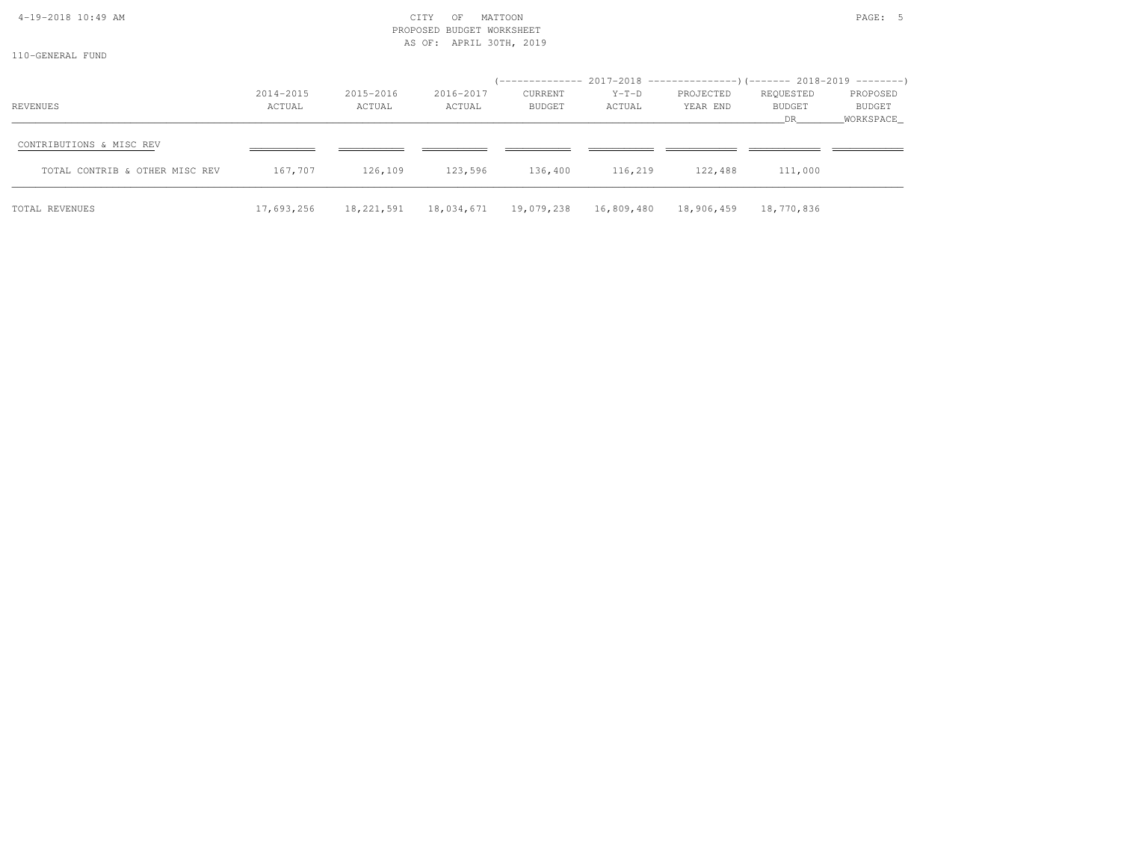| 4-19-2018 10:49 AM<br>110-GENERAL FUND                     |                     |                     | CITY<br>OF<br>PROPOSED BUDGET WORKSHEET<br>AS OF: APRIL 30TH, 2019 | MATTOON           |                                                                                              |                       |                            | PAGE: 5                         |
|------------------------------------------------------------|---------------------|---------------------|--------------------------------------------------------------------|-------------------|----------------------------------------------------------------------------------------------|-----------------------|----------------------------|---------------------------------|
| REVENUES                                                   | 2014-2015<br>ACTUAL | 2015-2016<br>ACTUAL | 2016-2017<br>ACTUAL                                                | CURRENT<br>BUDGET | (-------------- 2017-2018 ----------------)(------- 2018-2019 --------)<br>$Y-T-D$<br>ACTUAL | PROJECTED<br>YEAR END | REQUESTED<br>BUDGET<br>DR. | PROPOSED<br>BUDGET<br>WORKSPACE |
| CONTRIBUTIONS & MISC REV<br>TOTAL CONTRIB & OTHER MISC REV | 167,707             | 126,109             | 123,596 136,400 116,219                                            |                   |                                                                                              | 122,488               | 111,000                    |                                 |
| TOTAL REVENUES                                             | 17,693,256          |                     |                                                                    |                   | 18,221,591  18,034,671  19,079,238  16,809,480  18,906,459  18,770,836                       |                       |                            |                                 |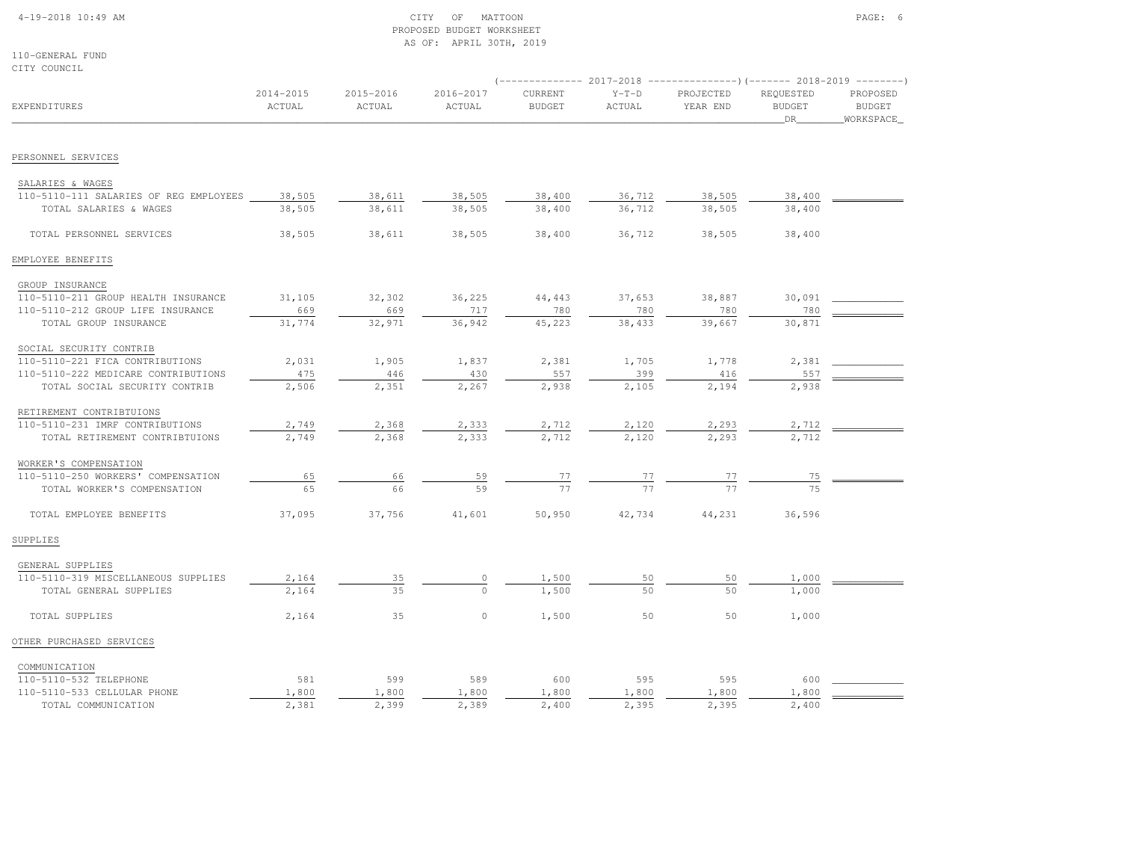### 4-19-2018 10:49 AM CITY OF MATTOON PAGE: 6 PROPOSED BUDGET WORKSHEETAS OF: APRIL 30TH, 2019

110-GENERAL FUNDCITY COUNCIL

|                                        |                     |                     |                     |                                 | (-------------- 2017-2018 ----------------) (------- 2018-2019 --------) |                       |                                  |                                        |
|----------------------------------------|---------------------|---------------------|---------------------|---------------------------------|--------------------------------------------------------------------------|-----------------------|----------------------------------|----------------------------------------|
| EXPENDITURES                           | 2014-2015<br>ACTUAL | 2015-2016<br>ACTUAL | 2016-2017<br>ACTUAL | <b>CURRENT</b><br><b>BUDGET</b> | $Y-T-D$<br>ACTUAL                                                        | PROJECTED<br>YEAR END | REQUESTED<br><b>BUDGET</b><br>DR | PROPOSED<br><b>BUDGET</b><br>WORKSPACE |
| PERSONNEL SERVICES                     |                     |                     |                     |                                 |                                                                          |                       |                                  |                                        |
| SALARIES & WAGES                       |                     |                     |                     |                                 |                                                                          |                       |                                  |                                        |
| 110-5110-111 SALARIES OF REG EMPLOYEES | 38,505              | 38,611              | 38,505              | 38,400                          | 36,712                                                                   | 38,505                | 38,400                           |                                        |
| TOTAL SALARIES & WAGES                 | 38,505              | 38,611              | 38,505              | 38,400                          | 36,712                                                                   | 38,505                | 38,400                           |                                        |
|                                        |                     |                     |                     |                                 |                                                                          |                       |                                  |                                        |
| TOTAL PERSONNEL SERVICES               | 38,505              | 38,611              | 38,505              | 38,400                          | 36,712                                                                   | 38,505                | 38,400                           |                                        |
| EMPLOYEE BENEFITS                      |                     |                     |                     |                                 |                                                                          |                       |                                  |                                        |
| GROUP INSURANCE                        |                     |                     |                     |                                 |                                                                          |                       |                                  |                                        |
| 110-5110-211 GROUP HEALTH INSURANCE    | 31,105              | 32,302              | 36,225              | 44,443                          | 37,653                                                                   | 38,887                | 30,091                           |                                        |
| 110-5110-212 GROUP LIFE INSURANCE      | 669                 | 669                 | 717                 | 780                             | 780                                                                      | 780                   | 780                              |                                        |
| TOTAL GROUP INSURANCE                  | 31,774              | 32,971              | 36,942              | 45,223                          | 38,433                                                                   | 39,667                | 30,871                           |                                        |
| SOCIAL SECURITY CONTRIB                |                     |                     |                     |                                 |                                                                          |                       |                                  |                                        |
| 110-5110-221 FICA CONTRIBUTIONS        | 2,031               | 1,905               | 1,837               | 2,381                           | 1,705                                                                    | 1,778                 | 2,381                            |                                        |
| 110-5110-222 MEDICARE CONTRIBUTIONS    | 475                 | 446                 | 430                 | 557                             | 399                                                                      | 416                   | 557                              |                                        |
| TOTAL SOCIAL SECURITY CONTRIB          | 2,506               | 2,351               | 2,267               | 2,938                           | 2,105                                                                    | 2,194                 | 2,938                            |                                        |
| RETIREMENT CONTRIBTUIONS               |                     |                     |                     |                                 |                                                                          |                       |                                  |                                        |
| 110-5110-231 IMRF CONTRIBUTIONS        | 2,749               | 2,368               | 2,333               | 2,712                           | 2,120                                                                    | 2,293                 | 2,712                            |                                        |
| TOTAL RETIREMENT CONTRIBTUIONS         | 2,749               | 2,368               | 2,333               | 2,712                           | 2,120                                                                    | 2,293                 | 2,712                            |                                        |
| WORKER'S COMPENSATION                  |                     |                     |                     |                                 |                                                                          |                       |                                  |                                        |
| 110-5110-250 WORKERS' COMPENSATION     | 65                  | 66                  | 59                  |                                 | <u>77</u>                                                                | 77                    | 75                               |                                        |
| TOTAL WORKER'S COMPENSATION            | 65                  | 66                  | 59                  | $\frac{77}{77}$                 | 77                                                                       | 77                    | 75                               |                                        |
| TOTAL EMPLOYEE BENEFITS                | 37,095              | 37,756              | 41,601              | 50,950                          | 42,734                                                                   | 44,231                | 36,596                           |                                        |
| SUPPLIES                               |                     |                     |                     |                                 |                                                                          |                       |                                  |                                        |
| GENERAL SUPPLIES                       |                     |                     |                     |                                 |                                                                          |                       |                                  |                                        |
| 110-5110-319 MISCELLANEOUS SUPPLIES    | 2,164               | 35                  | 0                   | 1,500                           | 50                                                                       | 50                    | 1,000                            |                                        |
| TOTAL GENERAL SUPPLIES                 | 2,164               | 35                  | $\cap$              | 1,500                           | 50                                                                       | 50                    | 1,000                            |                                        |
| TOTAL SUPPLIES                         | 2,164               | 35                  | $\circ$             | 1,500                           | 50                                                                       | 50                    | 1,000                            |                                        |
| OTHER PURCHASED SERVICES               |                     |                     |                     |                                 |                                                                          |                       |                                  |                                        |
| COMMUNICATION                          |                     |                     |                     |                                 |                                                                          |                       |                                  |                                        |
| 110-5110-532 TELEPHONE                 | 581                 | 599                 | 589                 | 600                             | 595                                                                      | 595                   | 600                              |                                        |
| 110-5110-533 CELLULAR PHONE            | 1,800               | 1,800               | 1,800               | 1,800                           | 1,800                                                                    | 1,800                 | 1,800                            |                                        |
| TOTAL COMMUNICATION                    | 2,381               | 2,399               | 2,389               | 2,400                           | 2,395                                                                    | 2,395                 | 2,400                            |                                        |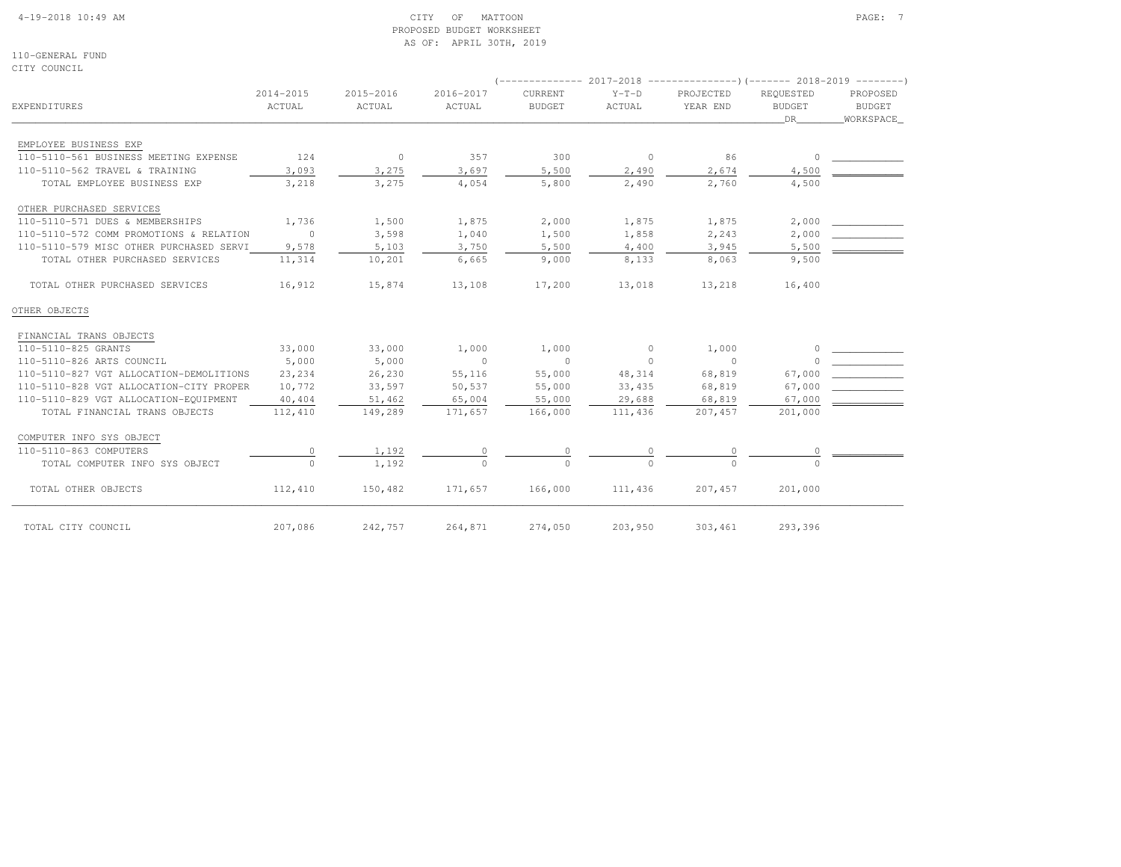#### 4-19-2018 10:49 AM CITY OF MATTOON PAGE: 7 PROPOSED BUDGET WORKSHEETAS OF: APRIL 30TH, 2019

110-GENERAL FUNDCITY COUNCIL

|                                         |                         |                     |                     | (-------------- 2017-2018 -----------------) (------- 2018-2019 --------) |                   |                       |                                  |                                        |  |
|-----------------------------------------|-------------------------|---------------------|---------------------|---------------------------------------------------------------------------|-------------------|-----------------------|----------------------------------|----------------------------------------|--|
| EXPENDITURES                            | $2014 - 2015$<br>ACTUAL | 2015-2016<br>ACTUAL | 2016-2017<br>ACTUAL | CURRENT<br><b>BUDGET</b>                                                  | $Y-T-D$<br>ACTUAL | PROJECTED<br>YEAR END | REQUESTED<br><b>BUDGET</b><br>DR | PROPOSED<br><b>BUDGET</b><br>WORKSPACE |  |
| EMPLOYEE BUSINESS EXP                   |                         |                     |                     |                                                                           |                   |                       |                                  |                                        |  |
| 110-5110-561 BUSINESS MEETING EXPENSE   | 124                     | $\overline{0}$      | 357                 | 300                                                                       | $\overline{0}$    | 86                    | $\Omega$                         |                                        |  |
| 110-5110-562 TRAVEL & TRAINING          | 3,093                   | 3,275               | 3,697               | 5,500                                                                     | 2,490             | 2,674                 | 4,500                            |                                        |  |
| TOTAL EMPLOYEE BUSINESS EXP             | 3,218                   | 3,275               | 4,054               | 5,800                                                                     | 2,490             | 2,760                 | 4,500                            |                                        |  |
| OTHER PURCHASED SERVICES                |                         |                     |                     |                                                                           |                   |                       |                                  |                                        |  |
| 110-5110-571 DUES & MEMBERSHIPS         | 1,736                   | 1,500               | 1,875               | 2,000                                                                     | 1,875             | 1,875                 | 2,000                            |                                        |  |
| 110-5110-572 COMM PROMOTIONS & RELATION | $\sim$ 0                | 3,598               | 1,040               | 1,500                                                                     | 1,858             | 2,243                 | 2,000                            |                                        |  |
| 110-5110-579 MISC OTHER PURCHASED SERVI | 9,578                   | 5,103               | 3,750               | 5,500                                                                     | 4,400             | 3,945                 | 5,500                            |                                        |  |
| TOTAL OTHER PURCHASED SERVICES          | 11,314                  | 10,201              | 6,665               | 9,000                                                                     | 8,133             | 8,063                 | 9,500                            |                                        |  |
| TOTAL OTHER PURCHASED SERVICES          | 16,912                  | 15,874              | 13,108              | 17,200                                                                    | 13,018            | 13,218                | 16,400                           |                                        |  |
| OTHER OBJECTS                           |                         |                     |                     |                                                                           |                   |                       |                                  |                                        |  |
| FINANCIAL TRANS OBJECTS                 |                         |                     |                     |                                                                           |                   |                       |                                  |                                        |  |
| 110-5110-825 GRANTS                     | 33,000                  | 33,000              | 1,000               | 1,000                                                                     | $\sim$ 0          | 1,000                 | $\Omega$                         |                                        |  |
| 110-5110-826 ARTS COUNCIL               | 5,000                   | 5,000               | $\overline{0}$      | $\circ$                                                                   | $\Omega$          | $\overline{0}$        |                                  |                                        |  |
| 110-5110-827 VGT ALLOCATION-DEMOLITIONS | 23,234                  | 26,230              | 55,116              | 55,000                                                                    | 48,314            | 68,819                | 67,000                           |                                        |  |
| 110-5110-828 VGT ALLOCATION-CITY PROPER | 10,772                  | 33,597              | 50,537              | 55,000                                                                    | 33,435            | 68,819                | 67,000                           |                                        |  |
| 110-5110-829 VGT ALLOCATION-EQUIPMENT   | 40,404                  | 51,462              | 65,004              | 55,000                                                                    | 29,688            | 68,819                | 67,000                           |                                        |  |
| TOTAL FINANCIAL TRANS OBJECTS           | 112,410                 | 149,289             | 171,657             | 166,000                                                                   | 111,436           | 207, 457              | 201,000                          |                                        |  |
| COMPUTER INFO SYS OBJECT                |                         |                     |                     |                                                                           |                   |                       |                                  |                                        |  |
| 110-5110-863 COMPUTERS                  |                         | 1,192               | $\circ$             | $\circ$                                                                   |                   | 0                     |                                  |                                        |  |
| TOTAL COMPUTER INFO SYS OBJECT          | $\Omega$                | 1,192               | $\Omega$            | $\bigcap$                                                                 |                   |                       |                                  |                                        |  |
| TOTAL OTHER OBJECTS                     | 112,410                 | 150,482             | 171,657             | 166,000                                                                   | 111,436           | 207,457               | 201,000                          |                                        |  |
| TOTAL CITY COUNCIL                      | 207,086                 | 242,757             | 264,871             | 274,050                                                                   | 203,950           | 303,461               | 293,396                          |                                        |  |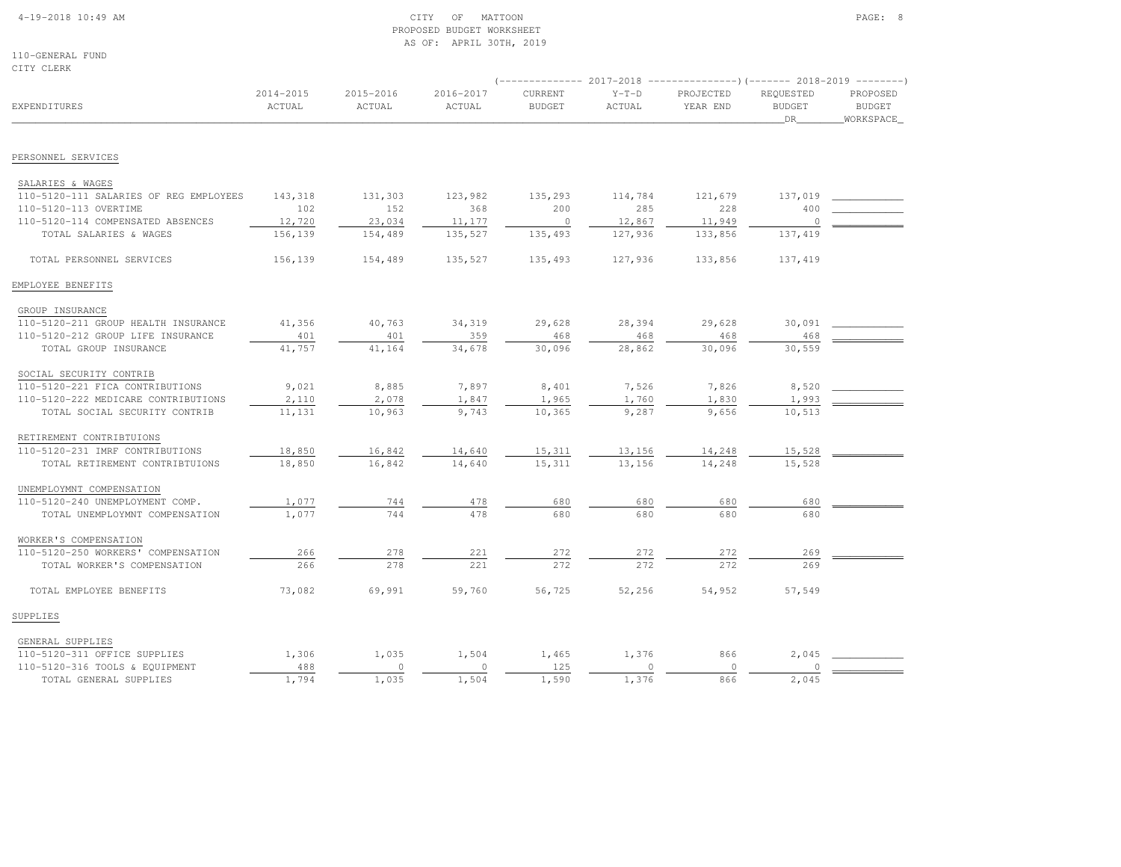## 4-19-2018 10:49 AM CITY OF MATTOON PAGE: 8 PROPOSED BUDGET WORKSHEETAS OF: APRIL 30TH, 2019

110-GENERAL FUNDCITY CLERK

|                                        |                         |                     |                     |                          |                   | -------------        2017-2018 ---------------------        2018-2019 ---------- |                                  |                                        |
|----------------------------------------|-------------------------|---------------------|---------------------|--------------------------|-------------------|----------------------------------------------------------------------------------|----------------------------------|----------------------------------------|
| <b>EXPENDITURES</b>                    | $2014 - 2015$<br>ACTUAL | 2015-2016<br>ACTUAL | 2016-2017<br>ACTUAL | CURRENT<br><b>BUDGET</b> | $Y-T-D$<br>ACTUAL | PROJECTED<br>YEAR END                                                            | REQUESTED<br><b>BUDGET</b><br>DR | PROPOSED<br><b>BUDGET</b><br>WORKSPACE |
|                                        |                         |                     |                     |                          |                   |                                                                                  |                                  |                                        |
| PERSONNEL SERVICES                     |                         |                     |                     |                          |                   |                                                                                  |                                  |                                        |
| SALARIES & WAGES                       |                         |                     |                     |                          |                   |                                                                                  |                                  |                                        |
| 110-5120-111 SALARIES OF REG EMPLOYEES | 143,318                 | 131,303             | 123,982             | 135,293                  | 114,784           | 121,679                                                                          | 137,019                          |                                        |
| 110-5120-113 OVERTIME                  | 102                     | 152                 | 368                 | 200                      | 285               | 228                                                                              | 400                              |                                        |
| 110-5120-114 COMPENSATED ABSENCES      | 12,720                  | 23,034              | 11,177              | $\circ$                  | 12,867            | 11,949                                                                           | $\overline{0}$                   |                                        |
| TOTAL SALARIES & WAGES                 | 156,139                 | 154,489             | 135,527             | 135,493                  | 127,936           | 133,856                                                                          | 137,419                          |                                        |
| TOTAL PERSONNEL SERVICES               | 156,139                 | 154,489             | 135,527             | 135,493                  | 127,936           | 133,856                                                                          | 137,419                          |                                        |
| EMPLOYEE BENEFITS                      |                         |                     |                     |                          |                   |                                                                                  |                                  |                                        |
| GROUP INSURANCE                        |                         |                     |                     |                          |                   |                                                                                  |                                  |                                        |
| 110-5120-211 GROUP HEALTH INSURANCE    | 41,356                  | 40,763              | 34,319              | 29,628                   | 28,394            | 29,628                                                                           | 30,091                           |                                        |
| 110-5120-212 GROUP LIFE INSURANCE      | 401                     | 401                 | 359                 | 468                      | 468               | 468                                                                              | 468                              |                                        |
| TOTAL GROUP INSURANCE                  | 41,757                  | 41,164              | 34,678              | 30,096                   | 28,862            | 30,096                                                                           | 30,559                           |                                        |
| SOCIAL SECURITY CONTRIB                |                         |                     |                     |                          |                   |                                                                                  |                                  |                                        |
| 110-5120-221 FICA CONTRIBUTIONS        | 9,021                   | 8,885               | 7,897               | 8,401                    | 7,526             | 7,826                                                                            | 8,520                            |                                        |
| 110-5120-222 MEDICARE CONTRIBUTIONS    | 2,110                   | 2,078               | 1,847               | 1,965                    | 1,760             | 1,830                                                                            | 1,993                            |                                        |
| TOTAL SOCIAL SECURITY CONTRIB          | 11,131                  | 10,963              | 9,743               | 10,365                   | 9,287             | 9,656                                                                            | 10,513                           |                                        |
| RETIREMENT CONTRIBTUIONS               |                         |                     |                     |                          |                   |                                                                                  |                                  |                                        |
| 110-5120-231 IMRF CONTRIBUTIONS        | 18,850                  | 16,842              | 14,640              | 15,311                   | 13,156            | 14,248                                                                           | 15,528                           |                                        |
| TOTAL RETIREMENT CONTRIBTUIONS         | 18,850                  | 16,842              | 14,640              | 15,311                   | 13,156            | 14,248                                                                           | 15,528                           |                                        |
| UNEMPLOYMNT COMPENSATION               |                         |                     |                     |                          |                   |                                                                                  |                                  |                                        |
| 110-5120-240 UNEMPLOYMENT COMP.        | 1,077                   | 744                 | 478                 | 680                      | 680               | 680                                                                              | 680                              |                                        |
| TOTAL UNEMPLOYMNT COMPENSATION         | 1,077                   | 744                 | 478                 | 680                      | 680               | 680                                                                              | 680                              |                                        |
| WORKER'S COMPENSATION                  |                         |                     |                     |                          |                   |                                                                                  |                                  |                                        |
| 110-5120-250 WORKERS' COMPENSATION     | 266                     | 278                 | 221                 | 272                      | 272               | 272                                                                              | 269                              |                                        |
| TOTAL WORKER'S COMPENSATION            | 266                     | 278                 | 221                 | 272                      | 272               | 272                                                                              | 269                              |                                        |
| TOTAL EMPLOYEE BENEFITS                | 73,082                  | 69,991              | 59,760              | 56,725                   | 52,256            | 54,952                                                                           | 57,549                           |                                        |
| SUPPLIES                               |                         |                     |                     |                          |                   |                                                                                  |                                  |                                        |
| GENERAL SUPPLIES                       |                         |                     |                     |                          |                   |                                                                                  |                                  |                                        |
| 110-5120-311 OFFICE SUPPLIES           | 1,306                   | 1,035               | 1,504               | 1,465                    | 1,376             | 866                                                                              | 2,045                            |                                        |
| 110-5120-316 TOOLS & EQUIPMENT         | 488                     | $\circ$             | $\circ$             | 125                      | $\circ$           | $\Omega$                                                                         | $\mathbf{0}$                     |                                        |
| TOTAL GENERAL SUPPLIES                 | 1,794                   | 1,035               | 1,504               | 1,590                    | 1,376             | 866                                                                              | 2,045                            |                                        |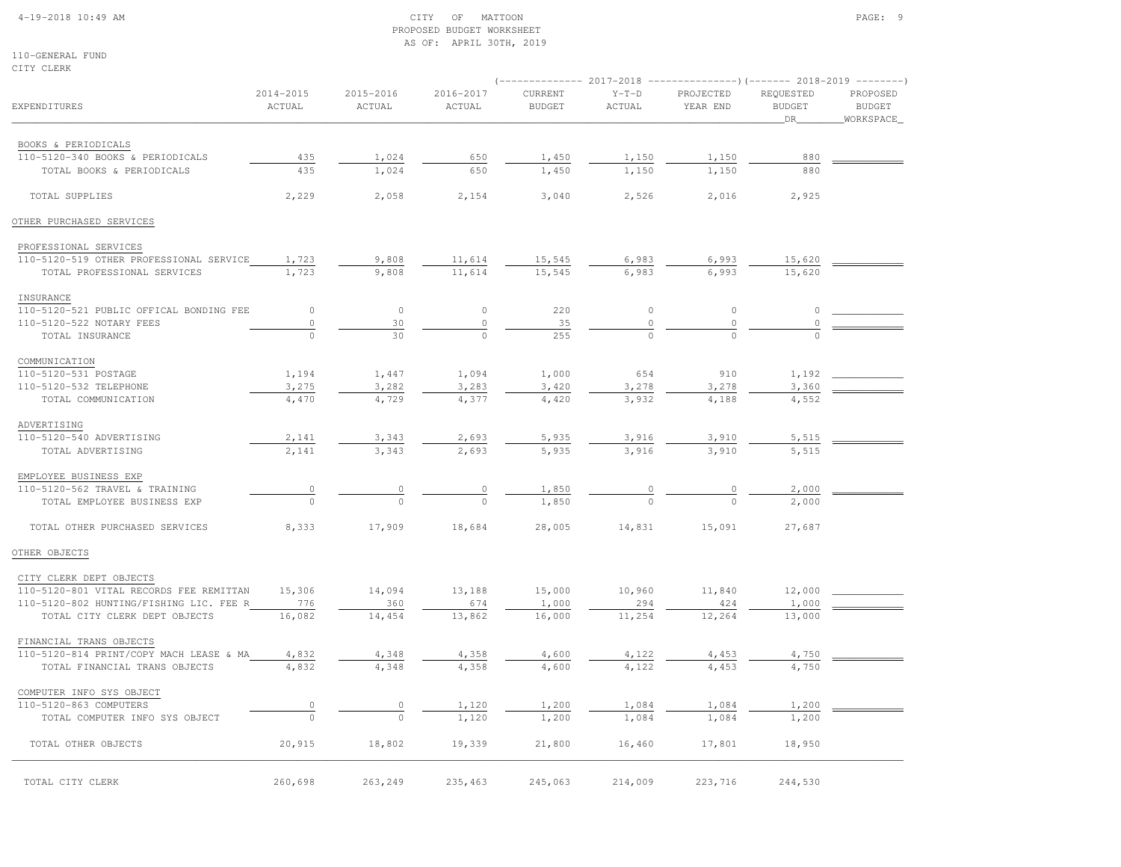# 4-19-2018 10:49 AM CITY OF MATTOON PAGE: 9 PROPOSED BUDGET WORKSHEETAS OF: APRIL 30TH, 2019

110-GENERAL FUNDCITY CLERK

|                                                         |                         |                     |                     |                          |                   | $(-$ ------------- 2017-2018 -----------------) (------- 2018-2019 ---------) |                                  |                                        |  |
|---------------------------------------------------------|-------------------------|---------------------|---------------------|--------------------------|-------------------|-------------------------------------------------------------------------------|----------------------------------|----------------------------------------|--|
| EXPENDITURES                                            | $2014 - 2015$<br>ACTUAL | 2015-2016<br>ACTUAL | 2016-2017<br>ACTUAL | CURRENT<br><b>BUDGET</b> | $Y-T-D$<br>ACTUAL | PROJECTED<br>YEAR END                                                         | REQUESTED<br><b>BUDGET</b><br>DR | PROPOSED<br><b>BUDGET</b><br>WORKSPACE |  |
| BOOKS & PERIODICALS                                     |                         |                     |                     |                          |                   |                                                                               |                                  |                                        |  |
| 110-5120-340 BOOKS & PERIODICALS                        | 435                     | 1,024               | 650                 | 1,450                    | 1,150             | 1,150                                                                         | 880                              |                                        |  |
| TOTAL BOOKS & PERIODICALS                               | 435                     | 1,024               | 650                 | 1,450                    | 1,150             | 1,150                                                                         | 880                              |                                        |  |
| TOTAL SUPPLIES                                          | 2,229                   | 2,058               | 2,154               | 3,040                    | 2,526             | 2,016                                                                         | 2,925                            |                                        |  |
| OTHER PURCHASED SERVICES                                |                         |                     |                     |                          |                   |                                                                               |                                  |                                        |  |
| PROFESSIONAL SERVICES                                   |                         |                     |                     |                          |                   |                                                                               |                                  |                                        |  |
| 110-5120-519 OTHER PROFESSIONAL SERVICE                 | 1,723                   | 9,808               | 11,614              | 15,545                   | 6,983             | 6,993                                                                         | 15,620                           |                                        |  |
| TOTAL PROFESSIONAL SERVICES                             | 1,723                   | 9,808               | 11,614              | 15,545                   | 6,983             | 6,993                                                                         | 15,620                           |                                        |  |
| INSURANCE                                               |                         |                     |                     |                          |                   |                                                                               |                                  |                                        |  |
| 110-5120-521 PUBLIC OFFICAL BONDING FEE                 | $\circ$                 | $\circ$             | $\circ$             | 220                      | $\circ$           | $\circ$                                                                       | $\mathbb O$                      |                                        |  |
| 110-5120-522 NOTARY FEES                                | $\circ$                 | 30                  | $\circ$             | 35                       | $\circ$           | $\mathbb O$                                                                   |                                  |                                        |  |
| TOTAL INSURANCE                                         | $\mathbf 0$             | 30                  | $\circ$             | 255                      |                   | $\Omega$                                                                      |                                  |                                        |  |
| COMMUNICATION                                           |                         |                     |                     |                          |                   |                                                                               |                                  |                                        |  |
| 110-5120-531 POSTAGE                                    | 1,194                   | 1,447               | 1,094               | 1,000                    | 654               | 910                                                                           | 1,192                            |                                        |  |
| 110-5120-532 TELEPHONE                                  | 3,275                   | 3,282               | 3,283               | 3,420                    | 3,278             | 3,278                                                                         | 3,360                            |                                        |  |
| TOTAL COMMUNICATION                                     | 4,470                   | 4,729               | 4,377               | 4,420                    | 3,932             | 4,188                                                                         | 4,552                            |                                        |  |
| ADVERTISING                                             |                         |                     |                     |                          |                   |                                                                               |                                  |                                        |  |
| 110-5120-540 ADVERTISING<br>TOTAL ADVERTISING           | 2,141<br>2,141          | 3,343               | 2,693               | 5,935<br>5,935           | 3,916<br>3,916    | 3,910<br>3,910                                                                | 5,515<br>5,515                   |                                        |  |
|                                                         |                         | 3,343               | 2,693               |                          |                   |                                                                               |                                  |                                        |  |
| EMPLOYEE BUSINESS EXP<br>110-5120-562 TRAVEL & TRAINING |                         |                     |                     |                          |                   |                                                                               | 2,000                            |                                        |  |
| TOTAL EMPLOYEE BUSINESS EXP                             | $\circ$<br>$\Omega$     | 0<br>$\Omega$       | $\circ$<br>$\cap$   | 1,850<br>1,850           | $\circ$<br>$\cap$ | 0<br>$\cap$                                                                   | 2,000                            |                                        |  |
|                                                         |                         |                     |                     |                          |                   |                                                                               |                                  |                                        |  |
| TOTAL OTHER PURCHASED SERVICES                          | 8,333                   | 17,909              | 18,684              | 28,005                   | 14,831            | 15,091                                                                        | 27,687                           |                                        |  |
| OTHER OBJECTS                                           |                         |                     |                     |                          |                   |                                                                               |                                  |                                        |  |
| CITY CLERK DEPT OBJECTS                                 |                         |                     |                     |                          |                   |                                                                               |                                  |                                        |  |
| 110-5120-801 VITAL RECORDS FEE REMITTAN                 | 15,306                  | 14,094              | 13,188              | 15,000                   | 10,960            | 11,840                                                                        | 12,000                           |                                        |  |
| 110-5120-802 HUNTING/FISHING LIC. FEE R                 | 776                     | 360                 | 674                 | 1,000                    | 294               | 424                                                                           | 1,000                            |                                        |  |
| TOTAL CITY CLERK DEPT OBJECTS                           | 16,082                  | 14,454              | 13,862              | 16,000                   | 11,254            | 12,264                                                                        | 13,000                           |                                        |  |
| FINANCIAL TRANS OBJECTS                                 |                         |                     |                     |                          |                   |                                                                               |                                  |                                        |  |
| 110-5120-814 PRINT/COPY MACH LEASE & MA                 | 4,832                   | 4,348               | 4,358               | 4,600                    | 4,122             | 4,453                                                                         | 4,750                            |                                        |  |
| TOTAL FINANCIAL TRANS OBJECTS                           | 4,832                   | 4,348               | 4,358               | 4,600                    | 4,122             | 4,453                                                                         | 4,750                            |                                        |  |
| COMPUTER INFO SYS OBJECT                                |                         |                     |                     |                          |                   |                                                                               |                                  |                                        |  |
| 110-5120-863 COMPUTERS                                  | 0<br>$\theta$           | 0                   | 1,120               | 1,200                    | 1,084             | 1,084                                                                         | 1,200                            |                                        |  |
| TOTAL COMPUTER INFO SYS OBJECT                          |                         | $\Omega$            | 1,120               | 1,200                    | 1,084             | 1,084                                                                         | 1,200                            |                                        |  |
| TOTAL OTHER OBJECTS                                     | 20,915                  | 18,802              | 19,339              | 21,800                   | 16,460            | 17,801                                                                        | 18,950                           |                                        |  |
| TOTAL CITY CLERK                                        | 260,698                 | 263,249             | 235,463             | 245,063                  | 214,009           | 223,716                                                                       | 244,530                          |                                        |  |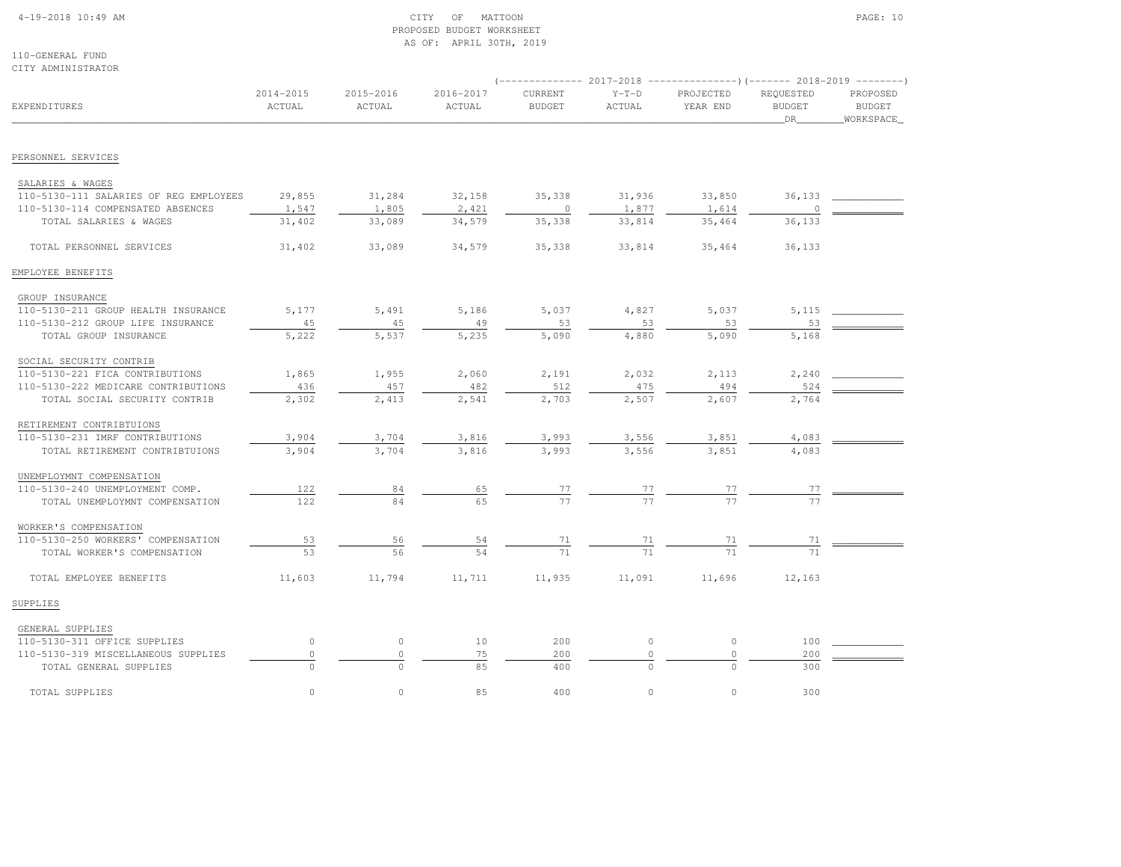### 4-19-2018 10:49 AM CITY OF MATTOON PAGE: 10 PROPOSED BUDGET WORKSHEETAS OF: APRIL 30TH, 2019

110-GENERAL FUNDCITY ADMINISTRATOR

|                                                                   |                     | (-------------- 2017-2018 ----------------)(------- 2018-2019 --------) |                     |                          |                       |                       |                                   |                                        |  |  |
|-------------------------------------------------------------------|---------------------|-------------------------------------------------------------------------|---------------------|--------------------------|-----------------------|-----------------------|-----------------------------------|----------------------------------------|--|--|
| <b>EXPENDITURES</b>                                               | 2014-2015<br>ACTUAL | 2015-2016<br>ACTUAL                                                     | 2016-2017<br>ACTUAL | CURRENT<br><b>BUDGET</b> | $Y-T-D$<br>ACTUAL     | PROJECTED<br>YEAR END | REQUESTED<br><b>BUDGET</b><br>DR_ | PROPOSED<br><b>BUDGET</b><br>WORKSPACE |  |  |
| PERSONNEL SERVICES                                                |                     |                                                                         |                     |                          |                       |                       |                                   |                                        |  |  |
|                                                                   |                     |                                                                         |                     |                          |                       |                       |                                   |                                        |  |  |
| SALARIES & WAGES                                                  |                     |                                                                         |                     |                          |                       |                       |                                   |                                        |  |  |
| 110-5130-111 SALARIES OF REG EMPLOYEES                            | 29,855              | 31,284                                                                  | 32,158              | 35,338                   | 31,936                | 33,850                | 36,133                            |                                        |  |  |
| 110-5130-114 COMPENSATED ABSENCES                                 | 1,547               | 1,805                                                                   | 2,421               | $\circ$                  | 1,877                 | 1,614                 | $\circ$                           |                                        |  |  |
| TOTAL SALARIES & WAGES                                            | 31,402              | 33,089                                                                  | 34,579              | 35,338                   | 33,814                | 35,464                | 36,133                            |                                        |  |  |
| TOTAL PERSONNEL SERVICES                                          | 31,402              | 33,089                                                                  | 34,579              | 35,338                   | 33,814                | 35,464                | 36,133                            |                                        |  |  |
| EMPLOYEE BENEFITS                                                 |                     |                                                                         |                     |                          |                       |                       |                                   |                                        |  |  |
| GROUP INSURANCE                                                   |                     |                                                                         |                     |                          |                       |                       |                                   |                                        |  |  |
| 110-5130-211 GROUP HEALTH INSURANCE                               | 5,177               | 5,491                                                                   | 5,186               | 5,037                    | 4,827                 | 5,037                 | 5,115                             |                                        |  |  |
| 110-5130-212 GROUP LIFE INSURANCE                                 | 45                  | 45                                                                      | 49                  | 53                       | 53                    | 53                    | 53                                |                                        |  |  |
| TOTAL GROUP INSURANCE                                             | 5,222               | 5,537                                                                   | 5,235               | 5,090                    | 4,880                 | 5,090                 | 5,168                             |                                        |  |  |
| SOCIAL SECURITY CONTRIB                                           |                     |                                                                         |                     |                          |                       |                       |                                   |                                        |  |  |
| 110-5130-221 FICA CONTRIBUTIONS                                   | 1,865               | 1,955                                                                   | 2,060               | 2,191                    | 2,032                 | 2,113                 | 2,240                             |                                        |  |  |
| 110-5130-222 MEDICARE CONTRIBUTIONS                               | 436                 | 457                                                                     | 482                 | 512                      | 475                   | 494                   | 524                               |                                        |  |  |
| TOTAL SOCIAL SECURITY CONTRIB                                     | 2,302               | 2,413                                                                   | 2,541               | 2,703                    | 2,507                 | 2,607                 | 2,764                             |                                        |  |  |
| RETIREMENT CONTRIBTUIONS                                          |                     |                                                                         |                     |                          |                       |                       |                                   |                                        |  |  |
| 110-5130-231 IMRF CONTRIBUTIONS                                   | 3,904               | 3,704                                                                   | 3,816               | 3,993                    |                       | 3,851                 | 4,083                             |                                        |  |  |
| TOTAL RETIREMENT CONTRIBTUIONS                                    | 3,904               | 3,704                                                                   | 3,816               | 3,993                    | $\frac{3,556}{3,556}$ | 3,851                 | 4,083                             |                                        |  |  |
| UNEMPLOYMNT COMPENSATION                                          |                     |                                                                         |                     |                          |                       |                       |                                   |                                        |  |  |
| 110-5130-240 UNEMPLOYMENT COMP.                                   | 122                 | 84                                                                      |                     |                          |                       |                       | 77                                |                                        |  |  |
| TOTAL UNEMPLOYMNT COMPENSATION                                    | 122                 | 84                                                                      | $\frac{65}{65}$     | $\frac{77}{77}$          | $\frac{77}{77}$       | $\frac{77}{77}$       |                                   |                                        |  |  |
|                                                                   |                     |                                                                         |                     |                          |                       |                       |                                   |                                        |  |  |
| WORKER'S COMPENSATION                                             |                     |                                                                         |                     |                          |                       |                       |                                   |                                        |  |  |
| 110-5130-250 WORKERS' COMPENSATION<br>TOTAL WORKER'S COMPENSATION | 53<br>53            | 56<br>56                                                                | 54<br>54            | $\frac{71}{71}$          | $\frac{71}{71}$       | $\frac{71}{2}$<br>71  | 71<br>71                          |                                        |  |  |
|                                                                   |                     |                                                                         |                     |                          |                       |                       |                                   |                                        |  |  |
| TOTAL EMPLOYEE BENEFITS                                           | 11,603              | 11,794                                                                  | 11,711              | 11,935                   | 11,091                | 11,696                | 12,163                            |                                        |  |  |
| SUPPLIES                                                          |                     |                                                                         |                     |                          |                       |                       |                                   |                                        |  |  |
| GENERAL SUPPLIES                                                  |                     |                                                                         |                     |                          |                       |                       |                                   |                                        |  |  |
| 110-5130-311 OFFICE SUPPLIES                                      | $\circ$             | $\circ$                                                                 | 10                  | 200                      | $\circ$               | $\mathbb O$           | 100                               |                                        |  |  |
| 110-5130-319 MISCELLANEOUS SUPPLIES                               | $\circ$             | $\circ$                                                                 | 75                  | 200                      | $\circ$               | $\circ$               | 200                               |                                        |  |  |
| TOTAL GENERAL SUPPLIES                                            |                     | $\cap$                                                                  | 85                  | 400                      |                       | $\cap$                | 300                               |                                        |  |  |
| TOTAL SUPPLIES                                                    | $\circ$             | $\circ$                                                                 | 85                  | 400                      | $\circ$               | $\circ$               | 300                               |                                        |  |  |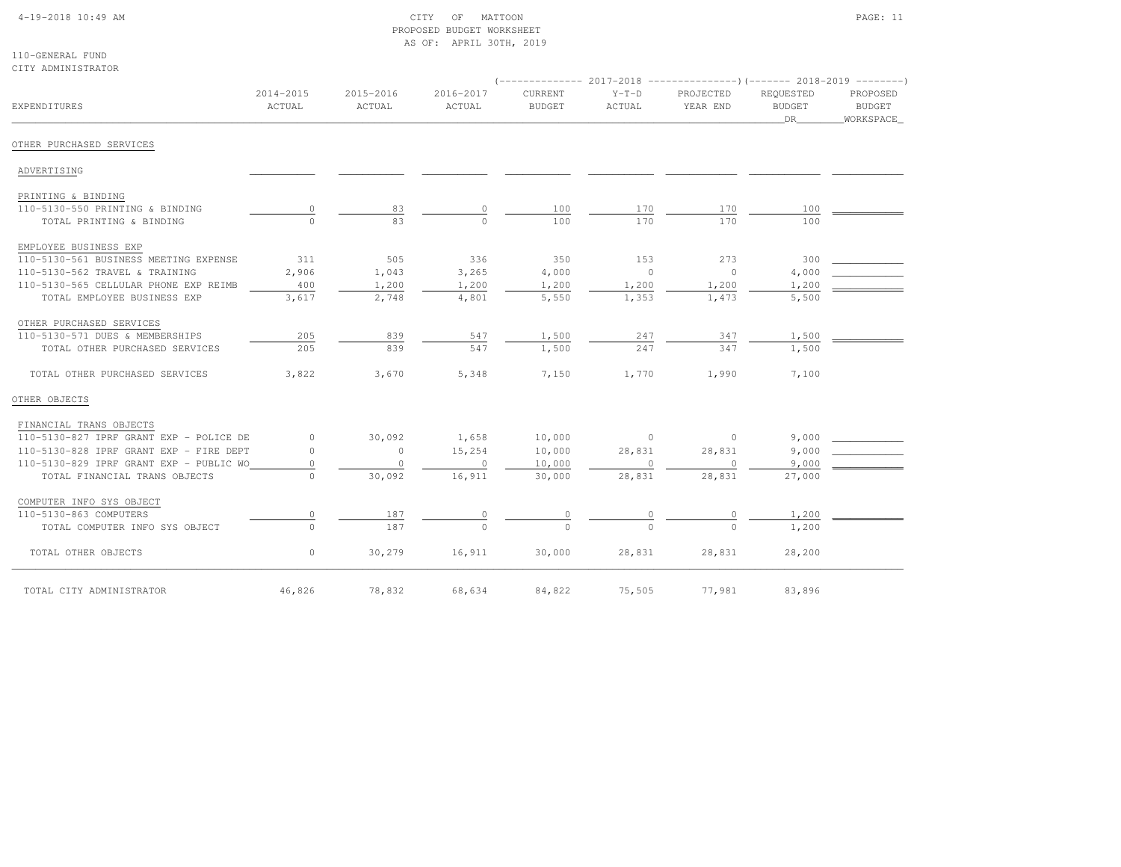# 4-19-2018 10:49 AM CITY OF MATTOON PAGE: 11 PROPOSED BUDGET WORKSHEETAS OF: APRIL 30TH, 2019

#### 110-GENERAL FUNDCITY ADMINISTRATOR

|                                         |                     |                     |                     |                          | (-------------- 2017-2018 ----------------)(------- 2018-2019 --------) |                       |                                  |                                        |
|-----------------------------------------|---------------------|---------------------|---------------------|--------------------------|-------------------------------------------------------------------------|-----------------------|----------------------------------|----------------------------------------|
| EXPENDITURES                            | 2014-2015<br>ACTUAL | 2015-2016<br>ACTUAL | 2016-2017<br>ACTUAL | CURRENT<br><b>BUDGET</b> | $Y-T-D$<br>ACTUAL                                                       | PROJECTED<br>YEAR END | REQUESTED<br><b>BUDGET</b><br>DR | PROPOSED<br><b>BUDGET</b><br>WORKSPACE |
| OTHER PURCHASED SERVICES                |                     |                     |                     |                          |                                                                         |                       |                                  |                                        |
| ADVERTISING                             |                     |                     |                     |                          |                                                                         |                       |                                  |                                        |
| PRINTING & BINDING                      |                     |                     |                     |                          |                                                                         |                       |                                  |                                        |
| 110-5130-550 PRINTING & BINDING         |                     | 83                  |                     | 100                      | 170                                                                     | 170                   | 100                              |                                        |
| TOTAL PRINTING & BINDING                | $\Omega$            | 83                  |                     | 100                      | 170                                                                     | 170                   | 100                              |                                        |
| EMPLOYEE BUSINESS EXP                   |                     |                     |                     |                          |                                                                         |                       |                                  |                                        |
| 110-5130-561 BUSINESS MEETING EXPENSE   | 311                 | 505                 | 336                 | 350                      | 153                                                                     | 273                   | 300                              |                                        |
| 110-5130-562 TRAVEL & TRAINING          | 2,906               | 1,043               | 3,265               | 4,000                    | $\circ$                                                                 | $\overline{0}$        | 4,000                            |                                        |
| 110-5130-565 CELLULAR PHONE EXP REIMB   | 400                 | 1,200               | 1,200               | 1,200                    | 1,200                                                                   | 1,200                 | 1,200                            |                                        |
| TOTAL EMPLOYEE BUSINESS EXP             | 3,617               | 2,748               | 4,801               | 5,550                    | 1,353                                                                   | 1,473                 | 5,500                            |                                        |
| OTHER PURCHASED SERVICES                |                     |                     |                     |                          |                                                                         |                       |                                  |                                        |
| 110-5130-571 DUES & MEMBERSHIPS         | 205                 | 839                 | 547                 | 1,500                    | 247                                                                     | 347                   | 1,500                            |                                        |
| TOTAL OTHER PURCHASED SERVICES          | 205                 | 839                 | 547                 | 1,500                    | 247                                                                     | 347                   | 1,500                            |                                        |
| TOTAL OTHER PURCHASED SERVICES          | 3,822               | 3,670               | 5,348               | 7,150                    | 1,770                                                                   | 1,990                 | 7,100                            |                                        |
| OTHER OBJECTS                           |                     |                     |                     |                          |                                                                         |                       |                                  |                                        |
| FINANCIAL TRANS OBJECTS                 |                     |                     |                     |                          |                                                                         |                       |                                  |                                        |
| 110-5130-827 IPRF GRANT EXP - POLICE DE | $\circ$             | 30,092              | 1,658               | 10,000                   | $\sim$ 0                                                                | $\circ$               | 9,000                            |                                        |
| 110-5130-828 IPRF GRANT EXP - FIRE DEPT | $\circ$             | $\circ$             | 15,254              | 10,000                   | 28,831                                                                  | 28,831                | 9,000                            |                                        |
| 110-5130-829 IPRF GRANT EXP - PUBLIC WO | $\circ$             | $\Omega$            | $\circ$             | 10,000                   | $\circ$                                                                 | $\circ$               | 9,000                            |                                        |
| TOTAL FINANCIAL TRANS OBJECTS           | $\Omega$            | 30,092              | 16,911              | 30,000                   | 28,831                                                                  | 28,831                | 27,000                           |                                        |
| COMPUTER INFO SYS OBJECT                |                     |                     |                     |                          |                                                                         |                       |                                  |                                        |
| 110-5130-863 COMPUTERS                  | 0                   | 187                 | $\circ$             |                          |                                                                         | $\circ$               | 1,200                            |                                        |
| TOTAL COMPUTER INFO SYS OBJECT          | $\Omega$            | 187                 | $\cap$              |                          |                                                                         |                       | 1,200                            |                                        |
| TOTAL OTHER OBJECTS                     | $\circ$             | 30,279              | 16,911              | 30,000                   | 28,831                                                                  | 28,831                | 28,200                           |                                        |
| TOTAL CITY ADMINISTRATOR                | 46,826              | 78,832              | 68,634              | 84,822                   | 75,505                                                                  | 77,981                | 83,896                           |                                        |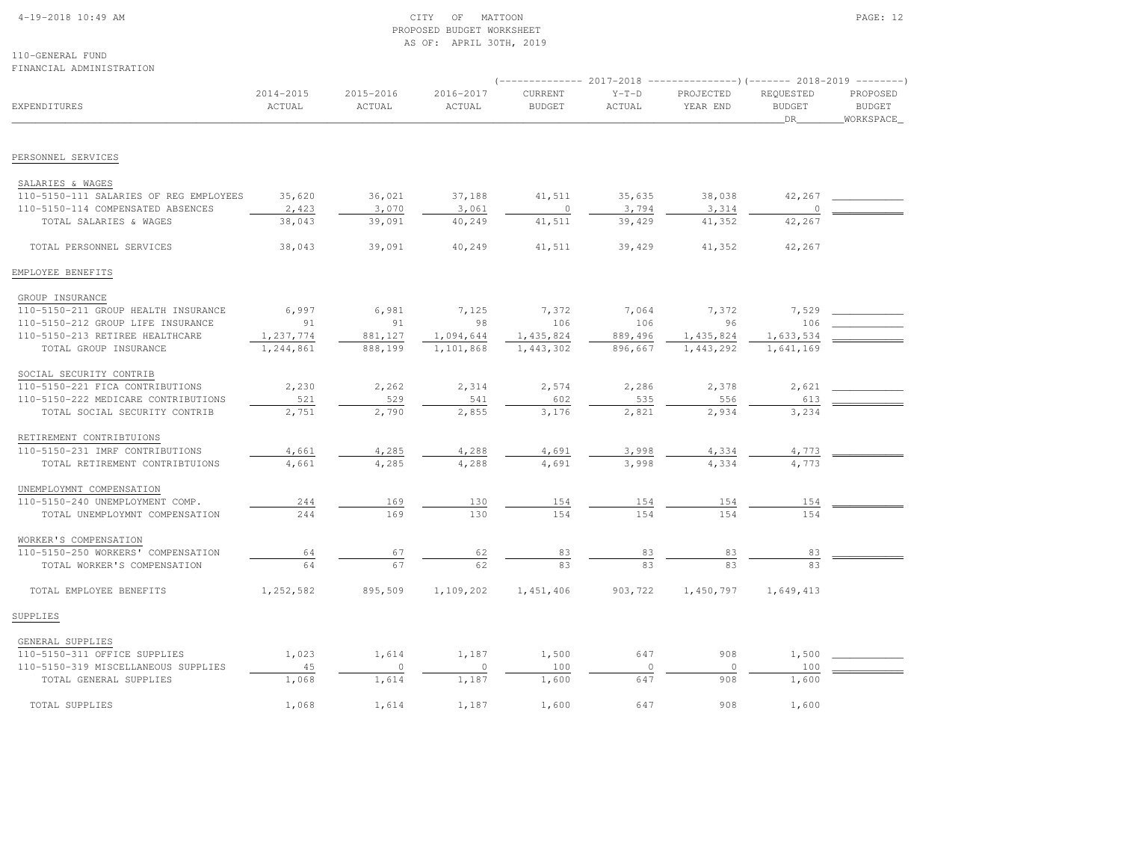### 4-19-2018 10:49 AM CITY OF MATTOON PAGE: 12 PROPOSED BUDGET WORKSHEETAS OF: APRIL 30TH, 2019

110-GENERAL FUNDFINANCIAL ADMINISTRATION

|                                        |                     |                     |                     |                          |                   | (-------------- 2017-2018 -----------------) (------- 2018-2019 ---------) |                                  |                                        |
|----------------------------------------|---------------------|---------------------|---------------------|--------------------------|-------------------|----------------------------------------------------------------------------|----------------------------------|----------------------------------------|
| EXPENDITURES                           | 2014-2015<br>ACTUAL | 2015-2016<br>ACTUAL | 2016-2017<br>ACTUAL | CURRENT<br><b>BUDGET</b> | $Y-T-D$<br>ACTUAL | PROJECTED<br>YEAR END                                                      | REOUESTED<br><b>BUDGET</b><br>DR | PROPOSED<br><b>BUDGET</b><br>WORKSPACE |
| PERSONNEL SERVICES                     |                     |                     |                     |                          |                   |                                                                            |                                  |                                        |
| SALARIES & WAGES                       |                     |                     |                     |                          |                   |                                                                            |                                  |                                        |
| 110-5150-111 SALARIES OF REG EMPLOYEES | 35,620              | 36,021              | 37,188              | 41,511                   | 35,635            | 38,038                                                                     | 42,267                           |                                        |
| 110-5150-114 COMPENSATED ABSENCES      | 2,423               | 3,070               | 3,061               | $\circ$                  | 3,794             | 3,314                                                                      |                                  |                                        |
| TOTAL SALARIES & WAGES                 | 38,043              | 39,091              | 40,249              | 41,511                   | 39,429            | 41,352                                                                     | 42,267                           |                                        |
| TOTAL PERSONNEL SERVICES               | 38,043              | 39,091              | 40,249              | 41,511                   | 39,429            | 41,352                                                                     | 42,267                           |                                        |
| EMPLOYEE BENEFITS                      |                     |                     |                     |                          |                   |                                                                            |                                  |                                        |
| GROUP INSURANCE                        |                     |                     |                     |                          |                   |                                                                            |                                  |                                        |
| 110-5150-211 GROUP HEALTH INSURANCE    | 6,997               | 6,981               | 7,125               | 7,372                    | 7,064             | 7,372                                                                      | 7,529                            |                                        |
| 110-5150-212 GROUP LIFE INSURANCE      | 91                  | 91                  | 98                  | 106                      | 106               | 96                                                                         | 106                              |                                        |
| 110-5150-213 RETIREE HEALTHCARE        | 1,237,774           | 881,127             | 1,094,644           | 1,435,824                | 889,496           | 1,435,824                                                                  | 1,633,534                        |                                        |
| TOTAL GROUP INSURANCE                  | 1,244,861           | 888,199             | 1,101,868           | 1,443,302                | 896,667           | 1,443,292                                                                  | 1,641,169                        |                                        |
| SOCIAL SECURITY CONTRIB                |                     |                     |                     |                          |                   |                                                                            |                                  |                                        |
| 110-5150-221 FICA CONTRIBUTIONS        | 2,230               | 2,262               | 2,314               | 2,574                    | 2,286             | 2,378                                                                      | 2,621                            |                                        |
| 110-5150-222 MEDICARE CONTRIBUTIONS    | 521                 | 529                 | 541                 | 602                      | 535               | 556                                                                        | 613                              |                                        |
| TOTAL SOCIAL SECURITY CONTRIB          | 2,751               | 2,790               | 2,855               | 3,176                    | 2,821             | 2,934                                                                      | 3,234                            |                                        |
| RETIREMENT CONTRIBTUIONS               |                     |                     |                     |                          |                   |                                                                            |                                  |                                        |
| 110-5150-231 IMRF CONTRIBUTIONS        | 4,661               | 4,285               | 4,288               | 4,691                    | 3,998             | 4,334                                                                      | 4,773                            |                                        |
| TOTAL RETIREMENT CONTRIBTUIONS         | 4,661               | 4,285               | 4,288               | 4,691                    | 3,998             | 4,334                                                                      | 4,773                            |                                        |
| UNEMPLOYMNT COMPENSATION               |                     |                     |                     |                          |                   |                                                                            |                                  |                                        |
| 110-5150-240 UNEMPLOYMENT COMP.        | 244                 | 169                 | 130                 | 154                      | 154               | 154                                                                        | 154                              |                                        |
| TOTAL UNEMPLOYMNT COMPENSATION         | 244                 | 169                 | 130                 | 154                      | 154               | 154                                                                        | 154                              |                                        |
| WORKER'S COMPENSATION                  |                     |                     |                     |                          |                   |                                                                            |                                  |                                        |
| 110-5150-250 WORKERS' COMPENSATION     | 64                  | 67                  | 62                  | 83                       | 83                | 83                                                                         | 83                               |                                        |
| TOTAL WORKER'S COMPENSATION            | 64                  | 67                  | 62                  | 83                       | 83                | 83                                                                         | 83                               |                                        |
| TOTAL EMPLOYEE BENEFITS                | 1,252,582           | 895,509             | 1,109,202           | 1,451,406                | 903,722           | 1,450,797                                                                  | 1,649,413                        |                                        |
| SUPPLIES                               |                     |                     |                     |                          |                   |                                                                            |                                  |                                        |
|                                        |                     |                     |                     |                          |                   |                                                                            |                                  |                                        |

| GENERAL SUPPLIES                    |       |         |       |       |    |     |       |  |
|-------------------------------------|-------|---------|-------|-------|----|-----|-------|--|
| 110-5150-311 OFFICE SUPPLIES        | 1,023 | 1,614   | 1,187 | 1,500 | 64 | 908 | .500  |  |
| 110-5150-319 MISCELLANEOUS SUPPLIES | 45    |         |       | 100   |    |     | 100   |  |
| TOTAL GENERAL SUPPLIES              | .,068 | 1,614 L | .187  | L,600 | 64 | 908 | 1,600 |  |
|                                     |       |         |       |       |    |     |       |  |
| TOTAL SUPPLIES                      | .,068 | 1,614   | .187  | .,600 | 64 | 908 | 1,600 |  |
|                                     |       |         |       |       |    |     |       |  |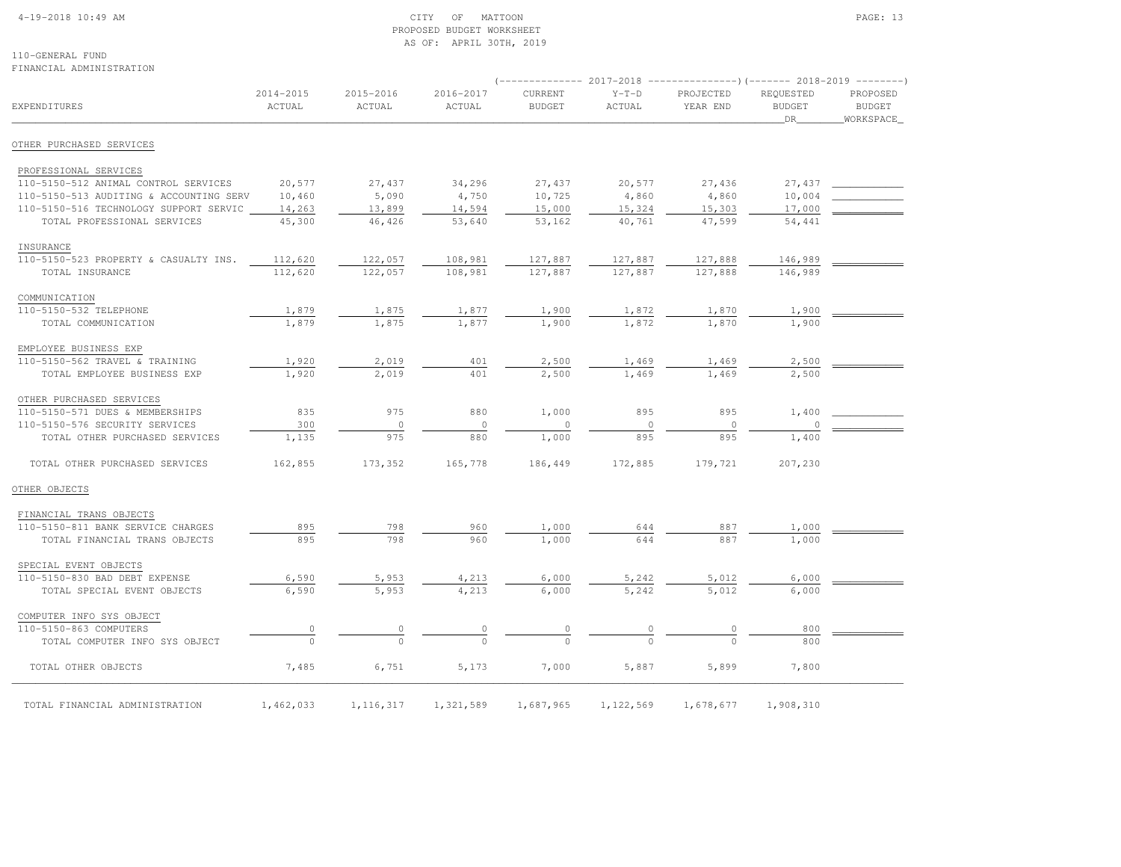#### 4-19-2018 10:49 AM CITY OF MATTOON PAGE: 13 PROPOSED BUDGET WORKSHEETAS OF: APRIL 30TH, 2019

110-GENERAL FUNDFINANCIAL ADMINISTRATION

|                                         |                     |                     |                     |                          | 2017-2018         | ----------------)(------- 2018-2019 |                                  |                                         |
|-----------------------------------------|---------------------|---------------------|---------------------|--------------------------|-------------------|-------------------------------------|----------------------------------|-----------------------------------------|
| <b>EXPENDITURES</b>                     | 2014-2015<br>ACTUAL | 2015-2016<br>ACTUAL | 2016-2017<br>ACTUAL | CURRENT<br><b>BUDGET</b> | $Y-T-D$<br>ACTUAL | PROJECTED<br>YEAR END               | REQUESTED<br><b>BUDGET</b><br>DR | PROPOSED<br><b>BUDGET</b><br>WORKSPACE_ |
| OTHER PURCHASED SERVICES                |                     |                     |                     |                          |                   |                                     |                                  |                                         |
| PROFESSIONAL SERVICES                   |                     |                     |                     |                          |                   |                                     |                                  |                                         |
| 110-5150-512 ANIMAL CONTROL SERVICES    | 20,577              | 27,437              | 34,296              | 27,437                   | 20,577            | 27,436                              | 27,437                           |                                         |
| 110-5150-513 AUDITING & ACCOUNTING SERV | 10,460              | 5,090               | 4,750               | 10,725                   | 4,860             | 4,860                               | 10,004                           |                                         |
| 110-5150-516 TECHNOLOGY SUPPORT SERVIC  | 14,263              | 13,899              | 14,594              | 15,000                   | 15,324            | 15,303                              | 17,000                           |                                         |
| TOTAL PROFESSIONAL SERVICES             | 45,300              | 46,426              | 53,640              | 53,162                   | 40,761            | 47,599                              | 54,441                           |                                         |
| INSURANCE                               |                     |                     |                     |                          |                   |                                     |                                  |                                         |
| 110-5150-523 PROPERTY & CASUALTY INS.   | 112,620             | 122,057             | 108,981             | 127,887                  | 127,887           | 127,888                             | 146,989                          |                                         |
| TOTAL INSURANCE                         | 112,620             | 122,057             | 108,981             | 127,887                  | 127,887           | 127,888                             | 146,989                          |                                         |
| COMMUNICATION                           |                     |                     |                     |                          |                   |                                     |                                  |                                         |
| 110-5150-532 TELEPHONE                  | 1,879               | 1,875               | 1,877               | 1,900                    | 1,872             | 1,870                               | 1,900                            |                                         |
| TOTAL COMMUNICATION                     | 1,879               | 1,875               | 1,877               | 1,900                    | 1,872             | 1,870                               | 1,900                            |                                         |
| EMPLOYEE BUSINESS EXP                   |                     |                     |                     |                          |                   |                                     |                                  |                                         |
| 110-5150-562 TRAVEL & TRAINING          | 1,920               | 2,019               | 401                 | 2,500                    | 1,469             | 1,469                               | 2,500                            |                                         |
| TOTAL EMPLOYEE BUSINESS EXP             | 1,920               | 2,019               | 401                 | 2,500                    | 1,469             | 1,469                               | 2,500                            |                                         |
| OTHER PURCHASED SERVICES                |                     |                     |                     |                          |                   |                                     |                                  |                                         |
| 110-5150-571 DUES & MEMBERSHIPS         | 835                 | 975                 | 880                 | 1,000                    | 895               | 895                                 | 1,400                            |                                         |
| 110-5150-576 SECURITY SERVICES          | 300                 | $\circ$             | $\circ$             | $\circ$                  | $\circ$           | 0                                   | 0                                |                                         |
| TOTAL OTHER PURCHASED SERVICES          | 1,135               | 975                 | 880                 | 1,000                    | 895               | 895                                 | 1,400                            |                                         |
| TOTAL OTHER PURCHASED SERVICES          | 162,855             | 173,352             | 165,778             | 186,449                  | 172,885           | 179,721                             | 207,230                          |                                         |
| OTHER OBJECTS                           |                     |                     |                     |                          |                   |                                     |                                  |                                         |
| FINANCIAL TRANS OBJECTS                 |                     |                     |                     |                          |                   |                                     |                                  |                                         |
| 110-5150-811 BANK SERVICE CHARGES       | 895                 | 798                 | 960                 | 1,000                    | 644               | 887                                 | 1,000                            |                                         |
| TOTAL FINANCIAL TRANS OBJECTS           | 895                 | 798                 | 960                 | 1,000                    | 644               | 887                                 | 1,000                            |                                         |
| SPECIAL EVENT OBJECTS                   |                     |                     |                     |                          |                   |                                     |                                  |                                         |
| 110-5150-830 BAD DEBT EXPENSE           | 6,590               | 5,953               | 4,213               | 6,000                    | 5,242             | 5,012                               | 6,000                            |                                         |
| TOTAL SPECIAL EVENT OBJECTS             | 6,590               | 5,953               | 4,213               | 6,000                    | 5,242             | 5,012                               | 6,000                            |                                         |
| COMPUTER INFO SYS OBJECT                |                     |                     |                     |                          |                   |                                     |                                  |                                         |
| 110-5150-863 COMPUTERS                  | $\overline{0}$      |                     |                     |                          |                   |                                     | 800                              |                                         |
| TOTAL COMPUTER INFO SYS OBJECT          | $\theta$            |                     |                     |                          |                   |                                     | 800                              |                                         |
| TOTAL OTHER OBJECTS                     | 7,485               | 6,751               | 5,173               | 7,000                    | 5,887             | 5,899                               | 7,800                            |                                         |
| TOTAL FINANCIAL ADMINISTRATION          | 1,462,033           | 1, 116, 317         | 1,321,589           | 1,687,965                | 1,122,569         | 1,678,677                           | 1,908,310                        |                                         |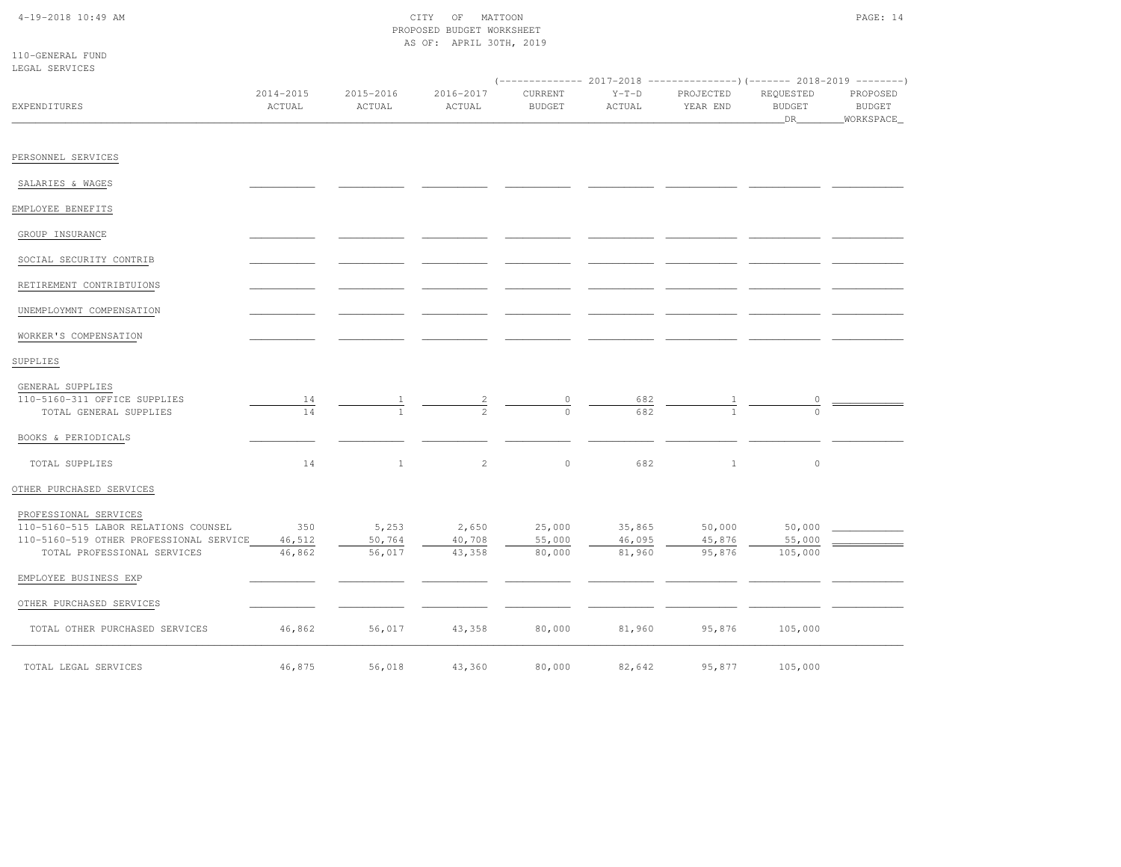# 4-19-2018 10:49 AM CITY OF MATTOON PROPOSED BUDGET WORKSHEETAS OF: APRIL 30TH, 2019

|  | 110-GENERAL FUND |  |
|--|------------------|--|
|  | LEGAL SERVICES   |  |

|                                                                                                                                         |                         |                           |                           |                            |                            | $(----------2017-2018$ ---------------) (------- 2018-2019 -------) |                                  |                                          |
|-----------------------------------------------------------------------------------------------------------------------------------------|-------------------------|---------------------------|---------------------------|----------------------------|----------------------------|---------------------------------------------------------------------|----------------------------------|------------------------------------------|
| <b>EXPENDITURES</b>                                                                                                                     | 2014-2015<br>ACTUAL     | 2015-2016<br>ACTUAL       | 2016-2017<br>ACTUAL       | CURRENT<br><b>BUDGET</b>   | $Y-T-D$<br>ACTUAL          | PROJECTED<br>YEAR END                                               | REQUESTED<br><b>BUDGET</b><br>DR | PROPOSED<br><b>BUDGET</b><br>_WORKSPACE_ |
| PERSONNEL SERVICES                                                                                                                      |                         |                           |                           |                            |                            |                                                                     |                                  |                                          |
| SALARIES & WAGES                                                                                                                        |                         |                           |                           |                            |                            |                                                                     |                                  |                                          |
| EMPLOYEE BENEFITS                                                                                                                       |                         |                           |                           |                            |                            |                                                                     |                                  |                                          |
| GROUP INSURANCE                                                                                                                         |                         |                           |                           |                            |                            |                                                                     |                                  |                                          |
| SOCIAL SECURITY CONTRIB                                                                                                                 |                         |                           |                           |                            |                            |                                                                     |                                  |                                          |
| RETIREMENT CONTRIBTUIONS                                                                                                                |                         |                           |                           |                            |                            |                                                                     |                                  |                                          |
| UNEMPLOYMNT COMPENSATION                                                                                                                |                         |                           |                           |                            |                            |                                                                     |                                  |                                          |
| WORKER'S COMPENSATION                                                                                                                   |                         |                           |                           |                            |                            |                                                                     |                                  |                                          |
| SUPPLIES                                                                                                                                |                         |                           |                           |                            |                            |                                                                     |                                  |                                          |
| GENERAL SUPPLIES<br>110-5160-311 OFFICE SUPPLIES<br>TOTAL GENERAL SUPPLIES                                                              | 14<br>14                |                           |                           | $\circ$                    | 682<br>682                 |                                                                     | 0                                |                                          |
| BOOKS & PERIODICALS                                                                                                                     |                         |                           |                           |                            |                            |                                                                     |                                  |                                          |
| TOTAL SUPPLIES                                                                                                                          | 14                      | $\mathbf{1}$              | 2                         | $\circ$                    | 682                        | $\mathbf{1}$                                                        | $\circ$                          |                                          |
| OTHER PURCHASED SERVICES                                                                                                                |                         |                           |                           |                            |                            |                                                                     |                                  |                                          |
| PROFESSIONAL SERVICES<br>110-5160-515 LABOR RELATIONS COUNSEL<br>110-5160-519 OTHER PROFESSIONAL SERVICE<br>TOTAL PROFESSIONAL SERVICES | 350<br>46,512<br>46,862 | 5,253<br>50,764<br>56,017 | 2,650<br>40,708<br>43,358 | 25,000<br>55,000<br>80,000 | 35,865<br>46,095<br>81,960 | 50,000<br>45,876<br>95,876                                          | 50,000<br>55,000<br>105,000      |                                          |
| EMPLOYEE BUSINESS EXP                                                                                                                   |                         |                           |                           |                            |                            |                                                                     |                                  |                                          |
| OTHER PURCHASED SERVICES                                                                                                                |                         |                           |                           |                            |                            |                                                                     |                                  |                                          |
| TOTAL OTHER PURCHASED SERVICES                                                                                                          | 46,862                  | 56,017                    | 43,358                    | 80,000                     | 81,960                     | 95,876                                                              | 105,000                          |                                          |
| TOTAL LEGAL SERVICES                                                                                                                    | 46,875                  | 56,018                    | 43,360                    | 80,000                     | 82,642                     | 95,877                                                              | 105,000                          |                                          |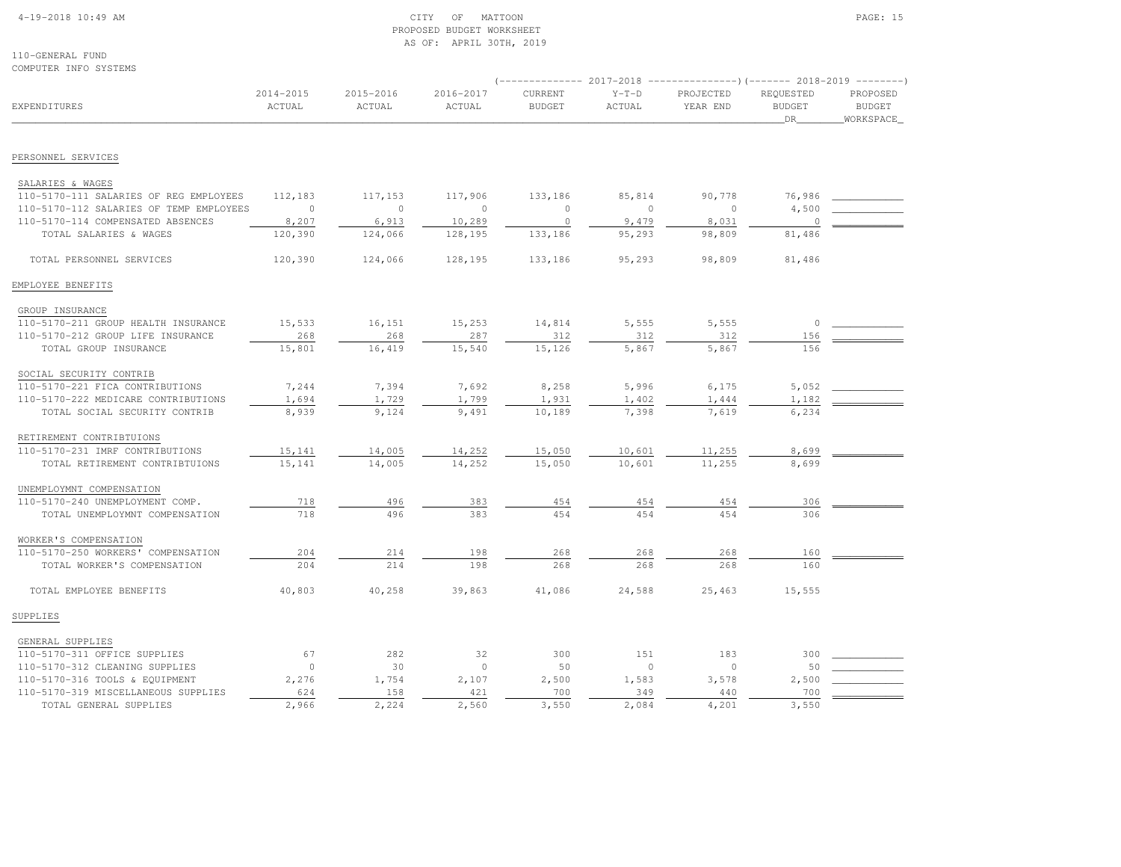### 4-19-2018 10:49 AM CITY OF MATTOON PAGE: 15 PROPOSED BUDGET WORKSHEETAS OF: APRIL 30TH, 2019

110-GENERAL FUNDCOMPUTER INFO SYSTEMS

|                                         |                     |                     |                     |                          |                   | (-------------- 2017-2018 ----------------)(------- 2018-2019 --------) |                                  |                                        |  |
|-----------------------------------------|---------------------|---------------------|---------------------|--------------------------|-------------------|-------------------------------------------------------------------------|----------------------------------|----------------------------------------|--|
| <b>EXPENDITURES</b>                     | 2014-2015<br>ACTUAL | 2015-2016<br>ACTUAL | 2016-2017<br>ACTUAL | CURRENT<br><b>BUDGET</b> | $Y-T-D$<br>ACTUAL | PROJECTED<br>YEAR END                                                   | REQUESTED<br><b>BUDGET</b><br>DR | PROPOSED<br><b>BUDGET</b><br>WORKSPACE |  |
|                                         |                     |                     |                     |                          |                   |                                                                         |                                  |                                        |  |
| PERSONNEL SERVICES                      |                     |                     |                     |                          |                   |                                                                         |                                  |                                        |  |
| SALARIES & WAGES                        |                     |                     |                     |                          |                   |                                                                         |                                  |                                        |  |
| 110-5170-111 SALARIES OF REG EMPLOYEES  | 112,183             | 117,153             | 117,906             | 133,186                  | 85,814            | 90,778                                                                  | 76,986                           |                                        |  |
| 110-5170-112 SALARIES OF TEMP EMPLOYEES | $\overline{0}$      | $\mathbf{0}$        | $\circ$             | $\circ$                  | $\circ$           | $\circ$                                                                 | 4,500                            |                                        |  |
| 110-5170-114 COMPENSATED ABSENCES       | 8,207               | 6,913               | 10,289              | $\circ$                  | 9,479             | 8,031                                                                   | $\overline{0}$                   |                                        |  |
| TOTAL SALARIES & WAGES                  | 120,390             | 124,066             | 128,195             | 133,186                  | 95,293            | 98,809                                                                  | 81,486                           |                                        |  |
| TOTAL PERSONNEL SERVICES                | 120,390             | 124,066             | 128,195             | 133,186                  | 95,293            | 98,809                                                                  | 81,486                           |                                        |  |
| EMPLOYEE BENEFITS                       |                     |                     |                     |                          |                   |                                                                         |                                  |                                        |  |
| GROUP INSURANCE                         |                     |                     |                     |                          |                   |                                                                         |                                  |                                        |  |
| 110-5170-211 GROUP HEALTH INSURANCE     | 15,533              | 16,151              | 15,253              | 14,814                   | 5,555             | 5,555                                                                   | 0                                |                                        |  |
| 110-5170-212 GROUP LIFE INSURANCE       | 268                 | 268                 | 287                 | 312                      | 312               | 312                                                                     | 156                              |                                        |  |
| TOTAL GROUP INSURANCE                   | 15,801              | 16,419              | 15,540              | 15,126                   | 5,867             | 5,867                                                                   | 156                              |                                        |  |
| SOCIAL SECURITY CONTRIB                 |                     |                     |                     |                          |                   |                                                                         |                                  |                                        |  |
| 110-5170-221 FICA CONTRIBUTIONS         | 7,244               | 7,394               | 7,692               | 8,258                    | 5,996             | 6,175                                                                   | 5,052                            |                                        |  |
| 110-5170-222 MEDICARE CONTRIBUTIONS     | 1,694               | 1,729               | 1,799               | 1,931                    | 1,402             | 1,444                                                                   | 1,182                            |                                        |  |
| TOTAL SOCIAL SECURITY CONTRIB           | 8,939               | 9,124               | 9,491               | 10,189                   | 7,398             | 7,619                                                                   | 6,234                            |                                        |  |
| RETIREMENT CONTRIBTUIONS                |                     |                     |                     |                          |                   |                                                                         |                                  |                                        |  |
| 110-5170-231 IMRF CONTRIBUTIONS         | 15,141              | 14,005              | 14,252              | 15,050                   | 10,601            | 11,255                                                                  | 8,699                            |                                        |  |
| TOTAL RETIREMENT CONTRIBTUIONS          | 15,141              | 14,005              | 14,252              | 15,050                   | 10,601            | 11,255                                                                  | 8,699                            |                                        |  |
| UNEMPLOYMNT COMPENSATION                |                     |                     |                     |                          |                   |                                                                         |                                  |                                        |  |
| 110-5170-240 UNEMPLOYMENT COMP.         | 718                 | 496                 | 383                 | 454                      | 454               | 454                                                                     | 306                              |                                        |  |
| TOTAL UNEMPLOYMNT COMPENSATION          | 718                 | 496                 | 383                 | 454                      | 454               | 454                                                                     | 306                              |                                        |  |
| WORKER'S COMPENSATION                   |                     |                     |                     |                          |                   |                                                                         |                                  |                                        |  |
| 110-5170-250 WORKERS' COMPENSATION      | 204                 | 214                 | 198                 | 268                      | 268               | 268                                                                     | 160                              |                                        |  |
| TOTAL WORKER'S COMPENSATION             | 204                 | 214                 | 198                 | 268                      | 268               | 268                                                                     | 160                              |                                        |  |
| TOTAL EMPLOYEE BENEFITS                 | 40,803              | 40,258              | 39,863              | 41,086                   | 24,588            | 25,463                                                                  | 15,555                           |                                        |  |
| SUPPLIES                                |                     |                     |                     |                          |                   |                                                                         |                                  |                                        |  |
| GENERAL SUPPLIES                        |                     |                     |                     |                          |                   |                                                                         |                                  |                                        |  |
| 110-5170-311 OFFICE SUPPLIES            | 67                  | 282                 | 32                  | 300                      | 151               | 183                                                                     | 300                              |                                        |  |
| 110-5170-312 CLEANING SUPPLIES          | $\mathbf{0}$        | 30                  | $\circ$             | 50                       | $\circ$           | $\circ$                                                                 | 50                               |                                        |  |
| 110-5170-316 TOOLS & EQUIPMENT          | 2,276               | 1,754               | 2,107               | 2,500                    | 1,583             | 3,578                                                                   | 2,500                            |                                        |  |
| 110-5170-319 MISCELLANEOUS SUPPLIES     | 624                 | 158                 | 421                 | 700                      | 349               | 440                                                                     | 700                              |                                        |  |
| TOTAL GENERAL SUPPLIES                  | 2,966               | 2,224               | 2,560               | 3,550                    | 2,084             | 4,201                                                                   | 3,550                            |                                        |  |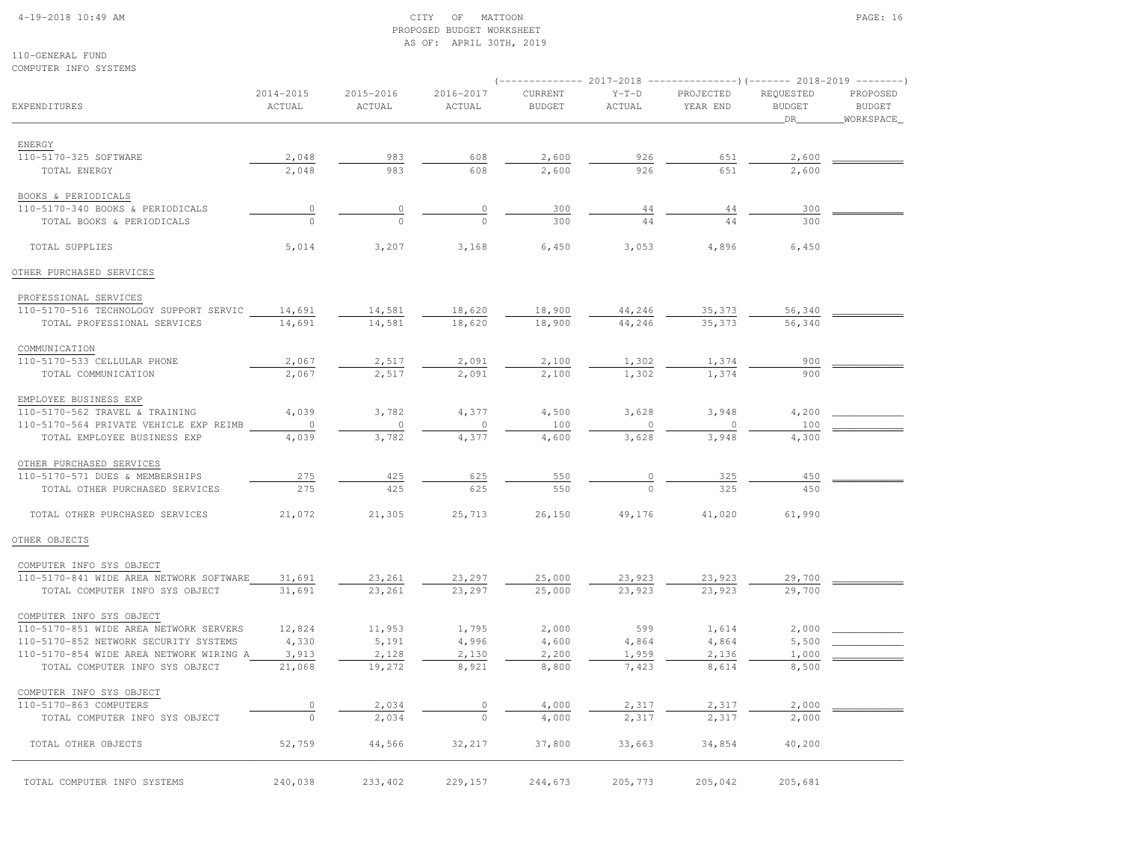# 4-19-2018 10:49 AM CITY OF MATTOON PAGE: 16 PROPOSED BUDGET WORKSHEETAS OF: APRIL 30TH, 2019

110-GENERAL FUNDCOMPUTER INFO SYSTEMS

|                                         |                         |                     |                     |                          |                   | $(-$ ------------- 2017-2018 -----------------) (------- 2018-2019 --------) |                                  |                                         |
|-----------------------------------------|-------------------------|---------------------|---------------------|--------------------------|-------------------|------------------------------------------------------------------------------|----------------------------------|-----------------------------------------|
| EXPENDITURES                            | $2014 - 2015$<br>ACTUAL | 2015-2016<br>ACTUAL | 2016-2017<br>ACTUAL | CURRENT<br><b>BUDGET</b> | $Y-T-D$<br>ACTUAL | PROJECTED<br>YEAR END                                                        | REQUESTED<br><b>BUDGET</b><br>DR | PROPOSED<br><b>BUDGET</b><br>WORKSPACE_ |
| ENERGY                                  |                         |                     |                     |                          |                   |                                                                              |                                  |                                         |
| 110-5170-325 SOFTWARE                   | 2,048                   | 983                 | 608                 | 2,600                    | 926               | 651                                                                          | 2,600                            |                                         |
| TOTAL ENERGY                            | 2,048                   | 983                 | 608                 | 2,600                    | 926               | 651                                                                          | 2,600                            |                                         |
| BOOKS & PERIODICALS                     |                         |                     |                     |                          |                   |                                                                              |                                  |                                         |
| 110-5170-340 BOOKS & PERIODICALS        | 0                       | $\circ$             | 0                   | 300                      | 44                | 44                                                                           | 300                              |                                         |
| TOTAL BOOKS & PERIODICALS               |                         | $\Omega$            | $\Omega$            | 300                      | 44                | 44                                                                           | 300                              |                                         |
| TOTAL SUPPLIES                          | 5,014                   | 3,207               | 3,168               | 6,450                    | 3,053             | 4,896                                                                        | 6,450                            |                                         |
| OTHER PURCHASED SERVICES                |                         |                     |                     |                          |                   |                                                                              |                                  |                                         |
| PROFESSIONAL SERVICES                   |                         |                     |                     |                          |                   |                                                                              |                                  |                                         |
| 110-5170-516 TECHNOLOGY SUPPORT SERVIC  | 14,691                  | 14,581              | 18,620              | 18,900                   | 44,246            | 35,373                                                                       | 56,340                           |                                         |
| TOTAL PROFESSIONAL SERVICES             | 14,691                  | 14,581              | 18,620              | 18,900                   | 44,246            | 35,373                                                                       | 56,340                           |                                         |
| COMMUNICATION                           |                         |                     |                     |                          |                   |                                                                              |                                  |                                         |
| 110-5170-533 CELLULAR PHONE             | 2,067                   | 2,517               | 2,091               | 2,100                    | 1,302             | 1,374                                                                        | 900                              |                                         |
| TOTAL COMMUNICATION                     | 2,067                   | 2,517               | 2,091               | 2,100                    | 1,302             | 1,374                                                                        | 900                              |                                         |
| EMPLOYEE BUSINESS EXP                   |                         |                     |                     |                          |                   |                                                                              |                                  |                                         |
| 110-5170-562 TRAVEL & TRAINING          | 4,039                   | 3,782               | 4,377               | 4,500                    | 3,628             | 3,948                                                                        | 4,200                            |                                         |
| 110-5170-564 PRIVATE VEHICLE EXP REIMB  | $\circ$                 | $\mathbf 0$         | $\Omega$            | 100                      | $\circ$           | 0                                                                            | 100                              |                                         |
| TOTAL EMPLOYEE BUSINESS EXP             | 4,039                   | 3,782               | 4,377               | 4,600                    | 3,628             | 3,948                                                                        | 4,300                            |                                         |
| OTHER PURCHASED SERVICES                |                         |                     |                     |                          |                   |                                                                              |                                  |                                         |
| 110-5170-571 DUES & MEMBERSHIPS         | 275                     | 425                 | 625                 | 550                      |                   | 325                                                                          | 450                              |                                         |
| TOTAL OTHER PURCHASED SERVICES          | 275                     | 425                 | 625                 | 550                      |                   | 325                                                                          | 450                              |                                         |
| TOTAL OTHER PURCHASED SERVICES          | 21,072                  | 21,305              | 25,713              | 26,150                   | 49,176            | 41,020                                                                       | 61,990                           |                                         |
| OTHER OBJECTS                           |                         |                     |                     |                          |                   |                                                                              |                                  |                                         |
| COMPUTER INFO SYS OBJECT                |                         |                     |                     |                          |                   |                                                                              |                                  |                                         |
| 110-5170-841 WIDE AREA NETWORK SOFTWARE | 31,691                  | 23,261              | 23,297              | 25,000                   | 23,923            | 23,923                                                                       | 29,700                           |                                         |
| TOTAL COMPUTER INFO SYS OBJECT          | 31,691                  | 23,261              | 23,297              | 25,000                   | 23,923            | 23,923                                                                       | 29,700                           |                                         |
| COMPUTER INFO SYS OBJECT                |                         |                     |                     |                          |                   |                                                                              |                                  |                                         |
| 110-5170-851 WIDE AREA NETWORK SERVERS  | 12,824                  | 11,953              | 1,795               | 2,000                    | 599               | 1,614                                                                        | 2,000                            |                                         |
| 110-5170-852 NETWORK SECURITY SYSTEMS   | 4,330                   | 5,191               | 4,996               | 4,600                    | 4,864             | 4,864                                                                        | 5,500                            |                                         |
| 110-5170-854 WIDE AREA NETWORK WIRING A | 3,913                   | 2,128               | 2,130               | 2,200                    | 1,959             | 2,136                                                                        | 1,000                            |                                         |
| TOTAL COMPUTER INFO SYS OBJECT          | 21,068                  | 19,272              | 8,921               | 8,800                    | 7,423             | 8,614                                                                        | 8,500                            |                                         |
| COMPUTER INFO SYS OBJECT                |                         |                     |                     |                          |                   |                                                                              |                                  |                                         |
| 110-5170-863 COMPUTERS                  | 0                       | 2,034               | 0                   | 4,000                    | 2,317             | 2,317                                                                        | 2,000                            |                                         |
| TOTAL COMPUTER INFO SYS OBJECT          | $\circ$                 | 2,034               | $\Omega$            | 4,000                    | 2,317             | 2,317                                                                        | 2,000                            |                                         |
| TOTAL OTHER OBJECTS                     | 52,759                  | 44,566              | 32,217              | 37,800                   | 33,663            | 34,854                                                                       | 40,200                           |                                         |
| TOTAL COMPUTER INFO SYSTEMS             | 240,038                 | 233,402             | 229,157             | 244,673                  | 205,773           | 205,042                                                                      | 205,681                          |                                         |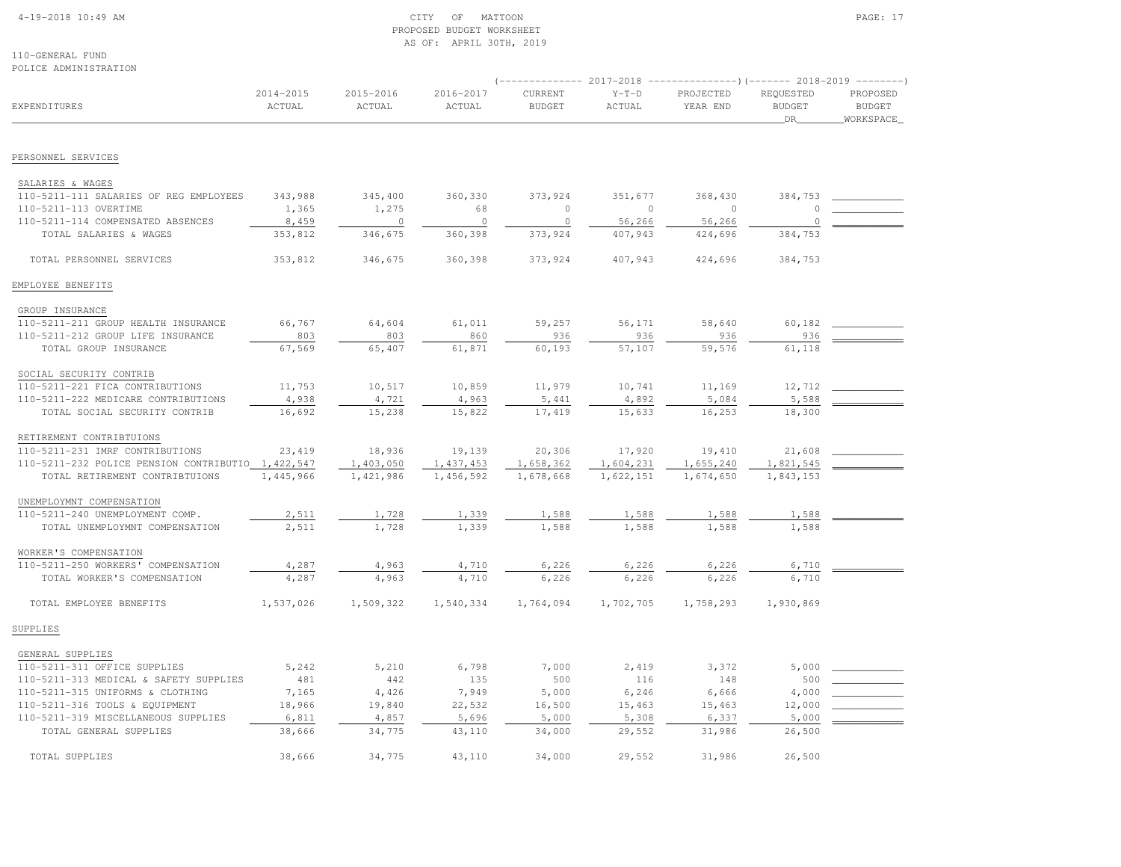#### 4-19-2018 10:49 AM CITY OF MATTOON PAGE: 17 PROPOSED BUDGET WORKSHEETAS OF: APRIL 30TH, 2019

110-GENERAL FUNDPOLICE ADMINISTRATION

| EXPENDITURES                                                      | 2014-2015<br>ACTUAL | 2015-2016<br>ACTUAL | 2016-2017<br>ACTUAL | CURRENT<br><b>BUDGET</b> | $Y-T-D$<br>ACTUAL | PROJECTED<br>YEAR END | REQUESTED<br><b>BUDGET</b><br>DR | PROPOSED<br><b>BUDGET</b><br>WORKSPACE |
|-------------------------------------------------------------------|---------------------|---------------------|---------------------|--------------------------|-------------------|-----------------------|----------------------------------|----------------------------------------|
| PERSONNEL SERVICES                                                |                     |                     |                     |                          |                   |                       |                                  |                                        |
|                                                                   |                     |                     |                     |                          |                   |                       |                                  |                                        |
| SALARIES & WAGES<br>110-5211-111 SALARIES OF REG EMPLOYEES        | 343,988             | 345,400             | 360,330             | 373,924                  | 351,677           | 368,430               | 384,753                          |                                        |
| 110-5211-113 OVERTIME                                             | 1,365               | 1,275               | 68                  | $\circ$                  | $\overline{0}$    | $\circ$               |                                  |                                        |
| 110-5211-114 COMPENSATED ABSENCES                                 | 8,459               | $\overline{0}$      | $\circ$             | $\circ$                  | 56,266            | 56,266                | $\Omega$                         |                                        |
| TOTAL SALARIES & WAGES                                            | 353,812             | 346,675             | 360,398             | 373,924                  | 407,943           | 424,696               | 384,753                          |                                        |
| TOTAL PERSONNEL SERVICES                                          | 353,812             | 346,675             | 360,398             | 373,924                  | 407,943           | 424,696               | 384,753                          |                                        |
| EMPLOYEE BENEFITS                                                 |                     |                     |                     |                          |                   |                       |                                  |                                        |
|                                                                   |                     |                     |                     |                          |                   |                       |                                  |                                        |
| GROUP INSURANCE                                                   |                     |                     |                     |                          |                   |                       |                                  |                                        |
| 110-5211-211 GROUP HEALTH INSURANCE                               | 66,767              | 64,604              | 61,011              | 59,257                   | 56,171            | 58,640                | 60,182                           |                                        |
| 110-5211-212 GROUP LIFE INSURANCE<br>TOTAL GROUP INSURANCE        | 803<br>67,569       | 803<br>65,407       | 860<br>61,871       | 936<br>60,193            | 936<br>57,107     | 936<br>59,576         | 936<br>61,118                    |                                        |
|                                                                   |                     |                     |                     |                          |                   |                       |                                  |                                        |
| SOCIAL SECURITY CONTRIB                                           |                     |                     |                     |                          |                   |                       |                                  |                                        |
| 110-5211-221 FICA CONTRIBUTIONS                                   | 11,753              | 10,517              | 10,859              | 11,979                   | 10,741            | 11,169                | 12,712                           |                                        |
| 110-5211-222 MEDICARE CONTRIBUTIONS                               | 4,938               | 4,721               | 4,963               | 5,441                    | 4,892             | 5,084                 | 5,588                            |                                        |
| TOTAL SOCIAL SECURITY CONTRIB                                     | 16,692              | 15,238              | 15,822              | 17,419                   | 15,633            | 16,253                | 18,300                           |                                        |
| RETIREMENT CONTRIBTUIONS                                          |                     |                     |                     |                          |                   |                       |                                  |                                        |
| 110-5211-231 IMRF CONTRIBUTIONS                                   | 23,419              | 18,936              | 19,139              | 20,306                   | 17,920            | 19,410                | 21,608                           |                                        |
| 110-5211-232 POLICE PENSION CONTRIBUTIO 1,422,547                 |                     | 1,403,050           | 1,437,453           | 1,658,362                | 1,604,231         | 1,655,240             | 1,821,545                        |                                        |
| TOTAL RETIREMENT CONTRIBTUIONS                                    | 1,445,966           | 1,421,986           | 1,456,592           | 1,678,668                | 1,622,151         | 1,674,650             | 1,843,153                        |                                        |
|                                                                   |                     |                     |                     |                          |                   |                       |                                  |                                        |
| UNEMPLOYMNT COMPENSATION                                          |                     |                     |                     |                          |                   |                       |                                  |                                        |
| 110-5211-240 UNEMPLOYMENT COMP.<br>TOTAL UNEMPLOYMNT COMPENSATION | 2,511<br>2,511      | 1,728<br>1,728      | 1,339<br>1,339      | 1,588<br>1,588           | 1,588<br>1,588    | 1,588<br>1,588        | 1,588<br>1,588                   |                                        |
|                                                                   |                     |                     |                     |                          |                   |                       |                                  |                                        |
| WORKER'S COMPENSATION                                             |                     |                     |                     |                          |                   |                       |                                  |                                        |
| 110-5211-250 WORKERS' COMPENSATION                                | 4,287               | 4,963               | 4,710               | 6,226                    | 6,226             | 6,226                 | 6,710                            |                                        |
| TOTAL WORKER'S COMPENSATION                                       | 4,287               | 4,963               | 4,710               | 6,226                    | 6,226             | 6,226                 | 6,710                            |                                        |
| TOTAL EMPLOYEE BENEFITS                                           | 1,537,026           | 1,509,322           | 1,540,334           | 1,764,094                | 1,702,705         | 1,758,293             | 1,930,869                        |                                        |
| SUPPLIES                                                          |                     |                     |                     |                          |                   |                       |                                  |                                        |
| GENERAL SUPPLIES                                                  |                     |                     |                     |                          |                   |                       |                                  |                                        |
| 110-5211-311 OFFICE SUPPLIES                                      | 5,242               | 5,210               | 6,798               | 7,000                    | 2,419             | 3,372                 | 5,000                            |                                        |
| 110-5211-313 MEDICAL & SAFETY SUPPLIES                            | 481                 | 442                 | 135                 | 500                      | 116               | 148                   | 500                              |                                        |
| 110-5211-315 UNIFORMS & CLOTHING                                  | 7,165               | 4,426               | 7,949               | 5,000                    | 6,246             | 6,666                 | 4,000                            |                                        |
| 110-5211-316 TOOLS & EQUIPMENT                                    | 18,966              | 19,840              | 22,532              | 16,500                   | 15,463            | 15,463                | 12,000                           |                                        |
| 110-5211-319 MISCELLANEOUS SUPPLIES                               | 6,811               | 4,857               | 5,696               | 5,000                    | 5,308             | 6,337                 | 5,000                            |                                        |
| TOTAL GENERAL SUPPLIES                                            | 38,666              | 34,775              | 43,110              | 34,000                   | 29,552            | 31,986                | 26,500                           |                                        |
| TOTAL SUPPLIES                                                    | 38,666              | 34,775              | 43,110              | 34,000                   | 29,552            | 31,986                | 26,500                           |                                        |
|                                                                   |                     |                     |                     |                          |                   |                       |                                  |                                        |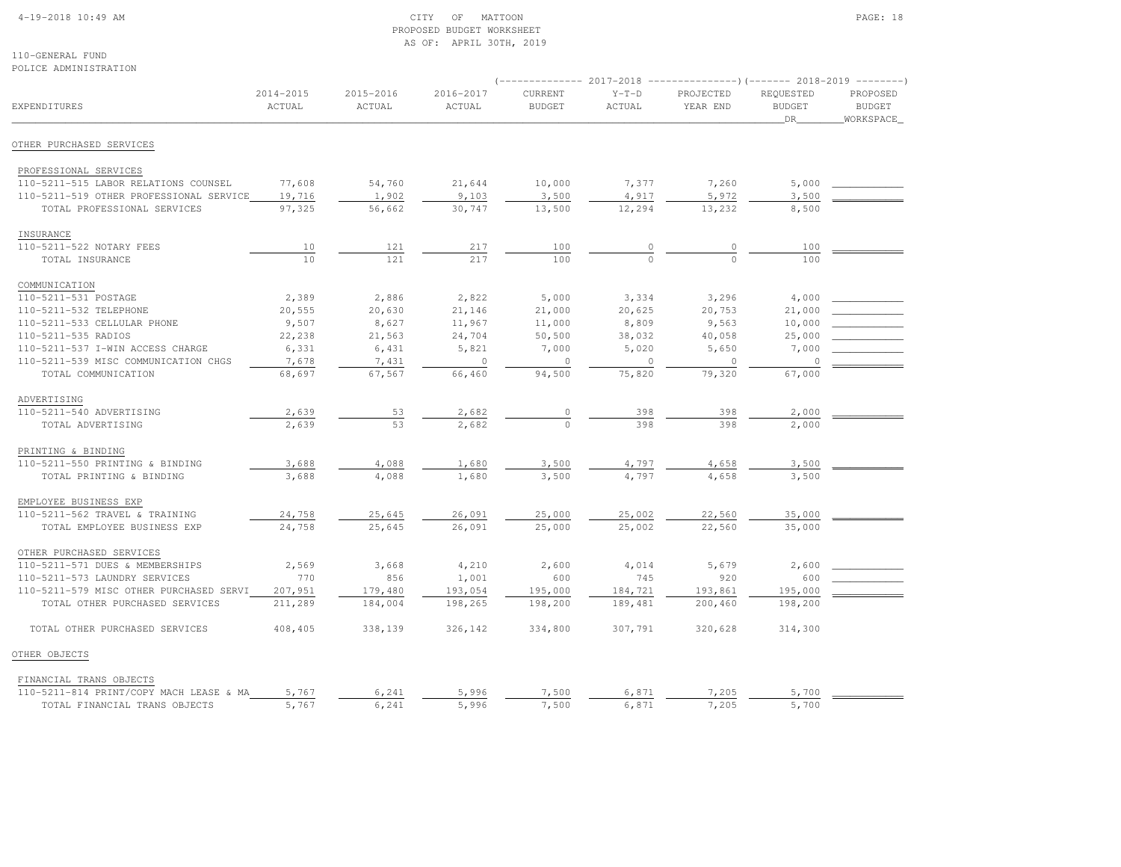### 4-19-2018 10:49 AM CITY OF MATTOON PAGE: 18 PROPOSED BUDGET WORKSHEETAS OF: APRIL 30TH, 2019

| POLICE ADMINISTRATION                   |                         |                     |                         |                          |                   | (-------------- 2017-2018 ----------------) (------- 2018-2019 -------- |                                  |                                        |
|-----------------------------------------|-------------------------|---------------------|-------------------------|--------------------------|-------------------|-------------------------------------------------------------------------|----------------------------------|----------------------------------------|
| EXPENDITURES                            | $2014 - 2015$<br>ACTUAL | 2015-2016<br>ACTUAL | $2016 - 2017$<br>ACTUAL | CURRENT<br><b>BUDGET</b> | $Y-T-D$<br>ACTUAL | PROJECTED<br>YEAR END                                                   | REQUESTED<br><b>BUDGET</b><br>DR | PROPOSED<br><b>BUDGET</b><br>WORKSPACE |
| OTHER PURCHASED SERVICES                |                         |                     |                         |                          |                   |                                                                         |                                  |                                        |
| PROFESSIONAL SERVICES                   |                         |                     |                         |                          |                   |                                                                         |                                  |                                        |
| 110-5211-515 LABOR RELATIONS COUNSEL    | 77,608                  | 54,760              | 21,644                  | 10,000                   | 7,377             | 7,260                                                                   | 5,000                            |                                        |
| 110-5211-519 OTHER PROFESSIONAL SERVICE | 19,716                  | 1,902               | 9,103                   | 3,500                    | 4,917             | 5,972                                                                   | 3,500                            |                                        |
| TOTAL PROFESSIONAL SERVICES             | 97,325                  | 56,662              | 30,747                  | 13,500                   | 12,294            | 13,232                                                                  | 8,500                            |                                        |
| INSURANCE                               |                         |                     |                         |                          |                   |                                                                         |                                  |                                        |
| 110-5211-522 NOTARY FEES                | 10                      | 121                 | 217                     | 100                      | $\mathbb O$       | $\mathbb O$                                                             | 100                              |                                        |
| TOTAL INSURANCE                         | 10                      | 121                 | 217                     | 100                      | $\theta$          | $\circ$                                                                 | 100                              |                                        |
| COMMUNICATION                           |                         |                     |                         |                          |                   |                                                                         |                                  |                                        |
| 110-5211-531 POSTAGE                    | 2,389                   | 2,886               | 2,822                   | 5,000                    | 3,334             | 3,296                                                                   | 4,000                            |                                        |
| 110-5211-532 TELEPHONE                  | 20,555                  | 20,630              | 21,146                  | 21,000                   | 20,625            | 20,753                                                                  | 21,000                           |                                        |
| 110-5211-533 CELLULAR PHONE             | 9,507                   | 8,627               | 11,967                  | 11,000                   | 8,809             | 9,563                                                                   | 10,000                           |                                        |
| 110-5211-535 RADIOS                     | 22,238                  | 21,563              | 24,704                  | 50,500                   | 38,032            | 40,058                                                                  | 25,000                           |                                        |
| 110-5211-537 I-WIN ACCESS CHARGE        | 6,331                   | 6,431               | 5,821                   | 7,000                    | 5,020             | 5,650                                                                   | 7,000                            |                                        |
| 110-5211-539 MISC COMMUNICATION CHGS    | 7,678                   | 7,431               | $\circ$                 | $\circ$                  | $\circ$           | $\circ$                                                                 | $\circ$                          |                                        |
| TOTAL COMMUNICATION                     | 68,697                  | 67,567              | 66,460                  | 94,500                   | 75,820            | 79,320                                                                  | 67,000                           |                                        |
| ADVERTISING                             |                         |                     |                         |                          |                   |                                                                         |                                  |                                        |
| 110-5211-540 ADVERTISING                | 2,639                   | 53                  | 2,682                   | $\circ$                  | 398               | 398                                                                     | 2,000                            |                                        |
| TOTAL ADVERTISING                       | 2,639                   | 53                  | 2,682                   | $\circ$                  | 398               | 398                                                                     | 2,000                            |                                        |
| PRINTING & BINDING                      |                         |                     |                         |                          |                   |                                                                         |                                  |                                        |
| 110-5211-550 PRINTING & BINDING         | 3,688                   | 4,088               | 1,680                   | 3,500                    | 4,797             | 4,658                                                                   | 3,500                            |                                        |
| TOTAL PRINTING & BINDING                | 3,688                   | 4,088               | 1,680                   | 3,500                    | 4,797             | 4,658                                                                   | 3,500                            |                                        |
| EMPLOYEE BUSINESS EXP                   |                         |                     |                         |                          |                   |                                                                         |                                  |                                        |
| 110-5211-562 TRAVEL & TRAINING          | 24,758                  | 25,645              | 26,091                  | 25,000                   | 25,002            | 22,560                                                                  | 35,000                           |                                        |
| TOTAL EMPLOYEE BUSINESS EXP             | 24,758                  | 25,645              | 26,091                  | 25,000                   | 25,002            | 22,560                                                                  | 35,000                           |                                        |
| OTHER PURCHASED SERVICES                |                         |                     |                         |                          |                   |                                                                         |                                  |                                        |
| 110-5211-571 DUES & MEMBERSHIPS         | 2,569                   | 3,668               | 4,210                   | 2,600                    | 4,014             | 5,679                                                                   | 2,600                            |                                        |
| 110-5211-573 LAUNDRY SERVICES           | 770                     | 856                 | 1,001                   | 600                      | 745               | 920                                                                     | 600                              |                                        |
| 110-5211-579 MISC OTHER PURCHASED SERVI | 207,951                 | 179,480             | 193,054                 | 195,000                  | 184,721           | 193,861                                                                 | 195,000                          |                                        |
| TOTAL OTHER PURCHASED SERVICES          | 211,289                 | 184,004             | 198,265                 | 198,200                  | 189,481           | 200,460                                                                 | 198,200                          |                                        |
| TOTAL OTHER PURCHASED SERVICES          | 408,405                 | 338,139             | 326,142                 | 334,800                  | 307,791           | 320,628                                                                 | 314,300                          |                                        |
| OTHER OBJECTS                           |                         |                     |                         |                          |                   |                                                                         |                                  |                                        |
| FINANCIAL TRANS OBJECTS                 |                         |                     |                         |                          |                   |                                                                         |                                  |                                        |
| 110-5211-814 PRINT/COPY MACH LEASE & MA | 5,767                   | 6,241               | 5,996                   | 7,500                    | 6,871             | 7,205                                                                   | 5,700                            |                                        |
| TOTAL FINANCIAL TRANS OBJECTS           | 5,767                   | 6,241               | 5,996                   | 7,500                    | 6,871             | 7,205                                                                   | 5,700                            |                                        |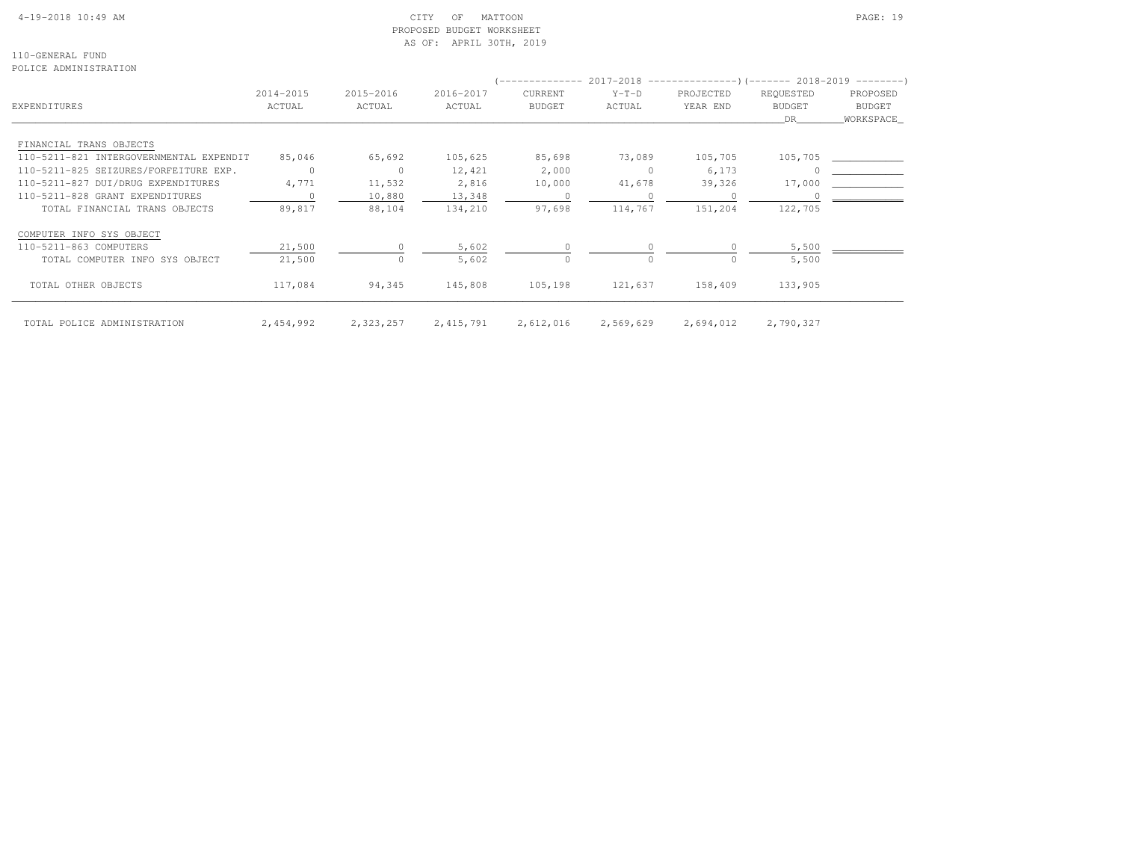# 4-19-2018 10:49 AM CITY OF MATTOON PAGE: 19 PROPOSED BUDGET WORKSHEETAS OF: APRIL 30TH, 2019

110-GENERAL FUNDPOLICE ADMINISTRATION

|                                         | 2014-2015 | 2015-2016    | 2016-2017   | <b>CURRENT</b> | $Y-T-D$   | PROJECTED | REQUESTED     | PROPOSED      |
|-----------------------------------------|-----------|--------------|-------------|----------------|-----------|-----------|---------------|---------------|
| EXPENDITURES                            | ACTUAL    | ACTUAL       | ACTUAL      | <b>BUDGET</b>  | ACTUAL    | YEAR END  | <b>BUDGET</b> | <b>BUDGET</b> |
|                                         |           |              |             |                |           |           | DR            | WORKSPACE_    |
|                                         |           |              |             |                |           |           |               |               |
| FINANCIAL TRANS OBJECTS                 |           |              |             |                |           |           |               |               |
| 110-5211-821 INTERGOVERNMENTAL EXPENDIT | 85,046    | 65,692       | 105,625     | 85,698         | 73,089    | 105,705   | 105,705       |               |
| 110-5211-825 SEIZURES/FORFEITURE EXP.   | $\Omega$  | $\mathbf{0}$ | 12,421      | 2,000          | $\Omega$  | 6,173     |               |               |
| 110-5211-827 DUI/DRUG EXPENDITURES      | 4,771     | 11,532       | 2,816       | 10,000         | 41,678    | 39,326    | 17,000        |               |
| 110-5211-828 GRANT EXPENDITURES         |           | 10,880       | 13,348      | $\circ$        |           | $\Omega$  |               |               |
| TOTAL FINANCIAL TRANS OBJECTS           | 89,817    | 88,104       | 134,210     | 97,698         | 114,767   | 151,204   | 122,705       |               |
| COMPUTER INFO SYS OBJECT                |           |              |             |                |           |           |               |               |
| 110-5211-863 COMPUTERS                  | 21,500    |              | 5,602       | $\circ$        |           |           | 5,500         |               |
| TOTAL COMPUTER INFO SYS OBJECT          | 21,500    | $\Omega$     | 5,602       | $\Omega$       | $\Omega$  |           | 5,500         |               |
| TOTAL OTHER OBJECTS                     | 117,084   | 94,345       | 145,808     | 105,198        | 121,637   | 158,409   | 133,905       |               |
| TOTAL POLICE ADMINISTRATION             | 2,454,992 | 2,323,257    | 2, 415, 791 | 2,612,016      | 2,569,629 | 2,694,012 | 2,790,327     |               |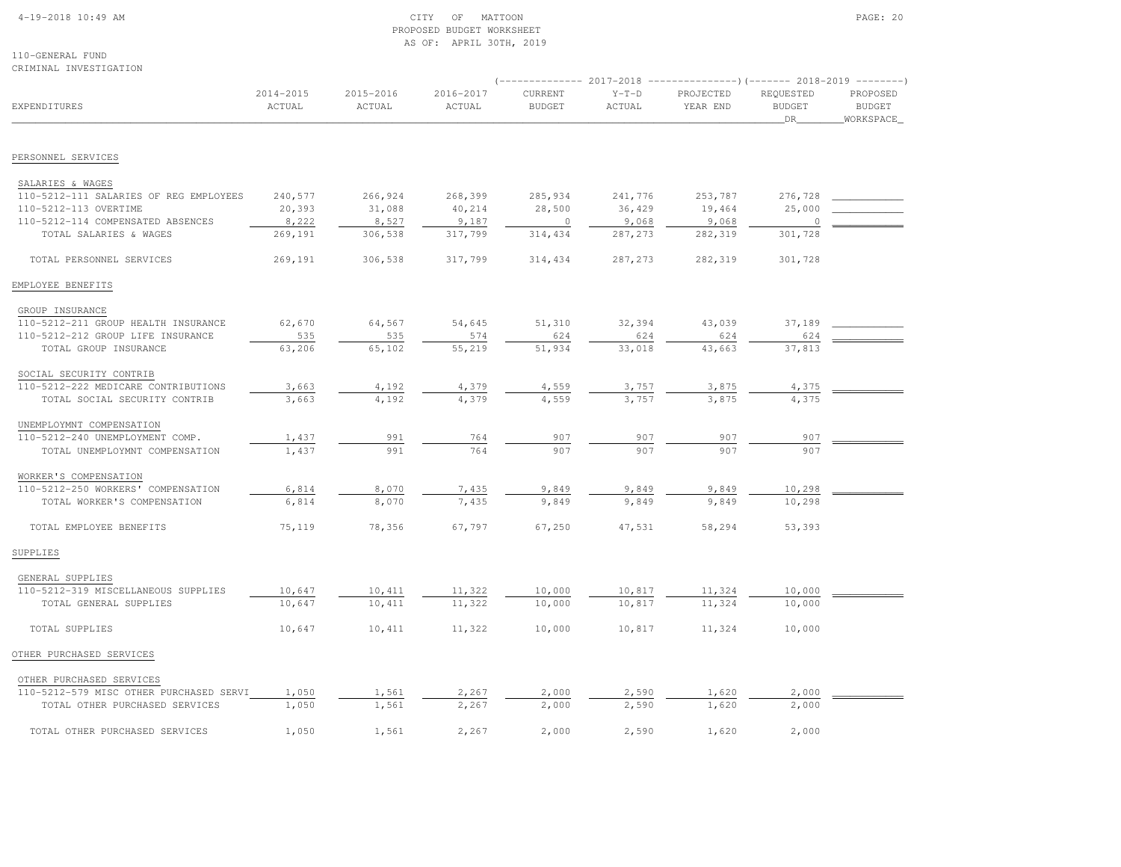### 4-19-2018 10:49 AM CITY OF MATTOON PAGE: 20 PROPOSED BUDGET WORKSHEETAS OF: APRIL 30TH, 2019

110-GENERAL FUNDCRIMINAL INVESTIGATION

|                                         |                     |                     |                     |                          |                   | (-------------- 2017-2018 ----------------) (------- 2018-2019 --------) |                                  |                                         |
|-----------------------------------------|---------------------|---------------------|---------------------|--------------------------|-------------------|--------------------------------------------------------------------------|----------------------------------|-----------------------------------------|
| EXPENDITURES                            | 2014-2015<br>ACTUAL | 2015-2016<br>ACTUAL | 2016-2017<br>ACTUAL | CURRENT<br><b>BUDGET</b> | $Y-T-D$<br>ACTUAL | PROJECTED<br>YEAR END                                                    | REQUESTED<br><b>BUDGET</b><br>DR | PROPOSED<br><b>BUDGET</b><br>WORKSPACE_ |
|                                         |                     |                     |                     |                          |                   |                                                                          |                                  |                                         |
| PERSONNEL SERVICES                      |                     |                     |                     |                          |                   |                                                                          |                                  |                                         |
| SALARIES & WAGES                        |                     |                     |                     |                          |                   |                                                                          |                                  |                                         |
| 110-5212-111 SALARIES OF REG EMPLOYEES  | 240,577             | 266,924             | 268,399             | 285,934                  | 241,776           | 253,787                                                                  | 276,728                          |                                         |
| 110-5212-113 OVERTIME                   | 20,393              | 31,088              | 40,214              | 28,500                   | 36,429            | 19,464                                                                   | 25,000                           |                                         |
| 110-5212-114 COMPENSATED ABSENCES       | 8,222               | 8,527               | 9,187               | $\circ$                  | 9,068             | 9,068                                                                    | $\circ$                          |                                         |
| TOTAL SALARIES & WAGES                  | 269,191             | 306,538             | 317,799             | 314,434                  | 287,273           | 282,319                                                                  | 301,728                          |                                         |
| TOTAL PERSONNEL SERVICES                | 269,191             | 306,538             | 317,799             | 314,434                  | 287, 273          | 282,319                                                                  | 301,728                          |                                         |
| EMPLOYEE BENEFITS                       |                     |                     |                     |                          |                   |                                                                          |                                  |                                         |
| GROUP INSURANCE                         |                     |                     |                     |                          |                   |                                                                          |                                  |                                         |
| 110-5212-211 GROUP HEALTH INSURANCE     | 62,670              | 64,567              | 54,645              | 51,310                   | 32,394            | 43,039                                                                   | 37,189                           |                                         |
| 110-5212-212 GROUP LIFE INSURANCE       | 535                 | 535                 | 574                 | 624                      | 624               | 624                                                                      | 624                              |                                         |
| TOTAL GROUP INSURANCE                   | 63,206              | 65,102              | 55,219              | 51,934                   | 33,018            | 43,663                                                                   | 37,813                           |                                         |
| SOCIAL SECURITY CONTRIB                 |                     |                     |                     |                          |                   |                                                                          |                                  |                                         |
| 110-5212-222 MEDICARE CONTRIBUTIONS     | 3,663               | 4,192               | 4,379               | 4,559                    | 3,757             | 3,875                                                                    | 4,375                            |                                         |
| TOTAL SOCIAL SECURITY CONTRIB           | 3,663               | 4,192               | 4,379               | 4,559                    | 3.757             | 3.875                                                                    | 4.375                            |                                         |
| UNEMPLOYMNT COMPENSATION                |                     |                     |                     |                          |                   |                                                                          |                                  |                                         |
| 110-5212-240 UNEMPLOYMENT COMP.         | 1,437               | 991                 | 764                 | 907                      | 907               | 907                                                                      | 907                              |                                         |
| TOTAL UNEMPLOYMNT COMPENSATION          | 1,437               | 991                 | 764                 | 907                      | 907               | 907                                                                      | 907                              |                                         |
| WORKER'S COMPENSATION                   |                     |                     |                     |                          |                   |                                                                          |                                  |                                         |
| 110-5212-250 WORKERS' COMPENSATION      | 6,814               | 8,070               | 7,435               | 9,849                    | 9,849             | 9,849                                                                    | 10,298                           |                                         |
| TOTAL WORKER'S COMPENSATION             | 6,814               | 8,070               | 7,435               | 9,849                    | 9,849             | 9,849                                                                    | 10,298                           |                                         |
| TOTAL EMPLOYEE BENEFITS                 | 75,119              | 78,356              | 67,797              | 67,250                   | 47,531            | 58,294                                                                   | 53,393                           |                                         |
| SUPPLIES                                |                     |                     |                     |                          |                   |                                                                          |                                  |                                         |
| GENERAL SUPPLIES                        |                     |                     |                     |                          |                   |                                                                          |                                  |                                         |
| 110-5212-319 MISCELLANEOUS SUPPLIES     | 10,647              | 10,411              | 11,322              | 10,000                   | 10,817            | 11,324                                                                   | 10,000                           |                                         |
| TOTAL GENERAL SUPPLIES                  | 10,647              | 10,411              | 11,322              | 10,000                   | 10,817            | 11,324                                                                   | 10,000                           |                                         |
| TOTAL SUPPLIES                          | 10,647              | 10,411              | 11,322              | 10,000                   | 10,817            | 11,324                                                                   | 10,000                           |                                         |
| OTHER PURCHASED SERVICES                |                     |                     |                     |                          |                   |                                                                          |                                  |                                         |
| OTHER PURCHASED SERVICES                |                     |                     |                     |                          |                   |                                                                          |                                  |                                         |
| 110-5212-579 MISC OTHER PURCHASED SERVI | 1,050               | 1,561               | 2,267               | 2,000                    | 2,590             | 1,620                                                                    | 2,000                            |                                         |
| TOTAL OTHER PURCHASED SERVICES          | 1,050               | 1,561               | 2,267               | 2,000                    | 2,590             | 1,620                                                                    | 2,000                            |                                         |
| TOTAL OTHER PURCHASED SERVICES          | 1,050               | 1,561               | 2,267               | 2,000                    | 2,590             | 1,620                                                                    | 2,000                            |                                         |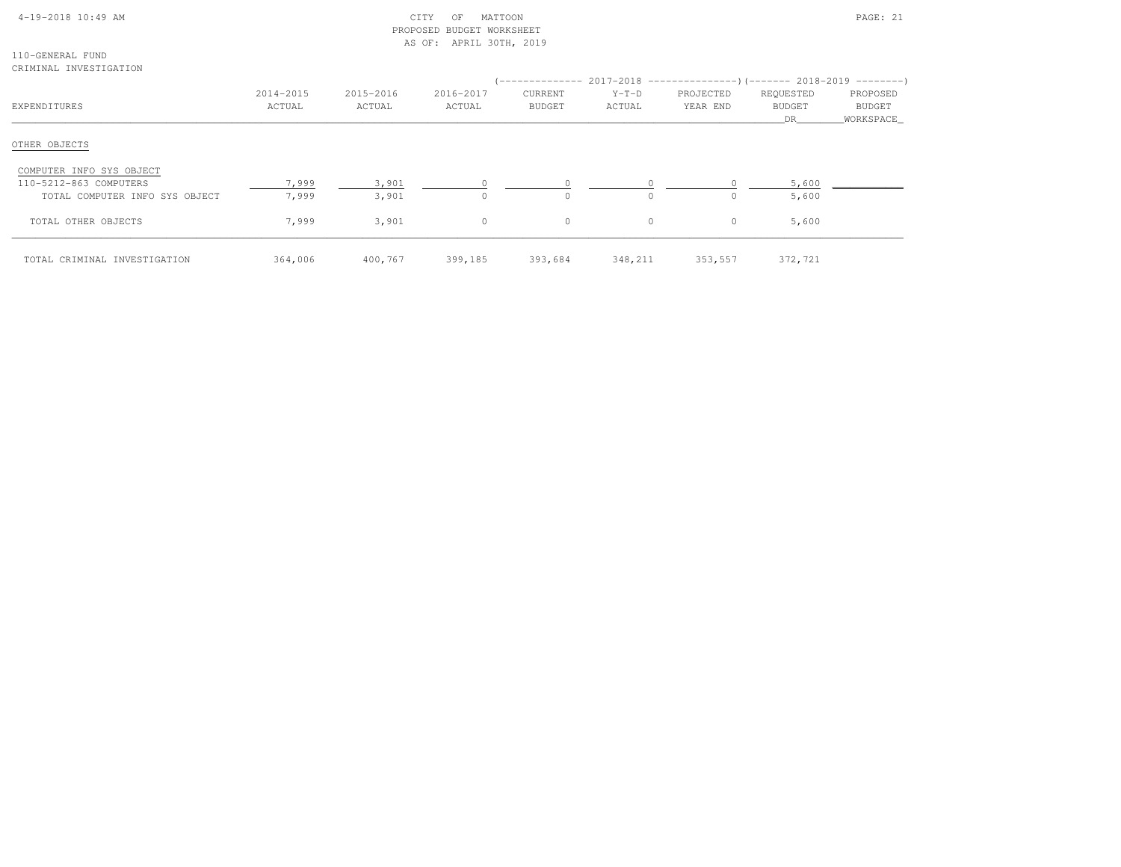|  | $4-19-2018$ 10:49 AM |  |
|--|----------------------|--|

# $\text{CITY}$  OF MATTOON **PAGE: 21**  PROPOSED BUDGET WORKSHEETAS OF: APRIL 30TH, 2019

110-GENERAL FUNDCRIMINAL INVESTIGATION

|                                |                     |                     |                     |                                 |                   | (-------------- 2017-2018 ----------------) (------- 2018-2019 ---------) |                                   |                                        |
|--------------------------------|---------------------|---------------------|---------------------|---------------------------------|-------------------|---------------------------------------------------------------------------|-----------------------------------|----------------------------------------|
| EXPENDITURES                   | 2014-2015<br>ACTUAL | 2015-2016<br>ACTUAL | 2016-2017<br>ACTUAL | <b>CURRENT</b><br><b>BUDGET</b> | $Y-T-D$<br>ACTUAL | PROJECTED<br>YEAR END                                                     | REQUESTED<br><b>BUDGET</b><br>DR. | PROPOSED<br><b>BUDGET</b><br>WORKSPACE |
| OTHER OBJECTS                  |                     |                     |                     |                                 |                   |                                                                           |                                   |                                        |
| COMPUTER INFO SYS OBJECT       |                     |                     |                     |                                 |                   |                                                                           |                                   |                                        |
| 110-5212-863 COMPUTERS         | 7,999               | 3,901               |                     | $\Omega$                        |                   |                                                                           | 5,600                             |                                        |
| TOTAL COMPUTER INFO SYS OBJECT | 7,999               | 3,901               | $\Omega$            | $\circ$                         | $\Omega$          |                                                                           | 5,600                             |                                        |
| TOTAL OTHER OBJECTS            | 7,999               | 3,901               | $\circ$             | $\circ$                         | $\circ$           | 0                                                                         | 5,600                             |                                        |
| TOTAL CRIMINAL INVESTIGATION   | 364,006             | 400,767             | 399,185             | 393,684                         | 348,211           | 353,557                                                                   | 372,721                           |                                        |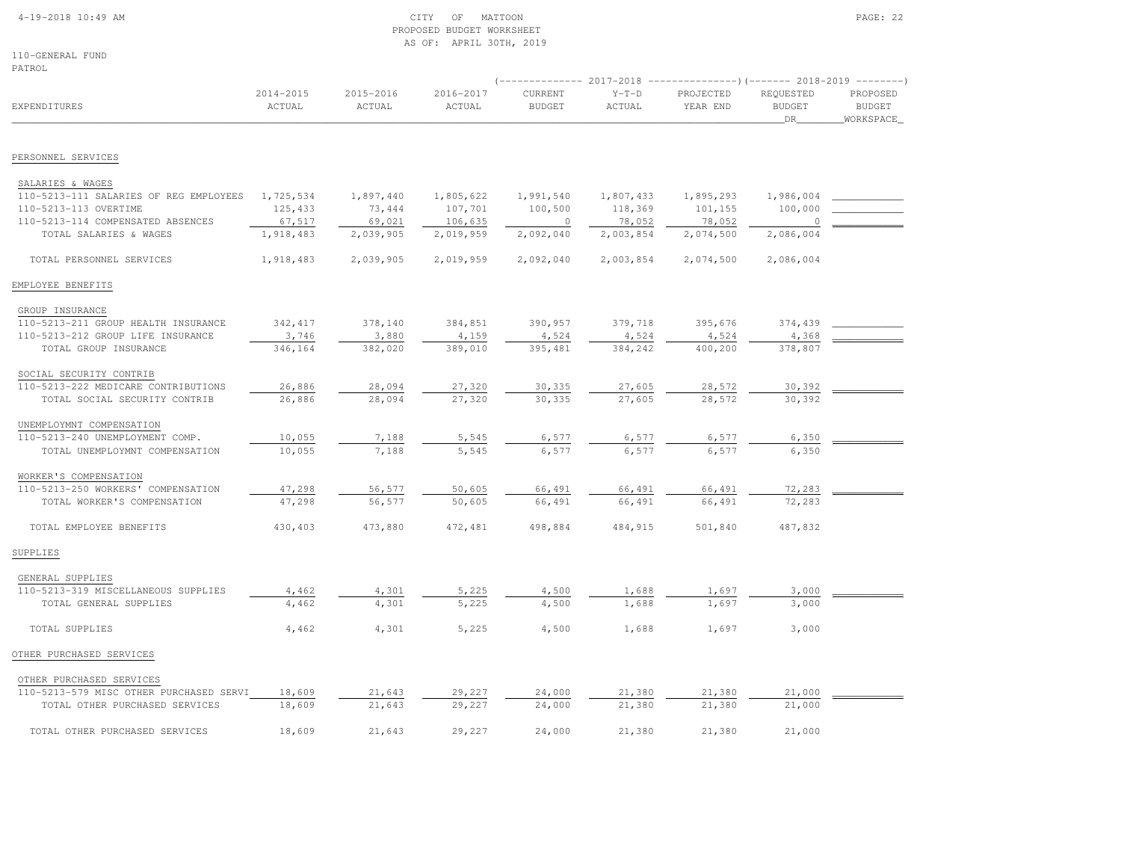#### 4-19-2018 10:49 AM CITY OF MATTOON PAGE: 22 PROPOSED BUDGET WORKSHEETAS OF: APRIL 30TH, 2019

110-GENERAL FUNDPATROL

|                                         |                     |                     |                     |                          |                   | (-------------- 2017-2018 ----------------)(------- 2018-2019 --------) |                                  |                                        |
|-----------------------------------------|---------------------|---------------------|---------------------|--------------------------|-------------------|-------------------------------------------------------------------------|----------------------------------|----------------------------------------|
| <b>EXPENDITURES</b>                     | 2014-2015<br>ACTUAL | 2015-2016<br>ACTUAL | 2016-2017<br>ACTUAL | CURRENT<br><b>BUDGET</b> | $Y-T-D$<br>ACTUAL | PROJECTED<br>YEAR END                                                   | REQUESTED<br><b>BUDGET</b><br>DR | PROPOSED<br><b>BUDGET</b><br>WORKSPACE |
| PERSONNEL SERVICES                      |                     |                     |                     |                          |                   |                                                                         |                                  |                                        |
|                                         |                     |                     |                     |                          |                   |                                                                         |                                  |                                        |
| SALARIES & WAGES                        |                     |                     |                     |                          |                   |                                                                         |                                  |                                        |
| 110-5213-111 SALARIES OF REG EMPLOYEES  | 1,725,534           | 1,897,440           | 1,805,622           | 1,991,540                | 1,807,433         | 1,895,293                                                               | 1,986,004                        |                                        |
| 110-5213-113 OVERTIME                   | 125,433             | 73,444              | 107,701             | 100,500                  | 118,369           | 101,155                                                                 | 100,000                          |                                        |
| 110-5213-114 COMPENSATED ABSENCES       | 67,517              | 69,021              | 106,635             | $\circ$                  | 78,052            | 78,052                                                                  | 0                                |                                        |
| TOTAL SALARIES & WAGES                  | 1,918,483           | 2,039,905           | 2,019,959           | 2,092,040                | 2,003,854         | 2,074,500                                                               | 2,086,004                        |                                        |
| TOTAL PERSONNEL SERVICES                | 1,918,483           | 2,039,905           | 2,019,959           | 2,092,040                | 2,003,854         | 2,074,500                                                               | 2,086,004                        |                                        |
| EMPLOYEE BENEFITS                       |                     |                     |                     |                          |                   |                                                                         |                                  |                                        |
| GROUP INSURANCE                         |                     |                     |                     |                          |                   |                                                                         |                                  |                                        |
| 110-5213-211 GROUP HEALTH INSURANCE     | 342,417             | 378,140             | 384,851             | 390,957                  | 379,718           | 395,676                                                                 | 374,439                          |                                        |
| 110-5213-212 GROUP LIFE INSURANCE       | 3,746               | 3,880               | 4,159               | 4,524                    | 4,524             | 4,524                                                                   | 4,368                            |                                        |
| TOTAL GROUP INSURANCE                   | 346,164             | 382,020             | 389,010             | 395,481                  | 384,242           | 400,200                                                                 | 378,807                          |                                        |
| SOCIAL SECURITY CONTRIB                 |                     |                     |                     |                          |                   |                                                                         |                                  |                                        |
| 110-5213-222 MEDICARE CONTRIBUTIONS     | 26,886              | 28,094              | 27,320              | 30,335                   | 27,605            | 28,572                                                                  | 30,392                           |                                        |
| TOTAL SOCIAL SECURITY CONTRIB           | 26,886              | 28,094              | 27,320              | 30,335                   | 27,605            | 28,572                                                                  | 30,392                           |                                        |
| UNEMPLOYMNT COMPENSATION                |                     |                     |                     |                          |                   |                                                                         |                                  |                                        |
| 110-5213-240 UNEMPLOYMENT COMP.         | 10,055              | 7,188               | 5,545               | 6,577                    | 6,577             | 6,577                                                                   | 6,350                            |                                        |
| TOTAL UNEMPLOYMNT COMPENSATION          | 10,055              | 7,188               | 5,545               | 6,577                    | 6,577             | 6,577                                                                   | 6,350                            |                                        |
| WORKER'S COMPENSATION                   |                     |                     |                     |                          |                   |                                                                         |                                  |                                        |
| 110-5213-250 WORKERS' COMPENSATION      | 47,298              | 56,577              | 50,605              | 66,491                   | 66,491            | 66,491                                                                  | 72,283                           |                                        |
| TOTAL WORKER'S COMPENSATION             | 47,298              | 56,577              | 50,605              | 66,491                   | 66,491            | 66,491                                                                  | 72,283                           |                                        |
| TOTAL EMPLOYEE BENEFITS                 | 430,403             | 473,880             | 472,481             | 498,884                  | 484,915           | 501,840                                                                 | 487,832                          |                                        |
| SUPPLIES                                |                     |                     |                     |                          |                   |                                                                         |                                  |                                        |
| GENERAL SUPPLIES                        |                     |                     |                     |                          |                   |                                                                         |                                  |                                        |
| 110-5213-319 MISCELLANEOUS SUPPLIES     | 4,462               | 4,301               | 5,225               | 4,500                    | 1,688             | 1,697                                                                   | 3,000                            |                                        |
| TOTAL GENERAL SUPPLIES                  | 4,462               | 4,301               | 5,225               | 4,500                    | 1,688             | 1,697                                                                   | 3,000                            |                                        |
| TOTAL SUPPLIES                          | 4,462               | 4,301               | 5,225               | 4,500                    | 1,688             | 1,697                                                                   | 3,000                            |                                        |
| OTHER PURCHASED SERVICES                |                     |                     |                     |                          |                   |                                                                         |                                  |                                        |
| OTHER PURCHASED SERVICES                |                     |                     |                     |                          |                   |                                                                         |                                  |                                        |
| 110-5213-579 MISC OTHER PURCHASED SERVI | 18,609              | 21,643              | 29,227              | 24,000                   | 21,380            | 21,380                                                                  | 21,000                           |                                        |
| TOTAL OTHER PURCHASED SERVICES          | 18,609              | 21,643              | 29,227              | 24,000                   | 21,380            | 21,380                                                                  | 21,000                           |                                        |
| TOTAL OTHER PURCHASED SERVICES          | 18,609              | 21,643              | 29,227              | 24,000                   | 21,380            | 21,380                                                                  | 21,000                           |                                        |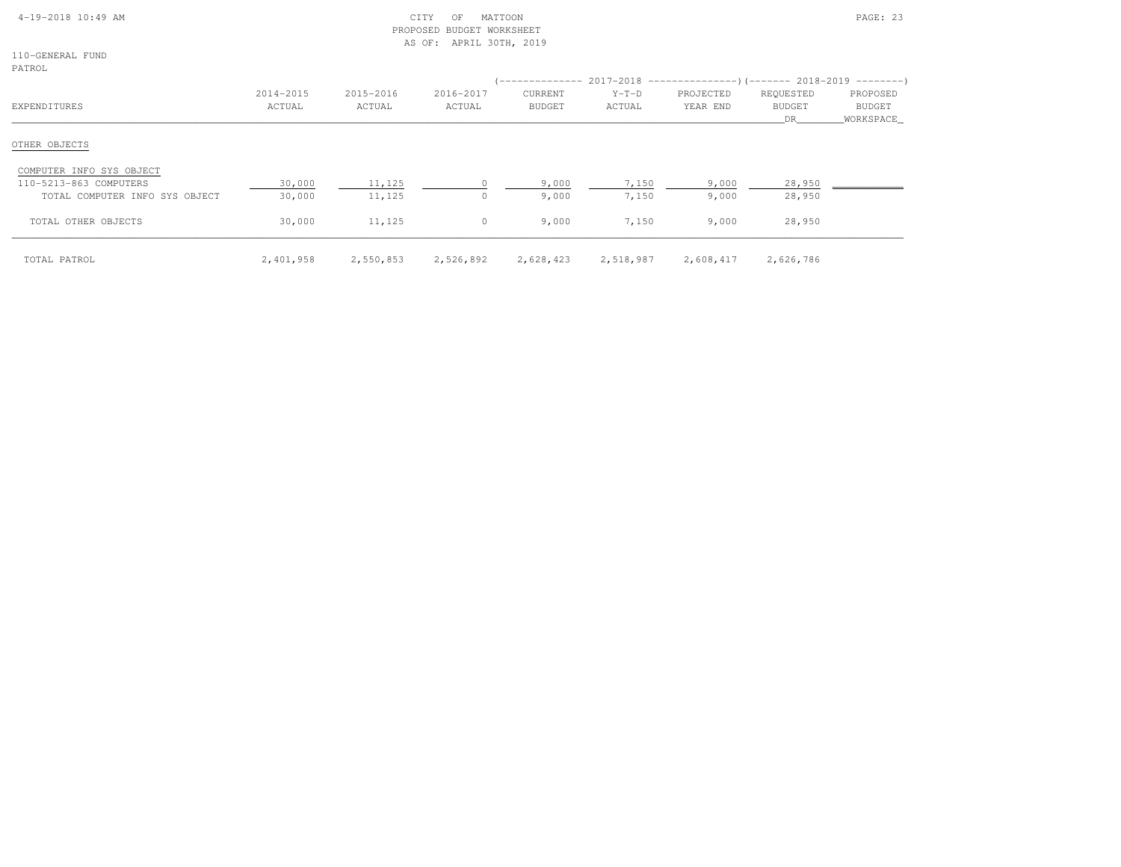| $4-19-2018$ 10:49 AM |  |  |
|----------------------|--|--|

# $\begin{array}{ccc} \text{CITY} & \text{OF} & \text{MATION} \end{array}$  PROPOSED BUDGET WORKSHEETAS OF: APRIL 30TH, 2019

110-GENERAL FUNDPATROL

| FAINVH                         |                     |                     |                     |                          |                   | (-------------- 2017-2018 -----------------) (------- 2018-2019 ---------) |                                  |                                        |
|--------------------------------|---------------------|---------------------|---------------------|--------------------------|-------------------|----------------------------------------------------------------------------|----------------------------------|----------------------------------------|
| EXPENDITURES                   | 2014-2015<br>ACTUAL | 2015-2016<br>ACTUAL | 2016-2017<br>ACTUAL | CURRENT<br><b>BUDGET</b> | $Y-T-D$<br>ACTUAL | PROJECTED<br>YEAR END                                                      | REQUESTED<br><b>BUDGET</b><br>DR | PROPOSED<br><b>BUDGET</b><br>WORKSPACE |
| OTHER OBJECTS                  |                     |                     |                     |                          |                   |                                                                            |                                  |                                        |
| COMPUTER INFO SYS OBJECT       |                     |                     |                     |                          |                   |                                                                            |                                  |                                        |
| 110-5213-863 COMPUTERS         | 30,000              | 11,125              |                     | 9,000                    | 7,150             | 9,000                                                                      | 28,950                           |                                        |
| TOTAL COMPUTER INFO SYS OBJECT | 30,000              | 11,125              | $\Omega$            | 9,000                    | 7,150             | 9,000                                                                      | 28,950                           |                                        |
| TOTAL OTHER OBJECTS            | 30,000              | 11,125              | $\circ$             | 9,000                    | 7,150             | 9,000                                                                      | 28,950                           |                                        |
| TOTAL PATROL                   | 2,401,958           | 2,550,853           | 2,526,892           | 2,628,423                | 2,518,987         | 2,608,417                                                                  | 2,626,786                        |                                        |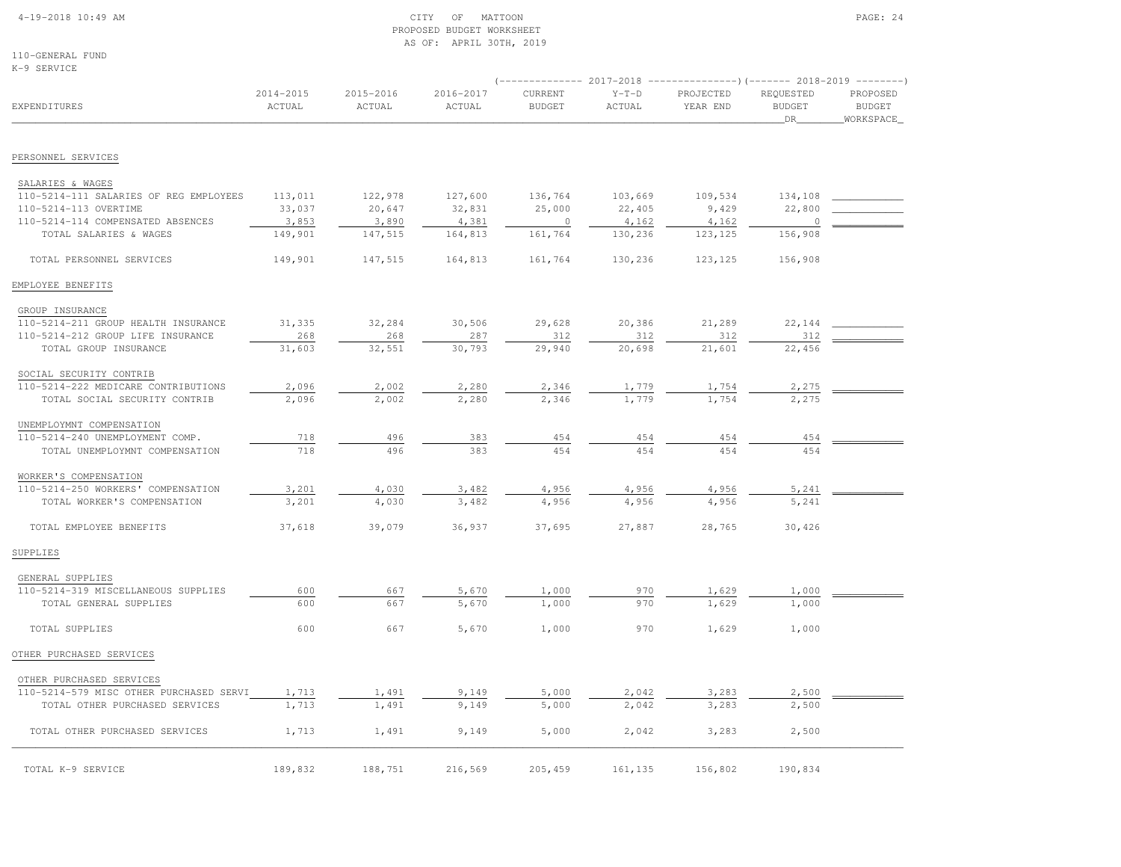# 4-19-2018 10:49 AM CITY OF MATTOON PAGE: 24 PROPOSED BUDGET WORKSHEETAS OF: APRIL 30TH, 2019

110-GENERAL FUNDK-9 SERVICE

| <b>EXPENDITURES</b>                     |                     |                     |                     |                          |                   | $(-$ ------------- 2017-2018 -----------------) (------- 2018-2019 ---------) |                                  |                                        |
|-----------------------------------------|---------------------|---------------------|---------------------|--------------------------|-------------------|-------------------------------------------------------------------------------|----------------------------------|----------------------------------------|
|                                         | 2014-2015<br>ACTUAL | 2015-2016<br>ACTUAL | 2016-2017<br>ACTUAL | CURRENT<br><b>BUDGET</b> | $Y-T-D$<br>ACTUAL | PROJECTED<br>YEAR END                                                         | REQUESTED<br><b>BUDGET</b><br>DR | PROPOSED<br><b>BUDGET</b><br>WORKSPACE |
| PERSONNEL SERVICES                      |                     |                     |                     |                          |                   |                                                                               |                                  |                                        |
| SALARIES & WAGES                        |                     |                     |                     |                          |                   |                                                                               |                                  |                                        |
| 110-5214-111 SALARIES OF REG EMPLOYEES  | 113,011             | 122,978             | 127,600             | 136,764                  | 103,669           | 109,534                                                                       | 134,108                          |                                        |
| 110-5214-113 OVERTIME                   | 33,037              | 20,647              | 32,831              | 25,000                   | 22,405            | 9,429                                                                         | 22,800                           |                                        |
| 110-5214-114 COMPENSATED ABSENCES       | 3,853               | 3,890               | 4,381               | $\overline{0}$           | 4,162             | 4,162                                                                         | $\circ$                          |                                        |
| TOTAL SALARIES & WAGES                  | 149,901             | 147,515             | 164,813             | 161,764                  | 130,236           | 123, 125                                                                      | 156,908                          |                                        |
| TOTAL PERSONNEL SERVICES                | 149,901             | 147,515             | 164,813             | 161,764                  | 130,236           | 123, 125                                                                      | 156,908                          |                                        |
| EMPLOYEE BENEFITS                       |                     |                     |                     |                          |                   |                                                                               |                                  |                                        |
| GROUP INSURANCE                         |                     |                     |                     |                          |                   |                                                                               |                                  |                                        |
| 110-5214-211 GROUP HEALTH INSURANCE     | 31,335              | 32,284              | 30,506              | 29,628                   | 20,386            | 21,289                                                                        | 22,144                           |                                        |
| 110-5214-212 GROUP LIFE INSURANCE       | 268                 | 268                 | 287                 | 312                      | 312               | 312                                                                           | 312                              |                                        |
| TOTAL GROUP INSURANCE                   | 31,603              | 32,551              | 30,793              | 29,940                   | 20,698            | 21,601                                                                        | 22,456                           |                                        |
| SOCIAL SECURITY CONTRIB                 |                     |                     |                     |                          |                   |                                                                               |                                  |                                        |
| 110-5214-222 MEDICARE CONTRIBUTIONS     | 2,096               | 2,002               | 2,280               | 2,346                    | 1,779             | 1,754                                                                         | 2,275                            |                                        |
| TOTAL SOCIAL SECURITY CONTRIB           | 2,096               | 2,002               | 2,280               | 2,346                    | 1,779             | 1,754                                                                         | 2,275                            |                                        |
| UNEMPLOYMNT COMPENSATION                |                     |                     |                     |                          |                   |                                                                               |                                  |                                        |
| 110-5214-240 UNEMPLOYMENT COMP.         | 718                 | 496                 | 383                 | 454                      | 454               | 454                                                                           | 454                              |                                        |
| TOTAL UNEMPLOYMNT COMPENSATION          | 718                 | 496                 | 383                 | 454                      | 454               | 454                                                                           | 454                              |                                        |
| WORKER'S COMPENSATION                   |                     |                     |                     |                          |                   |                                                                               |                                  |                                        |
| 110-5214-250 WORKERS' COMPENSATION      | 3,201               | 4,030               | 3,482               | 4,956                    | 4,956             | 4,956                                                                         | 5,241                            |                                        |
| TOTAL WORKER'S COMPENSATION             | 3,201               | 4,030               | 3,482               | 4,956                    | 4,956             | 4,956                                                                         | 5,241                            |                                        |
| TOTAL EMPLOYEE BENEFITS                 | 37,618              | 39,079              | 36,937              | 37,695                   | 27,887            | 28,765                                                                        | 30,426                           |                                        |
| SUPPLIES                                |                     |                     |                     |                          |                   |                                                                               |                                  |                                        |
| GENERAL SUPPLIES                        |                     |                     |                     |                          |                   |                                                                               |                                  |                                        |
| 110-5214-319 MISCELLANEOUS SUPPLIES     | 600                 | 667                 | 5,670               | 1,000                    | 970               | 1,629                                                                         | 1,000                            |                                        |
| TOTAL GENERAL SUPPLIES                  | 600                 | 667                 | 5,670               | 1,000                    | 970               | 1,629                                                                         | 1,000                            |                                        |
| TOTAL SUPPLIES                          | 600                 | 667                 | 5,670               | 1,000                    | 970               | 1,629                                                                         | 1,000                            |                                        |
| OTHER PURCHASED SERVICES                |                     |                     |                     |                          |                   |                                                                               |                                  |                                        |
| OTHER PURCHASED SERVICES                |                     |                     |                     |                          |                   |                                                                               |                                  |                                        |
| 110-5214-579 MISC OTHER PURCHASED SERVI | 1,713               | 1,491               | 9,149               | 5,000                    | 2,042             | 3,283                                                                         | 2,500                            |                                        |
| TOTAL OTHER PURCHASED SERVICES          | 1,713               | 1,491               | 9,149               | 5,000                    | 2,042             | 3,283                                                                         | 2,500                            |                                        |
| TOTAL OTHER PURCHASED SERVICES          | 1,713               | 1,491               | 9,149               | 5,000                    | 2,042             | 3,283                                                                         | 2,500                            |                                        |
| TOTAL K-9 SERVICE                       | 189,832             | 188,751             | 216,569             | 205,459                  | 161,135           | 156,802                                                                       | 190,834                          |                                        |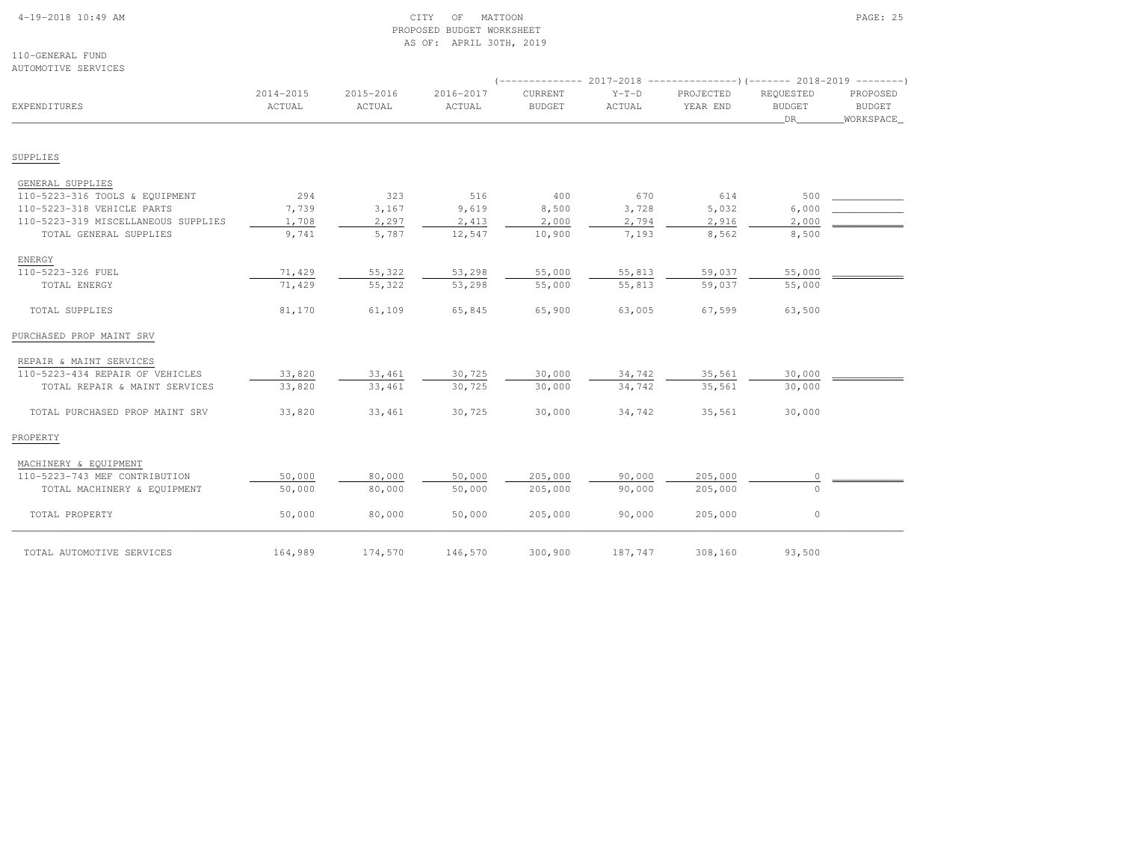# 4-19-2018 10:49 AM CITY OF MATTOON PAGE: 25 PROPOSED BUDGET WORKSHEETAS OF: APRIL 30TH, 2019

110-GENERAL FUNDAUTOMOTIVE SERVICES

| EXPENDITURES                        | 2014-2015<br>ACTUAL | 2015-2016<br>ACTUAL | 2016-2017<br>ACTUAL | CURRENT<br><b>BUDGET</b> | $Y-T-D$<br>ACTUAL | PROJECTED<br>YEAR END | REOUESTED<br><b>BUDGET</b><br>DR | PROPOSED<br>BUDGET<br>WORKSPACE |
|-------------------------------------|---------------------|---------------------|---------------------|--------------------------|-------------------|-----------------------|----------------------------------|---------------------------------|
| SUPPLIES                            |                     |                     |                     |                          |                   |                       |                                  |                                 |
| GENERAL SUPPLIES                    |                     |                     |                     |                          |                   |                       |                                  |                                 |
| 110-5223-316 TOOLS & EQUIPMENT      | 294                 | 323                 | 516                 | 400                      | 670               | 614                   | 500                              |                                 |
| 110-5223-318 VEHICLE PARTS          | 7,739               | 3,167               | 9,619               | 8,500                    | 3,728             | 5,032                 | 6,000                            |                                 |
| 110-5223-319 MISCELLANEOUS SUPPLIES | 1,708               | 2,297               | 2,413               | 2,000                    | 2,794             | 2,916                 | 2,000                            |                                 |
| TOTAL GENERAL SUPPLIES              | 9,741               | 5,787               | 12,547              | 10,900                   | 7,193             | 8,562                 | 8,500                            |                                 |
| ENERGY                              |                     |                     |                     |                          |                   |                       |                                  |                                 |
| 110-5223-326 FUEL                   | 71,429              | 55,322              | 53,298              | 55,000                   | 55,813            | 59,037                | 55,000                           |                                 |
| TOTAL ENERGY                        | 71,429              | 55,322              | 53,298              | 55,000                   | 55,813            | 59,037                | 55,000                           |                                 |
| TOTAL SUPPLIES                      | 81,170              | 61,109              | 65,845              | 65,900                   | 63,005            | 67,599                | 63,500                           |                                 |
| PURCHASED PROP MAINT SRV            |                     |                     |                     |                          |                   |                       |                                  |                                 |
| REPAIR & MAINT SERVICES             |                     |                     |                     |                          |                   |                       |                                  |                                 |
| 110-5223-434 REPAIR OF VEHICLES     | 33,820              | 33,461              | 30,725              | 30,000                   | 34,742            | 35,561                | 30,000                           |                                 |
| TOTAL REPAIR & MAINT SERVICES       | 33,820              | 33,461              | 30,725              | 30,000                   | 34,742            | 35,561                | 30,000                           |                                 |
| TOTAL PURCHASED PROP MAINT SRV      | 33,820              | 33,461              | 30,725              | 30,000                   | 34,742            | 35,561                | 30,000                           |                                 |
| PROPERTY                            |                     |                     |                     |                          |                   |                       |                                  |                                 |
| MACHINERY & EQUIPMENT               |                     |                     |                     |                          |                   |                       |                                  |                                 |
| 110-5223-743 MEF CONTRIBUTION       | 50,000              | 80,000              | 50,000              | 205,000                  | 90,000            | 205,000               | $\circ$                          |                                 |
| TOTAL MACHINERY & EQUIPMENT         | 50,000              | 80,000              | 50,000              | 205,000                  | 90,000            | 205,000               | $\Omega$                         |                                 |
| TOTAL PROPERTY                      | 50,000              | 80,000              | 50,000              | 205,000                  | 90,000            | 205,000               | $\circ$                          |                                 |
| TOTAL AUTOMOTIVE SERVICES           | 164,989             | 174,570             | 146,570             | 300,900                  | 187,747           | 308,160               | 93,500                           |                                 |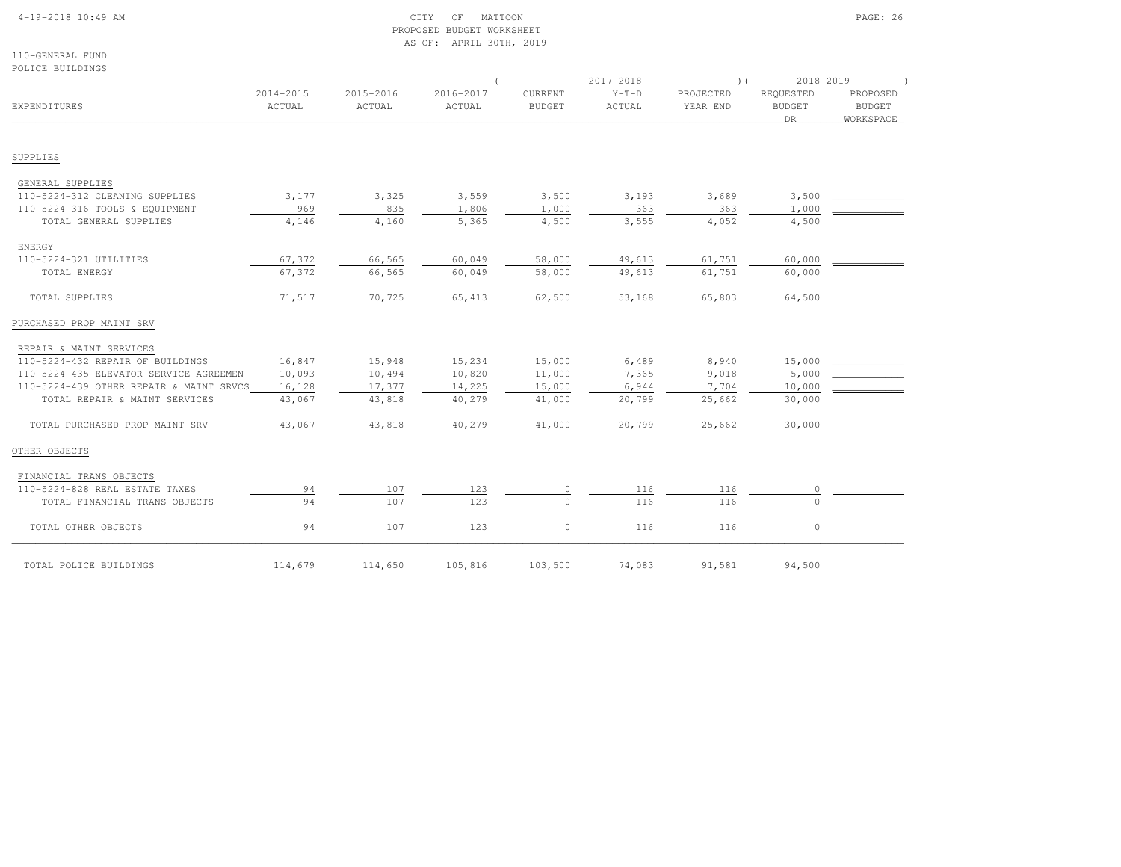# 4-19-2018 10:49 AM CITY OF MATTOON PAGE: 26 PROPOSED BUDGET WORKSHEETAS OF: APRIL 30TH, 2019

110-GENERAL FUNDPOLICE BUILDINGS

| המאזה חתדמה המדהמה ז                               |                     |                     |                     |                                 |                   |                       |                                  |                                        |
|----------------------------------------------------|---------------------|---------------------|---------------------|---------------------------------|-------------------|-----------------------|----------------------------------|----------------------------------------|
| EXPENDITURES                                       | 2014-2015<br>ACTUAL | 2015-2016<br>ACTUAL | 2016-2017<br>ACTUAL | <b>CURRENT</b><br><b>BUDGET</b> | $Y-T-D$<br>ACTUAL | PROJECTED<br>YEAR END | REOUESTED<br><b>BUDGET</b><br>DR | PROPOSED<br><b>BUDGET</b><br>WORKSPACE |
| SUPPLIES                                           |                     |                     |                     |                                 |                   |                       |                                  |                                        |
|                                                    |                     |                     |                     |                                 |                   |                       |                                  |                                        |
| GENERAL SUPPLIES<br>110-5224-312 CLEANING SUPPLIES | 3,177               | 3,325               | 3,559               | 3,500                           | 3,193             | 3,689                 | 3,500                            |                                        |
| 110-5224-316 TOOLS & EQUIPMENT                     | 969                 | 835                 | 1,806               | 1,000                           | 363               | 363                   | 1,000                            |                                        |
| TOTAL GENERAL SUPPLIES                             | 4,146               | 4,160               | 5,365               | 4,500                           | 3,555             | 4,052                 | 4,500                            |                                        |
| ENERGY                                             |                     |                     |                     |                                 |                   |                       |                                  |                                        |
| 110-5224-321 UTILITIES                             | 67,372              | 66,565              | 60,049              | 58,000                          | 49,613            | 61,751                | 60,000                           |                                        |
| TOTAL ENERGY                                       | 67,372              | 66,565              | 60,049              | 58,000                          | 49,613            | 61,751                | 60,000                           |                                        |
| TOTAL SUPPLIES                                     | 71,517              | 70,725              | 65,413              | 62,500                          | 53,168            | 65,803                | 64,500                           |                                        |
| PURCHASED PROP MAINT SRV                           |                     |                     |                     |                                 |                   |                       |                                  |                                        |
| REPAIR & MAINT SERVICES                            |                     |                     |                     |                                 |                   |                       |                                  |                                        |
| 110-5224-432 REPAIR OF BUILDINGS                   | 16,847              | 15,948              | 15,234              | 15,000                          | 6,489             | 8,940                 | 15,000                           |                                        |
| 110-5224-435 ELEVATOR SERVICE AGREEMEN             | 10,093              | 10,494              | 10,820              | 11,000                          | 7,365             | 9,018                 | 5,000                            |                                        |
| 110-5224-439 OTHER REPAIR & MAINT SRVCS            | 16,128              | 17,377              | 14,225              | 15,000                          | 6,944             | 7,704                 | 10,000                           |                                        |
| TOTAL REPAIR & MAINT SERVICES                      | 43,067              | 43,818              | 40,279              | 41,000                          | 20,799            | 25,662                | 30,000                           |                                        |
| TOTAL PURCHASED PROP MAINT SRV                     | 43,067              | 43,818              | 40,279              | 41,000                          | 20,799            | 25,662                | 30,000                           |                                        |
| OTHER OBJECTS                                      |                     |                     |                     |                                 |                   |                       |                                  |                                        |
| FINANCIAL TRANS OBJECTS                            |                     |                     |                     |                                 |                   |                       |                                  |                                        |
| 110-5224-828 REAL ESTATE TAXES                     | 94                  | 107                 | 123                 | $\circ$                         | 116               | 116                   | 0                                |                                        |
| TOTAL FINANCIAL TRANS OBJECTS                      | 94                  | 107                 | 123                 | $\cap$                          | 116               | 116                   | $\Omega$                         |                                        |
| TOTAL OTHER OBJECTS                                | 94                  | 107                 | 123                 | $\circ$                         | 116               | 116                   | $\circ$                          |                                        |
| TOTAL POLICE BUILDINGS                             | 114,679             | 114,650             | 105,816             | 103,500                         | 74,083            | 91,581                | 94,500                           |                                        |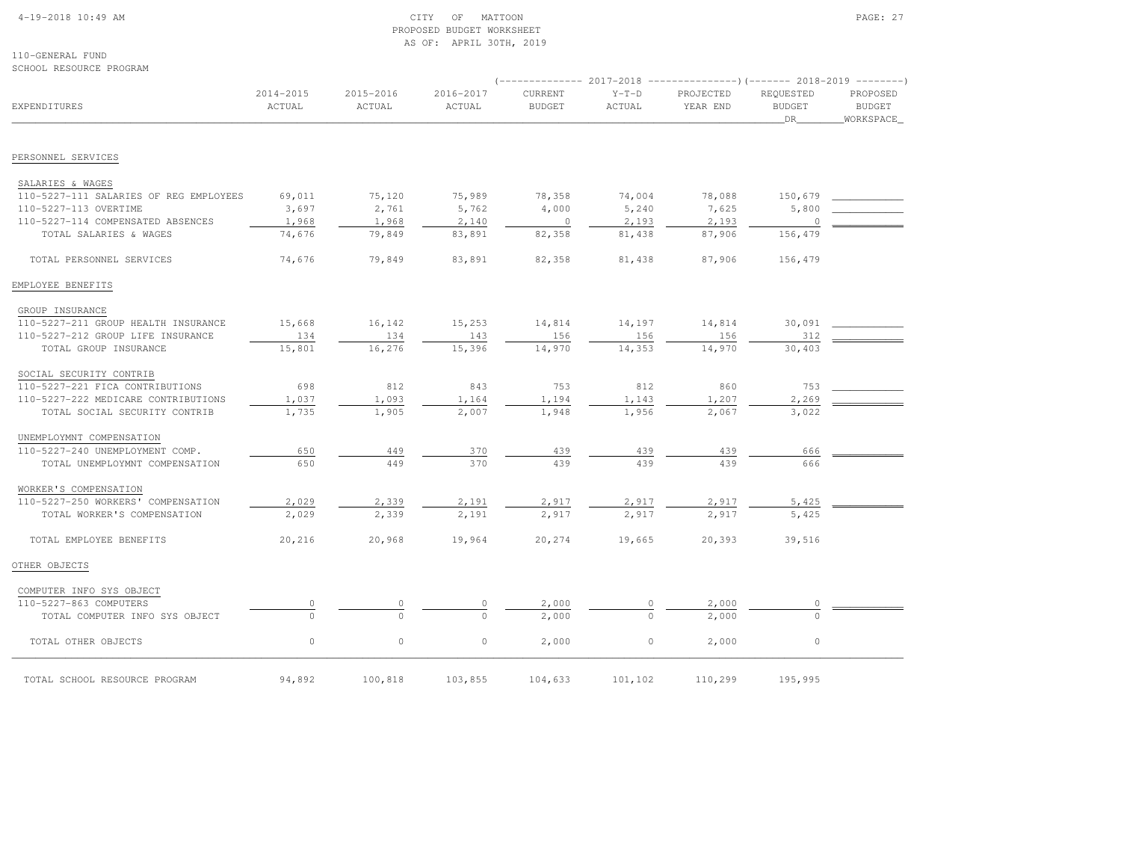### 4-19-2018 10:49 AM CITY OF MATTOON PAGE: 27 PROPOSED BUDGET WORKSHEETAS OF: APRIL 30TH, 2019

110-GENERAL FUNDSCHOOL RESOURCE PROGRAM

|                                        |                     |                     |                     |                                 |                   |                       | $($ -------------- 2017-2018 ----------------) (------- 2018-2019 --------) |                                        |
|----------------------------------------|---------------------|---------------------|---------------------|---------------------------------|-------------------|-----------------------|-----------------------------------------------------------------------------|----------------------------------------|
| EXPENDITURES                           | 2014-2015<br>ACTUAL | 2015-2016<br>ACTUAL | 2016-2017<br>ACTUAL | <b>CURRENT</b><br><b>BUDGET</b> | $Y-T-D$<br>ACTUAL | PROJECTED<br>YEAR END | REQUESTED<br><b>BUDGET</b><br>DR                                            | PROPOSED<br><b>BUDGET</b><br>WORKSPACE |
| PERSONNEL SERVICES                     |                     |                     |                     |                                 |                   |                       |                                                                             |                                        |
| SALARIES & WAGES                       |                     |                     |                     |                                 |                   |                       |                                                                             |                                        |
| 110-5227-111 SALARIES OF REG EMPLOYEES | 69,011              | 75,120              | 75,989              | 78,358                          | 74,004            | 78,088                | 150,679                                                                     |                                        |
| 110-5227-113 OVERTIME                  | 3,697               | 2,761               | 5,762               | 4,000                           | 5,240             | 7,625                 | 5,800                                                                       |                                        |
| 110-5227-114 COMPENSATED ABSENCES      | 1,968               | 1,968               | 2,140               | $\circ$                         | 2,193             | 2,193                 | $\overline{0}$                                                              |                                        |
| TOTAL SALARIES & WAGES                 | 74,676              | 79,849              | 83,891              | 82,358                          | 81,438            | 87,906                | 156,479                                                                     |                                        |
|                                        |                     |                     |                     |                                 |                   |                       |                                                                             |                                        |
| TOTAL PERSONNEL SERVICES               | 74,676              | 79,849              | 83,891              | 82,358                          | 81,438            | 87,906                | 156,479                                                                     |                                        |
| EMPLOYEE BENEFITS                      |                     |                     |                     |                                 |                   |                       |                                                                             |                                        |
| GROUP INSURANCE                        |                     |                     |                     |                                 |                   |                       |                                                                             |                                        |
| 110-5227-211 GROUP HEALTH INSURANCE    | 15,668              | 16,142              | 15,253              | 14,814                          | 14,197            | 14,814                | 30,091                                                                      |                                        |
| 110-5227-212 GROUP LIFE INSURANCE      | 134                 | 134                 | 143                 | 156                             | 156               | 156                   | 312                                                                         |                                        |
| TOTAL GROUP INSURANCE                  | 15,801              | 16,276              | 15,396              | 14,970                          | 14,353            | 14,970                | 30,403                                                                      |                                        |
| SOCIAL SECURITY CONTRIB                |                     |                     |                     |                                 |                   |                       |                                                                             |                                        |
| 110-5227-221 FICA CONTRIBUTIONS        | 698                 | 812                 | 843                 | 753                             | 812               | 860                   | 753                                                                         |                                        |
| 110-5227-222 MEDICARE CONTRIBUTIONS    | 1,037               | 1,093               | 1,164               | 1,194                           | 1,143             | 1,207                 | 2,269                                                                       |                                        |
| TOTAL SOCIAL SECURITY CONTRIB          | 1,735               | 1,905               | 2,007               | 1,948                           | 1,956             | 2,067                 | 3,022                                                                       |                                        |
| UNEMPLOYMNT COMPENSATION               |                     |                     |                     |                                 |                   |                       |                                                                             |                                        |
| 110-5227-240 UNEMPLOYMENT COMP.        | 650                 | 449                 | 370                 | 439                             | 439               | 439                   | 666                                                                         |                                        |
| TOTAL UNEMPLOYMNT COMPENSATION         | 650                 | 449                 | 370                 | 439                             | 439               | 439                   | 666                                                                         |                                        |
| WORKER'S COMPENSATION                  |                     |                     |                     |                                 |                   |                       |                                                                             |                                        |
| 110-5227-250 WORKERS' COMPENSATION     | 2,029               | 2,339               | 2,191               | 2,917                           | 2,917             | 2,917                 | 5,425                                                                       |                                        |
| TOTAL WORKER'S COMPENSATION            | 2,029               | 2,339               | 2,191               | 2,917                           | 2,917             | 2,917                 | 5,425                                                                       |                                        |
| TOTAL EMPLOYEE BENEFITS                | 20,216              | 20,968              | 19,964              | 20,274                          | 19,665            | 20,393                | 39,516                                                                      |                                        |
| OTHER OBJECTS                          |                     |                     |                     |                                 |                   |                       |                                                                             |                                        |
| COMPUTER INFO SYS OBJECT               |                     |                     |                     |                                 |                   |                       |                                                                             |                                        |
| 110-5227-863 COMPUTERS                 |                     |                     | 0                   | 2,000                           |                   | 2,000                 |                                                                             |                                        |
| TOTAL COMPUTER INFO SYS OBJECT         | $\cap$              | $\Omega$            | $\Omega$            | 2,000                           |                   | 2,000                 |                                                                             |                                        |
| TOTAL OTHER OBJECTS                    | $\circ$             | $\circ$             | $\circ$             | 2,000                           | $\circ$           | 2,000                 | $\circ$                                                                     |                                        |

100,818 103,855 104,633 101,102 110,299 195,995<br>TOTAL SCHOOL RESOURCE PROGRAM 94,892 100,818 103,855 104,633 101,102 110,299 195,995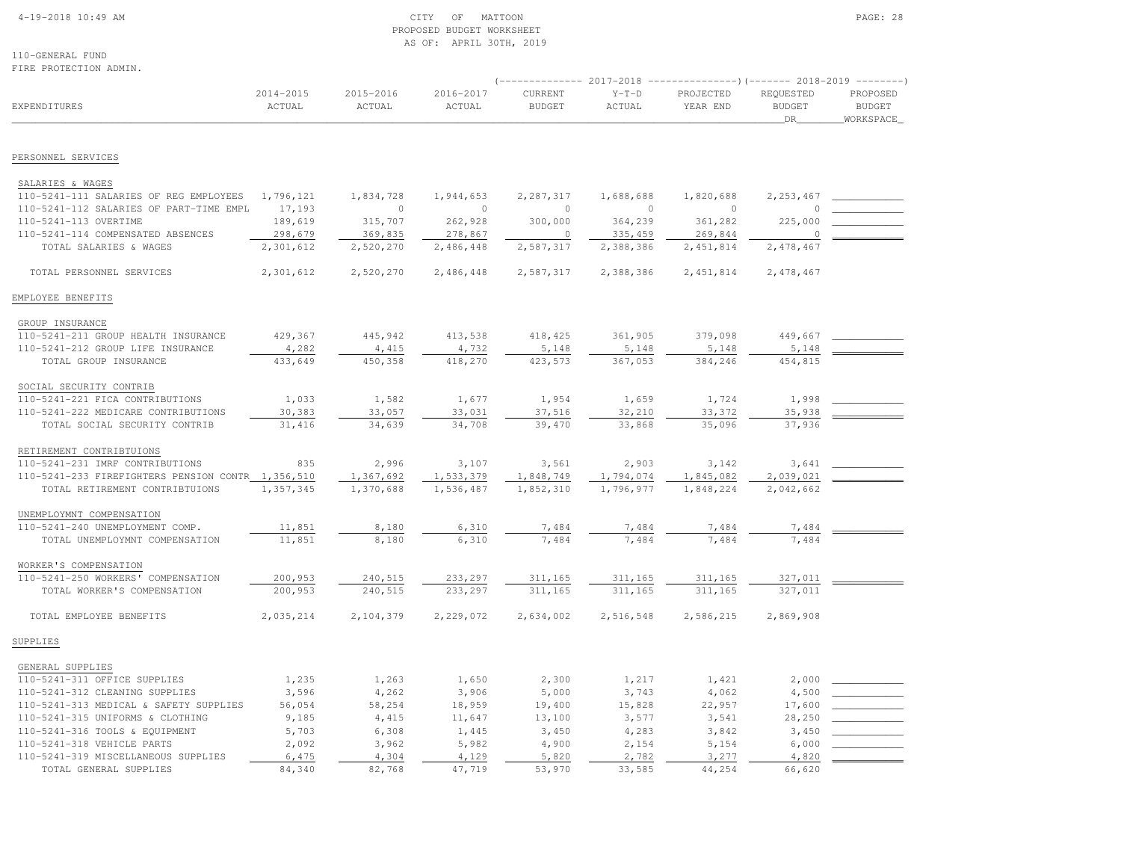### 4-19-2018 10:49 AM CITY OF MATTOON PAGE: 28 PROPOSED BUDGET WORKSHEETAS OF: APRIL 30TH, 2019

110-GENERAL FUNDFIRE PROTECTION ADMIN.

(-------------- 2017-2018 ---------------)(------- 2018-2019 --------)

| EXPENDITURES                                      | 2014-2015<br>ACTUAL | 2015-2016<br>ACTUAL | 2016-2017<br>ACTUAL | CURRENT<br><b>BUDGET</b> | $Y-T-D$<br>ACTUAL | PROJECTED<br>YEAR END | REQUESTED<br><b>BUDGET</b><br><b>DR</b> | PROPOSED<br><b>BUDGET</b><br>WORKSPACE |
|---------------------------------------------------|---------------------|---------------------|---------------------|--------------------------|-------------------|-----------------------|-----------------------------------------|----------------------------------------|
| PERSONNEL SERVICES                                |                     |                     |                     |                          |                   |                       |                                         |                                        |
| SALARIES & WAGES                                  |                     |                     |                     |                          |                   |                       |                                         |                                        |
| 110-5241-111 SALARIES OF REG EMPLOYEES            | 1,796,121           | 1,834,728           | 1,944,653           | 2,287,317                | 1,688,688         | 1,820,688             | 2, 253, 467                             |                                        |
| 110-5241-112 SALARIES OF PART-TIME EMPL           | 17,193              | $\mathbf 0$         | $\circ$             | $\circ$                  | $\circ$           | $\circ$               | $\Omega$                                |                                        |
| 110-5241-113 OVERTIME                             | 189,619             | 315,707             | 262,928             | 300,000                  | 364,239           | 361,282               | 225,000                                 |                                        |
| 110-5241-114 COMPENSATED ABSENCES                 | 298,679             | 369,835             | 278,867             | $\circ$                  | 335,459           | 269,844               | $\Omega$                                |                                        |
| TOTAL SALARIES & WAGES                            | 2,301,612           | 2,520,270           | 2,486,448           | 2,587,317                | 2,388,386         | 2, 451, 814           | 2,478,467                               |                                        |
| TOTAL PERSONNEL SERVICES                          | 2,301,612           | 2,520,270           | 2,486,448           | 2,587,317                | 2,388,386         | 2, 451, 814           | 2,478,467                               |                                        |
| EMPLOYEE BENEFITS                                 |                     |                     |                     |                          |                   |                       |                                         |                                        |
| GROUP INSURANCE                                   |                     |                     |                     |                          |                   |                       |                                         |                                        |
| 110-5241-211 GROUP HEALTH INSURANCE               | 429,367             | 445,942             | 413,538             | 418,425                  | 361,905           | 379,098               | 449,667                                 |                                        |
| 110-5241-212 GROUP LIFE INSURANCE                 | 4,282               | 4,415               | 4,732               | 5,148                    | 5,148             | 5,148                 | 5,148                                   |                                        |
| TOTAL GROUP INSURANCE                             | 433,649             | 450,358             | 418,270             | 423,573                  | 367,053           | 384,246               | 454,815                                 |                                        |
| SOCIAL SECURITY CONTRIB                           |                     |                     |                     |                          |                   |                       |                                         |                                        |
| 110-5241-221 FICA CONTRIBUTIONS                   | 1,033               | 1,582               | 1,677               | 1,954                    | 1,659             | 1,724                 | 1,998                                   |                                        |
| 110-5241-222 MEDICARE CONTRIBUTIONS               | 30,383              | 33,057              | 33,031              | 37,516                   | 32,210            | 33, 372               | 35,938                                  |                                        |
| TOTAL SOCIAL SECURITY CONTRIB                     | 31,416              | 34,639              | 34,708              | 39,470                   | 33,868            | 35,096                | 37,936                                  |                                        |
| RETIREMENT CONTRIBTUIONS                          |                     |                     |                     |                          |                   |                       |                                         |                                        |
| 110-5241-231 IMRF CONTRIBUTIONS                   | 835                 | 2,996               | 3,107               | 3,561                    | 2,903             | 3,142                 | 3,641                                   |                                        |
| 110-5241-233 FIREFIGHTERS PENSION CONTR 1,356,510 |                     | 1,367,692           | 1,533,379           | 1,848,749                | 1,794,074         | 1,845,082             | 2,039,021                               |                                        |
| TOTAL RETIREMENT CONTRIBTUIONS                    | 1,357,345           | 1,370,688           | 1,536,487           | 1,852,310                | 1,796,977         | 1,848,224             | 2,042,662                               |                                        |
| UNEMPLOYMNT COMPENSATION                          |                     |                     |                     |                          |                   |                       |                                         |                                        |
| 110-5241-240 UNEMPLOYMENT COMP.                   | 11,851              | 8,180               | 6,310               | 7,484                    | 7,484             | 7,484                 | 7,484                                   |                                        |
| TOTAL UNEMPLOYMNT COMPENSATION                    | 11,851              | 8,180               | 6,310               | 7,484                    | 7,484             | 7,484                 | 7,484                                   |                                        |
| WORKER'S COMPENSATION                             |                     |                     |                     |                          |                   |                       |                                         |                                        |
| 110-5241-250 WORKERS' COMPENSATION                | 200,953             | 240,515             | 233,297             | 311,165                  | 311,165           | 311,165               | 327,011                                 |                                        |
| TOTAL WORKER'S COMPENSATION                       | 200,953             | 240,515             | 233,297             | 311,165                  | 311,165           | 311,165               | 327,011                                 |                                        |
| TOTAL EMPLOYEE BENEFITS                           | 2,035,214           | 2,104,379           | 2,229,072           | 2,634,002                | 2,516,548         | 2,586,215             | 2,869,908                               |                                        |
| SUPPLIES                                          |                     |                     |                     |                          |                   |                       |                                         |                                        |
| GENERAL SUPPLIES                                  |                     |                     |                     |                          |                   |                       |                                         |                                        |
| 110-5241-311 OFFICE SUPPLIES                      | 1,235               | 1,263               | 1,650               | 2,300                    | 1,217             | 1,421                 | 2,000                                   |                                        |
| 110-5241-312 CLEANING SUPPLIES                    | 3,596               | 4,262               | 3,906               | 5,000                    | 3,743             | 4,062                 | 4,500                                   |                                        |
| 110-5241-313 MEDICAL & SAFETY SUPPLIES            | 56,054              | 58,254              | 18,959              | 19,400                   | 15,828            | 22,957                | 17,600                                  |                                        |
| 110-5241-315 UNIFORMS & CLOTHING                  | 9,185               | 4,415               | 11,647              | 13,100                   | 3,577             | 3,541                 | 28,250                                  |                                        |
| 110-5241-316 TOOLS & EQUIPMENT                    | 5,703               | 6,308               | 1,445               | 3,450                    | 4,283             | 3,842                 | 3,450                                   |                                        |
| 110-5241-318 VEHICLE PARTS                        | 2,092               | 3,962               | 5,982               | 4,900                    | 2,154             | 5,154                 | 6,000                                   |                                        |
| 110-5241-319 MISCELLANEOUS SUPPLIES               | 6,475               | 4,304               | 4,129               | 5,820                    | 2,782             | 3,277                 | 4,820                                   |                                        |
| TOTAL GENERAL SUPPLIES                            | 84,340              | 82,768              | 47,719              | 53,970                   | 33,585            | 44,254                | 66,620                                  |                                        |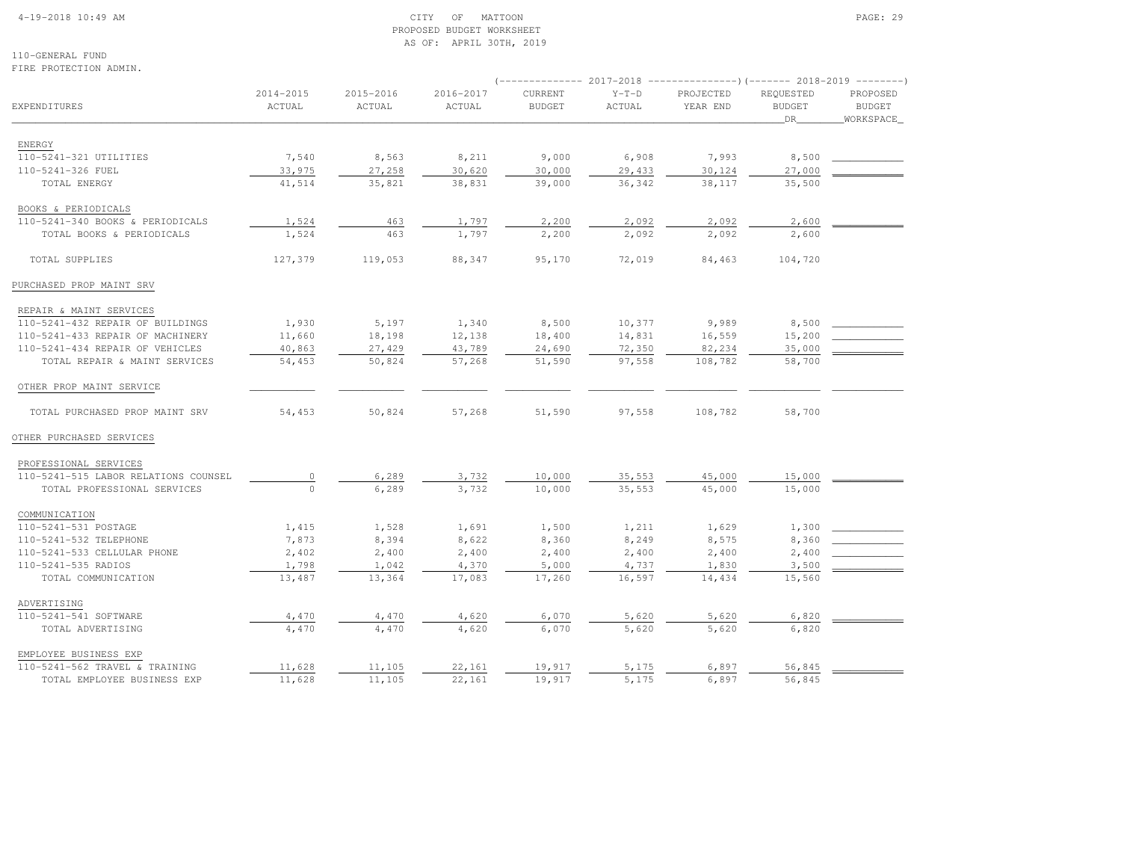#### 4-19-2018 10:49 AM CITY OF MATTOON PAGE: 29 PROPOSED BUDGET WORKSHEETAS OF: APRIL 30TH, 2019

110-GENERAL FUNDFIRE PROTECTION ADMIN.

|                                      |                     |                     |                     |                          | 2017-2018         |                       | -----)(------- 2018-2019         |                                        |
|--------------------------------------|---------------------|---------------------|---------------------|--------------------------|-------------------|-----------------------|----------------------------------|----------------------------------------|
| EXPENDITURES                         | 2014-2015<br>ACTUAL | 2015-2016<br>ACTUAL | 2016-2017<br>ACTUAL | CURRENT<br><b>BUDGET</b> | $Y-T-D$<br>ACTUAL | PROJECTED<br>YEAR END | REQUESTED<br><b>BUDGET</b><br>DR | PROPOSED<br><b>BUDGET</b><br>WORKSPACE |
|                                      |                     |                     |                     |                          |                   |                       |                                  |                                        |
| ENERGY                               |                     |                     |                     |                          |                   |                       |                                  |                                        |
| 110-5241-321 UTILITIES               | 7,540               | 8,563               | 8,211               | 9,000                    | 6,908             | 7,993                 | 8,500                            |                                        |
| 110-5241-326 FUEL                    | 33,975              | 27,258              | 30,620              | 30,000                   | 29,433            | 30,124                | 27,000                           |                                        |
| TOTAL ENERGY                         | 41,514              | 35,821              | 38,831              | 39,000                   | 36,342            | 38,117                | 35,500                           |                                        |
| BOOKS & PERIODICALS                  |                     |                     |                     |                          |                   |                       |                                  |                                        |
| 110-5241-340 BOOKS & PERIODICALS     | 1,524               | 463                 | 1,797               | 2,200                    | 2,092             | 2,092                 | 2,600                            |                                        |
| TOTAL BOOKS & PERIODICALS            | 1,524               | 463                 | 1,797               | 2,200                    | 2,092             | 2,092                 | 2,600                            |                                        |
| TOTAL SUPPLIES                       | 127,379             | 119,053             | 88,347              | 95,170                   | 72,019            | 84,463                | 104,720                          |                                        |
| PURCHASED PROP MAINT SRV             |                     |                     |                     |                          |                   |                       |                                  |                                        |
| REPAIR & MAINT SERVICES              |                     |                     |                     |                          |                   |                       |                                  |                                        |
| 110-5241-432 REPAIR OF BUILDINGS     | 1,930               | 5,197               | 1,340               | 8,500                    | 10,377            | 9,989                 | 8,500                            |                                        |
| 110-5241-433 REPAIR OF MACHINERY     | 11,660              | 18,198              | 12,138              | 18,400                   | 14,831            | 16,559                | 15,200                           |                                        |
| 110-5241-434 REPAIR OF VEHICLES      | 40,863              | 27,429              | 43,789              | 24,690                   | 72,350            | 82,234                | 35,000                           |                                        |
| TOTAL REPAIR & MAINT SERVICES        | 54,453              | 50,824              | 57,268              | 51,590                   | 97,558            | 108,782               | 58,700                           |                                        |
| OTHER PROP MAINT SERVICE             |                     |                     |                     |                          |                   |                       |                                  |                                        |
| TOTAL PURCHASED PROP MAINT SRV       | 54,453              | 50,824              | 57,268              | 51,590                   | 97,558            | 108,782               | 58,700                           |                                        |
| OTHER PURCHASED SERVICES             |                     |                     |                     |                          |                   |                       |                                  |                                        |
| PROFESSIONAL SERVICES                |                     |                     |                     |                          |                   |                       |                                  |                                        |
| 110-5241-515 LABOR RELATIONS COUNSEL | $\mathbb O$         | 6,289               | 3,732               | 10,000                   | 35,553            | 45,000                | 15,000                           |                                        |
| TOTAL PROFESSIONAL SERVICES          | $\circ$             | 6,289               | 3,732               | 10,000                   | 35,553            | 45,000                | 15,000                           |                                        |
| COMMUNICATION                        |                     |                     |                     |                          |                   |                       |                                  |                                        |
| 110-5241-531 POSTAGE                 | 1,415               | 1,528               | 1,691               | 1,500                    | 1,211             | 1,629                 | 1,300                            |                                        |
| 110-5241-532 TELEPHONE               | 7,873               | 8,394               | 8,622               | 8,360                    | 8,249             | 8,575                 | 8,360                            |                                        |
| 110-5241-533 CELLULAR PHONE          | 2,402               | 2,400               | 2,400               | 2,400                    | 2,400             | 2,400                 | 2,400                            |                                        |
| 110-5241-535 RADIOS                  | 1,798               | 1,042               | 4,370               | 5,000                    | 4,737             | 1,830                 | 3,500                            |                                        |
| TOTAL COMMUNICATION                  | 13,487              | 13,364              | 17,083              | 17,260                   | 16,597            | 14,434                | 15,560                           |                                        |
| ADVERTISING                          |                     |                     |                     |                          |                   |                       |                                  |                                        |
| 110-5241-541 SOFTWARE                | 4,470               | 4,470               | 4,620               | 6,070                    | 5,620             | 5,620                 | 6,820                            |                                        |
| TOTAL ADVERTISING                    | 4,470               | 4,470               | 4,620               | 6,070                    | 5,620             | 5,620                 | 6,820                            |                                        |
| EMPLOYEE BUSINESS EXP                |                     |                     |                     |                          |                   |                       |                                  |                                        |
| 110-5241-562 TRAVEL & TRAINING       | 11,628              | 11,105              | 22,161              | 19,917                   | 5,175             | 6,897                 | 56,845                           |                                        |
| TOTAL EMPLOYEE BUSINESS EXP          | 11,628              | 11,105              | 22,161              | 19,917                   | 5,175             | 6,897                 | 56,845                           |                                        |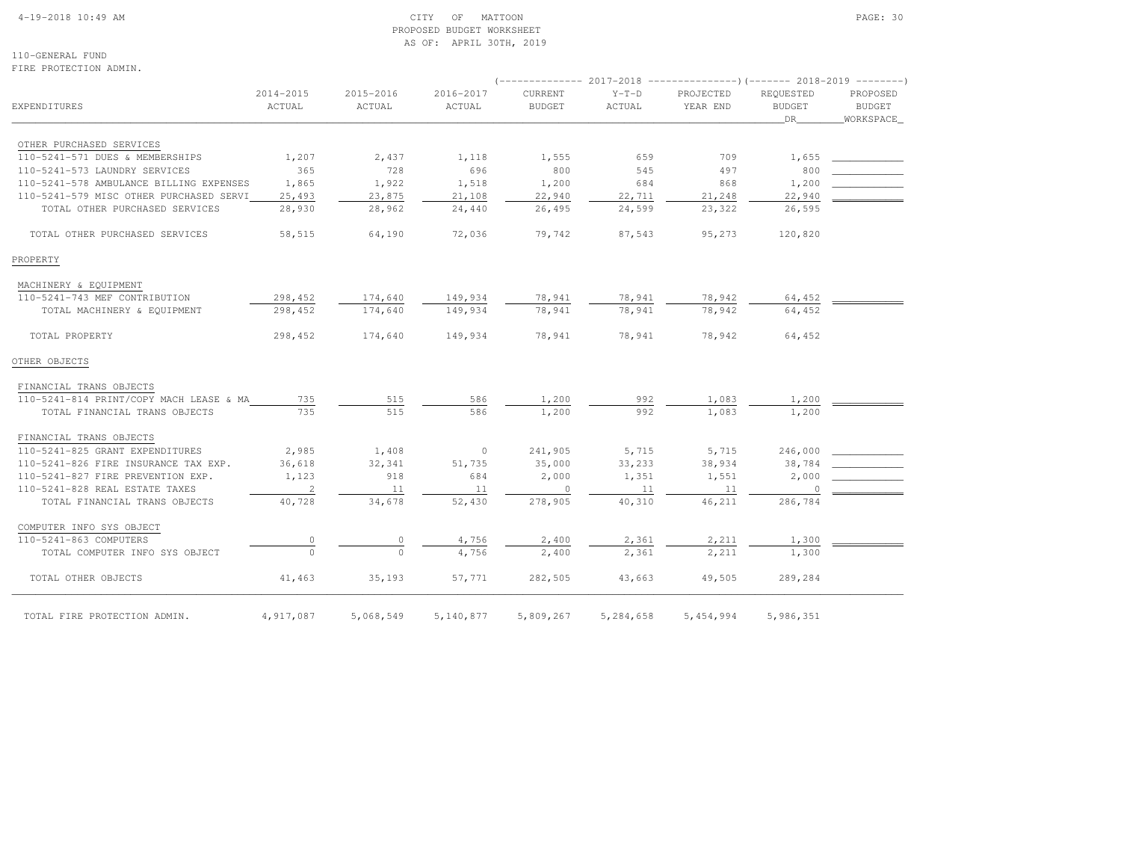# 4-19-2018 10:49 AM CITY OF MATTOON PAGE: 30 PROPOSED BUDGET WORKSHEETAS OF: APRIL 30TH, 2019

110-GENERAL FUNDFIRE PROTECTION ADMIN.

| EXPENDITURES                            | 2014-2015<br>ACTUAL | 2015-2016<br>ACTUAL | 2016-2017<br>ACTUAL | CURRENT<br><b>BUDGET</b> | $Y-T-D$<br>ACTUAL | PROJECTED<br>YEAR END | REQUESTED<br><b>BUDGET</b><br>DR | PROPOSED<br><b>BUDGET</b><br>WORKSPACE |
|-----------------------------------------|---------------------|---------------------|---------------------|--------------------------|-------------------|-----------------------|----------------------------------|----------------------------------------|
|                                         |                     |                     |                     |                          |                   |                       |                                  |                                        |
| OTHER PURCHASED SERVICES                |                     |                     |                     |                          |                   |                       |                                  |                                        |
| 110-5241-571 DUES & MEMBERSHIPS         | 1,207               | 2,437               | 1,118               | 1,555                    | 659               | 709                   | 1,655                            |                                        |
| 110-5241-573 LAUNDRY SERVICES           | 365                 | 728                 | 696                 | 800                      | 545               | 497                   | 800                              |                                        |
| 110-5241-578 AMBULANCE BILLING EXPENSES | 1,865               | 1,922               | 1,518               | 1,200                    | 684               | 868                   | 1,200                            |                                        |
| 110-5241-579 MISC OTHER PURCHASED SERVI | 25,493              | 23,875              | 21,108              | 22,940                   | 22,711            | 21,248                | 22,940                           |                                        |
| TOTAL OTHER PURCHASED SERVICES          | 28,930              | 28,962              | 24,440              | 26,495                   | 24,599            | 23,322                | 26,595                           |                                        |
| TOTAL OTHER PURCHASED SERVICES          | 58,515              | 64,190              | 72,036              | 79,742                   | 87,543            | 95,273                | 120,820                          |                                        |
| PROPERTY                                |                     |                     |                     |                          |                   |                       |                                  |                                        |
| MACHINERY & EQUIPMENT                   |                     |                     |                     |                          |                   |                       |                                  |                                        |
| 110-5241-743 MEF CONTRIBUTION           | 298,452             | 174,640             | 149,934             | 78,941                   | 78,941            | 78,942                | 64,452                           |                                        |
| TOTAL MACHINERY & EQUIPMENT             | 298,452             | 174,640             | 149,934             | 78,941                   | 78,941            | 78,942                | 64,452                           |                                        |
| TOTAL PROPERTY                          | 298,452             | 174,640             | 149,934             | 78,941                   | 78,941            | 78,942                | 64,452                           |                                        |
| OTHER OBJECTS                           |                     |                     |                     |                          |                   |                       |                                  |                                        |
| FINANCIAL TRANS OBJECTS                 |                     |                     |                     |                          |                   |                       |                                  |                                        |
| 110-5241-814 PRINT/COPY MACH LEASE & MA | 735                 | 515                 | 586                 | 1,200                    | 992               | 1,083                 | 1,200                            |                                        |
| TOTAL FINANCIAL TRANS OBJECTS           | 735                 | 515                 | 586                 | 1,200                    | 992               | 1,083                 | 1,200                            |                                        |
| FINANCIAL TRANS OBJECTS                 |                     |                     |                     |                          |                   |                       |                                  |                                        |
| 110-5241-825 GRANT EXPENDITURES         | 2,985               | 1,408               | $\circ$             | 241,905                  | 5,715             | 5,715                 | 246,000                          |                                        |
| 110-5241-826 FIRE INSURANCE TAX EXP.    | 36,618              | 32,341              | 51,735              | 35,000                   | 33,233            | 38,934                | 38,784                           |                                        |
| 110-5241-827 FIRE PREVENTION EXP.       | 1,123               | 918                 | 684                 | 2,000                    | 1,351             | 1,551                 | 2,000                            |                                        |
| 110-5241-828 REAL ESTATE TAXES          | $\overline{c}$      | 11                  | 11                  | $\circ$                  | 11                | 11                    | $\overline{0}$                   |                                        |
| TOTAL FINANCIAL TRANS OBJECTS           | 40,728              | 34,678              | 52,430              | 278,905                  | 40,310            | 46,211                | 286,784                          |                                        |
| COMPUTER INFO SYS OBJECT                |                     |                     |                     |                          |                   |                       |                                  |                                        |
| 110-5241-863 COMPUTERS                  | $\circ$             | 0                   | 4,756               | 2,400                    | 2,361             | 2,211                 | 1,300                            |                                        |
| TOTAL COMPUTER INFO SYS OBJECT          | $\Omega$            | $\Omega$            | 4,756               | 2,400                    | 2,361             | 2,211                 | 1,300                            |                                        |
| TOTAL OTHER OBJECTS                     | 41,463              | 35,193              | 57,771              | 282,505                  | 43,663            | 49,505                | 289,284                          |                                        |
| TOTAL FIRE PROTECTION ADMIN.            | 4,917,087           | 5,068,549           | 5,140,877           | 5,809,267                | 5,284,658         | 5, 454, 994           | 5,986,351                        |                                        |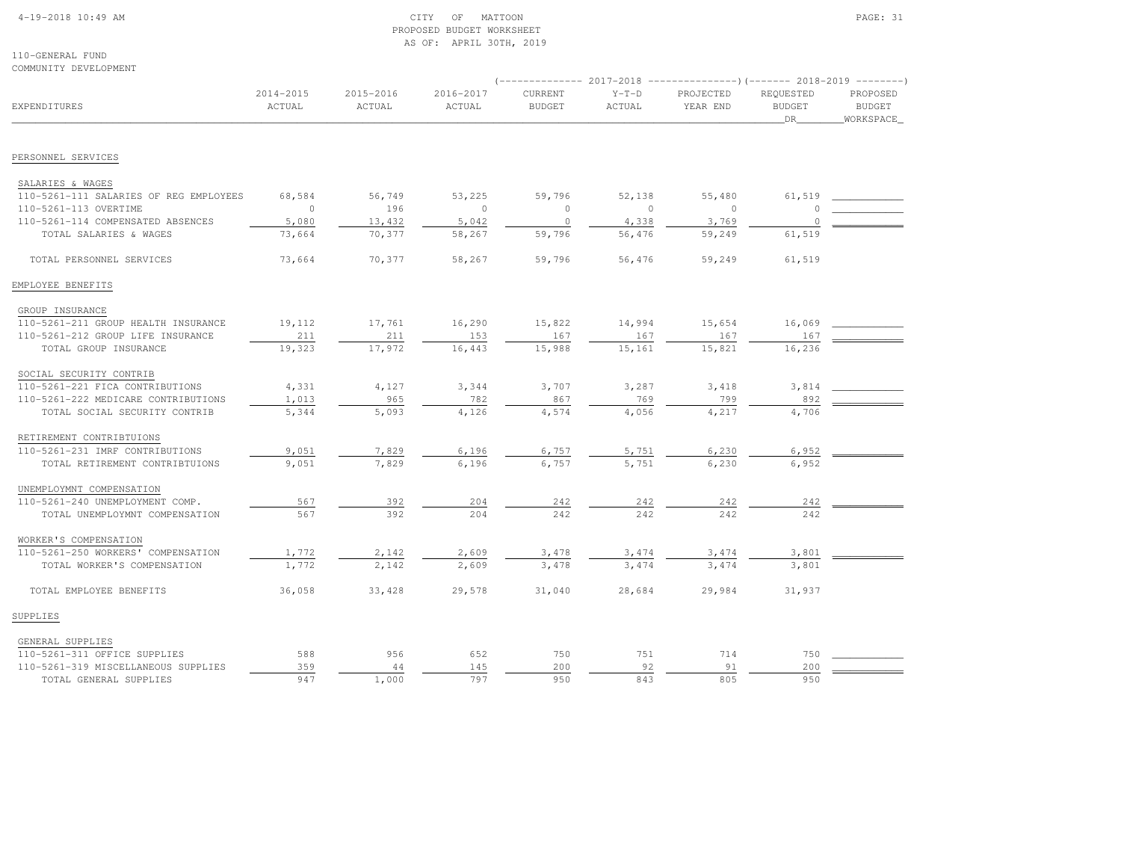# 4-19-2018 10:49 AM CITY OF MATTOON PAGE: 31 PROPOSED BUDGET WORKSHEETAS OF: APRIL 30TH, 2019

110-GENERAL FUNDCOMMUNITY DEVELOPMENT

|                                        |                     |                     |                     | $(----------2017-2018$ ---------------) (------- 2018-2019 -------) |                   |                       |                                  |                                        |  |
|----------------------------------------|---------------------|---------------------|---------------------|---------------------------------------------------------------------|-------------------|-----------------------|----------------------------------|----------------------------------------|--|
| <b>EXPENDITURES</b>                    | 2014-2015<br>ACTUAL | 2015-2016<br>ACTUAL | 2016-2017<br>ACTUAL | CURRENT<br><b>BUDGET</b>                                            | $Y-T-D$<br>ACTUAL | PROJECTED<br>YEAR END | REQUESTED<br><b>BUDGET</b><br>DR | PROPOSED<br><b>BUDGET</b><br>WORKSPACE |  |
|                                        |                     |                     |                     |                                                                     |                   |                       |                                  |                                        |  |
| PERSONNEL SERVICES                     |                     |                     |                     |                                                                     |                   |                       |                                  |                                        |  |
| SALARIES & WAGES                       |                     |                     |                     |                                                                     |                   |                       |                                  |                                        |  |
| 110-5261-111 SALARIES OF REG EMPLOYEES | 68,584              | 56,749              | 53,225              | 59,796                                                              | 52,138            | 55,480                | 61,519                           |                                        |  |
| 110-5261-113 OVERTIME                  | $\circ$             | 196                 | $\circ$             | $\circ$                                                             | $\circ$           | $\mathbf{0}$          | $\Omega$                         |                                        |  |
| 110-5261-114 COMPENSATED ABSENCES      | 5,080               | 13,432              | 5,042               | $\circ$                                                             | 4,338             | 3,769                 | $\Omega$                         |                                        |  |
| TOTAL SALARIES & WAGES                 | 73,664              | 70,377              | 58,267              | 59,796                                                              | 56,476            | 59,249                | 61,519                           |                                        |  |
| TOTAL PERSONNEL SERVICES               | 73,664              | 70,377              | 58,267              | 59,796                                                              | 56,476            | 59,249                | 61,519                           |                                        |  |
| EMPLOYEE BENEFITS                      |                     |                     |                     |                                                                     |                   |                       |                                  |                                        |  |
| GROUP INSURANCE                        |                     |                     |                     |                                                                     |                   |                       |                                  |                                        |  |
| 110-5261-211 GROUP HEALTH INSURANCE    | 19,112              | 17,761              | 16,290              | 15,822                                                              | 14,994            | 15,654                | 16,069                           |                                        |  |
| 110-5261-212 GROUP LIFE INSURANCE      | 211                 | 211                 | 153                 | 167                                                                 | 167               | 167                   | 167                              |                                        |  |
| TOTAL GROUP INSURANCE                  | 19,323              | 17,972              | 16,443              | 15,988                                                              | 15,161            | 15,821                | 16,236                           |                                        |  |
| SOCIAL SECURITY CONTRIB                |                     |                     |                     |                                                                     |                   |                       |                                  |                                        |  |
| 110-5261-221 FICA CONTRIBUTIONS        | 4,331               | 4,127               | 3,344               | 3,707                                                               | 3,287             | 3,418                 | 3,814                            |                                        |  |
| 110-5261-222 MEDICARE CONTRIBUTIONS    | 1,013               | 965                 | 782                 | 867                                                                 | 769               | 799                   | 892                              |                                        |  |
| TOTAL SOCIAL SECURITY CONTRIB          | 5,344               | 5,093               | 4,126               | 4,574                                                               | 4,056             | 4,217                 | 4,706                            |                                        |  |
| RETIREMENT CONTRIBTUIONS               |                     |                     |                     |                                                                     |                   |                       |                                  |                                        |  |
| 110-5261-231 IMRF CONTRIBUTIONS        | 9,051               | 7,829               | 6,196               | 6,757                                                               | 5,751             | 6,230                 | 6,952                            |                                        |  |
| TOTAL RETIREMENT CONTRIBTUIONS         | 9,051               | 7,829               | 6,196               | 6,757                                                               | 5,751             | 6,230                 | 6,952                            |                                        |  |
| UNEMPLOYMNT COMPENSATION               |                     |                     |                     |                                                                     |                   |                       |                                  |                                        |  |
| 110-5261-240 UNEMPLOYMENT COMP.        | 567                 | 392                 | 204                 | 242                                                                 | 242               | 242                   | 242                              |                                        |  |
| TOTAL UNEMPLOYMNT COMPENSATION         | 567                 | 392                 | 204                 | 242                                                                 | 242               | 242                   | 242                              |                                        |  |
| WORKER'S COMPENSATION                  |                     |                     |                     |                                                                     |                   |                       |                                  |                                        |  |
| 110-5261-250 WORKERS' COMPENSATION     | 1,772               | 2,142               | 2,609               | 3,478                                                               | 3,474             | 3,474                 | 3,801                            |                                        |  |
| TOTAL WORKER'S COMPENSATION            | 1,772               | 2,142               | 2,609               | 3,478                                                               | 3,474             | 3,474                 | 3,801                            |                                        |  |
| TOTAL EMPLOYEE BENEFITS                | 36,058              | 33,428              | 29,578              | 31,040                                                              | 28,684            | 29,984                | 31,937                           |                                        |  |
| SUPPLIES                               |                     |                     |                     |                                                                     |                   |                       |                                  |                                        |  |
| GENERAL SUPPLIES                       |                     |                     |                     |                                                                     |                   |                       |                                  |                                        |  |
| 110-5261-311 OFFICE SUPPLIES           | 588                 | 956                 | 652                 | 750                                                                 | 751               | 714                   | 750                              |                                        |  |
| 110-5261-319 MISCELLANEOUS SUPPLIES    | 359                 | 44                  | 145                 | 200                                                                 | 92                | 91                    | 200                              |                                        |  |
| TOTAL GENERAL SUPPLIES                 | 947                 | 1,000               | 797                 | 950                                                                 | 843               | 805                   | 950                              |                                        |  |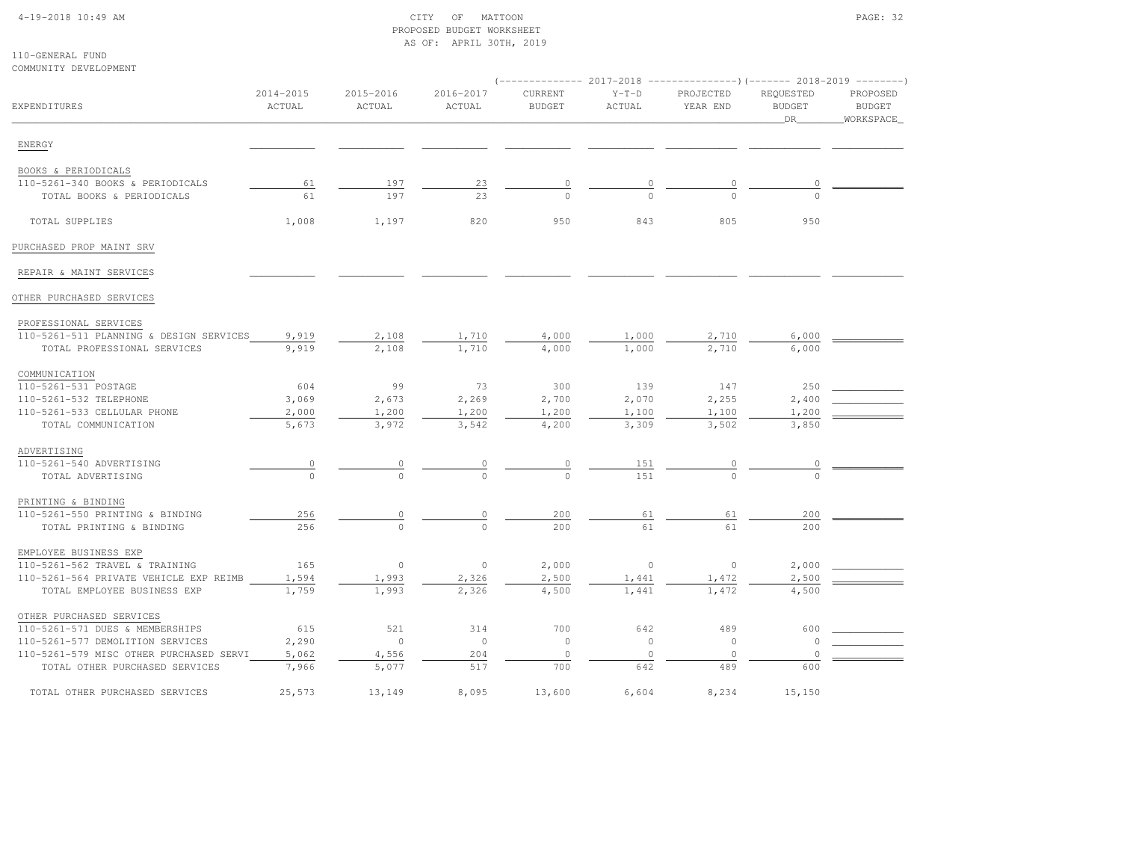# 4-19-2018 10:49 AM CITY OF MATTOON PAGE: 32 PROPOSED BUDGET WORKSHEETAS OF: APRIL 30TH, 2019

| COMMUNITY DEVELOPMENT                   |                     |                     |                      |                          |                   | -------------        2017-2018 ----------------------        2018-2019 ---------- |                                  |                                        |
|-----------------------------------------|---------------------|---------------------|----------------------|--------------------------|-------------------|-----------------------------------------------------------------------------------|----------------------------------|----------------------------------------|
| EXPENDITURES                            | 2014-2015<br>ACTUAL | 2015-2016<br>ACTUAL | 2016-2017<br>ACTUAL  | CURRENT<br><b>BUDGET</b> | $Y-T-D$<br>ACTUAL | PROJECTED<br>YEAR END                                                             | REQUESTED<br><b>BUDGET</b><br>DR | PROPOSED<br><b>BUDGET</b><br>WORKSPACE |
| ENERGY                                  |                     |                     |                      |                          |                   |                                                                                   |                                  |                                        |
| BOOKS & PERIODICALS                     |                     |                     |                      |                          |                   |                                                                                   |                                  |                                        |
| 110-5261-340 BOOKS & PERIODICALS        | 61                  | 197                 | 23                   | 0                        | 0                 | $\circ$                                                                           |                                  |                                        |
| TOTAL BOOKS & PERIODICALS               | 61                  | 197                 | 23                   | $\Omega$                 | $\Omega$          | $\Omega$                                                                          |                                  |                                        |
| TOTAL SUPPLIES                          | 1,008               | 1,197               | 820                  | 950                      | 843               | 805                                                                               | 950                              |                                        |
| PURCHASED PROP MAINT SRV                |                     |                     |                      |                          |                   |                                                                                   |                                  |                                        |
| REPAIR & MAINT SERVICES                 |                     |                     |                      |                          |                   |                                                                                   |                                  |                                        |
| OTHER PURCHASED SERVICES                |                     |                     |                      |                          |                   |                                                                                   |                                  |                                        |
| PROFESSIONAL SERVICES                   |                     |                     |                      |                          |                   |                                                                                   |                                  |                                        |
| 110-5261-511 PLANNING & DESIGN SERVICES | 9,919               | 2,108               | 1,710                | 4,000                    | 1,000             | 2,710                                                                             | 6,000                            |                                        |
| TOTAL PROFESSIONAL SERVICES             | 9,919               | 2,108               | 1,710                | 4,000                    | 1,000             | 2,710                                                                             | 6,000                            |                                        |
| COMMUNICATION                           |                     |                     |                      |                          |                   |                                                                                   |                                  |                                        |
| 110-5261-531 POSTAGE                    | 604                 | 99                  | 73                   | 300                      | 139               | 147                                                                               | 250                              |                                        |
| 110-5261-532 TELEPHONE                  | 3,069               | 2,673               | 2,269                | 2,700                    | 2,070             | 2,255                                                                             | 2,400                            |                                        |
| 110-5261-533 CELLULAR PHONE             | 2,000               | 1,200               | 1,200                | 1,200                    | 1,100             | 1,100                                                                             | 1,200                            |                                        |
| TOTAL COMMUNICATION                     | 5,673               | 3,972               | 3,542                | 4,200                    | 3,309             | 3,502                                                                             | 3,850                            |                                        |
| ADVERTISING                             |                     |                     |                      |                          |                   |                                                                                   |                                  |                                        |
| 110-5261-540 ADVERTISING                | $\overline{0}$      |                     | $\frac{0}{\sqrt{2}}$ |                          | 151               |                                                                                   |                                  |                                        |
| TOTAL ADVERTISING                       | $\Omega$            |                     |                      |                          | 1.51              |                                                                                   |                                  |                                        |
| PRINTING & BINDING                      |                     |                     |                      |                          |                   |                                                                                   |                                  |                                        |
| 110-5261-550 PRINTING & BINDING         | 256                 | 0                   | $\overline{0}$       | 200                      | 61                | 61                                                                                | 200                              |                                        |
| TOTAL PRINTING & BINDING                | 256                 | $\Omega$            | $\Omega$             | 200                      | 61                | 61                                                                                | 200                              |                                        |
| EMPLOYEE BUSINESS EXP                   |                     |                     |                      |                          |                   |                                                                                   |                                  |                                        |
| 110-5261-562 TRAVEL & TRAINING          | 165                 | $\circ$             | $\circ$              | 2,000                    | $\circ$           | $\circ$                                                                           | 2,000                            |                                        |
| 110-5261-564 PRIVATE VEHICLE EXP REIMB  | 1,594               | 1,993               | 2,326                | 2,500                    | 1,441             | 1,472                                                                             | 2,500                            |                                        |
| TOTAL EMPLOYEE BUSINESS EXP             | 1,759               | 1,993               | 2,326                | 4,500                    | 1,441             | 1,472                                                                             | 4,500                            |                                        |
| OTHER PURCHASED SERVICES                |                     |                     |                      |                          |                   |                                                                                   |                                  |                                        |
| 110-5261-571 DUES & MEMBERSHIPS         | 615                 | 521                 | 314                  | 700                      | 642               | 489                                                                               | 600                              |                                        |
| 110-5261-577 DEMOLITION SERVICES        | 2,290               | $\circ$             | $\circ$              | $\circ$                  | $\circ$           | $\circ$                                                                           | $\mathbf 0$                      |                                        |
| 110-5261-579 MISC OTHER PURCHASED SERVI | 5,062               | 4,556               | 204                  | $\circ$                  | $\circ$           | $\circ$                                                                           | $\Omega$                         |                                        |
| TOTAL OTHER PURCHASED SERVICES          | 7,966               | 5,077               | 517                  | 700                      | 642               | 489                                                                               | 600                              |                                        |
| TOTAL OTHER PURCHASED SERVICES          | 25,573              | 13,149              | 8,095                | 13,600                   | 6,604             | 8,234                                                                             | 15,150                           |                                        |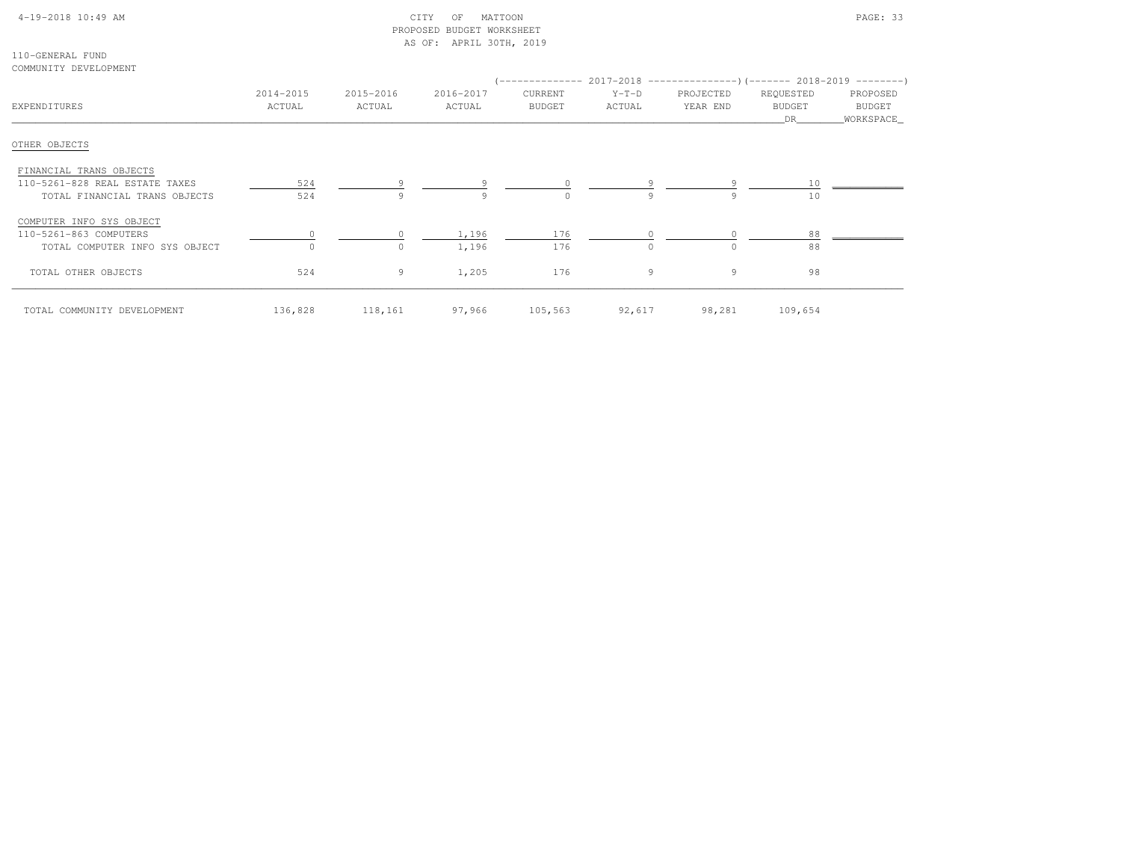# 4-19-2018 10:49 AM CITY OF MATTOON PAGE: 33 PROPOSED BUDGET WORKSHEETAS OF: APRIL 30TH, 2019

110-GENERAL FUNDCOMMUNITY DEVELOPMENT

| COMMUNIII DEVELUEMENI          |           |           |           |               |          | (-------------- 2017-2018 ----------------) (------- 2018-2019 ---------) |               |             |
|--------------------------------|-----------|-----------|-----------|---------------|----------|---------------------------------------------------------------------------|---------------|-------------|
|                                | 2014-2015 | 2015-2016 | 2016-2017 | CURRENT       | $Y-T-D$  | PROJECTED                                                                 | REQUESTED     | PROPOSED    |
| EXPENDITURES                   | ACTUAL    | ACTUAL    | ACTUAL    | <b>BUDGET</b> | ACTUAL   | YEAR END                                                                  | <b>BUDGET</b> | BUDGET      |
|                                |           |           |           |               |          |                                                                           | DR            | _WORKSPACE_ |
| OTHER OBJECTS                  |           |           |           |               |          |                                                                           |               |             |
| FINANCIAL TRANS OBJECTS        |           |           |           |               |          |                                                                           |               |             |
| 110-5261-828 REAL ESTATE TAXES | 524       |           |           |               |          |                                                                           | 10            |             |
| TOTAL FINANCIAL TRANS OBJECTS  | 524       | 9         | Q         | $\bigcap$     | Q        | 9                                                                         | 10            |             |
| COMPUTER INFO SYS OBJECT       |           |           |           |               |          |                                                                           |               |             |
| 110-5261-863 COMPUTERS         |           |           | 1,196     | 176           |          |                                                                           | 88            |             |
| TOTAL COMPUTER INFO SYS OBJECT | $\Omega$  | $\Omega$  | 1,196     | 176           | $\Omega$ | $\Omega$                                                                  | 88            |             |
| TOTAL OTHER OBJECTS            | 524       | 9         | 1,205     | 176           | 9        | 9                                                                         | 98            |             |
| TOTAL COMMUNITY DEVELOPMENT    | 136,828   | 118,161   | 97,966    | 105,563       | 92,617   | 98,281                                                                    | 109,654       |             |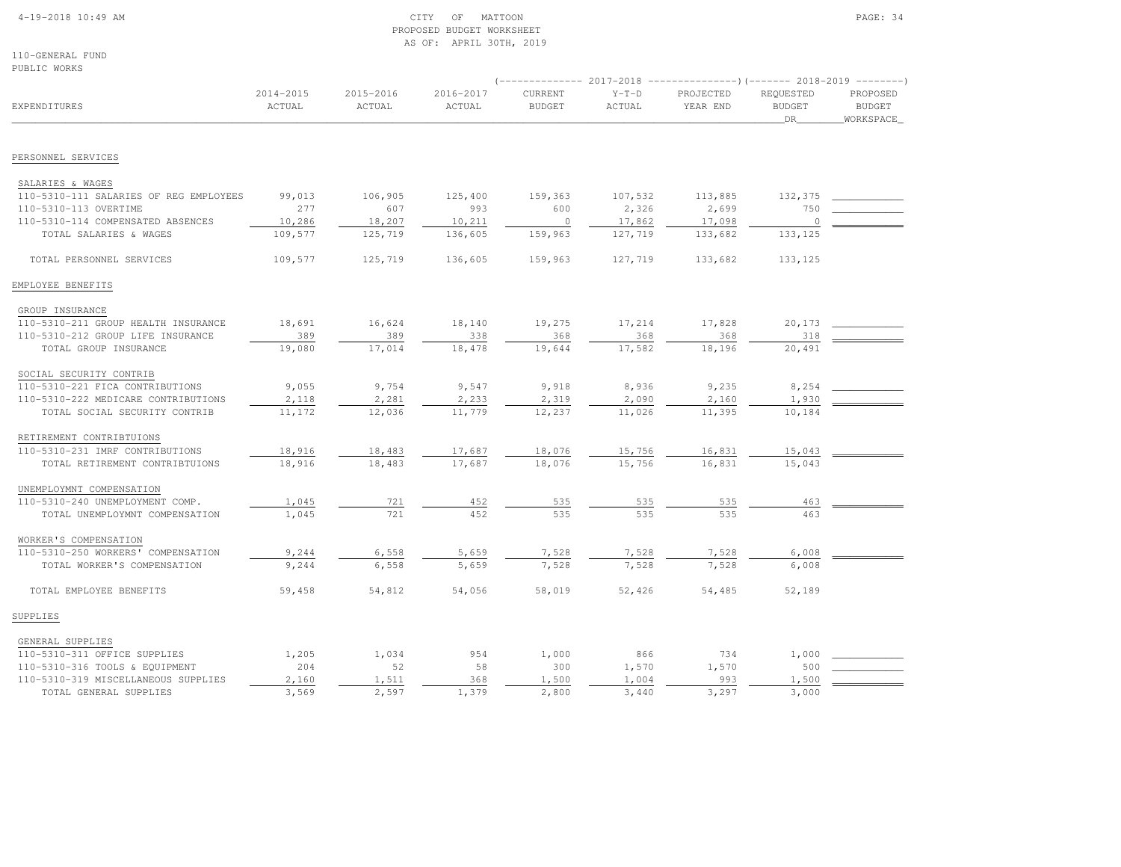### 4-19-2018 10:49 AM CITY OF MATTOON PAGE: 34 PROPOSED BUDGET WORKSHEETAS OF: APRIL 30TH, 2019

110-GENERAL FUNDPUBLIC WORKS

| <b>EXPENDITURES</b>                    |                     |                     |                     | $---------2017-2018$     |                   |                       |                                         |                                        |
|----------------------------------------|---------------------|---------------------|---------------------|--------------------------|-------------------|-----------------------|-----------------------------------------|----------------------------------------|
|                                        | 2014-2015<br>ACTUAL | 2015-2016<br>ACTUAL | 2016-2017<br>ACTUAL | CURRENT<br><b>BUDGET</b> | $Y-T-D$<br>ACTUAL | PROJECTED<br>YEAR END | REQUESTED<br><b>BUDGET</b><br><b>DR</b> | PROPOSED<br><b>BUDGET</b><br>WORKSPACE |
| PERSONNEL SERVICES                     |                     |                     |                     |                          |                   |                       |                                         |                                        |
|                                        |                     |                     |                     |                          |                   |                       |                                         |                                        |
| SALARIES & WAGES                       |                     |                     |                     |                          |                   |                       |                                         |                                        |
| 110-5310-111 SALARIES OF REG EMPLOYEES | 99,013              | 106,905             | 125,400             | 159,363                  | 107,532           | 113,885               | 132,375                                 |                                        |
| 110-5310-113 OVERTIME                  | 277                 | 607                 | 993                 | 600                      | 2,326             | 2,699                 | 750                                     |                                        |
| 110-5310-114 COMPENSATED ABSENCES      | 10,286              | 18,207              | 10,211              | $\overline{0}$           | 17,862            | 17,098                | $\circ$                                 |                                        |
| TOTAL SALARIES & WAGES                 | 109,577             | 125,719             | 136,605             | 159,963                  | 127,719           | 133,682               | 133,125                                 |                                        |
| TOTAL PERSONNEL SERVICES               | 109,577             | 125,719             | 136,605             | 159,963                  | 127,719           | 133,682               | 133,125                                 |                                        |
| EMPLOYEE BENEFITS                      |                     |                     |                     |                          |                   |                       |                                         |                                        |
| GROUP INSURANCE                        |                     |                     |                     |                          |                   |                       |                                         |                                        |
| 110-5310-211 GROUP HEALTH INSURANCE    | 18,691              | 16,624              | 18,140              | 19,275                   | 17,214            | 17,828                | 20,173                                  |                                        |
| 110-5310-212 GROUP LIFE INSURANCE      | 389                 | 389                 | 338                 | 368                      | 368               | 368                   | 318                                     |                                        |
| TOTAL GROUP INSURANCE                  | 19,080              | 17,014              | 18,478              | 19,644                   | 17,582            | 18,196                | 20,491                                  |                                        |
| SOCIAL SECURITY CONTRIB                |                     |                     |                     |                          |                   |                       |                                         |                                        |
| 110-5310-221 FICA CONTRIBUTIONS        | 9,055               | 9,754               | 9,547               | 9,918                    | 8,936             | 9,235                 | 8,254                                   |                                        |
| 110-5310-222 MEDICARE CONTRIBUTIONS    | 2,118               | 2,281               | 2,233               | 2,319                    | 2,090             | 2,160                 | 1,930                                   |                                        |
| TOTAL SOCIAL SECURITY CONTRIB          | 11,172              | 12,036              | 11,779              | 12,237                   | 11,026            | 11,395                | 10,184                                  |                                        |
| RETIREMENT CONTRIBTUIONS               |                     |                     |                     |                          |                   |                       |                                         |                                        |
| 110-5310-231 IMRF CONTRIBUTIONS        | 18,916              | 18,483              | 17,687              | 18,076                   | 15,756            | 16,831                | 15,043                                  |                                        |
| TOTAL RETIREMENT CONTRIBTUIONS         | 18,916              | 18,483              | 17,687              | 18,076                   | 15,756            | 16,831                | 15,043                                  |                                        |
| UNEMPLOYMNT COMPENSATION               |                     |                     |                     |                          |                   |                       |                                         |                                        |
| 110-5310-240 UNEMPLOYMENT COMP.        | 1,045               | 721                 | 452                 | 535                      | 535               | 535                   | 463                                     |                                        |
| TOTAL UNEMPLOYMNT COMPENSATION         | 1,045               | 721                 | 452                 | 535                      | 535               | 535                   | 463                                     |                                        |
| WORKER'S COMPENSATION                  |                     |                     |                     |                          |                   |                       |                                         |                                        |
| 110-5310-250 WORKERS' COMPENSATION     | 9,244               | 6,558               | 5,659               | 7,528                    | 7,528             | 7,528                 | 6,008                                   |                                        |
| TOTAL WORKER'S COMPENSATION            | 9,244               | 6,558               | 5,659               | 7,528                    | 7,528             | 7.528                 | 6,008                                   |                                        |
| TOTAL EMPLOYEE BENEFITS                | 59,458              | 54,812              | 54,056              | 58,019                   | 52,426            | 54,485                | 52,189                                  |                                        |
| SUPPLIES                               |                     |                     |                     |                          |                   |                       |                                         |                                        |
| GENERAL SUPPLIES                       |                     |                     |                     |                          |                   |                       |                                         |                                        |
| 110-5310-311 OFFICE SUPPLIES           | 1,205               | 1,034               | 954                 | 1,000                    | 866               | 734                   | 1,000                                   |                                        |
| 110-5310-316 TOOLS & EQUIPMENT         | 204                 | 52                  | 58                  | 300                      | 1,570             | 1,570                 | 500                                     |                                        |
| 110-5310-319 MISCELLANEOUS SUPPLIES    | 2,160               | 1,511               | 368                 | 1,500                    | 1,004             | 993                   | 1,500                                   |                                        |
| TOTAL GENERAL SUPPLIES                 | 3,569               | 2,597               | 1,379               | 2,800                    | 3,440             | 3,297                 | 3,000                                   |                                        |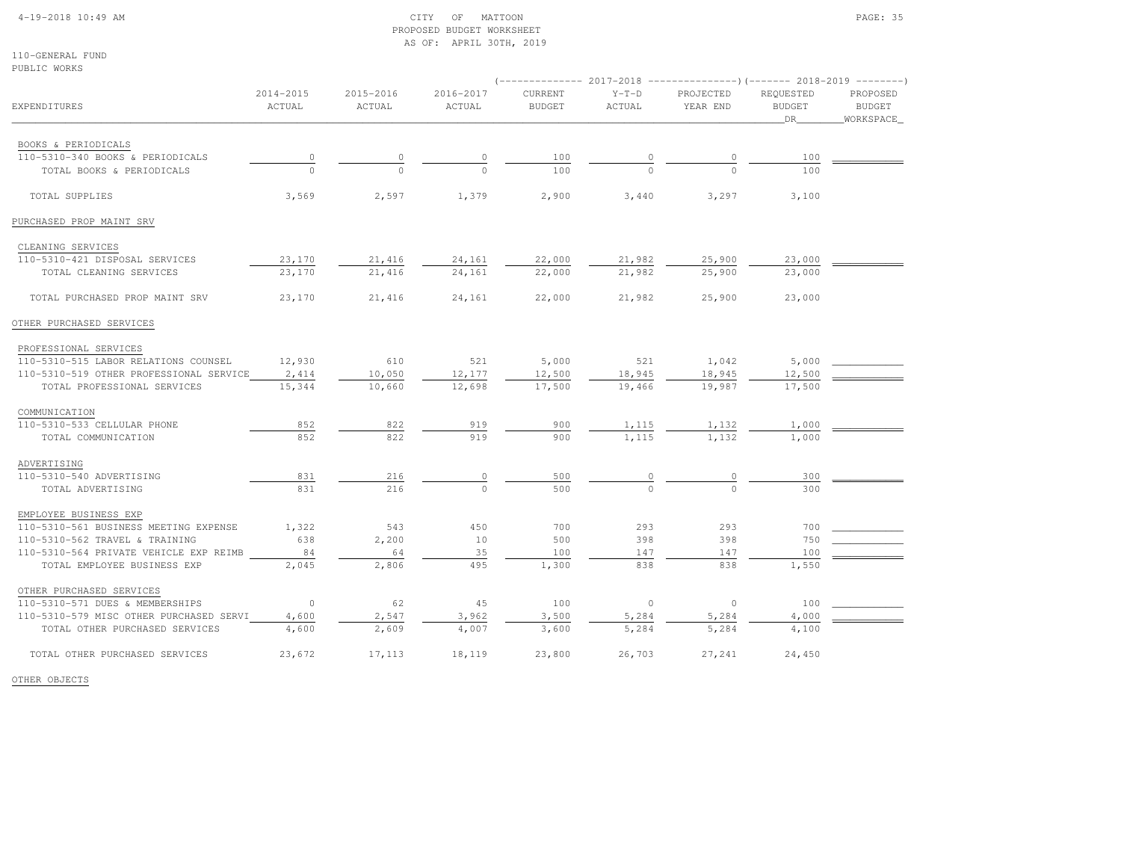### 4-19-2018 10:49 AM CITY OF MATTOON PAGE: 35 PROPOSED BUDGET WORKSHEETAS OF: APRIL 30TH, 2019

110-GENERAL FUNDPUBLIC WORKS

|                                         |                     |                     |                     |                          |                   | (-------------- 2017-2018 ----------------)(------- 2018-2019 --------) |                            |                                        |  |
|-----------------------------------------|---------------------|---------------------|---------------------|--------------------------|-------------------|-------------------------------------------------------------------------|----------------------------|----------------------------------------|--|
| <b>EXPENDITURES</b>                     | 2014-2015<br>ACTUAL | 2015-2016<br>ACTUAL | 2016-2017<br>ACTUAL | CURRENT<br><b>BUDGET</b> | $Y-T-D$<br>ACTUAL | PROJECTED<br>YEAR END                                                   | REQUESTED<br><b>BUDGET</b> | PROPOSED<br><b>BUDGET</b><br>WORKSPACE |  |
|                                         |                     |                     |                     |                          |                   |                                                                         | DR                         |                                        |  |
| BOOKS & PERIODICALS                     |                     |                     |                     |                          |                   |                                                                         |                            |                                        |  |
| 110-5310-340 BOOKS & PERIODICALS        | $\circ$             | 0                   |                     | 100                      |                   |                                                                         | 100                        |                                        |  |
| TOTAL BOOKS & PERIODICALS               |                     |                     |                     | 100                      |                   |                                                                         | 100                        |                                        |  |
| TOTAL SUPPLIES                          | 3,569               | 2,597               | 1,379               | 2,900                    | 3,440             | 3,297                                                                   | 3,100                      |                                        |  |
| PURCHASED PROP MAINT SRV                |                     |                     |                     |                          |                   |                                                                         |                            |                                        |  |
|                                         |                     |                     |                     |                          |                   |                                                                         |                            |                                        |  |
| CLEANING SERVICES                       |                     |                     |                     |                          |                   |                                                                         |                            |                                        |  |
| 110-5310-421 DISPOSAL SERVICES          | 23,170              | 21,416              | 24,161              | 22,000                   | 21,982            | 25,900                                                                  | 23,000                     |                                        |  |
| TOTAL CLEANING SERVICES                 | 23,170              | 21,416              | 24,161              | 22,000                   | 21,982            | 25,900                                                                  | 23,000                     |                                        |  |
| TOTAL PURCHASED PROP MAINT SRV          | 23,170              | 21,416              | 24,161              | 22,000                   | 21,982            | 25,900                                                                  | 23,000                     |                                        |  |
| OTHER PURCHASED SERVICES                |                     |                     |                     |                          |                   |                                                                         |                            |                                        |  |
| PROFESSIONAL SERVICES                   |                     |                     |                     |                          |                   |                                                                         |                            |                                        |  |
| 110-5310-515 LABOR RELATIONS COUNSEL    | 12,930              | 610                 | 521                 | 5,000                    | 521               | 1,042                                                                   | 5,000                      |                                        |  |
| 110-5310-519 OTHER PROFESSIONAL SERVICE | 2,414               | 10,050              | 12,177              | 12,500                   | 18,945            | 18,945                                                                  | 12,500                     |                                        |  |
| TOTAL PROFESSIONAL SERVICES             | 15,344              | 10,660              | 12,698              | 17,500                   | 19,466            | 19,987                                                                  | 17,500                     |                                        |  |
| COMMUNICATION                           |                     |                     |                     |                          |                   |                                                                         |                            |                                        |  |
| 110-5310-533 CELLULAR PHONE             | 852                 | 822                 | 919                 | 900                      | 1,115             | 1,132                                                                   | 1,000                      |                                        |  |
| TOTAL COMMUNICATION                     | 852                 | 822                 | 919                 | 900                      | 1,115             | 1,132                                                                   | 1,000                      |                                        |  |
| ADVERTISING                             |                     |                     |                     |                          |                   |                                                                         |                            |                                        |  |
| 110-5310-540 ADVERTISING                | 831                 | 216                 | 0                   | 500                      | 0                 | 0                                                                       | 300                        |                                        |  |
| TOTAL ADVERTISING                       | 831                 | 216                 | $\Omega$            | 500                      | $\cap$            | $\Omega$                                                                | 300                        |                                        |  |
| EMPLOYEE BUSINESS EXP                   |                     |                     |                     |                          |                   |                                                                         |                            |                                        |  |
| 110-5310-561 BUSINESS MEETING EXPENSE   | 1,322               | 543                 | 450                 | 700                      | 293               | 293                                                                     | 700                        |                                        |  |
| 110-5310-562 TRAVEL & TRAINING          | 638                 | 2,200               | 10                  | 500                      | 398               | 398                                                                     | 750                        |                                        |  |
| 110-5310-564 PRIVATE VEHICLE EXP REIMB  | 84                  | 64                  | 35                  | 100                      | 147               | 147                                                                     | 100                        |                                        |  |
| TOTAL EMPLOYEE BUSINESS EXP             | 2,045               | 2,806               | 495                 | 1,300                    | 838               | 838                                                                     | 1,550                      |                                        |  |
| OTHER PURCHASED SERVICES                |                     |                     |                     |                          |                   |                                                                         |                            |                                        |  |
| 110-5310-571 DUES & MEMBERSHIPS         | $\overline{0}$      | 62                  | 45                  | 100                      | $\Omega$          | $\circ$                                                                 | 100                        |                                        |  |
| 110-5310-579 MISC OTHER PURCHASED SERVI | 4,600               | 2,547               | 3,962               | 3,500                    | 5,284             | 5,284                                                                   | 4,000                      |                                        |  |
| TOTAL OTHER PURCHASED SERVICES          | 4,600               | 2,609               | 4,007               | 3,600                    | 5,284             | 5,284                                                                   | 4,100                      |                                        |  |
| TOTAL OTHER PURCHASED SERVICES          | 23,672              | 17,113              | 18,119              | 23,800                   | 26,703            | 27,241                                                                  | 24,450                     |                                        |  |

OTHER OBJECTS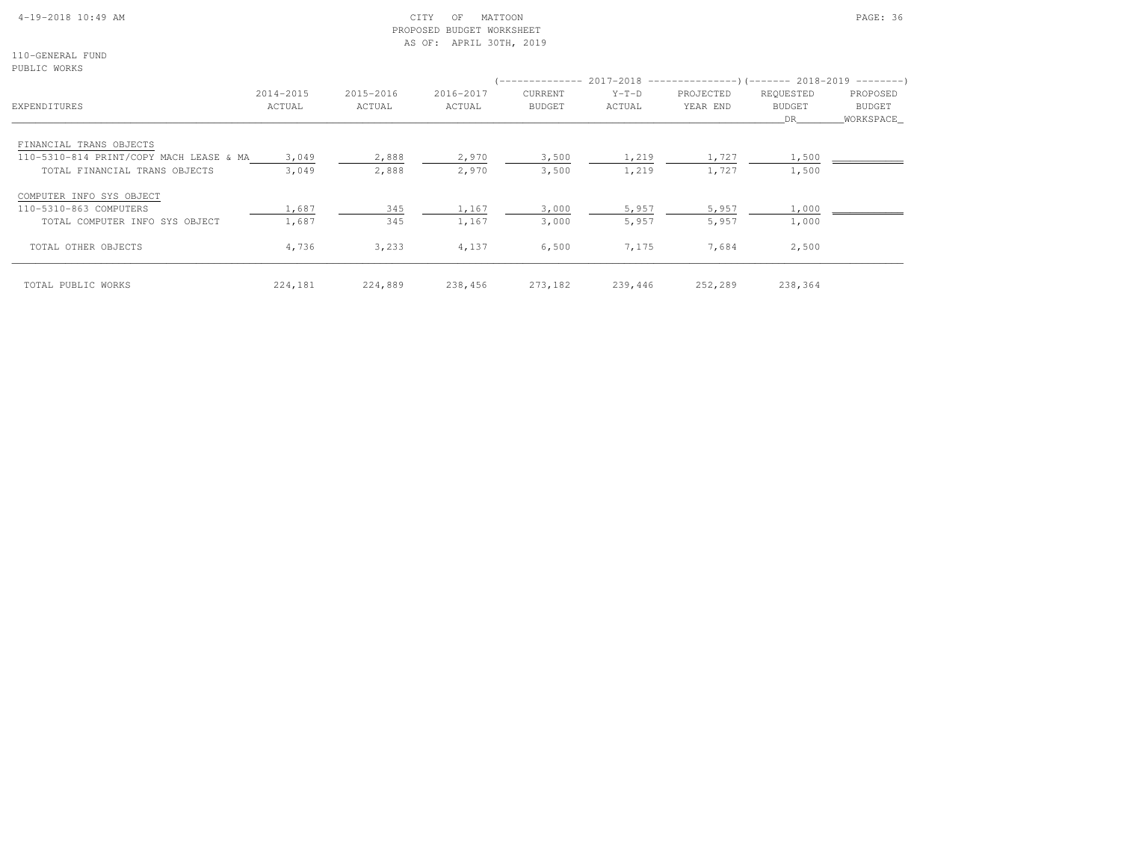# 4-19-2018 10:49 AM CITY OF MATTOON PAGE: 36 PROPOSED BUDGET WORKSHEETAS OF: APRIL 30TH, 2019

110-GENERAL FUNDPUBLIC WORKS

| LADATA MAVYA                            |                     |                     |                     |                          |                   | (-------------- 2017-2018 --------------------- 2018-2019 ---------- ) |                                   |                                 |
|-----------------------------------------|---------------------|---------------------|---------------------|--------------------------|-------------------|------------------------------------------------------------------------|-----------------------------------|---------------------------------|
| EXPENDITURES                            | 2014-2015<br>ACTUAL | 2015-2016<br>ACTUAL | 2016-2017<br>ACTUAL | CURRENT<br><b>BUDGET</b> | $Y-T-D$<br>ACTUAL | PROJECTED<br>YEAR END                                                  | REQUESTED<br><b>BUDGET</b><br>DR. | PROPOSED<br>BUDGET<br>WORKSPACE |
| FINANCIAL TRANS OBJECTS                 |                     |                     |                     |                          |                   |                                                                        |                                   |                                 |
| 110-5310-814 PRINT/COPY MACH LEASE & MA | 3,049               | 2,888               | 2,970               | 3,500                    | 1,219             | 1,727                                                                  | 1,500                             |                                 |
| TOTAL FINANCIAL TRANS OBJECTS           | 3,049               | 2,888               | 2,970               | 3,500                    | 1,219             | 1,727                                                                  | 1,500                             |                                 |
| COMPUTER INFO SYS OBJECT                |                     |                     |                     |                          |                   |                                                                        |                                   |                                 |
| 110-5310-863 COMPUTERS                  | 1,687               | 345                 | 1,167               | 3,000                    | 5,957             | 5,957                                                                  | 1,000                             |                                 |
| TOTAL COMPUTER INFO SYS OBJECT          | 1,687               | 345                 | 1,167               | 3,000                    | 5,957             | 5,957                                                                  | 1,000                             |                                 |
| TOTAL OTHER OBJECTS                     | 4,736               | 3,233               | 4,137               | 6,500                    | 7,175             | 7,684                                                                  | 2,500                             |                                 |
| TOTAL PUBLIC WORKS                      | 224,181             | 224,889             | 238,456             | 273,182                  | 239,446           | 252,289                                                                | 238,364                           |                                 |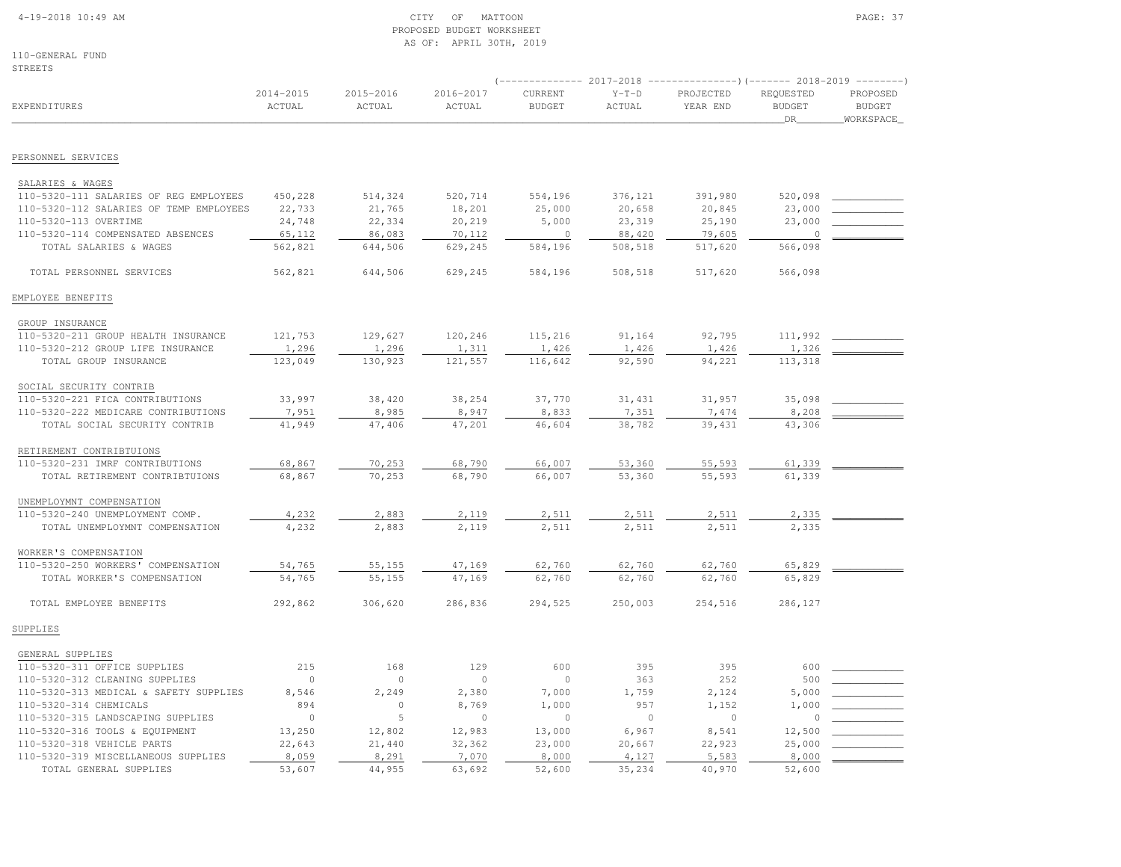#### 4-19-2018 10:49 AM CITY OF MATTOON PAGE: 37 PROPOSED BUDGET WORKSHEETAS OF: APRIL 30TH, 2019

110-GENERAL FUNDSTREETS

|                                         |                     |                     |                     |                          |                   | $(-$ ------------- 2017-2018 -----------------) (------- 2018-2019 ---------) |                                   |                                         |
|-----------------------------------------|---------------------|---------------------|---------------------|--------------------------|-------------------|-------------------------------------------------------------------------------|-----------------------------------|-----------------------------------------|
| <b>EXPENDITURES</b>                     | 2014-2015<br>ACTUAL | 2015-2016<br>ACTUAL | 2016-2017<br>ACTUAL | CURRENT<br><b>BUDGET</b> | $Y-T-D$<br>ACTUAL | PROJECTED<br>YEAR END                                                         | REQUESTED<br><b>BUDGET</b><br>DR. | PROPOSED<br><b>BUDGET</b><br>WORKSPACE_ |
| PERSONNEL SERVICES                      |                     |                     |                     |                          |                   |                                                                               |                                   |                                         |
|                                         |                     |                     |                     |                          |                   |                                                                               |                                   |                                         |
| SALARIES & WAGES                        |                     |                     |                     |                          |                   |                                                                               |                                   |                                         |
| 110-5320-111 SALARIES OF REG EMPLOYEES  | 450,228             | 514,324             | 520,714             | 554,196                  | 376,121           | 391,980                                                                       | 520,098                           |                                         |
| 110-5320-112 SALARIES OF TEMP EMPLOYEES | 22,733              | 21,765              | 18,201              | 25,000                   | 20,658            | 20,845                                                                        | 23,000                            |                                         |
| 110-5320-113 OVERTIME                   | 24,748              | 22,334              | 20,219              | 5,000                    | 23,319            | 25,190                                                                        | 23,000<br>$\circ$                 |                                         |
| 110-5320-114 COMPENSATED ABSENCES       | 65,112              | 86,083              | 70,112              | $\circ$                  | 88,420            | 79,605                                                                        |                                   |                                         |
| TOTAL SALARIES & WAGES                  | 562,821             | 644,506             | 629,245             | 584,196                  | 508,518           | 517,620                                                                       | 566,098                           |                                         |
| TOTAL PERSONNEL SERVICES                | 562,821             | 644,506             | 629,245             | 584,196                  | 508,518           | 517,620                                                                       | 566,098                           |                                         |
| EMPLOYEE BENEFITS                       |                     |                     |                     |                          |                   |                                                                               |                                   |                                         |
| GROUP INSURANCE                         |                     |                     |                     |                          |                   |                                                                               |                                   |                                         |
| 110-5320-211 GROUP HEALTH INSURANCE     | 121,753             | 129,627             | 120,246             | 115,216                  | 91,164            | 92,795                                                                        | 111,992                           |                                         |
| 110-5320-212 GROUP LIFE INSURANCE       | 1,296               | 1,296               | 1,311               | 1,426                    | 1,426             | 1,426                                                                         | 1,326                             |                                         |
| TOTAL GROUP INSURANCE                   | 123,049             | 130,923             | 121,557             | 116,642                  | 92,590            | 94,221                                                                        | 113,318                           |                                         |
| SOCIAL SECURITY CONTRIB                 |                     |                     |                     |                          |                   |                                                                               |                                   |                                         |
| 110-5320-221 FICA CONTRIBUTIONS         | 33,997              | 38,420              | 38,254              | 37,770                   | 31, 431           | 31,957                                                                        | 35,098                            |                                         |
| 110-5320-222 MEDICARE CONTRIBUTIONS     | 7,951               | 8,985               | 8,947               | 8,833                    | 7,351             | 7,474                                                                         | 8,208                             |                                         |
| TOTAL SOCIAL SECURITY CONTRIB           | 41,949              | 47,406              | 47,201              | 46,604                   | 38,782            | 39,431                                                                        | 43,306                            |                                         |
|                                         |                     |                     |                     |                          |                   |                                                                               |                                   |                                         |
| RETIREMENT CONTRIBTUIONS                |                     |                     |                     |                          |                   |                                                                               |                                   |                                         |
| 110-5320-231 IMRF CONTRIBUTIONS         | 68,867              | 70,253              | 68,790              | 66,007                   | 53,360            | 55,593                                                                        | 61,339                            |                                         |
| TOTAL RETIREMENT CONTRIBTUIONS          | 68,867              | 70,253              | 68,790              | 66,007                   | 53,360            | 55,593                                                                        | 61,339                            |                                         |
| UNEMPLOYMNT COMPENSATION                |                     |                     |                     |                          |                   |                                                                               |                                   |                                         |
| 110-5320-240 UNEMPLOYMENT COMP.         | 4,232               | 2,883               | 2,119               | 2,511                    | 2,511             | 2,511                                                                         | 2,335                             |                                         |
| TOTAL UNEMPLOYMNT COMPENSATION          | 4,232               | 2,883               | 2,119               | 2,511                    | 2,511             | 2.511                                                                         | 2,335                             |                                         |
| WORKER'S COMPENSATION                   |                     |                     |                     |                          |                   |                                                                               |                                   |                                         |
| 110-5320-250 WORKERS' COMPENSATION      | 54,765              | 55,155              | 47,169              | 62,760                   | 62,760            | 62,760                                                                        | 65,829                            |                                         |
| TOTAL WORKER'S COMPENSATION             | 54,765              | 55,155              | 47,169              | 62,760                   | 62,760            | 62,760                                                                        | 65,829                            |                                         |
| TOTAL EMPLOYEE BENEFITS                 | 292,862             | 306,620             | 286,836             | 294,525                  | 250,003           | 254,516                                                                       | 286,127                           |                                         |
| SUPPLIES                                |                     |                     |                     |                          |                   |                                                                               |                                   |                                         |
| GENERAL SUPPLIES                        |                     |                     |                     |                          |                   |                                                                               |                                   |                                         |
| 110-5320-311 OFFICE SUPPLIES            | 215                 | 168                 | 129                 | 600                      | 395               | 395                                                                           | 600                               |                                         |
| 110-5320-312 CLEANING SUPPLIES          | $\overline{0}$      | $\circ$             | $\circ$             | $\circ$                  | 363               | 252                                                                           | 500                               |                                         |
| 110-5320-313 MEDICAL & SAFETY SUPPLIES  | 8,546               | 2,249               | 2,380               | 7,000                    | 1,759             | 2,124                                                                         | 5,000                             |                                         |
| 110-5320-314 CHEMICALS                  | 894                 | $\circ$             | 8,769               | 1,000                    | 957               | 1,152                                                                         | 1,000                             |                                         |
| 110-5320-315 LANDSCAPING SUPPLIES       | $\Omega$            | 5                   | $\Omega$            | $\Omega$                 | $\circ$           | $\Omega$                                                                      | $\circ$                           |                                         |
| 110-5320-316 TOOLS & EQUIPMENT          | 13,250              | 12,802              | 12,983              | 13,000                   | 6,967             | 8,541                                                                         | 12,500                            |                                         |
| 110-5320-318 VEHICLE PARTS              | 22,643              | 21,440              | 32,362              | 23,000                   | 20,667            | 22,923                                                                        | 25,000                            |                                         |
| 110-5320-319 MISCELLANEOUS SUPPLIES     | 8,059               | 8,291               | 7,070               | 8,000                    | 4,127             | 5,583                                                                         | 8,000                             |                                         |
| TOTAL GENERAL SUPPLIES                  | 53,607              | 44,955              | 63,692              | 52,600                   | 35,234            | 40,970                                                                        | 52,600                            |                                         |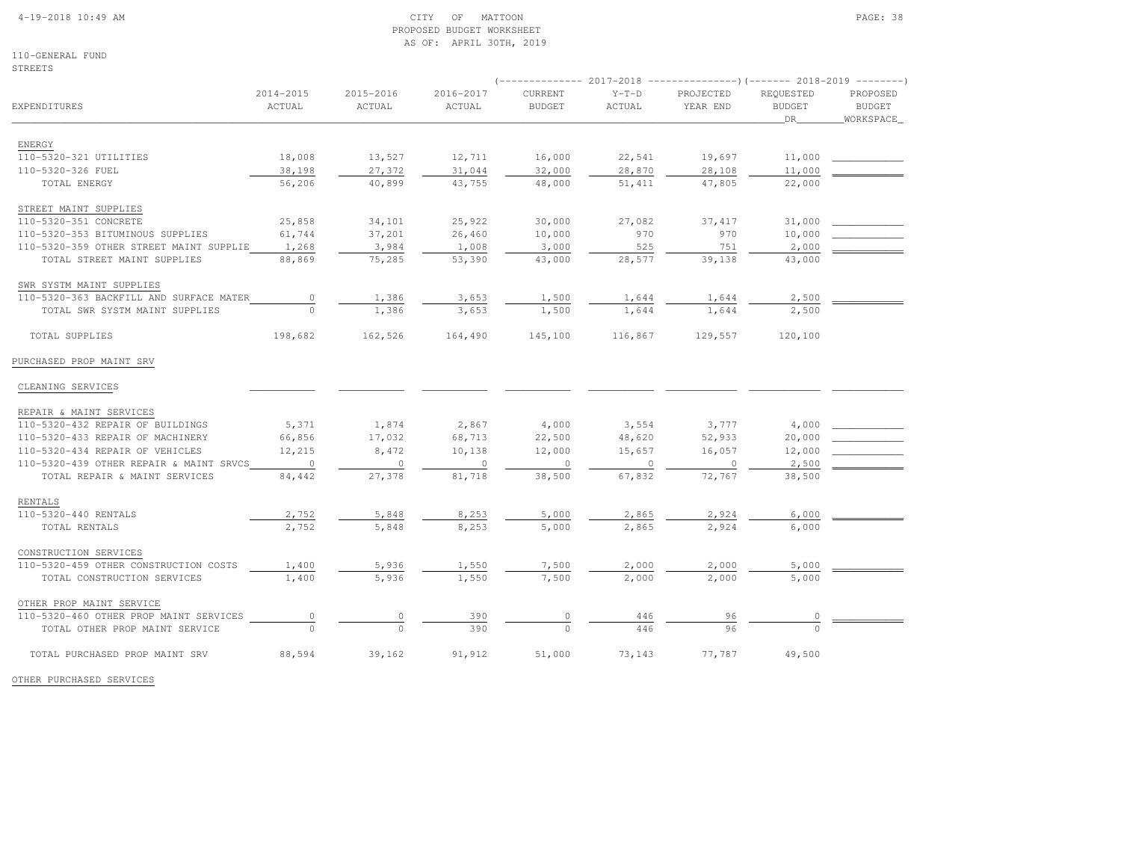#### 4-19-2018 10:49 AM CITY OF MATTOON PAGE: 38 PROPOSED BUDGET WORKSHEETAS OF: APRIL 30TH, 2019

110-GENERAL FUNDSTREETS

|                                         |                         |                     |                     | $---------2017-2018$     |                          | ----------------) (------- 2018-2019 ---------) |                                  |                                        |
|-----------------------------------------|-------------------------|---------------------|---------------------|--------------------------|--------------------------|-------------------------------------------------|----------------------------------|----------------------------------------|
| EXPENDITURES                            | $2014 - 2015$<br>ACTUAL | 2015-2016<br>ACTUAL | 2016-2017<br>ACTUAL | CURRENT<br><b>BUDGET</b> | $Y-T-D$<br><b>ACTUAL</b> | PROJECTED<br>YEAR END                           | REQUESTED<br><b>BUDGET</b><br>DR | PROPOSED<br><b>BUDGET</b><br>WORKSPACE |
|                                         |                         |                     |                     |                          |                          |                                                 |                                  |                                        |
| <b>ENERGY</b><br>110-5320-321 UTILITIES |                         |                     |                     |                          |                          |                                                 |                                  |                                        |
| 110-5320-326 FUEL                       | 18,008<br>38,198        | 13,527<br>27,372    | 12,711<br>31,044    | 16,000<br>32,000         | 22,541<br>28,870         | 19,697<br>28,108                                | 11,000<br>11,000                 |                                        |
| TOTAL ENERGY                            | 56,206                  | 40,899              | 43,755              | 48,000                   | 51,411                   | 47,805                                          | 22,000                           |                                        |
|                                         |                         |                     |                     |                          |                          |                                                 |                                  |                                        |
| STREET MAINT SUPPLIES                   |                         |                     |                     |                          |                          |                                                 |                                  |                                        |
| 110-5320-351 CONCRETE                   | 25,858                  | 34,101              | 25,922              | 30,000                   | 27,082                   | 37, 417                                         | 31,000                           |                                        |
| 110-5320-353 BITUMINOUS SUPPLIES        | 61,744                  | 37,201              | 26,460              | 10,000                   | 970                      | 970                                             | 10,000                           |                                        |
| 110-5320-359 OTHER STREET MAINT SUPPLIE | 1,268                   | 3,984               | 1,008               | 3,000                    | 525                      | 751                                             | 2,000                            |                                        |
| TOTAL STREET MAINT SUPPLIES             | 88,869                  | 75,285              | 53,390              | 43,000                   | 28,577                   | 39,138                                          | 43,000                           |                                        |
| SWR SYSTM MAINT SUPPLIES                |                         |                     |                     |                          |                          |                                                 |                                  |                                        |
| 110-5320-363 BACKFILL AND SURFACE MATER | $\mathbb O$             | 1,386               | 3,653               | 1,500                    | 1,644                    | 1,644                                           | 2,500                            |                                        |
| TOTAL SWR SYSTM MAINT SUPPLIES          | $\mathbf{0}$            | 1,386               | 3,653               | 1,500                    | 1,644                    | 1,644                                           | 2,500                            |                                        |
| TOTAL SUPPLIES                          | 198,682                 | 162,526             | 164,490             | 145,100                  | 116,867                  | 129,557                                         | 120,100                          |                                        |
| PURCHASED PROP MAINT SRV                |                         |                     |                     |                          |                          |                                                 |                                  |                                        |
| CLEANING SERVICES                       |                         |                     |                     |                          |                          |                                                 |                                  |                                        |
| REPAIR & MAINT SERVICES                 |                         |                     |                     |                          |                          |                                                 |                                  |                                        |
| 110-5320-432 REPAIR OF BUILDINGS        | 5,371                   | 1,874               | 2,867               | 4,000                    | 3,554                    | 3,777                                           | 4,000                            |                                        |
| 110-5320-433 REPAIR OF MACHINERY        | 66,856                  | 17,032              | 68,713              | 22,500                   | 48,620                   | 52,933                                          | 20,000                           |                                        |
| 110-5320-434 REPAIR OF VEHICLES         | 12,215                  | 8,472               | 10,138              | 12,000                   | 15,657                   | 16,057                                          | 12,000                           |                                        |
| 110-5320-439 OTHER REPAIR & MAINT SRVCS | $\circ$                 | 0                   | $\circ$             | $\circ$                  | $\circ$                  | $\mathbf{0}$                                    | 2,500                            |                                        |
| TOTAL REPAIR & MAINT SERVICES           | 84,442                  | 27,378              | 81,718              | 38,500                   | 67,832                   | 72,767                                          | 38,500                           |                                        |
|                                         |                         |                     |                     |                          |                          |                                                 |                                  |                                        |
| RENTALS                                 |                         |                     |                     |                          |                          |                                                 |                                  |                                        |
| 110-5320-440 RENTALS                    | 2,752                   | 5,848               | 8,253               | 5,000                    | 2,865                    | 2,924                                           | 6,000                            |                                        |
| TOTAL RENTALS                           | 2,752                   | 5,848               | 8,253               | 5,000                    | 2,865                    | 2,924                                           | 6,000                            |                                        |
| CONSTRUCTION SERVICES                   |                         |                     |                     |                          |                          |                                                 |                                  |                                        |
| 110-5320-459 OTHER CONSTRUCTION COSTS   | 1,400                   | 5,936               | 1,550               | 7,500                    | 2,000                    | 2,000                                           | 5,000                            |                                        |
| TOTAL CONSTRUCTION SERVICES             | 1,400                   | 5,936               | 1,550               | 7,500                    | 2,000                    | 2,000                                           | 5,000                            |                                        |
| OTHER PROP MAINT SERVICE                |                         |                     |                     |                          |                          |                                                 |                                  |                                        |
| 110-5320-460 OTHER PROP MAINT SERVICES  | 0                       | $\mathbb O$         | 390                 | $\mathbb O$              | 446                      | 96                                              | $\mathbb O$                      |                                        |
| TOTAL OTHER PROP MAINT SERVICE          | $\Omega$                | $\Omega$            | 390                 | $\Omega$                 | 446                      | 96                                              | $\Omega$                         |                                        |
| TOTAL PURCHASED PROP MAINT SRV          | 88,594                  | 39,162              | 91,912              | 51,000                   | 73,143                   | 77,787                                          | 49,500                           |                                        |

OTHER PURCHASED SERVICES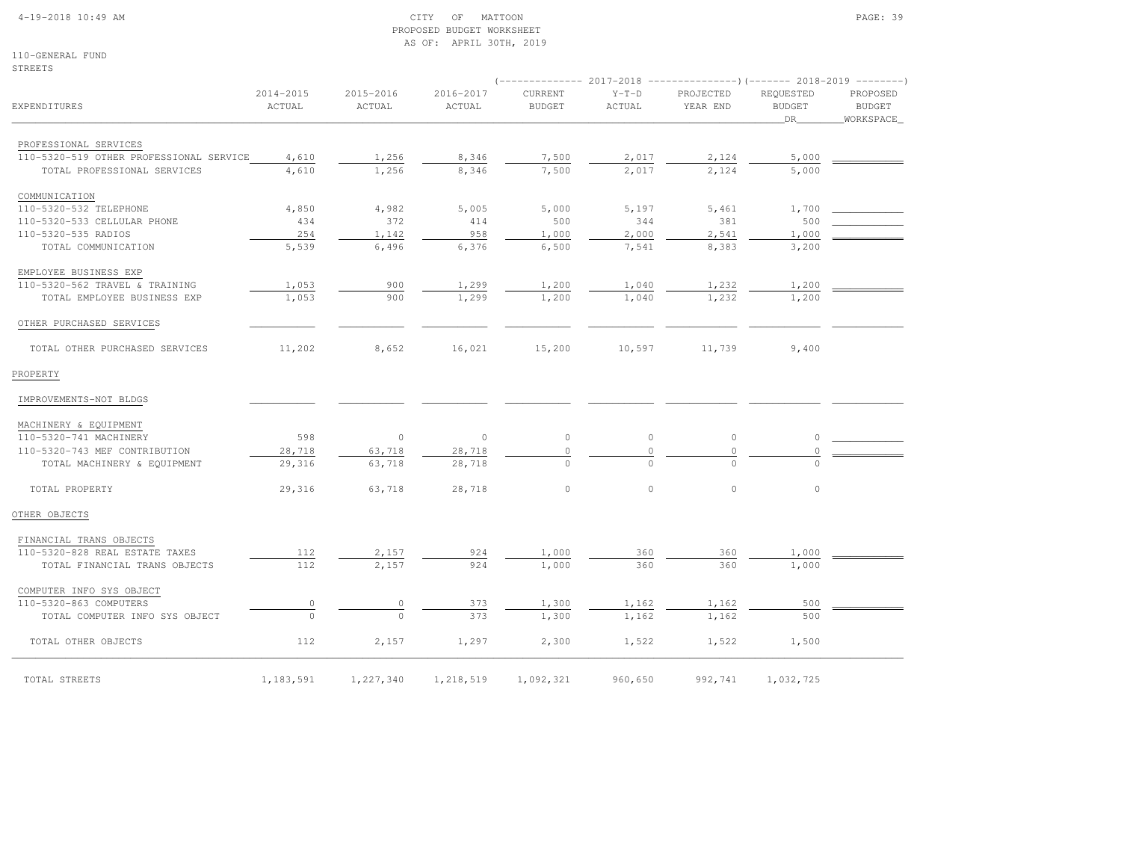### 4-19-2018 10:49 AM CITY OF MATTOON PAGE: 39 PROPOSED BUDGET WORKSHEETAS OF: APRIL 30TH, 2019

110-GENERAL FUNDSTREETS

|                                         |                     |                     |                     | $(----------2017-2018$ ---------------) (------- 2018-2019 -------) |                   |                       |                                  |                                        |
|-----------------------------------------|---------------------|---------------------|---------------------|---------------------------------------------------------------------|-------------------|-----------------------|----------------------------------|----------------------------------------|
| <b>EXPENDITURES</b>                     | 2014-2015<br>ACTUAL | 2015-2016<br>ACTUAL | 2016-2017<br>ACTUAL | CURRENT<br><b>BUDGET</b>                                            | $Y-T-D$<br>ACTUAL | PROJECTED<br>YEAR END | REQUESTED<br><b>BUDGET</b><br>DR | PROPOSED<br><b>BUDGET</b><br>WORKSPACE |
| PROFESSIONAL SERVICES                   |                     |                     |                     |                                                                     |                   |                       |                                  |                                        |
| 110-5320-519 OTHER PROFESSIONAL SERVICE | 4,610               | 1,256               | 8,346               | 7,500                                                               | 2,017             | 2,124                 | 5,000                            |                                        |
| TOTAL PROFESSIONAL SERVICES             | 4,610               | 1,256               | 8,346               | 7,500                                                               | 2,017             | 2,124                 | 5,000                            |                                        |
| COMMUNICATION                           |                     |                     |                     |                                                                     |                   |                       |                                  |                                        |
| 110-5320-532 TELEPHONE                  | 4,850               | 4,982               | 5,005               | 5,000                                                               | 5,197             | 5,461                 | 1,700                            |                                        |
| 110-5320-533 CELLULAR PHONE             | 434                 | 372                 | 414                 | 500                                                                 | 344               | 381                   | 500                              |                                        |
| 110-5320-535 RADIOS                     | 254                 | 1,142               | 958                 | 1,000                                                               | 2,000             | 2,541                 | 1,000                            |                                        |
| TOTAL COMMUNICATION                     | 5,539               | 6,496               | 6,376               | 6,500                                                               | 7,541             | 8,383                 | 3,200                            |                                        |
| EMPLOYEE BUSINESS EXP                   |                     |                     |                     |                                                                     |                   |                       |                                  |                                        |
| 110-5320-562 TRAVEL & TRAINING          | 1,053               | 900                 | 1,299               | 1,200                                                               | 1,040             | 1,232                 | 1,200                            |                                        |
| TOTAL EMPLOYEE BUSINESS EXP             | 1,053               | 900                 | 1,299               | 1,200                                                               | 1,040             | 1,232                 | 1,200                            |                                        |
| OTHER PURCHASED SERVICES                |                     |                     |                     |                                                                     |                   |                       |                                  |                                        |
| TOTAL OTHER PURCHASED SERVICES          | 11,202              | 8,652               | 16,021              | 15,200                                                              | 10,597            | 11,739                | 9,400                            |                                        |
| PROPERTY                                |                     |                     |                     |                                                                     |                   |                       |                                  |                                        |
| IMPROVEMENTS-NOT BLDGS                  |                     |                     |                     |                                                                     |                   |                       |                                  |                                        |
| MACHINERY & EQUIPMENT                   |                     |                     |                     |                                                                     |                   |                       |                                  |                                        |
| 110-5320-741 MACHINERY                  | 598                 | $\circ$             | $\circ$             | $\circ$                                                             | $\circ$           | $\circ$               | 0                                |                                        |
| 110-5320-743 MEF CONTRIBUTION           | 28,718              | 63,718              | 28,718              | $\circ$                                                             | $\circ$           | $\circ$               | $\Omega$                         |                                        |
| TOTAL MACHINERY & EQUIPMENT             | 29,316              | 63,718              | 28,718              | $\circ$                                                             | $\Omega$          | $\Omega$              | $\Omega$                         |                                        |
| TOTAL PROPERTY                          | 29,316              | 63,718              | 28,718              | $\circ$                                                             | $\circ$           | $\circ$               | $\circ$                          |                                        |
| OTHER OBJECTS                           |                     |                     |                     |                                                                     |                   |                       |                                  |                                        |
| FINANCIAL TRANS OBJECTS                 |                     |                     |                     |                                                                     |                   |                       |                                  |                                        |
| 110-5320-828 REAL ESTATE TAXES          | 112                 | 2,157               | 924                 | 1,000                                                               | 360               | 360                   | 1,000                            |                                        |
| TOTAL FINANCIAL TRANS OBJECTS           | 112                 | 2,157               | 924                 | 1,000                                                               | 360               | 360                   | 1,000                            |                                        |
| COMPUTER INFO SYS OBJECT                |                     |                     |                     |                                                                     |                   |                       |                                  |                                        |
| 110-5320-863 COMPUTERS                  | $\mathbb O$         | $\overline{0}$      | 373                 | 1,300                                                               | 1,162             | 1,162                 | 500                              |                                        |
| TOTAL COMPUTER INFO SYS OBJECT          | $\Omega$            | $\Omega$            | 373                 | 1,300                                                               | 1,162             | 1,162                 | 500                              |                                        |
| TOTAL OTHER OBJECTS                     | 112                 | 2,157               | 1,297               | 2,300                                                               | 1,522             | 1,522                 | 1,500                            |                                        |
| TOTAL STREETS                           | 1,183,591           | 1,227,340           | 1,218,519           | 1,092,321                                                           | 960,650           | 992,741               | 1,032,725                        |                                        |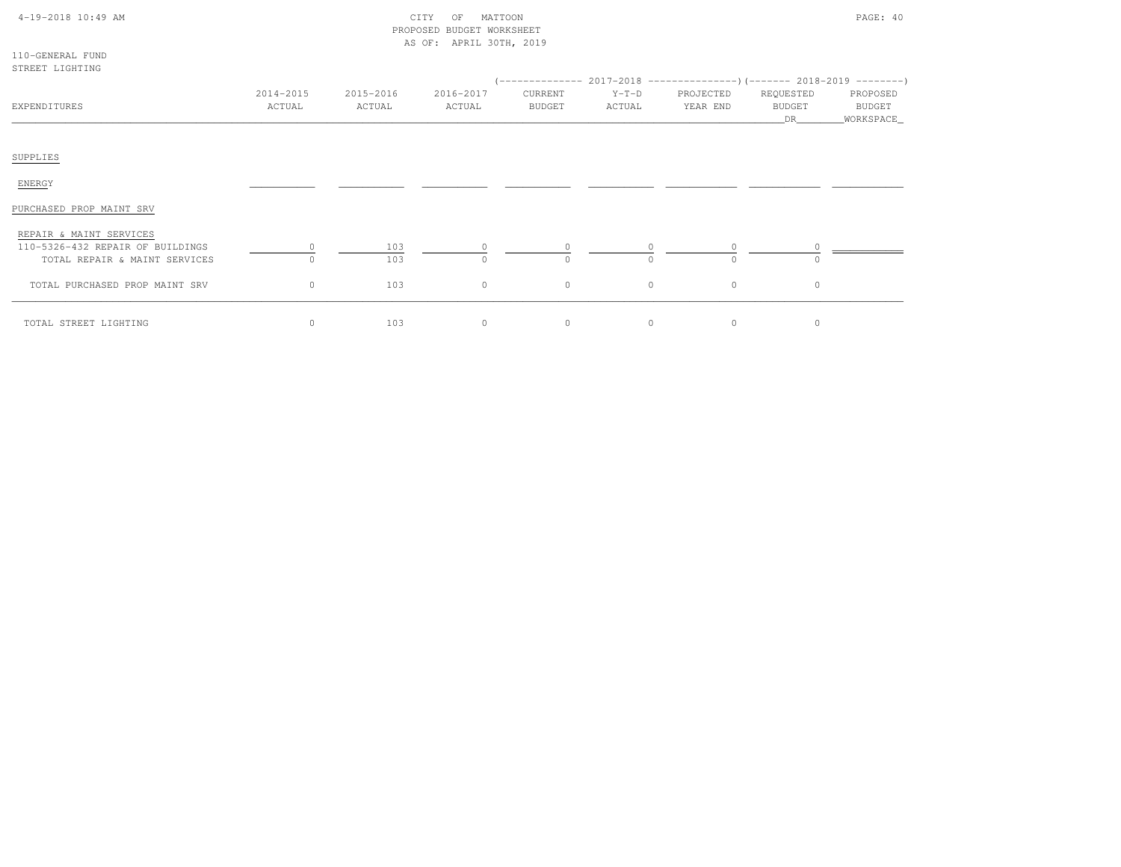| 4-19-2018 10:49 AM |  |  |
|--------------------|--|--|
|--------------------|--|--|

# $\begin{array}{ccc} \text{CITY} & \text{OF} & \text{MATION} \end{array}$  PROPOSED BUDGET WORKSHEETAS OF: APRIL 30TH, 2019

110-GENERAL FUNDSTREET LIGHTING

| OINDII DIUNINU                                                  |                     |                     |                     |                     |                   | $($ -------------- 2017-2018 ----------------) (------- 2018-2019 ---------) |                                  |                                   |
|-----------------------------------------------------------------|---------------------|---------------------|---------------------|---------------------|-------------------|------------------------------------------------------------------------------|----------------------------------|-----------------------------------|
| EXPENDITURES                                                    | 2014-2015<br>ACTUAL | 2015-2016<br>ACTUAL | 2016-2017<br>ACTUAL | CURRENT<br>BUDGET   | $Y-T-D$<br>ACTUAL | PROJECTED<br>YEAR END                                                        | REQUESTED<br><b>BUDGET</b><br>DR | PROPOSED<br>BUDGET<br>_WORKSPACE_ |
| SUPPLIES                                                        |                     |                     |                     |                     |                   |                                                                              |                                  |                                   |
| ENERGY                                                          |                     |                     |                     |                     |                   |                                                                              |                                  |                                   |
| PURCHASED PROP MAINT SRV                                        |                     |                     |                     |                     |                   |                                                                              |                                  |                                   |
| REPAIR & MAINT SERVICES<br>110-5326-432 REPAIR OF BUILDINGS     |                     | 103                 | $\circ$             | $\circ$             | $\circ$           | $\circ$                                                                      |                                  |                                   |
| TOTAL REPAIR & MAINT SERVICES<br>TOTAL PURCHASED PROP MAINT SRV | $\circ$             | 103<br>103          | $\Omega$<br>$\circ$ | $\Omega$<br>$\circ$ | $\cap$<br>$\circ$ | $\Omega$<br>$\circ$                                                          | $\circ$                          |                                   |
| TOTAL STREET LIGHTING                                           | $\circ$             | 103                 | $\circ$             | $\circ$             | $\circ$           | 0                                                                            | 0                                |                                   |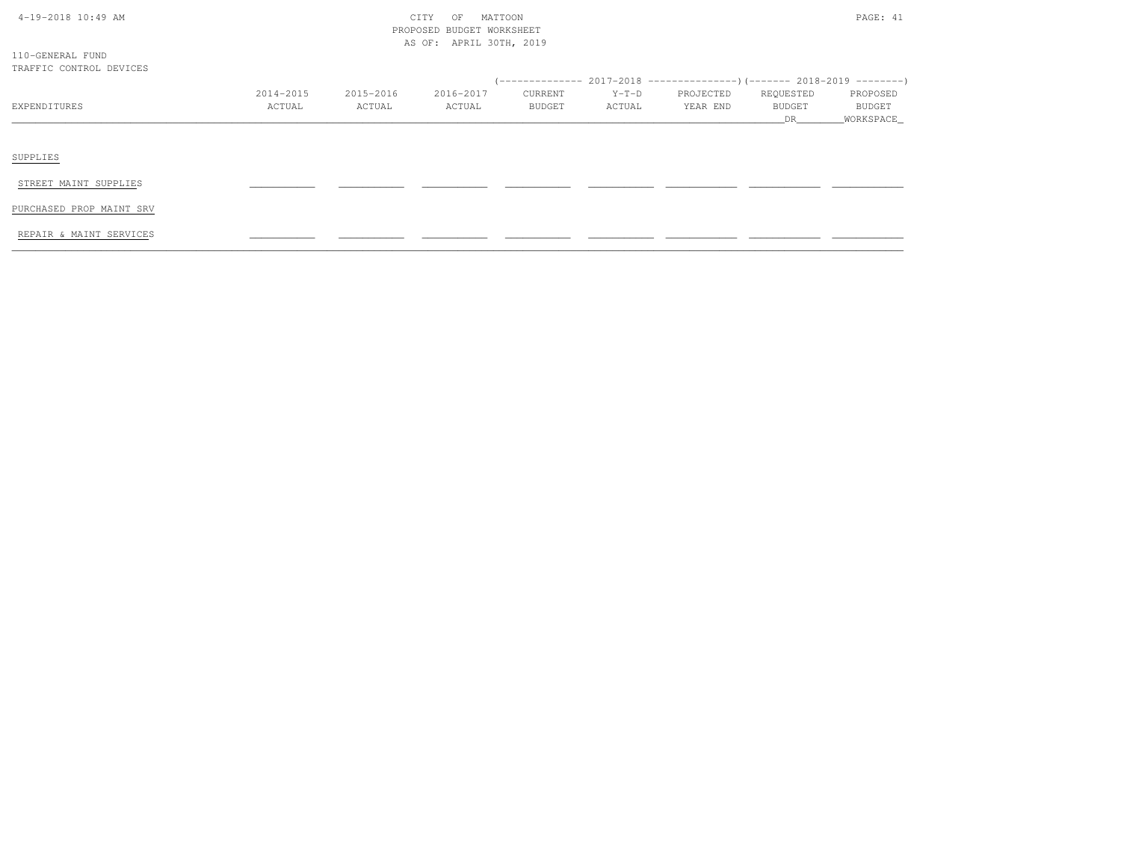| 4-19-2018 10:49 AM |  |
|--------------------|--|

# $\text{CITY}$  of MATTOON PAGE: 41 PROPOSED BUDGET WORKSHEETAS OF: APRIL 30TH, 2019

110-GENERAL FUNDTRAFFIC CONTROL DEVICES

|              | 2014-2015 | 2015-2016 | 2016-2017 | CURRENT       | $Y-T-D$ | PROJECTED | REQUESTED     | PROPOSED      |
|--------------|-----------|-----------|-----------|---------------|---------|-----------|---------------|---------------|
| EXPENDITURES | ACTUAL    | ACTUAL    | ACTUAL    | <b>BUDGET</b> | ACTUAL  | YEAR END  | <b>BUDGET</b> | <b>BUDGET</b> |
|              |           |           |           |               |         |           | DR            | _WORKSPACE_   |
|              |           |           |           |               |         |           |               |               |
|              |           |           |           |               |         |           |               |               |
| SUPPLIES     |           |           |           |               |         |           |               |               |

STREET MAINT SUPPLIES

PURCHASED PROP MAINT SRV

REPAIR & MAINT SERVICES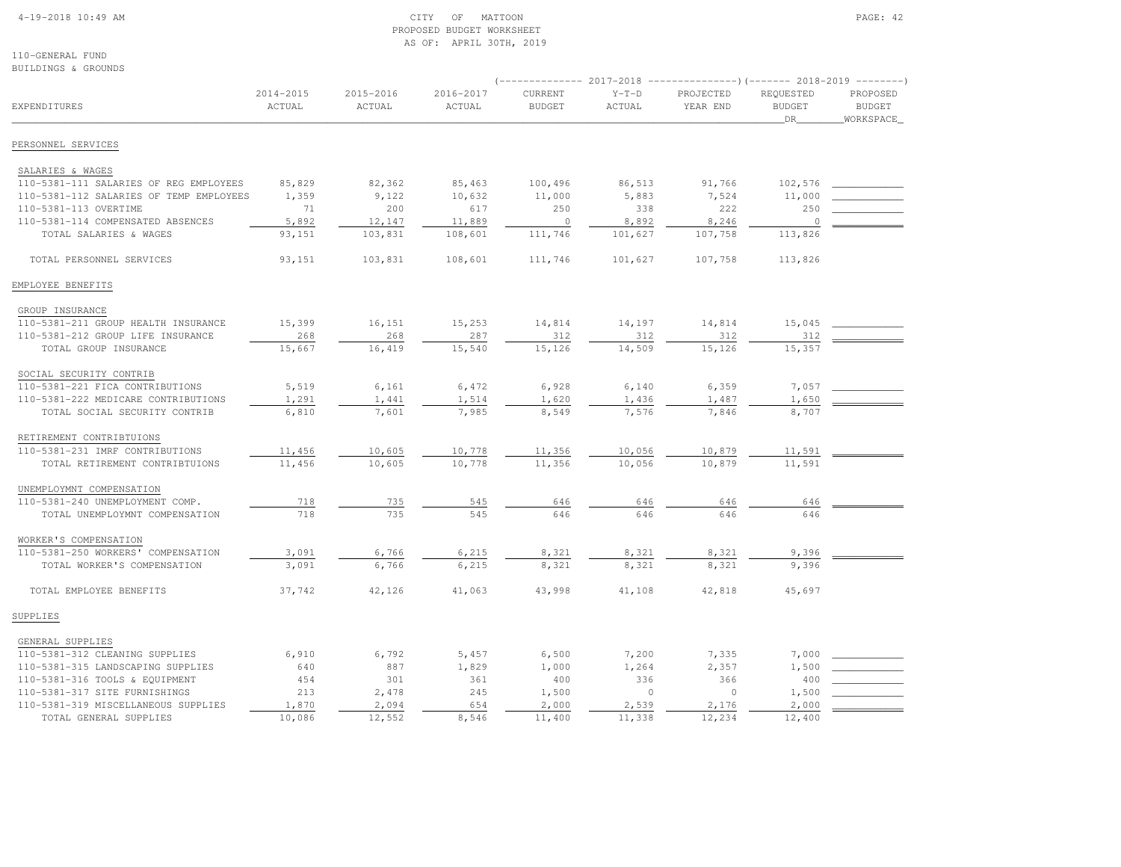#### 4-19-2018 10:49 AM CITY OF MATTOON PAGE: 42 PROPOSED BUDGET WORKSHEETAS OF: APRIL 30TH, 2019

110-GENERAL FUNDBUILDINGS & GROUNDS

| EXPENDITURES                            | 2014-2015<br>ACTUAL | 2015-2016<br>ACTUAL | 2016-2017<br>ACTUAL | CURRENT<br><b>BUDGET</b> | $Y-T-D$<br><b>ACTUAL</b> | PROJECTED<br>YEAR END | REQUESTED<br><b>BUDGET</b><br>DR | PROPOSED<br><b>BUDGET</b><br>_WORKSPACE_ |
|-----------------------------------------|---------------------|---------------------|---------------------|--------------------------|--------------------------|-----------------------|----------------------------------|------------------------------------------|
| PERSONNEL SERVICES                      |                     |                     |                     |                          |                          |                       |                                  |                                          |
| SALARIES & WAGES                        |                     |                     |                     |                          |                          |                       |                                  |                                          |
| 110-5381-111 SALARIES OF REG EMPLOYEES  | 85,829              | 82,362              | 85,463              | 100,496                  | 86,513                   | 91,766                | 102,576                          |                                          |
| 110-5381-112 SALARIES OF TEMP EMPLOYEES | 1,359               | 9,122               | 10,632              | 11,000                   | 5,883                    | 7,524                 | 11,000                           |                                          |
| 110-5381-113 OVERTIME                   | 71                  | 200                 | 617                 | 250                      | 338                      | 222                   | 250                              |                                          |
| 110-5381-114 COMPENSATED ABSENCES       | 5,892               | 12,147              | 11,889              | $\circ$                  | 8,892                    | 8,246                 | $\circ$                          |                                          |
| TOTAL SALARIES & WAGES                  | 93,151              | 103,831             | 108,601             | 111,746                  | 101,627                  | 107,758               | 113,826                          |                                          |
| TOTAL PERSONNEL SERVICES                | 93,151              | 103,831             | 108,601             | 111,746                  | 101,627                  | 107,758               | 113,826                          |                                          |
| EMPLOYEE BENEFITS                       |                     |                     |                     |                          |                          |                       |                                  |                                          |
| GROUP INSURANCE                         |                     |                     |                     |                          |                          |                       |                                  |                                          |
| 110-5381-211 GROUP HEALTH INSURANCE     | 15,399              | 16,151              | 15,253              | 14,814                   | 14,197                   | 14,814                | 15,045                           |                                          |
| 110-5381-212 GROUP LIFE INSURANCE       | 268                 | 268                 | 287                 | 312                      | 312                      | 312                   | 312                              |                                          |
| TOTAL GROUP INSURANCE                   | 15,667              | 16,419              | 15,540              | 15,126                   | 14,509                   | 15,126                | 15,357                           |                                          |
| SOCIAL SECURITY CONTRIB                 |                     |                     |                     |                          |                          |                       |                                  |                                          |
| 110-5381-221 FICA CONTRIBUTIONS         | 5,519               | 6,161               | 6,472               | 6,928                    | 6,140                    | 6,359                 | 7,057                            |                                          |
| 110-5381-222 MEDICARE CONTRIBUTIONS     | 1,291               | 1,441               | 1,514               | 1,620                    | 1,436                    | 1,487                 | 1,650                            |                                          |
| TOTAL SOCIAL SECURITY CONTRIB           | 6,810               | 7,601               | 7,985               | 8,549                    | 7,576                    | 7,846                 | 8,707                            |                                          |
| RETIREMENT CONTRIBTUIONS                |                     |                     |                     |                          |                          |                       |                                  |                                          |
| 110-5381-231 IMRF CONTRIBUTIONS         | 11,456              | 10,605              | 10,778              | 11,356                   | 10,056                   | 10,879                | 11,591                           |                                          |
| TOTAL RETIREMENT CONTRIBTUIONS          | 11,456              | 10,605              | 10,778              | 11,356                   | 10,056                   | 10,879                | 11,591                           |                                          |
| UNEMPLOYMNT COMPENSATION                |                     |                     |                     |                          |                          |                       |                                  |                                          |
| 110-5381-240 UNEMPLOYMENT COMP.         | 718                 | 735                 | 545                 | 646                      | 646                      | 646                   | 646                              |                                          |
| TOTAL UNEMPLOYMNT COMPENSATION          | 718                 | 735                 | 545                 | 646                      | 646                      | 646                   | 646                              |                                          |
| WORKER'S COMPENSATION                   |                     |                     |                     |                          |                          |                       |                                  |                                          |
| 110-5381-250 WORKERS' COMPENSATION      | 3,091               | 6,766               | 6,215               | 8,321                    | 8,321                    | 8,321                 | 9,396                            |                                          |
| TOTAL WORKER'S COMPENSATION             | 3,091               | 6,766               | 6,215               | 8,321                    | 8,321                    | 8,321                 | 9,396                            |                                          |
| TOTAL EMPLOYEE BENEFITS                 | 37,742              | 42,126              | 41,063              | 43,998                   | 41,108                   | 42,818                | 45,697                           |                                          |
| SUPPLIES                                |                     |                     |                     |                          |                          |                       |                                  |                                          |
| GENERAL SUPPLIES                        |                     |                     |                     |                          |                          |                       |                                  |                                          |
| 110-5381-312 CLEANING SUPPLIES          | 6,910               | 6,792               | 5,457               | 6,500                    | 7,200                    | 7,335                 | 7,000                            |                                          |
| 110-5381-315 LANDSCAPING SUPPLIES       | 640                 | 887                 | 1,829               | 1,000                    | 1,264                    | 2,357                 | 1,500                            |                                          |
| 110-5381-316 TOOLS & EQUIPMENT          | 454                 | 301                 | 361                 | 400                      | 336                      | 366                   | 400                              |                                          |
| 110-5381-317 SITE FURNISHINGS           | 213                 | 2,478               | 245                 | 1,500                    | $\circ$                  | $\Omega$              | 1,500                            |                                          |
| 110-5381-319 MISCELLANEOUS SUPPLIES     | 1,870               | 2,094               | 654                 | 2,000                    | 2,539                    | 2,176                 | 2,000                            |                                          |
| TOTAL GENERAL SUPPLIES                  | 10,086              | 12,552              | 8,546               | 11,400                   | 11,338                   | 12,234                | 12,400                           |                                          |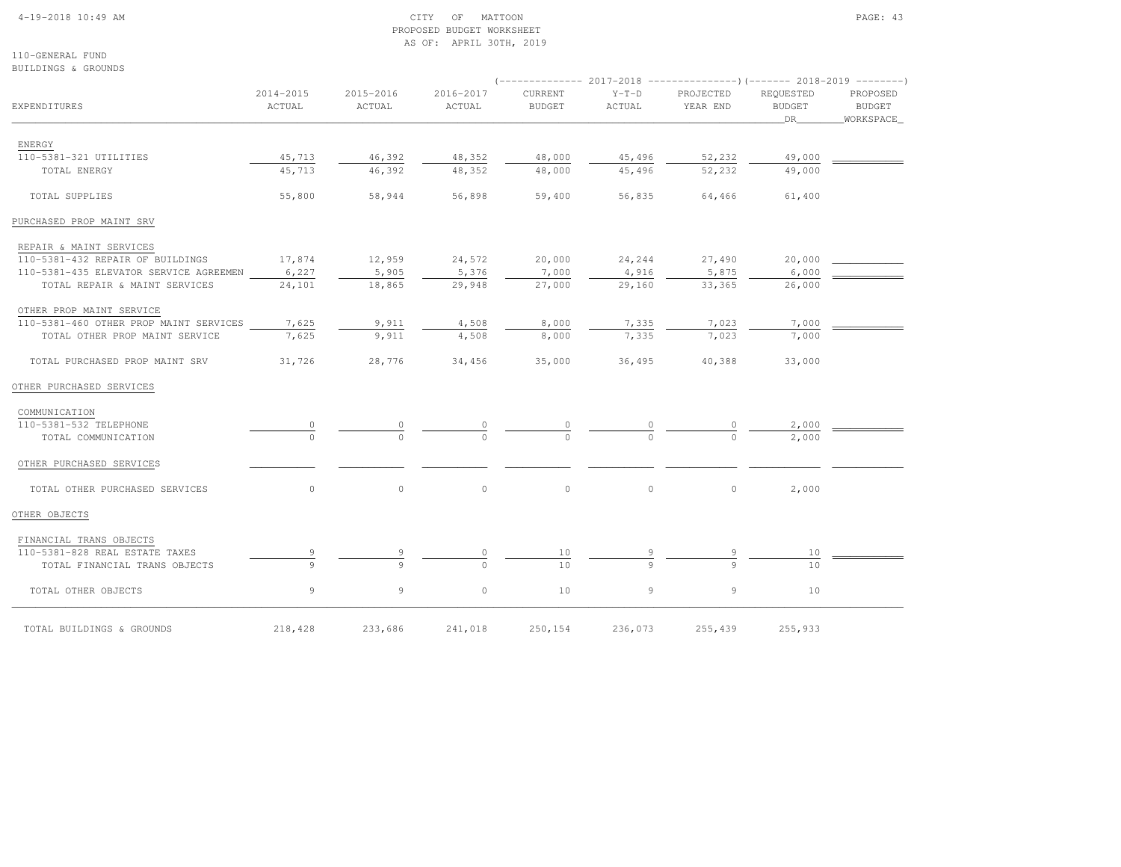### 4-19-2018 10:49 AM CITY OF MATTOON PAGE: 43 PROPOSED BUDGET WORKSHEETAS OF: APRIL 30TH, 2019

110-GENERAL FUNDBUILDINGS & GROUNDS

|                                              | 2014-2015     | 2015-2016 | 2016-2017 | CURRENT       | $Y-T-D$ | PROJECTED | REQUESTED     | PROPOSED      |
|----------------------------------------------|---------------|-----------|-----------|---------------|---------|-----------|---------------|---------------|
| EXPENDITURES                                 | ACTUAL        | ACTUAL    | ACTUAL    | <b>BUDGET</b> | ACTUAL  | YEAR END  | <b>BUDGET</b> | <b>BUDGET</b> |
|                                              |               |           |           |               |         |           | DR 1          | _WORKSPACE_   |
|                                              |               |           |           |               |         |           |               |               |
| ENERGY<br>110-5381-321 UTILITIES             | 45,713        | 46,392    | 48,352    | 48,000        | 45,496  | 52,232    | 49,000        |               |
| TOTAL ENERGY                                 | 45,713        | 46,392    | 48,352    | 48,000        | 45,496  | 52,232    | 49,000        |               |
|                                              |               |           |           |               |         |           |               |               |
| TOTAL SUPPLIES                               | 55,800        | 58,944    | 56,898    | 59,400        | 56,835  | 64,466    | 61,400        |               |
| PURCHASED PROP MAINT SRV                     |               |           |           |               |         |           |               |               |
| REPAIR & MAINT SERVICES                      |               |           |           |               |         |           |               |               |
| 110-5381-432 REPAIR OF BUILDINGS             | 17,874        | 12,959    | 24,572    | 20,000        | 24,244  | 27,490    | 20,000        |               |
| 110-5381-435 ELEVATOR SERVICE AGREEMEN 6,227 |               | 5,905     | 5,376     | 7,000         | 4,916   | 5,875     | 6,000         |               |
| TOTAL REPAIR & MAINT SERVICES                | 24,101        | 18,865    | 29,948    | 27,000        | 29,160  | 33,365    | 26,000        |               |
| OTHER PROP MAINT SERVICE                     |               |           |           |               |         |           |               |               |
| 110-5381-460 OTHER PROP MAINT SERVICES       | 7,625         | 9,911     | 4,508     | 8,000         | 7,335   | 7,023     | 7,000         |               |
| TOTAL OTHER PROP MAINT SERVICE               | 7,625         | 9,911     | 4,508     | 8,000         | 7,335   | 7,023     | 7,000         |               |
| TOTAL PURCHASED PROP MAINT SRV               | 31,726        | 28,776    | 34,456    | 35,000        | 36,495  | 40,388    | 33,000        |               |
| OTHER PURCHASED SERVICES                     |               |           |           |               |         |           |               |               |
| COMMUNICATION                                |               |           |           |               |         |           |               |               |
| 110-5381-532 TELEPHONE                       |               |           |           |               |         |           | 2,000         |               |
| TOTAL COMMUNICATION                          | $\frac{0}{0}$ |           |           |               |         |           | 2,000         |               |
| OTHER PURCHASED SERVICES                     |               |           |           |               |         |           |               |               |
| TOTAL OTHER PURCHASED SERVICES               | $\circ$       | $\circ$   | $\circ$   | $\circ$       | $\circ$ | $\circ$   | 2,000         |               |
| OTHER OBJECTS                                |               |           |           |               |         |           |               |               |
| FINANCIAL TRANS OBJECTS                      |               |           |           |               |         |           |               |               |
| 110-5381-828 REAL ESTATE TAXES               |               |           |           | 10            |         |           | 10            |               |
| TOTAL FINANCIAL TRANS OBJECTS                | $\mathsf{Q}$  |           |           | 10            |         |           | 10            |               |
| TOTAL OTHER OBJECTS                          | 9             | 9         | $\circ$   | 10            | 9       | 9         | 10            |               |
| TOTAL BUILDINGS & GROUNDS                    | 218,428       | 233,686   | 241,018   | 250,154       | 236,073 | 255,439   | 255,933       |               |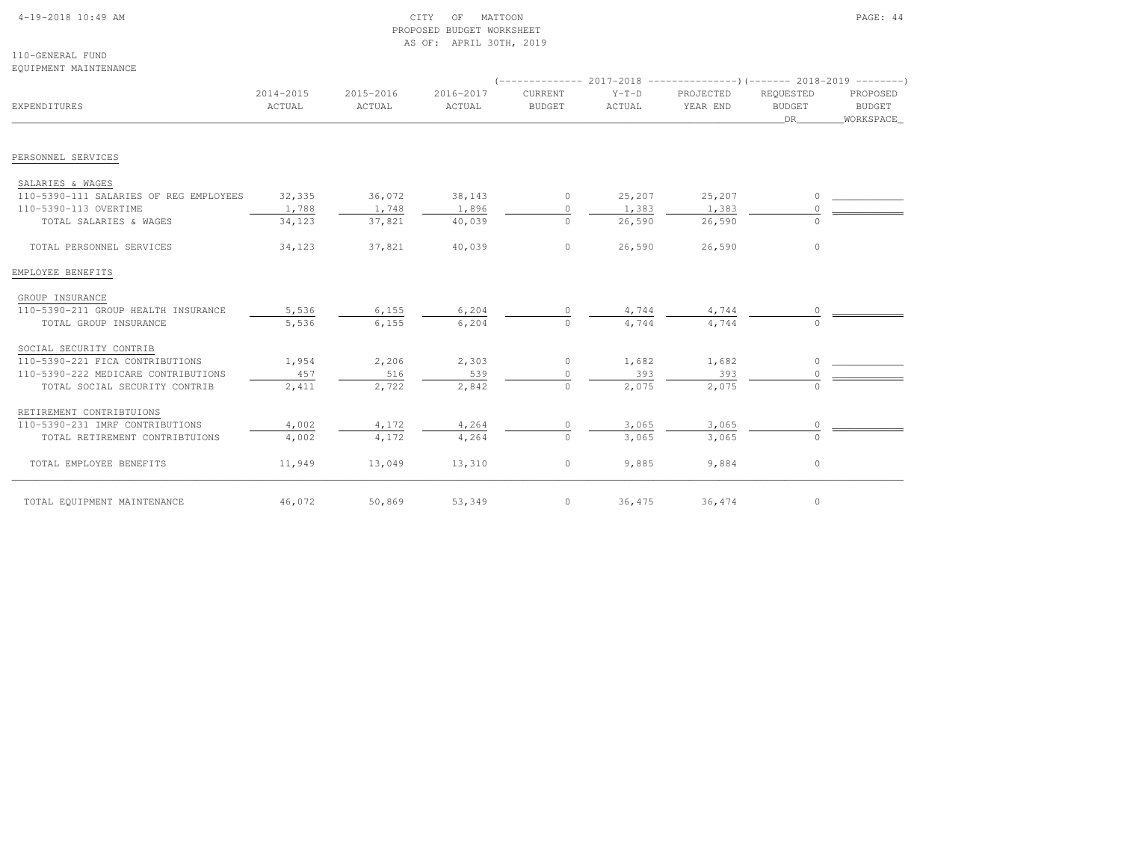### 4-19-2018 10:49 AM CITY OF MATTOON PAGE: 44 PROPOSED BUDGET WORKSHEETAS OF: APRIL 30TH, 2019

110-GENERAL FUNDEQUIPMENT MAINTENANCE

| EXPENDITURES                           | 2014-2015<br>ACTUAL | 2015-2016<br>ACTUAL | 2016-2017<br>ACTUAL | <b>CURRENT</b><br><b>BUDGET</b> | $Y-T-D$<br>ACTUAL | PROJECTED<br>YEAR END | REQUESTED<br><b>BUDGET</b><br>DR | PROPOSED<br><b>BUDGET</b><br>WORKSPACE |
|----------------------------------------|---------------------|---------------------|---------------------|---------------------------------|-------------------|-----------------------|----------------------------------|----------------------------------------|
|                                        |                     |                     |                     |                                 |                   |                       |                                  |                                        |
| PERSONNEL SERVICES                     |                     |                     |                     |                                 |                   |                       |                                  |                                        |
| SALARIES & WAGES                       |                     |                     |                     |                                 |                   |                       |                                  |                                        |
| 110-5390-111 SALARIES OF REG EMPLOYEES | 32,335              | 36,072              | 38,143              | $\circ$                         | 25,207            | 25,207                | O                                |                                        |
| 110-5390-113 OVERTIME                  | 1,788               | 1,748               | 1,896               | $\circ$                         | 1,383             | 1,383                 |                                  |                                        |
| TOTAL SALARIES & WAGES                 | 34,123              | 37,821              | 40,039              | $\circ$                         | 26,590            | 26,590                |                                  |                                        |
| TOTAL PERSONNEL SERVICES               | 34,123              | 37,821              | 40,039              | $\circ$                         | 26,590            | 26,590                | $\circ$                          |                                        |
| EMPLOYEE BENEFITS                      |                     |                     |                     |                                 |                   |                       |                                  |                                        |
| GROUP INSURANCE                        |                     |                     |                     |                                 |                   |                       |                                  |                                        |
| 110-5390-211 GROUP HEALTH INSURANCE    | 5,536               | 6,155               | 6,204               | 0                               | 4,744             | 4,744                 |                                  |                                        |
| TOTAL GROUP INSURANCE                  | 5,536               | 6,155               | 6,204               | $\circ$                         | 4,744             | 4,744                 |                                  |                                        |
| SOCIAL SECURITY CONTRIB                |                     |                     |                     |                                 |                   |                       |                                  |                                        |
| 110-5390-221 FICA CONTRIBUTIONS        | 1,954               | 2,206               | 2,303               | $\circ$                         | 1,682             | 1,682                 | O                                |                                        |
| 110-5390-222 MEDICARE CONTRIBUTIONS    | 457                 | 516                 | 539                 | $\Omega$                        | 393               | 393                   |                                  |                                        |
| TOTAL SOCIAL SECURITY CONTRIB          | 2,411               | 2,722               | 2,842               | $\Omega$                        | 2,075             | 2,075                 | $\cap$                           |                                        |
| RETIREMENT CONTRIBTUIONS               |                     |                     |                     |                                 |                   |                       |                                  |                                        |
| 110-5390-231 IMRF CONTRIBUTIONS        | 4,002               | 4,172               | 4,264               | 0                               | 3,065             | 3,065                 |                                  |                                        |
| TOTAL RETIREMENT CONTRIBTUIONS         | 4,002               | 4,172               | 4,264               | $\circ$                         | 3,065             | 3,065                 |                                  |                                        |
| TOTAL EMPLOYEE BENEFITS                | 11,949              | 13,049              | 13,310              | $\circ$                         | 9,885             | 9,884                 | $\circ$                          |                                        |
| TOTAL EQUIPMENT MAINTENANCE            | 46,072              | 50,869              | 53,349              | $\circ$                         | 36,475            | 36,474                | 0                                |                                        |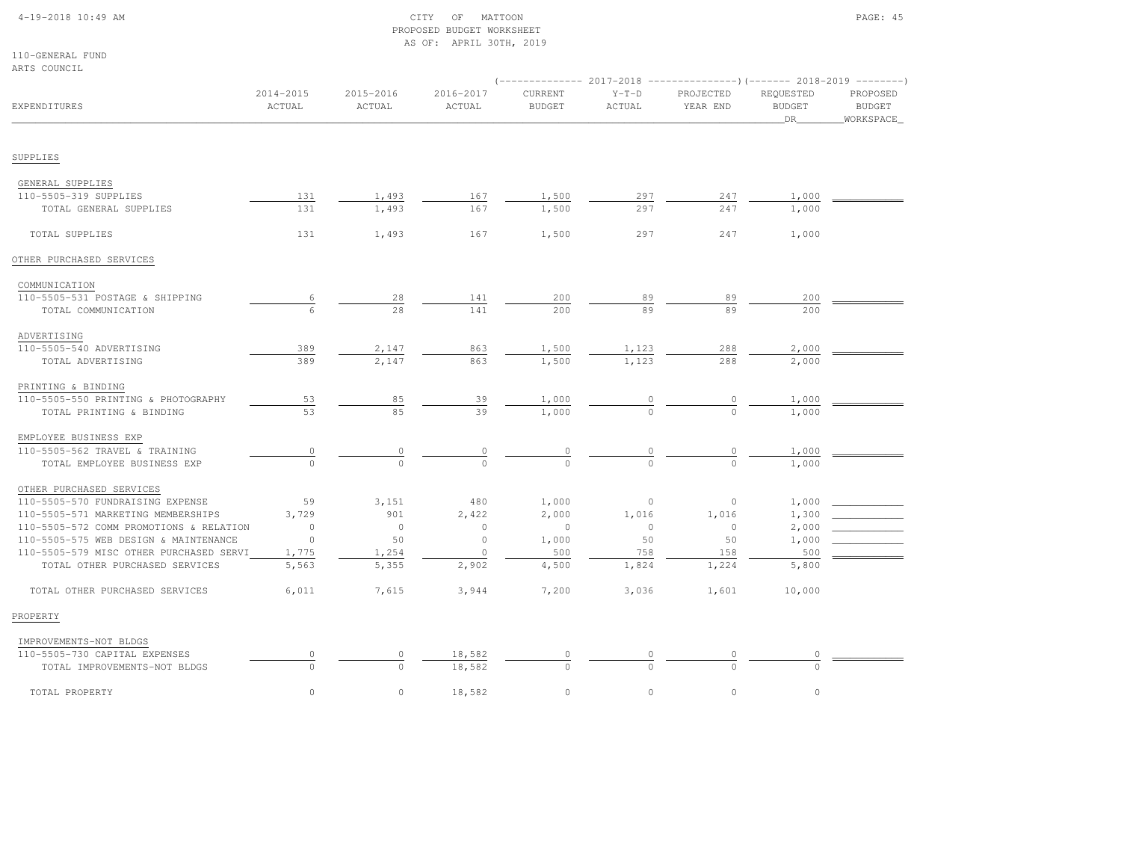### 4-19-2018 10:49 AM CITY OF MATTOON PAGE: 45 PROPOSED BUDGET WORKSHEETAS OF: APRIL 30TH, 2019

110-GENERAL FUNDARTS COUNCIL

|                                                              |                     |                     |                     | $--------- 2017-2018$    |                          | ----------------) (------- 2018-2019 ---------) |                                  |                                        |
|--------------------------------------------------------------|---------------------|---------------------|---------------------|--------------------------|--------------------------|-------------------------------------------------|----------------------------------|----------------------------------------|
| EXPENDITURES                                                 | 2014-2015<br>ACTUAL | 2015-2016<br>ACTUAL | 2016-2017<br>ACTUAL | CURRENT<br><b>BUDGET</b> | $Y-T-D$<br><b>ACTUAL</b> | PROJECTED<br>YEAR END                           | REQUESTED<br><b>BUDGET</b><br>DR | PROPOSED<br><b>BUDGET</b><br>WORKSPACE |
| SUPPLIES                                                     |                     |                     |                     |                          |                          |                                                 |                                  |                                        |
|                                                              |                     |                     |                     |                          |                          |                                                 |                                  |                                        |
| GENERAL SUPPLIES                                             |                     |                     |                     |                          |                          |                                                 |                                  |                                        |
| 110-5505-319 SUPPLIES                                        | 131                 | 1,493               | 167                 | 1,500                    | 297                      | 247                                             | 1,000                            |                                        |
| TOTAL GENERAL SUPPLIES                                       | 131                 | 1,493               | 167                 | 1,500                    | 297                      | 247                                             | 1,000                            |                                        |
| TOTAL SUPPLIES                                               | 131                 | 1,493               | 167                 | 1,500                    | 297                      | 247                                             | 1,000                            |                                        |
| OTHER PURCHASED SERVICES                                     |                     |                     |                     |                          |                          |                                                 |                                  |                                        |
| COMMUNICATION                                                |                     |                     |                     |                          |                          |                                                 |                                  |                                        |
| 110-5505-531 POSTAGE & SHIPPING                              |                     | 28                  | 141                 | 200                      | 89                       | 89                                              | 200                              |                                        |
| TOTAL COMMUNICATION                                          |                     | 2.8                 | 141                 | 200                      | 89                       | 89                                              | 200                              |                                        |
| ADVERTISING                                                  |                     |                     |                     |                          |                          |                                                 |                                  |                                        |
| 110-5505-540 ADVERTISING                                     | 389                 | 2,147               | 863                 | 1,500                    | 1,123                    | 288                                             | 2,000                            |                                        |
| TOTAL ADVERTISING                                            | 389                 | 2,147               | 863                 | 1,500                    | 1,123                    | 288                                             | 2,000                            |                                        |
|                                                              |                     |                     |                     |                          |                          |                                                 |                                  |                                        |
| PRINTING & BINDING<br>110-5505-550 PRINTING & PHOTOGRAPHY    | 53                  | 85                  | 39                  | 1,000                    |                          |                                                 | 1,000                            |                                        |
| TOTAL PRINTING & BINDING                                     | 53                  | 85                  | 39                  | 1,000                    |                          |                                                 | 1,000                            |                                        |
|                                                              |                     |                     |                     |                          |                          |                                                 |                                  |                                        |
| EMPLOYEE BUSINESS EXP<br>110-5505-562 TRAVEL & TRAINING      | 0                   |                     |                     |                          |                          |                                                 | 1,000                            |                                        |
| TOTAL EMPLOYEE BUSINESS EXP                                  |                     | $\cap$              | $\overline{0}$      | $\frac{0}{0}$            | $\frac{0}{0}$            |                                                 | 1,000                            |                                        |
|                                                              |                     |                     |                     |                          |                          |                                                 |                                  |                                        |
| OTHER PURCHASED SERVICES<br>110-5505-570 FUNDRAISING EXPENSE | 59                  | 3,151               | 480                 | 1,000                    | $\circ$                  | $\circ$                                         | 1,000                            |                                        |
| 110-5505-571 MARKETING MEMBERSHIPS                           | 3,729               | 901                 | 2,422               | 2,000                    | 1,016                    | 1,016                                           | 1,300                            |                                        |
| 110-5505-572 COMM PROMOTIONS & RELATION                      | $\circ$             | $\circ$             | $\circ$             | $\circ$                  | $\circ$                  | $\circ$                                         | 2,000                            |                                        |
| 110-5505-575 WEB DESIGN & MAINTENANCE                        | $\circ$             | 50                  | $\circ$             | 1,000                    | 50                       | 50                                              | 1,000                            |                                        |
| 110-5505-579 MISC OTHER PURCHASED SERVI                      | 1,775               | 1,254               | $\circ$             | 500                      | 758                      | 158                                             | 500                              |                                        |
| TOTAL OTHER PURCHASED SERVICES                               | 5,563               | 5,355               | 2,902               | 4,500                    | 1,824                    | 1,224                                           | 5,800                            |                                        |
| TOTAL OTHER PURCHASED SERVICES                               | 6,011               | 7,615               | 3,944               | 7,200                    | 3,036                    | 1,601                                           | 10,000                           |                                        |
| PROPERTY                                                     |                     |                     |                     |                          |                          |                                                 |                                  |                                        |
| IMPROVEMENTS-NOT BLDGS                                       |                     |                     |                     |                          |                          |                                                 |                                  |                                        |
| 110-5505-730 CAPITAL EXPENSES                                | $\circ$             | 0                   | 18,582              | 0                        |                          | 0                                               | 0                                |                                        |
| TOTAL IMPROVEMENTS-NOT BLDGS                                 | $\Omega$            | $\Omega$            | 18,582              | $\Omega$                 |                          |                                                 | $\cap$                           |                                        |
| TOTAL PROPERTY                                               | $\circ$             | $\circ$             | 18,582              | $\circ$                  | $\circ$                  | $\circ$                                         | $\circ$                          |                                        |
|                                                              |                     |                     |                     |                          |                          |                                                 |                                  |                                        |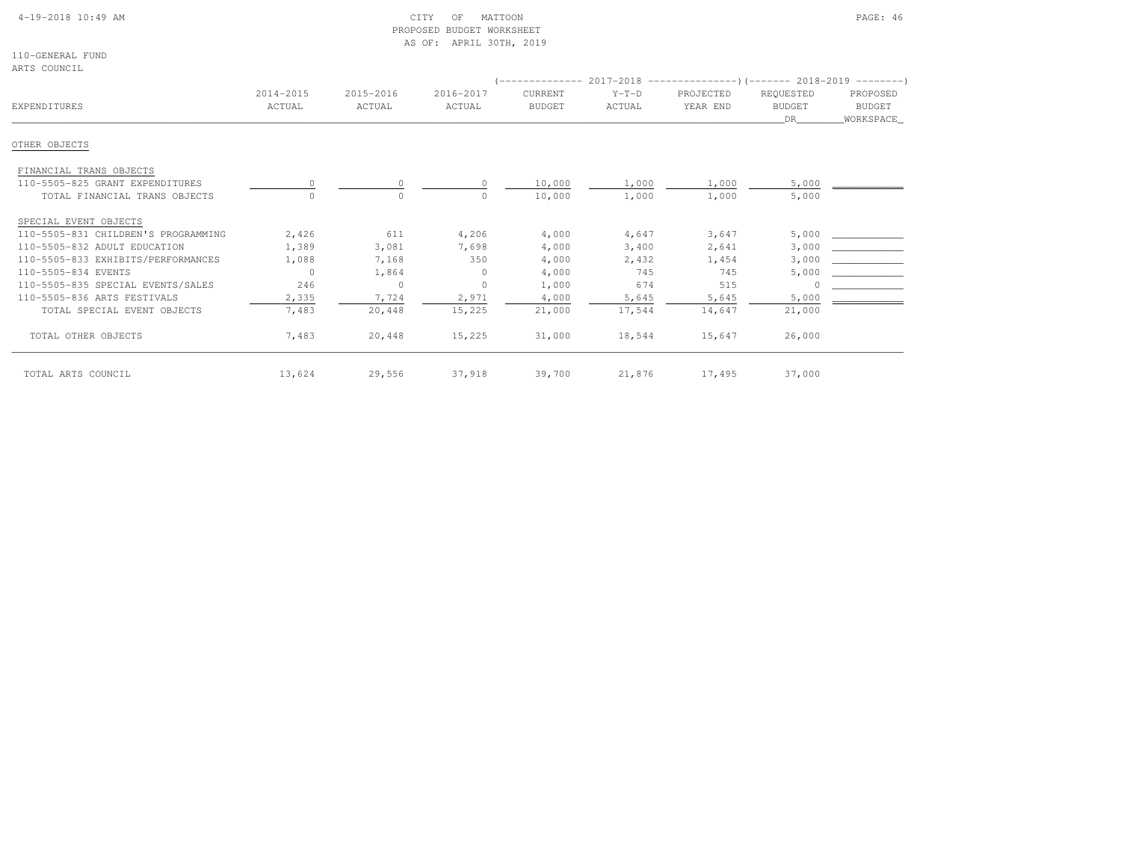### 4-19-2018 10:49 AM CITY OF MATTOON PAGE: 46 PROPOSED BUDGET WORKSHEETAS OF: APRIL 30TH, 2019

110-GENERAL FUNDARTS COUNCIL

| ARIƏ UUUNUIL                        |                     |                     |                     | --------------           |                   | $2017-2018$ ----------------)(------- 2018-2019 --------) |                                   |                                         |
|-------------------------------------|---------------------|---------------------|---------------------|--------------------------|-------------------|-----------------------------------------------------------|-----------------------------------|-----------------------------------------|
| EXPENDITURES                        | 2014-2015<br>ACTUAL | 2015-2016<br>ACTUAL | 2016-2017<br>ACTUAL | CURRENT<br><b>BUDGET</b> | $Y-T-D$<br>ACTUAL | PROJECTED<br>YEAR END                                     | REQUESTED<br><b>BUDGET</b><br>DR. | PROPOSED<br><b>BUDGET</b><br>WORKSPACE_ |
| OTHER OBJECTS                       |                     |                     |                     |                          |                   |                                                           |                                   |                                         |
| FINANCIAL TRANS OBJECTS             |                     |                     |                     |                          |                   |                                                           |                                   |                                         |
| 110-5505-825 GRANT EXPENDITURES     |                     | $\Omega$            |                     | 10,000                   | 1,000             | 1,000                                                     | 5,000                             |                                         |
| TOTAL FINANCIAL TRANS OBJECTS       |                     | $\circ$             |                     | 10,000                   | 1,000             | 1,000                                                     | 5,000                             |                                         |
| SPECIAL EVENT OBJECTS               |                     |                     |                     |                          |                   |                                                           |                                   |                                         |
| 110-5505-831 CHILDREN'S PROGRAMMING | 2,426               | 611                 | 4,206               | 4,000                    | 4,647             | 3,647                                                     | 5,000                             |                                         |
| 110-5505-832 ADULT EDUCATION        | 1,389               | 3,081               | 7,698               | 4,000                    | 3,400             | 2,641                                                     | 3,000                             |                                         |
| 110-5505-833 EXHIBITS/PERFORMANCES  | 1,088               | 7,168               | 350                 | 4,000                    | 2,432             | 1,454                                                     | 3,000                             |                                         |
| 110-5505-834 EVENTS                 | $\bigcap$           | 1,864               | $\Omega$            | 4,000                    | 745               | 745                                                       | 5,000                             |                                         |
| 110-5505-835 SPECIAL EVENTS/SALES   | 246                 | $\circ$             | $\circ$             | 1,000                    | 674               | 515                                                       |                                   |                                         |
| 110-5505-836 ARTS FESTIVALS         | 2,335               | 7,724               | 2,971               | 4,000                    | 5,645             | 5,645                                                     | 5,000                             |                                         |
| TOTAL SPECIAL EVENT OBJECTS         | 7,483               | 20,448              | 15,225              | 21,000                   | 17,544            | 14,647                                                    | 21,000                            |                                         |
| TOTAL OTHER OBJECTS                 | 7,483               | 20,448              | 15,225              | 31,000                   | 18,544            | 15,647                                                    | 26,000                            |                                         |
| TOTAL ARTS COUNCIL                  | 13,624              | 29,556              | 37,918              | 39,700                   | 21,876            | 17,495                                                    | 37,000                            |                                         |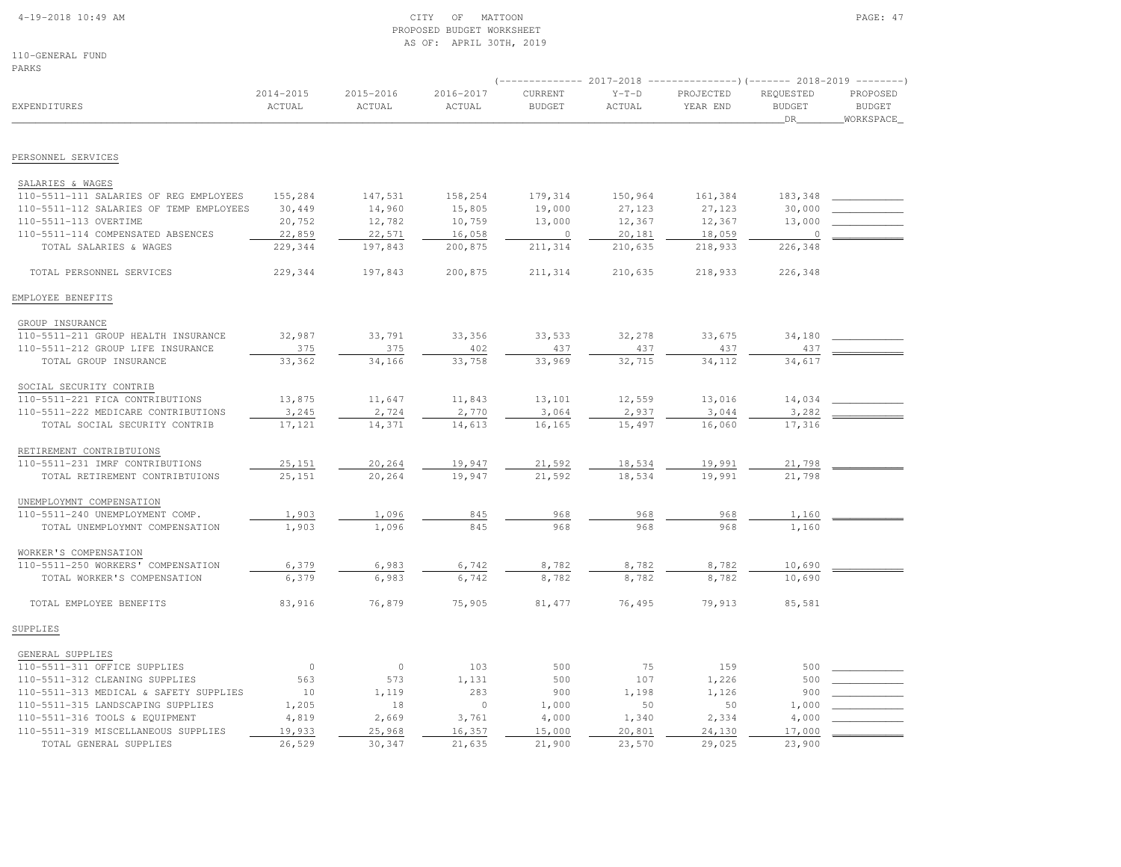#### 4-19-2018 10:49 AM CITY OF MATTOON PAGE: 47 PROPOSED BUDGET WORKSHEETAS OF: APRIL 30TH, 2019

110-GENERAL FUNDPARKS

|                                         |                         |                     |                     | $---------2017-2018$     |                   |                       |                                  |                                         |
|-----------------------------------------|-------------------------|---------------------|---------------------|--------------------------|-------------------|-----------------------|----------------------------------|-----------------------------------------|
| <b>EXPENDITURES</b>                     | $2014 - 2015$<br>ACTUAL | 2015-2016<br>ACTUAL | 2016-2017<br>ACTUAL | CURRENT<br><b>BUDGET</b> | $Y-T-D$<br>ACTUAL | PROJECTED<br>YEAR END | REQUESTED<br><b>BUDGET</b><br>DR | PROPOSED<br><b>BUDGET</b><br>WORKSPACE_ |
|                                         |                         |                     |                     |                          |                   |                       |                                  |                                         |
| PERSONNEL SERVICES                      |                         |                     |                     |                          |                   |                       |                                  |                                         |
| SALARIES & WAGES                        |                         |                     |                     |                          |                   |                       |                                  |                                         |
| 110-5511-111 SALARIES OF REG EMPLOYEES  | 155,284                 | 147,531             | 158,254             | 179,314                  | 150,964           | 161,384               | 183,348                          |                                         |
| 110-5511-112 SALARIES OF TEMP EMPLOYEES | 30,449                  | 14,960              | 15,805              | 19,000                   | 27,123            | 27,123                | 30,000                           |                                         |
| 110-5511-113 OVERTIME                   | 20,752                  | 12,782              | 10,759              | 13,000                   | 12,367            | 12,367                | 13,000                           |                                         |
| 110-5511-114 COMPENSATED ABSENCES       | 22,859                  | 22,571              | 16,058              | $\overline{0}$           | 20,181            | 18,059                | $\circ$                          |                                         |
| TOTAL SALARIES & WAGES                  | 229,344                 | 197,843             | 200,875             | 211,314                  | 210,635           | 218,933               | 226,348                          |                                         |
|                                         |                         |                     |                     |                          |                   |                       |                                  |                                         |
| TOTAL PERSONNEL SERVICES                | 229,344                 | 197,843             | 200,875             | 211,314                  | 210,635           | 218,933               | 226,348                          |                                         |
| EMPLOYEE BENEFITS                       |                         |                     |                     |                          |                   |                       |                                  |                                         |
| GROUP INSURANCE                         |                         |                     |                     |                          |                   |                       |                                  |                                         |
| 110-5511-211 GROUP HEALTH INSURANCE     | 32,987                  | 33,791              | 33,356              | 33,533                   | 32,278            | 33,675                | 34,180                           |                                         |
| 110-5511-212 GROUP LIFE INSURANCE       | 375                     | 375                 | 402                 | 437                      | 437               | 437                   | 437                              |                                         |
| TOTAL GROUP INSURANCE                   | 33,362                  | 34,166              | 33,758              | 33,969                   | 32,715            | 34,112                | 34,617                           |                                         |
| SOCIAL SECURITY CONTRIB                 |                         |                     |                     |                          |                   |                       |                                  |                                         |
| 110-5511-221 FICA CONTRIBUTIONS         | 13,875                  | 11,647              | 11,843              | 13,101                   | 12,559            | 13,016                | 14,034                           |                                         |
| 110-5511-222 MEDICARE CONTRIBUTIONS     | 3,245                   | 2,724               | 2,770               | 3,064                    | 2,937             | 3,044                 | 3,282                            |                                         |
| TOTAL SOCIAL SECURITY CONTRIB           | 17,121                  | 14,371              | 14,613              | 16,165                   | 15,497            | 16,060                | 17,316                           |                                         |
| RETIREMENT CONTRIBTUIONS                |                         |                     |                     |                          |                   |                       |                                  |                                         |
| 110-5511-231 IMRF CONTRIBUTIONS         | 25,151                  | 20,264              | 19,947              | 21,592                   | 18,534            | 19,991                | 21,798                           |                                         |
| TOTAL RETIREMENT CONTRIBTUIONS          | 25,151                  | 20,264              | 19,947              | 21,592                   | 18,534            | 19,991                | 21,798                           |                                         |
| UNEMPLOYMNT COMPENSATION                |                         |                     |                     |                          |                   |                       |                                  |                                         |
| 110-5511-240 UNEMPLOYMENT COMP.         | 1,903                   | 1,096               | 845                 | 968                      | 968               | 968                   | 1,160                            |                                         |
| TOTAL UNEMPLOYMNT COMPENSATION          | 1,903                   | 1,096               | 845                 | 968                      | 968               | 968                   | 1,160                            |                                         |
| WORKER'S COMPENSATION                   |                         |                     |                     |                          |                   |                       |                                  |                                         |
| 110-5511-250 WORKERS' COMPENSATION      | 6,379                   | 6,983               | 6,742               | 8,782                    | 8,782             | 8,782                 | 10,690                           |                                         |
| TOTAL WORKER'S COMPENSATION             | 6,379                   | 6,983               | 6,742               | 8,782                    | 8,782             | 8,782                 | 10,690                           |                                         |
| TOTAL EMPLOYEE BENEFITS                 | 83,916                  | 76,879              | 75,905              | 81,477                   | 76,495            | 79,913                | 85,581                           |                                         |
| SUPPLIES                                |                         |                     |                     |                          |                   |                       |                                  |                                         |
| GENERAL SUPPLIES                        |                         |                     |                     |                          |                   |                       |                                  |                                         |
| 110-5511-311 OFFICE SUPPLIES            | $\circ$                 | $\circ$             | 103                 | 500                      | 75                | 159                   | 500                              |                                         |
| 110-5511-312 CLEANING SUPPLIES          | 563                     | 573                 | 1,131               | 500                      | 107               | 1,226                 | 500                              |                                         |
| 110-5511-313 MEDICAL & SAFETY SUPPLIES  | 10                      | 1,119               | 283                 | 900                      | 1,198             | 1,126                 | 900                              |                                         |
| 110-5511-315 LANDSCAPING SUPPLIES       | 1,205                   | 18                  | $\circ$             | 1,000                    | 50                | 50                    | 1,000                            |                                         |

 110-5511-316 TOOLS & EQUIPMENT 4,819 2,669 3,761 4,000 1,340 2,334 4,000 \_\_\_\_\_\_\_\_\_\_\_\_ 110-5511-319 MISCELLANEOUS SUPPLIES 19,933 25,968 16,357 15,000 20,801 24,130 17,000 \_\_\_\_\_\_\_\_\_\_\_\_TOTAL GENERAL SUPPLIES  $\overline{26,529}$   $\overline{30,347}$   $\overline{21,635}$   $\overline{21,630}$   $\overline{23,570}$   $\overline{23,570}$   $\overline{29,025}$   $\overline{23,900}$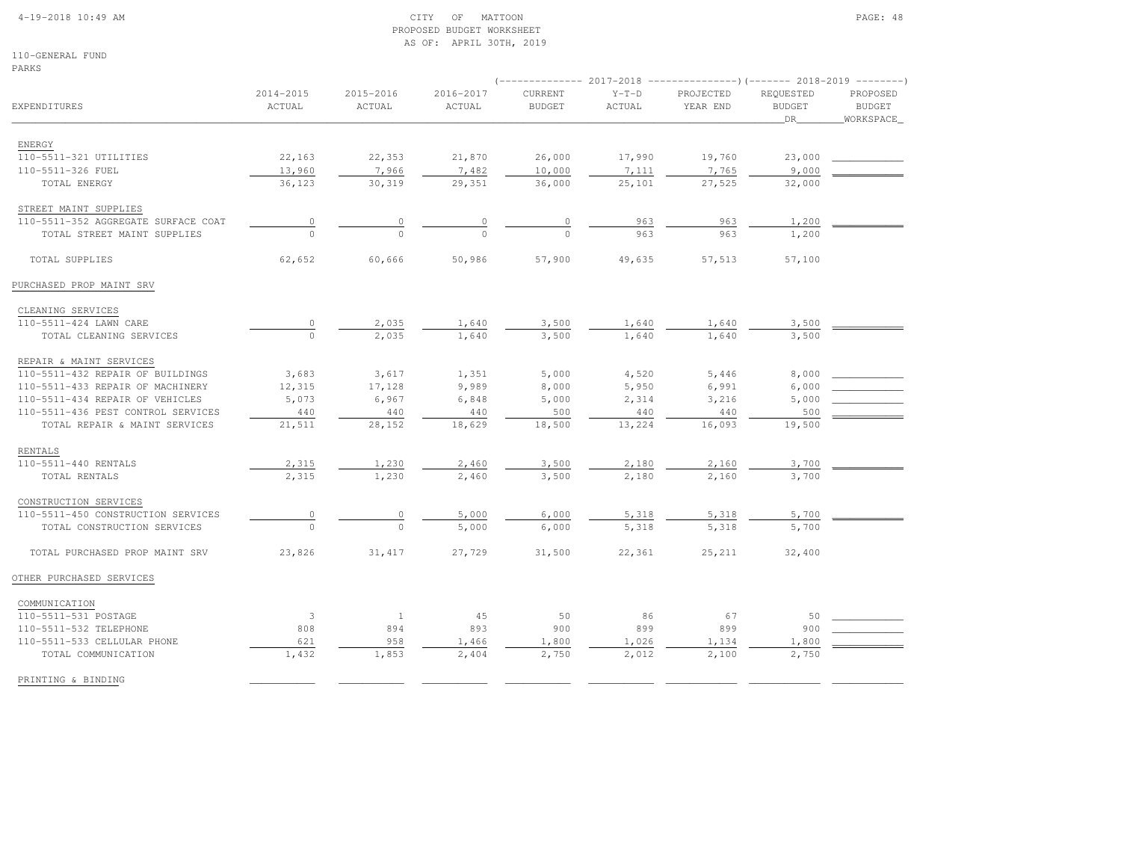PRINTING & BINDING

### 4-19-2018 10:49 AM CITY OF MATTOON PAGE: 48 PROPOSED BUDGET WORKSHEETAS OF: APRIL 30TH, 2019

110-GENERAL FUNDPARKS

| PARKS                               |                     |                     |                     |                                 |                   | (-------------- 2017-2018 ----------------)(------- 2018-2019 -------- |                                  |                                         |
|-------------------------------------|---------------------|---------------------|---------------------|---------------------------------|-------------------|------------------------------------------------------------------------|----------------------------------|-----------------------------------------|
| <b>EXPENDITURES</b>                 | 2014-2015<br>ACTUAL | 2015-2016<br>ACTUAL | 2016-2017<br>ACTUAL | <b>CURRENT</b><br><b>BUDGET</b> | $Y-T-D$<br>ACTUAL | PROJECTED<br>YEAR END                                                  | REQUESTED<br><b>BUDGET</b><br>DR | PROPOSED<br><b>BUDGET</b><br>WORKSPACE_ |
| ENERGY                              |                     |                     |                     |                                 |                   |                                                                        |                                  |                                         |
| 110-5511-321 UTILITIES              | 22,163              | 22,353              | 21,870              | 26,000                          | 17,990            | 19,760                                                                 | 23,000                           |                                         |
| 110-5511-326 FUEL                   | 13,960              | 7,966               | 7,482               | 10,000                          | 7,111             | 7,765                                                                  | 9,000                            |                                         |
| TOTAL ENERGY                        | 36,123              | 30,319              | 29,351              | 36,000                          | 25,101            | 27,525                                                                 | 32,000                           |                                         |
| STREET MAINT SUPPLIES               |                     |                     |                     |                                 |                   |                                                                        |                                  |                                         |
| 110-5511-352 AGGREGATE SURFACE COAT | $\circ$             | $\circ$             | $\circ$             | $\circ$                         | 963               | 963                                                                    | 1,200                            |                                         |
| TOTAL STREET MAINT SUPPLIES         | $\Omega$            | $\Omega$            | $\Omega$            | $\Omega$                        | 963               | 963                                                                    | 1,200                            |                                         |
| TOTAL SUPPLIES                      | 62,652              | 60,666              | 50,986              | 57,900                          | 49,635            | 57,513                                                                 | 57,100                           |                                         |
| PURCHASED PROP MAINT SRV            |                     |                     |                     |                                 |                   |                                                                        |                                  |                                         |
| CLEANING SERVICES                   |                     |                     |                     |                                 |                   |                                                                        |                                  |                                         |
| 110-5511-424 LAWN CARE              | 0                   | 2,035               | 1,640               | 3,500                           | 1,640             | 1,640                                                                  | 3,500                            |                                         |
| TOTAL CLEANING SERVICES             | $\Omega$            | 2,035               | 1,640               | 3,500                           | 1,640             | 1,640                                                                  | 3,500                            |                                         |
| REPAIR & MAINT SERVICES             |                     |                     |                     |                                 |                   |                                                                        |                                  |                                         |
| 110-5511-432 REPAIR OF BUILDINGS    | 3,683               | 3,617               | 1,351               | 5,000                           | 4,520             | 5,446                                                                  | 8,000                            |                                         |
| 110-5511-433 REPAIR OF MACHINERY    | 12,315              | 17,128              | 9,989               | 8,000                           | 5,950             | 6,991                                                                  | 6,000                            |                                         |
| 110-5511-434 REPAIR OF VEHICLES     | 5,073               | 6,967               | 6,848               | 5,000                           | 2,314             | 3,216                                                                  | 5,000                            |                                         |
| 110-5511-436 PEST CONTROL SERVICES  | 440                 | 440                 | 440                 | 500                             | 440               | 440                                                                    | 500                              |                                         |
| TOTAL REPAIR & MAINT SERVICES       | 21,511              | 28,152              | 18,629              | 18,500                          | 13,224            | 16,093                                                                 | 19,500                           |                                         |
| <b>RENTALS</b>                      |                     |                     |                     |                                 |                   |                                                                        |                                  |                                         |
| 110-5511-440 RENTALS                | 2,315               | 1,230               | 2,460               | 3,500                           | 2,180             | 2,160                                                                  | 3,700                            |                                         |
| TOTAL RENTALS                       | 2,315               | 1,230               | 2,460               | 3,500                           | 2,180             | 2,160                                                                  | 3,700                            |                                         |
| CONSTRUCTION SERVICES               |                     |                     |                     |                                 |                   |                                                                        |                                  |                                         |
| 110-5511-450 CONSTRUCTION SERVICES  | $\overline{0}$      | 0                   | 5,000               | 6,000                           | 5,318             | 5,318                                                                  | 5,700                            |                                         |
| TOTAL CONSTRUCTION SERVICES         | $\theta$            | $\circ$             | 5,000               | 6,000                           | 5,318             | 5,318                                                                  | 5,700                            |                                         |
| TOTAL PURCHASED PROP MAINT SRV      | 23,826              | 31, 417             | 27,729              | 31,500                          | 22,361            | 25,211                                                                 | 32,400                           |                                         |
| OTHER PURCHASED SERVICES            |                     |                     |                     |                                 |                   |                                                                        |                                  |                                         |
| COMMUNICATION                       |                     |                     |                     |                                 |                   |                                                                        |                                  |                                         |

110-5511-531 POSTAGE 3 1 45 50 86 67 50 \_\_\_\_\_\_\_\_\_\_\_\_

 110-5511-532 TELEPHONE 808 894 893 900 899 899 900 \_\_\_\_\_\_\_\_\_\_\_\_110-5511-533 CELLULAR PHONE 621 958 1,466 1,800 1,026 1,134 1,800 \_\_\_\_\_\_\_\_\_\_\_\_

TOTAL COMMUNICATION 1,432 1,853 2,404 2,750 2,012 2,100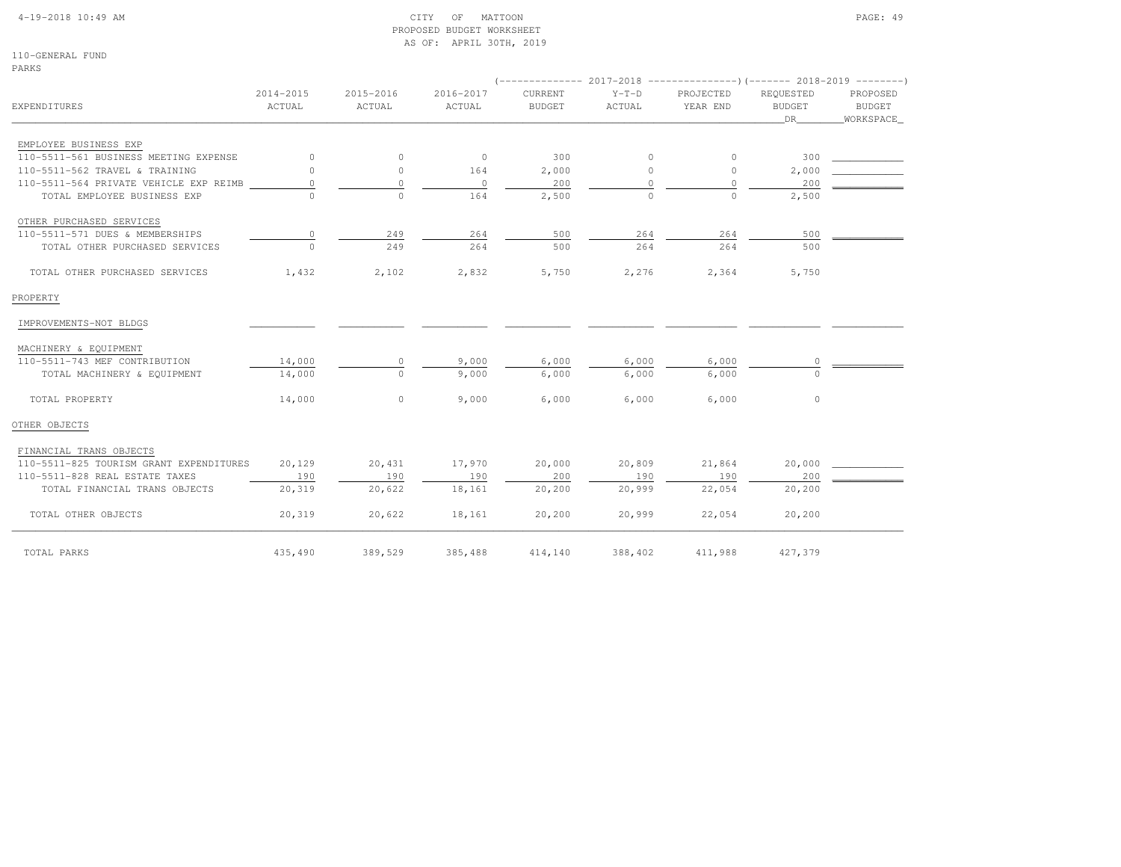#### 4-19-2018 10:49 AM CITY OF MATTOON PAGE: 49 PROPOSED BUDGET WORKSHEETAS OF: APRIL 30TH, 2019

110-GENERAL FUNDPARKS

| <b>EXPENDITURES</b>                     | 2014-2015<br>ACTUAL | 2015-2016<br>ACTUAL | 2016-2017<br>ACTUAL | <b>CURRENT</b><br><b>BUDGET</b> | $Y-T-D$<br>ACTUAL | PROJECTED<br>YEAR END | REQUESTED<br><b>BUDGET</b><br>DR | PROPOSED<br><b>BUDGET</b><br>WORKSPACE |
|-----------------------------------------|---------------------|---------------------|---------------------|---------------------------------|-------------------|-----------------------|----------------------------------|----------------------------------------|
| EMPLOYEE BUSINESS EXP                   |                     |                     |                     |                                 |                   |                       |                                  |                                        |
| 110-5511-561 BUSINESS MEETING EXPENSE   | $\circ$             | $\circ$             | $\circ$             | 300                             | $\circ$           | $\circ$               | 300                              |                                        |
| 110-5511-562 TRAVEL & TRAINING          | $\circ$             | $\circ$             | 164                 | 2,000                           | $\circ$           | 0                     | 2,000                            |                                        |
| 110-5511-564 PRIVATE VEHICLE EXP REIMB  | $\circ$             | $\mathbb O$         | $\circ$             | 200                             | $\Omega$          | $\circ$               | 200                              |                                        |
| TOTAL EMPLOYEE BUSINESS EXP             | $\cap$              | $\Omega$            | 164                 | 2,500                           | $\Omega$          | $\Omega$              | 2,500                            |                                        |
| OTHER PURCHASED SERVICES                |                     |                     |                     |                                 |                   |                       |                                  |                                        |
| 110-5511-571 DUES & MEMBERSHIPS         | 0                   | 249                 | 264                 | 500                             | 264               | 264                   | 500                              |                                        |
| TOTAL OTHER PURCHASED SERVICES          | $\Omega$            | 249                 | 264                 | 500                             | 264               | 264                   | 500                              |                                        |
| TOTAL OTHER PURCHASED SERVICES          | 1,432               | 2,102               | 2,832               | 5,750                           | 2,276             | 2,364                 | 5,750                            |                                        |
| PROPERTY                                |                     |                     |                     |                                 |                   |                       |                                  |                                        |
| IMPROVEMENTS-NOT BLDGS                  |                     |                     |                     |                                 |                   |                       |                                  |                                        |
| MACHINERY & EQUIPMENT                   |                     |                     |                     |                                 |                   |                       |                                  |                                        |
| 110-5511-743 MEF CONTRIBUTION           | 14,000              | 0                   | 9,000               | 6,000                           | 6,000             | 6,000                 |                                  |                                        |
| TOTAL MACHINERY & EQUIPMENT             | 14,000              | $\Omega$            | 9,000               | 6,000                           | 6,000             | 6,000                 | $\cap$                           |                                        |
| TOTAL PROPERTY                          | 14,000              | $\mathbf{0}$        | 9,000               | 6,000                           | 6,000             | 6,000                 | $\circ$                          |                                        |
| OTHER OBJECTS                           |                     |                     |                     |                                 |                   |                       |                                  |                                        |
| FINANCIAL TRANS OBJECTS                 |                     |                     |                     |                                 |                   |                       |                                  |                                        |
| 110-5511-825 TOURISM GRANT EXPENDITURES | 20,129              | 20,431              | 17,970              | 20,000                          | 20,809            | 21,864                | 20,000                           |                                        |
| 110-5511-828 REAL ESTATE TAXES          | 190                 | 190                 | 190                 | 200                             | 190               | 190                   | 200                              |                                        |
| TOTAL FINANCIAL TRANS OBJECTS           | 20,319              | 20,622              | 18,161              | 20,200                          | 20,999            | 22,054                | 20,200                           |                                        |
| TOTAL OTHER OBJECTS                     | 20,319              | 20,622              | 18,161              | 20,200                          | 20,999            | 22,054                | 20,200                           |                                        |
| TOTAL PARKS                             | 435,490             | 389,529             | 385,488             | 414,140                         | 388,402           | 411,988               | 427,379                          |                                        |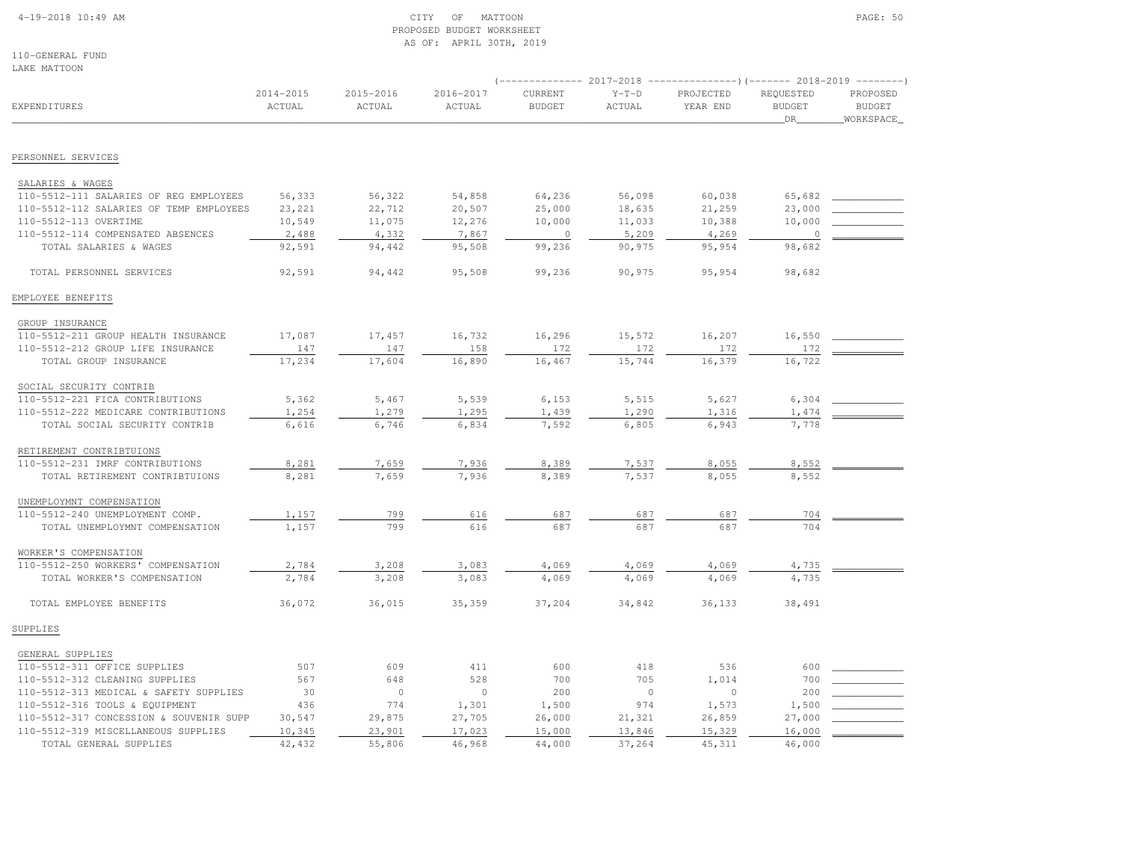#### 4-19-2018 10:49 AM CITY OF MATTOON PAGE: 50 PROPOSED BUDGET WORKSHEETAS OF: APRIL 30TH, 2019

110-GENERAL FUNDLAKE MATTOON

|                                                                   |                         |                     |                     | $(----------2017-2018$ ---------------) (------- 2018-2019 -------) |                   |                       |                                  |                                         |  |
|-------------------------------------------------------------------|-------------------------|---------------------|---------------------|---------------------------------------------------------------------|-------------------|-----------------------|----------------------------------|-----------------------------------------|--|
| EXPENDITURES                                                      | $2014 - 2015$<br>ACTUAL | 2015-2016<br>ACTUAL | 2016-2017<br>ACTUAL | CURRENT<br><b>BUDGET</b>                                            | $Y-T-D$<br>ACTUAL | PROJECTED<br>YEAR END | REQUESTED<br><b>BUDGET</b><br>DR | PROPOSED<br><b>BUDGET</b><br>WORKSPACE_ |  |
| PERSONNEL SERVICES                                                |                         |                     |                     |                                                                     |                   |                       |                                  |                                         |  |
|                                                                   |                         |                     |                     |                                                                     |                   |                       |                                  |                                         |  |
| SALARIES & WAGES                                                  |                         |                     |                     |                                                                     |                   |                       |                                  |                                         |  |
| 110-5512-111 SALARIES OF REG EMPLOYEES                            | 56,333                  | 56,322              | 54,858              | 64,236                                                              | 56,098            | 60,038                | 65,682                           |                                         |  |
| 110-5512-112 SALARIES OF TEMP EMPLOYEES                           | 23,221                  | 22,712              | 20,507              | 25,000                                                              | 18,635            | 21,259                | 23,000                           |                                         |  |
| 110-5512-113 OVERTIME                                             | 10,549                  | 11,075              | 12,276              | 10,000                                                              | 11,033            | 10,388                | 10,000                           |                                         |  |
| 110-5512-114 COMPENSATED ABSENCES                                 | 2,488                   | 4,332               | 7,867               | $\circ$                                                             | 5,209             | 4,269                 | $\circ$                          |                                         |  |
| TOTAL SALARIES & WAGES                                            | 92,591                  | 94,442              | 95,508              | 99,236                                                              | 90,975            | 95,954                | 98,682                           |                                         |  |
| TOTAL PERSONNEL SERVICES                                          | 92,591                  | 94,442              | 95,508              | 99,236                                                              | 90,975            | 95,954                | 98,682                           |                                         |  |
| EMPLOYEE BENEFITS                                                 |                         |                     |                     |                                                                     |                   |                       |                                  |                                         |  |
| GROUP INSURANCE                                                   |                         |                     |                     |                                                                     |                   |                       |                                  |                                         |  |
| 110-5512-211 GROUP HEALTH INSURANCE                               | 17,087                  | 17,457              | 16,732              | 16,296                                                              | 15,572            | 16,207                | 16,550                           |                                         |  |
| 110-5512-212 GROUP LIFE INSURANCE                                 | 147                     | 147                 | 158                 | 172                                                                 | 172               | 172                   | 172                              |                                         |  |
| TOTAL GROUP INSURANCE                                             | 17,234                  | 17,604              | 16,890              | 16,467                                                              | 15,744            | 16,379                | 16,722                           |                                         |  |
| SOCIAL SECURITY CONTRIB                                           |                         |                     |                     |                                                                     |                   |                       |                                  |                                         |  |
| 110-5512-221 FICA CONTRIBUTIONS                                   | 5,362                   | 5,467               | 5,539               | 6,153                                                               | 5,515             | 5,627                 | 6,304                            |                                         |  |
| 110-5512-222 MEDICARE CONTRIBUTIONS                               | 1,254                   | 1,279               | 1,295               | 1,439                                                               | 1,290             | 1,316                 | 1,474                            |                                         |  |
| TOTAL SOCIAL SECURITY CONTRIB                                     | 6,616                   | 6,746               | 6,834               | 7,592                                                               | 6,805             | 6,943                 | 7,778                            |                                         |  |
|                                                                   |                         |                     |                     |                                                                     |                   |                       |                                  |                                         |  |
| RETIREMENT CONTRIBTUIONS                                          |                         |                     |                     |                                                                     |                   |                       |                                  |                                         |  |
| 110-5512-231 IMRF CONTRIBUTIONS<br>TOTAL RETIREMENT CONTRIBTUIONS | 8,281<br>8,281          | 7,659<br>7,659      | 7,936<br>7,936      | 8,389<br>8,389                                                      | 7,537<br>7,537    | 8,055<br>8,055        | 8,552<br>8,552                   |                                         |  |
|                                                                   |                         |                     |                     |                                                                     |                   |                       |                                  |                                         |  |
| UNEMPLOYMNT COMPENSATION                                          |                         |                     |                     |                                                                     |                   |                       |                                  |                                         |  |
| 110-5512-240 UNEMPLOYMENT COMP.                                   | 1,157                   | 799                 | 616                 | 687                                                                 | 687               | 687                   | 704                              |                                         |  |
| TOTAL UNEMPLOYMNT COMPENSATION                                    | 1,157                   | 799                 | 616                 | 687                                                                 | 687               | 687                   | 704                              |                                         |  |
| WORKER'S COMPENSATION                                             |                         |                     |                     |                                                                     |                   |                       |                                  |                                         |  |
| 110-5512-250 WORKERS' COMPENSATION                                | 2,784                   | 3,208               | 3,083               | 4,069                                                               | 4,069             | 4,069                 | 4,735                            |                                         |  |
| TOTAL WORKER'S COMPENSATION                                       | 2,784                   | 3,208               | 3,083               | 4,069                                                               | 4,069             | 4,069                 | 4,735                            |                                         |  |
| TOTAL EMPLOYEE BENEFITS                                           | 36,072                  | 36,015              | 35,359              | 37,204                                                              | 34,842            | 36,133                | 38,491                           |                                         |  |
| SUPPLIES                                                          |                         |                     |                     |                                                                     |                   |                       |                                  |                                         |  |
| GENERAL SUPPLIES                                                  |                         |                     |                     |                                                                     |                   |                       |                                  |                                         |  |
| 110-5512-311 OFFICE SUPPLIES                                      | 507                     | 609                 | 411                 | 600                                                                 | 418               | 536                   | 600                              |                                         |  |
| 110-5512-312 CLEANING SUPPLIES                                    | 567                     | 648                 | 528                 | 700                                                                 | 705               | 1,014                 | 700                              |                                         |  |
| 110-5512-313 MEDICAL & SAFETY SUPPLIES                            | 30                      | $\circ$             | $\circ$             | 200                                                                 | $\overline{0}$    | $\circ$               | 200                              |                                         |  |
| 110-5512-316 TOOLS & EQUIPMENT                                    | 436                     | 774                 | 1,301               | 1,500                                                               | 974               | 1,573                 | 1,500                            |                                         |  |
| 110-5512-317 CONCESSION & SOUVENIR SUPP                           | 30,547                  | 29,875              | 27,705              | 26,000                                                              | 21,321            | 26,859                | 27,000                           |                                         |  |
| 110-5512-319 MISCELLANEOUS SUPPLIES                               | 10,345                  | 23,901              | 17,023              | 15,000                                                              | 13,846            | 15,329                | 16,000                           |                                         |  |
| TOTAL GENERAL SUPPLIES                                            | 42,432                  | 55,806              | 46,968              | 44,000                                                              | 37,264            | 45, 311               | 46,000                           |                                         |  |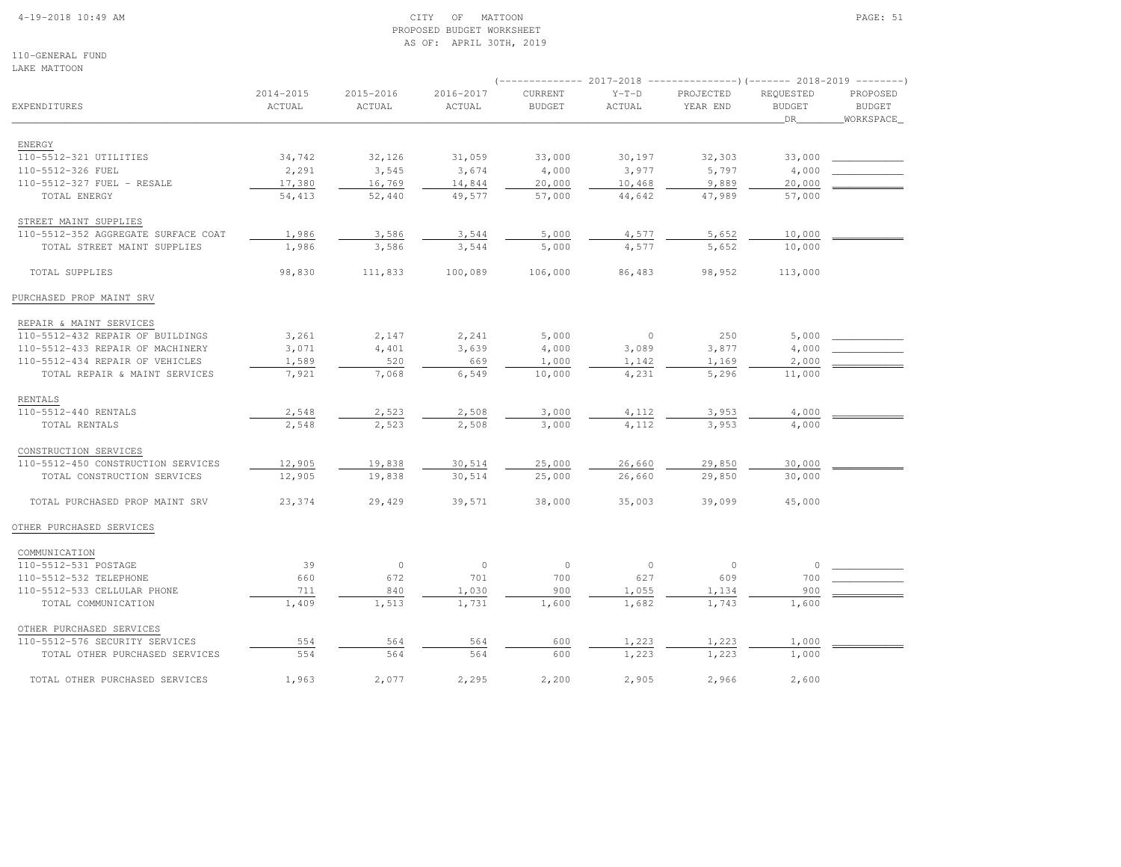### 4-19-2018 10:49 AM CITY OF MATTOON PAGE: 51 PROPOSED BUDGET WORKSHEETAS OF: APRIL 30TH, 2019

110-GENERAL FUNDLAKE MATTOON

|                                     |                     |                     |                     | $(----------2017-2018$ ---------------) (------- 2018-2019 -------) |                   |                       |                                  |                                        |  |
|-------------------------------------|---------------------|---------------------|---------------------|---------------------------------------------------------------------|-------------------|-----------------------|----------------------------------|----------------------------------------|--|
| EXPENDITURES                        | 2014-2015<br>ACTUAL | 2015-2016<br>ACTUAL | 2016-2017<br>ACTUAL | CURRENT<br><b>BUDGET</b>                                            | $Y-T-D$<br>ACTUAL | PROJECTED<br>YEAR END | REQUESTED<br><b>BUDGET</b><br>DR | PROPOSED<br><b>BUDGET</b><br>WORKSPACE |  |
| ENERGY                              |                     |                     |                     |                                                                     |                   |                       |                                  |                                        |  |
| 110-5512-321 UTILITIES              | 34,742              | 32,126              | 31,059              | 33,000                                                              | 30,197            | 32,303                | 33,000                           |                                        |  |
| 110-5512-326 FUEL                   | 2,291               | 3,545               | 3,674               | 4,000                                                               | 3,977             | 5,797                 | 4,000                            |                                        |  |
| 110-5512-327 FUEL - RESALE          | 17,380              | 16,769              | 14,844              | 20,000                                                              | 10,468            | 9,889                 | 20,000                           |                                        |  |
| TOTAL ENERGY                        | 54,413              | 52,440              | 49,577              | 57,000                                                              | 44,642            | 47,989                | 57,000                           |                                        |  |
| STREET MAINT SUPPLIES               |                     |                     |                     |                                                                     |                   |                       |                                  |                                        |  |
| 110-5512-352 AGGREGATE SURFACE COAT | 1,986               | 3,586               | 3,544               | 5,000                                                               | 4,577             | 5,652                 | 10,000                           |                                        |  |
| TOTAL STREET MAINT SUPPLIES         | 1,986               | 3,586               | 3,544               | 5,000                                                               | 4,577             | 5,652                 | 10,000                           |                                        |  |
| TOTAL SUPPLIES                      | 98,830              | 111,833             | 100,089             | 106,000                                                             | 86,483            | 98,952                | 113,000                          |                                        |  |
| PURCHASED PROP MAINT SRV            |                     |                     |                     |                                                                     |                   |                       |                                  |                                        |  |
| REPAIR & MAINT SERVICES             |                     |                     |                     |                                                                     |                   |                       |                                  |                                        |  |
| 110-5512-432 REPAIR OF BUILDINGS    | 3,261               | 2,147               | 2,241               | 5,000                                                               | $\circ$           | 250                   | 5,000                            |                                        |  |
| 110-5512-433 REPAIR OF MACHINERY    | 3,071               | 4,401               | 3,639               | 4,000                                                               | 3,089             | 3,877                 | 4,000                            |                                        |  |
| 110-5512-434 REPAIR OF VEHICLES     | 1,589               | 520                 | 669                 | 1,000                                                               | 1,142             | 1,169                 | 2,000                            |                                        |  |
| TOTAL REPAIR & MAINT SERVICES       | 7,921               | 7,068               | 6,549               | 10,000                                                              | 4,231             | 5,296                 | 11,000                           |                                        |  |
| RENTALS                             |                     |                     |                     |                                                                     |                   |                       |                                  |                                        |  |
| 110-5512-440 RENTALS                | 2,548               | 2,523               | 2,508               | 3,000                                                               | 4,112             | 3,953                 | 4,000                            |                                        |  |
| TOTAL RENTALS                       | 2,548               | 2,523               | 2,508               | 3,000                                                               | 4,112             | 3,953                 | 4,000                            |                                        |  |
| CONSTRUCTION SERVICES               |                     |                     |                     |                                                                     |                   |                       |                                  |                                        |  |
| 110-5512-450 CONSTRUCTION SERVICES  | 12,905              | 19,838              | 30,514              | 25,000                                                              | 26,660            | 29,850                | 30,000                           |                                        |  |
| TOTAL CONSTRUCTION SERVICES         | 12,905              | 19,838              | 30,514              | 25,000                                                              | 26,660            | 29,850                | 30,000                           |                                        |  |
| TOTAL PURCHASED PROP MAINT SRV      | 23,374              | 29,429              | 39,571              | 38,000                                                              | 35,003            | 39,099                | 45,000                           |                                        |  |
| OTHER PURCHASED SERVICES            |                     |                     |                     |                                                                     |                   |                       |                                  |                                        |  |
| COMMUNICATION                       |                     |                     |                     |                                                                     |                   |                       |                                  |                                        |  |
| 110-5512-531 POSTAGE                | 39                  | $\circ$             | $\circ$             | $\circ$                                                             | $\circ$           | $\circ$               | $\circ$                          |                                        |  |
| 110-5512-532 TELEPHONE              | 660                 | 672                 | 701                 | 700                                                                 | 627               | 609                   | 700                              |                                        |  |
| 110-5512-533 CELLULAR PHONE         | 711                 | 840                 | 1,030               | 900                                                                 | 1,055             | 1,134                 | 900                              |                                        |  |
| TOTAL COMMUNICATION                 | 1,409               | 1,513               | 1,731               | 1,600                                                               | 1,682             | 1,743                 | 1,600                            |                                        |  |
| OTHER PURCHASED SERVICES            |                     |                     |                     |                                                                     |                   |                       |                                  |                                        |  |
| 110-5512-576 SECURITY SERVICES      | 554                 | 564                 | 564                 | 600                                                                 | 1,223             | 1,223                 | 1,000                            |                                        |  |
| TOTAL OTHER PURCHASED SERVICES      | 554                 | 564                 | 564                 | 600                                                                 | 1,223             | 1,223                 | 1,000                            |                                        |  |
| TOTAL OTHER PURCHASED SERVICES      | 1,963               | 2,077               | 2,295               | 2,200                                                               | 2,905             | 2,966                 | 2,600                            |                                        |  |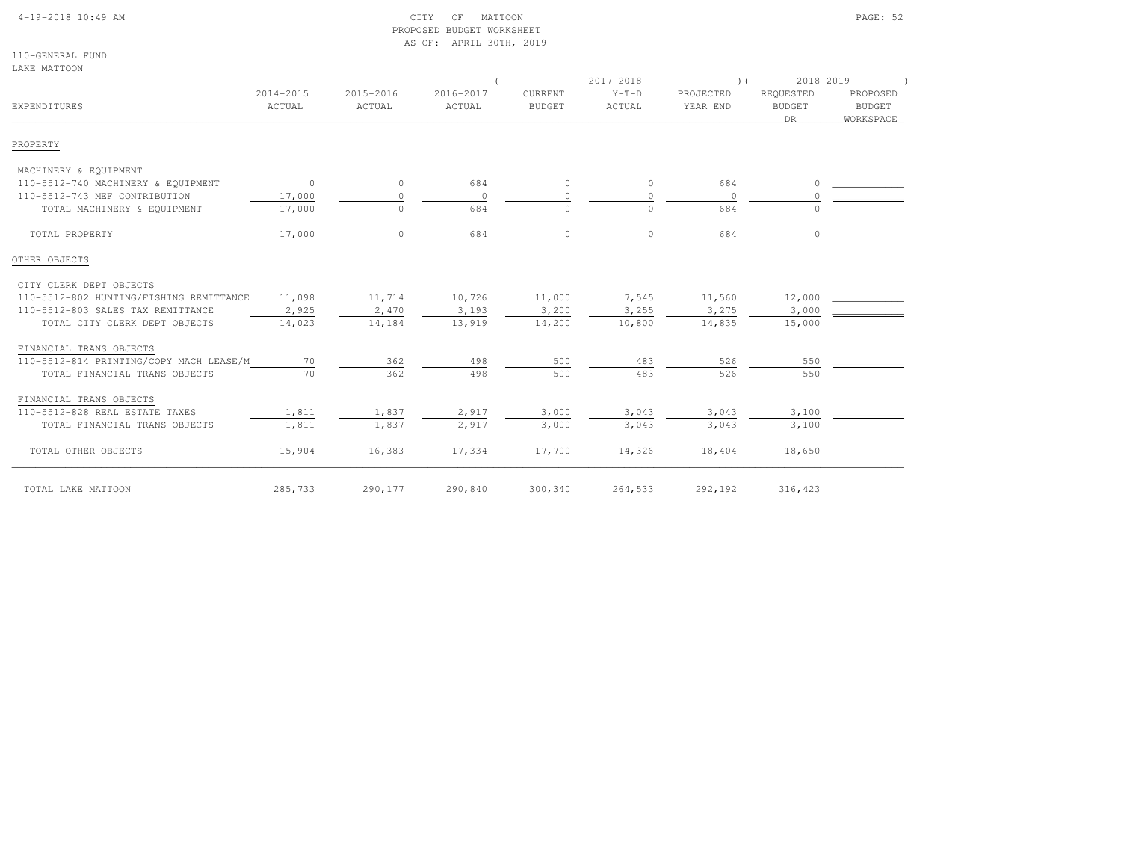### 4-19-2018 10:49 AM CITY OF MATTOON PAGE: 52 PROPOSED BUDGET WORKSHEETAS OF: APRIL 30TH, 2019

110-GENERAL FUNDLAKE MATTOON

| EXPENDITURES                            | 2014-2015<br>ACTUAL | 2015-2016<br>ACTUAL | 2016-2017<br>ACTUAL | <b>CURRENT</b><br><b>BUDGET</b> | $Y-T-D$<br>ACTUAL | PROJECTED<br>YEAR END | REQUESTED<br><b>BUDGET</b><br>DR | PROPOSED<br><b>BUDGET</b><br>WORKSPACE_ |  |  |
|-----------------------------------------|---------------------|---------------------|---------------------|---------------------------------|-------------------|-----------------------|----------------------------------|-----------------------------------------|--|--|
| PROPERTY                                |                     |                     |                     |                                 |                   |                       |                                  |                                         |  |  |
| MACHINERY & EQUIPMENT                   |                     |                     |                     |                                 |                   |                       |                                  |                                         |  |  |
| 110-5512-740 MACHINERY & EQUIPMENT      | $\overline{0}$      | $\circ$             | 684                 | $\circ$                         | $\circ$           | 684                   |                                  |                                         |  |  |
| 110-5512-743 MEF CONTRIBUTION           | 17,000              | $\circ$             | $\circ$             | 0                               | $\Omega$          | $\overline{0}$        |                                  |                                         |  |  |
| TOTAL MACHINERY & EQUIPMENT             | 17,000              | $\circ$             | 684                 | $\circ$                         | $\Omega$          | 684                   |                                  |                                         |  |  |
| TOTAL PROPERTY                          | 17,000              | $\circ$             | 684                 | $\circ$                         | $\Omega$          | 684                   | $\Omega$                         |                                         |  |  |
| OTHER OBJECTS                           |                     |                     |                     |                                 |                   |                       |                                  |                                         |  |  |
| CITY CLERK DEPT OBJECTS                 |                     |                     |                     |                                 |                   |                       |                                  |                                         |  |  |
| 110-5512-802 HUNTING/FISHING REMITTANCE | 11,098              | 11,714              | 10,726              | 11,000                          | 7,545             | 11,560                | 12,000                           |                                         |  |  |
| 110-5512-803 SALES TAX REMITTANCE       | 2,925               | 2,470               | 3,193               | 3,200                           | 3,255             | 3,275                 | 3,000                            |                                         |  |  |
| TOTAL CITY CLERK DEPT OBJECTS           | 14,023              | 14,184              | 13,919              | 14,200                          | 10,800            | 14,835                | 15,000                           |                                         |  |  |
| FINANCIAL TRANS OBJECTS                 |                     |                     |                     |                                 |                   |                       |                                  |                                         |  |  |
| 110-5512-814 PRINTING/COPY MACH LEASE/M | 70                  | 362                 | 498                 | 500                             | 483               | 526                   | 550                              |                                         |  |  |
| TOTAL FINANCIAL TRANS OBJECTS           | 70                  | 362                 | 498                 | 500                             | 483               | 526                   | 550                              |                                         |  |  |
| FINANCIAL TRANS OBJECTS                 |                     |                     |                     |                                 |                   |                       |                                  |                                         |  |  |
| 110-5512-828 REAL ESTATE TAXES          | 1,811               | 1,837               | 2,917               | 3,000                           | 3,043             | 3,043                 | 3,100                            |                                         |  |  |
| TOTAL FINANCIAL TRANS OBJECTS           | 1,811               | 1,837               | 2,917               | 3,000                           | 3,043             | 3,043                 | 3,100                            |                                         |  |  |
| TOTAL OTHER OBJECTS                     | 15,904              | 16,383              | 17,334              | 17,700                          | 14,326            | 18,404                | 18,650                           |                                         |  |  |
| TOTAL LAKE MATTOON                      | 285,733             | 290,177             | 290,840             | 300,340                         | 264,533           | 292,192               | 316,423                          |                                         |  |  |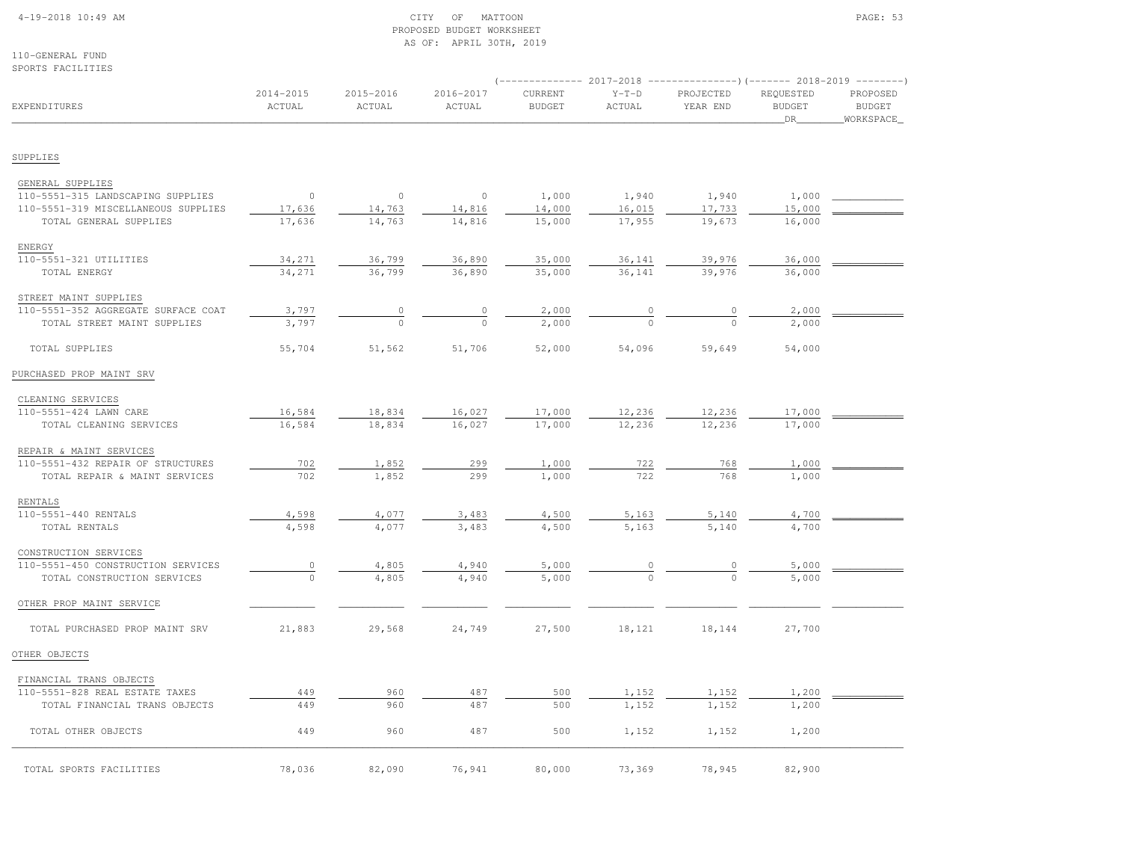### 4-19-2018 10:49 AM CITY OF MATTOON PAGE: 53 PROPOSED BUDGET WORKSHEETAS OF: APRIL 30TH, 2019

110-GENERAL FUND

| SPORTS FACILITIES                                                        |                         |                     |                     |                          |                   | (-------------- 2017-2018 ----------------)(------- 2018-2019 -------- |                                  |                                        |
|--------------------------------------------------------------------------|-------------------------|---------------------|---------------------|--------------------------|-------------------|------------------------------------------------------------------------|----------------------------------|----------------------------------------|
| <b>EXPENDITURES</b>                                                      | $2014 - 2015$<br>ACTUAL | 2015-2016<br>ACTUAL | 2016-2017<br>ACTUAL | CURRENT<br><b>BUDGET</b> | $Y-T-D$<br>ACTUAL | PROJECTED<br>YEAR END                                                  | REQUESTED<br><b>BUDGET</b><br>DR | PROPOSED<br><b>BUDGET</b><br>WORKSPACE |
| SUPPLIES                                                                 |                         |                     |                     |                          |                   |                                                                        |                                  |                                        |
|                                                                          |                         |                     |                     |                          |                   |                                                                        |                                  |                                        |
| GENERAL SUPPLIES                                                         |                         |                     |                     |                          |                   |                                                                        |                                  |                                        |
| 110-5551-315 LANDSCAPING SUPPLIES<br>110-5551-319 MISCELLANEOUS SUPPLIES | $\circ$<br>17,636       | $\circ$<br>14,763   | $\circ$             | 1,000                    | 1,940<br>16,015   | 1,940                                                                  | 1,000<br>15,000                  |                                        |
| TOTAL GENERAL SUPPLIES                                                   | 17,636                  | 14,763              | 14,816<br>14,816    | 14,000<br>15,000         | 17,955            | 17,733<br>19,673                                                       | 16,000                           |                                        |
|                                                                          |                         |                     |                     |                          |                   |                                                                        |                                  |                                        |
| ENERGY                                                                   |                         |                     |                     |                          |                   |                                                                        |                                  |                                        |
| 110-5551-321 UTILITIES                                                   | 34,271                  | 36,799              | 36,890              | 35,000                   | 36,141            | 39,976                                                                 | 36,000                           |                                        |
| TOTAL ENERGY                                                             | 34,271                  | 36,799              | 36,890              | 35,000                   | 36,141            | 39,976                                                                 | 36,000                           |                                        |
| STREET MAINT SUPPLIES                                                    |                         |                     |                     |                          |                   |                                                                        |                                  |                                        |
| 110-5551-352 AGGREGATE SURFACE COAT                                      | 3,797                   | $\circ$             | 0                   | 2,000                    | $\overline{0}$    | $\circ$                                                                | 2,000                            |                                        |
| TOTAL STREET MAINT SUPPLIES                                              | 3,797                   | $\Omega$            | $\Omega$            | 2,000                    | $\Omega$          |                                                                        | 2,000                            |                                        |
| TOTAL SUPPLIES                                                           | 55,704                  | 51,562              | 51,706              | 52,000                   | 54,096            | 59,649                                                                 | 54,000                           |                                        |
| PURCHASED PROP MAINT SRV                                                 |                         |                     |                     |                          |                   |                                                                        |                                  |                                        |
| CLEANING SERVICES                                                        |                         |                     |                     |                          |                   |                                                                        |                                  |                                        |
| 110-5551-424 LAWN CARE                                                   | 16,584                  | 18,834              | 16,027              | 17,000                   | 12,236            | 12,236                                                                 | 17,000                           |                                        |
| TOTAL CLEANING SERVICES                                                  | 16,584                  | 18,834              | 16,027              | 17,000                   | 12,236            | 12,236                                                                 | 17,000                           |                                        |
| REPAIR & MAINT SERVICES                                                  |                         |                     |                     |                          |                   |                                                                        |                                  |                                        |
| 110-5551-432 REPAIR OF STRUCTURES                                        | 702                     | 1,852               | 299                 | 1,000                    | 722               | 768                                                                    | 1,000                            |                                        |
| TOTAL REPAIR & MAINT SERVICES                                            | 702                     | 1,852               | 299                 | 1,000                    | 722               | 768                                                                    | 1,000                            |                                        |
|                                                                          |                         |                     |                     |                          |                   |                                                                        |                                  |                                        |
| RENTALS                                                                  |                         |                     |                     |                          |                   |                                                                        |                                  |                                        |
| 110-5551-440 RENTALS                                                     | 4,598                   | 4,077               | 3,483               | 4,500                    | 5,163             | 5,140                                                                  | 4,700                            |                                        |
| TOTAL RENTALS                                                            | 4,598                   | 4,077               | 3,483               | 4,500                    | 5,163             | 5,140                                                                  | 4,700                            |                                        |
| CONSTRUCTION SERVICES                                                    |                         |                     |                     |                          |                   |                                                                        |                                  |                                        |
| 110-5551-450 CONSTRUCTION SERVICES                                       | $\overline{0}$          | 4,805               | 4,940               | 5,000                    | $\overline{0}$    | $\overline{0}$                                                         | 5,000                            |                                        |
| TOTAL CONSTRUCTION SERVICES                                              | $\overline{0}$          | 4,805               | 4,940               | 5,000                    | $\overline{0}$    | $\circ$                                                                | 5,000                            |                                        |
| OTHER PROP MAINT SERVICE                                                 |                         |                     |                     |                          |                   |                                                                        |                                  |                                        |
| TOTAL PURCHASED PROP MAINT SRV                                           | 21,883                  | 29,568              | 24,749              | 27,500                   | 18,121            | 18,144                                                                 | 27,700                           |                                        |
| OTHER OBJECTS                                                            |                         |                     |                     |                          |                   |                                                                        |                                  |                                        |
| FINANCIAL TRANS OBJECTS                                                  |                         |                     |                     |                          |                   |                                                                        |                                  |                                        |
| 110-5551-828 REAL ESTATE TAXES                                           | 449                     | 960                 | 487                 | 500                      | 1,152             | 1,152                                                                  | 1,200                            |                                        |
| TOTAL FINANCIAL TRANS OBJECTS                                            | 449                     | 960                 | 487                 | 500                      | 1,152             | 1,152                                                                  | 1,200                            |                                        |
| TOTAL OTHER OBJECTS                                                      | 449                     | 960                 | 487                 | 500                      | 1,152             | 1,152                                                                  | 1,200                            |                                        |
|                                                                          |                         |                     |                     |                          |                   |                                                                        |                                  |                                        |
| TOTAL SPORTS FACILITIES                                                  | 78,036                  | 82,090              | 76,941              | 80,000                   | 73,369            | 78,945                                                                 | 82,900                           |                                        |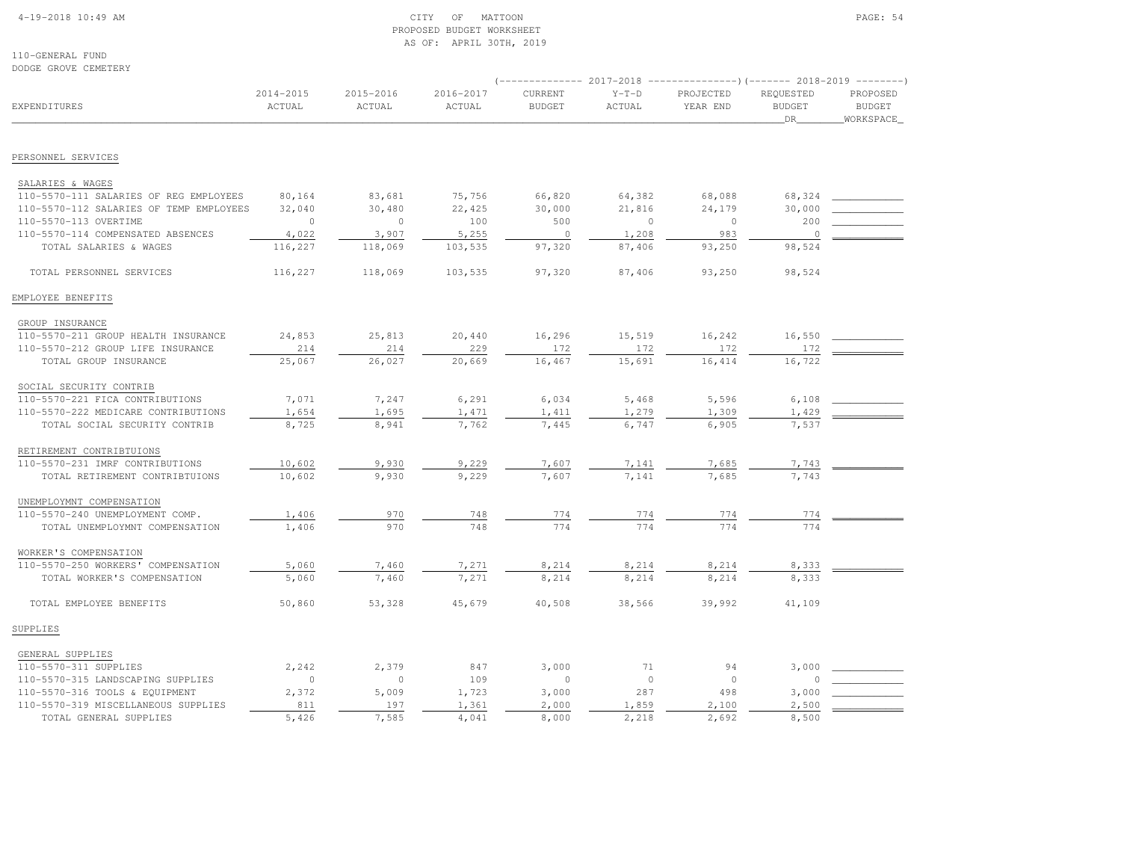### 4-19-2018 10:49 AM CITY OF MATTOON PAGE: 54 PROPOSED BUDGET WORKSHEETAS OF: APRIL 30TH, 2019

110-GENERAL FUNDDODGE GROVE CEMETERY

| <b>EXPENDITURES</b>                     | $2014 - 2015$<br>ACTUAL | 2015-2016<br>ACTUAL | 2016-2017<br>ACTUAL | CURRENT<br><b>BUDGET</b> | $Y-T-D$<br><b>ACTUAL</b> | PROJECTED<br>YEAR END | REQUESTED<br><b>BUDGET</b><br>DR | PROPOSED<br><b>BUDGET</b><br>WORKSPACE |
|-----------------------------------------|-------------------------|---------------------|---------------------|--------------------------|--------------------------|-----------------------|----------------------------------|----------------------------------------|
|                                         |                         |                     |                     |                          |                          |                       |                                  |                                        |
| PERSONNEL SERVICES                      |                         |                     |                     |                          |                          |                       |                                  |                                        |
| SALARIES & WAGES                        |                         |                     |                     |                          |                          |                       |                                  |                                        |
| 110-5570-111 SALARIES OF REG EMPLOYEES  | 80,164                  | 83,681              | 75,756              | 66,820                   | 64,382                   | 68,088                | 68,324                           |                                        |
| 110-5570-112 SALARIES OF TEMP EMPLOYEES | 32,040                  | 30,480              | 22,425              | 30,000                   | 21,816                   | 24,179                | 30,000                           |                                        |
| 110-5570-113 OVERTIME                   | $\mathbf{0}$            | $\circ$             | 100                 | 500                      | $\mathbf{0}$             | $\overline{0}$        | 200                              |                                        |
| 110-5570-114 COMPENSATED ABSENCES       | 4,022                   | 3,907               | 5,255               | $\circ$                  | 1,208                    | 983                   | $\overline{0}$                   |                                        |
| TOTAL SALARIES & WAGES                  | 116,227                 | 118,069             | 103,535             | 97,320                   | 87,406                   | 93,250                | 98,524                           |                                        |
| TOTAL PERSONNEL SERVICES                | 116,227                 | 118,069             | 103,535             | 97,320                   | 87,406                   | 93,250                | 98,524                           |                                        |
| EMPLOYEE BENEFITS                       |                         |                     |                     |                          |                          |                       |                                  |                                        |
| GROUP INSURANCE                         |                         |                     |                     |                          |                          |                       |                                  |                                        |
| 110-5570-211 GROUP HEALTH INSURANCE     | 24,853                  | 25,813              | 20,440              | 16,296                   | 15,519                   | 16,242                | 16,550                           |                                        |
| 110-5570-212 GROUP LIFE INSURANCE       | 214                     | 214                 | 229                 | 172                      | 172                      | 172                   | 172                              |                                        |
| TOTAL GROUP INSURANCE                   | 25,067                  | 26,027              | 20,669              | 16,467                   | 15,691                   | 16, 414               | 16,722                           |                                        |
| SOCIAL SECURITY CONTRIB                 |                         |                     |                     |                          |                          |                       |                                  |                                        |
| 110-5570-221 FICA CONTRIBUTIONS         | 7,071                   | 7,247               | 6,291               | 6,034                    | 5,468                    | 5,596                 | 6,108                            |                                        |
| 110-5570-222 MEDICARE CONTRIBUTIONS     | 1,654                   | 1,695               | 1,471               | 1,411                    | 1,279                    | 1,309                 | 1,429                            |                                        |
| TOTAL SOCIAL SECURITY CONTRIB           | 8,725                   | 8,941               | 7,762               | 7,445                    | 6,747                    | 6,905                 | 7,537                            |                                        |
| RETIREMENT CONTRIBTUIONS                |                         |                     |                     |                          |                          |                       |                                  |                                        |
| 110-5570-231 IMRF CONTRIBUTIONS         | 10,602                  | 9,930               | 9,229               | 7,607                    | 7,141                    | 7,685                 | 7,743                            |                                        |
| TOTAL RETIREMENT CONTRIBTUIONS          | 10,602                  | 9,930               | 9,229               | 7,607                    | 7,141                    | 7,685                 | 7,743                            |                                        |
| UNEMPLOYMNT COMPENSATION                |                         |                     |                     |                          |                          |                       |                                  |                                        |
| 110-5570-240 UNEMPLOYMENT COMP.         | 1,406                   | 970                 | 748                 | 774                      | 774                      | 774                   | 774                              |                                        |
| TOTAL UNEMPLOYMNT COMPENSATION          | 1,406                   | 970                 | 748                 | 774                      | 774                      | 774                   | 774                              |                                        |
| WORKER'S COMPENSATION                   |                         |                     |                     |                          |                          |                       |                                  |                                        |
| 110-5570-250 WORKERS' COMPENSATION      | 5,060                   | 7,460               | 7,271               | 8,214                    | 8,214                    | 8,214                 | 8,333                            |                                        |
| TOTAL WORKER'S COMPENSATION             | 5,060                   | 7,460               | 7,271               | 8,214                    | 8,214                    | 8,214                 | 8,333                            |                                        |
| TOTAL EMPLOYEE BENEFITS                 | 50,860                  | 53,328              | 45,679              | 40,508                   | 38,566                   | 39,992                | 41,109                           |                                        |
| SUPPLIES                                |                         |                     |                     |                          |                          |                       |                                  |                                        |
| GENERAL SUPPLIES                        |                         |                     |                     |                          |                          |                       |                                  |                                        |
| 110-5570-311 SUPPLIES                   | 2,242                   | 2,379               | 847                 | 3,000                    | 71                       | 94                    | 3,000                            |                                        |
| 110-5570-315 LANDSCAPING SUPPLIES       | $\circ$                 | $\circ$             | 109                 | $\circ$                  | $\circ$                  | $\circ$               | $\mathbf 0$                      |                                        |
| 110-5570-316 TOOLS & EQUIPMENT          | 2,372                   | 5,009               | 1,723               | 3,000                    | 287                      | 498                   | 3,000                            |                                        |
| 110-5570-319 MISCELLANEOUS SUPPLIES     | 811                     | 197                 | 1,361               | 2,000                    | 1,859                    | 2,100                 | 2,500                            |                                        |
| TOTAL GENERAL SUPPLIES                  | 5.426                   | 7.585               | 4,041               | 8,000                    | 2.218                    | 2.692                 | 8,500                            |                                        |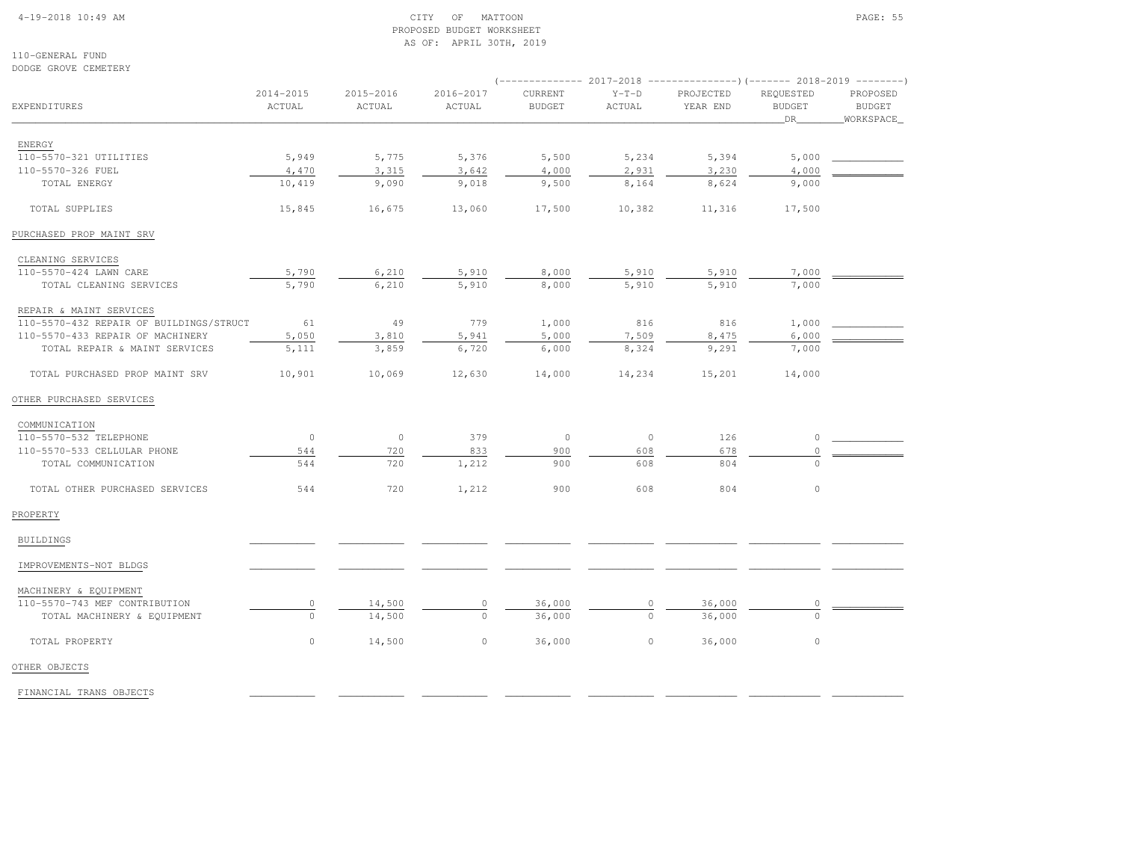### 4-19-2018 10:49 AM CITY OF MATTOON PAGE: 55 PROPOSED BUDGET WORKSHEETAS OF: APRIL 30TH, 2019

110-GENERAL FUNDDODGE GROVE CEMETERY

| <b>EXPENDITURES</b>                     | 2014-2015<br>ACTUAL | 2015-2016<br>ACTUAL | 2016-2017<br>ACTUAL | CURRENT<br><b>BUDGET</b> | $Y-T-D$<br>ACTUAL | PROJECTED<br>YEAR END | REQUESTED<br><b>BUDGET</b>                                                                                                                                                                                                                                                                                    | PROPOSED<br><b>BUDGET</b> |  |  |
|-----------------------------------------|---------------------|---------------------|---------------------|--------------------------|-------------------|-----------------------|---------------------------------------------------------------------------------------------------------------------------------------------------------------------------------------------------------------------------------------------------------------------------------------------------------------|---------------------------|--|--|
|                                         |                     |                     |                     |                          |                   |                       | $(----------2017-2018$ ---------------)(------- 2018-2019 -------)<br>DR<br>5,394<br>5,000<br>3,230<br>4,000<br>8,624<br>9,000<br>17,500<br>7,000<br>5,910<br>5,910<br>7,000<br>816<br>1,000<br>8,475<br>6,000<br>9,291<br>7,000<br>14,000<br>126<br>$\Omega$<br>678<br>804<br>$\Omega$<br>$\mathbb O$<br>804 | WORKSPACE_                |  |  |
| ENERGY                                  |                     |                     |                     |                          |                   |                       |                                                                                                                                                                                                                                                                                                               |                           |  |  |
| 110-5570-321 UTILITIES                  | 5,949               | 5,775               | 5,376               | 5,500                    | 5,234             |                       |                                                                                                                                                                                                                                                                                                               |                           |  |  |
| 110-5570-326 FUEL                       | 4,470               | 3,315               | 3,642               | 4,000                    | 2,931             |                       |                                                                                                                                                                                                                                                                                                               |                           |  |  |
| TOTAL ENERGY                            | 10,419              | 9,090               | 9,018               | 9,500                    | 8,164             |                       |                                                                                                                                                                                                                                                                                                               |                           |  |  |
| TOTAL SUPPLIES                          | 15,845              | 16,675              | 13,060              | 17,500                   | 10,382            | 11,316                |                                                                                                                                                                                                                                                                                                               |                           |  |  |
| PURCHASED PROP MAINT SRV                |                     |                     |                     |                          |                   |                       |                                                                                                                                                                                                                                                                                                               |                           |  |  |
| CLEANING SERVICES                       |                     |                     |                     |                          |                   |                       |                                                                                                                                                                                                                                                                                                               |                           |  |  |
| 110-5570-424 LAWN CARE                  | 5,790               | 6,210               | 5,910               | 8,000                    | 5,910             |                       |                                                                                                                                                                                                                                                                                                               |                           |  |  |
| TOTAL CLEANING SERVICES                 | 5,790               | 6,210               | 5,910               | 8,000                    | 5,910             |                       |                                                                                                                                                                                                                                                                                                               |                           |  |  |
| REPAIR & MAINT SERVICES                 |                     |                     |                     |                          |                   |                       |                                                                                                                                                                                                                                                                                                               |                           |  |  |
| 110-5570-432 REPAIR OF BUILDINGS/STRUCT | 61                  | 49                  | 779                 | 1,000                    | 816               |                       |                                                                                                                                                                                                                                                                                                               |                           |  |  |
| 110-5570-433 REPAIR OF MACHINERY        | 5,050               | 3,810               | 5,941               | 5,000                    | 7,509             |                       |                                                                                                                                                                                                                                                                                                               |                           |  |  |
| TOTAL REPAIR & MAINT SERVICES           | 5,111               | 3,859               | 6,720               | 6,000                    | 8,324             |                       |                                                                                                                                                                                                                                                                                                               |                           |  |  |
| TOTAL PURCHASED PROP MAINT SRV          | 10,901              | 10,069              | 12,630              | 14,000                   | 14,234            | 15,201                |                                                                                                                                                                                                                                                                                                               |                           |  |  |
| OTHER PURCHASED SERVICES                |                     |                     |                     |                          |                   |                       |                                                                                                                                                                                                                                                                                                               |                           |  |  |
| COMMUNICATION                           |                     |                     |                     |                          |                   |                       |                                                                                                                                                                                                                                                                                                               |                           |  |  |
| 110-5570-532 TELEPHONE                  | $\overline{0}$      | $\circ$             | 379                 | $\circ$                  | $\circ$           |                       |                                                                                                                                                                                                                                                                                                               |                           |  |  |
| 110-5570-533 CELLULAR PHONE             | 544                 | 720                 | 833                 | 900                      | 608               |                       |                                                                                                                                                                                                                                                                                                               |                           |  |  |
| TOTAL COMMUNICATION                     | 544                 | 720                 | 1,212               | 900                      | 608               |                       |                                                                                                                                                                                                                                                                                                               |                           |  |  |
| TOTAL OTHER PURCHASED SERVICES          | 544                 | 720                 | 1,212               | 900                      | 608               |                       |                                                                                                                                                                                                                                                                                                               |                           |  |  |
| PROPERTY                                |                     |                     |                     |                          |                   |                       |                                                                                                                                                                                                                                                                                                               |                           |  |  |
| BUILDINGS                               |                     |                     |                     |                          |                   |                       |                                                                                                                                                                                                                                                                                                               |                           |  |  |
| IMPROVEMENTS-NOT BLDGS                  |                     |                     |                     |                          |                   |                       |                                                                                                                                                                                                                                                                                                               |                           |  |  |
| MACHINERY & EQUIPMENT                   |                     |                     |                     |                          |                   |                       |                                                                                                                                                                                                                                                                                                               |                           |  |  |
| 110-5570-743 MEF CONTRIBUTION           | $\mathbb O$         | 14,500              | $\circ$             | 36,000                   |                   | 36,000                |                                                                                                                                                                                                                                                                                                               |                           |  |  |
| TOTAL MACHINERY & EQUIPMENT             | $\Omega$            | 14,500              | $\Omega$            | 36,000                   |                   | 36,000                | $\Omega$                                                                                                                                                                                                                                                                                                      |                           |  |  |
| TOTAL PROPERTY                          | $\circ$             | 14,500              | $\circ$             | 36,000                   | $\circ$           | 36,000                | $\mathbb O$                                                                                                                                                                                                                                                                                                   |                           |  |  |
| OTHER OBJECTS                           |                     |                     |                     |                          |                   |                       |                                                                                                                                                                                                                                                                                                               |                           |  |  |

FINANCIAL TRANS OBJECTS \_\_\_\_\_\_\_\_\_\_\_ \_\_\_\_\_\_\_\_\_\_\_ \_\_\_\_\_\_\_\_\_\_\_ \_\_\_\_\_\_\_\_\_\_\_ \_\_\_\_\_\_\_\_\_\_\_ \_\_\_\_\_\_\_\_\_\_\_\_ \_\_\_\_\_\_\_\_\_\_\_\_ \_\_\_\_\_\_\_\_\_\_\_\_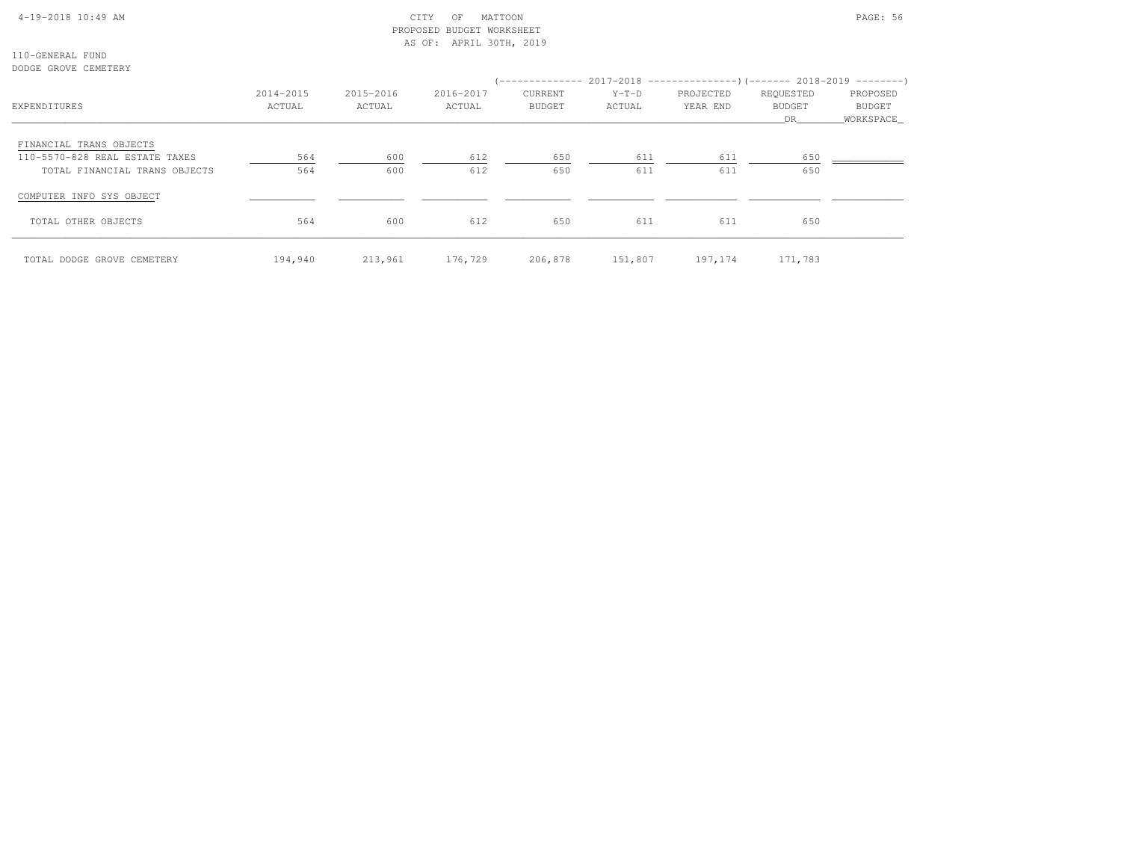## 4-19-2018 10:49 AM CITY OF MATTOON PAGE: 56 PROPOSED BUDGET WORKSHEETAS OF: APRIL 30TH, 2019

110-GENERAL FUNDDODGE GROVE CEMETERY

| EXPENDITURES                   | 2014-2015<br>ACTUAL | 2015-2016<br>ACTUAL | 2016-2017<br>ACTUAL | CURRENT<br>BUDGET | $Y-T-D$<br>ACTUAL | (-------------- 2017-2018 -----------------) (------- 2018-2019 ---------)<br>PROJECTED<br>YEAR END | REQUESTED<br>BUDGET | PROPOSED<br>BUDGET |
|--------------------------------|---------------------|---------------------|---------------------|-------------------|-------------------|-----------------------------------------------------------------------------------------------------|---------------------|--------------------|
|                                |                     |                     |                     |                   |                   |                                                                                                     | DR                  | WORKSPACE          |
| FINANCIAL TRANS OBJECTS        |                     |                     |                     |                   |                   |                                                                                                     |                     |                    |
| 110-5570-828 REAL ESTATE TAXES | 564                 | 600                 | 612                 | 650               | 611               | 611                                                                                                 | 650                 |                    |
| TOTAL FINANCIAL TRANS OBJECTS  | 564                 | 600                 | 612                 | 650               | 611               | 611                                                                                                 | 650                 |                    |
| COMPUTER INFO SYS OBJECT       |                     |                     |                     |                   |                   |                                                                                                     |                     |                    |
| TOTAL OTHER OBJECTS            | 564                 | 600                 | 612                 | 650               | 611               | 611                                                                                                 | 650                 |                    |
| TOTAL DODGE GROVE CEMETERY     | 194,940             | 213,961             | 176,729             | 206,878           | 151,807           | 197,174                                                                                             | 171,783             |                    |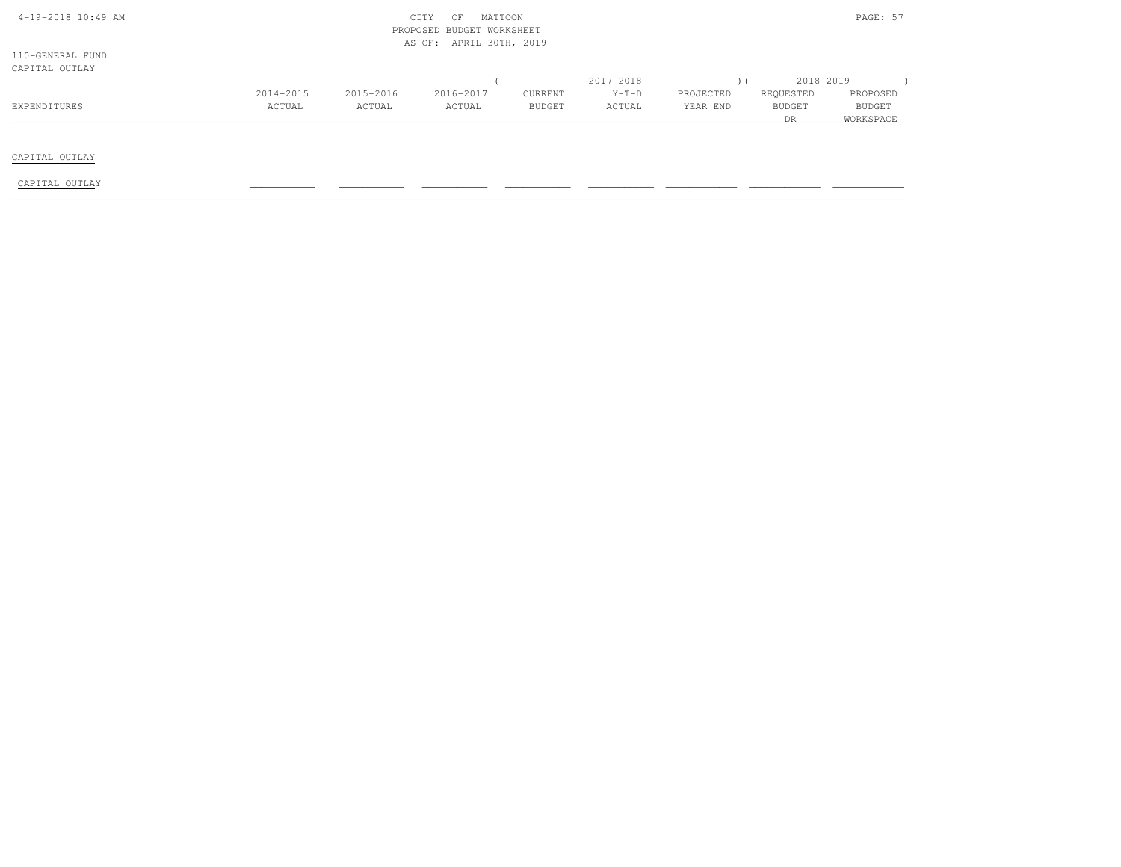| 4-19-2018 10:49 AM |           |           | CITY<br>MATTOON<br>OF     |         |         |           |           | PAGE: 57  |
|--------------------|-----------|-----------|---------------------------|---------|---------|-----------|-----------|-----------|
|                    |           |           | PROPOSED BUDGET WORKSHEET |         |         |           |           |           |
|                    |           |           | AS OF: APRIL 30TH, 2019   |         |         |           |           |           |
| 110-GENERAL FUND   |           |           |                           |         |         |           |           |           |
| CAPITAL OUTLAY     |           |           |                           |         |         |           |           |           |
|                    |           |           |                           |         |         |           |           |           |
|                    | 2014-2015 | 2015-2016 | 2016-2017                 | CURRENT | $Y-T-D$ | PROJECTED | REQUESTED | PROPOSED  |
| EXPENDITURES       | ACTUAL    | ACTUAL    | ACTUAL                    | BUDGET  | ACTUAL  | YEAR END  | BUDGET    | BUDGET    |
|                    |           |           |                           |         |         |           | DR        | WORKSPACE |
|                    |           |           |                           |         |         |           |           |           |
|                    |           |           |                           |         |         |           |           |           |
| CAPITAL OUTLAY     |           |           |                           |         |         |           |           |           |
|                    |           |           |                           |         |         |           |           |           |
| CAPITAL OUTLAY     |           |           |                           |         |         |           |           |           |
|                    |           |           |                           |         |         |           |           |           |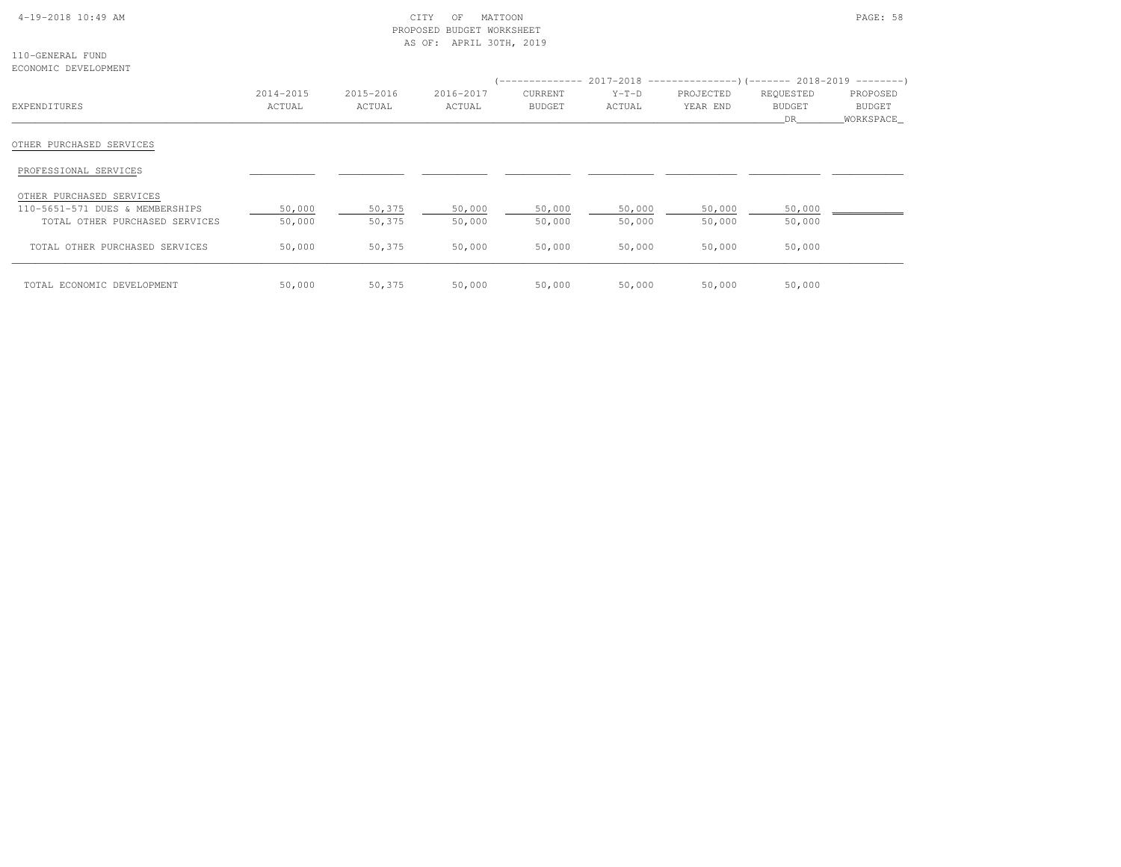## 4-19-2018 10:49 AM CITY OF MATTOON PAGE: 58 PROPOSED BUDGET WORKSHEETAS OF: APRIL 30TH, 2019

110-GENERAL FUNDECONOMIC DEVELOPMENT

| HOONONIEU DIVIDIOININI          |                     |                     |                     |                                 |                   | (-------------- 2017-2018 --------------------- 2018-2019 ---------- ) |                           |                                 |
|---------------------------------|---------------------|---------------------|---------------------|---------------------------------|-------------------|------------------------------------------------------------------------|---------------------------|---------------------------------|
| EXPENDITURES                    | 2014-2015<br>ACTUAL | 2015-2016<br>ACTUAL | 2016-2017<br>ACTUAL | <b>CURRENT</b><br><b>BUDGET</b> | $Y-T-D$<br>ACTUAL | PROJECTED<br>YEAR END                                                  | REQUESTED<br>BUDGET<br>DR | PROPOSED<br>BUDGET<br>WORKSPACE |
| OTHER PURCHASED SERVICES        |                     |                     |                     |                                 |                   |                                                                        |                           |                                 |
| PROFESSIONAL SERVICES           |                     |                     |                     |                                 |                   |                                                                        |                           |                                 |
| OTHER PURCHASED SERVICES        |                     |                     |                     |                                 |                   |                                                                        |                           |                                 |
| 110-5651-571 DUES & MEMBERSHIPS | 50,000              | 50,375              | 50,000              | 50,000                          | 50,000            | 50,000                                                                 | 50,000                    |                                 |
| TOTAL OTHER PURCHASED SERVICES  | 50,000              | 50,375              | 50,000              | 50,000                          | 50,000            | 50,000                                                                 | 50,000                    |                                 |
| TOTAL OTHER PURCHASED SERVICES  | 50,000              | 50,375              | 50,000              | 50,000                          | 50,000            | 50,000                                                                 | 50,000                    |                                 |
| TOTAL ECONOMIC DEVELOPMENT      | 50,000              | 50,375              | 50,000              | 50,000                          | 50,000            | 50,000                                                                 | 50,000                    |                                 |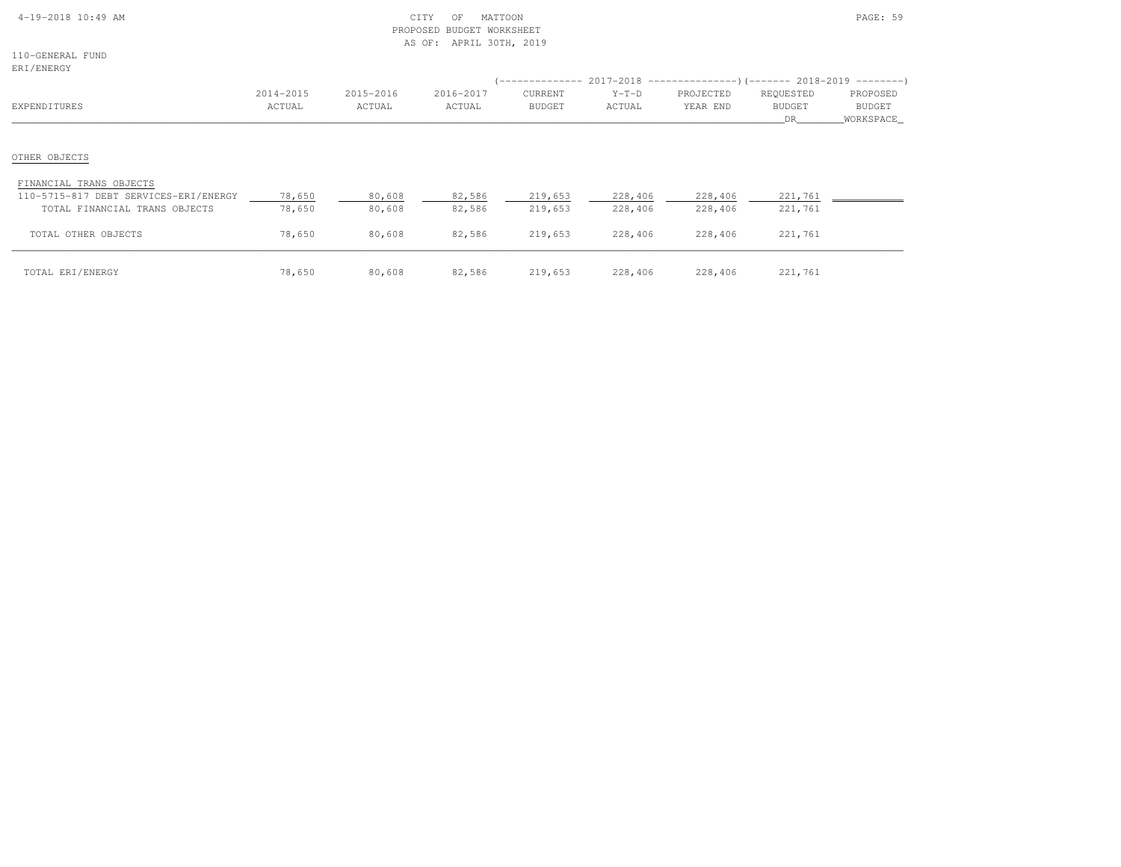| 4-19-2018 10:49 AM |  |
|--------------------|--|

### $\begin{array}{ccc} \text{CITY} & \text{OF} & \text{MATION} \end{array}$  PROPOSED BUDGET WORKSHEETAS OF: APRIL 30TH, 2019

110-GENERAL FUNDER

| ERI/ENERGY                            |           |           |           |                |         | (-------------- 2017-2018 ----------------) (------- 2018-2019 ---------) |               |           |
|---------------------------------------|-----------|-----------|-----------|----------------|---------|---------------------------------------------------------------------------|---------------|-----------|
|                                       | 2014-2015 | 2015-2016 | 2016-2017 | <b>CURRENT</b> | $Y-T-D$ | PROJECTED                                                                 | REQUESTED     | PROPOSED  |
| EXPENDITURES                          | ACTUAL    | ACTUAL    | ACTUAL    | <b>BUDGET</b>  | ACTUAL  | YEAR END                                                                  | <b>BUDGET</b> | BUDGET    |
|                                       |           |           |           |                |         |                                                                           | DR.           | WORKSPACE |
| OTHER OBJECTS                         |           |           |           |                |         |                                                                           |               |           |
| FINANCIAL TRANS OBJECTS               |           |           |           |                |         |                                                                           |               |           |
| 110-5715-817 DEBT SERVICES-ERI/ENERGY | 78,650    | 80,608    | 82,586    | 219,653        | 228,406 | 228,406                                                                   | 221,761       |           |
| TOTAL FINANCIAL TRANS OBJECTS         | 78,650    | 80,608    | 82,586    | 219,653        | 228,406 | 228,406                                                                   | 221,761       |           |
| TOTAL OTHER OBJECTS                   | 78,650    | 80,608    | 82,586    | 219,653        | 228,406 | 228,406                                                                   | 221,761       |           |
| TOTAL ERI/ENERGY                      | 78,650    | 80,608    | 82,586    | 219,653        | 228,406 | 228,406                                                                   | 221,761       |           |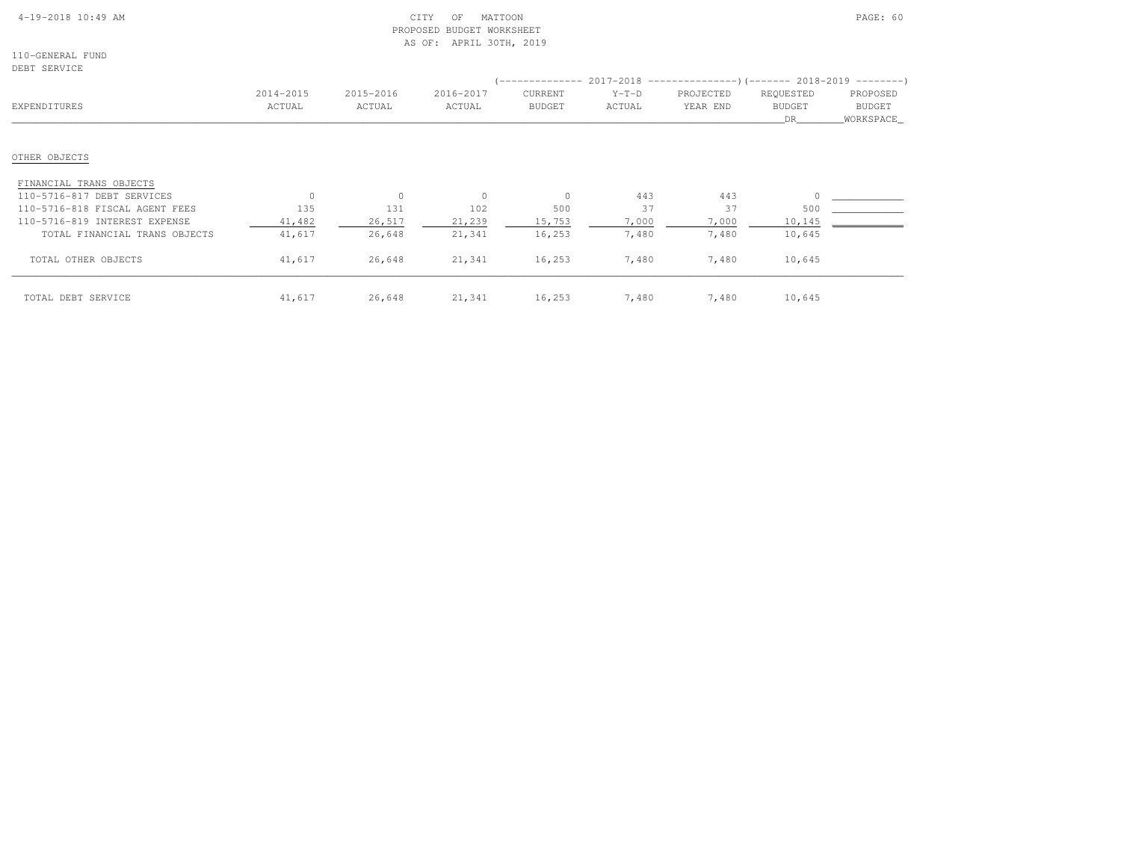## 4-19-2018 10:49 AM CITY OF MATTOON PAGE: 60 PROPOSED BUDGET WORKSHEETAS OF: APRIL 30TH, 2019

110-GENERAL FUNDDEBT SERVICE

| DERI PEKATCE                   |                     |                     |                     |                          |                   |                                                                                                       |                                  |                                         |
|--------------------------------|---------------------|---------------------|---------------------|--------------------------|-------------------|-------------------------------------------------------------------------------------------------------|----------------------------------|-----------------------------------------|
| EXPENDITURES                   | 2014-2015<br>ACTUAL | 2015-2016<br>ACTUAL | 2016-2017<br>ACTUAL | CURRENT<br><b>BUDGET</b> | $Y-T-D$<br>ACTUAL | $($ -------------- 2017-2018 ----------------) (------- 2018-2019 ---------)<br>PROJECTED<br>YEAR END | REQUESTED<br><b>BUDGET</b><br>DR | PROPOSED<br><b>BUDGET</b><br>WORKSPACE_ |
| OTHER OBJECTS                  |                     |                     |                     |                          |                   |                                                                                                       |                                  |                                         |
| FINANCIAL TRANS OBJECTS        |                     |                     |                     |                          |                   |                                                                                                       |                                  |                                         |
| 110-5716-817 DEBT SERVICES     | $\Omega$            | $\circ$             | $\circ$             | $\Omega$                 | 443               | 443                                                                                                   |                                  |                                         |
| 110-5716-818 FISCAL AGENT FEES | 135                 | 131                 | 102                 | 500                      | 37                | 37                                                                                                    | 500                              |                                         |
| 110-5716-819 INTEREST EXPENSE  | 41,482              | 26,517              | 21,239              | 15,753                   | 7,000             | 7,000                                                                                                 | 10,145                           |                                         |
| TOTAL FINANCIAL TRANS OBJECTS  | 41,617              | 26,648              | 21,341              | 16,253                   | 7,480             | 7,480                                                                                                 | 10,645                           |                                         |
| TOTAL OTHER OBJECTS            | 41,617              | 26,648              | 21,341              | 16,253                   | 7,480             | 7,480                                                                                                 | 10,645                           |                                         |
| TOTAL DEBT SERVICE             | 41,617              | 26,648              | 21,341              | 16,253                   | 7,480             | 7,480                                                                                                 | 10,645                           |                                         |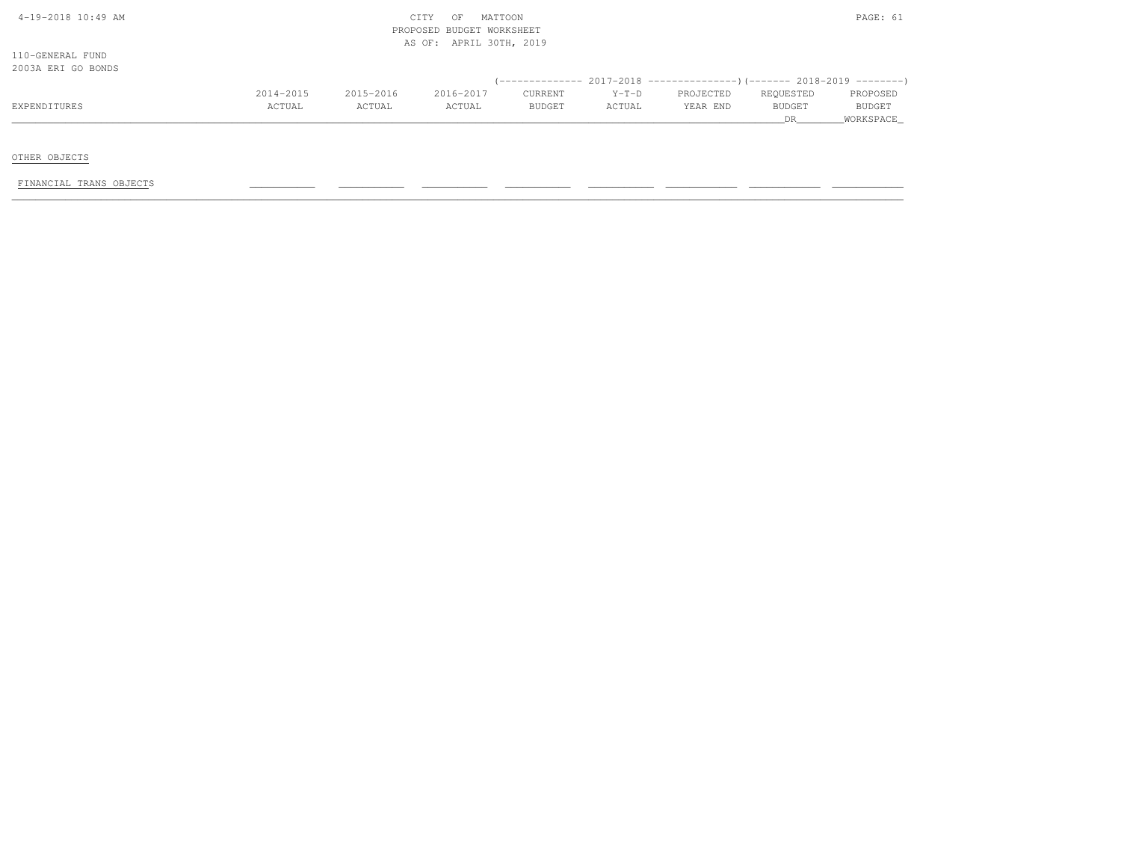| $4-19-2018$ $10:49$ AM |  |  |
|------------------------|--|--|

## $\text{CITY}$  of MATTOON PAGE: 61 PROPOSED BUDGET WORKSHEETAS OF: APRIL 30TH, 2019

110-GENERAL FUND2003A ERI GO BONDS

| LVVJII LINI UV LVIILU |               |           |           |               |         |                                                                              |               |               |
|-----------------------|---------------|-----------|-----------|---------------|---------|------------------------------------------------------------------------------|---------------|---------------|
|                       |               |           |           |               |         | $(-$ ------------- 2017-2018 -----------------) (------- 2018-2019 --------) |               |               |
|                       | 2014-2015     | 2015-2016 | 2016-2017 | CURRENT       | $Y-T-D$ | PROJECTED                                                                    | REQUESTED     | PROPOSED      |
| EXPENDITURES          | <b>ACTUAL</b> | ACTUAL    | ACTUAL    | <b>BUDGET</b> | ACTUAL  | YEAR END                                                                     | <b>BUDGET</b> | <b>BUDGET</b> |
|                       |               |           |           |               |         |                                                                              |               | WORKSPACE     |

OTHER OBJECTS

FINANCIAL TRANS OBJECTS \_\_\_\_\_\_\_\_\_\_\_ \_\_\_\_\_\_\_\_\_\_\_ \_\_\_\_\_\_\_\_\_\_\_ \_\_\_\_\_\_\_\_\_\_\_ \_\_\_\_\_\_\_\_\_\_\_ \_\_\_\_\_\_\_\_\_\_\_\_ \_\_\_\_\_\_\_\_\_\_\_\_ \_\_\_\_\_\_\_\_\_\_\_\_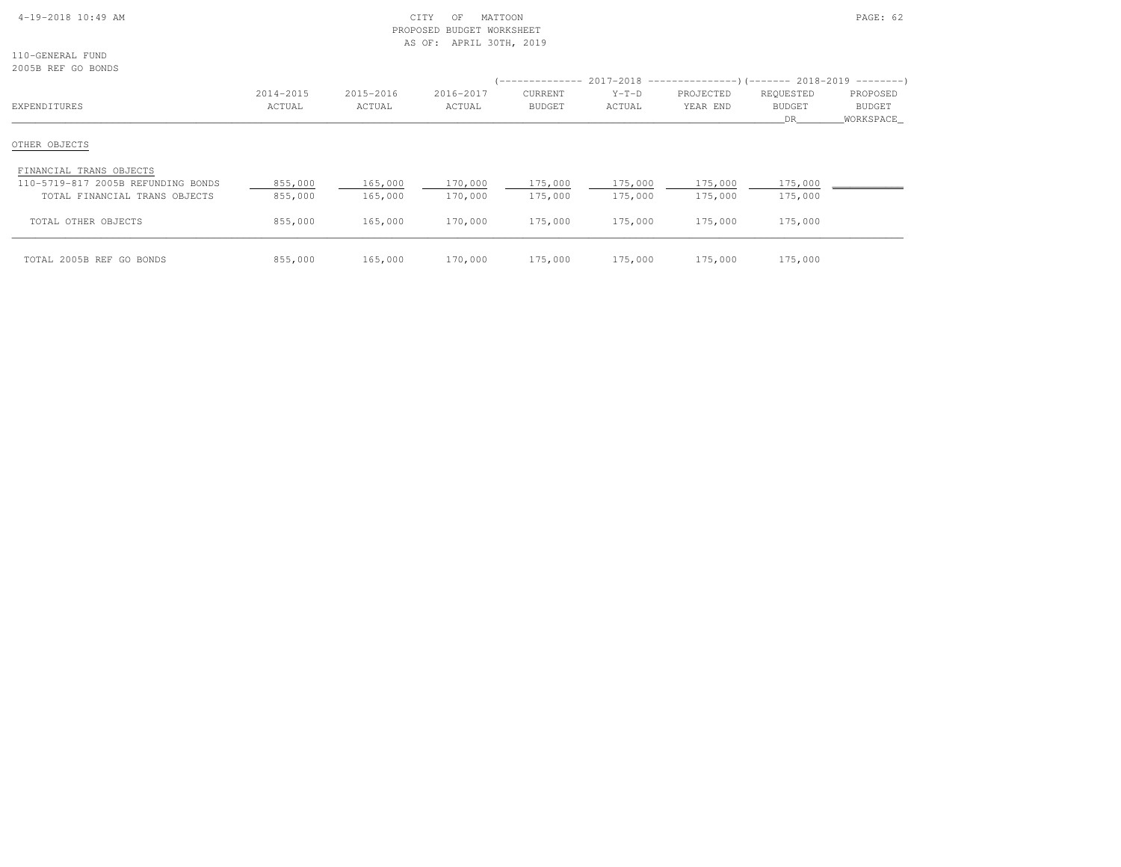### 4-19-2018 10:49 AM CITY OF MATTOON PAGE: 62 PROPOSED BUDGET WORKSHEETAS OF: APRIL 30TH, 2019

110-GENERAL FUND2005B REF GO BONDS

| CANDA KEL GA DAMDI                                                  |                     |                     |                     |                                 |                    | -------------- 2017-2018 -------------------- (------- 2018-2019 ---------) |                                   |                                 |
|---------------------------------------------------------------------|---------------------|---------------------|---------------------|---------------------------------|--------------------|-----------------------------------------------------------------------------|-----------------------------------|---------------------------------|
| EXPENDITURES                                                        | 2014-2015<br>ACTUAL | 2015-2016<br>ACTUAL | 2016-2017<br>ACTUAL | <b>CURRENT</b><br><b>BUDGET</b> | $Y-T-D$<br>ACTUAL  | PROJECTED<br>YEAR END                                                       | REQUESTED<br><b>BUDGET</b><br>DR. | PROPOSED<br>BUDGET<br>WORKSPACE |
| OTHER OBJECTS                                                       |                     |                     |                     |                                 |                    |                                                                             |                                   |                                 |
| FINANCIAL TRANS OBJECTS                                             |                     |                     |                     |                                 |                    |                                                                             |                                   |                                 |
| 110-5719-817 2005B REFUNDING BONDS<br>TOTAL FINANCIAL TRANS OBJECTS | 855,000<br>855,000  | 165,000<br>165,000  | 170,000<br>170,000  | 175,000<br>175,000              | 175,000<br>175,000 | 175,000<br>175,000                                                          | 175,000<br>175,000                |                                 |
| TOTAL OTHER OBJECTS                                                 | 855,000             | 165,000             | 170,000             | 175,000                         | 175,000            | 175,000                                                                     | 175,000                           |                                 |
| TOTAL 2005B REF GO BONDS                                            | 855,000             | 165,000             | 170,000             | 175,000                         | 175,000            | 175,000                                                                     | 175,000                           |                                 |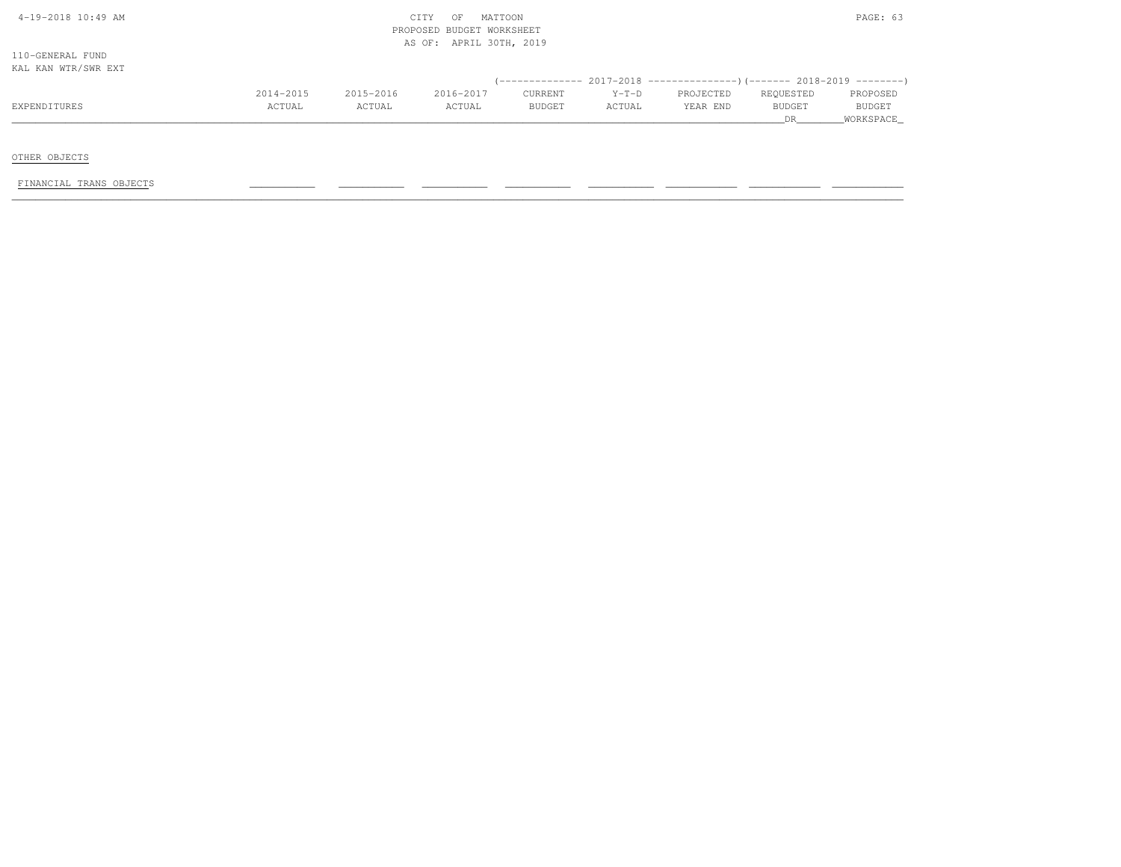|  |  | $4-19-2018$ $10:49$ AM |
|--|--|------------------------|

## $\text{CITY}$  of MATTOON  $\text{PAGE: } 63$  PROPOSED BUDGET WORKSHEETAS OF: APRIL 30TH, 2019

110-GENERAL FUNDKAL KAN WTR/SWR EXT

| IUID IUIN NIIV ONIVILLI |           |           |           |                |         |                                                                              |               |               |
|-------------------------|-----------|-----------|-----------|----------------|---------|------------------------------------------------------------------------------|---------------|---------------|
|                         |           |           |           |                |         | $(-$ ------------- 2017-2018 -----------------) (------- 2018-2019 --------) |               |               |
|                         | 2014-2015 | 2015-2016 | 2016-2017 | <b>CURRENT</b> | $Y-T-D$ | PROJECTED                                                                    | REQUESTED     | PROPOSED      |
| EXPENDITURES            | ACTUAL    | ACTUAL    | ACTUAL    | <b>BUDGET</b>  | ACTUAL  | YEAR END                                                                     | <b>BUDGET</b> | <b>BUDGET</b> |
|                         |           |           |           |                |         |                                                                              |               |               |

OTHER OBJECTS

FINANCIAL TRANS OBJECTS \_\_\_\_\_\_\_\_\_\_\_ \_\_\_\_\_\_\_\_\_\_\_ \_\_\_\_\_\_\_\_\_\_\_ \_\_\_\_\_\_\_\_\_\_\_ \_\_\_\_\_\_\_\_\_\_\_ \_\_\_\_\_\_\_\_\_\_\_\_ \_\_\_\_\_\_\_\_\_\_\_\_ \_\_\_\_\_\_\_\_\_\_\_\_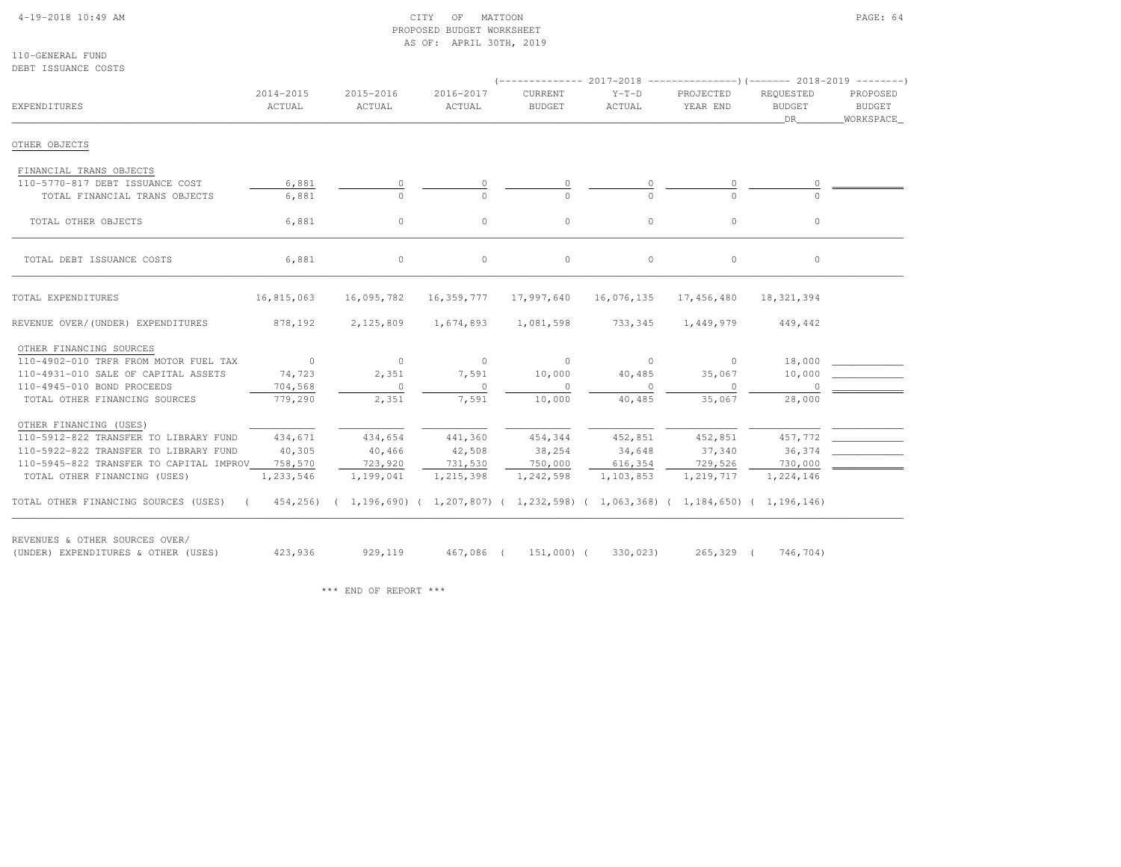#### 4-19-2018 10:49 AM CITY OF MATTOON PAGE: 64 PROPOSED BUDGET WORKSHEETAS OF: APRIL 30TH, 2019

110-GENERAL FUNDDEBT ISSUANCE COSTS

| EXPENDITURES                                                                                                           | 2014-2015<br>ACTUAL | 2015-2016<br>ACTUAL | 2016-2017<br>ACTUAL | <b>CURRENT</b><br><b>BUDGET</b> | $Y-T-D$<br>ACTUAL | PROJECTED<br>YEAR END | REOUESTED<br><b>BUDGET</b><br>DR | PROPOSED<br><b>BUDGET</b><br>WORKSPACE |
|------------------------------------------------------------------------------------------------------------------------|---------------------|---------------------|---------------------|---------------------------------|-------------------|-----------------------|----------------------------------|----------------------------------------|
| OTHER OBJECTS                                                                                                          |                     |                     |                     |                                 |                   |                       |                                  |                                        |
| FINANCIAL TRANS OBJECTS                                                                                                |                     |                     |                     |                                 |                   |                       |                                  |                                        |
| 110-5770-817 DEBT ISSUANCE COST                                                                                        | 6,881               | $\circ$             |                     |                                 |                   | $\circ$               |                                  |                                        |
| TOTAL FINANCIAL TRANS OBJECTS                                                                                          | 6,881               | $\Omega$            |                     |                                 |                   | $\cap$                |                                  |                                        |
| TOTAL OTHER OBJECTS                                                                                                    | 6,881               | $\circ$             | $\circ$             | $\circ$                         | $\circ$           | $\circ$               | $\circ$                          |                                        |
| TOTAL DEBT ISSUANCE COSTS                                                                                              | 6,881               | $\circ$             | $\circ$             | $\circ$                         | $\circ$           | $\circ$               | $\circ$                          |                                        |
|                                                                                                                        |                     |                     |                     |                                 |                   |                       |                                  |                                        |
| TOTAL EXPENDITURES                                                                                                     | 16,815,063          | 16,095,782          | 16,359,777          | 17,997,640                      | 16,076,135        | 17,456,480            | 18,321,394                       |                                        |
| REVENUE OVER/(UNDER) EXPENDITURES                                                                                      | 878,192             | 2,125,809           | 1,674,893           | 1,081,598                       | 733,345           | 1,449,979             | 449,442                          |                                        |
| OTHER FINANCING SOURCES                                                                                                |                     |                     |                     |                                 |                   |                       |                                  |                                        |
| 110-4902-010 TRFR FROM MOTOR FUEL TAX                                                                                  | $\sim$ 0            | $\circ$             | $\overline{0}$      | $\circ$                         | $\sim$ 0          | $\circ$               | 18,000                           |                                        |
| 110-4931-010 SALE OF CAPITAL ASSETS                                                                                    | 74,723              | 2,351               | 7,591               | 10,000                          | 40,485            | 35,067                | 10,000                           |                                        |
| 110-4945-010 BOND PROCEEDS                                                                                             | 704,568             | $\circ$             | $\circ$             | $\circ$                         | $\circ$           | $\circ$               | $\circ$                          |                                        |
| TOTAL OTHER FINANCING SOURCES                                                                                          | 779,290             | 2,351               | 7,591               | 10,000                          | 40,485            | 35,067                | 28,000                           |                                        |
| OTHER FINANCING (USES)                                                                                                 |                     |                     |                     |                                 |                   |                       |                                  |                                        |
| 110-5912-822 TRANSFER TO LIBRARY FUND                                                                                  | 434,671             | 434,654             | 441,360             | 454,344                         | 452,851           | 452,851               | 457,772                          |                                        |
| 110-5922-822 TRANSFER TO LIBRARY FUND                                                                                  | 40,305              | 40,466              | 42,508              | 38,254                          | 34,648            | 37,340                | 36,374                           |                                        |
| 110-5945-822 TRANSFER TO CAPITAL IMPROV                                                                                | 758,570             | 723,920             | 731,530             | 750,000                         | 616,354           | 729,526               | 730,000                          |                                        |
| TOTAL OTHER FINANCING (USES)                                                                                           | 1,233,546           | 1,199,041           | 1,215,398           | 1,242,598                       | 1,103,853         | 1,219,717             | 1,224,146                        |                                        |
| TOTAL OTHER FINANCING SOURCES (USES) (454,256) (1,196,690) (1,207,807) (1,232,598) (1,063,368) (1,184,650) (1,196,146) |                     |                     |                     |                                 |                   |                       |                                  |                                        |
| REVENUES & OTHER SOURCES OVER/                                                                                         |                     |                     |                     |                                 |                   |                       |                                  |                                        |
| (UNDER) EXPENDITURES & OTHER (USES)                                                                                    | 423,936             | 929,119             |                     | 467,086 ( 151,000) (            | 330,023)          | 265,329 (             | 746,704)                         |                                        |

\*\*\* END OF REPORT \*\*\*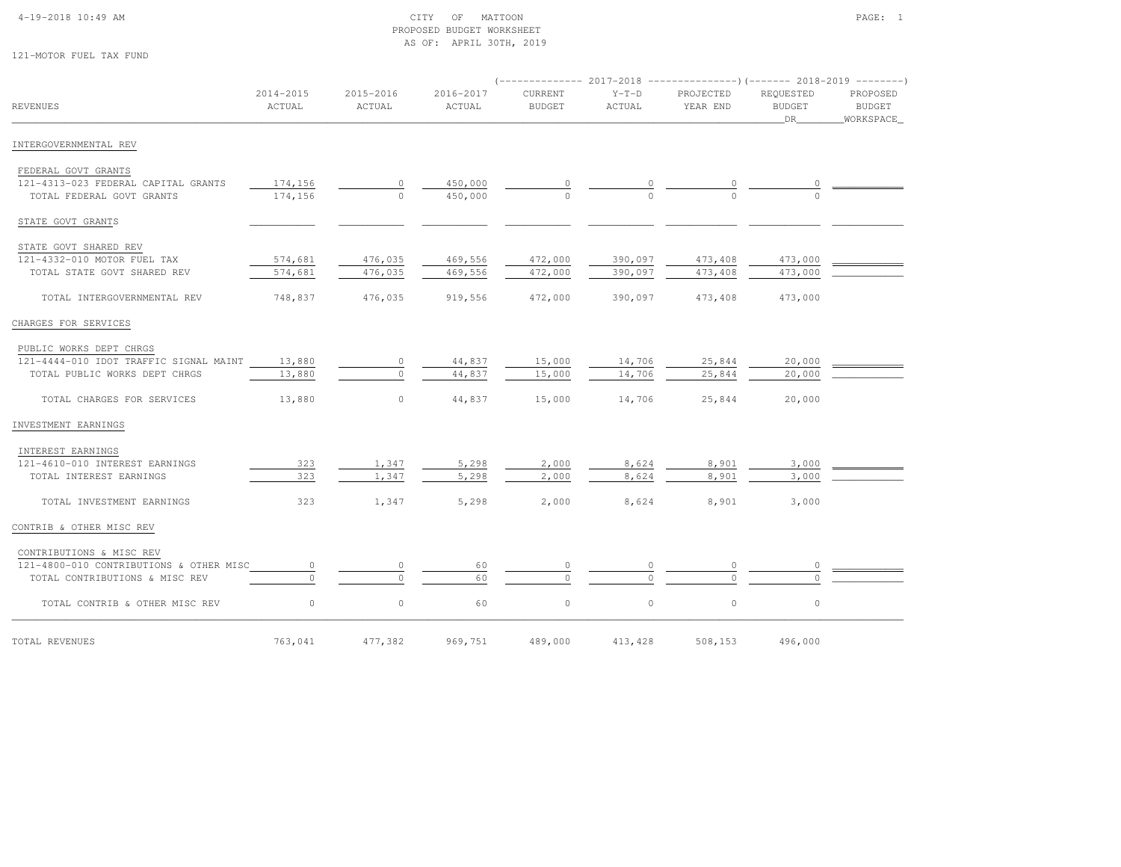### 4-19-2018 10:49 AM CITY OF MATTOON PAGE: 1 PROPOSED BUDGET WORKSHEETAS OF: APRIL 30TH, 2019

121-MOTOR FUEL TAX FUND

|                                               |                     |                     |                     |                                 |                   | $(-$ ------------- 2017-2018 -----------------) (------- 2018-2019 --------) |                                  |                                   |
|-----------------------------------------------|---------------------|---------------------|---------------------|---------------------------------|-------------------|------------------------------------------------------------------------------|----------------------------------|-----------------------------------|
| <b>REVENUES</b>                               | 2014-2015<br>ACTUAL | 2015-2016<br>ACTUAL | 2016-2017<br>ACTUAL | <b>CURRENT</b><br><b>BUDGET</b> | $Y-T-D$<br>ACTUAL | PROJECTED<br>YEAR END                                                        | REOUESTED<br><b>BUDGET</b><br>DR | PROPOSED<br>BUDGET<br>_WORKSPACE_ |
| INTERGOVERNMENTAL REV                         |                     |                     |                     |                                 |                   |                                                                              |                                  |                                   |
| FEDERAL GOVT GRANTS                           |                     |                     |                     |                                 |                   |                                                                              |                                  |                                   |
| 121-4313-023 FEDERAL CAPITAL GRANTS           | 174,156             | 0                   | 450,000             |                                 |                   |                                                                              |                                  |                                   |
| TOTAL FEDERAL GOVT GRANTS                     | 174,156             | $\Omega$            | 450,000             | $\cap$                          |                   |                                                                              |                                  |                                   |
| STATE GOVT GRANTS                             |                     |                     |                     |                                 |                   |                                                                              |                                  |                                   |
| STATE GOVT SHARED REV                         |                     |                     |                     |                                 |                   |                                                                              |                                  |                                   |
| 121-4332-010 MOTOR FUEL TAX                   | 574,681             | 476,035             | 469,556             | 472,000                         | 390,097           | 473,408                                                                      | 473,000                          |                                   |
| TOTAL STATE GOVT SHARED REV                   | 574,681             | 476,035             | 469,556             | 472,000                         | 390,097           | 473,408                                                                      | 473,000                          |                                   |
| TOTAL INTERGOVERNMENTAL REV                   | 748,837             | 476,035             | 919,556             | 472,000                         | 390,097           | 473,408                                                                      | 473,000                          |                                   |
| CHARGES FOR SERVICES                          |                     |                     |                     |                                 |                   |                                                                              |                                  |                                   |
| PUBLIC WORKS DEPT CHRGS                       |                     |                     |                     |                                 |                   |                                                                              |                                  |                                   |
| 121-4444-010 IDOT TRAFFIC SIGNAL MAINT 13,880 |                     | $\circ$             | 44,837              | 15,000                          | 14,706            | 25,844                                                                       | 20,000                           |                                   |
| TOTAL PUBLIC WORKS DEPT CHRGS                 | 13,880              | $\circ$             | 44,837              | 15,000                          | 14,706            | 25,844                                                                       | 20,000                           |                                   |
| TOTAL CHARGES FOR SERVICES                    | 13,880              | $\circ$             | 44,837              | 15,000                          | 14,706            | 25,844                                                                       | 20,000                           |                                   |
| INVESTMENT EARNINGS                           |                     |                     |                     |                                 |                   |                                                                              |                                  |                                   |
| INTEREST EARNINGS                             |                     |                     |                     |                                 |                   |                                                                              |                                  |                                   |
| 121-4610-010 INTEREST EARNINGS                | 323                 | 1,347               | 5,298               | 2,000                           | 8,624             | 8,901                                                                        | 3,000                            |                                   |
| TOTAL INTEREST EARNINGS                       | 323                 | 1,347               | 5,298               | 2,000                           | 8,624             | 8,901                                                                        | 3,000                            |                                   |
| TOTAL INVESTMENT EARNINGS                     | 323                 | 1,347               | 5,298               | 2,000                           | 8,624             | 8,901                                                                        | 3,000                            |                                   |
| CONTRIB & OTHER MISC REV                      |                     |                     |                     |                                 |                   |                                                                              |                                  |                                   |
| CONTRIBUTIONS & MISC REV                      |                     |                     |                     |                                 |                   |                                                                              |                                  |                                   |
| 121-4800-010 CONTRIBUTIONS & OTHER MISC       | $\circ$             | $\circ$             | 60                  | $\circ$                         |                   |                                                                              | $\circ$                          |                                   |
| TOTAL CONTRIBUTIONS & MISC REV                | $\cap$              | $\circ$             | 60                  | $\circ$                         |                   |                                                                              |                                  |                                   |
| TOTAL CONTRIB & OTHER MISC REV                | $\circ$             | $\mathbb O$         | 60                  | $\circ$                         | $\circ$           | $\circ$                                                                      | $\circ$                          |                                   |
| TOTAL REVENUES                                | 763,041             | 477,382             | 969,751             | 489,000                         | 413, 428          | 508,153                                                                      | 496,000                          |                                   |
|                                               |                     |                     |                     |                                 |                   |                                                                              |                                  |                                   |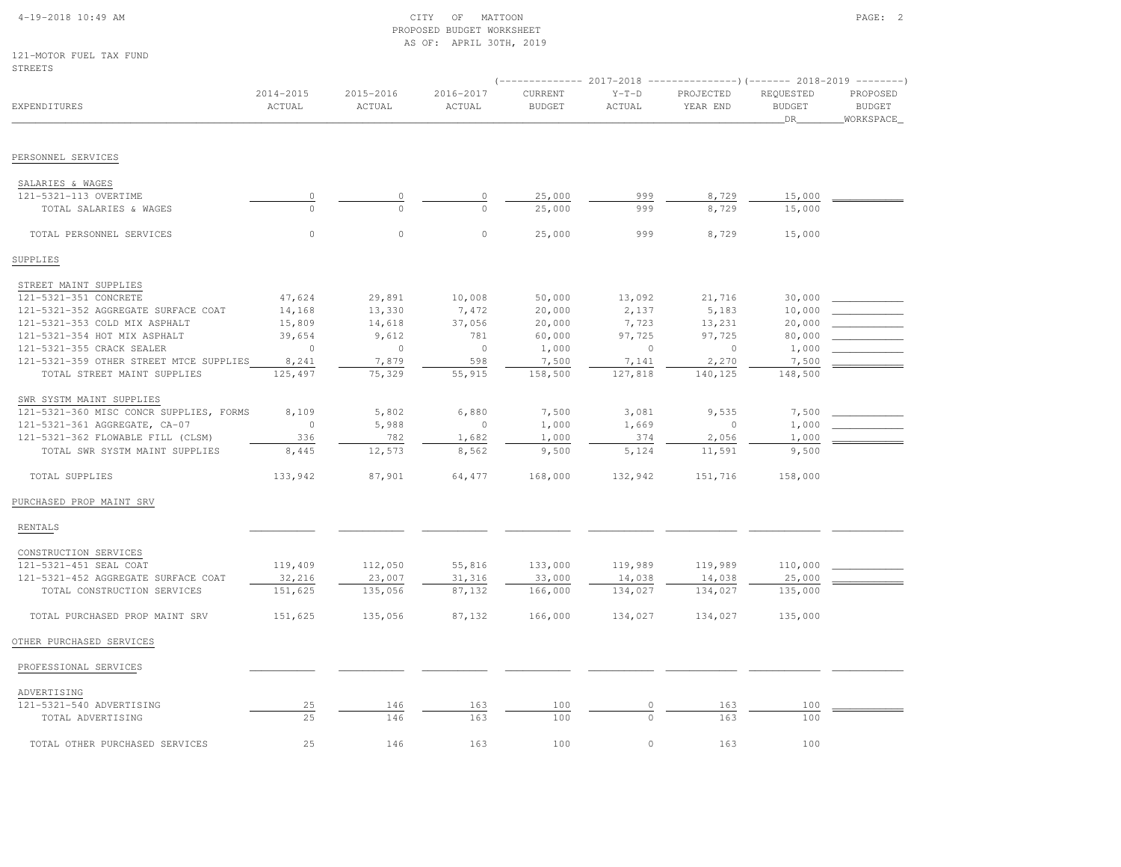## 4-19-2018 10:49 AM CITY OF MATTOON PAGE: 2 PROPOSED BUDGET WORKSHEETAS OF: APRIL 30TH, 2019

121-MOTOR FUEL TAX FUNDSTREETS

| STREETS                                 |                         |                     |                         |                          |                   |                                                                                              |                                  |                                        |
|-----------------------------------------|-------------------------|---------------------|-------------------------|--------------------------|-------------------|----------------------------------------------------------------------------------------------|----------------------------------|----------------------------------------|
| <b>EXPENDITURES</b>                     | $2014 - 2015$<br>ACTUAL | 2015-2016<br>ACTUAL | $2016 - 2017$<br>ACTUAL | CURRENT<br><b>BUDGET</b> | $Y-T-D$<br>ACTUAL | $(----------2017-2018$ ---------------) (------- 2018-2019 -------)<br>PROJECTED<br>YEAR END | REQUESTED<br><b>BUDGET</b><br>DR | PROPOSED<br><b>BUDGET</b><br>WORKSPACE |
| PERSONNEL SERVICES                      |                         |                     |                         |                          |                   |                                                                                              |                                  |                                        |
| SALARIES & WAGES                        |                         |                     |                         |                          |                   |                                                                                              |                                  |                                        |
| 121-5321-113 OVERTIME                   | 0                       |                     | 0                       | 25,000                   | 999               | 8,729                                                                                        | 15,000                           |                                        |
| TOTAL SALARIES & WAGES                  | $\Omega$                | $\Omega$            | $\Omega$                | 25,000                   | 999               | 8,729                                                                                        | 15,000                           |                                        |
| TOTAL PERSONNEL SERVICES                | $\circ$                 | $\mathbb O$         | $\circ$                 | 25,000                   | 999               | 8,729                                                                                        | 15,000                           |                                        |
| SUPPLIES                                |                         |                     |                         |                          |                   |                                                                                              |                                  |                                        |
| STREET MAINT SUPPLIES                   |                         |                     |                         |                          |                   |                                                                                              |                                  |                                        |
| 121-5321-351 CONCRETE                   | 47,624                  | 29,891              | 10,008                  | 50,000                   | 13,092            | 21,716                                                                                       | 30,000                           |                                        |
| 121-5321-352 AGGREGATE SURFACE COAT     | 14,168                  | 13,330              | 7,472                   | 20,000                   | 2,137             | 5,183                                                                                        | 10,000                           |                                        |
| 121-5321-353 COLD MIX ASPHALT           | 15,809                  | 14,618              | 37,056                  | 20,000                   | 7,723             | 13,231                                                                                       | 20,000                           |                                        |
| 121-5321-354 HOT MIX ASPHALT            | 39,654                  | 9,612               | 781                     | 60,000                   | 97,725            | 97,725                                                                                       | 80,000                           |                                        |
| 121-5321-355 CRACK SEALER               | $\Omega$                | $\circ$             | $\circ$                 | 1,000                    | $\Omega$          | $\Omega$                                                                                     | 1,000                            |                                        |
| 121-5321-359 OTHER STREET MTCE SUPPLIES | 8,241                   | 7,879               | 598                     | 7,500                    | 7,141             | 2,270                                                                                        | 7,500                            |                                        |
| TOTAL STREET MAINT SUPPLIES             | 125,497                 | 75,329              | 55,915                  | 158,500                  | 127,818           | 140,125                                                                                      | 148,500                          |                                        |
| SWR SYSTM MAINT SUPPLIES                |                         |                     |                         |                          |                   |                                                                                              |                                  |                                        |
| 121-5321-360 MISC CONCR SUPPLIES, FORMS | 8,109                   | 5,802               | 6,880                   | 7,500                    | 3,081             | 9,535                                                                                        | 7,500                            |                                        |
| 121-5321-361 AGGREGATE, CA-07           | $\circ$                 | 5,988               | $\circ$                 | 1,000                    | 1,669             | $\mathbb O$                                                                                  | 1,000                            |                                        |
| 121-5321-362 FLOWABLE FILL (CLSM)       | 336                     | 782                 | 1,682                   | 1,000                    | 374               | 2,056                                                                                        | 1,000                            |                                        |
| TOTAL SWR SYSTM MAINT SUPPLIES          | 8,445                   | 12,573              | 8,562                   | 9,500                    | 5,124             | 11,591                                                                                       | 9,500                            |                                        |
| TOTAL SUPPLIES                          | 133,942                 | 87,901              | 64,477                  | 168,000                  | 132,942           | 151,716                                                                                      | 158,000                          |                                        |
| PURCHASED PROP MAINT SRV                |                         |                     |                         |                          |                   |                                                                                              |                                  |                                        |
| <b>RENTALS</b>                          |                         |                     |                         |                          |                   |                                                                                              |                                  |                                        |
| CONSTRUCTION SERVICES                   |                         |                     |                         |                          |                   |                                                                                              |                                  |                                        |
| 121-5321-451 SEAL COAT                  | 119,409                 | 112,050             | 55,816                  | 133,000                  | 119,989           | 119,989                                                                                      | 110,000                          |                                        |
| 121-5321-452 AGGREGATE SURFACE COAT     | 32,216                  | 23,007              | 31,316                  | 33,000                   | 14,038            | 14,038                                                                                       | 25,000                           |                                        |
| TOTAL CONSTRUCTION SERVICES             | 151,625                 | 135,056             | 87,132                  | 166,000                  | 134,027           | 134,027                                                                                      | 135,000                          |                                        |
| TOTAL PURCHASED PROP MAINT SRV          | 151,625                 | 135,056             | 87,132                  | 166,000                  | 134,027           | 134,027                                                                                      | 135,000                          |                                        |
| OTHER PURCHASED SERVICES                |                         |                     |                         |                          |                   |                                                                                              |                                  |                                        |
| PROFESSIONAL SERVICES                   |                         |                     |                         |                          |                   |                                                                                              |                                  |                                        |
| ADVERTISING                             |                         |                     |                         |                          |                   |                                                                                              |                                  |                                        |
| 121-5321-540 ADVERTISING                | 25                      | 146                 | 163                     | 100                      | 0                 | 163                                                                                          | 100                              |                                        |
| TOTAL ADVERTISING                       | 25                      | 146                 | 163                     | 100                      | $\Omega$          | 163                                                                                          | 100                              |                                        |
| TOTAL OTHER PURCHASED SERVICES          | 25                      | 146                 | 163                     | 100                      | $\circ$           | 163                                                                                          | 100                              |                                        |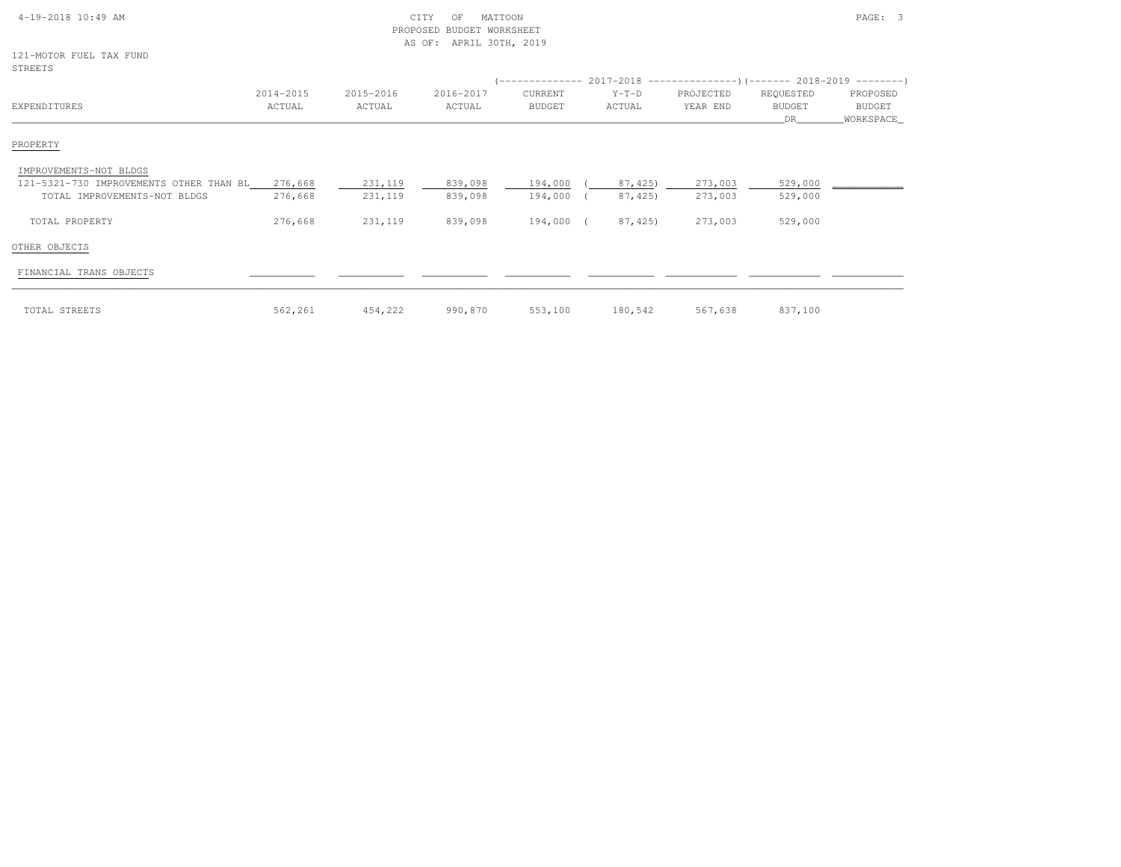| 4-19-2018 10:49 AM                      |           | CITY<br>MATTOON<br>OF<br>BUDGET WORKSHEET<br>PROPOSED<br>APRIL 30TH, 2019<br>AS OF: |           |           |         |           | PAGE: 3       |             |  |  |
|-----------------------------------------|-----------|-------------------------------------------------------------------------------------|-----------|-----------|---------|-----------|---------------|-------------|--|--|
| 121-MOTOR FUEL TAX FUND<br>STREETS      |           |                                                                                     |           |           |         |           |               |             |  |  |
|                                         |           |                                                                                     |           |           |         |           |               |             |  |  |
|                                         | 2014-2015 | 2015-2016                                                                           | 2016-2017 | CURRENT   | $Y-T-D$ | PROJECTED | REQUESTED     | PROPOSED    |  |  |
| EXPENDITURES                            | ACTUAL    | ACTUAL                                                                              | ACTUAL    | BUDGET    | ACTUAL  | YEAR END  | <b>BUDGET</b> | BUDGET      |  |  |
|                                         |           |                                                                                     |           |           |         |           | DR            | _WORKSPACE_ |  |  |
| PROPERTY                                |           |                                                                                     |           |           |         |           |               |             |  |  |
| IMPROVEMENTS-NOT BLDGS                  |           |                                                                                     |           |           |         |           |               |             |  |  |
| 121-5321-730 IMPROVEMENTS OTHER THAN BL | 276,668   | 231,119                                                                             | 839,098   | 194,000   | 87,425) | 273,003   | 529,000       |             |  |  |
| TOTAL IMPROVEMENTS-NOT BLDGS            | 276,668   | 231,119                                                                             | 839,098   | 194,000 ( | 87,425) | 273,003   | 529,000       |             |  |  |
| TOTAL PROPERTY                          | 276,668   | 231,119                                                                             | 839,098   | 194,000 ( | 87,425  | 273,003   | 529,000       |             |  |  |
| OTHER OBJECTS                           |           |                                                                                     |           |           |         |           |               |             |  |  |
| FINANCIAL TRANS OBJECTS                 |           |                                                                                     |           |           |         |           |               |             |  |  |
| TOTAL STREETS                           | 562,261   | 454,222                                                                             | 990,870   | 553,100   | 180,542 | 567,638   | 837,100       |             |  |  |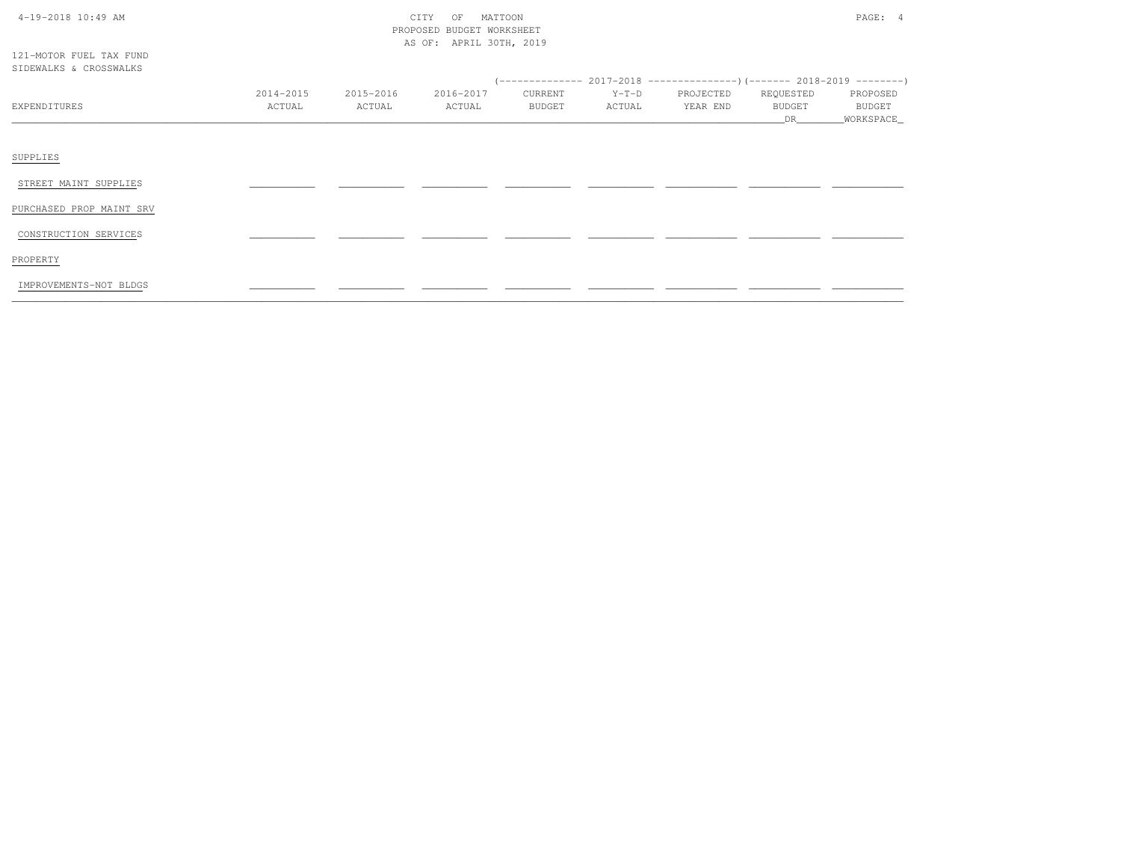| $4-19-2018$ 10:49 AM |  |  |
|----------------------|--|--|

# $\text{CITY}$  of MATTOON  $\text{PAGE: } 4$  PROPOSED BUDGET WORKSHEETAS OF: APRIL 30TH, 2019

121-MOTOR FUEL TAX FUNDSIDEWALKS & CROSSWALKS

| SIDEMALNS & CKUSSWALNS   |                     |                     |                     |                   |                   |                       |                           |                                   |  |
|--------------------------|---------------------|---------------------|---------------------|-------------------|-------------------|-----------------------|---------------------------|-----------------------------------|--|
| EXPENDITURES             | 2014-2015<br>ACTUAL | 2015-2016<br>ACTUAL | 2016-2017<br>ACTUAL | CURRENT<br>BUDGET | $Y-T-D$<br>ACTUAL | PROJECTED<br>YEAR END | REQUESTED<br>BUDGET<br>DR | PROPOSED<br>BUDGET<br>_WORKSPACE_ |  |
| SUPPLIES                 |                     |                     |                     |                   |                   |                       |                           |                                   |  |
| STREET MAINT SUPPLIES    |                     |                     |                     |                   |                   |                       |                           |                                   |  |
| PURCHASED PROP MAINT SRV |                     |                     |                     |                   |                   |                       |                           |                                   |  |
| CONSTRUCTION SERVICES    |                     |                     |                     |                   |                   |                       |                           |                                   |  |
| PROPERTY                 |                     |                     |                     |                   |                   |                       |                           |                                   |  |
| IMPROVEMENTS-NOT BLDGS   |                     |                     |                     |                   |                   |                       |                           |                                   |  |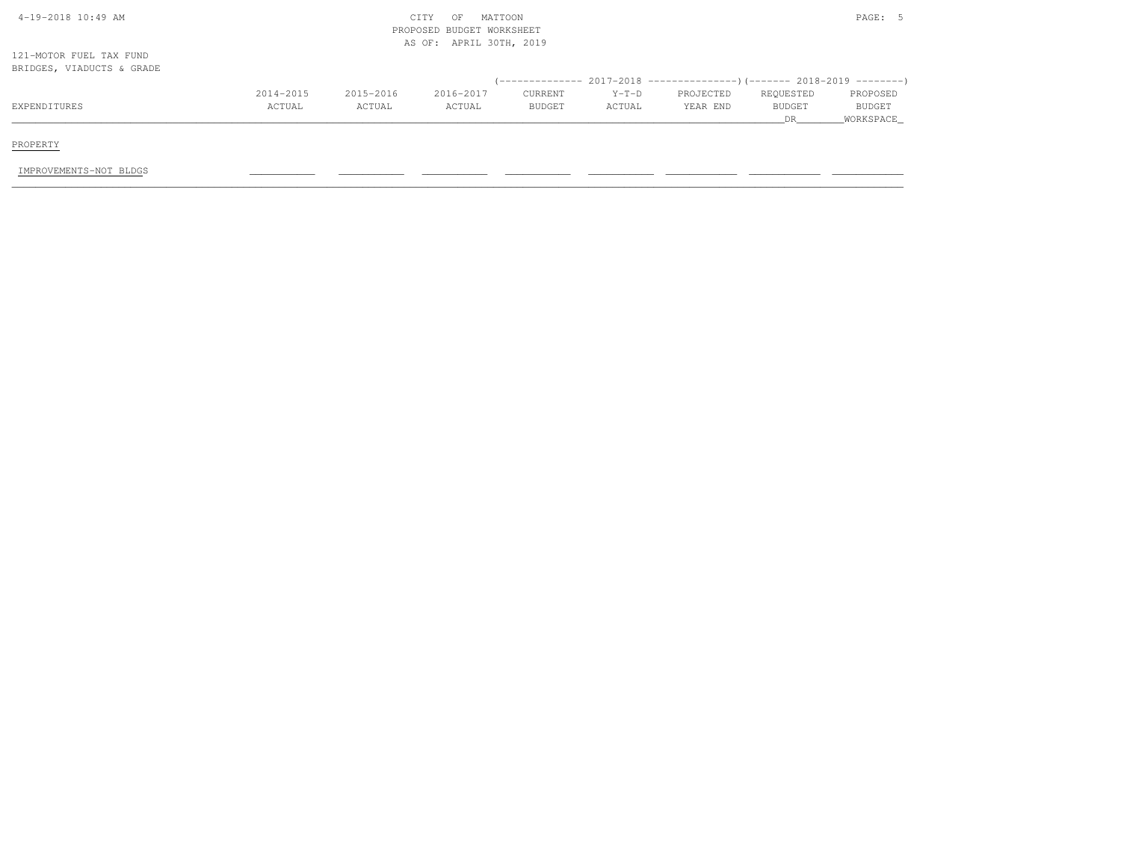| 4-19-2018 10:49 AM        |           |           | MATTOON<br>CITY<br>OF     |         |         |                                                                              |               | PAGE: 5   |
|---------------------------|-----------|-----------|---------------------------|---------|---------|------------------------------------------------------------------------------|---------------|-----------|
|                           |           |           | PROPOSED BUDGET WORKSHEET |         |         |                                                                              |               |           |
|                           |           |           | AS OF: APRIL 30TH, 2019   |         |         |                                                                              |               |           |
| 121-MOTOR FUEL TAX FUND   |           |           |                           |         |         |                                                                              |               |           |
| BRIDGES, VIADUCTS & GRADE |           |           |                           |         |         |                                                                              |               |           |
|                           |           |           |                           |         |         | $($ -------------- 2017-2018 ----------------) (------- 2018-2019 ---------) |               |           |
|                           | 2014-2015 | 2015-2016 | 2016-2017                 | CURRENT | $Y-T-D$ | PROJECTED                                                                    | REQUESTED     | PROPOSED  |
| EXPENDITURES              | ACTUAL    | ACTUAL    | ACTUAL                    | BUDGET  | ACTUAL  | YEAR END                                                                     | <b>BUDGET</b> | BUDGET    |
|                           |           |           |                           |         |         |                                                                              | DR.           | WORKSPACE |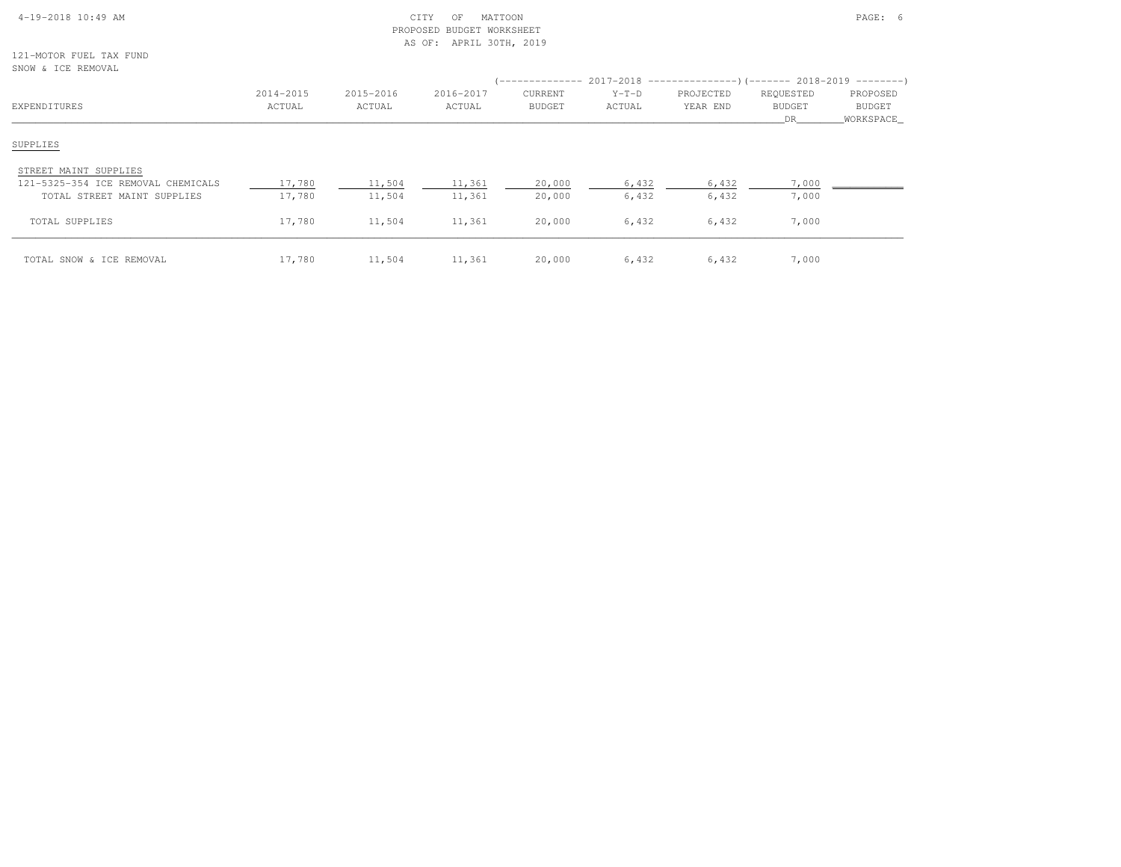## 4-19-2018 10:49 AM CITY OF MATTOON PAGE: 6 PROPOSED BUDGET WORKSHEETAS OF: APRIL 30TH, 2019

121-MOTOR FUEL TAX FUNDSNOW & ICE REMOVAL

| <u> Uitur a luu itustu itu</u><br>EXPENDITURES                                             | 2014-2015<br>ACTUAL | 2015-2016<br>ACTUAL | 2016-2017<br>ACTUAL | <b>CURRENT</b><br><b>BUDGET</b> | $Y-T-D$<br>ACTUAL | (-------------- 2017-2018 -----------------) (------- 2018-2019 ---------)<br>PROJECTED<br>YEAR END | REQUESTED<br><b>BUDGET</b><br>DR. | PROPOSED<br><b>BUDGET</b><br>WORKSPACE |
|--------------------------------------------------------------------------------------------|---------------------|---------------------|---------------------|---------------------------------|-------------------|-----------------------------------------------------------------------------------------------------|-----------------------------------|----------------------------------------|
| SUPPLIES                                                                                   |                     |                     |                     |                                 |                   |                                                                                                     |                                   |                                        |
| STREET MAINT SUPPLIES<br>121-5325-354 ICE REMOVAL CHEMICALS<br>TOTAL STREET MAINT SUPPLIES | 17,780<br>17,780    | 11,504<br>11,504    | 11,361<br>11,361    | 20,000<br>20,000                | 6,432<br>6,432    | 6,432<br>6,432                                                                                      | 7,000<br>7,000                    |                                        |
| TOTAL SUPPLIES                                                                             | 17,780              | 11,504              | 11,361              | 20,000                          | 6,432             | 6,432                                                                                               | 7,000                             |                                        |
| TOTAL SNOW & ICE REMOVAL                                                                   | 17,780              | 11,504              | 11,361              | 20,000                          | 6,432             | 6,432                                                                                               | 7,000                             |                                        |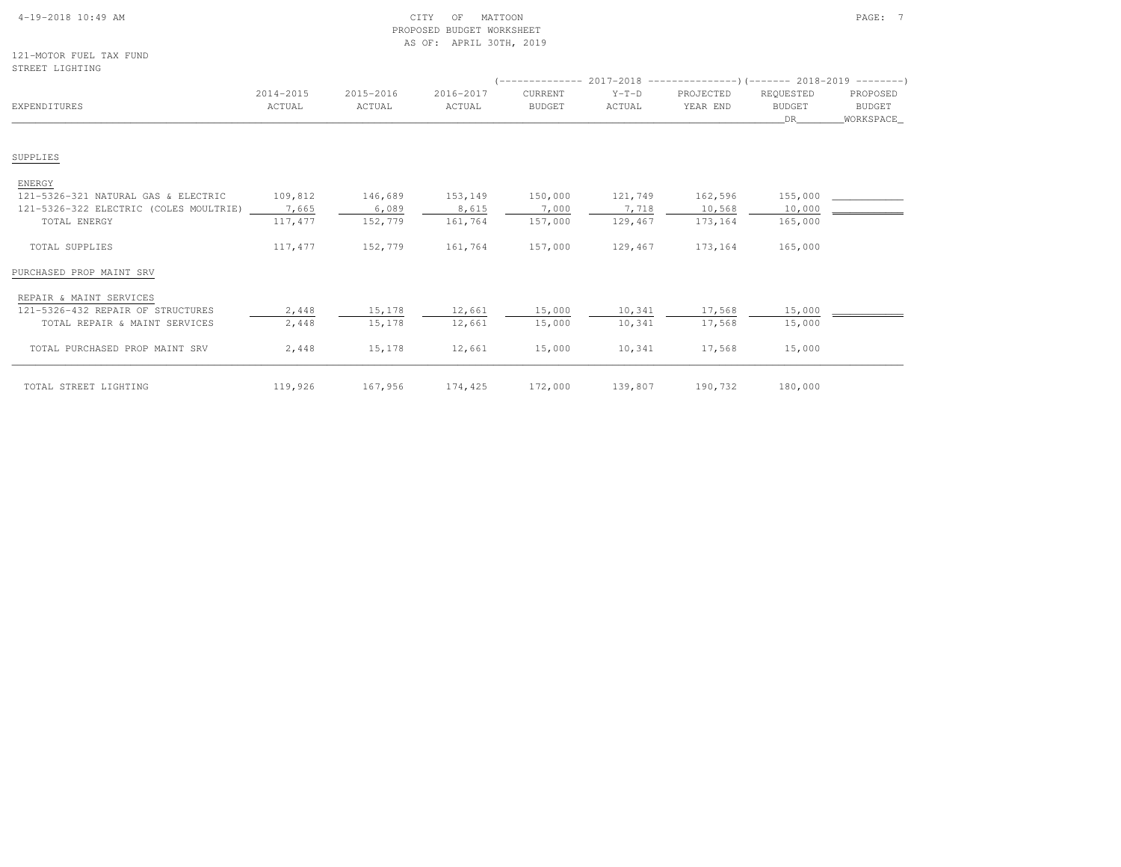| 4-19-2018 10:49 AM |  |  |  |
|--------------------|--|--|--|

### $\begin{array}{ccc} \tt CTY & OF & MATTOON \end{array}$  PROPOSED BUDGET WORKSHEETAS OF: APRIL 30TH, 2019

121-MOTOR FUEL TAX FUND

| STREET LIGHTING                        |                     |                     |                     |                                 |                   |                       |                                  |                                 |
|----------------------------------------|---------------------|---------------------|---------------------|---------------------------------|-------------------|-----------------------|----------------------------------|---------------------------------|
| EXPENDITURES                           | 2014-2015<br>ACTUAL | 2015-2016<br>ACTUAL | 2016-2017<br>ACTUAL | <b>CURRENT</b><br><b>BUDGET</b> | $Y-T-D$<br>ACTUAL | PROJECTED<br>YEAR END | REQUESTED<br><b>BUDGET</b><br>DR | PROPOSED<br>BUDGET<br>WORKSPACE |
|                                        |                     |                     |                     |                                 |                   |                       |                                  |                                 |
| SUPPLIES                               |                     |                     |                     |                                 |                   |                       |                                  |                                 |
| <b>ENERGY</b>                          |                     |                     |                     |                                 |                   |                       |                                  |                                 |
| 121-5326-321 NATURAL GAS & ELECTRIC    | 109,812             | 146,689             | 153,149             | 150,000                         | 121,749           | 162,596               | 155,000                          |                                 |
| 121-5326-322 ELECTRIC (COLES MOULTRIE) | 7,665               | 6,089               | 8,615               | 7,000                           | 7,718             | 10,568                | 10,000                           |                                 |
| TOTAL ENERGY                           | 117, 477            | 152,779             | 161,764             | 157,000                         | 129,467           | 173,164               | 165,000                          |                                 |
| TOTAL SUPPLIES                         | 117,477             | 152,779             | 161,764             | 157,000                         | 129,467           | 173,164               | 165,000                          |                                 |
| PURCHASED PROP MAINT SRV               |                     |                     |                     |                                 |                   |                       |                                  |                                 |
| REPAIR & MAINT SERVICES                |                     |                     |                     |                                 |                   |                       |                                  |                                 |
| 121-5326-432 REPAIR OF STRUCTURES      | 2,448               | 15,178              | 12,661              | 15,000                          | 10,341            | 17,568                | 15,000                           |                                 |
| TOTAL REPAIR & MAINT SERVICES          | 2,448               | 15,178              | 12,661              | 15,000                          | 10,341            | 17,568                | 15,000                           |                                 |
| TOTAL PURCHASED PROP MAINT SRV         | 2,448               | 15,178              | 12,661              | 15,000                          | 10,341            | 17,568                | 15,000                           |                                 |
| TOTAL STREET LIGHTING                  | 119,926             | 167,956             | 174,425             | 172,000                         | 139,807           | 190,732               | 180,000                          |                                 |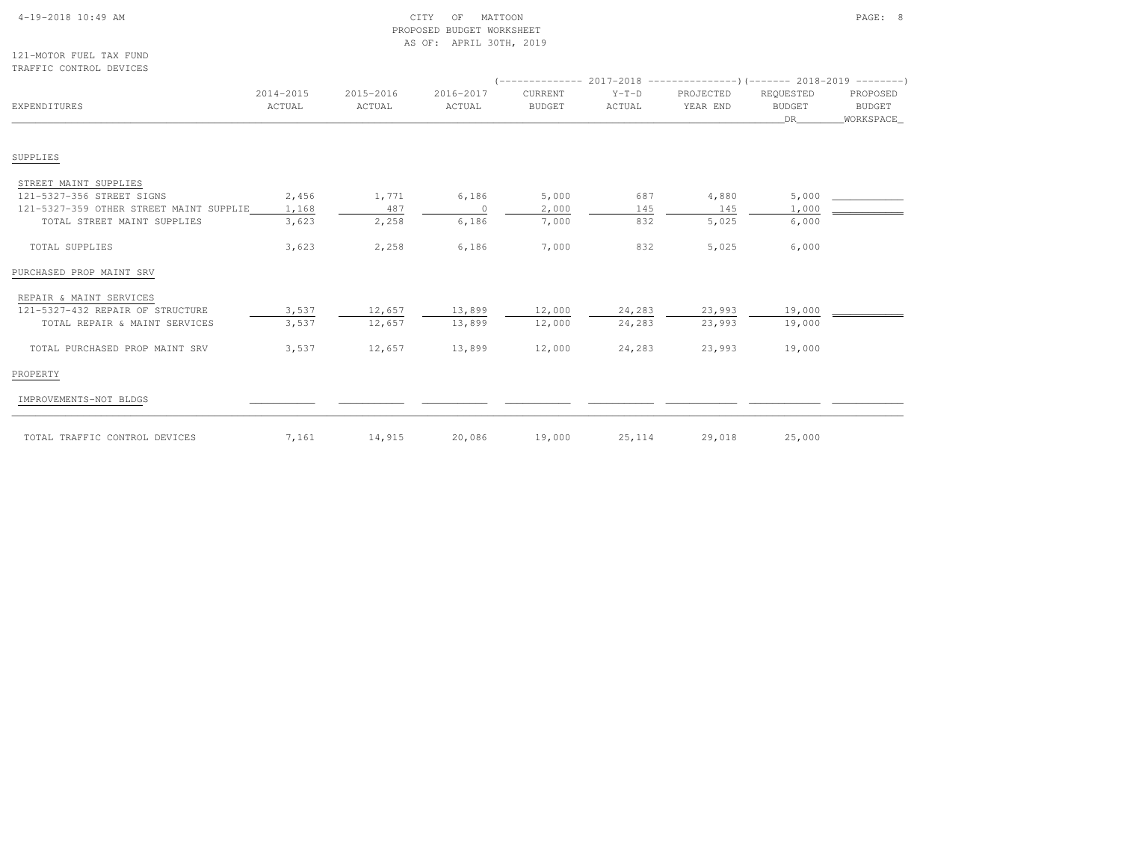| $4-19-2018$ $10:49$ AM |  |  |
|------------------------|--|--|

# $\begin{array}{ccc} \text{CITY} & \text{OF} & \text{MATION} \end{array}$  PROPOSED BUDGET WORKSHEETAS OF: APRIL 30TH, 2019

121-MOTOR FUEL TAX FUNDTRAFFIC CONTROL DEVICES

| <b>EXPENDITURES</b>                     | 2014-2015<br>ACTUAL | 2015-2016<br>ACTUAL | 2016-2017<br>ACTUAL | CURRENT<br><b>BUDGET</b> | $Y-T-D$<br>ACTUAL | PROJECTED<br>YEAR END | REQUESTED<br><b>BUDGET</b><br>DR | PROPOSED<br><b>BUDGET</b><br>WORKSPACE |
|-----------------------------------------|---------------------|---------------------|---------------------|--------------------------|-------------------|-----------------------|----------------------------------|----------------------------------------|
|                                         |                     |                     |                     |                          |                   |                       |                                  |                                        |
| SUPPLIES                                |                     |                     |                     |                          |                   |                       |                                  |                                        |
| STREET MAINT SUPPLIES                   |                     |                     |                     |                          |                   |                       |                                  |                                        |
| 121-5327-356 STREET SIGNS               | 2,456               | 1,771               | 6,186               | 5,000                    | 687               | 4,880                 | 5,000                            |                                        |
| 121-5327-359 OTHER STREET MAINT SUPPLIE | 1,168               | 487                 | $\circ$             | 2,000                    | 145               | 145                   | 1,000                            |                                        |
| TOTAL STREET MAINT SUPPLIES             | 3,623               | 2,258               | 6,186               | 7,000                    | 832               | 5,025                 | 6,000                            |                                        |
| TOTAL SUPPLIES                          | 3,623               | 2,258               | 6,186               | 7,000                    | 832               | 5,025                 | 6,000                            |                                        |
| PURCHASED PROP MAINT SRV                |                     |                     |                     |                          |                   |                       |                                  |                                        |
| REPAIR & MAINT SERVICES                 |                     |                     |                     |                          |                   |                       |                                  |                                        |
| 121-5327-432 REPAIR OF STRUCTURE        | 3,537               | 12,657              | 13,899              | 12,000                   | 24,283            | 23,993                | 19,000                           |                                        |
| TOTAL REPAIR & MAINT SERVICES           | 3,537               | 12,657              | 13,899              | 12,000                   | 24,283            | 23,993                | 19,000                           |                                        |
| TOTAL PURCHASED PROP MAINT SRV          | 3,537               | 12,657              | 13,899              | 12,000                   | 24,283            | 23,993                | 19,000                           |                                        |
| PROPERTY                                |                     |                     |                     |                          |                   |                       |                                  |                                        |
| IMPROVEMENTS-NOT BLDGS                  |                     |                     |                     |                          |                   |                       |                                  |                                        |
| TOTAL TRAFFIC CONTROL DEVICES           | 7,161               | 14,915              | 20,086              | 19,000                   | 25, 114           | 29,018                | 25,000                           |                                        |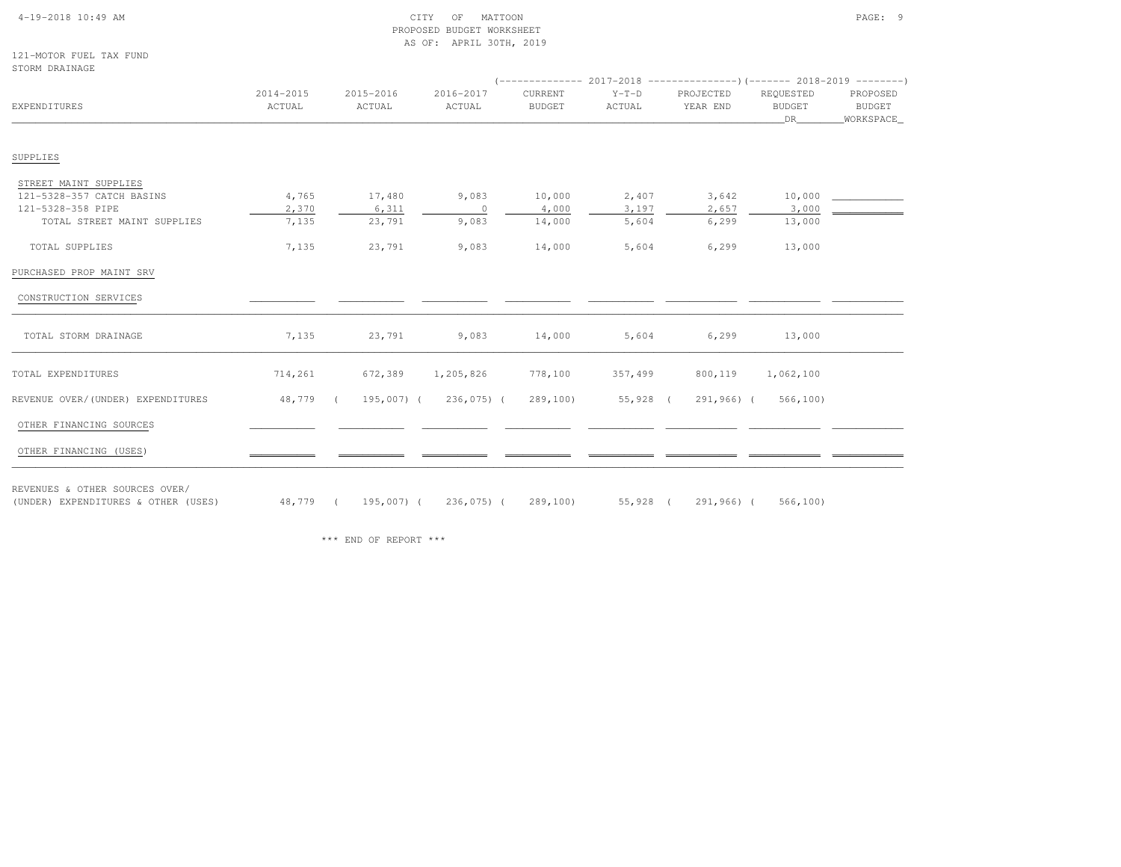#### 4-19-2018 10:49 AM CITY OF MATTOON PAGE: 9 PROPOSED BUDGET WORKSHEETAS OF: APRIL 30TH, 2019

121-MOTOR FUEL TAX FUNDSTORM DRAINAGE

| 910NY <i>PIVALIMA</i> GE                                              |                     |                     |                     |                          |                   |                       |                                  |                                        |
|-----------------------------------------------------------------------|---------------------|---------------------|---------------------|--------------------------|-------------------|-----------------------|----------------------------------|----------------------------------------|
| EXPENDITURES                                                          | 2014-2015<br>ACTUAL | 2015-2016<br>ACTUAL | 2016-2017<br>ACTUAL | CURRENT<br><b>BUDGET</b> | $Y-T-D$<br>ACTUAL | PROJECTED<br>YEAR END | REQUESTED<br><b>BUDGET</b><br>DR | PROPOSED<br><b>BUDGET</b><br>WORKSPACE |
| SUPPLIES                                                              |                     |                     |                     |                          |                   |                       |                                  |                                        |
| STREET MAINT SUPPLIES                                                 |                     |                     |                     |                          |                   |                       |                                  |                                        |
| 121-5328-357 CATCH BASINS                                             | 4,765               | 17,480              | 9,083               | 10,000                   | 2,407             | 3,642                 | 10,000                           |                                        |
| 121-5328-358 PIPE                                                     | 2,370               | 6,311               | $\overline{0}$      | 4,000                    | 3,197             | 2,657                 | 3,000                            |                                        |
| TOTAL STREET MAINT SUPPLIES                                           | 7,135               | 23,791              | 9,083               | 14,000                   | 5,604             | 6, 299                | 13,000                           |                                        |
| TOTAL SUPPLIES                                                        | 7,135               | 23,791              | 9,083               | 14,000                   | 5,604             | 6, 299                | 13,000                           |                                        |
| PURCHASED PROP MAINT SRV                                              |                     |                     |                     |                          |                   |                       |                                  |                                        |
| CONSTRUCTION SERVICES                                                 |                     |                     |                     |                          |                   |                       |                                  |                                        |
| TOTAL STORM DRAINAGE                                                  | 7,135               | 23,791              | 9,083               | 14,000                   | 5,604             | 6, 299                | 13,000                           |                                        |
| TOTAL EXPENDITURES                                                    | 714,261             | 672,389             | 1,205,826           | 778,100                  | 357,499           | 800,119               | 1,062,100                        |                                        |
| REVENUE OVER/(UNDER) EXPENDITURES                                     | 48,779 (            | 195,007) (          | 236,075) (          | 289,100)                 | 55,928 (          | 291,966) (            | 566, 100                         |                                        |
| OTHER FINANCING SOURCES                                               |                     |                     |                     |                          |                   |                       |                                  |                                        |
| OTHER FINANCING (USES)                                                |                     |                     |                     |                          |                   |                       |                                  |                                        |
| REVENUES & OTHER SOURCES OVER/<br>(UNDER) EXPENDITURES & OTHER (USES) |                     | 48,779 ( 195,007) ( | 236,075) (          | 289,100)                 | 55,928 (          | 291,966) (            | 566, 100                         |                                        |

\*\*\* END OF REPORT \*\*\*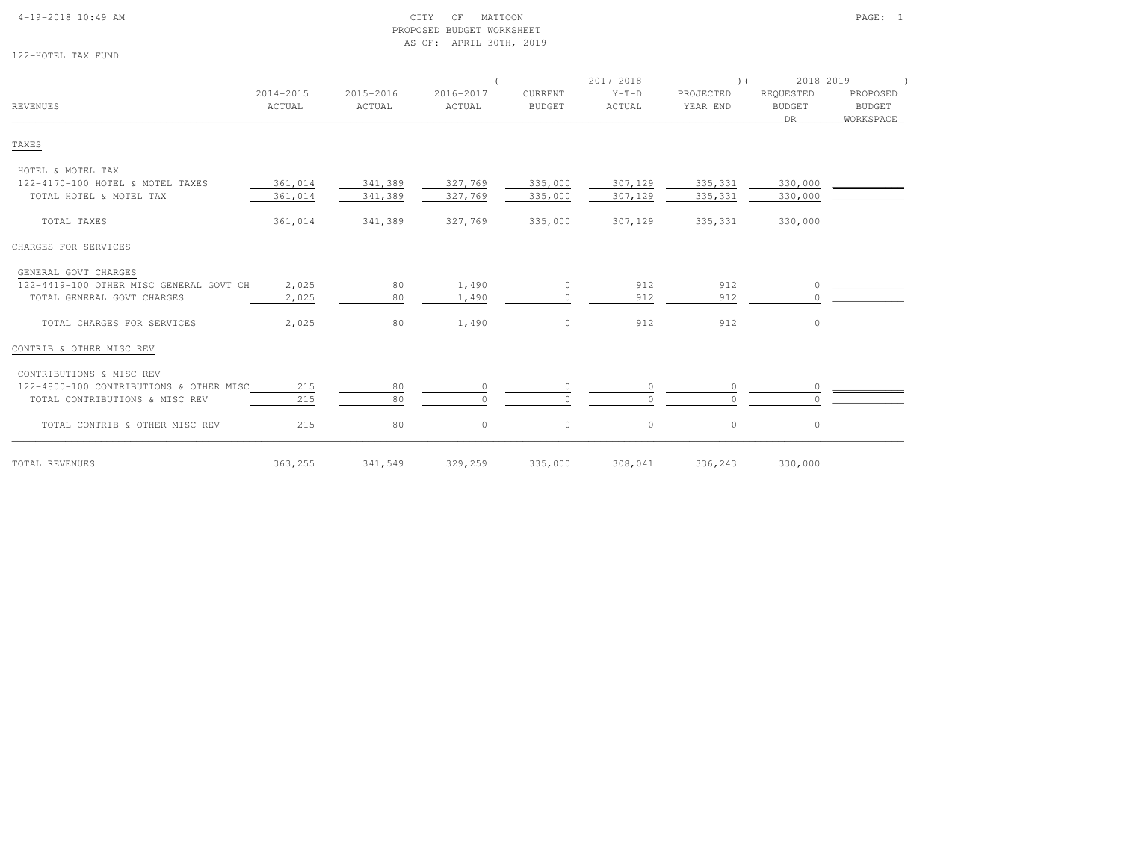#### 4-19-2018 10:49 AM CITY OF MATTOON PAGE: 1 PROPOSED BUDGET WORKSHEETAS OF: APRIL 30TH, 2019

122-HOTEL TAX FUND

|                                         |                     |                     |                     |                          |                   | $($ -------------- 2017-2018 ----------------) (------- 2018-2019 ---------) |                           |                                 |
|-----------------------------------------|---------------------|---------------------|---------------------|--------------------------|-------------------|------------------------------------------------------------------------------|---------------------------|---------------------------------|
| <b>REVENUES</b>                         | 2014-2015<br>ACTUAL | 2015-2016<br>ACTUAL | 2016-2017<br>ACTUAL | CURRENT<br><b>BUDGET</b> | $Y-T-D$<br>ACTUAL | PROJECTED<br>YEAR END                                                        | REQUESTED<br>BUDGET<br>DR | PROPOSED<br>BUDGET<br>WORKSPACE |
| TAXES                                   |                     |                     |                     |                          |                   |                                                                              |                           |                                 |
| HOTEL & MOTEL TAX                       |                     |                     |                     |                          |                   |                                                                              |                           |                                 |
| 122-4170-100 HOTEL & MOTEL TAXES        | 361,014             | 341,389             | 327,769             | 335,000                  | 307,129           | 335,331                                                                      | 330,000                   |                                 |
| TOTAL HOTEL & MOTEL TAX                 | 361,014             | 341,389             | 327,769             | 335,000                  | 307,129           | 335,331                                                                      | 330,000                   |                                 |
| TOTAL TAXES                             | 361,014             | 341,389             | 327,769             | 335,000                  | 307,129           | 335,331                                                                      | 330,000                   |                                 |
| CHARGES FOR SERVICES                    |                     |                     |                     |                          |                   |                                                                              |                           |                                 |
| GENERAL GOVT CHARGES                    |                     |                     |                     |                          |                   |                                                                              |                           |                                 |
| 122-4419-100 OTHER MISC GENERAL GOVT CH | 2,025               | 80                  | 1,490               | $\Omega$                 | 912               | 912                                                                          | $\circ$                   |                                 |
| TOTAL GENERAL GOVT CHARGES              | 2,025               | 80                  | 1,490               | $\cap$                   | 912               | 912                                                                          | $\Omega$                  |                                 |
| TOTAL CHARGES FOR SERVICES              | 2,025               | 80                  | 1,490               | $\circ$                  | 912               | 912                                                                          | $\circ$                   |                                 |
| CONTRIB & OTHER MISC REV                |                     |                     |                     |                          |                   |                                                                              |                           |                                 |
| CONTRIBUTIONS & MISC REV                |                     |                     |                     |                          |                   |                                                                              |                           |                                 |
| 122-4800-100 CONTRIBUTIONS & OTHER MISC | 215                 | 80                  |                     |                          |                   | $\circ$                                                                      | $\circ$                   |                                 |
| TOTAL CONTRIBUTIONS & MISC REV          | 215                 | 80                  | $\Omega$            | $\Omega$                 |                   | $\Omega$                                                                     |                           |                                 |
| TOTAL CONTRIB & OTHER MISC REV          | 215                 | 80                  | $\circ$             | $\circ$                  | $\circ$           | $\circ$                                                                      | $\circ$                   |                                 |
| TOTAL REVENUES                          | 363,255             | 341,549             | 329,259             | 335,000                  | 308,041           | 336,243                                                                      | 330,000                   |                                 |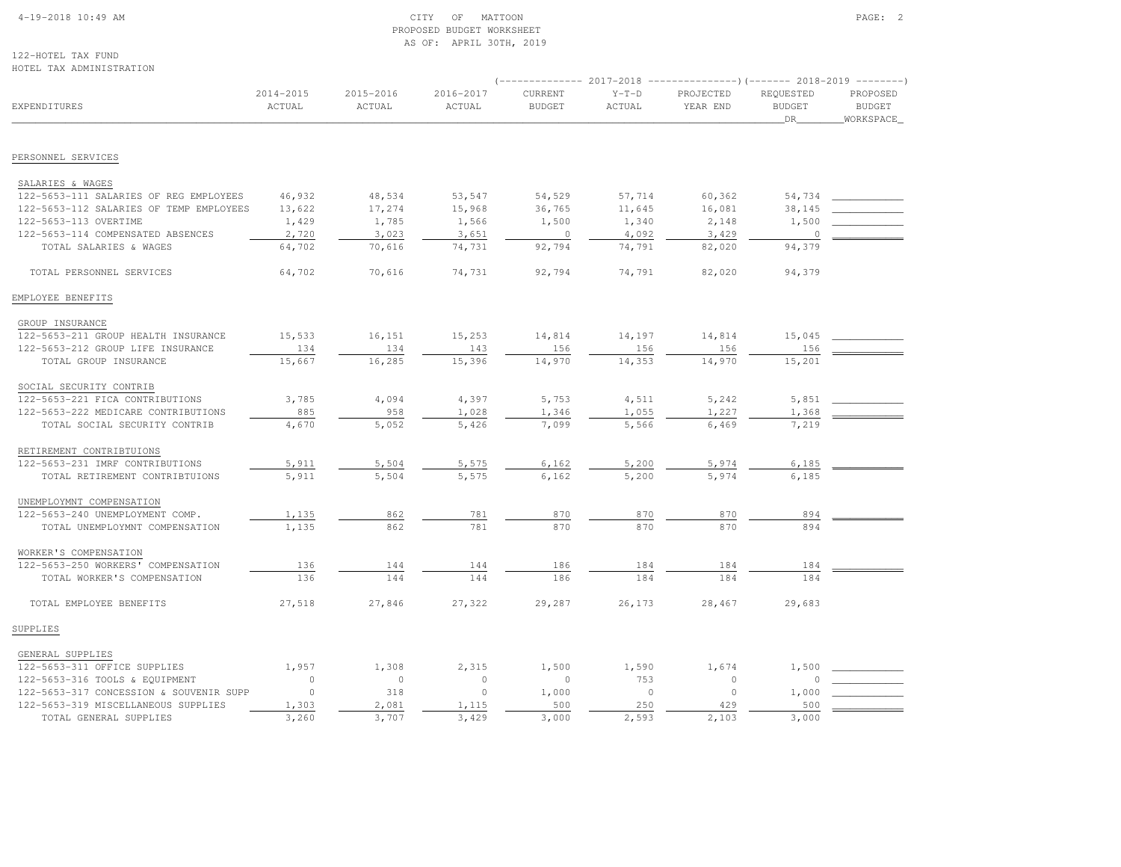#### 4-19-2018 10:49 AM CITY OF MATTOON PAGE: 2 PROPOSED BUDGET WORKSHEETAS OF: APRIL 30TH, 2019

122-HOTEL TAX FUNDHOTEL TAX ADMINISTRATION

| IIOIEE IAA ADMINISIAAIION               |                     |                     |                     |                          |                          | $($ -------------- 2017-2018 ----------------) (------- 2018-2019 --------) |                                  |                                        |
|-----------------------------------------|---------------------|---------------------|---------------------|--------------------------|--------------------------|-----------------------------------------------------------------------------|----------------------------------|----------------------------------------|
| <b>EXPENDITURES</b>                     | 2014-2015<br>ACTUAL | 2015-2016<br>ACTUAL | 2016-2017<br>ACTUAL | CURRENT<br><b>BUDGET</b> | $Y-T-D$<br><b>ACTUAL</b> | PROJECTED<br>YEAR END                                                       | REQUESTED<br><b>BUDGET</b><br>DR | PROPOSED<br><b>BUDGET</b><br>WORKSPACE |
| PERSONNEL SERVICES                      |                     |                     |                     |                          |                          |                                                                             |                                  |                                        |
|                                         |                     |                     |                     |                          |                          |                                                                             |                                  |                                        |
| SALARIES & WAGES                        |                     |                     |                     |                          |                          |                                                                             |                                  |                                        |
| 122-5653-111 SALARIES OF REG EMPLOYEES  | 46,932              | 48,534              | 53,547              | 54,529                   | 57,714                   | 60,362                                                                      | 54,734                           |                                        |
| 122-5653-112 SALARIES OF TEMP EMPLOYEES | 13,622              | 17,274              | 15,968              | 36,765                   | 11,645                   | 16,081                                                                      | 38,145                           |                                        |
| 122-5653-113 OVERTIME                   | 1,429               | 1,785               | 1,566               | 1,500                    | 1,340                    | 2,148                                                                       | 1,500                            |                                        |
| 122-5653-114 COMPENSATED ABSENCES       | 2,720               | 3,023               | 3,651               | $\circ$                  | 4,092                    | 3,429                                                                       | $\circ$                          |                                        |
| TOTAL SALARIES & WAGES                  | 64,702              | 70,616              | 74,731              | 92,794                   | 74,791                   | 82,020                                                                      | 94,379                           |                                        |
| TOTAL PERSONNEL SERVICES                | 64,702              | 70,616              | 74,731              | 92,794                   | 74,791                   | 82,020                                                                      | 94,379                           |                                        |
| EMPLOYEE BENEFITS                       |                     |                     |                     |                          |                          |                                                                             |                                  |                                        |
| GROUP INSURANCE                         |                     |                     |                     |                          |                          |                                                                             |                                  |                                        |
| 122-5653-211 GROUP HEALTH INSURANCE     | 15,533              | 16,151              | 15,253              | 14,814                   | 14,197                   | 14,814                                                                      | 15,045                           |                                        |
| 122-5653-212 GROUP LIFE INSURANCE       | 134                 | 134                 | 143                 | 156                      | 156                      | 156                                                                         | 156                              |                                        |
| TOTAL GROUP INSURANCE                   | 15,667              | 16,285              | 15,396              | 14,970                   | 14,353                   | 14,970                                                                      | 15,201                           |                                        |
| SOCIAL SECURITY CONTRIB                 |                     |                     |                     |                          |                          |                                                                             |                                  |                                        |
| 122-5653-221 FICA CONTRIBUTIONS         | 3,785               | 4,094               | 4,397               | 5,753                    | 4,511                    | 5,242                                                                       | 5,851                            |                                        |
| 122-5653-222 MEDICARE CONTRIBUTIONS     | 885                 | 958                 | 1,028               | 1,346                    | 1,055                    | 1,227                                                                       | 1,368                            |                                        |
| TOTAL SOCIAL SECURITY CONTRIB           | 4,670               | 5,052               | 5,426               | 7,099                    | 5,566                    | 6,469                                                                       | 7,219                            |                                        |
| RETIREMENT CONTRIBTUIONS                |                     |                     |                     |                          |                          |                                                                             |                                  |                                        |
| 122-5653-231 IMRF CONTRIBUTIONS         | 5,911               | 5,504               | 5,575               | 6,162                    | 5,200                    | 5,974                                                                       | 6,185                            |                                        |
| TOTAL RETIREMENT CONTRIBTUIONS          | 5,911               | 5,504               | 5,575               | 6,162                    | 5,200                    | 5,974                                                                       | 6,185                            |                                        |
| UNEMPLOYMNT COMPENSATION                |                     |                     |                     |                          |                          |                                                                             |                                  |                                        |
| 122-5653-240 UNEMPLOYMENT COMP.         | 1,135               | 862                 | 781                 | 870                      | 870                      | 870                                                                         | 894                              |                                        |
| TOTAL UNEMPLOYMNT COMPENSATION          | 1,135               | 862                 | 781                 | 870                      | 870                      | 870                                                                         | 894                              |                                        |
| WORKER'S COMPENSATION                   |                     |                     |                     |                          |                          |                                                                             |                                  |                                        |
| 122-5653-250 WORKERS' COMPENSATION      | 136                 | 144                 | 144                 | 186                      | 184                      | 184                                                                         | 184                              |                                        |
| TOTAL WORKER'S COMPENSATION             | 136                 | 144                 | 144                 | 186                      | 184                      | 184                                                                         | 184                              |                                        |
| TOTAL EMPLOYEE BENEFITS                 | 27,518              | 27,846              | 27,322              | 29,287                   | 26,173                   | 28,467                                                                      | 29,683                           |                                        |
| SUPPLIES                                |                     |                     |                     |                          |                          |                                                                             |                                  |                                        |
| GENERAL SUPPLIES                        |                     |                     |                     |                          |                          |                                                                             |                                  |                                        |
| 122-5653-311 OFFICE SUPPLIES            | 1,957               | 1,308               | 2,315               | 1,500                    | 1,590                    | 1,674                                                                       | 1,500                            |                                        |
| 122-5653-316 TOOLS & EQUIPMENT          | $\circ$             | $\circ$             | $\circ$             | $\circ$                  | 753                      | $\circ$                                                                     | $\mathbb O$                      |                                        |
| 122-5653-317 CONCESSION & SOUVENIR SUPP | $\Omega$            | 318                 | $\circ$             | 1,000                    | $\bigcap$                | $\circ$                                                                     | 1,000                            |                                        |
| 122-5653-319 MISCELLANEOUS SUPPLIES     | 1,303               | 2,081               | 1,115               | 500                      | 250                      | 429                                                                         | 500                              |                                        |
| TOTAL GENERAL SUPPLIES                  | 3,260               | 3,707               | 3,429               | 3,000                    | 2.593                    | 2,103                                                                       | 3,000                            |                                        |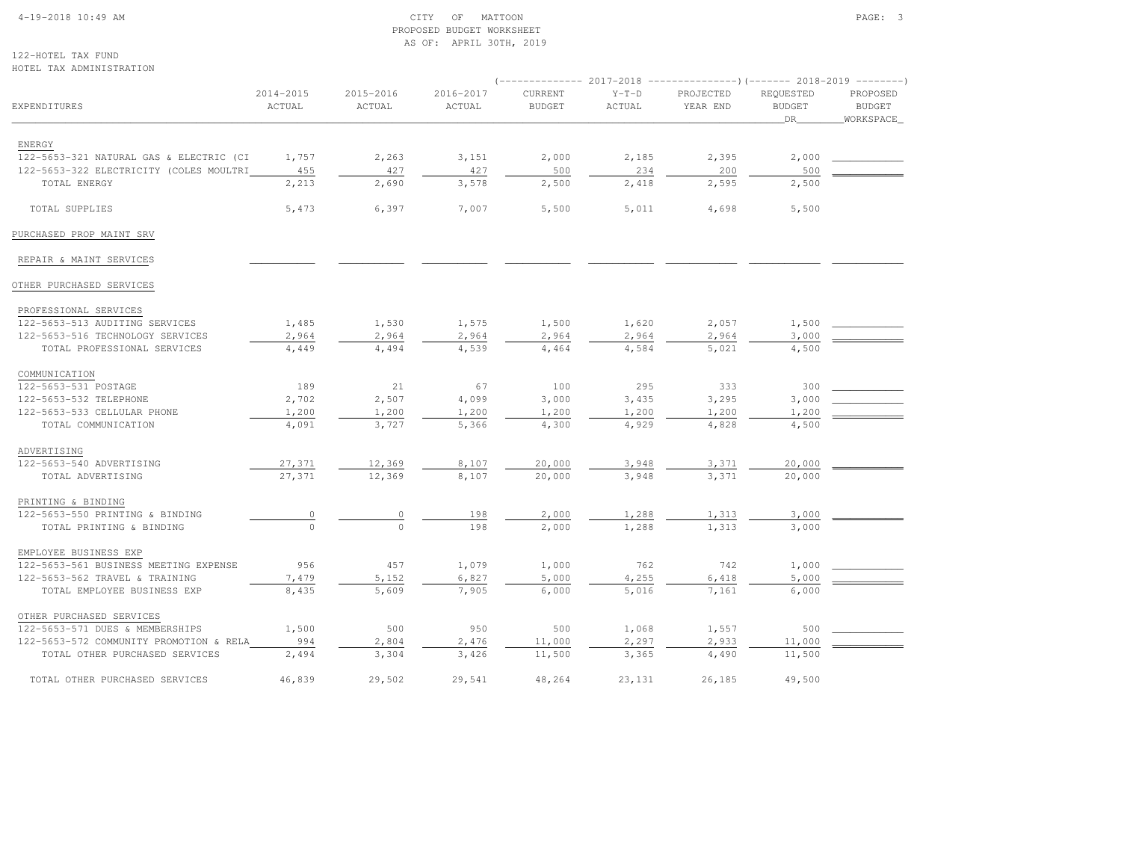#### 4-19-2018 10:49 AM CITY OF MATTOON PAGE: 3 PROPOSED BUDGET WORKSHEETAS OF: APRIL 30TH, 2019

122-HOTEL TAX FUNDHOTEL TAX ADMINISTRATION

|                                         |                     |                     |                     |                          |                   | (-------------- 2017-2018 ----------------) (------- 2018-2019 --------) |                                  |                                        |
|-----------------------------------------|---------------------|---------------------|---------------------|--------------------------|-------------------|--------------------------------------------------------------------------|----------------------------------|----------------------------------------|
| EXPENDITURES                            | 2014-2015<br>ACTUAL | 2015-2016<br>ACTUAL | 2016-2017<br>ACTUAL | CURRENT<br><b>BUDGET</b> | $Y-T-D$<br>ACTUAL | PROJECTED<br>YEAR END                                                    | REQUESTED<br><b>BUDGET</b><br>DR | PROPOSED<br><b>BUDGET</b><br>WORKSPACE |
| ENERGY                                  |                     |                     |                     |                          |                   |                                                                          |                                  |                                        |
| 122-5653-321 NATURAL GAS & ELECTRIC (CI | 1,757               | 2,263               | 3,151               | 2,000                    | 2,185             | 2,395                                                                    | 2,000                            |                                        |
| 122-5653-322 ELECTRICITY (COLES MOULTRI | 455                 | 427                 | 427                 | 500                      | 234               | 200                                                                      | 500                              |                                        |
| TOTAL ENERGY                            | 2,213               | 2,690               | 3,578               | 2,500                    | 2,418             | 2,595                                                                    | 2,500                            |                                        |
| TOTAL SUPPLIES                          | 5,473               | 6,397               | 7,007               | 5,500                    | 5,011             | 4,698                                                                    | 5,500                            |                                        |
| PURCHASED PROP MAINT SRV                |                     |                     |                     |                          |                   |                                                                          |                                  |                                        |
| REPAIR & MAINT SERVICES                 |                     |                     |                     |                          |                   |                                                                          |                                  |                                        |
| OTHER PURCHASED SERVICES                |                     |                     |                     |                          |                   |                                                                          |                                  |                                        |
| PROFESSIONAL SERVICES                   |                     |                     |                     |                          |                   |                                                                          |                                  |                                        |
| 122-5653-513 AUDITING SERVICES          | 1,485               | 1,530               | 1,575               | 1,500                    | 1,620             | 2,057                                                                    | 1,500                            |                                        |
| 122-5653-516 TECHNOLOGY SERVICES        | 2,964               | 2,964               | 2,964               | 2,964                    | 2,964             | 2,964                                                                    | 3,000                            |                                        |
| TOTAL PROFESSIONAL SERVICES             | 4,449               | 4,494               | 4,539               | 4,464                    | 4,584             | 5,021                                                                    | 4,500                            |                                        |
| COMMUNICATION                           |                     |                     |                     |                          |                   |                                                                          |                                  |                                        |
| 122-5653-531 POSTAGE                    | 189                 | 21                  | 67                  | 100                      | 295               | 333                                                                      | 300                              |                                        |
| 122-5653-532 TELEPHONE                  | 2,702               | 2,507               | 4,099               | 3,000                    | 3,435             | 3,295                                                                    | 3,000                            |                                        |
| 122-5653-533 CELLULAR PHONE             | 1,200               | 1,200               | 1,200               | 1,200                    | 1,200             | 1,200                                                                    | 1,200                            |                                        |
| TOTAL COMMUNICATION                     | 4,091               | 3,727               | 5,366               | 4,300                    | 4,929             | 4,828                                                                    | 4,500                            |                                        |
| ADVERTISING                             |                     |                     |                     |                          |                   |                                                                          |                                  |                                        |
| 122-5653-540 ADVERTISING                | 27,371              | 12,369              | 8,107               | 20,000                   | 3,948             | 3,371                                                                    | 20,000                           |                                        |
| TOTAL ADVERTISING                       | 27,371              | 12,369              | 8,107               | 20,000                   | 3,948             | 3,371                                                                    | 20,000                           |                                        |
| PRINTING & BINDING                      |                     |                     |                     |                          |                   |                                                                          |                                  |                                        |
| 122-5653-550 PRINTING & BINDING         | $\overline{0}$      | $\mathbb O$         | 198                 | 2,000                    | 1,288             | 1,313                                                                    | 3,000                            |                                        |
| TOTAL PRINTING & BINDING                |                     | $\Omega$            | 198                 | 2,000                    | 1,288             | 1,313                                                                    | 3,000                            |                                        |
| EMPLOYEE BUSINESS EXP                   |                     |                     |                     |                          |                   |                                                                          |                                  |                                        |
| 122-5653-561 BUSINESS MEETING EXPENSE   | 956                 | 457                 | 1,079               | 1,000                    | 762               | 742                                                                      | 1,000                            |                                        |
| 122-5653-562 TRAVEL & TRAINING          | 7,479               | 5,152               | 6,827               | 5,000                    | 4,255             | 6,418                                                                    | 5,000                            |                                        |
| TOTAL EMPLOYEE BUSINESS EXP             | 8,435               | 5,609               | 7,905               | 6,000                    | 5,016             | 7,161                                                                    | 6,000                            |                                        |
| OTHER PURCHASED SERVICES                |                     |                     |                     |                          |                   |                                                                          |                                  |                                        |
| 122-5653-571 DUES & MEMBERSHIPS         | 1,500               | 500                 | 950                 | 500                      | 1,068             | 1,557                                                                    | 500                              |                                        |
| 122-5653-572 COMMUNITY PROMOTION & RELA | 994                 | 2,804               | 2,476               | 11,000                   | 2,297             | 2,933                                                                    | 11,000                           |                                        |
| TOTAL OTHER PURCHASED SERVICES          | 2,494               | 3,304               | 3,426               | 11,500                   | 3,365             | 4,490                                                                    | 11,500                           |                                        |
| TOTAL OTHER PURCHASED SERVICES          | 46,839              | 29,502              | 29,541              | 48,264                   | 23,131            | 26,185                                                                   | 49,500                           |                                        |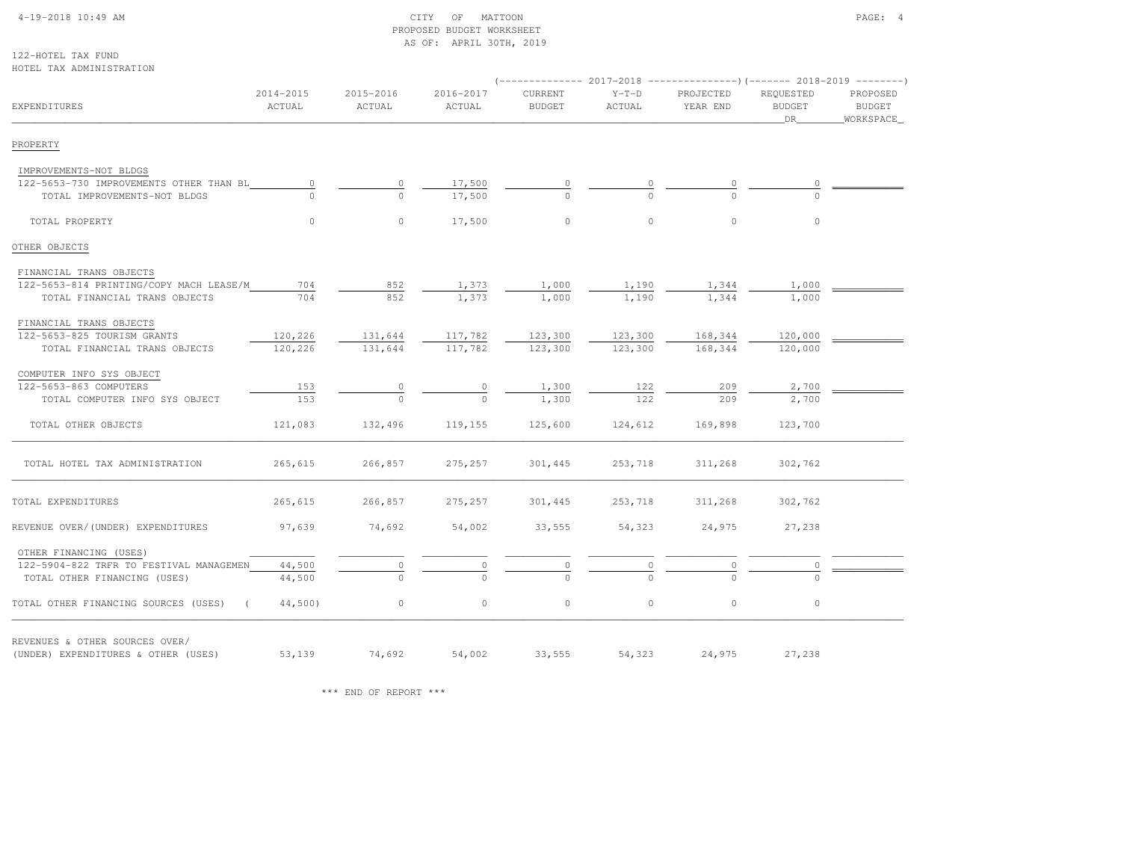#### 4-19-2018 10:49 AM CITY OF MATTOON PAGE: 4 PROPOSED BUDGET WORKSHEETAS OF: APRIL 30TH, 2019

122-HOTEL TAX FUNDHOTEL TAX ADMINISTRATION

|                                                       |                     |                     |                     |                          |                   | $($ -------------- 2017-2018 ----------------) (------- 2018-2019 --------) |                                      |                                          |
|-------------------------------------------------------|---------------------|---------------------|---------------------|--------------------------|-------------------|-----------------------------------------------------------------------------|--------------------------------------|------------------------------------------|
| <b>EXPENDITURES</b>                                   | 2014-2015<br>ACTUAL | 2015-2016<br>ACTUAL | 2016-2017<br>ACTUAL | CURRENT<br><b>BUDGET</b> | $Y-T-D$<br>ACTUAL | PROJECTED<br>YEAR END                                                       | REQUESTED<br><b>BUDGET</b><br>$\_DR$ | PROPOSED<br><b>BUDGET</b><br>_WORKSPACE_ |
| PROPERTY                                              |                     |                     |                     |                          |                   |                                                                             |                                      |                                          |
| IMPROVEMENTS-NOT BLDGS                                |                     |                     |                     |                          |                   |                                                                             |                                      |                                          |
| 122-5653-730 IMPROVEMENTS OTHER THAN BL               | $\circ$             | $\circ$             | 17,500              |                          |                   |                                                                             |                                      |                                          |
| TOTAL IMPROVEMENTS-NOT BLDGS                          |                     | $\Omega$            | 17,500              |                          |                   |                                                                             |                                      |                                          |
| TOTAL PROPERTY                                        | $\circ$             | $\circ$             | 17,500              | $\circ$                  | $\circ$           | $\circ$                                                                     | $\circ$                              |                                          |
| OTHER OBJECTS                                         |                     |                     |                     |                          |                   |                                                                             |                                      |                                          |
| FINANCIAL TRANS OBJECTS                               |                     |                     |                     |                          |                   |                                                                             |                                      |                                          |
| 122-5653-814 PRINTING/COPY MACH LEASE/M               | 704                 | 852                 | 1,373               | 1,000                    | 1,190             | 1,344                                                                       | 1,000                                |                                          |
| TOTAL FINANCIAL TRANS OBJECTS                         | 704                 | 852                 | 1,373               | 1,000                    | 1,190             | 1,344                                                                       | 1,000                                |                                          |
| FINANCIAL TRANS OBJECTS                               |                     |                     |                     |                          |                   |                                                                             |                                      |                                          |
| 122-5653-825 TOURISM GRANTS                           | 120,226             | 131,644             | 117,782             | 123,300                  | 123,300           | 168,344                                                                     | 120,000                              |                                          |
| TOTAL FINANCIAL TRANS OBJECTS                         | 120,226             | 131,644             | 117,782             | 123,300                  | 123,300           | 168,344                                                                     | 120,000                              |                                          |
| COMPUTER INFO SYS OBJECT                              |                     |                     |                     |                          |                   |                                                                             |                                      |                                          |
| 122-5653-863 COMPUTERS                                | 153                 | 0                   |                     | 1,300                    | 122               | 209                                                                         | 2,700                                |                                          |
| TOTAL COMPUTER INFO SYS OBJECT                        | 153                 |                     |                     | 1,300                    | 122               | 209                                                                         | 2,700                                |                                          |
| TOTAL OTHER OBJECTS                                   | 121,083             | 132,496             | 119,155             | 125,600                  | 124,612           | 169,898                                                                     | 123,700                              |                                          |
| TOTAL HOTEL TAX ADMINISTRATION                        | 265,615             | 266,857             | 275,257             | 301,445                  | 253,718           | 311,268                                                                     | 302,762                              |                                          |
| TOTAL EXPENDITURES                                    | 265,615             | 266,857             | 275,257             | 301,445                  | 253,718           | 311,268                                                                     | 302,762                              |                                          |
| REVENUE OVER/(UNDER) EXPENDITURES                     | 97,639              | 74,692              | 54,002              | 33,555                   | 54,323            | 24,975                                                                      | 27,238                               |                                          |
| OTHER FINANCING (USES)                                |                     |                     |                     |                          |                   |                                                                             |                                      |                                          |
| 122-5904-822 TRFR TO FESTIVAL MANAGEMEN               | 44,500              |                     |                     |                          |                   | 0                                                                           |                                      |                                          |
| TOTAL OTHER FINANCING (USES)                          | 44,500              |                     |                     |                          |                   |                                                                             |                                      |                                          |
| TOTAL OTHER FINANCING SOURCES (USES)<br>$\sim$ $\sim$ | 44,500)             | $\circ$             | $\circ$             | $\circ$                  | $\circ$           | $\circ$                                                                     | $\circ$                              |                                          |
| REVENUES & OTHER SOURCES OVER/                        |                     |                     |                     |                          |                   |                                                                             |                                      |                                          |
| (UNDER) EXPENDITURES & OTHER (USES)                   | 53,139              | 74,692              | 54,002              |                          | 33,555 54,323     | 24,975                                                                      | 27,238                               |                                          |

\*\*\* END OF REPORT \*\*\*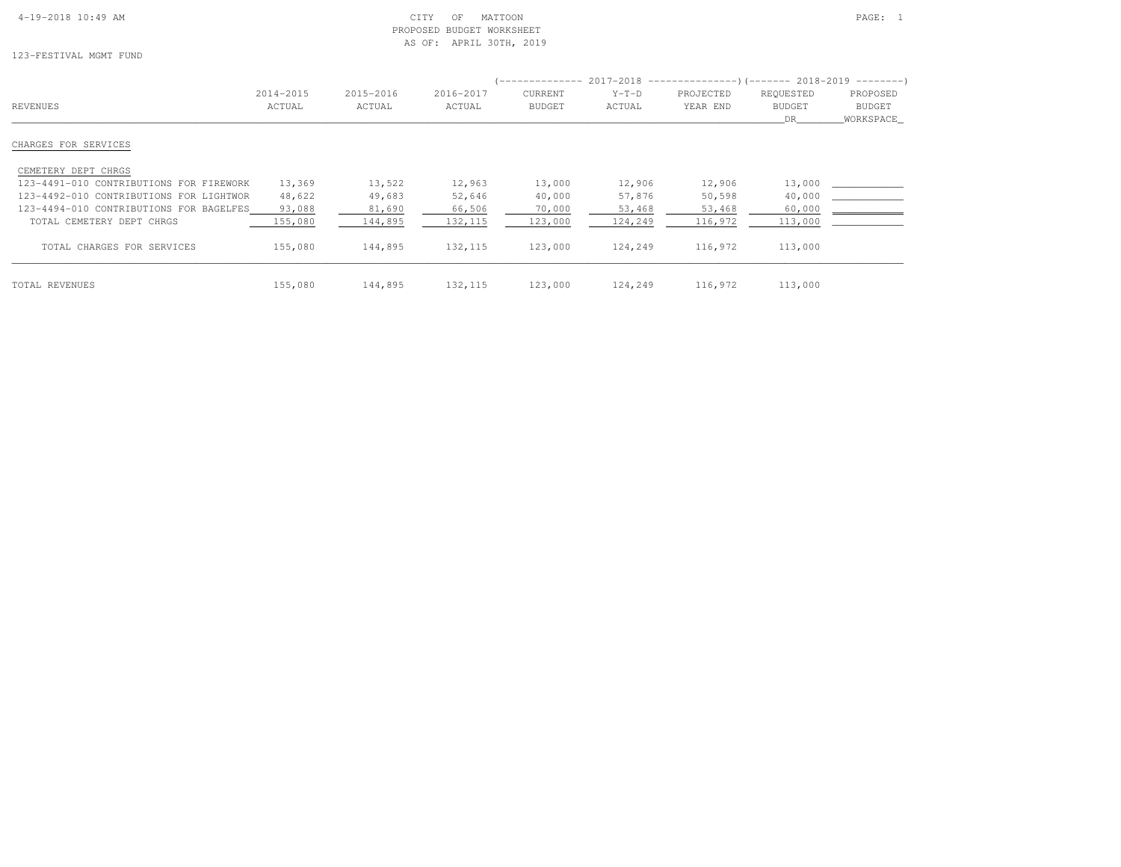#### 4-19-2018 10:49 AM CITY OF MATTOON PAGE: 1 PROPOSED BUDGET WORKSHEETAS OF: APRIL 30TH, 2019

123-FESTIVAL MGMT FUND

|                                         | 2014-2015 | 2015-2016 | 2016-2017 | CURRENT       | $Y-T-D$ | PROJECTED | REQUESTED     | PROPOSED      |
|-----------------------------------------|-----------|-----------|-----------|---------------|---------|-----------|---------------|---------------|
| REVENUES                                | ACTUAL    | ACTUAL    | ACTUAL    | <b>BUDGET</b> | ACTUAL  | YEAR END  | <b>BUDGET</b> | <b>BUDGET</b> |
|                                         |           |           |           |               |         |           | DR.           | WORKSPACE     |
| CHARGES FOR SERVICES                    |           |           |           |               |         |           |               |               |
| CEMETERY DEPT CHRGS                     |           |           |           |               |         |           |               |               |
| 123-4491-010 CONTRIBUTIONS FOR FIREWORK | 13,369    | 13,522    | 12,963    | 13,000        | 12,906  | 12,906    | 13,000        |               |
| 123-4492-010 CONTRIBUTIONS FOR LIGHTWOR | 48,622    | 49,683    | 52,646    | 40,000        | 57,876  | 50,598    | 40,000        |               |
| 123-4494-010 CONTRIBUTIONS FOR BAGELFES | 93,088    | 81,690    | 66,506    | 70,000        | 53,468  | 53,468    | 60,000        |               |
| TOTAL CEMETERY DEPT CHRGS               | 155,080   | 144,895   | 132, 115  | 123,000       | 124,249 | 116,972   | 113,000       |               |
| TOTAL CHARGES FOR SERVICES              | 155,080   | 144,895   | 132, 115  | 123,000       | 124,249 | 116,972   | 113,000       |               |
| TOTAL REVENUES                          | 155,080   | 144,895   | 132, 115  | 123,000       | 124,249 | 116,972   | 113,000       |               |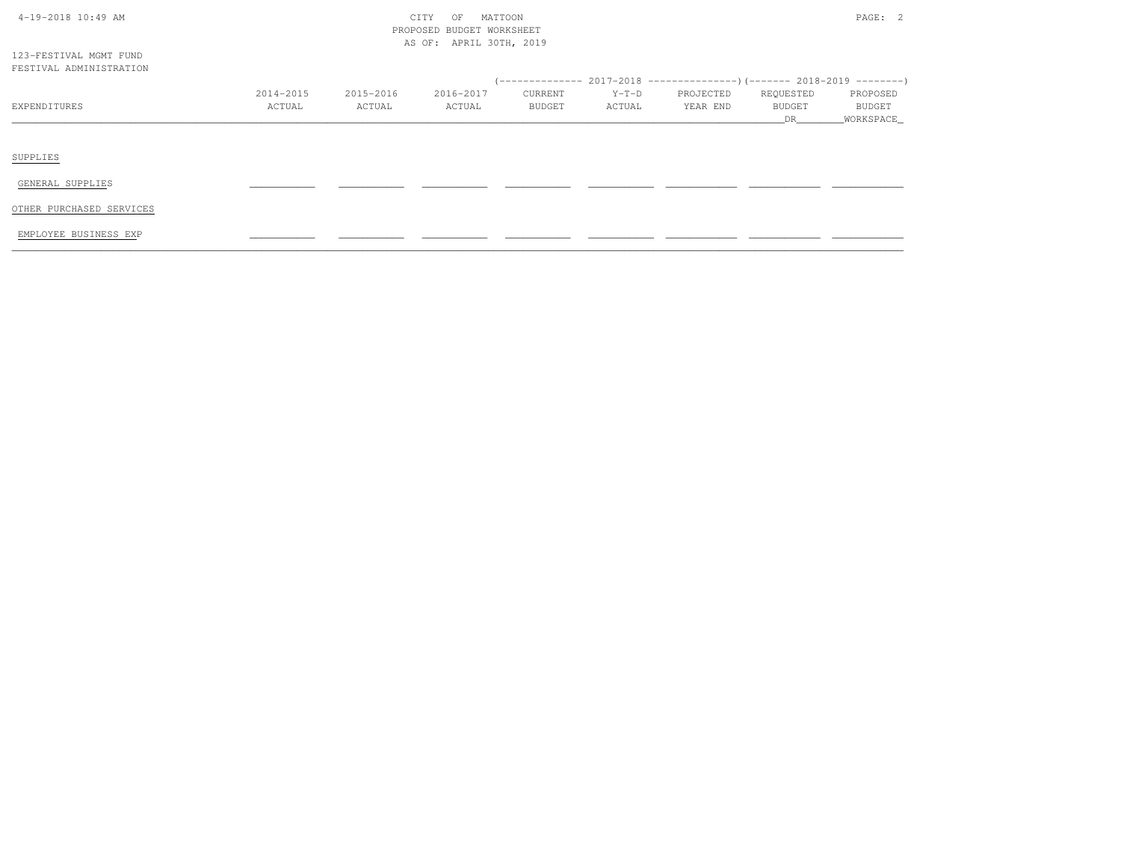| $4-19-2018$ $10:49$ AM |  |
|------------------------|--|
|                        |  |

# $\text{CITY}$  of MATTOON  $\text{PAGE:}$  2 PROPOSED BUDGET WORKSHEETAS OF: APRIL 30TH, 2019

123-FESTIVAL MGMT FUNDFESTIVAL ADMINISTRATION

| I BUII VAB ADRIINIUINAI IUN |           |           |           |                |         |                                                                             |               |               |
|-----------------------------|-----------|-----------|-----------|----------------|---------|-----------------------------------------------------------------------------|---------------|---------------|
|                             |           |           |           |                |         | $(-$ ------------- 2017-2018 ----------------)(------- 2018-2019 ---------) |               |               |
|                             | 2014-2015 | 2015-2016 | 2016-2017 | <b>CURRENT</b> | $Y-T-D$ | PROJECTED                                                                   | REQUESTED     | PROPOSED      |
| EXPENDITURES                | ACTUAL    | ACTUAL    | ACTUAL    | <b>BUDGET</b>  | ACTUAL  | YEAR END                                                                    | <b>BUDGET</b> | <b>BUDGET</b> |
|                             |           |           |           |                |         |                                                                             |               | WORKSPACE     |
|                             |           |           |           |                |         |                                                                             |               |               |
|                             |           |           |           |                |         |                                                                             |               |               |
|                             |           |           |           |                |         |                                                                             |               |               |

SUPPLIES

GENERAL SUPPLIES \_\_\_\_\_\_\_\_\_\_\_ \_\_\_\_\_\_\_\_\_\_\_ \_\_\_\_\_\_\_\_\_\_\_ \_\_\_\_\_\_\_\_\_\_\_ \_\_\_\_\_\_\_\_\_\_\_ \_\_\_\_\_\_\_\_\_\_\_\_ \_\_\_\_\_\_\_\_\_\_\_\_ \_\_\_\_\_\_\_\_\_\_\_\_

OTHER PURCHASED SERVICES

EMPLOYEE BUSINESS EXP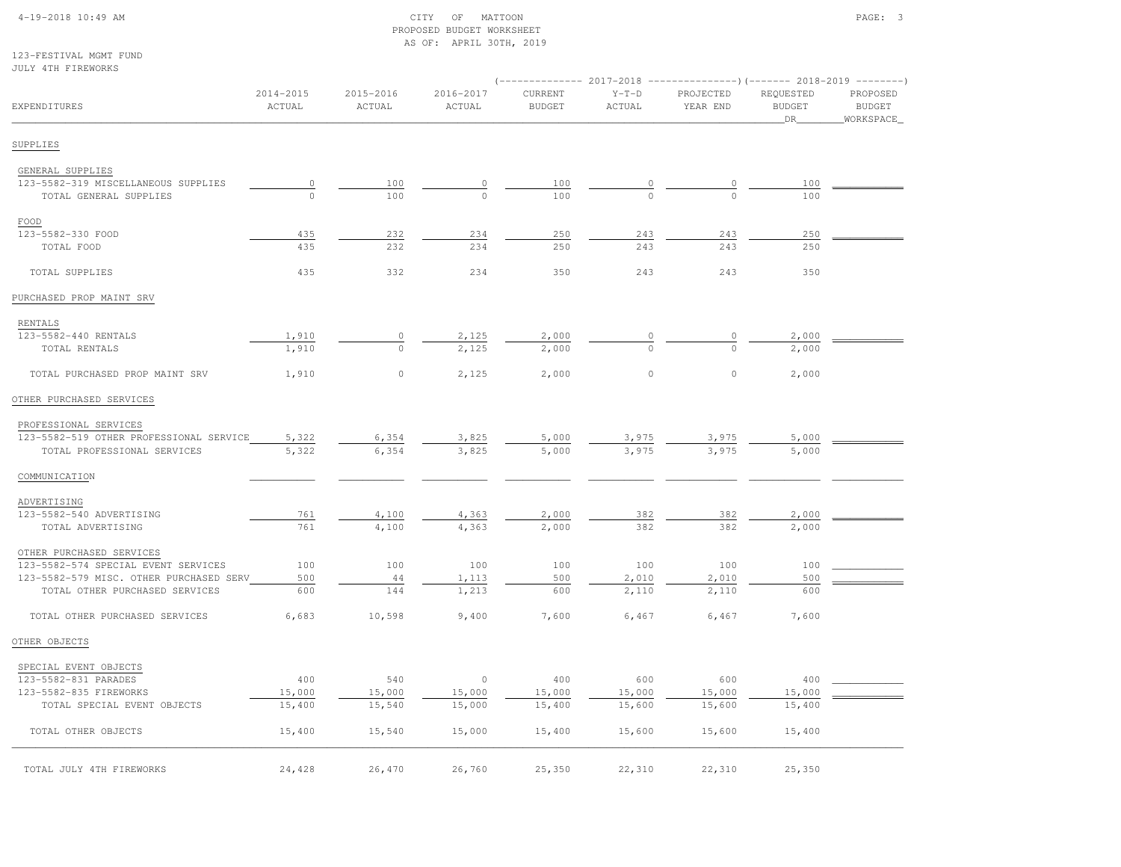#### 4-19-2018 10:49 AM CITY OF MATTOON PAGE: 3 PROPOSED BUDGET WORKSHEETAS OF: APRIL 30TH, 2019

123-FESTIVAL MGMT FUNDJULY 4TH FIREWORKS

| OODI TIH LINDWONNO                      |                     |                     |                     |                          |                   | $(-$ ------------- 2017-2018 -----------------) (------- 2018-2019 --------) |                                  |                                         |
|-----------------------------------------|---------------------|---------------------|---------------------|--------------------------|-------------------|------------------------------------------------------------------------------|----------------------------------|-----------------------------------------|
| EXPENDITURES                            | 2014-2015<br>ACTUAL | 2015-2016<br>ACTUAL | 2016-2017<br>ACTUAL | CURRENT<br><b>BUDGET</b> | $Y-T-D$<br>ACTUAL | PROJECTED<br>YEAR END                                                        | REQUESTED<br><b>BUDGET</b><br>DR | PROPOSED<br><b>BUDGET</b><br>WORKSPACE_ |
| SUPPLIES                                |                     |                     |                     |                          |                   |                                                                              |                                  |                                         |
| GENERAL SUPPLIES                        |                     |                     |                     |                          |                   |                                                                              |                                  |                                         |
| 123-5582-319 MISCELLANEOUS SUPPLIES     | $\circ$             | 100                 | 0                   | 100                      | $\circ$           | $\circ$                                                                      | 100                              |                                         |
| TOTAL GENERAL SUPPLIES                  | $\Omega$            | 100                 | $\Omega$            | 100                      | $\bigcap$         | $\Omega$                                                                     | 100                              |                                         |
| FOOD                                    |                     |                     |                     |                          |                   |                                                                              |                                  |                                         |
| 123-5582-330 FOOD                       | 435                 | 232                 | 234                 | 250                      | 243               | 243                                                                          | 250                              |                                         |
| TOTAL FOOD                              | 435                 | 232                 | 234                 | 250                      | 243               | 243                                                                          | 250                              |                                         |
| TOTAL SUPPLIES                          | 435                 | 332                 | 234                 | 350                      | 243               | 243                                                                          | 350                              |                                         |
| PURCHASED PROP MAINT SRV                |                     |                     |                     |                          |                   |                                                                              |                                  |                                         |
| RENTALS                                 |                     |                     |                     |                          |                   |                                                                              |                                  |                                         |
| 123-5582-440 RENTALS                    | 1,910               | $\circ$             | 2,125               | 2,000                    |                   | 0                                                                            | 2,000                            |                                         |
| TOTAL RENTALS                           | 1,910               | $\circ$             | 2,125               | 2,000                    | $\circ$           | $\circ$                                                                      | 2,000                            |                                         |
| TOTAL PURCHASED PROP MAINT SRV          | 1,910               | $\circ$             | 2,125               | 2,000                    | $\circ$           | $\circ$                                                                      | 2,000                            |                                         |
| OTHER PURCHASED SERVICES                |                     |                     |                     |                          |                   |                                                                              |                                  |                                         |
| PROFESSIONAL SERVICES                   |                     |                     |                     |                          |                   |                                                                              |                                  |                                         |
| 123-5582-519 OTHER PROFESSIONAL SERVICE | 5,322               | 6,354               | 3,825               | 5,000                    | 3,975             | 3,975                                                                        | 5,000                            |                                         |
| TOTAL PROFESSIONAL SERVICES             | 5,322               | 6,354               | 3,825               | 5,000                    | 3,975             | 3,975                                                                        | 5,000                            |                                         |
| COMMUNICATION                           |                     |                     |                     |                          |                   |                                                                              |                                  |                                         |
| ADVERTISING                             |                     |                     |                     |                          |                   |                                                                              |                                  |                                         |
| 123-5582-540 ADVERTISING                | 761                 | 4,100               | 4,363               | 2,000                    | 382               | 382                                                                          | 2,000                            |                                         |
| TOTAL ADVERTISING                       | 761                 | 4,100               | 4,363               | 2,000                    | 382               | 382                                                                          | 2,000                            |                                         |
| OTHER PURCHASED SERVICES                |                     |                     |                     |                          |                   |                                                                              |                                  |                                         |
| 123-5582-574 SPECIAL EVENT SERVICES     | 100                 | 100                 | 100                 | 100                      | 100               | 100                                                                          | 100                              |                                         |
| 123-5582-579 MISC. OTHER PURCHASED SERV | 500                 | 44                  | 1,113               | 500                      | 2,010             | 2,010                                                                        | 500                              |                                         |
| TOTAL OTHER PURCHASED SERVICES          | 600                 | 144                 | 1,213               | 600                      | 2,110             | 2,110                                                                        | 600                              |                                         |
| TOTAL OTHER PURCHASED SERVICES          | 6,683               | 10,598              | 9,400               | 7,600                    | 6,467             | 6,467                                                                        | 7,600                            |                                         |
| OTHER OBJECTS                           |                     |                     |                     |                          |                   |                                                                              |                                  |                                         |
| SPECIAL EVENT OBJECTS                   |                     |                     |                     |                          |                   |                                                                              |                                  |                                         |
| 123-5582-831 PARADES                    | 400                 | 540                 | $\circ$             | 400                      | 600               | 600                                                                          | 400                              |                                         |
| 123-5582-835 FIREWORKS                  | 15,000              | 15,000              | 15,000              | 15,000                   | 15,000            | 15,000                                                                       | 15,000                           |                                         |
| TOTAL SPECIAL EVENT OBJECTS             | 15,400              | 15,540              | 15,000              | 15,400                   | 15,600            | 15,600                                                                       | 15,400                           |                                         |
| TOTAL OTHER OBJECTS                     | 15,400              | 15,540              | 15,000              | 15,400                   | 15,600            | 15,600                                                                       | 15,400                           |                                         |
| TOTAL JULY 4TH FIREWORKS                | 24,428              | 26,470              | 26,760              | 25,350                   | 22,310            | 22,310                                                                       | 25,350                           |                                         |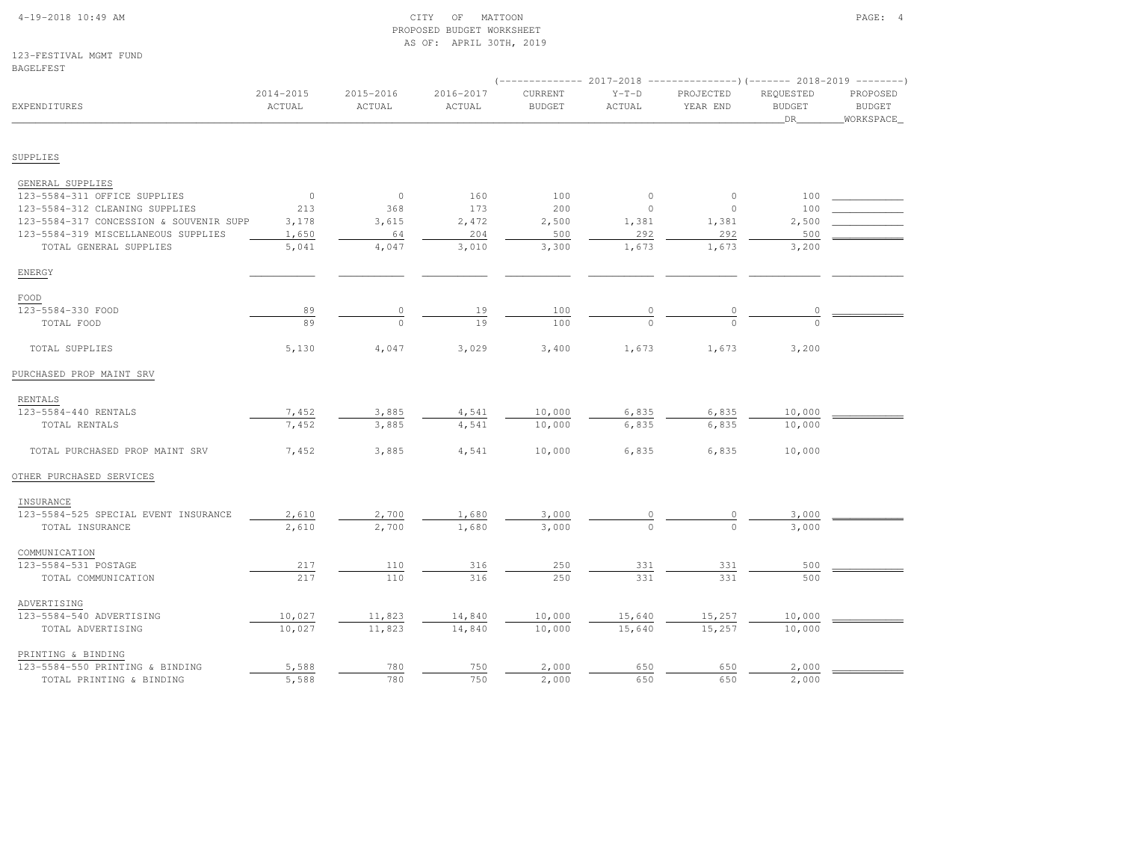### 4-19-2018 10:49 AM CITY OF MATTOON PAGE: 4 PROPOSED BUDGET WORKSHEETAS OF: APRIL 30TH, 2019

123-FESTIVAL MGMT FUNDBAGELFEST

|                                         |                     |                     |                     |                          |                   | (-------------- 2017-2018 ----------------) (------- 2018-2019 --------) |                                  |                                        |
|-----------------------------------------|---------------------|---------------------|---------------------|--------------------------|-------------------|--------------------------------------------------------------------------|----------------------------------|----------------------------------------|
| EXPENDITURES                            | 2014-2015<br>ACTUAL | 2015-2016<br>ACTUAL | 2016-2017<br>ACTUAL | CURRENT<br><b>BUDGET</b> | $Y-T-D$<br>ACTUAL | PROJECTED<br>YEAR END                                                    | REQUESTED<br><b>BUDGET</b><br>DR | PROPOSED<br><b>BUDGET</b><br>WORKSPACE |
|                                         |                     |                     |                     |                          |                   |                                                                          |                                  |                                        |
| SUPPLIES                                |                     |                     |                     |                          |                   |                                                                          |                                  |                                        |
| GENERAL SUPPLIES                        |                     |                     |                     |                          |                   |                                                                          |                                  |                                        |
| 123-5584-311 OFFICE SUPPLIES            | $\overline{0}$      | $\circ$             | 160                 | 100                      | $\circ$           | $\circ$                                                                  | 100                              |                                        |
| 123-5584-312 CLEANING SUPPLIES          | 213                 | 368                 | 173                 | 200                      | $\circ$           | $\mathbf{0}$                                                             | 100                              |                                        |
| 123-5584-317 CONCESSION & SOUVENIR SUPP | 3,178               | 3,615               | 2,472               | 2,500                    | 1,381             | 1,381                                                                    | 2,500                            |                                        |
| 123-5584-319 MISCELLANEOUS SUPPLIES     | 1,650               | 64                  | 204                 | 500                      | 292               | 292                                                                      | 500                              |                                        |
| TOTAL GENERAL SUPPLIES                  | 5,041               | 4,047               | 3,010               | 3,300                    | 1,673             | 1,673                                                                    | 3,200                            |                                        |
| ENERGY                                  |                     |                     |                     |                          |                   |                                                                          |                                  |                                        |
| FOOD                                    |                     |                     |                     |                          |                   |                                                                          |                                  |                                        |
| 123-5584-330 FOOD                       | 89                  |                     | 19                  | 100                      |                   | 0                                                                        |                                  |                                        |
| TOTAL FOOD                              | 89                  | $\frac{0}{0}$       | 19                  | 100                      |                   |                                                                          | $\frac{0}{0}$                    |                                        |
| TOTAL SUPPLIES                          | 5,130               | 4,047               | 3,029               | 3,400                    | 1,673             | 1,673                                                                    | 3,200                            |                                        |
| PURCHASED PROP MAINT SRV                |                     |                     |                     |                          |                   |                                                                          |                                  |                                        |
| RENTALS                                 |                     |                     |                     |                          |                   |                                                                          |                                  |                                        |
| 123-5584-440 RENTALS                    | 7,452               | 3,885               | 4,541               | 10,000                   | 6,835             | 6,835                                                                    | 10,000                           |                                        |
| TOTAL RENTALS                           | 7,452               | 3,885               | 4,541               | 10,000                   | 6,835             | 6,835                                                                    | 10,000                           |                                        |
| TOTAL PURCHASED PROP MAINT SRV          | 7,452               | 3,885               | 4,541               | 10,000                   | 6,835             | 6,835                                                                    | 10,000                           |                                        |
| OTHER PURCHASED SERVICES                |                     |                     |                     |                          |                   |                                                                          |                                  |                                        |
| INSURANCE                               |                     |                     |                     |                          |                   |                                                                          |                                  |                                        |
| 123-5584-525 SPECIAL EVENT INSURANCE    | 2,610               | 2,700               | 1,680               | 3,000                    |                   |                                                                          | 3,000                            |                                        |
| TOTAL INSURANCE                         | 2,610               | 2,700               | 1,680               | 3,000                    |                   | $\Omega$                                                                 | 3,000                            |                                        |
| COMMUNICATION                           |                     |                     |                     |                          |                   |                                                                          |                                  |                                        |
| 123-5584-531 POSTAGE                    | 217                 | 110                 | 316                 | 250                      | 331               | 331                                                                      | 500                              |                                        |
| TOTAL COMMUNICATION                     | 217                 | 110                 | 316                 | 250                      | 331               | 331                                                                      | 500                              |                                        |
| ADVERTISING                             |                     |                     |                     |                          |                   |                                                                          |                                  |                                        |
| 123-5584-540 ADVERTISING                | 10,027              | 11,823              | 14,840              | 10,000                   | 15,640            | 15,257                                                                   | 10,000                           |                                        |
| TOTAL ADVERTISING                       | 10,027              | 11,823              | 14,840              | 10,000                   | 15,640            | 15,257                                                                   | 10,000                           |                                        |
| PRINTING & BINDING                      |                     |                     |                     |                          |                   |                                                                          |                                  |                                        |
| 123-5584-550 PRINTING & BINDING         | 5,588               | 780                 | 750                 | 2,000                    | 650               | 650                                                                      | 2,000                            |                                        |
| TOTAL PRINTING & BINDING                | 5,588               | 780                 | 750                 | 2,000                    | 650               | 650                                                                      | 2,000                            |                                        |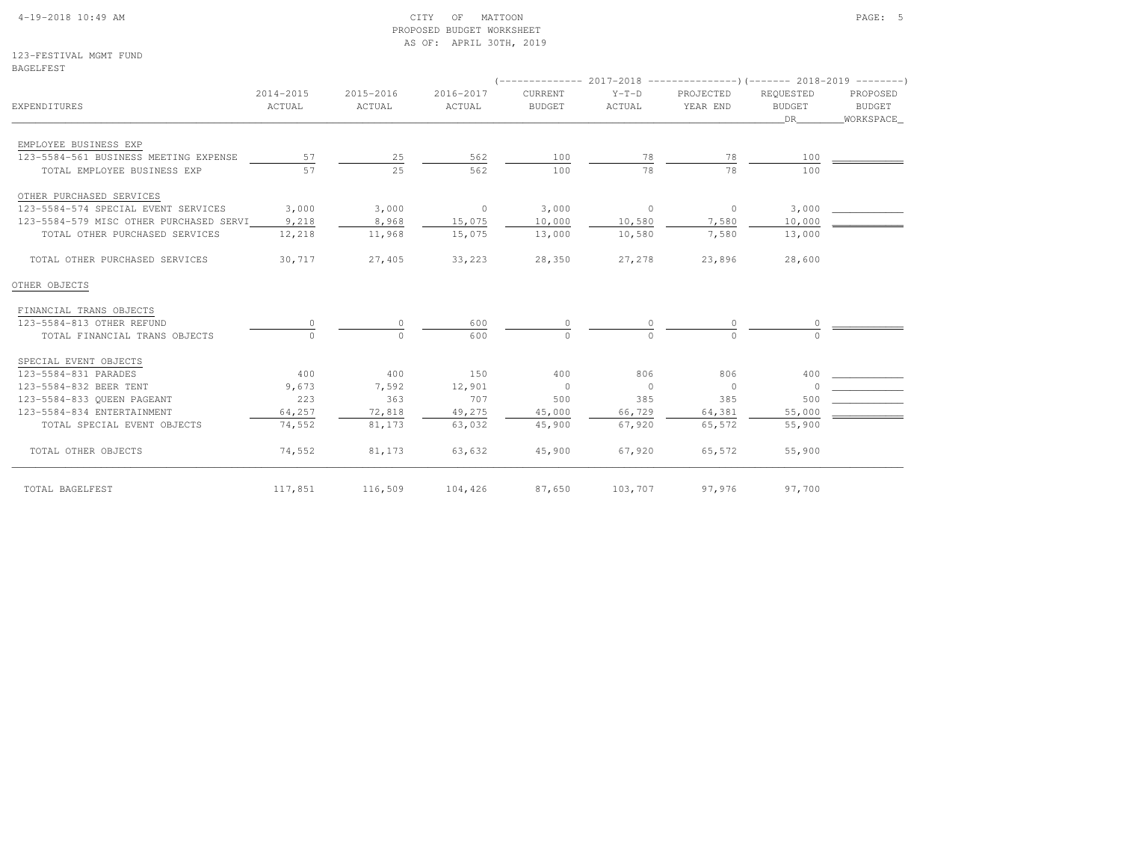#### 4-19-2018 10:49 AM CITY OF MATTOON PAGE: 5 PROPOSED BUDGET WORKSHEETAS OF: APRIL 30TH, 2019

123-FESTIVAL MGMT FUNDBAGELFEST

| EXPENDITURES                            | 2014-2015<br>ACTUAL | 2015-2016<br>ACTUAL | 2016-2017<br>ACTUAL | CURRENT<br><b>BUDGET</b> | $Y-T-D$<br>ACTUAL        | PROJECTED<br>YEAR END | REOUESTED<br><b>BUDGET</b><br>DR | PROPOSED<br><b>BUDGET</b><br>WORKSPACE |
|-----------------------------------------|---------------------|---------------------|---------------------|--------------------------|--------------------------|-----------------------|----------------------------------|----------------------------------------|
| EMPLOYEE BUSINESS EXP                   |                     |                     |                     |                          |                          |                       |                                  |                                        |
| 123-5584-561 BUSINESS MEETING EXPENSE   | 57                  | 25                  | 562                 | 100                      | 78                       | 78                    | 100                              |                                        |
| TOTAL EMPLOYEE BUSINESS EXP             | 57                  | 25                  | 562                 | 100                      | 78                       | 78                    | 100                              |                                        |
| OTHER PURCHASED SERVICES                |                     |                     |                     |                          |                          |                       |                                  |                                        |
| 123-5584-574 SPECIAL EVENT SERVICES     | 3,000               | 3,000               | $\overline{0}$      | 3,000                    | $\overline{\phantom{0}}$ | $\circ$               | 3,000                            |                                        |
| 123-5584-579 MISC OTHER PURCHASED SERVI | 9,218               | 8,968               | 15,075              | 10,000                   | 10,580                   | 7,580                 | 10,000                           |                                        |
| TOTAL OTHER PURCHASED SERVICES          | 12,218              | 11,968              | 15,075              | 13,000                   | 10,580                   | 7,580                 | 13,000                           |                                        |
| TOTAL OTHER PURCHASED SERVICES          | 30,717              | 27,405              | 33,223              | 28,350                   | 27,278                   | 23,896                | 28,600                           |                                        |
| OTHER OBJECTS                           |                     |                     |                     |                          |                          |                       |                                  |                                        |
| FINANCIAL TRANS OBJECTS                 |                     |                     |                     |                          |                          |                       |                                  |                                        |
| 123-5584-813 OTHER REFUND               |                     |                     | 600                 | 0                        |                          |                       |                                  |                                        |
| TOTAL FINANCIAL TRANS OBJECTS           |                     | $\Omega$            | 600                 | $\cap$                   |                          |                       |                                  |                                        |
| SPECIAL EVENT OBJECTS                   |                     |                     |                     |                          |                          |                       |                                  |                                        |
| 123-5584-831 PARADES                    | 400                 | 400                 | 150                 | 400                      | 806                      | 806                   | 400                              |                                        |
| 123-5584-832 BEER TENT                  | 9,673               | 7,592               | 12,901              | $\overline{0}$           | $\overline{0}$           | $\overline{0}$        | $\Omega$                         |                                        |
| 123-5584-833 OUEEN PAGEANT              | 223                 | 363                 | 707                 | 500                      | 385                      | 385                   | 500                              |                                        |
| 123-5584-834 ENTERTAINMENT              | 64,257              | 72,818              | 49,275              | 45,000                   | 66,729                   | 64,381                | 55,000                           |                                        |
| TOTAL SPECIAL EVENT OBJECTS             | 74,552              | 81,173              | 63,032              | 45,900                   | 67,920                   | 65,572                | 55,900                           |                                        |
| TOTAL OTHER OBJECTS                     | 74,552              | 81,173              | 63,632              | 45,900                   | 67,920                   | 65,572                | 55,900                           |                                        |
| TOTAL BAGELFEST                         | 117,851             | 116,509             | 104,426             | 87,650                   | 103,707                  | 97,976                | 97,700                           |                                        |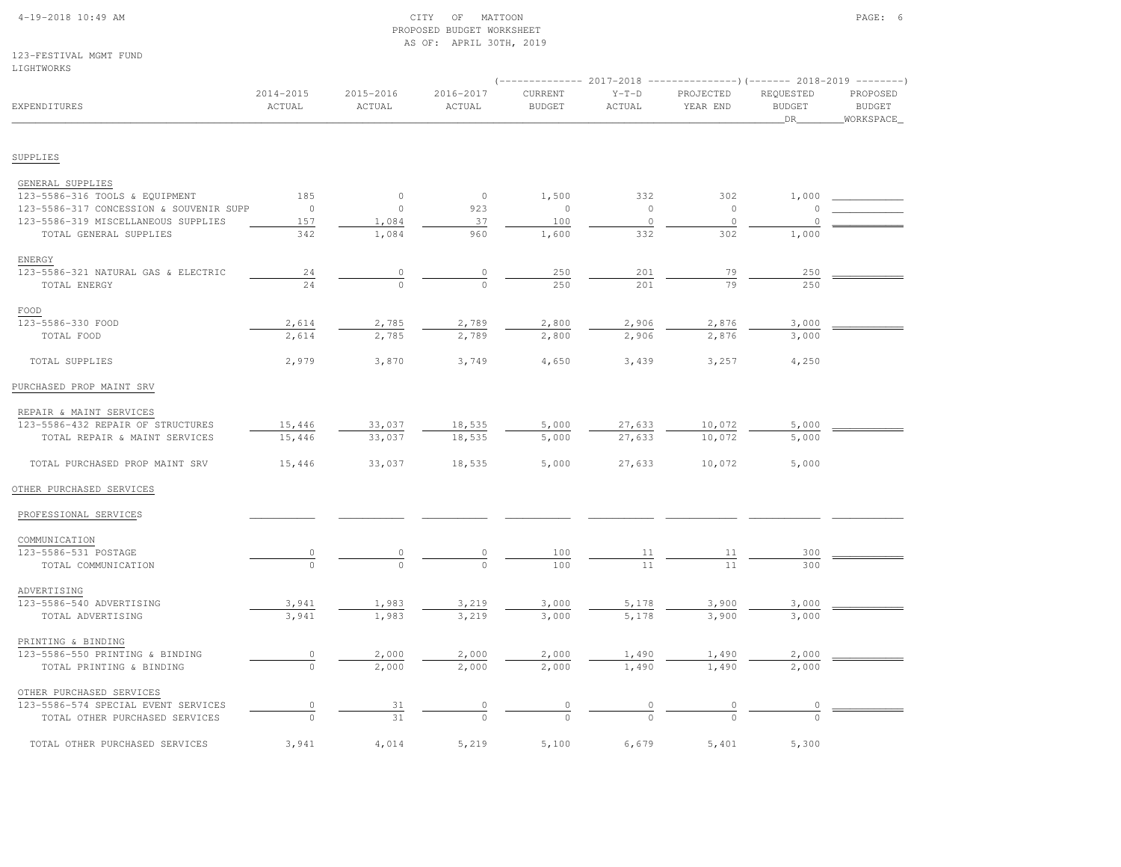# 4-19-2018 10:49 AM CITY OF MATTOON PAGE: 6 PROPOSED BUDGET WORKSHEETAS OF: APRIL 30TH, 2019

123-FESTIVAL MGMT FUNDLIGHTWORKS

|                                                              |                     |                           |                     |                          |                           | $(----------2017-2018$ ---------------) (------- 2018-2019 -------) |                                  |                                        |
|--------------------------------------------------------------|---------------------|---------------------------|---------------------|--------------------------|---------------------------|---------------------------------------------------------------------|----------------------------------|----------------------------------------|
| EXPENDITURES                                                 | 2014-2015<br>ACTUAL | 2015-2016<br>ACTUAL       | 2016-2017<br>ACTUAL | CURRENT<br><b>BUDGET</b> | $Y-T-D$<br>ACTUAL         | PROJECTED<br>YEAR END                                               | REQUESTED<br><b>BUDGET</b><br>DR | PROPOSED<br><b>BUDGET</b><br>WORKSPACE |
| SUPPLIES                                                     |                     |                           |                     |                          |                           |                                                                     |                                  |                                        |
|                                                              |                     |                           |                     |                          |                           |                                                                     |                                  |                                        |
| GENERAL SUPPLIES<br>123-5586-316 TOOLS & EQUIPMENT           | 185                 | $\circ$                   | $\circ$             | 1,500                    | 332                       | 302                                                                 | 1,000                            |                                        |
| 123-5586-317 CONCESSION & SOUVENIR SUPP                      | $\overline{0}$      | $\circ$                   | 923                 | $\circ$                  | $\circ$                   | $\overline{0}$                                                      | $\circ$                          |                                        |
| 123-5586-319 MISCELLANEOUS SUPPLIES                          | 157                 | 1,084                     | 37                  | 100                      | $\Omega$                  | $\Omega$                                                            | $\cap$                           |                                        |
| TOTAL GENERAL SUPPLIES                                       | 342                 | 1,084                     | 960                 | 1,600                    | 332                       | 302                                                                 | 1,000                            |                                        |
|                                                              |                     |                           |                     |                          |                           |                                                                     |                                  |                                        |
| ENERGY<br>123-5586-321 NATURAL GAS & ELECTRIC                |                     |                           | 0                   | 250                      |                           |                                                                     |                                  |                                        |
|                                                              | 24<br>24            | $\overline{0}$<br>$\circ$ |                     | 250                      | 201<br>201                | 79<br>79                                                            | 250<br>250                       |                                        |
| TOTAL ENERGY                                                 |                     |                           |                     |                          |                           |                                                                     |                                  |                                        |
| FOOD                                                         |                     |                           |                     |                          |                           |                                                                     |                                  |                                        |
| 123-5586-330 FOOD                                            | 2,614               | 2,785                     | 2,789               | 2,800                    | 2,906                     | 2,876                                                               | 3,000                            |                                        |
| TOTAL FOOD                                                   | 2,614               | 2,785                     | 2,789               | 2,800                    | 2,906                     | 2,876                                                               | 3,000                            |                                        |
| TOTAL SUPPLIES                                               | 2,979               | 3,870                     | 3,749               | 4,650                    | 3,439                     | 3,257                                                               | 4,250                            |                                        |
| PURCHASED PROP MAINT SRV                                     |                     |                           |                     |                          |                           |                                                                     |                                  |                                        |
|                                                              |                     |                           |                     |                          |                           |                                                                     |                                  |                                        |
| REPAIR & MAINT SERVICES<br>123-5586-432 REPAIR OF STRUCTURES | 15,446              |                           | 18,535              | 5,000                    |                           |                                                                     | 5,000                            |                                        |
| TOTAL REPAIR & MAINT SERVICES                                | 15,446              | 33,037<br>33,037          | 18,535              | 5,000                    | 27,633<br>27,633          | 10,072<br>10,072                                                    | 5,000                            |                                        |
|                                                              |                     |                           |                     |                          |                           |                                                                     |                                  |                                        |
| TOTAL PURCHASED PROP MAINT SRV                               | 15,446              | 33,037                    | 18,535              | 5,000                    | 27,633                    | 10,072                                                              | 5,000                            |                                        |
| OTHER PURCHASED SERVICES                                     |                     |                           |                     |                          |                           |                                                                     |                                  |                                        |
| PROFESSIONAL SERVICES                                        |                     |                           |                     |                          |                           |                                                                     |                                  |                                        |
| COMMUNICATION                                                |                     |                           |                     |                          |                           |                                                                     |                                  |                                        |
| 123-5586-531 POSTAGE                                         |                     |                           |                     | 100                      | $\underline{\mathbf{11}}$ | <u>11</u>                                                           | 300                              |                                        |
| TOTAL COMMUNICATION                                          |                     |                           |                     | 100                      | 11                        |                                                                     | 300                              |                                        |
| ADVERTISING                                                  |                     |                           |                     |                          |                           |                                                                     |                                  |                                        |
| 123-5586-540 ADVERTISING                                     | 3,941               | 1,983                     | 3,219               | 3,000                    | 5,178                     | 3,900                                                               | 3,000                            |                                        |
| TOTAL ADVERTISING                                            | 3,941               | 1,983                     | 3,219               | 3,000                    | 5,178                     | 3,900                                                               | 3,000                            |                                        |
|                                                              |                     |                           |                     |                          |                           |                                                                     |                                  |                                        |
| PRINTING & BINDING                                           |                     |                           |                     |                          |                           |                                                                     |                                  |                                        |
| 123-5586-550 PRINTING & BINDING                              | $\overline{0}$      | 2,000                     | 2,000               | 2,000                    | 1,490                     | 1,490                                                               | 2,000                            |                                        |
| TOTAL PRINTING & BINDING                                     | $\overline{0}$      | 2,000                     | 2,000               | 2,000                    | 1,490                     | 1,490                                                               | 2,000                            |                                        |
| OTHER PURCHASED SERVICES                                     |                     |                           |                     |                          |                           |                                                                     |                                  |                                        |
| 123-5586-574 SPECIAL EVENT SERVICES                          | $\circ$             | 31                        |                     |                          |                           |                                                                     |                                  |                                        |
| TOTAL OTHER PURCHASED SERVICES                               | $\cap$              | 31                        |                     |                          |                           |                                                                     |                                  |                                        |
| TOTAL OTHER PURCHASED SERVICES                               | 3,941               | 4,014                     | 5,219               | 5,100                    | 6,679                     | 5,401                                                               | 5,300                            |                                        |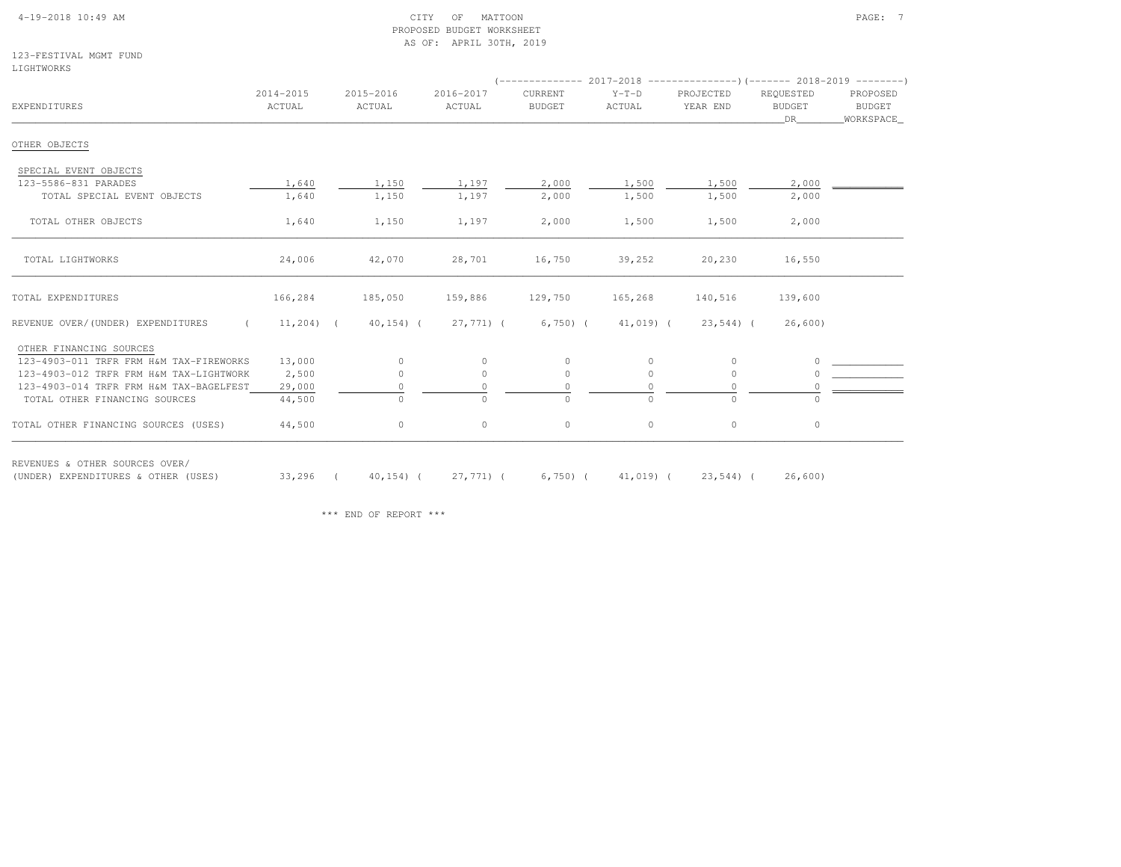#### 4-19-2018 10:49 AM CITY OF MATTOON PAGE: 7 PROPOSED BUDGET WORKSHEETAS OF: APRIL 30TH, 2019

123-FESTIVAL MGMT FUNDLIGHTWORKS

| EXPENDITURES                                                          | 2014-2015<br>ACTUAL | 2015-2016<br>ACTUAL | 2016-2017<br>ACTUAL | CURRENT<br><b>BUDGET</b> | $Y-T-D$<br>ACTUAL | PROJECTED<br>YEAR END | REQUESTED<br><b>BUDGET</b><br>DR | PROPOSED<br><b>BUDGET</b><br>WORKSPACE |
|-----------------------------------------------------------------------|---------------------|---------------------|---------------------|--------------------------|-------------------|-----------------------|----------------------------------|----------------------------------------|
| OTHER OBJECTS                                                         |                     |                     |                     |                          |                   |                       |                                  |                                        |
| SPECIAL EVENT OBJECTS                                                 |                     |                     |                     |                          |                   |                       |                                  |                                        |
| 123-5586-831 PARADES                                                  | 1,640               | 1,150               | 1,197               | 2,000                    | 1,500             | 1,500                 | 2,000                            |                                        |
| TOTAL SPECIAL EVENT OBJECTS                                           | 1,640               | 1,150               | 1,197               | 2,000                    | 1,500             | 1,500                 | 2,000                            |                                        |
| TOTAL OTHER OBJECTS                                                   | 1,640               | 1,150               | 1,197               | 2,000                    | 1,500             | 1,500                 | 2,000                            |                                        |
| TOTAL LIGHTWORKS                                                      | 24,006              | 42,070              | 28,701              | 16,750                   | 39,252            | 20,230                | 16,550                           |                                        |
| TOTAL EXPENDITURES                                                    | 166,284             | 185,050             | 159,886             | 129,750                  | 165,268           | 140,516               | 139,600                          |                                        |
| REVENUE OVER/(UNDER) EXPENDITURES                                     | $11,204$ (          | $40, 154$ ) (       | 27,771) (           | $6,750$ (                | 41,019) (         | $23,544$ ) (          | 26,600)                          |                                        |
| OTHER FINANCING SOURCES                                               |                     |                     |                     |                          |                   |                       |                                  |                                        |
| 123-4903-011 TRFR FRM H&M TAX-FIREWORKS                               | 13,000              | $\mathbf{0}$        | $\circ$             | $\circ$                  | $\mathbf{0}$      | $\circ$               | $\circ$                          |                                        |
| 123-4903-012 TRFR FRM H&M TAX-LIGHTWORK                               | 2,500               | $\circ$             | $\circ$             | $\circ$                  | $\circ$           | $\circ$               | $\cap$                           |                                        |
| 123-4903-014 TRFR FRM H&M TAX-BAGELFEST                               | 29,000              | 0                   | 0                   | 0                        | 0                 | $\circ$               | 0                                |                                        |
| TOTAL OTHER FINANCING SOURCES                                         | 44,500              | $\circ$             | $\Omega$            | $\Omega$                 | $\Omega$          | $\Omega$              | $\cap$                           |                                        |
| TOTAL OTHER FINANCING SOURCES (USES)                                  | 44,500              | $\circ$             | $\circ$             | $\circ$                  | $\circ$           | $\circ$               | $\circ$                          |                                        |
| REVENUES & OTHER SOURCES OVER/<br>(UNDER) EXPENDITURES & OTHER (USES) | $33,296$ (          | $40, 154$ ) (       | 27,771) (           | $6,750$ (                | 41,019) (         | 23,544) (             | 26,600)                          |                                        |

\*\*\* END OF REPORT \*\*\*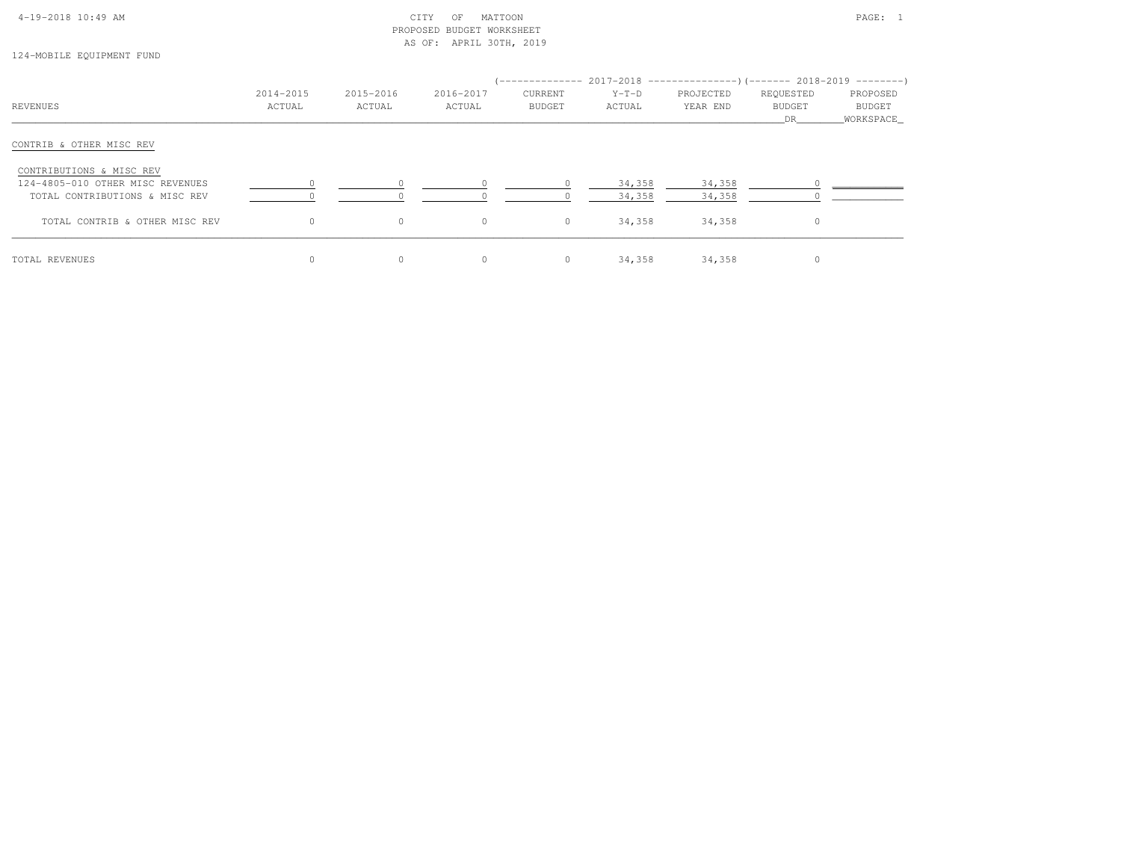# 4-19-2018 10:49 AM CITY OF MATTOON PAGE: 1 PROPOSED BUDGET WORKSHEETAS OF: APRIL 30TH, 2019

# 124-MOBILE EQUIPMENT FUND

|                                  | 2014-2015 | 2015-2016 | 2016-2017 | CURRENT | $Y-T-D$ | (-------------- 2017-2018 -----------------) (------- 2018-2019 ---------)<br>PROJECTED | REQUESTED | PROPOSED    |
|----------------------------------|-----------|-----------|-----------|---------|---------|-----------------------------------------------------------------------------------------|-----------|-------------|
| REVENUES                         | ACTUAL    | ACTUAL    | ACTUAL    | BUDGET  | ACTUAL  | YEAR END                                                                                | BUDGET    | BUDGET      |
|                                  |           |           |           |         |         |                                                                                         | DR        | _WORKSPACE_ |
| CONTRIB & OTHER MISC REV         |           |           |           |         |         |                                                                                         |           |             |
| CONTRIBUTIONS & MISC REV         |           |           |           |         |         |                                                                                         |           |             |
| 124-4805-010 OTHER MISC REVENUES |           |           |           |         | 34,358  | 34,358                                                                                  |           |             |
| TOTAL CONTRIBUTIONS & MISC REV   |           |           |           |         | 34,358  | 34,358                                                                                  |           |             |
| TOTAL CONTRIB & OTHER MISC REV   | $\Omega$  | $\circ$   | $\circ$   | $\circ$ | 34,358  | 34,358                                                                                  | $\Omega$  |             |
| TOTAL REVENUES                   |           | $\circ$   | $\circ$   | $\circ$ | 34,358  | 34,358                                                                                  | 0         |             |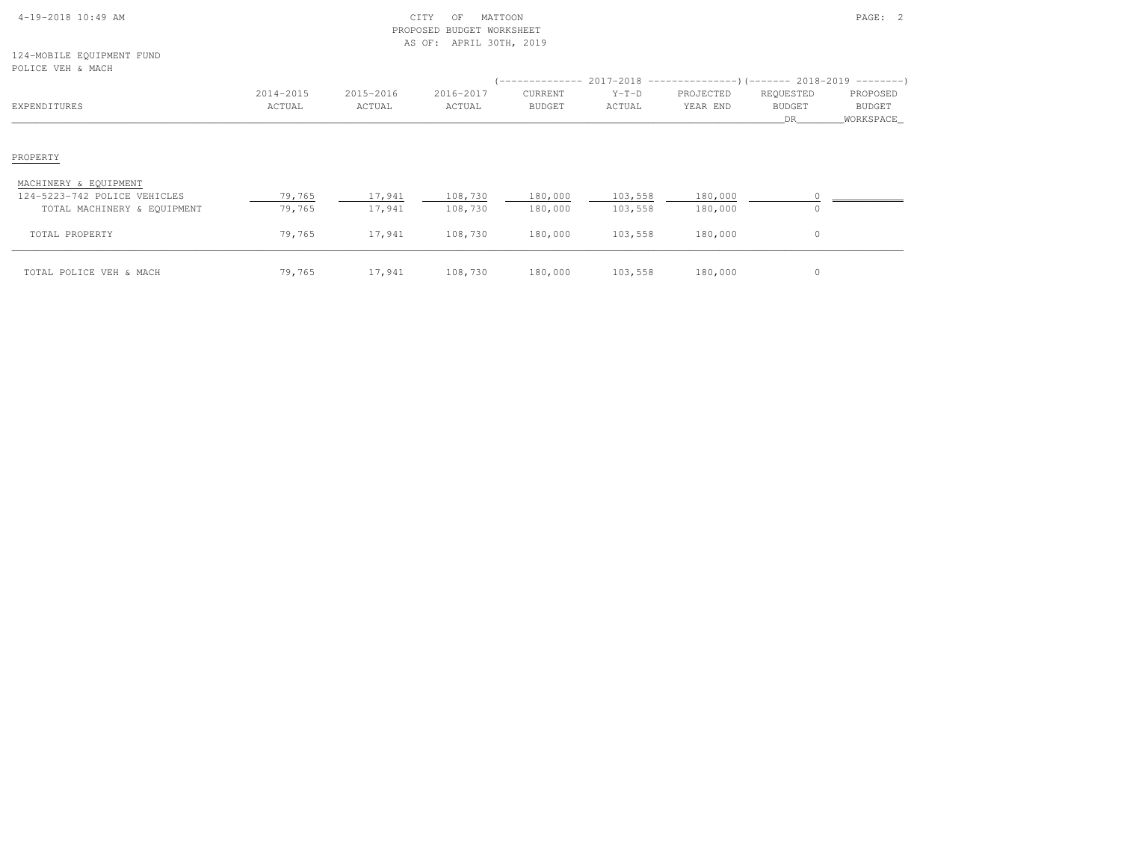| $4-19-2018$ 10:49 AM |  |  |
|----------------------|--|--|

# 4-19-2018 10:49 AM CITY OF MATTOON PAGE: 2 PROPOSED BUDGET WORKSHEETAS OF: APRIL 30TH, 2019

124-MOBILE EQUIPMENT FUNDPOLICE VEH & MACH

| POLICE VEH & MACH                                                                    |                     |                     |                     |                          | $($ -------------- 2017-2018 -----------------) (------- 2018-2019 ---------) |                       |                                   |                                        |
|--------------------------------------------------------------------------------------|---------------------|---------------------|---------------------|--------------------------|-------------------------------------------------------------------------------|-----------------------|-----------------------------------|----------------------------------------|
| EXPENDITURES                                                                         | 2014-2015<br>ACTUAL | 2015-2016<br>ACTUAL | 2016-2017<br>ACTUAL | CURRENT<br><b>BUDGET</b> | $Y-T-D$<br>ACTUAL                                                             | PROJECTED<br>YEAR END | REQUESTED<br><b>BUDGET</b><br>DR. | PROPOSED<br><b>BUDGET</b><br>WORKSPACE |
| PROPERTY                                                                             |                     |                     |                     |                          |                                                                               |                       |                                   |                                        |
| MACHINERY & EQUIPMENT<br>124-5223-742 POLICE VEHICLES<br>TOTAL MACHINERY & EQUIPMENT | 79,765<br>79,765    | 17,941<br>17,941    | 108,730<br>108,730  | 180,000<br>180,000       | 103,558<br>103,558                                                            | 180,000<br>180,000    |                                   |                                        |
| TOTAL PROPERTY                                                                       | 79,765              | 17,941              | 108,730             | 180,000                  | 103,558                                                                       | 180,000               | 0                                 |                                        |
| TOTAL POLICE VEH & MACH                                                              | 79,765              | 17,941              | 108,730             | 180,000                  | 103,558                                                                       | 180,000               | 0                                 |                                        |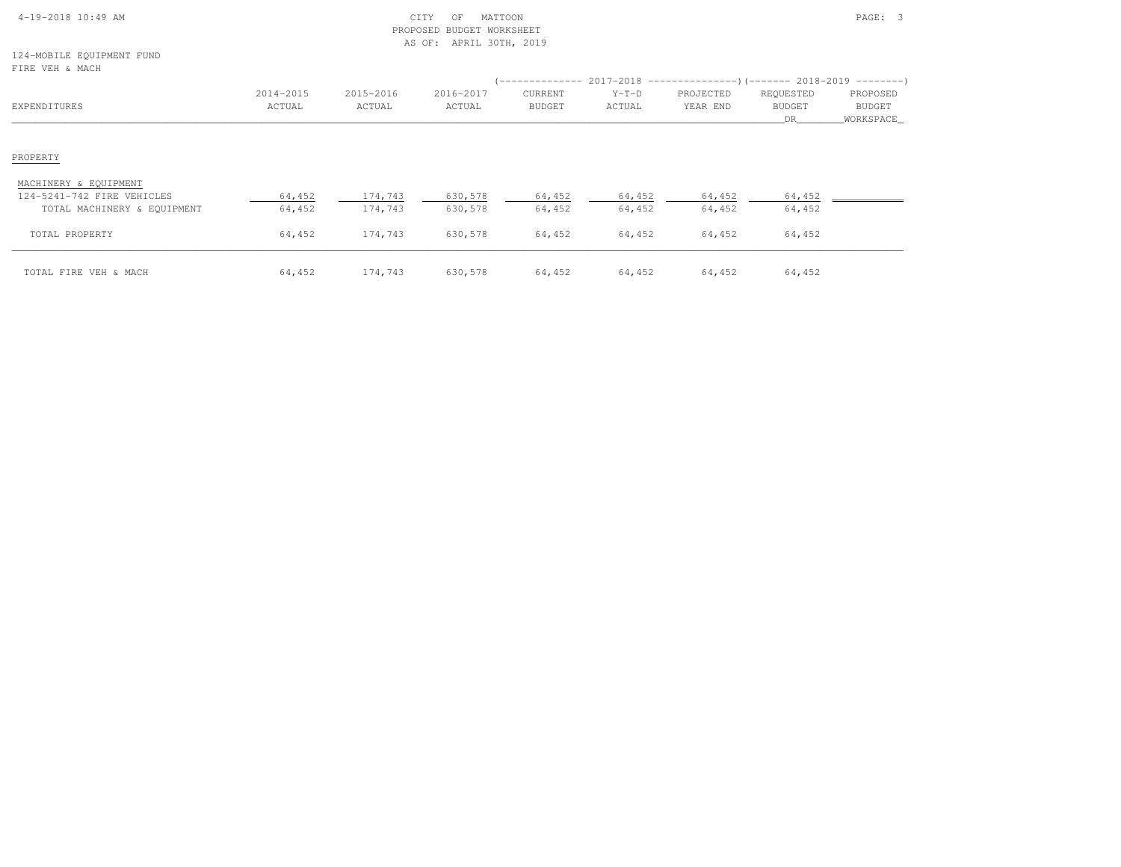| $4-19-2018$ 10:49 AM |  |  |
|----------------------|--|--|

# 4-19-2018 10:49 AM CITY OF MATTOON PAGE: 3 PROPOSED BUDGET WORKSHEETAS OF: APRIL 30TH, 2019

124-MOBILE EQUIPMENT FUNDFIRE VEH & MACH

| FIRE VEH & MACH             |           |           |           |               |         |           |               |               |
|-----------------------------|-----------|-----------|-----------|---------------|---------|-----------|---------------|---------------|
|                             | 2014-2015 | 2015-2016 | 2016-2017 | CURRENT       | $Y-T-D$ | PROJECTED | REQUESTED     | PROPOSED      |
| EXPENDITURES                | ACTUAL    | ACTUAL    | ACTUAL    | <b>BUDGET</b> | ACTUAL  | YEAR END  | <b>BUDGET</b> | <b>BUDGET</b> |
|                             |           |           |           |               |         |           | DR            | WORKSPACE     |
|                             |           |           |           |               |         |           |               |               |
| PROPERTY                    |           |           |           |               |         |           |               |               |
| MACHINERY & EQUIPMENT       |           |           |           |               |         |           |               |               |
| 124-5241-742 FIRE VEHICLES  | 64,452    | 174,743   | 630,578   | 64,452        | 64,452  | 64,452    | 64,452        |               |
| TOTAL MACHINERY & EQUIPMENT | 64,452    | 174,743   | 630,578   | 64,452        | 64,452  | 64,452    | 64,452        |               |
| TOTAL PROPERTY              | 64,452    | 174,743   | 630,578   | 64,452        | 64,452  | 64,452    | 64,452        |               |
| TOTAL FIRE VEH & MACH       | 64,452    | 174,743   | 630,578   | 64,452        | 64,452  | 64,452    | 64,452        |               |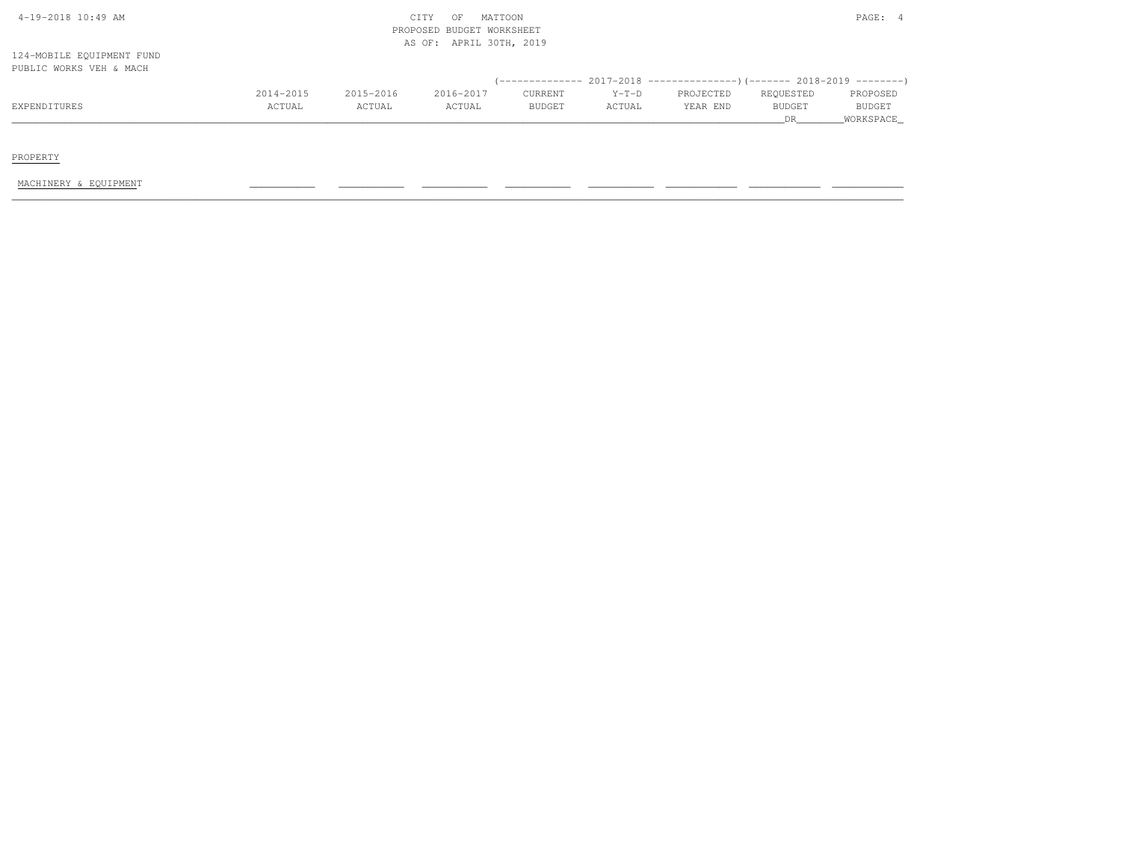| $4-19-2018$ $10:49$ AM |  |
|------------------------|--|

# $\text{CITY}$  OF MATTOON  $\text{PAGE:}$  4 PROPOSED BUDGET WORKSHEETAS OF: APRIL 30TH, 2019

124-MOBILE EQUIPMENT FUNDPUBLIC WORKS VEH & MACH

|              |               |           |           |               |               | $(-$ ------------- 2017-2018 -----------------) (------- 2018-2019 --------) |               |               |
|--------------|---------------|-----------|-----------|---------------|---------------|------------------------------------------------------------------------------|---------------|---------------|
|              | 2014-2015     | 2015-2016 | 2016-2017 | CURRENT       | $Y-T-D$       | PROJECTED                                                                    | REQUESTED     | PROPOSED      |
| EXPENDITURES | <b>ACTUAL</b> | ACTUAL    | ACTUAL    | <b>BUDGET</b> | <b>ACTUAL</b> | YEAR END                                                                     | <b>BUDGET</b> | <b>BUDGET</b> |
|              |               |           |           |               |               |                                                                              |               | WORKSPACE     |

PROPERTY

MACHINERY & EQUIPMENT \_\_\_\_\_\_\_\_\_\_\_ \_\_\_\_\_\_\_\_\_\_\_ \_\_\_\_\_\_\_\_\_\_\_ \_\_\_\_\_\_\_\_\_\_\_ \_\_\_\_\_\_\_\_\_\_\_ \_\_\_\_\_\_\_\_\_\_\_\_ \_\_\_\_\_\_\_\_\_\_\_\_ \_\_\_\_\_\_\_\_\_\_\_\_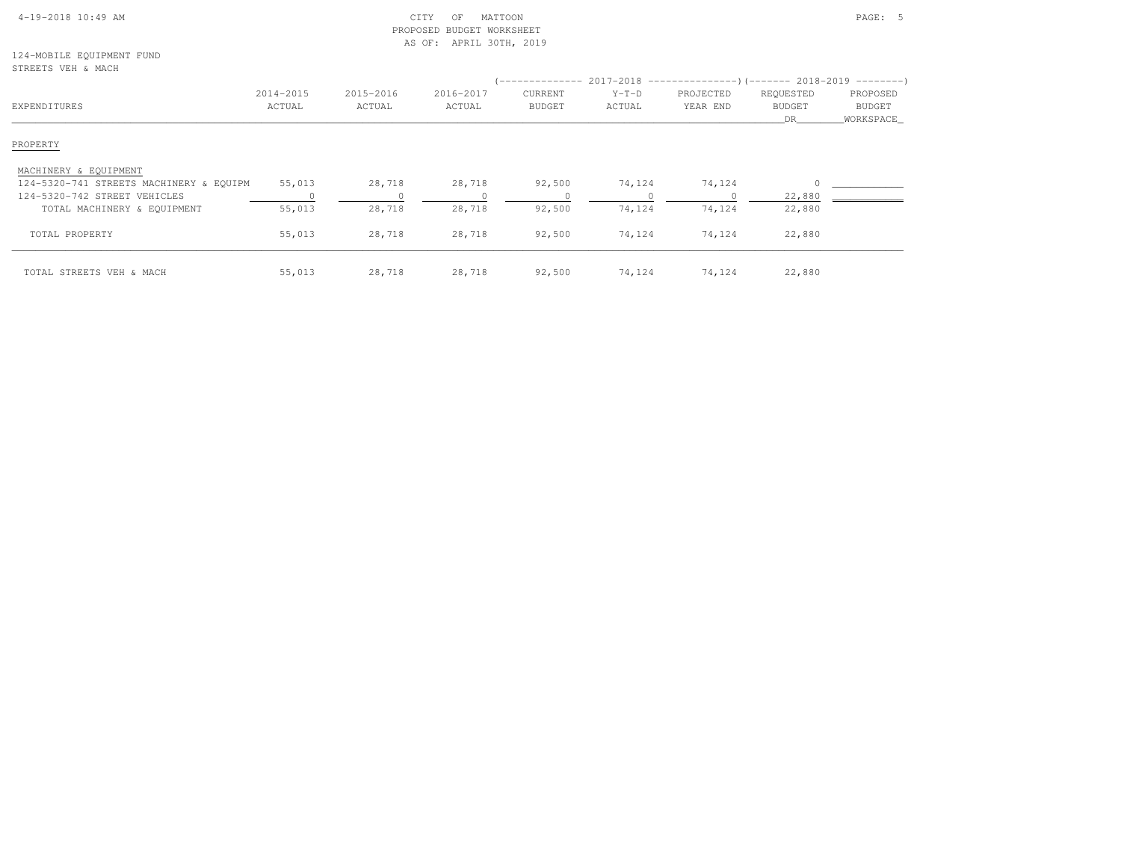| $4-19-2018$ 10:49 AM |  |
|----------------------|--|

# $\begin{array}{ccc} \text{CITY} & \text{OF} & \text{MATION} \end{array}$  PROPOSED BUDGET WORKSHEETAS OF: APRIL 30TH, 2019

124-MOBILE EQUIPMENT FUNDSTREETS VEH & MACH

| SIKLLIS VLH & MAUH                      |                     |                     |                     |                   |                   |                       |                                  |                                        |
|-----------------------------------------|---------------------|---------------------|---------------------|-------------------|-------------------|-----------------------|----------------------------------|----------------------------------------|
| EXPENDITURES                            | 2014-2015<br>ACTUAL | 2015-2016<br>ACTUAL | 2016-2017<br>ACTUAL | CURRENT<br>BUDGET | $Y-T-D$<br>ACTUAL | PROJECTED<br>YEAR END | REQUESTED<br><b>BUDGET</b><br>DR | PROPOSED<br><b>BUDGET</b><br>WORKSPACE |
| PROPERTY                                |                     |                     |                     |                   |                   |                       |                                  |                                        |
| MACHINERY & EQUIPMENT                   |                     |                     |                     |                   |                   |                       |                                  |                                        |
| 124-5320-741 STREETS MACHINERY & EQUIPM | 55,013              | 28,718              | 28,718              | 92,500            | 74,124            | 74,124                |                                  |                                        |
| 124-5320-742 STREET VEHICLES            |                     | 0                   |                     |                   |                   |                       | 22,880                           |                                        |
| TOTAL MACHINERY & EQUIPMENT             | 55,013              | 28,718              | 28,718              | 92,500            | 74,124            | 74,124                | 22,880                           |                                        |
| TOTAL PROPERTY                          | 55,013              | 28,718              | 28,718              | 92,500            | 74,124            | 74,124                | 22,880                           |                                        |
| TOTAL STREETS VEH & MACH                | 55,013              | 28,718              | 28,718              | 92,500            | 74,124            | 74,124                | 22,880                           |                                        |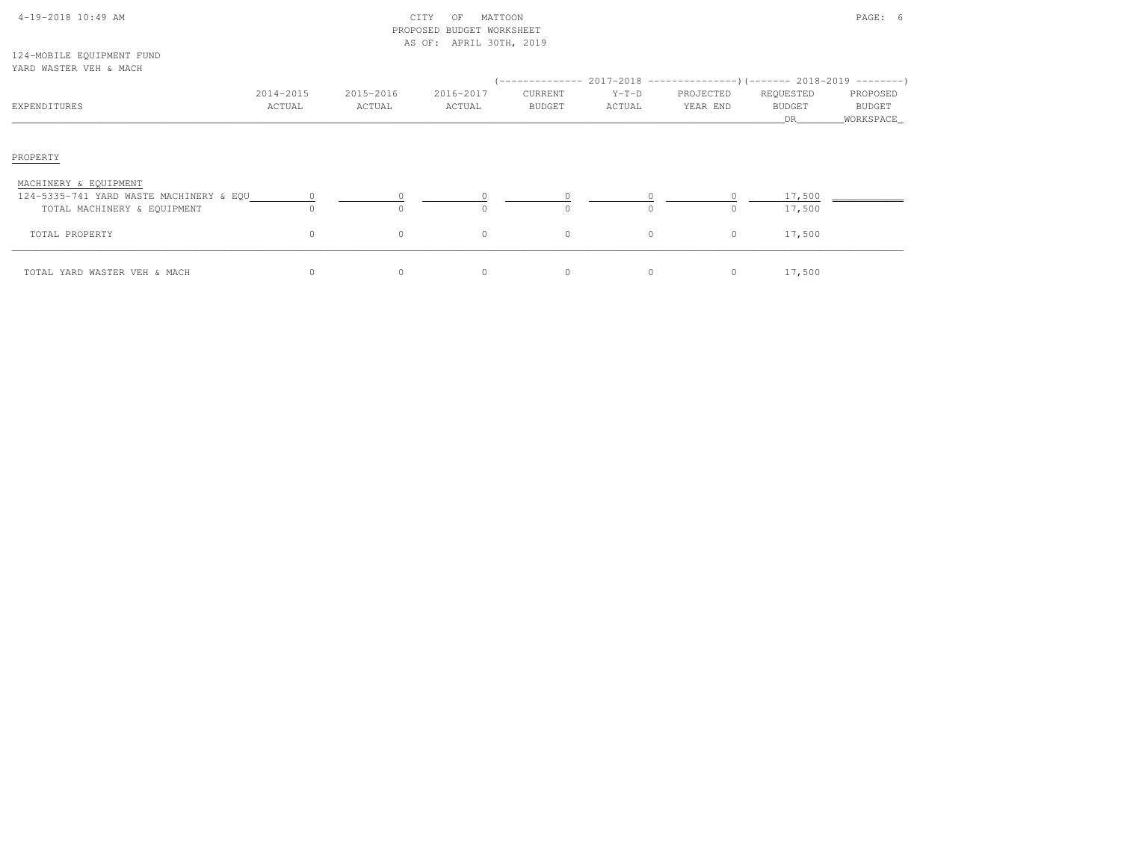| $4-19-2018$ 10:49 AM |  |
|----------------------|--|

# $\begin{array}{ccc} \text{CITY} & \text{OF} & \text{MATION} \end{array}$  PROPOSED BUDGET WORKSHEETAS OF: APRIL 30TH, 2019

124-MOBILE EQUIPMENT FUNDYARD WASTER VEH & MACH

|                                                                                                 |                     |                     |                     |                   |                   | (-------------- 2017-2018 ----------------) (------- 2018-2019 --------) |                                         |                                   |
|-------------------------------------------------------------------------------------------------|---------------------|---------------------|---------------------|-------------------|-------------------|--------------------------------------------------------------------------|-----------------------------------------|-----------------------------------|
| EXPENDITURES                                                                                    | 2014-2015<br>ACTUAL | 2015-2016<br>ACTUAL | 2016-2017<br>ACTUAL | CURRENT<br>BUDGET | $Y-T-D$<br>ACTUAL | PROJECTED<br>YEAR END                                                    | REQUESTED<br><b>BUDGET</b><br><b>DR</b> | PROPOSED<br>BUDGET<br>_WORKSPACE_ |
| PROPERTY                                                                                        |                     |                     |                     |                   |                   |                                                                          |                                         |                                   |
| MACHINERY & EQUIPMENT<br>124-5335-741 YARD WASTE MACHINERY & EQU<br>TOTAL MACHINERY & EQUIPMENT | $\Omega$            | $\Omega$            | $\Omega$            | $\Omega$          |                   | $\Omega$                                                                 | 17,500<br>17,500                        |                                   |
| TOTAL PROPERTY                                                                                  | $\circ$             | $\circ$             | $\circ$             | $\circ$           | $\Omega$          | $\circ$                                                                  | 17,500                                  |                                   |
| TOTAL YARD WASTER VEH & MACH                                                                    |                     | $\circ$             | 0                   | 0                 |                   | $\circ$                                                                  | 17,500                                  |                                   |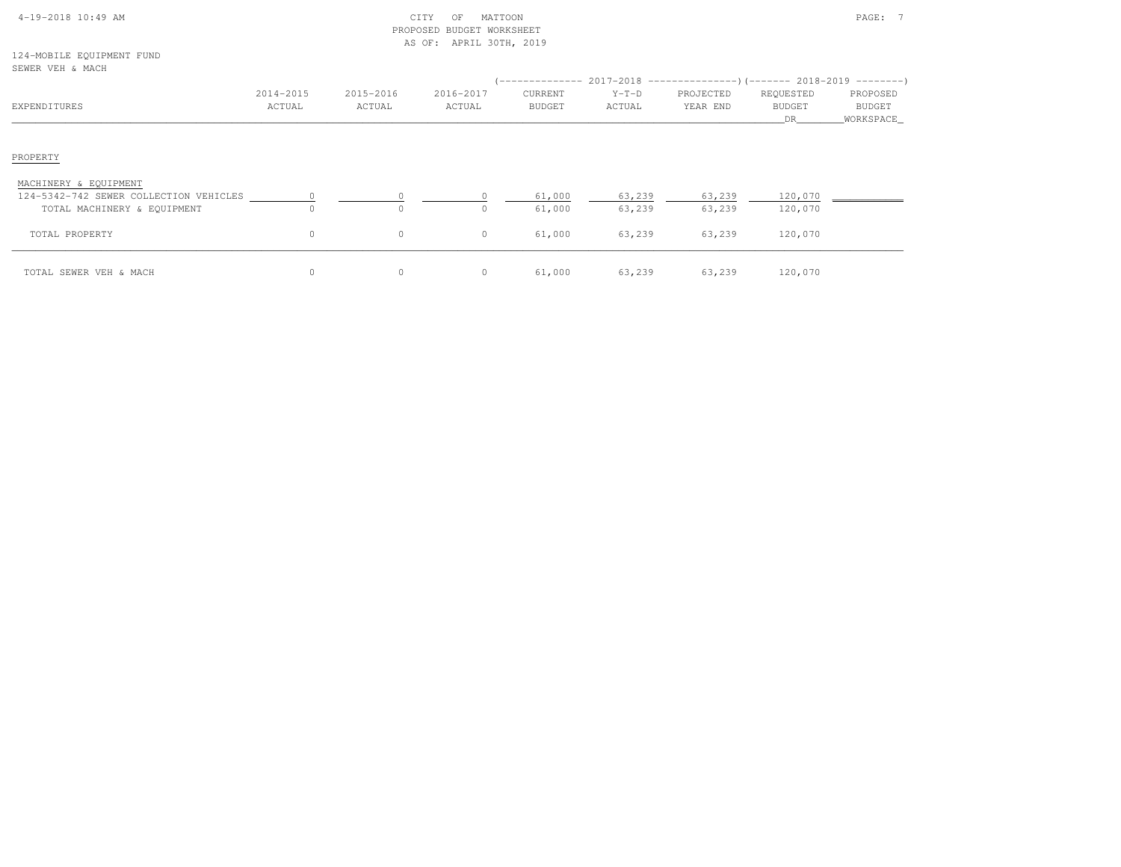| $4-19-2018$ 10:49 AM |  |  |
|----------------------|--|--|

# 4-19-2018 CITY OF MATTOON CITY OF MATTOON PAGE: 7 PROPOSED BUDGET WORKSHEETAS OF: APRIL 30TH, 2019

124-MOBILE EQUIPMENT FUNDSEWER VEH & MACH

| OLINLIN VIIII WARROLL                                                                          |                     |                     |                     |                          | $($ -------------- 2017-2018 ----------------) (------- 2018-2019 ---------) |                       |                                   |                                 |
|------------------------------------------------------------------------------------------------|---------------------|---------------------|---------------------|--------------------------|------------------------------------------------------------------------------|-----------------------|-----------------------------------|---------------------------------|
| EXPENDITURES                                                                                   | 2014-2015<br>ACTUAL | 2015-2016<br>ACTUAL | 2016-2017<br>ACTUAL | CURRENT<br><b>BUDGET</b> | $Y-T-D$<br>ACTUAL                                                            | PROJECTED<br>YEAR END | REQUESTED<br><b>BUDGET</b><br>DR. | PROPOSED<br>BUDGET<br>WORKSPACE |
| PROPERTY                                                                                       |                     |                     |                     |                          |                                                                              |                       |                                   |                                 |
| MACHINERY & EQUIPMENT<br>124-5342-742 SEWER COLLECTION VEHICLES<br>TOTAL MACHINERY & EQUIPMENT | $\Omega$            | $\Omega$            | O.                  | 61,000<br>61,000         | 63,239<br>63,239                                                             | 63,239<br>63,239      | 120,070<br>120,070                |                                 |
| TOTAL PROPERTY                                                                                 | $\circ$             | $\circ$             | $\circ$             | 61,000                   | 63,239                                                                       | 63,239                | 120,070                           |                                 |
| TOTAL SEWER VEH & MACH                                                                         | $\Omega$            | $\mathbf{0}$        | 0                   | 61,000                   | 63,239                                                                       | 63,239                | 120,070                           |                                 |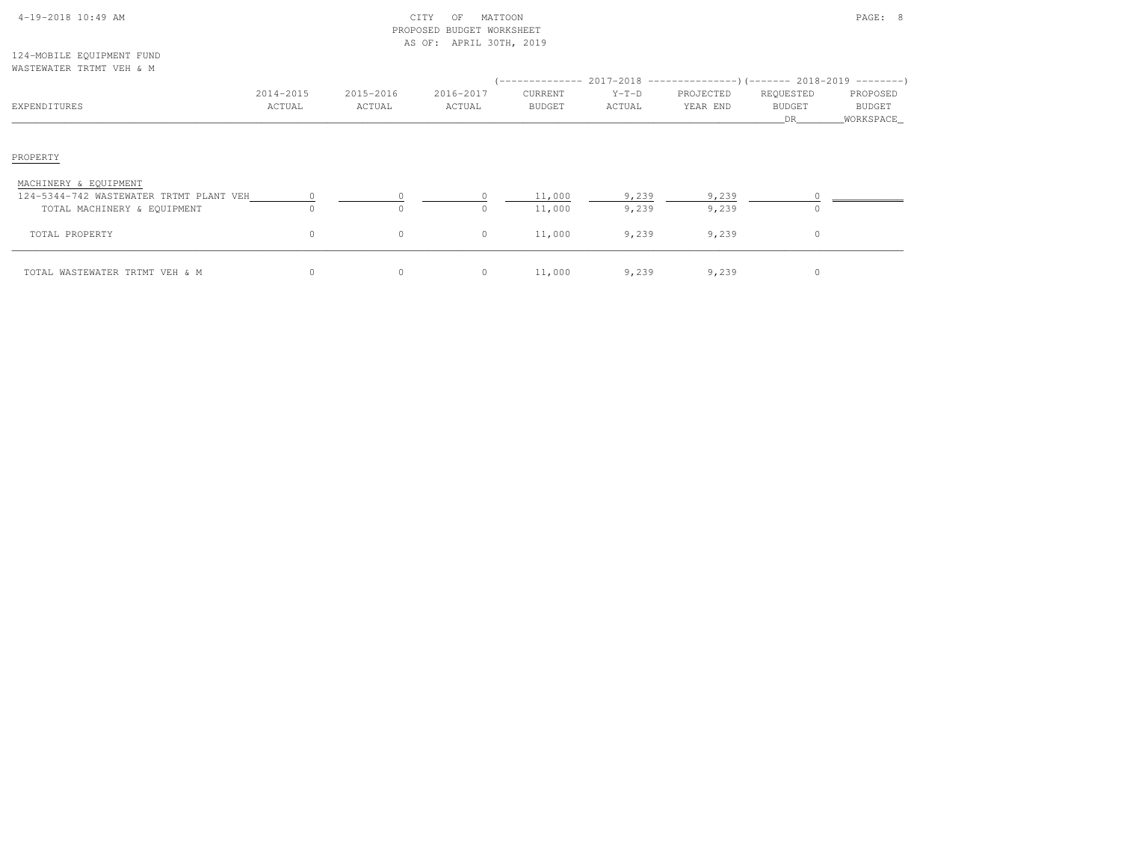| $4-19-2018$ 10:49 AM |  |  |
|----------------------|--|--|

# $\begin{array}{ccc} \text{CITY} & \text{OF} & \text{MATION} \end{array}$  PROPOSED BUDGET WORKSHEETAS OF: APRIL 30TH, 2019

124-MOBILE EQUIPMENT FUNDWASTEWATER TRTMT VEH & M

| WASILWAILK IKIMI VLH & M                                         |                     |                     |                     |                          |                   | (-------------- 2017-2018 ----------------) (------- 2018-2019 ---------) |                                   |                                  |
|------------------------------------------------------------------|---------------------|---------------------|---------------------|--------------------------|-------------------|---------------------------------------------------------------------------|-----------------------------------|----------------------------------|
| EXPENDITURES                                                     | 2014-2015<br>ACTUAL | 2015-2016<br>ACTUAL | 2016-2017<br>ACTUAL | CURRENT<br><b>BUDGET</b> | $Y-T-D$<br>ACTUAL | PROJECTED<br>YEAR END                                                     | REQUESTED<br><b>BUDGET</b><br>DR. | PROPOSED<br>BUDGET<br>WORKSPACE_ |
| PROPERTY                                                         |                     |                     |                     |                          |                   |                                                                           |                                   |                                  |
| MACHINERY & EQUIPMENT<br>124-5344-742 WASTEWATER TRTMT PLANT VEH |                     |                     |                     | 11,000                   | 9,239             | 9,239                                                                     |                                   |                                  |
| TOTAL MACHINERY & EQUIPMENT                                      | 0                   | $\circ$             | 0                   | 11,000                   | 9,239             | 9,239                                                                     | $\Omega$                          |                                  |
| TOTAL PROPERTY                                                   | $\circ$             | $\circ$             | $\circ$             | 11,000                   | 9,239             | 9,239                                                                     | $\Omega$                          |                                  |
| TOTAL WASTEWATER TRTMT VEH & M                                   | 0                   | $\circ$             | $\circ$             | 11,000                   | 9,239             | 9,239                                                                     | $\Omega$                          |                                  |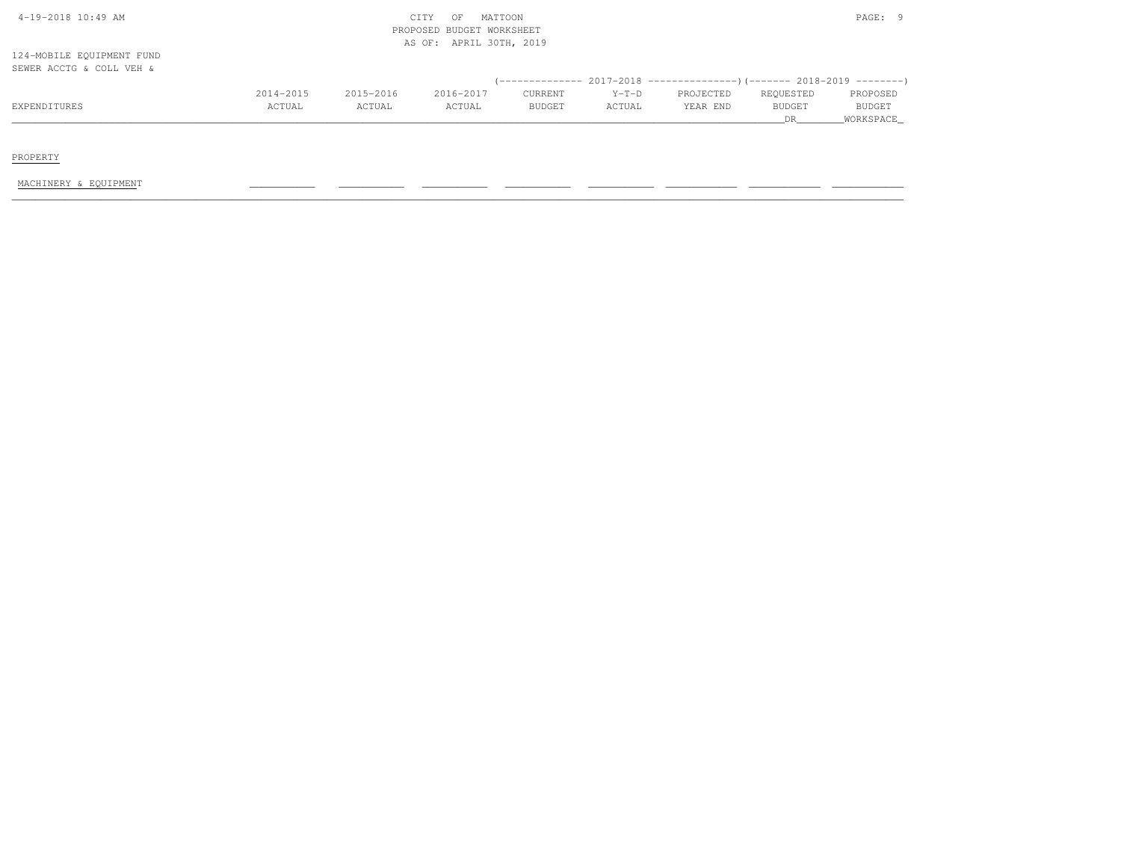| $4-19-2018$ $10:49$ AM    |           |           | MATTOON<br>CITY<br>OF     |               |         |                                                                         |               | PAGE: 9       |
|---------------------------|-----------|-----------|---------------------------|---------------|---------|-------------------------------------------------------------------------|---------------|---------------|
|                           |           |           | PROPOSED BUDGET WORKSHEET |               |         |                                                                         |               |               |
|                           |           |           | AS OF: APRIL 30TH, 2019   |               |         |                                                                         |               |               |
| 124-MOBILE EQUIPMENT FUND |           |           |                           |               |         |                                                                         |               |               |
| SEWER ACCTG & COLL VEH &  |           |           |                           |               |         |                                                                         |               |               |
|                           |           |           |                           |               |         | (-------------- 2017-2018 ----------------)(------- 2018-2019 --------) |               |               |
|                           | 2014-2015 | 2015-2016 | 2016-2017                 | CURRENT       | $Y-T-D$ | PROJECTED                                                               | REQUESTED     | PROPOSED      |
| EXPENDITURES              | ACTUAL    | ACTUAL    | ACTUAL                    | <b>BUDGET</b> | ACTUAL  | YEAR END                                                                | <b>BUDGET</b> | <b>BUDGET</b> |
|                           |           |           |                           |               |         |                                                                         | DR            | WORKSPACE     |

PROPERTY

MACHINERY & EQUIPMENT \_\_\_\_\_\_\_\_\_\_\_ \_\_\_\_\_\_\_\_\_\_\_ \_\_\_\_\_\_\_\_\_\_\_ \_\_\_\_\_\_\_\_\_\_\_ \_\_\_\_\_\_\_\_\_\_\_ \_\_\_\_\_\_\_\_\_\_\_\_ \_\_\_\_\_\_\_\_\_\_\_\_ \_\_\_\_\_\_\_\_\_\_\_\_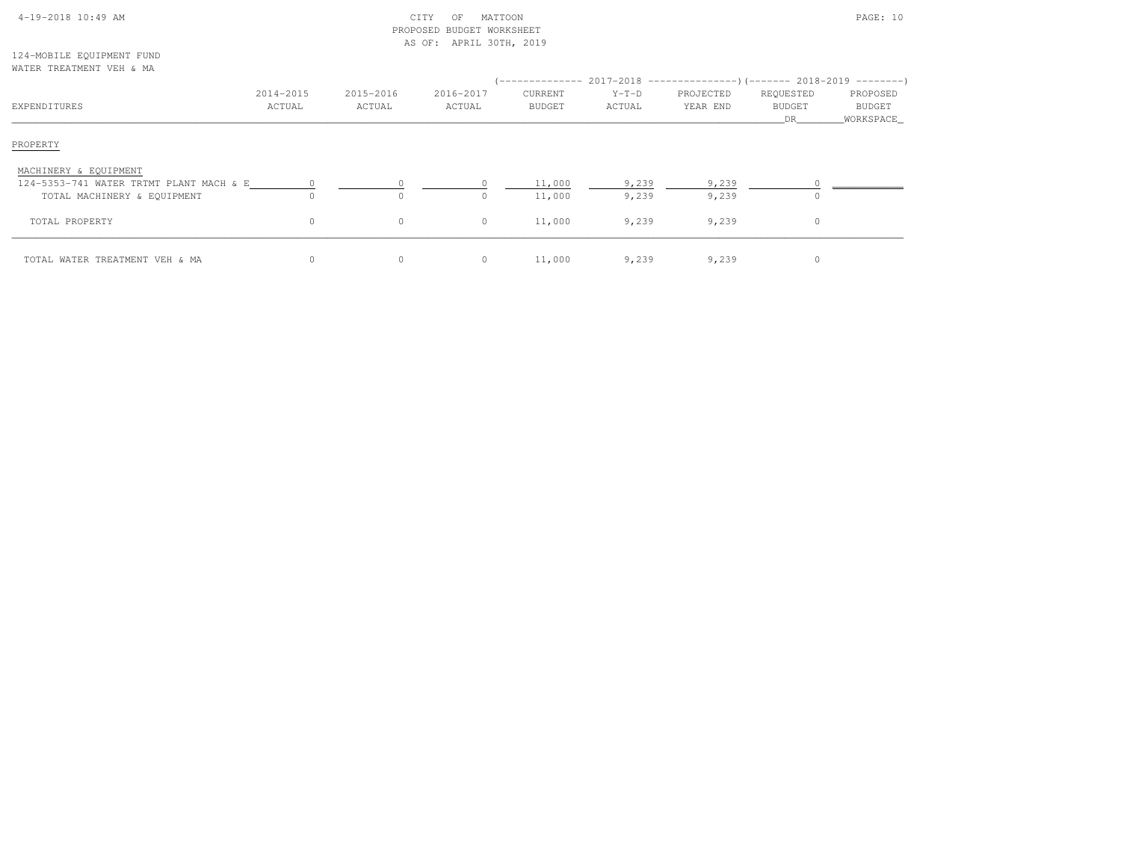| $4-19-2018$ 10:49 AM |  |  |
|----------------------|--|--|

# $\begin{array}{ccc} \text{CITY} & \text{OF} & \text{MATION} \end{array}$  PROPOSED BUDGET WORKSHEETAS OF: APRIL 30TH, 2019

124-MOBILE EQUIPMENT FUNDWATER TREATMENT VEH & MA

| EXPENDITURES                            | 2014-2015<br>ACTUAL | 2015-2016<br>ACTUAL | 2016-2017<br>ACTUAL | CURRENT<br>BUDGET | $Y-T-D$<br>ACTUAL | (-------------- 2017-2018 -----------------) (------- 2018-2019 ---------)<br>PROJECTED<br>YEAR END | REQUESTED<br><b>BUDGET</b><br>DR | PROPOSED<br><b>BUDGET</b><br>WORKSPACE |
|-----------------------------------------|---------------------|---------------------|---------------------|-------------------|-------------------|-----------------------------------------------------------------------------------------------------|----------------------------------|----------------------------------------|
| PROPERTY                                |                     |                     |                     |                   |                   |                                                                                                     |                                  |                                        |
| MACHINERY & EQUIPMENT                   |                     |                     |                     |                   |                   |                                                                                                     |                                  |                                        |
| 124-5353-741 WATER TRTMT PLANT MACH & E |                     |                     |                     | 11,000            | 9,239             | 9,239                                                                                               |                                  |                                        |
| TOTAL MACHINERY & EQUIPMENT             |                     | $\circ$             |                     | 11,000            | 9,239             | 9,239                                                                                               | $\Omega$                         |                                        |
| TOTAL PROPERTY                          | $\circ$             | $\circ$             | $\Omega$            | 11,000            | 9,239             | 9,239                                                                                               | 0                                |                                        |
| TOTAL WATER TREATMENT VEH & MA          | $\Omega$            | $\circ$             | $\Omega$            | 11,000            | 9,239             | 9,239                                                                                               | $\Omega$                         |                                        |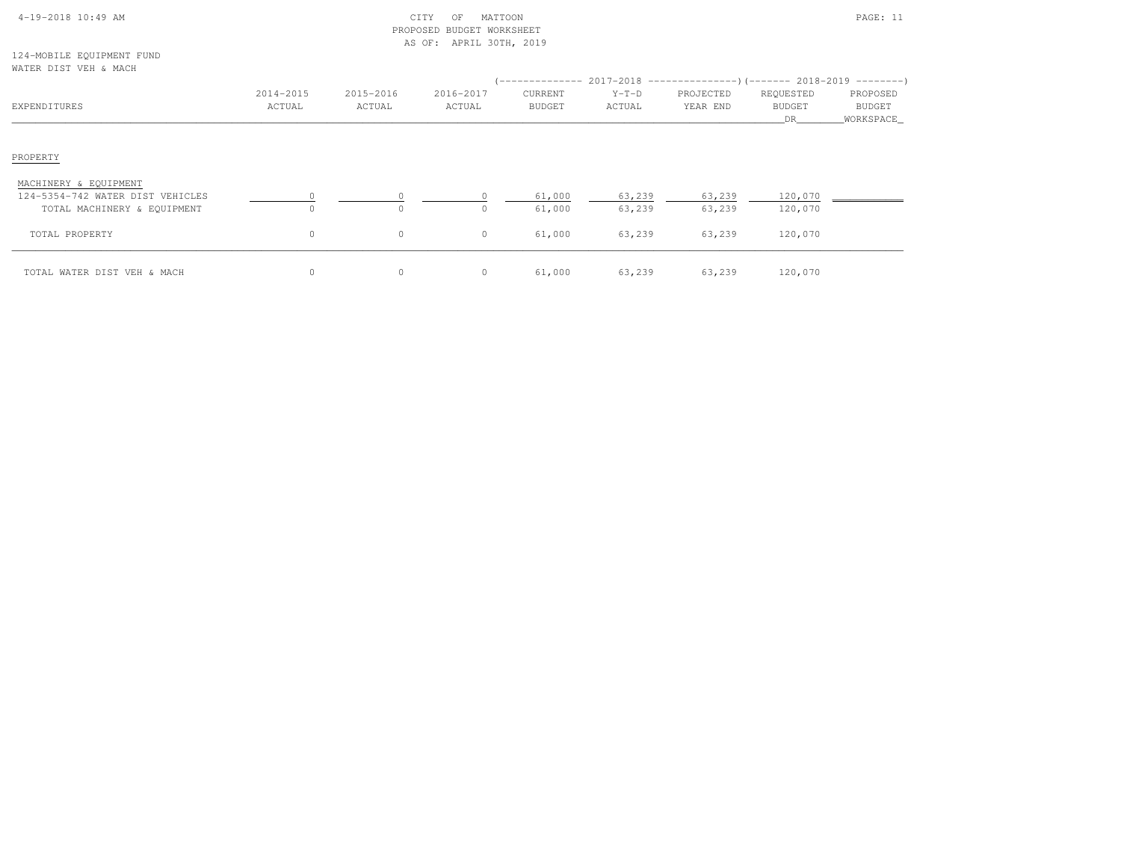|  | $4-19-2018$ 10:49 AM |  |  |
|--|----------------------|--|--|

# $\text{CITY}$  of MATTOON  $\text{PAGE: } 11$  PROPOSED BUDGET WORKSHEETAS OF: APRIL 30TH, 2019

124-MOBILE EQUIPMENT FUNDWATER DIST VEH & MACH

| MAILIN DIUI VLII WARNUI                                                                  |                     |                     |                     |                          |                   | $($ -------------- 2017-2018 -----------------) (------- 2018-2019 ---------) |                                  |                                 |
|------------------------------------------------------------------------------------------|---------------------|---------------------|---------------------|--------------------------|-------------------|-------------------------------------------------------------------------------|----------------------------------|---------------------------------|
| EXPENDITURES                                                                             | 2014-2015<br>ACTUAL | 2015-2016<br>ACTUAL | 2016-2017<br>ACTUAL | CURRENT<br><b>BUDGET</b> | $Y-T-D$<br>ACTUAL | PROJECTED<br>YEAR END                                                         | REQUESTED<br><b>BUDGET</b><br>DR | PROPOSED<br>BUDGET<br>WORKSPACE |
| PROPERTY                                                                                 |                     |                     |                     |                          |                   |                                                                               |                                  |                                 |
| MACHINERY & EQUIPMENT<br>124-5354-742 WATER DIST VEHICLES<br>TOTAL MACHINERY & EQUIPMENT | $\Omega$            | $\Omega$            | $\Omega$            | 61,000<br>61,000         | 63,239<br>63,239  | 63,239<br>63,239                                                              | 120,070<br>120,070               |                                 |
| TOTAL PROPERTY                                                                           | $\circ$             | $\circ$             | $\circ$             | 61,000                   | 63,239            | 63,239                                                                        | 120,070                          |                                 |
| TOTAL WATER DIST VEH & MACH                                                              | $\circ$             | $\mathbf{0}$        | $\circ$             | 61,000                   | 63,239            | 63,239                                                                        | 120,070                          |                                 |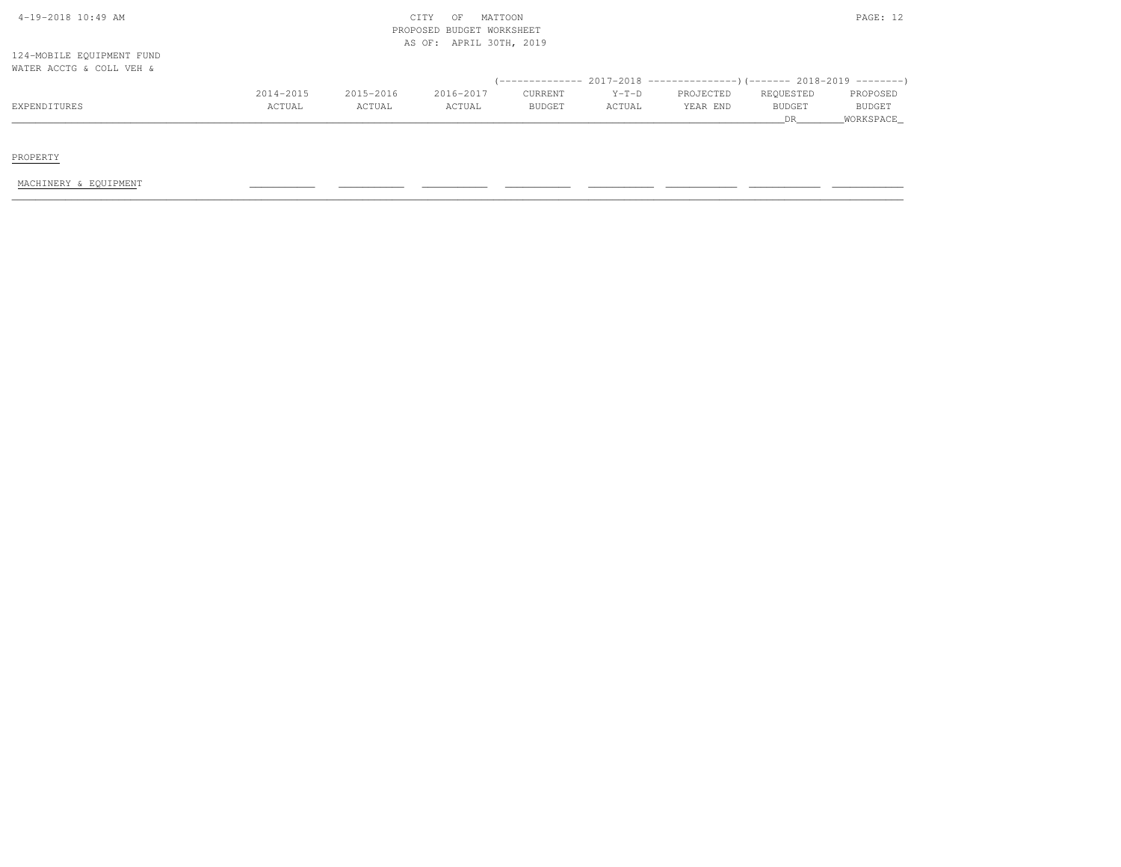| 4-19-2018 10:49 AM        |           |           | MATTOON<br>CITY<br>OF     |               |         |                                                                         |               | PAGE: 12      |
|---------------------------|-----------|-----------|---------------------------|---------------|---------|-------------------------------------------------------------------------|---------------|---------------|
|                           |           |           | PROPOSED BUDGET WORKSHEET |               |         |                                                                         |               |               |
|                           |           |           | AS OF: APRIL 30TH, 2019   |               |         |                                                                         |               |               |
| 124-MOBILE EQUIPMENT FUND |           |           |                           |               |         |                                                                         |               |               |
| WATER ACCTG & COLL VEH &  |           |           |                           |               |         |                                                                         |               |               |
|                           |           |           |                           |               |         | (-------------- 2017-2018 ----------------)(------- 2018-2019 --------) |               |               |
|                           | 2014-2015 | 2015-2016 | 2016-2017                 | CURRENT       | $Y-T-D$ | PROJECTED                                                               | REQUESTED     | PROPOSED      |
| EXPENDITURES              | ACTUAL    | ACTUAL    | ACTUAL                    | <b>BUDGET</b> | ACTUAL  | YEAR END                                                                | <b>BUDGET</b> | <b>BUDGET</b> |
|                           |           |           |                           |               |         |                                                                         | DR            | WORKSPACE     |
|                           |           |           |                           |               |         |                                                                         |               |               |

PROPERTY

MACHINERY & EQUIPMENT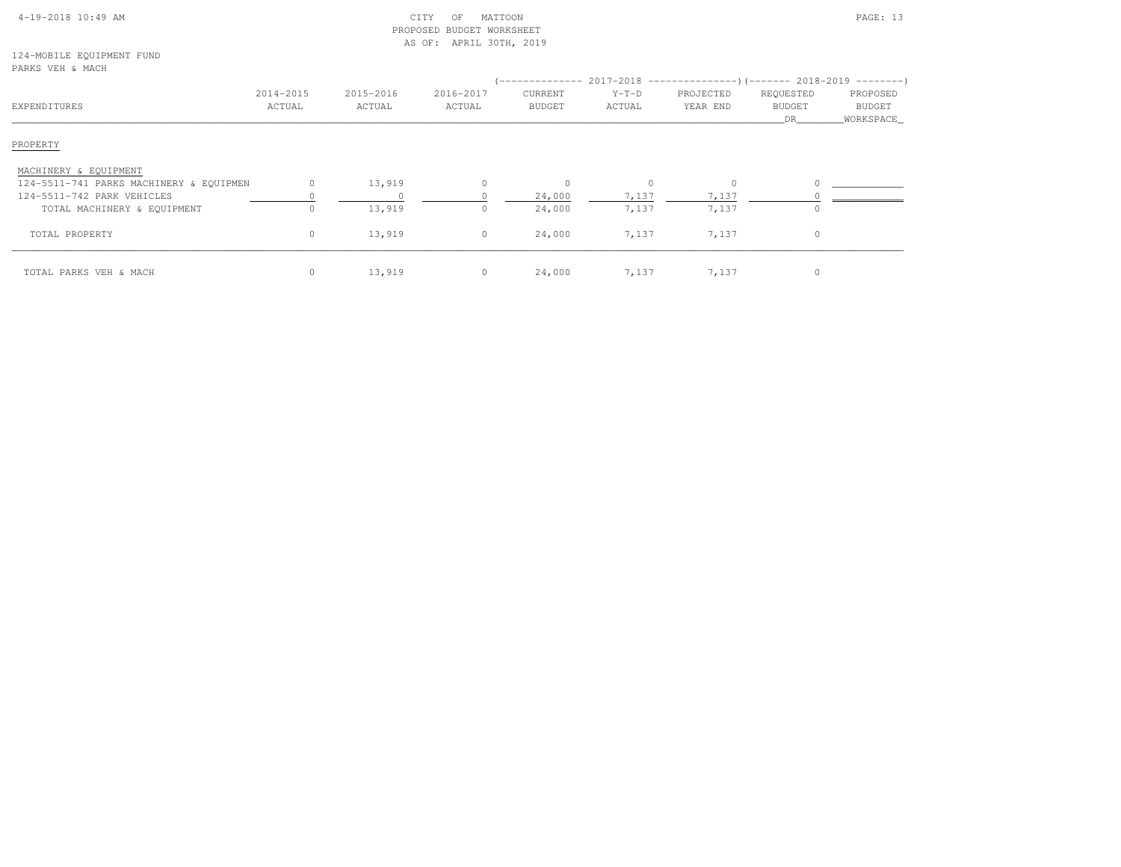|  | $4-19-2018$ 10:49 AM |  |
|--|----------------------|--|
|  |                      |  |

# $\begin{array}{ccc} \text{CITY} & \text{OF} & \text{MATION} \end{array}$  PROPOSED BUDGET WORKSHEETAS OF: APRIL 30TH, 2019

124-MOBILE EQUIPMENT FUNDPARKS VEH & MACH

| rinuo van a mon<br>EXPENDITURES         | 2014-2015<br>ACTUAL | 2015-2016<br>ACTUAL | 2016-2017<br>ACTUAL | CURRENT<br><b>BUDGET</b> | $Y-T-D$<br>ACTUAL | PROJECTED<br>YEAR END | REQUESTED<br><b>BUDGET</b><br>DR. | PROPOSED<br>BUDGET<br>_WORKSPACE_ |
|-----------------------------------------|---------------------|---------------------|---------------------|--------------------------|-------------------|-----------------------|-----------------------------------|-----------------------------------|
| PROPERTY                                |                     |                     |                     |                          |                   |                       |                                   |                                   |
| MACHINERY & EQUIPMENT                   |                     |                     |                     |                          |                   |                       |                                   |                                   |
| 124-5511-741 PARKS MACHINERY & EQUIPMEN | $\circ$             | 13,919              |                     |                          | $\Omega$          | $\mathbf 0$           |                                   |                                   |
| 124-5511-742 PARK VEHICLES              |                     |                     |                     | 24,000                   | 7,137             | 7,137                 |                                   |                                   |
| TOTAL MACHINERY & EQUIPMENT             | 0                   | 13,919              |                     | 24,000                   | 7,137             | 7,137                 |                                   |                                   |
| TOTAL PROPERTY                          | $\circ$             | 13,919              | $\circ$             | 24,000                   | 7,137             | 7,137                 | $\Omega$                          |                                   |
| TOTAL PARKS VEH & MACH                  | $\circ$             | 13,919              | $\circ$             | 24,000                   | 7,137             | 7,137                 |                                   |                                   |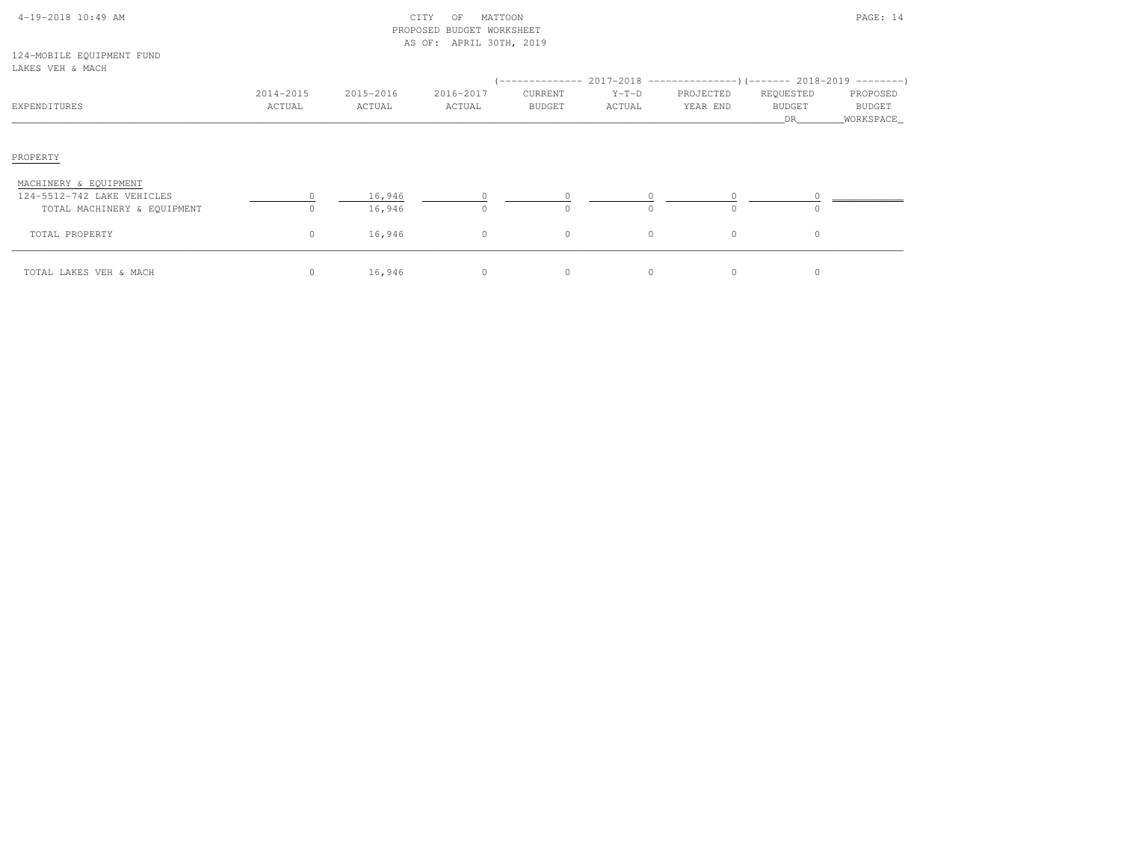| $4-19-2018$ $10:49$ AM |  |  |
|------------------------|--|--|

# CITY OF MATTOON **PAGE:** 14 PROPOSED BUDGET WORKSHEETAS OF: APRIL 30TH, 2019

124-MOBILE EQUIPMENT FUNDLAKES VEH & MACH

| LANLO VLA & MAUA                                    |                     |                     |                     |                          |                      |                       |                                   |                                         |
|-----------------------------------------------------|---------------------|---------------------|---------------------|--------------------------|----------------------|-----------------------|-----------------------------------|-----------------------------------------|
| EXPENDITURES                                        | 2014-2015<br>ACTUAL | 2015-2016<br>ACTUAL | 2016-2017<br>ACTUAL | CURRENT<br><b>BUDGET</b> | $Y-T-D$<br>ACTUAL    | PROJECTED<br>YEAR END | REQUESTED<br><b>BUDGET</b><br>DR. | PROPOSED<br><b>BUDGET</b><br>WORKSPACE_ |
| PROPERTY                                            |                     |                     |                     |                          |                      |                       |                                   |                                         |
| MACHINERY & EQUIPMENT<br>124-5512-742 LAKE VEHICLES |                     | 16,946              |                     |                          |                      |                       |                                   |                                         |
| TOTAL MACHINERY & EQUIPMENT<br>TOTAL PROPERTY       | $\Omega$<br>$\circ$ | 16,946<br>16,946    | $\Omega$<br>$\circ$ | $\bigcap$<br>$\circ$     | $\Omega$<br>$\Omega$ | $\circ$               | $\Omega$                          |                                         |
| TOTAL LAKES VEH & MACH                              | $\mathbf 0$         | 16,946              | $\circ$             | $\circ$                  | $\Omega$             | $\circ$               |                                   |                                         |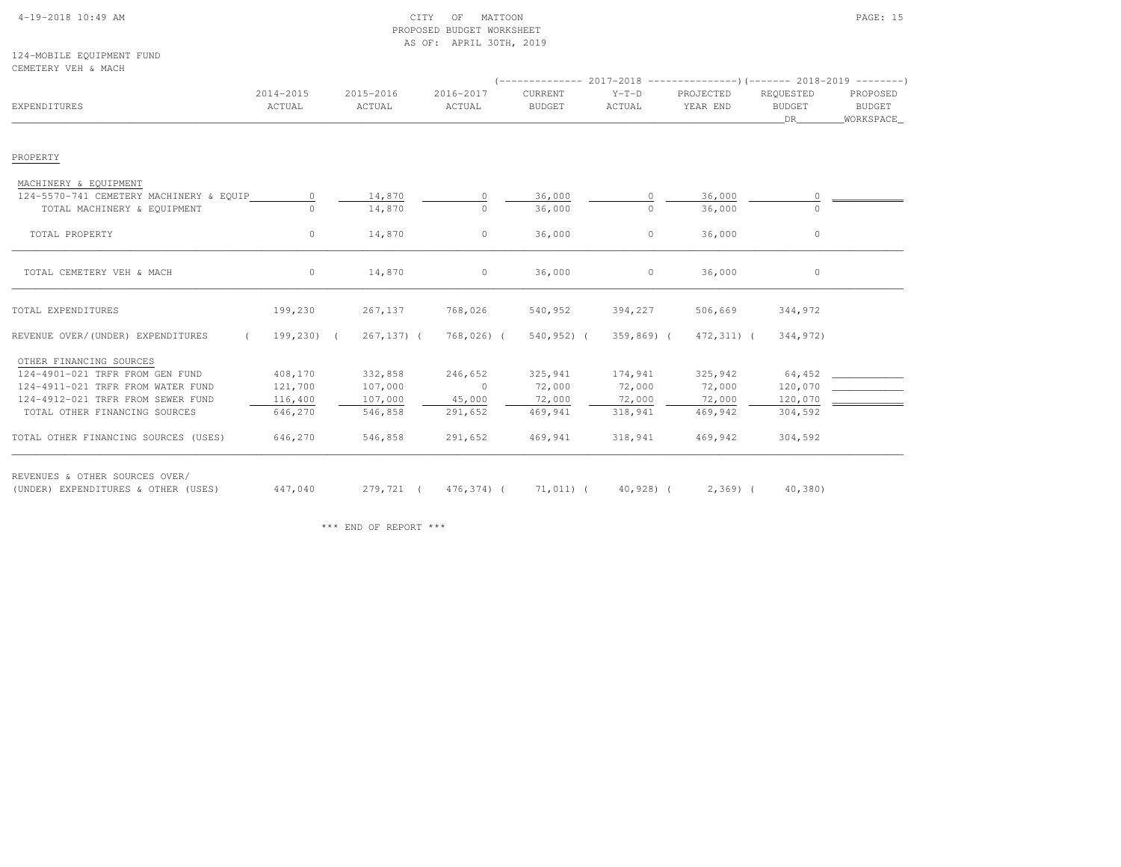# 4-19-2018 10:49 AM CITY OF MATTOON PAGE: 15 PROPOSED BUDGET WORKSHEETAS OF: APRIL 30TH, 2019

124-MOBILE EQUIPMENT FUNDCEMETERY VEH & MACH

| EXPENDITURES                                    | 2014-2015<br>ACTUAL | 2015-2016<br>ACTUAL                           | 2016-2017<br>ACTUAL | CURRENT<br><b>BUDGET</b> | $Y-T-D$<br>ACTUAL | PROJECTED<br>YEAR END | REQUESTED<br><b>BUDGET</b><br>DR | PROPOSED<br>BUDGET<br>WORKSPACE |
|-------------------------------------------------|---------------------|-----------------------------------------------|---------------------|--------------------------|-------------------|-----------------------|----------------------------------|---------------------------------|
| PROPERTY                                        |                     |                                               |                     |                          |                   |                       |                                  |                                 |
| MACHINERY & EQUIPMENT                           |                     |                                               |                     |                          |                   |                       |                                  |                                 |
| 124-5570-741 CEMETERY MACHINERY & EQUIP         | $\circ$             | 14,870                                        | $\circ$             | 36,000                   | 0                 | 36,000                |                                  |                                 |
| TOTAL MACHINERY & EQUIPMENT                     |                     | 14,870                                        | $\circ$             | 36,000                   | $\cap$            | 36,000                |                                  |                                 |
| TOTAL PROPERTY                                  | $\circ$             | 14,870                                        | $\circ$             | 36,000                   | $\circ$           | 36,000                | $\circ$                          |                                 |
| TOTAL CEMETERY VEH & MACH                       | $\circ$             | 14,870                                        | $\circ$             | 36,000                   | $\circ$           | 36,000                | $\circ$                          |                                 |
| TOTAL EXPENDITURES                              | 199,230             | 267,137                                       | 768,026             | 540,952                  | 394,227           | 506,669               | 344,972                          |                                 |
| REVENUE OVER/(UNDER) EXPENDITURES<br>$\sqrt{2}$ | 199,230) (          | 267,137) (                                    | 768,026) (          | 540,952) (               | $359,869$ (       | 472,311) (            | 344,972)                         |                                 |
| OTHER FINANCING SOURCES                         |                     |                                               |                     |                          |                   |                       |                                  |                                 |
| 124-4901-021 TRFR FROM GEN FUND                 | 408,170             | 332,858                                       | 246,652             | 325,941                  | 174,941           | 325,942               | 64,452                           |                                 |
| 124-4911-021 TRFR FROM WATER FUND               | 121,700             | 107,000                                       | $\overline{0}$      | 72,000                   | 72,000            | 72,000                | 120,070                          |                                 |
| 124-4912-021 TRFR FROM SEWER FUND               | 116,400             | 107,000                                       | 45,000              | 72,000                   | 72,000            | 72,000                | 120,070                          |                                 |
| TOTAL OTHER FINANCING SOURCES                   | 646,270             | 546,858                                       | 291,652             | 469,941                  | 318,941           | 469,942               | 304,592                          |                                 |
| TOTAL OTHER FINANCING SOURCES (USES)            | 646,270             | 546,858                                       | 291,652             | 469,941                  | 318,941           | 469,942               | 304,592                          |                                 |
| REVENUES & OTHER SOURCES OVER/                  |                     |                                               |                     |                          |                   |                       |                                  |                                 |
| (UNDER) EXPENDITURES & OTHER (USES)             |                     | 447,040 279,721 (476,374) (71,011) (40,928) ( |                     |                          |                   |                       | $2,369$ ( $40,380$ )             |                                 |

\*\*\* END OF REPORT \*\*\*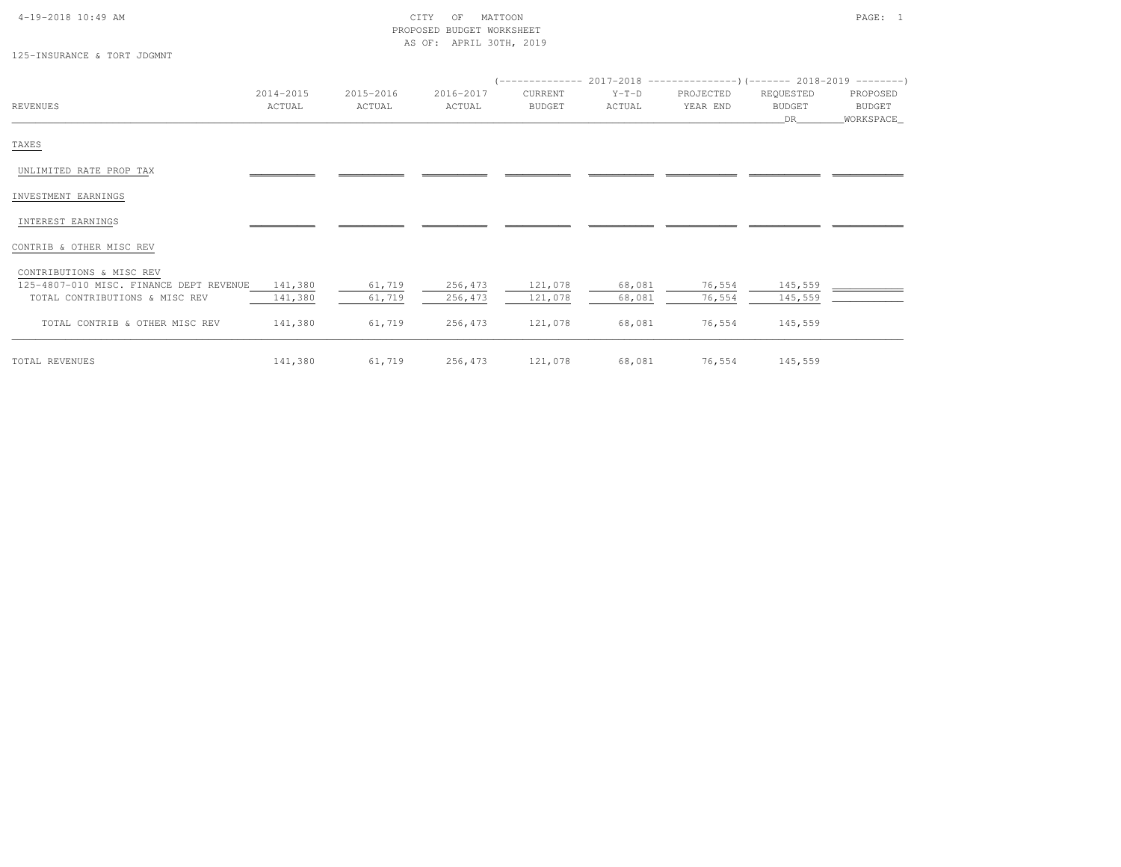### 4-19-2018 10:49 AM CITY OF MATTOON PAGE: 1 PROPOSED BUDGET WORKSHEETAS OF: APRIL 30TH, 2019

125-INSURANCE & TORT JDGMNT

|                                         |           |           |           |         |         | $(----------2017-2018$ ---------------) (------- 2018-2019 -------) |           |             |
|-----------------------------------------|-----------|-----------|-----------|---------|---------|---------------------------------------------------------------------|-----------|-------------|
|                                         | 2014-2015 | 2015-2016 | 2016-2017 | CURRENT | $Y-T-D$ | PROJECTED                                                           | REQUESTED | PROPOSED    |
| <b>REVENUES</b>                         | ACTUAL    | ACTUAL    | ACTUAL    | BUDGET  | ACTUAL  | YEAR END                                                            | BUDGET    | BUDGET      |
|                                         |           |           |           |         |         |                                                                     | DR        | _WORKSPACE_ |
| TAXES                                   |           |           |           |         |         |                                                                     |           |             |
| UNLIMITED RATE PROP TAX                 |           |           |           |         |         |                                                                     |           |             |
| INVESTMENT EARNINGS                     |           |           |           |         |         |                                                                     |           |             |
| INTEREST EARNINGS                       |           |           |           |         |         |                                                                     |           |             |
| CONTRIB & OTHER MISC REV                |           |           |           |         |         |                                                                     |           |             |
| CONTRIBUTIONS & MISC REV                |           |           |           |         |         |                                                                     |           |             |
| 125-4807-010 MISC. FINANCE DEPT REVENUE | 141,380   | 61,719    | 256,473   | 121,078 | 68,081  | 76,554                                                              | 145,559   |             |
| TOTAL CONTRIBUTIONS & MISC REV          | 141,380   | 61,719    | 256,473   | 121,078 | 68,081  | 76,554                                                              | 145,559   |             |
| TOTAL CONTRIB & OTHER MISC REV          | 141,380   | 61,719    | 256,473   | 121,078 | 68,081  | 76,554                                                              | 145,559   |             |
|                                         |           |           |           |         |         |                                                                     |           |             |

TOTAL REVENUES 141,380 61,719 256,473 121,078 68,081 76,554 145,559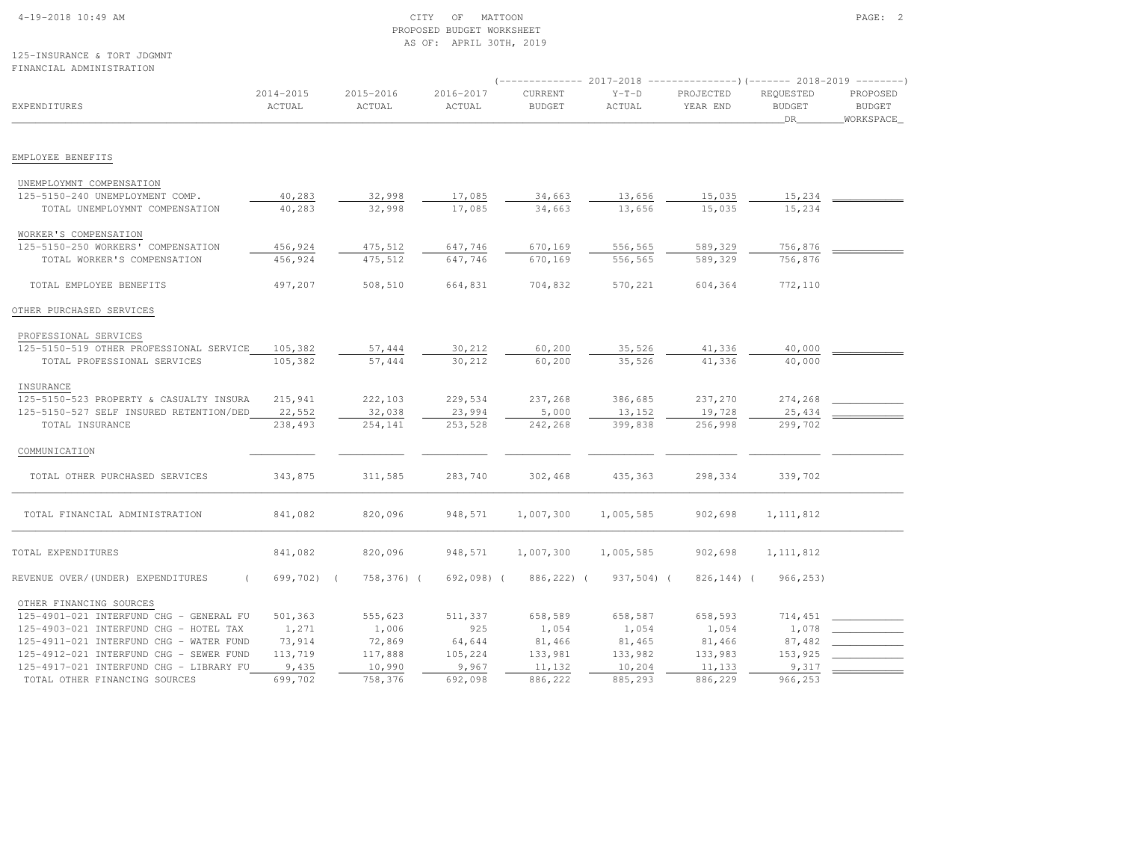# 4-19-2018 10:49 AM CITY OF MATTOON PAGE: 2 PROPOSED BUDGET WORKSHEETAS OF: APRIL 30TH, 2019

#### 125-INSURANCE & TORT JDGMNTFINANCIAL ADMINISTRATION

|                                                                  | $(----------2017-2018$ ---------------) (------- 2018-2019 -------) |                     |                     |                          |                   |                       |                                  |                                        |
|------------------------------------------------------------------|---------------------------------------------------------------------|---------------------|---------------------|--------------------------|-------------------|-----------------------|----------------------------------|----------------------------------------|
| EXPENDITURES                                                     | 2014-2015<br>ACTUAL                                                 | 2015-2016<br>ACTUAL | 2016-2017<br>ACTUAL | CURRENT<br><b>BUDGET</b> | $Y-T-D$<br>ACTUAL | PROJECTED<br>YEAR END | REQUESTED<br><b>BUDGET</b><br>DR | PROPOSED<br><b>BUDGET</b><br>WORKSPACE |
| EMPLOYEE BENEFITS                                                |                                                                     |                     |                     |                          |                   |                       |                                  |                                        |
|                                                                  |                                                                     |                     |                     |                          |                   |                       |                                  |                                        |
| UNEMPLOYMNT COMPENSATION                                         |                                                                     |                     |                     |                          |                   |                       |                                  |                                        |
| 125-5150-240 UNEMPLOYMENT COMP.                                  | 40,283                                                              | 32,998              | 17,085              | 34,663                   | 13,656            | 15,035                | 15,234                           |                                        |
| TOTAL UNEMPLOYMNT COMPENSATION                                   | 40,283                                                              | 32,998              | 17,085              | 34,663                   | 13,656            | 15,035                | 15,234                           |                                        |
| WORKER'S COMPENSATION                                            |                                                                     |                     |                     |                          |                   |                       |                                  |                                        |
| 125-5150-250 WORKERS' COMPENSATION                               | 456,924                                                             | 475,512             | 647,746             | 670,169                  | 556,565           | 589,329               | 756,876                          |                                        |
| TOTAL WORKER'S COMPENSATION                                      | 456,924                                                             | 475,512             | 647,746             | 670,169                  | 556,565           | 589,329               | 756,876                          |                                        |
|                                                                  |                                                                     |                     |                     |                          |                   |                       |                                  |                                        |
| TOTAL EMPLOYEE BENEFITS                                          | 497,207                                                             | 508,510             | 664,831             | 704,832                  | 570,221           | 604,364               | 772,110                          |                                        |
| OTHER PURCHASED SERVICES                                         |                                                                     |                     |                     |                          |                   |                       |                                  |                                        |
|                                                                  |                                                                     |                     |                     |                          |                   |                       |                                  |                                        |
| PROFESSIONAL SERVICES<br>125-5150-519 OTHER PROFESSIONAL SERVICE | 105,382                                                             | 57,444              | 30,212              | 60,200                   | 35,526            | 41,336                | 40,000                           |                                        |
| TOTAL PROFESSIONAL SERVICES                                      | 105,382                                                             | 57,444              | 30,212              | 60,200                   | 35,526            | 41,336                | 40,000                           |                                        |
|                                                                  |                                                                     |                     |                     |                          |                   |                       |                                  |                                        |
| INSURANCE                                                        |                                                                     |                     |                     |                          |                   |                       |                                  |                                        |
| 125-5150-523 PROPERTY & CASUALTY INSURA                          | 215,941                                                             | 222,103             | 229,534             | 237,268                  | 386,685           | 237,270               | 274,268                          |                                        |
| 125-5150-527 SELF INSURED RETENTION/DED                          | 22,552                                                              | 32,038              | 23,994              | 5,000                    | 13,152            | 19,728                | 25,434                           |                                        |
| TOTAL INSURANCE                                                  | 238,493                                                             | 254,141             | 253,528             | 242,268                  | 399,838           | 256,998               | 299,702                          |                                        |
| COMMUNICATION                                                    |                                                                     |                     |                     |                          |                   |                       |                                  |                                        |
|                                                                  |                                                                     |                     |                     |                          |                   |                       |                                  |                                        |
| TOTAL OTHER PURCHASED SERVICES                                   | 343,875                                                             | 311,585             | 283,740             | 302,468                  | 435,363           | 298,334               | 339,702                          |                                        |
| TOTAL FINANCIAL ADMINISTRATION                                   | 841,082                                                             | 820,096             | 948,571             | 1,007,300                | 1,005,585         | 902,698               | 1, 111, 812                      |                                        |
| TOTAL EXPENDITURES                                               | 841,082                                                             | 820,096             | 948,571             | 1,007,300                | 1,005,585         | 902,698               | 1, 111, 812                      |                                        |
| REVENUE OVER/(UNDER) EXPENDITURES                                | 699,702) (                                                          | 758,376) (          | 692,098) (          | 886,222) (               | $937, 504)$ (     | $826, 144)$ (         | 966,253)                         |                                        |
|                                                                  |                                                                     |                     |                     |                          |                   |                       |                                  |                                        |
| OTHER FINANCING SOURCES                                          |                                                                     |                     |                     |                          |                   |                       |                                  |                                        |
| 125-4901-021 INTERFUND CHG - GENERAL FU                          | 501,363                                                             | 555,623             | 511,337             | 658,589                  | 658,587           | 658,593               | 714,451                          |                                        |
| 125-4903-021 INTERFUND CHG - HOTEL TAX                           | 1,271                                                               | 1,006               | 925                 | 1,054                    | 1,054             | 1,054                 | 1,078                            |                                        |
| 125-4911-021 INTERFUND CHG - WATER FUND                          | 73,914                                                              | 72,869              | 64,644              | 81,466                   | 81,465            | 81,466                | 87,482                           |                                        |
| 125-4912-021 INTERFUND CHG - SEWER FUND                          | 113,719                                                             | 117,888             | 105,224             | 133,981                  | 133,982           | 133,983               | 153,925                          |                                        |
| 125-4917-021 INTERFUND CHG - LIBRARY FU                          | 9,435                                                               | 10,990              | 9,967               | 11,132                   | 10,204            | 11,133                | 9,317                            |                                        |
| TOTAL OTHER FINANCING SOURCES                                    | 699,702                                                             | 758,376             | 692,098             | 886,222                  | 885,293           | 886,229               | 966,253                          |                                        |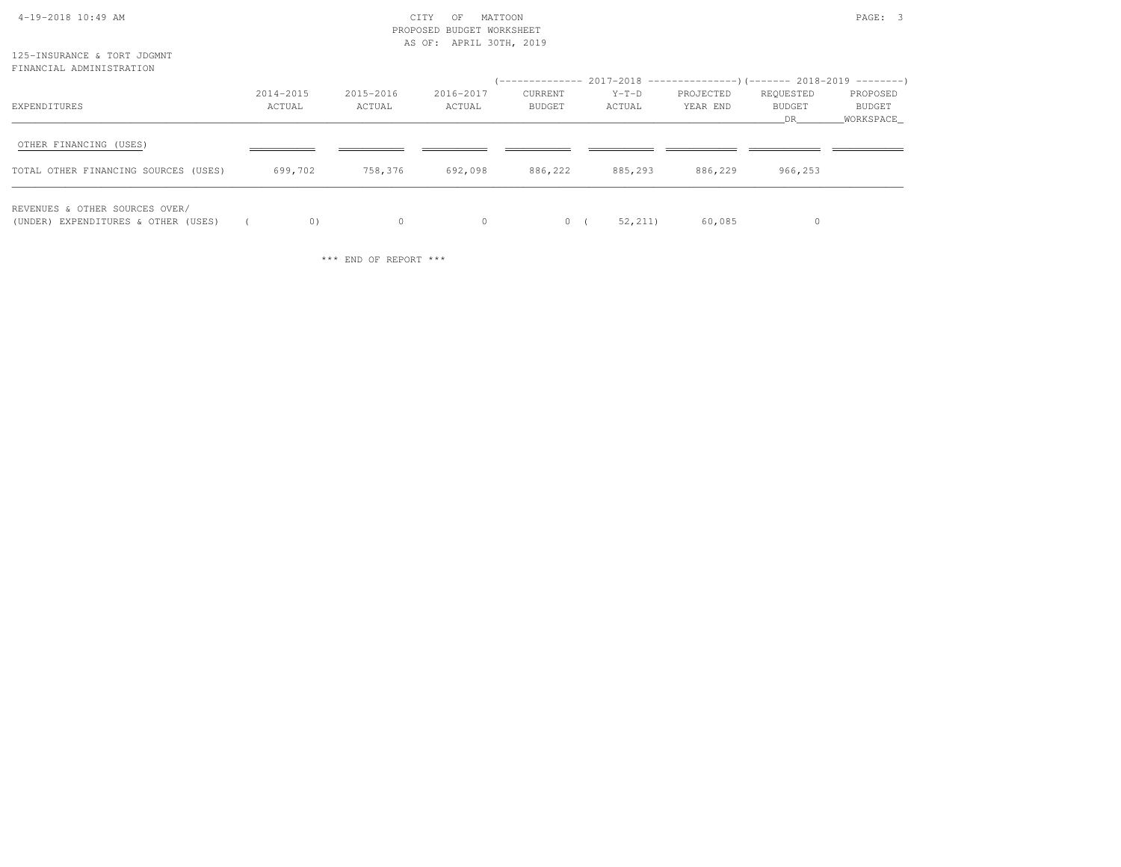|                                                                       |                     |                     | PROPOSED BUDGET WORKSHEET<br>AS OF: APRIL 30TH, 2019 |                   |                                                                                                |                       |                            |                                 |
|-----------------------------------------------------------------------|---------------------|---------------------|------------------------------------------------------|-------------------|------------------------------------------------------------------------------------------------|-----------------------|----------------------------|---------------------------------|
| 125-INSURANCE & TORT JDGMNT<br>FINANCIAL ADMINISTRATION               |                     |                     |                                                      |                   |                                                                                                |                       |                            |                                 |
| EXPENDITURES                                                          | 2014-2015<br>ACTUAL | 2015-2016<br>ACTUAL | 2016-2017<br>ACTUAL                                  | CURRENT<br>BUDGET | (-------------- 2017-2018 ----------------)(-------- 2018-2019 ---------)<br>$Y-T-D$<br>ACTUAL | PROJECTED<br>YEAR END | REQUESTED<br>BUDGET<br>DR. | PROPOSED<br>BUDGET<br>WORKSPACE |
| OTHER FINANCING (USES)<br>TOTAL OTHER FINANCING SOURCES (USES)        | 699,702             | 758,376             | 692,098                                              | 886,222           | 885,293                                                                                        | 886,229               | 966,253                    |                                 |
| REVENUES & OTHER SOURCES OVER/<br>(UNDER) EXPENDITURES & OTHER (USES) | 0)                  | $\circ$             | $\circ$                                              |                   | 52, 211)<br>0(                                                                                 | 60,085                | 0                          |                                 |

4-19-2018 10:49 AM CITY OF MATTOON PAGE: 3

\*\*\* END OF REPORT \*\*\*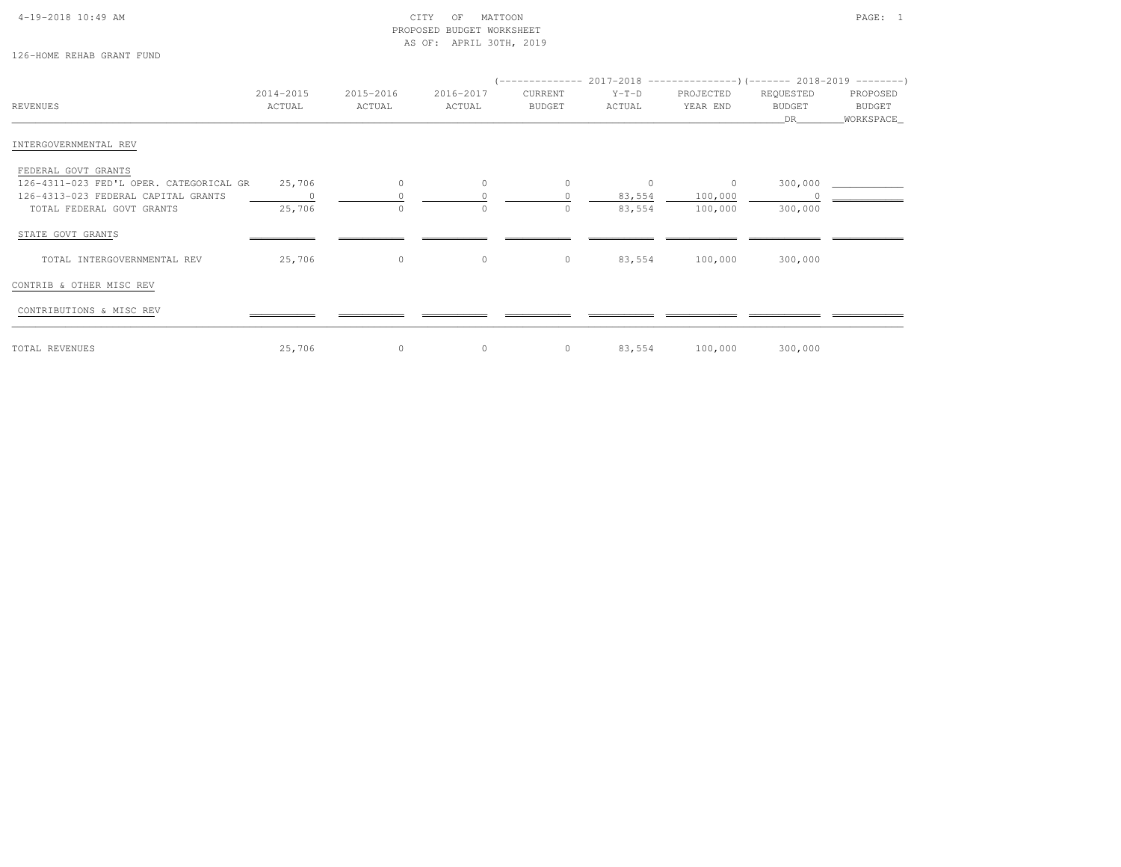#### 4-19-2018 10:49 AM CITY OF MATTOON PAGE: 1 PROPOSED BUDGET WORKSHEETAS OF: APRIL 30TH, 2019

126-HOME REHAB GRANT FUND

|                                         |           |              |           |         |         | (-------------- 2017-2018 ----------------)(------- 2018-2019 ---------) |               |            |
|-----------------------------------------|-----------|--------------|-----------|---------|---------|--------------------------------------------------------------------------|---------------|------------|
|                                         | 2014-2015 | 2015-2016    | 2016-2017 | CURRENT | $Y-T-D$ | PROJECTED                                                                | REQUESTED     | PROPOSED   |
| REVENUES                                | ACTUAL    | ACTUAL       | ACTUAL    | BUDGET  | ACTUAL  | YEAR END                                                                 | <b>BUDGET</b> | BUDGET     |
|                                         |           |              |           |         |         |                                                                          | DR            | WORKSPACE_ |
| INTERGOVERNMENTAL REV                   |           |              |           |         |         |                                                                          |               |            |
| FEDERAL GOVT GRANTS                     |           |              |           |         |         |                                                                          |               |            |
| 126-4311-023 FED'L OPER. CATEGORICAL GR | 25,706    | $\circ$      | $\circ$   | $\circ$ | $\circ$ | $\circ$                                                                  | 300,000       |            |
| 126-4313-023 FEDERAL CAPITAL GRANTS     |           |              |           | $\circ$ | 83,554  | 100,000                                                                  |               |            |
| TOTAL FEDERAL GOVT GRANTS               | 25,706    | $\circ$      | $\circ$   | $\circ$ | 83,554  | 100,000                                                                  | 300,000       |            |
| STATE GOVT GRANTS                       |           |              |           |         |         |                                                                          |               |            |
| TOTAL INTERGOVERNMENTAL REV             | 25,706    | $\circ$      | $\circ$   | $\circ$ | 83,554  | 100,000                                                                  | 300,000       |            |
| CONTRIB & OTHER MISC REV                |           |              |           |         |         |                                                                          |               |            |
| CONTRIBUTIONS & MISC REV                |           |              |           |         |         |                                                                          |               |            |
| TOTAL REVENUES                          | 25,706    | $\mathbf{0}$ | $\circ$   | $\circ$ | 83,554  | 100,000                                                                  | 300,000       |            |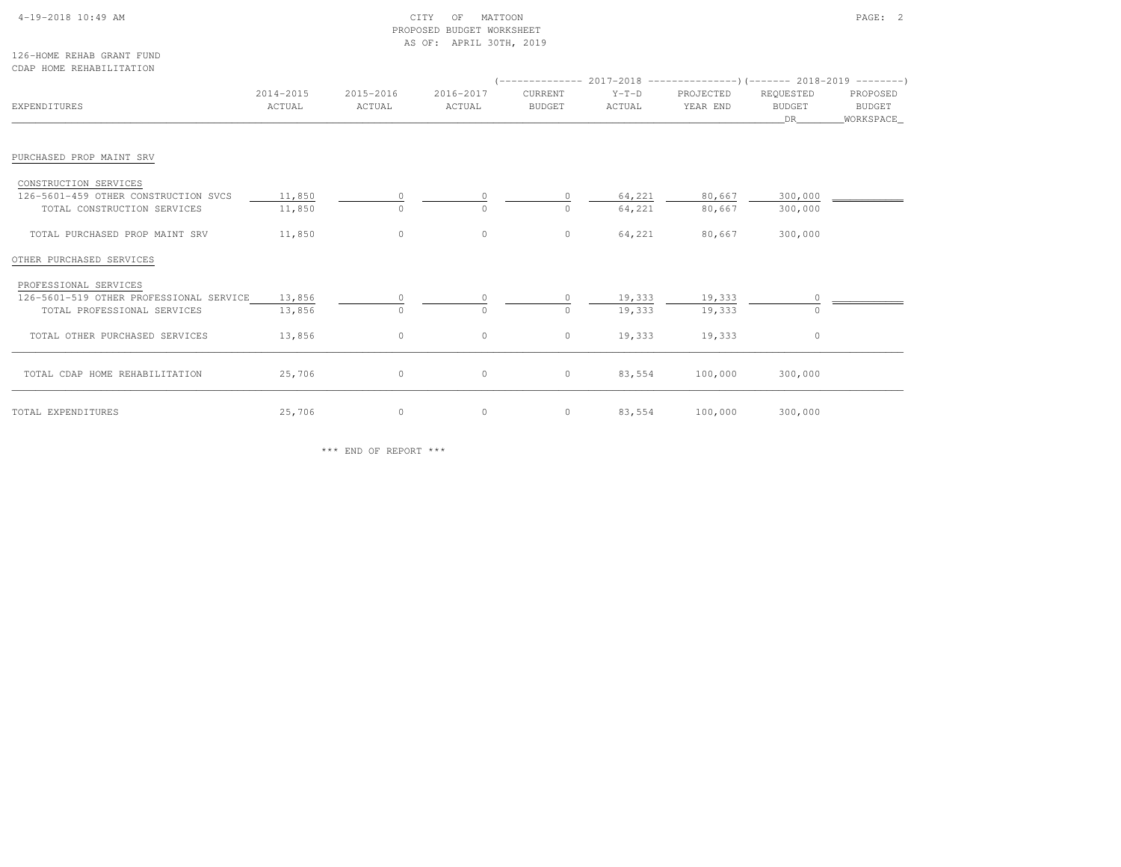#### 4-19-2018 10:49 AM CITY OF MATTOON PAGE: 2 PROPOSED BUDGET WORKSHEETAS OF: APRIL 30TH, 2019

126-HOME REHAB GRANT FUNDCDAP HOME REHABILITATION

| EXPENDITURES                                                                                    | 2014-2015<br>ACTUAL | 2015-2016<br>ACTUAL | 2016-2017<br>ACTUAL | CURRENT<br><b>BUDGET</b> | $Y-T-D$<br>ACTUAL | PROJECTED<br>YEAR END | REQUESTED<br><b>BUDGET</b><br>DR | PROPOSED<br>BUDGET<br>WORKSPACE_ |
|-------------------------------------------------------------------------------------------------|---------------------|---------------------|---------------------|--------------------------|-------------------|-----------------------|----------------------------------|----------------------------------|
| PURCHASED PROP MAINT SRV                                                                        |                     |                     |                     |                          |                   |                       |                                  |                                  |
| CONSTRUCTION SERVICES<br>126-5601-459 OTHER CONSTRUCTION SVCS<br>TOTAL CONSTRUCTION SERVICES    | 11,850<br>11,850    | 0<br>$\Omega$       |                     | $\circ$                  | 64,221<br>64,221  | 80,667<br>80,667      | 300,000<br>300,000               |                                  |
| TOTAL PURCHASED PROP MAINT SRV                                                                  | 11,850              | $\circ$             | $\circ$             | $\circ$                  | 64,221            | 80,667                | 300,000                          |                                  |
| OTHER PURCHASED SERVICES                                                                        |                     |                     |                     |                          |                   |                       |                                  |                                  |
| PROFESSIONAL SERVICES<br>126-5601-519 OTHER PROFESSIONAL SERVICE<br>TOTAL PROFESSIONAL SERVICES | 13,856<br>13,856    | $\circ$<br>$\Omega$ | $\Omega$            | $\circ$<br>$\circ$       | 19,333<br>19,333  | 19,333<br>19,333      |                                  |                                  |
| TOTAL OTHER PURCHASED SERVICES                                                                  | 13,856              | $\circ$             | $\circ$             | $\circ$                  | 19,333            | 19,333                | $\circ$                          |                                  |
| TOTAL CDAP HOME REHABILITATION                                                                  | 25,706              | $\circ$             | $\circ$             | $\circ$                  | 83,554            | 100,000               | 300,000                          |                                  |
| TOTAL EXPENDITURES                                                                              | 25,706              | $\circ$             | $\circ$             | $\circ$                  | 83,554            | 100,000               | 300,000                          |                                  |

\*\*\* END OF REPORT \*\*\*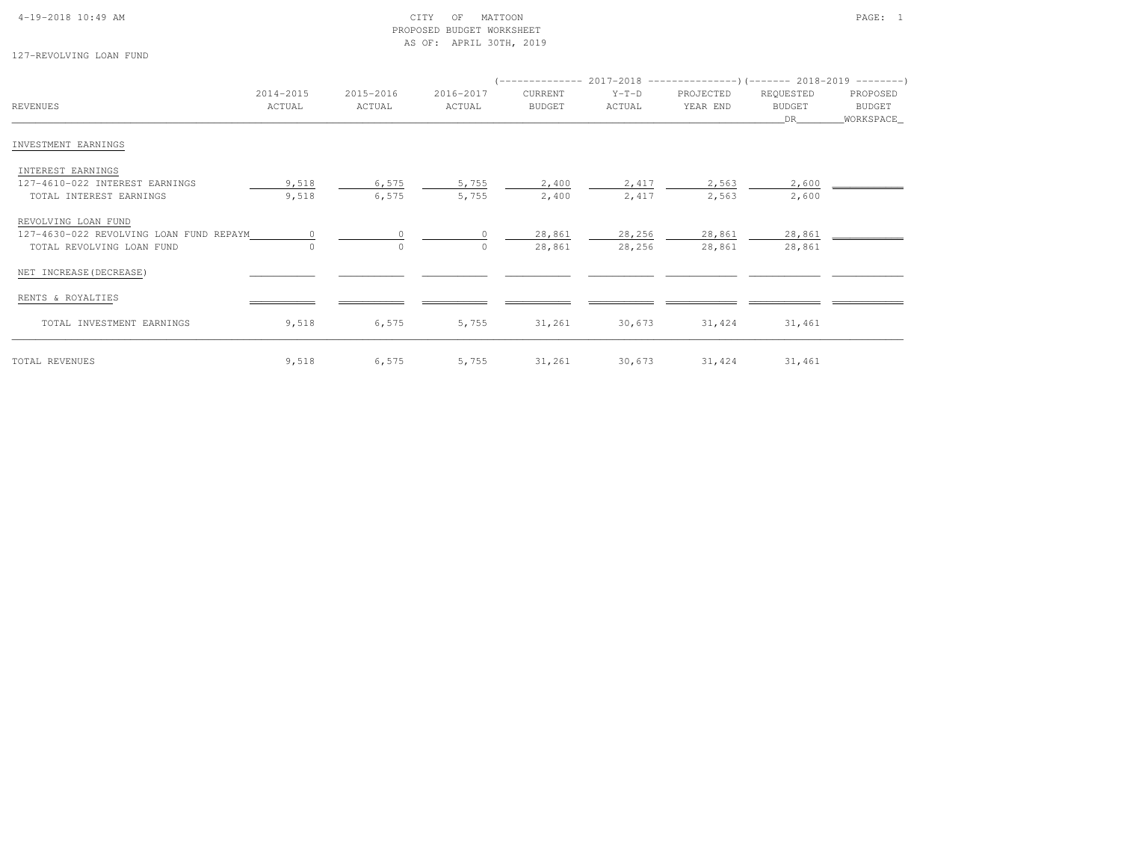#### 4-19-2018 10:49 AM CITY OF MATTOON PAGE: 1 PROPOSED BUDGET WORKSHEETAS OF: APRIL 30TH, 2019

127-REVOLVING LOAN FUND

| REVENUES                                                       | 2014-2015<br>ACTUAL | 2015-2016<br>ACTUAL | 2016-2017<br>ACTUAL | CURRENT<br><b>BUDGET</b> | $Y-T-D$<br>ACTUAL | PROJECTED<br>YEAR END | REQUESTED<br><b>BUDGET</b> | PROPOSED<br>BUDGET |
|----------------------------------------------------------------|---------------------|---------------------|---------------------|--------------------------|-------------------|-----------------------|----------------------------|--------------------|
| INVESTMENT EARNINGS                                            |                     |                     |                     |                          |                   |                       | DR                         | WORKSPACE_         |
| INTEREST EARNINGS                                              |                     |                     |                     |                          |                   |                       |                            |                    |
| 127-4610-022 INTEREST EARNINGS<br>TOTAL INTEREST EARNINGS      | 9,518<br>9,518      | 6,575<br>6,575      | 5,755<br>5,755      | 2,400<br>2,400           | 2,417<br>2,417    | 2,563<br>2,563        | 2,600<br>2,600             |                    |
| REVOLVING LOAN FUND<br>127-4630-022 REVOLVING LOAN FUND REPAYM |                     |                     |                     | 28,861                   | 28,256            | 28,861                | 28,861                     |                    |
| TOTAL REVOLVING LOAN FUND                                      |                     | $\Omega$            | $\cap$              | 28,861                   | 28,256            | 28,861                | 28,861                     |                    |
| NET INCREASE (DECREASE)                                        |                     |                     |                     |                          |                   |                       |                            |                    |
| RENTS & ROYALTIES                                              |                     |                     |                     |                          |                   |                       |                            |                    |
| TOTAL INVESTMENT EARNINGS                                      | 9,518               | 6,575               | 5,755               | 31,261                   | 30,673            | 31,424                | 31,461                     |                    |
| TOTAL REVENUES                                                 | 9,518               | 6,575               | 5,755               | 31,261                   | 30,673            | 31,424                | 31,461                     |                    |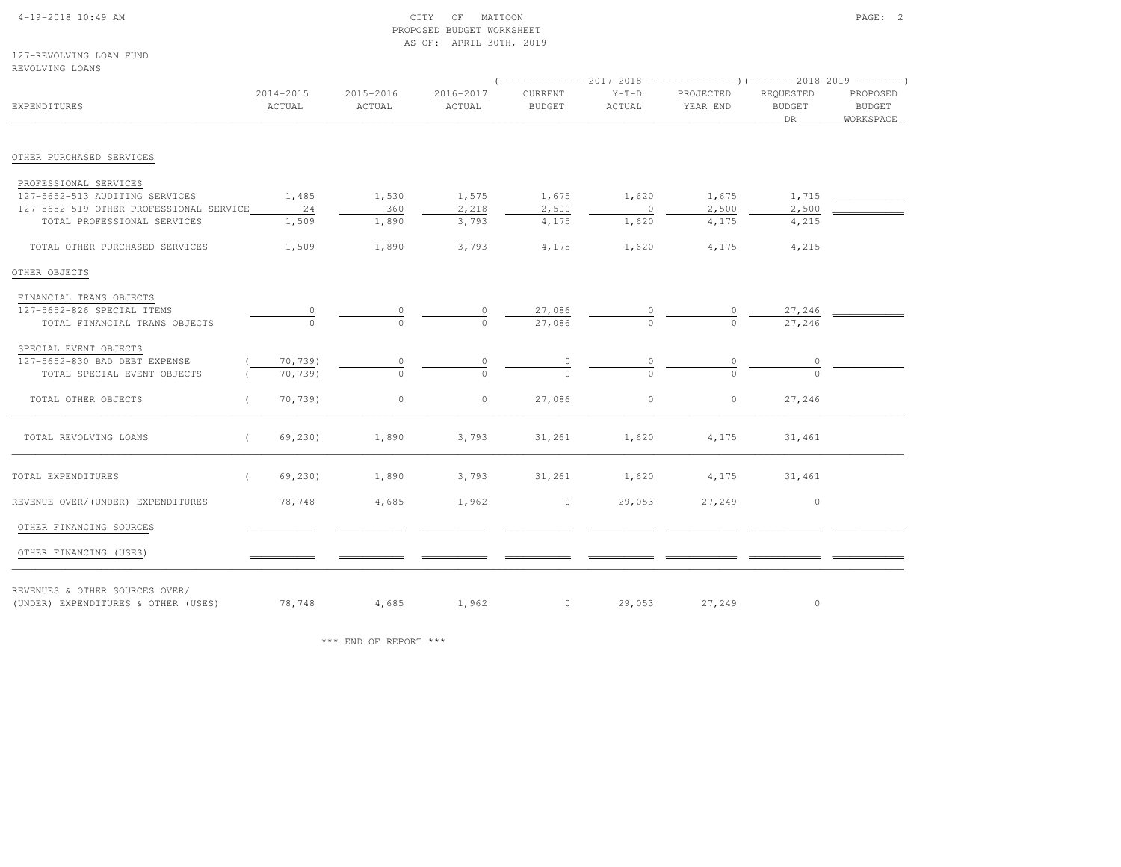### 4-19-2018 10:49 AM CITY OF MATTOON PAGE: 2 PROPOSED BUDGET WORKSHEETAS OF: APRIL 30TH, 2019

127-REVOLVING LOAN FUNDREVOLVING LOANS

| <b>EXPENDITURES</b>                                                   | 2014-2015<br>ACTUAL | 2015-2016<br>ACTUAL | 2016-2017<br>ACTUAL | CURRENT<br><b>BUDGET</b> | $Y-T-D$<br>ACTUAL | PROJECTED<br>YEAR END | REOUESTED<br><b>BUDGET</b><br>DR | PROPOSED<br>BUDGET<br>WORKSPACE |
|-----------------------------------------------------------------------|---------------------|---------------------|---------------------|--------------------------|-------------------|-----------------------|----------------------------------|---------------------------------|
| OTHER PURCHASED SERVICES                                              |                     |                     |                     |                          |                   |                       |                                  |                                 |
| PROFESSIONAL SERVICES                                                 |                     |                     |                     |                          |                   |                       |                                  |                                 |
| 127-5652-513 AUDITING SERVICES                                        | 1,485               | 1,530               | 1,575               | 1,675                    | 1,620             | 1,675                 | 1,715                            |                                 |
| 127-5652-519 OTHER PROFESSIONAL SERVICE                               | 24                  | 360                 | 2,218               | 2,500                    | $\sim$ 0          | 2,500                 | 2,500                            |                                 |
| TOTAL PROFESSIONAL SERVICES                                           | 1,509               | 1,890               | 3,793               | 4,175                    | 1,620             | 4,175                 | 4,215                            |                                 |
| TOTAL OTHER PURCHASED SERVICES                                        | 1,509               | 1,890               | 3,793               | 4,175                    | 1,620             | 4,175                 | 4,215                            |                                 |
| OTHER OBJECTS                                                         |                     |                     |                     |                          |                   |                       |                                  |                                 |
| FINANCIAL TRANS OBJECTS                                               |                     |                     |                     |                          |                   |                       |                                  |                                 |
| 127-5652-826 SPECIAL ITEMS                                            |                     |                     |                     |                          |                   |                       | $27,246$ $\qquad$                |                                 |
| TOTAL FINANCIAL TRANS OBJECTS                                         | $\Omega$            |                     | $\frac{0}{0}$       | $\frac{27,086}{27,086}$  |                   |                       | 27,246                           |                                 |
| SPECIAL EVENT OBJECTS                                                 |                     |                     |                     |                          |                   |                       |                                  |                                 |
| 127-5652-830 BAD DEBT EXPENSE                                         | 70,739)             |                     |                     |                          |                   |                       |                                  |                                 |
| TOTAL SPECIAL EVENT OBJECTS                                           | 70,739)             |                     |                     |                          |                   |                       |                                  |                                 |
| TOTAL OTHER OBJECTS                                                   | 70,739)             | $\circ$             | $\circ$             | 27,086                   | $\circ$           | $\circ$               | 27,246                           |                                 |
| TOTAL REVOLVING LOANS                                                 | 69,230)<br>$\left($ | 1,890               | 3,793               | 31,261                   | 1,620             | 4,175                 | 31,461                           |                                 |
| TOTAL EXPENDITURES                                                    | 69,230)<br>$\left($ | 1,890               | 3,793               | 31,261                   | 1,620             | 4,175                 | 31,461                           |                                 |
| REVENUE OVER/(UNDER) EXPENDITURES                                     | 78,748              | 4,685               | 1,962               | $\circ$                  | 29,053            | 27,249                | $\sim$ 0                         |                                 |
| OTHER FINANCING SOURCES                                               |                     |                     |                     |                          |                   |                       |                                  |                                 |
| OTHER FINANCING (USES)                                                |                     |                     |                     |                          |                   |                       |                                  |                                 |
| REVENUES & OTHER SOURCES OVER/<br>(UNDER) EXPENDITURES & OTHER (USES) | 78,748              |                     | 4,685 1,962         |                          | $0 \t 29,053$     | 27,249                | $\circ$                          |                                 |

\*\*\* END OF REPORT \*\*\*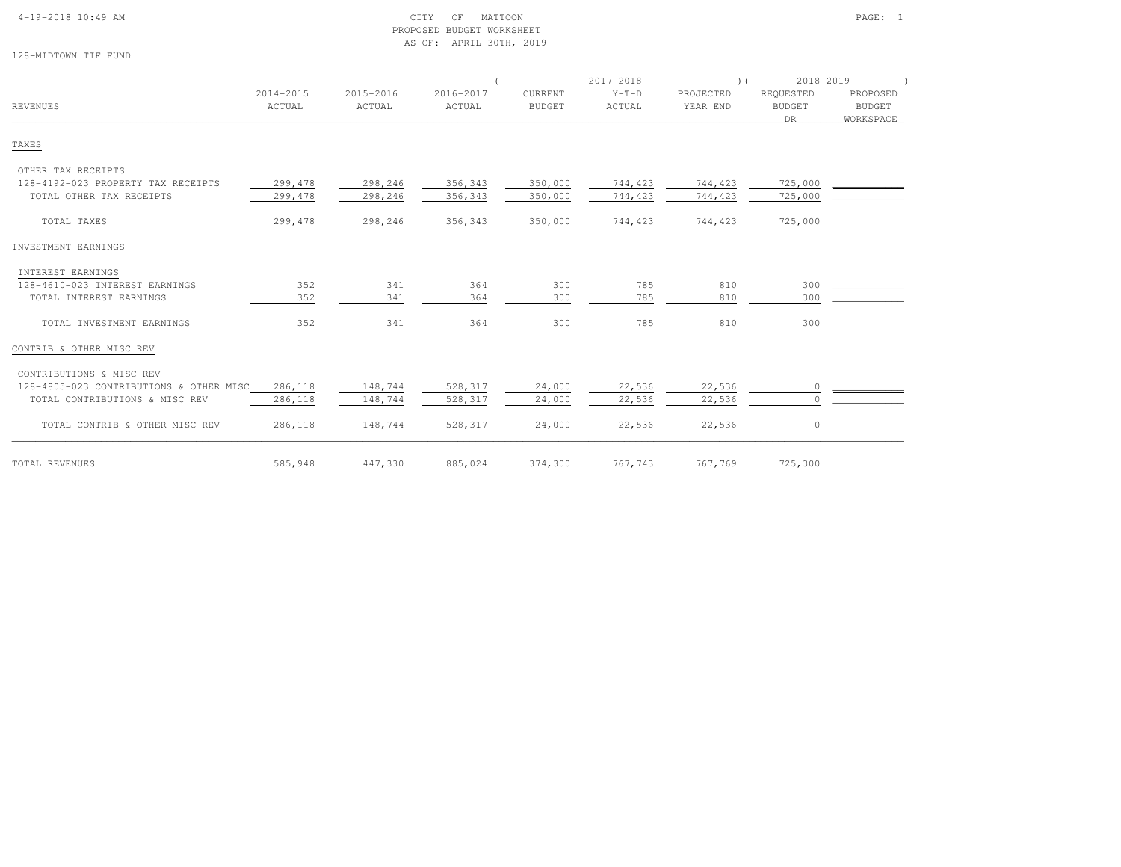#### 4-19-2018 10:49 AM CITY OF MATTOON PAGE: 1 PROPOSED BUDGET WORKSHEETAS OF: APRIL 30TH, 2019

128-MIDTOWN TIF FUND

|                                         |                     |                     |                     |                          |                   | $($ -------------- 2017-2018 ----------------) (------- 2018-2019 ---------) |                                  |                                         |
|-----------------------------------------|---------------------|---------------------|---------------------|--------------------------|-------------------|------------------------------------------------------------------------------|----------------------------------|-----------------------------------------|
| <b>REVENUES</b>                         | 2014-2015<br>ACTUAL | 2015-2016<br>ACTUAL | 2016-2017<br>ACTUAL | CURRENT<br><b>BUDGET</b> | $Y-T-D$<br>ACTUAL | PROJECTED<br>YEAR END                                                        | REOUESTED<br><b>BUDGET</b><br>DR | PROPOSED<br><b>BUDGET</b><br>WORKSPACE_ |
| TAXES                                   |                     |                     |                     |                          |                   |                                                                              |                                  |                                         |
| OTHER TAX RECEIPTS                      |                     |                     |                     |                          |                   |                                                                              |                                  |                                         |
| 128-4192-023 PROPERTY TAX RECEIPTS      | 299,478             | 298,246             | 356,343             | 350,000                  | 744,423           | 744,423                                                                      | 725,000                          |                                         |
| TOTAL OTHER TAX RECEIPTS                | 299,478             | 298,246             | 356,343             | 350,000                  | 744,423           | 744,423                                                                      | 725,000                          |                                         |
| TOTAL TAXES                             | 299,478             | 298,246             | 356,343             | 350,000                  | 744,423           | 744,423                                                                      | 725,000                          |                                         |
| INVESTMENT EARNINGS                     |                     |                     |                     |                          |                   |                                                                              |                                  |                                         |
| INTEREST EARNINGS                       |                     |                     |                     |                          |                   |                                                                              |                                  |                                         |
| 128-4610-023 INTEREST EARNINGS          | 352                 | 341                 | 364                 | 300                      | 785               | 810                                                                          | 300                              |                                         |
| TOTAL INTEREST EARNINGS                 | 352                 | 341                 | 364                 | 300                      | 785               | 810                                                                          | 300                              |                                         |
| TOTAL INVESTMENT EARNINGS               | 352                 | 341                 | 364                 | 300                      | 785               | 810                                                                          | 300                              |                                         |
| CONTRIB & OTHER MISC REV                |                     |                     |                     |                          |                   |                                                                              |                                  |                                         |
| CONTRIBUTIONS & MISC REV                |                     |                     |                     |                          |                   |                                                                              |                                  |                                         |
| 128-4805-023 CONTRIBUTIONS & OTHER MISC | 286,118             | 148,744             | 528,317             | 24,000                   | 22,536            | 22,536                                                                       | $\circ$                          |                                         |
| TOTAL CONTRIBUTIONS & MISC REV          | 286,118             | 148,744             | 528,317             | 24,000                   | 22,536            | 22,536                                                                       | $\circ$                          |                                         |
| TOTAL CONTRIB & OTHER MISC REV          | 286,118             | 148,744             | 528,317             | 24,000                   | 22,536            | 22,536                                                                       | $\circ$                          |                                         |
| TOTAL REVENUES                          | 585,948             | 447,330             | 885,024             | 374,300                  | 767,743           | 767,769                                                                      | 725,300                          |                                         |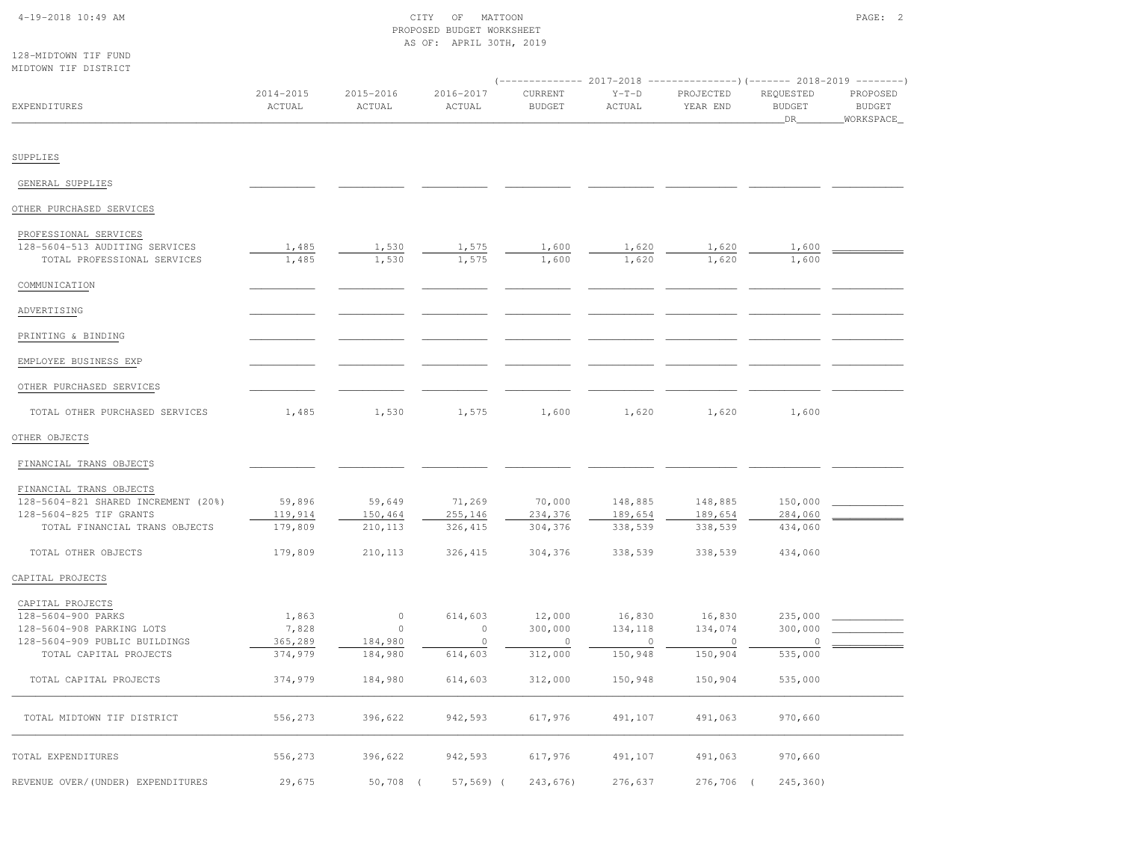# 4-19-2018 10:49 AM CITY OF MATTOON PAGE: 2 PROPOSED BUDGET WORKSHEETAS OF: APRIL 30TH, 2019

| 128-MIDTOWN TIF FUND |  |
|----------------------|--|
| ALERMALIA MEMIRICAN  |  |

| MIDTOWN TIF DISTRICT                                          |                         |                     |                     | (------------- 2017-2018 ---------------) (------- 2018-2019 --------) |                    |                       |                                  |                                          |
|---------------------------------------------------------------|-------------------------|---------------------|---------------------|------------------------------------------------------------------------|--------------------|-----------------------|----------------------------------|------------------------------------------|
| EXPENDITURES                                                  | $2014 - 2015$<br>ACTUAL | 2015-2016<br>ACTUAL | 2016-2017<br>ACTUAL | CURRENT<br><b>BUDGET</b>                                               | $Y-T-D$<br>ACTUAL  | PROJECTED<br>YEAR END | REQUESTED<br><b>BUDGET</b><br>DR | PROPOSED<br><b>BUDGET</b><br>_WORKSPACE_ |
|                                                               |                         |                     |                     |                                                                        |                    |                       |                                  |                                          |
| SUPPLIES                                                      |                         |                     |                     |                                                                        |                    |                       |                                  |                                          |
| GENERAL SUPPLIES                                              |                         |                     |                     |                                                                        |                    |                       |                                  |                                          |
| OTHER PURCHASED SERVICES                                      |                         |                     |                     |                                                                        |                    |                       |                                  |                                          |
| PROFESSIONAL SERVICES                                         |                         |                     |                     |                                                                        |                    |                       |                                  |                                          |
| 128-5604-513 AUDITING SERVICES<br>TOTAL PROFESSIONAL SERVICES | 1,485<br>1,485          | 1,530<br>1,530      | 1,575<br>1,575      | 1,600<br>1,600                                                         | 1,620<br>1,620     | 1,620<br>1,620        | 1,600<br>1,600                   |                                          |
| COMMUNICATION                                                 |                         |                     |                     |                                                                        |                    |                       |                                  |                                          |
| ADVERTISING                                                   |                         |                     |                     |                                                                        |                    |                       |                                  |                                          |
| PRINTING & BINDING                                            |                         |                     |                     |                                                                        |                    |                       |                                  |                                          |
| EMPLOYEE BUSINESS EXP                                         |                         |                     |                     |                                                                        |                    |                       |                                  |                                          |
| OTHER PURCHASED SERVICES                                      |                         |                     |                     |                                                                        |                    |                       |                                  |                                          |
| TOTAL OTHER PURCHASED SERVICES                                | 1,485                   | 1,530               | 1,575               | 1,600                                                                  | 1,620              | 1,620                 | 1,600                            |                                          |
| OTHER OBJECTS                                                 |                         |                     |                     |                                                                        |                    |                       |                                  |                                          |
| FINANCIAL TRANS OBJECTS                                       |                         |                     |                     |                                                                        |                    |                       |                                  |                                          |
| FINANCIAL TRANS OBJECTS                                       |                         |                     |                     |                                                                        |                    |                       |                                  |                                          |
| 128-5604-821 SHARED INCREMENT (20%)                           | 59,896                  | 59,649              | 71,269              | 70,000                                                                 | 148,885            | 148,885               | 150,000                          |                                          |
| 128-5604-825 TIF GRANTS                                       | 119,914                 | 150,464             | 255,146             | 234,376                                                                | 189,654            | 189,654               | 284,060                          |                                          |
| TOTAL FINANCIAL TRANS OBJECTS                                 | 179,809                 | 210,113             | 326, 415            | 304,376                                                                | 338,539            | 338,539               | 434,060                          |                                          |
| TOTAL OTHER OBJECTS                                           | 179,809                 | 210,113             | 326, 415            | 304,376                                                                | 338,539            | 338,539               | 434,060                          |                                          |
| CAPITAL PROJECTS                                              |                         |                     |                     |                                                                        |                    |                       |                                  |                                          |
| CAPITAL PROJECTS                                              |                         |                     |                     |                                                                        |                    |                       |                                  |                                          |
| 128-5604-900 PARKS                                            | 1,863                   | $\circ$             | 614,603             | 12,000                                                                 | 16,830             | 16,830                | 235,000                          |                                          |
| 128-5604-908 PARKING LOTS                                     | 7,828                   | $\circ$             | $\circ$             | 300,000                                                                | 134,118            | 134,074               | 300,000                          |                                          |
| 128-5604-909 PUBLIC BUILDINGS<br>TOTAL CAPITAL PROJECTS       | 365,289<br>374,979      | 184,980<br>184,980  | $\circ$<br>614,603  | $\circ$<br>312,000                                                     | $\circ$<br>150,948 | $\circ$<br>150,904    | $\mathbf{0}$<br>535,000          |                                          |
| TOTAL CAPITAL PROJECTS                                        | 374,979                 | 184,980             | 614,603             | 312,000                                                                | 150,948            | 150,904               | 535,000                          |                                          |
| TOTAL MIDTOWN TIF DISTRICT                                    | 556,273                 | 396,622             | 942,593             | 617,976                                                                | 491,107            | 491,063               | 970,660                          |                                          |
| TOTAL EXPENDITURES                                            | 556,273                 | 396,622             | 942,593             | 617,976                                                                | 491,107            | 491,063               | 970,660                          |                                          |
| REVENUE OVER/(UNDER) EXPENDITURES                             | 29,675                  | 50,708 (            | $57, 569$ ) (       | 243,676)                                                               | 276,637            | 276,706 (             | $245, 360$ )                     |                                          |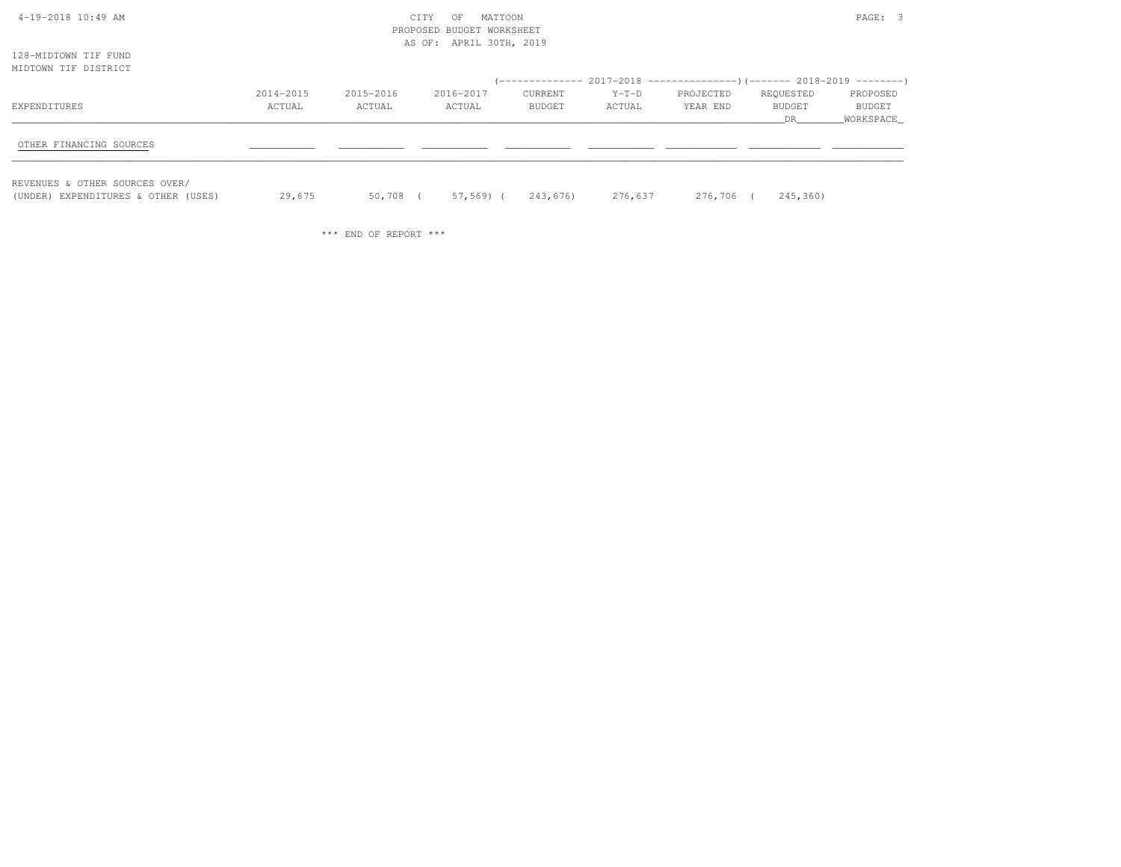| 4-19-2018 10:49 AM                                                    |           |           | CITY<br>OF<br>PROPOSED BUDGET WORKSHEET | MATTOON  |         |           |               | PAGE: 3             |
|-----------------------------------------------------------------------|-----------|-----------|-----------------------------------------|----------|---------|-----------|---------------|---------------------|
|                                                                       |           |           | AS OF: APRIL 30TH, 2019                 |          |         |           |               |                     |
| 128-MIDTOWN TIF FUND<br>MIDTOWN TIF DISTRICT                          |           |           |                                         |          |         |           |               |                     |
|                                                                       |           |           |                                         |          |         |           |               |                     |
|                                                                       | 2014-2015 | 2015-2016 | 2016-2017                               | CURRENT  | $Y-T-D$ | PROJECTED | REQUESTED     | PROPOSED            |
| EXPENDITURES                                                          | ACTUAL    | ACTUAL    | ACTUAL                                  | BUDGET   | ACTUAL  | YEAR END  | BUDGET<br>DR. | BUDGET<br>WORKSPACE |
| OTHER FINANCING SOURCES                                               |           |           |                                         |          |         |           |               |                     |
| REVENUES & OTHER SOURCES OVER/<br>(UNDER) EXPENDITURES & OTHER (USES) | 29,675    | 50,708 (  | 57,569) (                               | 243,676) | 276,637 | 276,706 ( | 245,360)      |                     |

\*\*\* END OF REPORT \*\*\*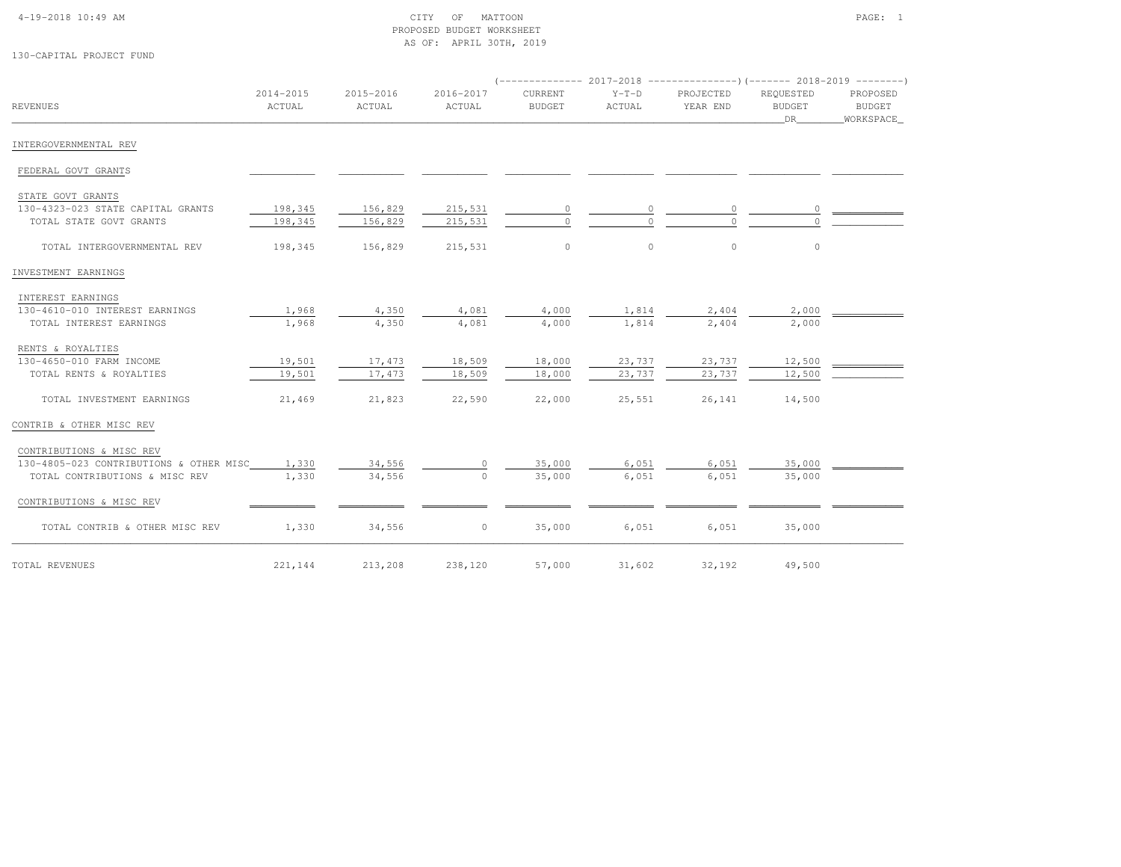### 4-19-2018 10:49 AM CITY OF MATTOON PAGE: 1 PROPOSED BUDGET WORKSHEETAS OF: APRIL 30TH, 2019

130-CAPITAL PROJECT FUND

|                                               |                     |                     |                     |                          |                   | $(-$ -------------- 2017-2018 ----------------)(------- 2018-2019 --------) |                                        |                                        |
|-----------------------------------------------|---------------------|---------------------|---------------------|--------------------------|-------------------|-----------------------------------------------------------------------------|----------------------------------------|----------------------------------------|
| <b>REVENUES</b>                               | 2014-2015<br>ACTUAL | 2015-2016<br>ACTUAL | 2016-2017<br>ACTUAL | CURRENT<br><b>BUDGET</b> | $Y-T-D$<br>ACTUAL | PROJECTED<br>YEAR END                                                       | REQUESTED<br>BUDGET<br>DR <sub>1</sub> | PROPOSED<br><b>BUDGET</b><br>WORKSPACE |
| INTERGOVERNMENTAL REV                         |                     |                     |                     |                          |                   |                                                                             |                                        |                                        |
| FEDERAL GOVT GRANTS                           |                     |                     |                     |                          |                   |                                                                             |                                        |                                        |
| STATE GOVT GRANTS                             |                     |                     |                     |                          |                   |                                                                             |                                        |                                        |
| 130-4323-023 STATE CAPITAL GRANTS             | 198,345             | 156,829             | 215,531             | 0                        | 0                 | 0                                                                           | 0                                      |                                        |
| TOTAL STATE GOVT GRANTS                       | 198,345             | 156,829             | 215,531             | $\bigcap$                |                   |                                                                             |                                        |                                        |
| TOTAL INTERGOVERNMENTAL REV                   | 198,345             | 156,829             | 215,531             | $\circ$                  | $\circ$           | $\circ$                                                                     | $\circ$                                |                                        |
| INVESTMENT EARNINGS                           |                     |                     |                     |                          |                   |                                                                             |                                        |                                        |
| INTEREST EARNINGS                             |                     |                     |                     |                          |                   |                                                                             |                                        |                                        |
| 130-4610-010 INTEREST EARNINGS                | 1,968               | 4,350               | 4,081               | 4,000                    | 1,814             | 2,404                                                                       | 2,000                                  |                                        |
| TOTAL INTEREST EARNINGS                       | 1,968               | 4,350               | 4,081               | 4,000                    | 1,814             | 2,404                                                                       | 2,000                                  |                                        |
| RENTS & ROYALTIES                             |                     |                     |                     |                          |                   |                                                                             |                                        |                                        |
| 130-4650-010 FARM INCOME                      | 19,501              | 17,473              | 18,509              | 18,000                   | 23,737            | 23,737                                                                      | 12,500                                 |                                        |
| TOTAL RENTS & ROYALTIES                       | 19,501              | 17,473              | 18,509              | 18,000                   | 23,737            | 23,737                                                                      | 12,500                                 |                                        |
| TOTAL INVESTMENT EARNINGS                     | 21,469              | 21,823              | 22,590              | 22,000                   | 25,551            | 26,141                                                                      | 14,500                                 |                                        |
| CONTRIB & OTHER MISC REV                      |                     |                     |                     |                          |                   |                                                                             |                                        |                                        |
| CONTRIBUTIONS & MISC REV                      |                     |                     |                     |                          |                   |                                                                             |                                        |                                        |
| 130-4805-023 CONTRIBUTIONS & OTHER MISC 1,330 |                     | 34,556              | $\circ$             | 35,000                   | 6,051             | 6,051                                                                       | 35,000                                 |                                        |
| TOTAL CONTRIBUTIONS & MISC REV                | 1,330               | 34,556              | $\Omega$            | 35,000                   | 6,051             | 6,051                                                                       | 35,000                                 |                                        |
| CONTRIBUTIONS & MISC REV                      |                     |                     |                     |                          |                   |                                                                             |                                        |                                        |
| TOTAL CONTRIB & OTHER MISC REV                | 1,330               | 34,556              | $\circ$             | 35,000                   | 6,051             | 6,051                                                                       | 35,000                                 |                                        |
| TOTAL REVENUES                                | 221,144             | 213,208 238,120     |                     |                          | 57,000 31,602     | 32,192                                                                      | 49,500                                 |                                        |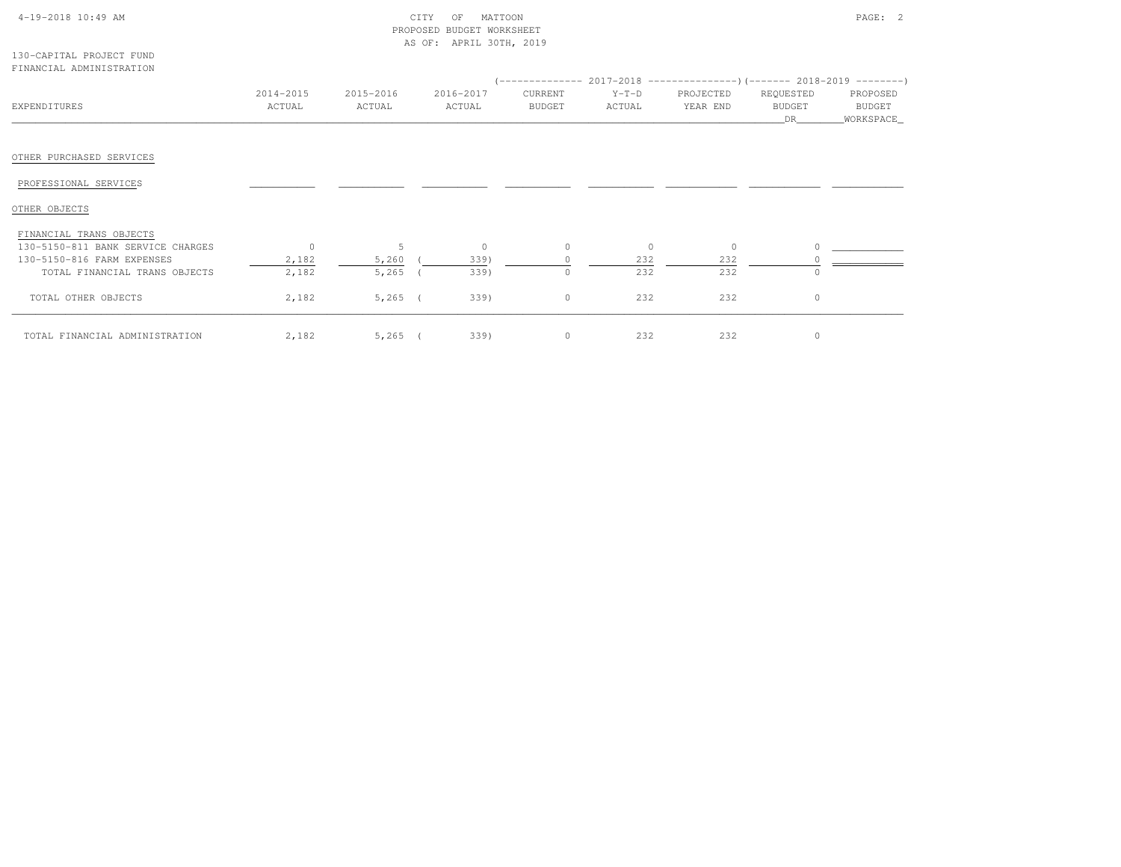| 4-19-2018 10:49 AM |  |  |  |  |
|--------------------|--|--|--|--|
|--------------------|--|--|--|--|

## $\text{CITY}$  of MATTOON  $\text{PAGE:}$  2 PROPOSED BUDGET WORKSHEETAS OF: APRIL 30TH, 2019

| 130-CAPITAL PROJECT FUND |  |  |
|--------------------------|--|--|
| FINANCIAL ADMINISTRATION |  |  |

|                                   |              |           |           |         |         | $(-------- 2017-2018$ $--------- 2018-2018-2019$ |               |            |
|-----------------------------------|--------------|-----------|-----------|---------|---------|--------------------------------------------------|---------------|------------|
|                                   | 2014-2015    | 2015-2016 | 2016-2017 | CURRENT | $Y-T-D$ | PROJECTED                                        | REQUESTED     | PROPOSED   |
| EXPENDITURES                      | ACTUAL       | ACTUAL    | ACTUAL    | BUDGET  | ACTUAL  | YEAR END                                         | <b>BUDGET</b> | BUDGET     |
|                                   |              |           |           |         |         |                                                  | DR            | WORKSPACE_ |
|                                   |              |           |           |         |         |                                                  |               |            |
| OTHER PURCHASED SERVICES          |              |           |           |         |         |                                                  |               |            |
| PROFESSIONAL SERVICES             |              |           |           |         |         |                                                  |               |            |
| OTHER OBJECTS                     |              |           |           |         |         |                                                  |               |            |
| FINANCIAL TRANS OBJECTS           |              |           |           |         |         |                                                  |               |            |
| 130-5150-811 BANK SERVICE CHARGES | $\mathbf{0}$ | 5         | $\circ$   | $\circ$ | $\circ$ | $\circ$                                          |               |            |
| 130-5150-816 FARM EXPENSES        | 2,182        | 5,260     | 339)      |         | 232     | 232                                              |               |            |
| TOTAL FINANCIAL TRANS OBJECTS     | 2,182        | $5,265$ ( | 339)      | $\circ$ | 232     | 232                                              |               |            |
| TOTAL OTHER OBJECTS               | 2,182        | $5,265$ ( | 339)      | $\circ$ | 232     | 232                                              | $\Omega$      |            |
| TOTAL FINANCIAL ADMINISTRATION    | 2,182        | $5,265$ ( | 339)      | 0       | 232     | 232                                              | $\Omega$      |            |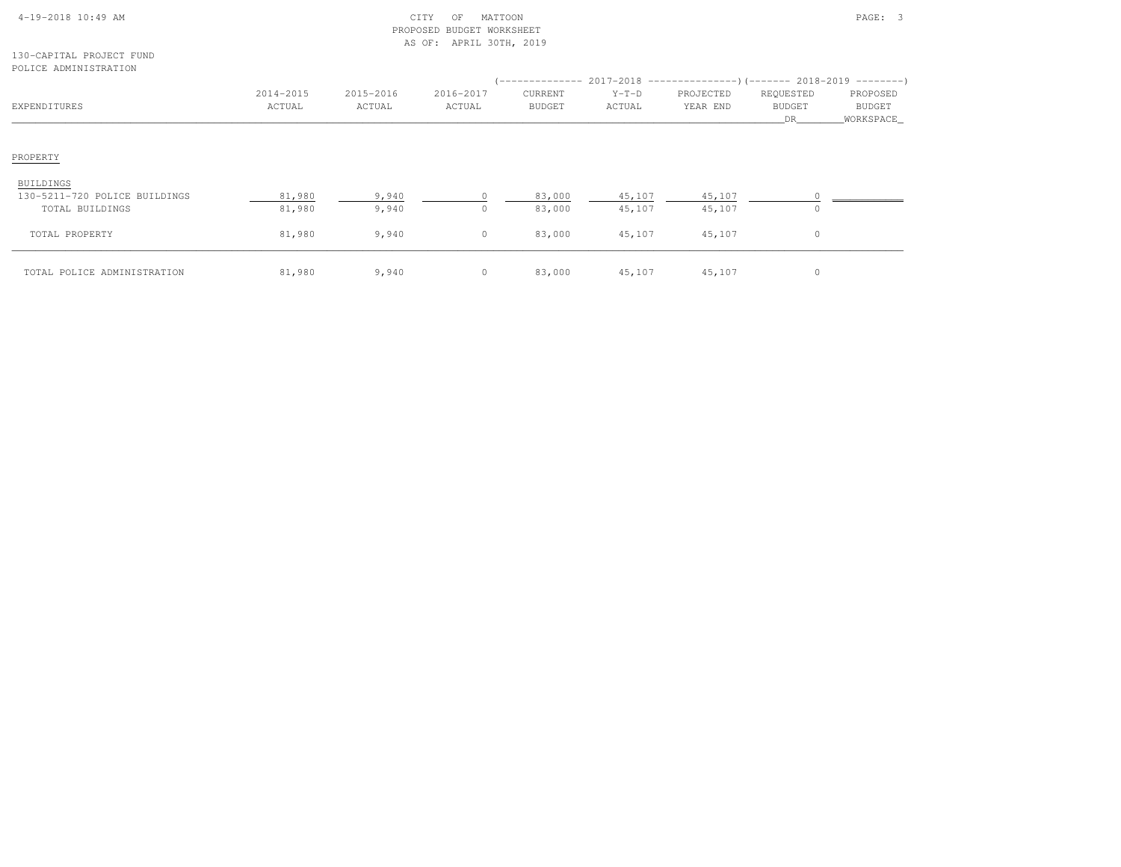| $4-19-2018$ 10:49 AM |  |
|----------------------|--|

#### 130-CAPITAL PROJECT FUNDPOLICE ADMINISTRATION

| EXPENDITURES                  | 2014-2015<br>ACTUAL | 2015-2016<br>ACTUAL | 2016-2017<br>ACTUAL | <b>CURRENT</b><br><b>BUDGET</b> | $Y-T-D$<br>ACTUAL | (-------------- 2017-2018 -----------------) (------- 2018-2019 ---------)<br>PROJECTED<br>YEAR END | REQUESTED<br><b>BUDGET</b><br>DR | PROPOSED<br><b>BUDGET</b><br>WORKSPACE |
|-------------------------------|---------------------|---------------------|---------------------|---------------------------------|-------------------|-----------------------------------------------------------------------------------------------------|----------------------------------|----------------------------------------|
| PROPERTY                      |                     |                     |                     |                                 |                   |                                                                                                     |                                  |                                        |
| <b>BUILDINGS</b>              |                     |                     |                     |                                 |                   |                                                                                                     |                                  |                                        |
| 130-5211-720 POLICE BUILDINGS | 81,980              | 9,940               |                     | 83,000                          | 45,107            | 45,107                                                                                              |                                  |                                        |
| TOTAL BUILDINGS               | 81,980              | 9,940               | $\Omega$            | 83,000                          | 45,107            | 45,107                                                                                              | $\Omega$                         |                                        |
| TOTAL PROPERTY                | 81,980              | 9,940               | $\circ$             | 83,000                          | 45,107            | 45,107                                                                                              | $\circ$                          |                                        |
| TOTAL POLICE ADMINISTRATION   | 81,980              | 9,940               | $\circ$             | 83,000                          | 45,107            | 45,107                                                                                              | $\mathbf{0}$                     |                                        |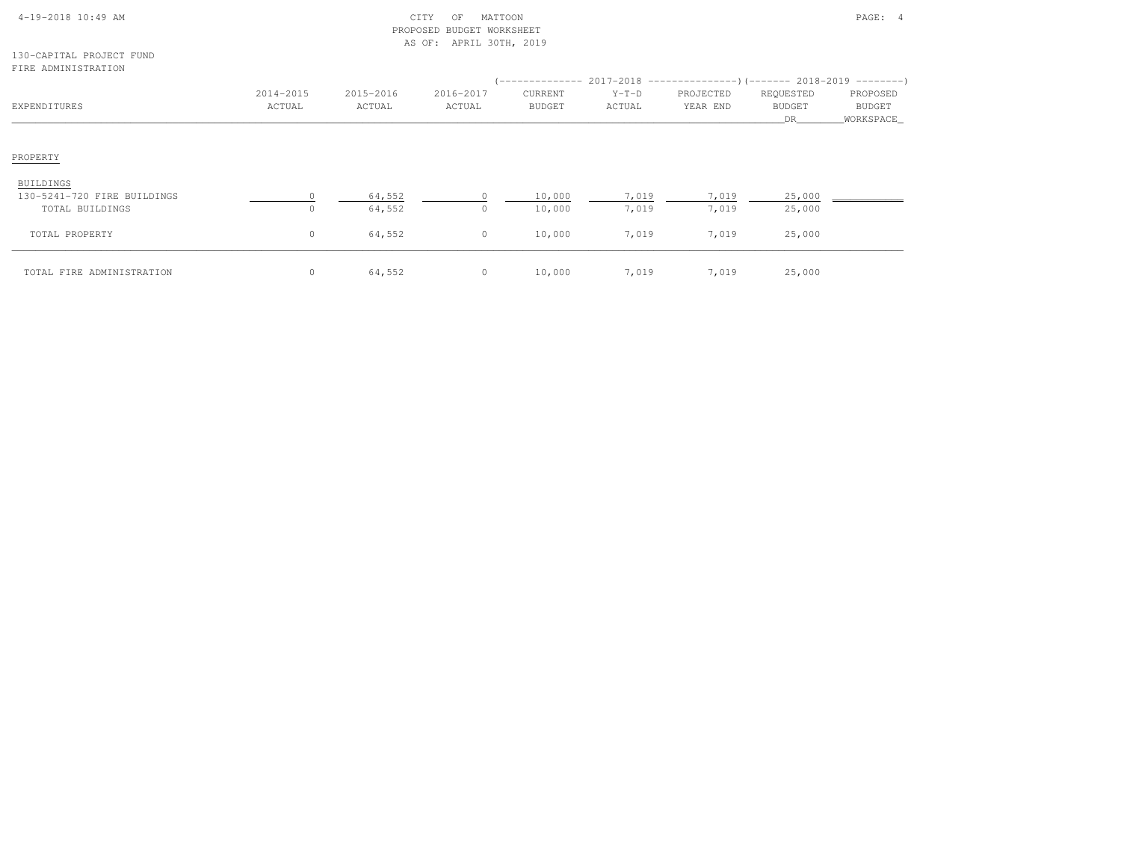| $4-19-2018$ $10:49$ AM |  |  |
|------------------------|--|--|

#### 130-CAPITAL PROJECT FUNDFIRE ADMINISTRATION

| EXPENDITURES                | 2014-2015<br>ACTUAL | 2015-2016<br>ACTUAL | 2016-2017<br>ACTUAL | CURRENT<br><b>BUDGET</b> | $Y-T-D$<br>ACTUAL | (-------------- 2017-2018 -----------------) (------- 2018-2019 ---------)<br>PROJECTED<br>YEAR END | REQUESTED<br>BUDGET<br>DR | PROPOSED<br>BUDGET<br>WORKSPACE |
|-----------------------------|---------------------|---------------------|---------------------|--------------------------|-------------------|-----------------------------------------------------------------------------------------------------|---------------------------|---------------------------------|
| PROPERTY                    |                     |                     |                     |                          |                   |                                                                                                     |                           |                                 |
| BUILDINGS                   |                     |                     |                     |                          |                   |                                                                                                     |                           |                                 |
| 130-5241-720 FIRE BUILDINGS |                     | 64,552              |                     | 10,000                   | 7,019             | 7,019                                                                                               | 25,000                    |                                 |
| TOTAL BUILDINGS             | $\mathbf 0$         | 64,552              | $\circ$             | 10,000                   | 7,019             | 7,019                                                                                               | 25,000                    |                                 |
| TOTAL PROPERTY              | $\circ$             | 64,552              | $\circ$             | 10,000                   | 7,019             | 7,019                                                                                               | 25,000                    |                                 |
| TOTAL FIRE ADMINISTRATION   | $\mathbf{0}$        | 64,552              | $\circ$             | 10,000                   | 7,019             | 7,019                                                                                               | 25,000                    |                                 |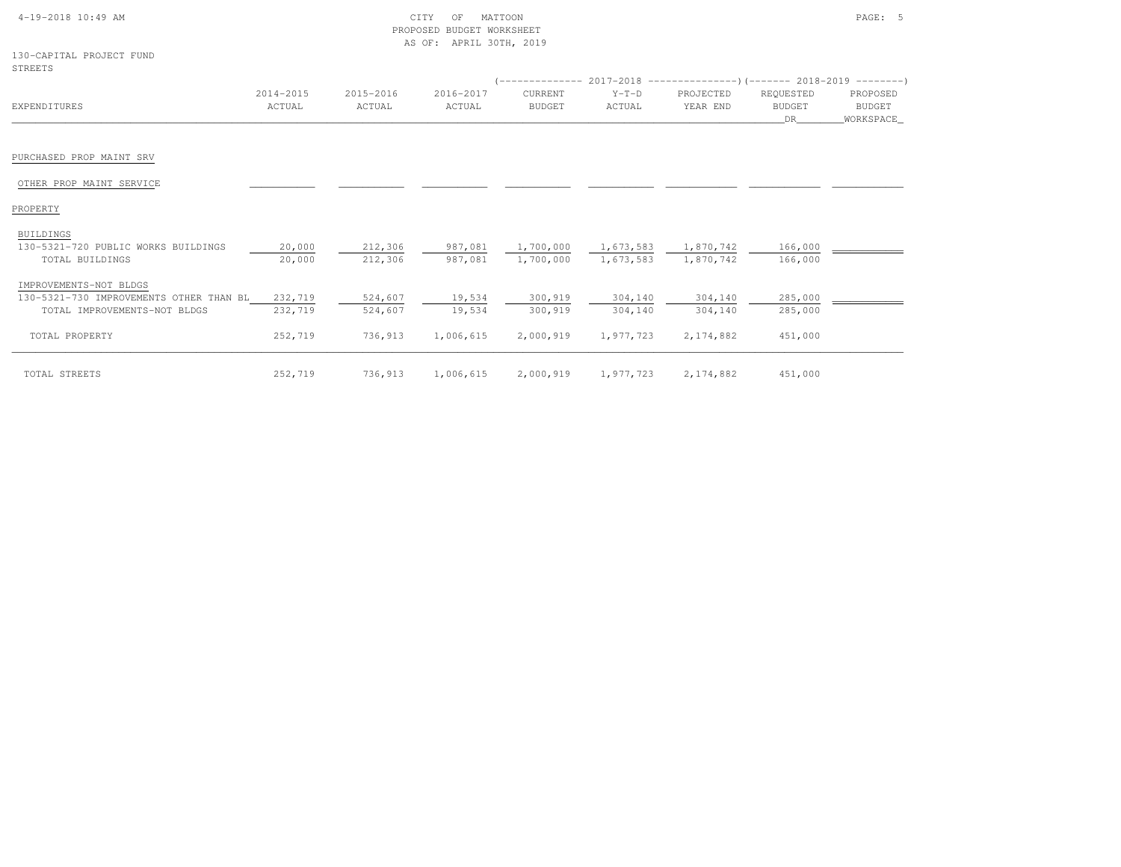| 4-19-2018 10:49 AM |  |  |
|--------------------|--|--|

### $\text{CITY}$  of MATTOON  $\text{PAGE:}$  5 PROPOSED BUDGET WORKSHEETAS OF: APRIL 30TH, 2019

| 130-CAPITAL PROJECT FUND |  |
|--------------------------|--|
| STREETS                  |  |

|                                         |           |           |           | (-------------- 2017-2018 -------------------- ) (------- 2018-2019 ---------) |           |             |               |           |
|-----------------------------------------|-----------|-----------|-----------|--------------------------------------------------------------------------------|-----------|-------------|---------------|-----------|
|                                         | 2014-2015 | 2015-2016 | 2016-2017 | CURRENT                                                                        | $Y-T-D$   | PROJECTED   | REQUESTED     | PROPOSED  |
| EXPENDITURES                            | ACTUAL    | ACTUAL    | ACTUAL    | <b>BUDGET</b>                                                                  | ACTUAL    | YEAR END    | <b>BUDGET</b> | BUDGET    |
|                                         |           |           |           |                                                                                |           |             | DR            | WORKSPACE |
|                                         |           |           |           |                                                                                |           |             |               |           |
| PURCHASED PROP MAINT SRV                |           |           |           |                                                                                |           |             |               |           |
| OTHER PROP MAINT SERVICE                |           |           |           |                                                                                |           |             |               |           |
| PROPERTY                                |           |           |           |                                                                                |           |             |               |           |
| <b>BUILDINGS</b>                        |           |           |           |                                                                                |           |             |               |           |
| 130-5321-720 PUBLIC WORKS BUILDINGS     | 20,000    | 212,306   | 987,081   | 1,700,000                                                                      | 1,673,583 | 1,870,742   | 166,000       |           |
| TOTAL BUILDINGS                         | 20,000    | 212,306   | 987,081   | 1,700,000                                                                      | 1,673,583 | 1,870,742   | 166,000       |           |
| IMPROVEMENTS-NOT BLDGS                  |           |           |           |                                                                                |           |             |               |           |
| 130-5321-730 IMPROVEMENTS OTHER THAN BL | 232,719   | 524,607   | 19,534    | 300,919                                                                        | 304,140   | 304,140     | 285,000       |           |
| TOTAL IMPROVEMENTS-NOT BLDGS            | 232,719   | 524,607   | 19,534    | 300,919                                                                        | 304,140   | 304,140     | 285,000       |           |
| TOTAL PROPERTY                          | 252,719   | 736,913   | 1,006,615 | 2,000,919                                                                      | 1,977,723 | 2,174,882   | 451,000       |           |
| TOTAL STREETS                           | 252,719   | 736,913   | 1,006,615 | 2,000,919                                                                      | 1,977,723 | 2, 174, 882 | 451,000       |           |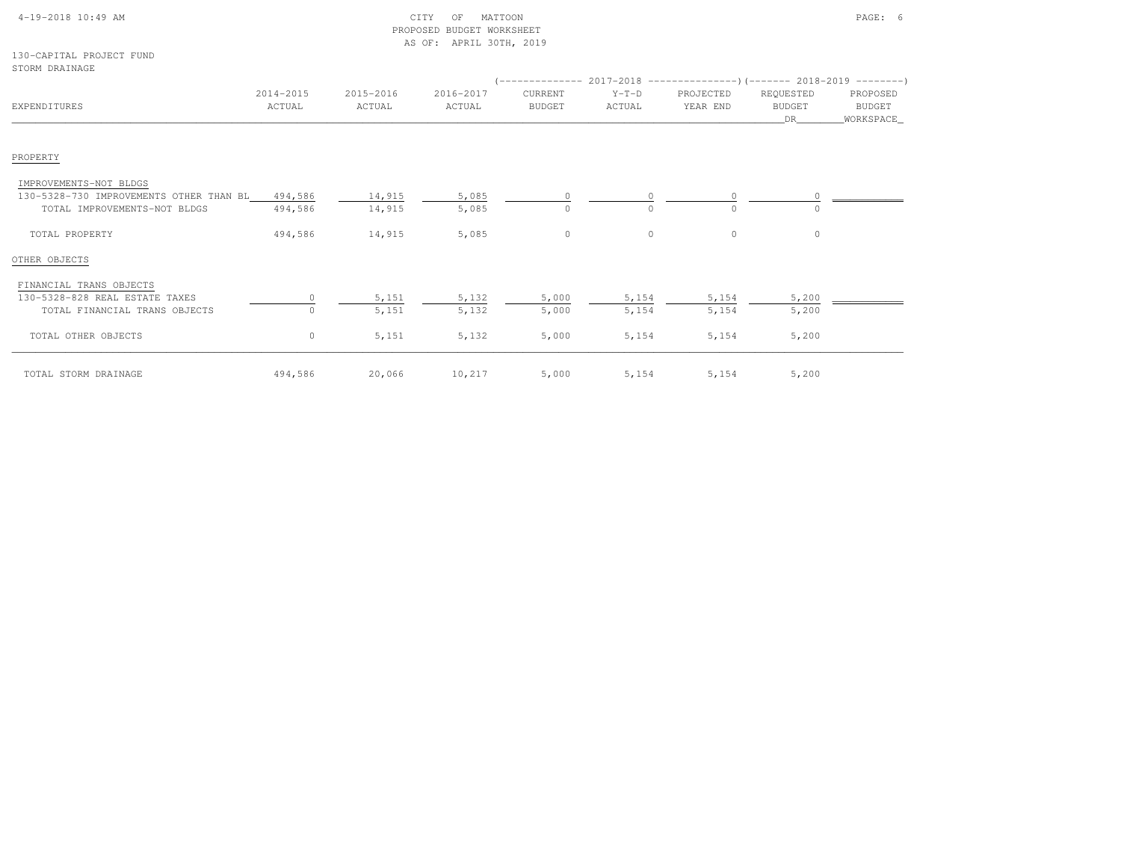| $4-19-2018$ 10:49 AM |  |  |
|----------------------|--|--|
|                      |  |  |

130-CAPITAL PROJECT FUNDSTORM DRAINAGE

| SIUKM DKAINAGE                          |                     |                     |                     |                          |                   |                       |                                   |                                   |
|-----------------------------------------|---------------------|---------------------|---------------------|--------------------------|-------------------|-----------------------|-----------------------------------|-----------------------------------|
| EXPENDITURES                            | 2014-2015<br>ACTUAL | 2015-2016<br>ACTUAL | 2016-2017<br>ACTUAL | CURRENT<br><b>BUDGET</b> | $Y-T-D$<br>ACTUAL | PROJECTED<br>YEAR END | REQUESTED<br><b>BUDGET</b><br>DR. | PROPOSED<br>BUDGET<br>_WORKSPACE_ |
| PROPERTY                                |                     |                     |                     |                          |                   |                       |                                   |                                   |
| IMPROVEMENTS-NOT BLDGS                  |                     |                     |                     |                          |                   |                       |                                   |                                   |
| 130-5328-730 IMPROVEMENTS OTHER THAN BL | 494,586             | 14,915              | 5,085               | $\mathbf{0}$             | $\circ$           | $\circ$               |                                   |                                   |
| TOTAL IMPROVEMENTS-NOT BLDGS            | 494,586             | 14,915              | 5,085               | $\circ$                  |                   | $\Omega$              |                                   |                                   |
| TOTAL PROPERTY                          | 494,586             | 14,915              | 5,085               | $\circ$                  | $\circ$           | $\mathbf{0}$          | $\circ$                           |                                   |
| OTHER OBJECTS                           |                     |                     |                     |                          |                   |                       |                                   |                                   |
| FINANCIAL TRANS OBJECTS                 |                     |                     |                     |                          |                   |                       |                                   |                                   |
| 130-5328-828 REAL ESTATE TAXES          |                     | 5,151               | 5,132               | 5,000                    | 5,154             | 5,154                 | 5,200                             |                                   |
| TOTAL FINANCIAL TRANS OBJECTS           |                     | 5,151               | 5,132               | 5,000                    | 5,154             | 5,154                 | 5,200                             |                                   |
| TOTAL OTHER OBJECTS                     | $\circ$             | 5,151               | 5,132               | 5,000                    | 5,154             | 5,154                 | 5,200                             |                                   |
| TOTAL STORM DRAINAGE                    | 494,586             | 20,066              | 10,217              | 5,000                    | 5,154             | 5,154                 | 5,200                             |                                   |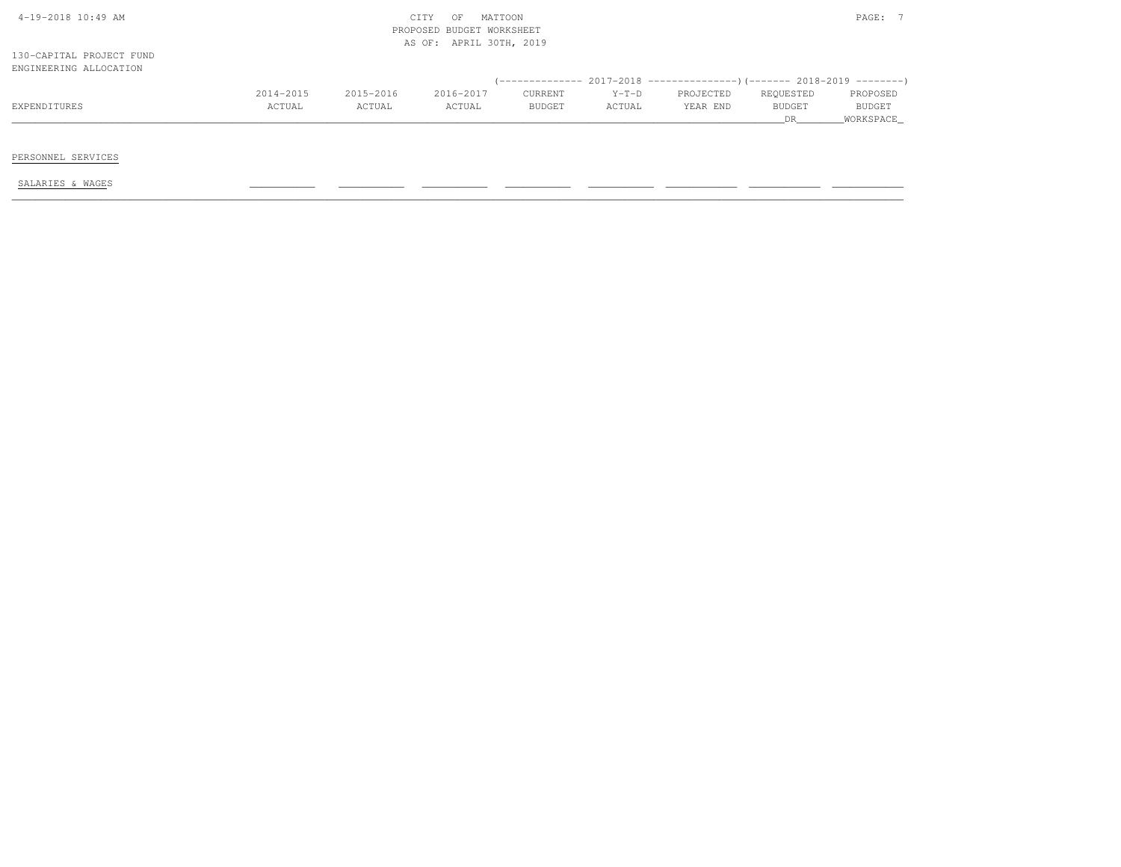| $4-19-2018$ $10:49$ AM                             |           |           | MATTOON<br>CITY<br>OF<br>PROPOSED BUDGET WORKSHEET<br>AS OF: APRIL 30TH, 2019 |         |         |                                                                         |               | PAGE: 7   |
|----------------------------------------------------|-----------|-----------|-------------------------------------------------------------------------------|---------|---------|-------------------------------------------------------------------------|---------------|-----------|
| 130-CAPITAL PROJECT FUND<br>ENGINEERING ALLOCATION |           |           |                                                                               |         |         |                                                                         |               |           |
|                                                    |           |           |                                                                               |         |         | (-------------- 2017-2018 ----------------)(------- 2018-2019 --------) |               |           |
|                                                    | 2014-2015 | 2015-2016 | 2016-2017                                                                     | CURRENT | $Y-T-D$ | PROJECTED                                                               | REQUESTED     | PROPOSED  |
| EXPENDITURES                                       | ACTUAL    | ACTUAL    | ACTUAL                                                                        | BUDGET  | ACTUAL  | YEAR END                                                                | <b>BUDGET</b> | BUDGET    |
|                                                    |           |           |                                                                               |         |         |                                                                         | DR            | WORKSPACE |
|                                                    |           |           |                                                                               |         |         |                                                                         |               |           |
|                                                    |           |           |                                                                               |         |         |                                                                         |               |           |
| PERSONNEL SERVICES                                 |           |           |                                                                               |         |         |                                                                         |               |           |
|                                                    |           |           |                                                                               |         |         |                                                                         |               |           |
| SALARIES & WAGES                                   |           |           |                                                                               |         |         |                                                                         |               |           |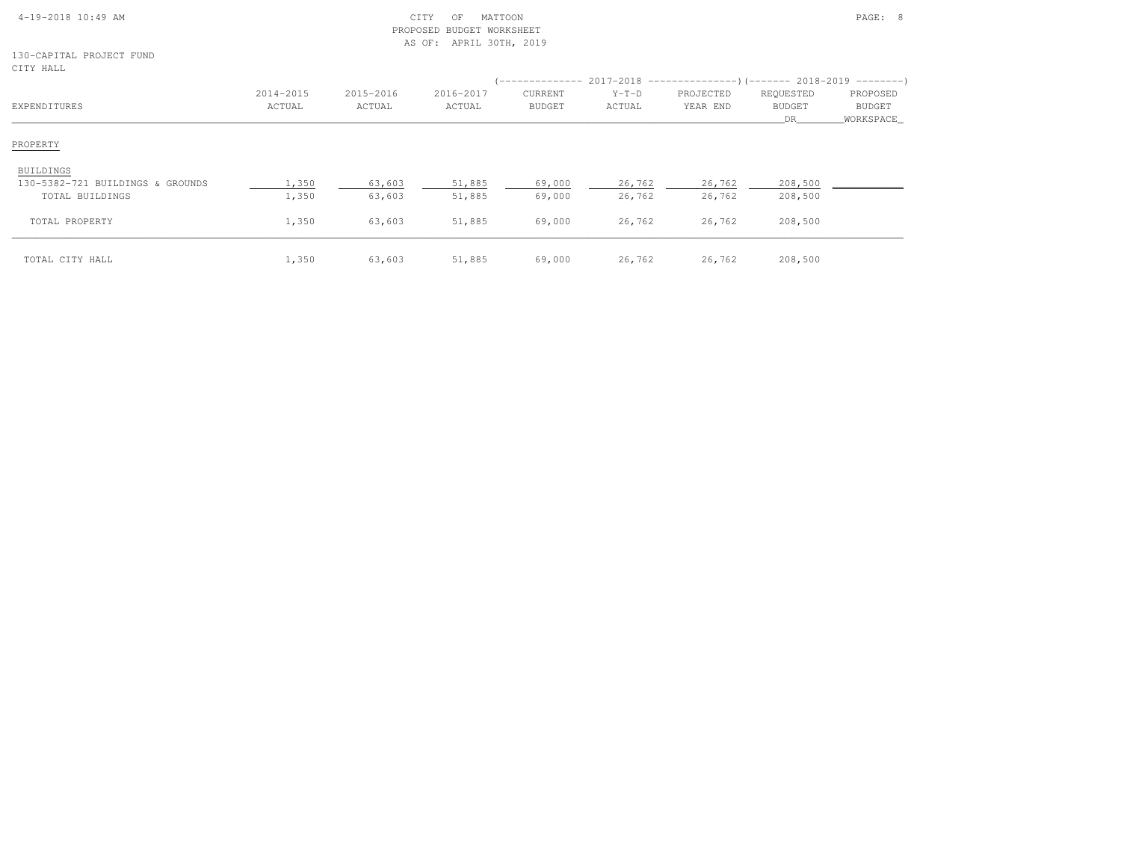|  | $4-19-2018$ 10:49 AM |  |  |
|--|----------------------|--|--|

#### 4-19-2018 10:49 AM CITY OF MATTOON PAGE: 8 PROPOSED BUDGET WORKSHEETAS OF: APRIL 30TH, 2019

130-CAPITAL PROJECT FUNDCITY HALL

| سستندء عديب                      |                     |                     |                     |                          |                   | $(-------- 2017-2018$ $----- 017-2018$ $(-------- 018-2018-2019$ $(-----)$ |                                  |                                        |
|----------------------------------|---------------------|---------------------|---------------------|--------------------------|-------------------|----------------------------------------------------------------------------|----------------------------------|----------------------------------------|
| EXPENDITURES                     | 2014-2015<br>ACTUAL | 2015-2016<br>ACTUAL | 2016-2017<br>ACTUAL | CURRENT<br><b>BUDGET</b> | $Y-T-D$<br>ACTUAL | PROJECTED<br>YEAR END                                                      | REQUESTED<br><b>BUDGET</b><br>DR | PROPOSED<br><b>BUDGET</b><br>WORKSPACE |
| PROPERTY                         |                     |                     |                     |                          |                   |                                                                            |                                  |                                        |
| BUILDINGS                        |                     |                     |                     |                          |                   |                                                                            |                                  |                                        |
| 130-5382-721 BUILDINGS & GROUNDS | 1,350               | 63,603              | 51,885              | 69,000                   | 26,762            | 26,762                                                                     | 208,500                          |                                        |
| TOTAL BUILDINGS                  | 1,350               | 63,603              | 51,885              | 69,000                   | 26,762            | 26,762                                                                     | 208,500                          |                                        |
| TOTAL PROPERTY                   | 1,350               | 63,603              | 51,885              | 69,000                   | 26,762            | 26,762                                                                     | 208,500                          |                                        |
| TOTAL CITY HALL                  | 1,350               | 63,603              | 51,885              | 69,000                   | 26,762            | 26,762                                                                     | 208,500                          |                                        |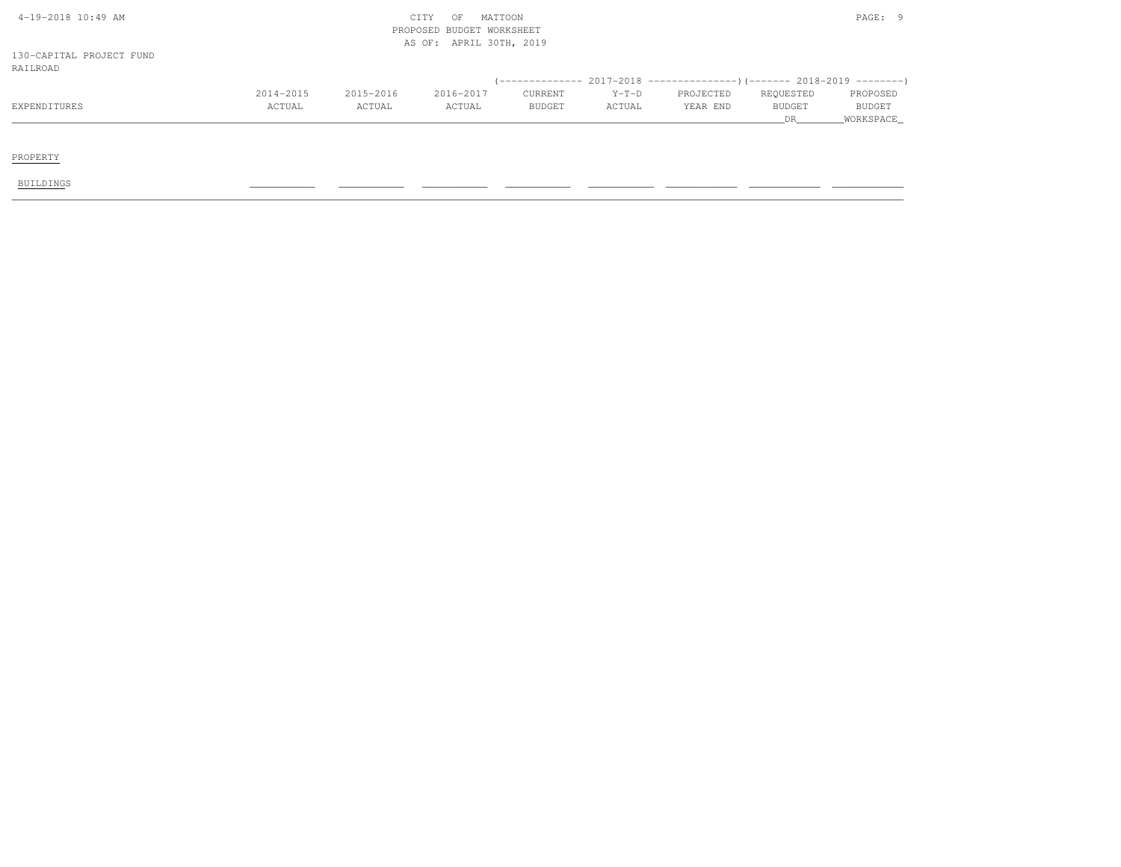| 4-19-2018 10:49 AM       |           |           | CITY<br>OF                | MATTOON |         |           |               | PAGE: 9   |
|--------------------------|-----------|-----------|---------------------------|---------|---------|-----------|---------------|-----------|
|                          |           |           | PROPOSED BUDGET WORKSHEET |         |         |           |               |           |
|                          |           |           | AS OF: APRIL 30TH, 2019   |         |         |           |               |           |
| 130-CAPITAL PROJECT FUND |           |           |                           |         |         |           |               |           |
| RAILROAD                 |           |           |                           |         |         |           |               |           |
|                          |           |           |                           |         |         |           |               |           |
|                          | 2014-2015 | 2015-2016 | 2016-2017                 | CURRENT | $Y-T-D$ | PROJECTED | REQUESTED     | PROPOSED  |
| EXPENDITURES             | ACTUAL    | ACTUAL    | ACTUAL                    | BUDGET  | ACTUAL  | YEAR END  | <b>BUDGET</b> | BUDGET    |
|                          |           |           |                           |         |         |           | DR            | WORKSPACE |
|                          |           |           |                           |         |         |           |               |           |
|                          |           |           |                           |         |         |           |               |           |
| PROPERTY                 |           |           |                           |         |         |           |               |           |
|                          |           |           |                           |         |         |           |               |           |
| <b>BUILDINGS</b>         |           |           |                           |         |         |           |               |           |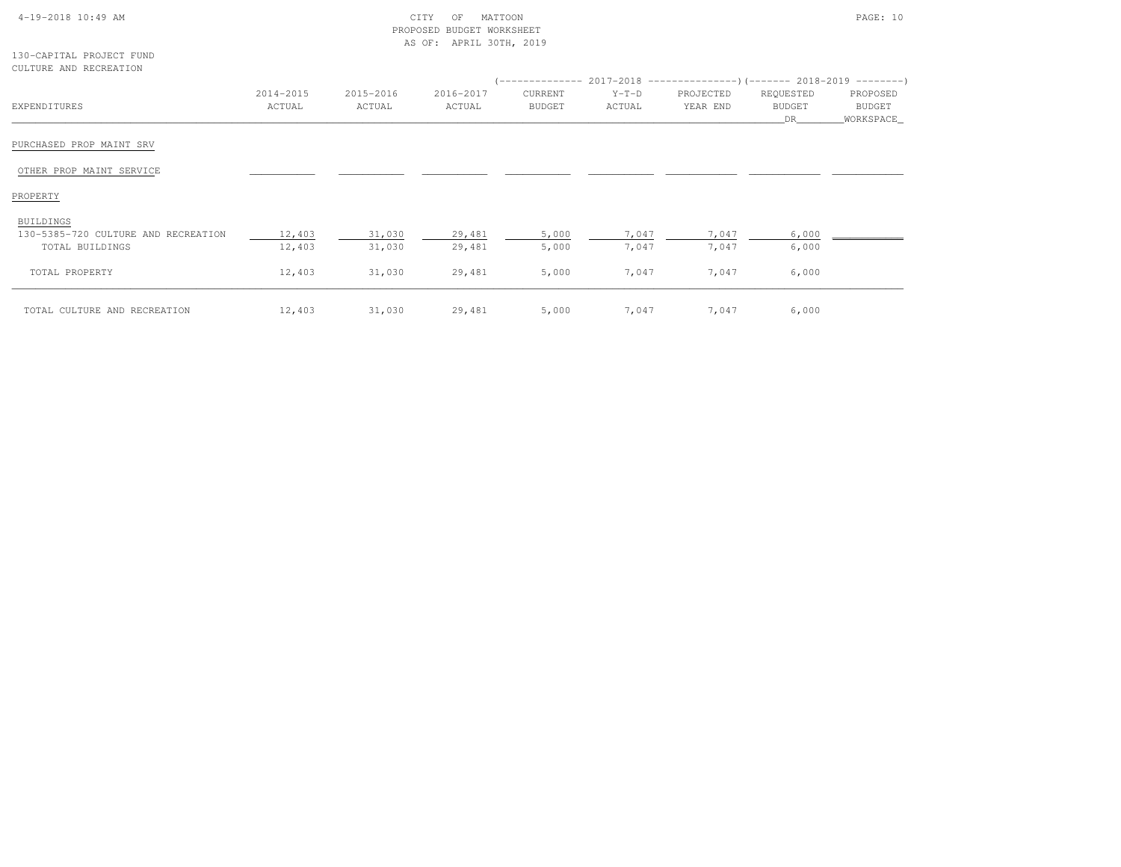| $4-19-2018$ $10:49$ AM |  |  |
|------------------------|--|--|

|                        | 130-CAPITAL PROJECT FUND |
|------------------------|--------------------------|
| CULTURE AND RECREATION |                          |

|                                     |                     |                     |                     | (-------------- 2017-2018 ---------------------- 2018-2019 ---------------------- |                   |                       |                            |                    |
|-------------------------------------|---------------------|---------------------|---------------------|-----------------------------------------------------------------------------------|-------------------|-----------------------|----------------------------|--------------------|
| EXPENDITURES                        | 2014-2015<br>ACTUAL | 2015-2016<br>ACTUAL | 2016-2017<br>ACTUAL | CURRENT<br><b>BUDGET</b>                                                          | $Y-T-D$<br>ACTUAL | PROJECTED<br>YEAR END | REQUESTED<br><b>BUDGET</b> | PROPOSED<br>BUDGET |
|                                     |                     |                     |                     |                                                                                   |                   |                       | DR                         | _WORKSPACE_        |
| PURCHASED PROP MAINT SRV            |                     |                     |                     |                                                                                   |                   |                       |                            |                    |
| OTHER PROP MAINT SERVICE            |                     |                     |                     |                                                                                   |                   |                       |                            |                    |
| PROPERTY                            |                     |                     |                     |                                                                                   |                   |                       |                            |                    |
| BUILDINGS                           |                     |                     |                     |                                                                                   |                   |                       |                            |                    |
| 130-5385-720 CULTURE AND RECREATION | 12,403              | 31,030              | 29,481              | 5,000                                                                             | 7,047             | 7,047                 | 6,000                      |                    |
| TOTAL BUILDINGS                     | 12,403              | 31,030              | 29,481              | 5,000                                                                             | 7,047             | 7,047                 | 6,000                      |                    |
| TOTAL PROPERTY                      | 12,403              | 31,030              | 29,481              | 5,000                                                                             | 7,047             | 7,047                 | 6,000                      |                    |
| TOTAL CULTURE AND RECREATION        | 12,403              | 31,030              | 29,481              | 5,000                                                                             | 7,047             | 7,047                 | 6,000                      |                    |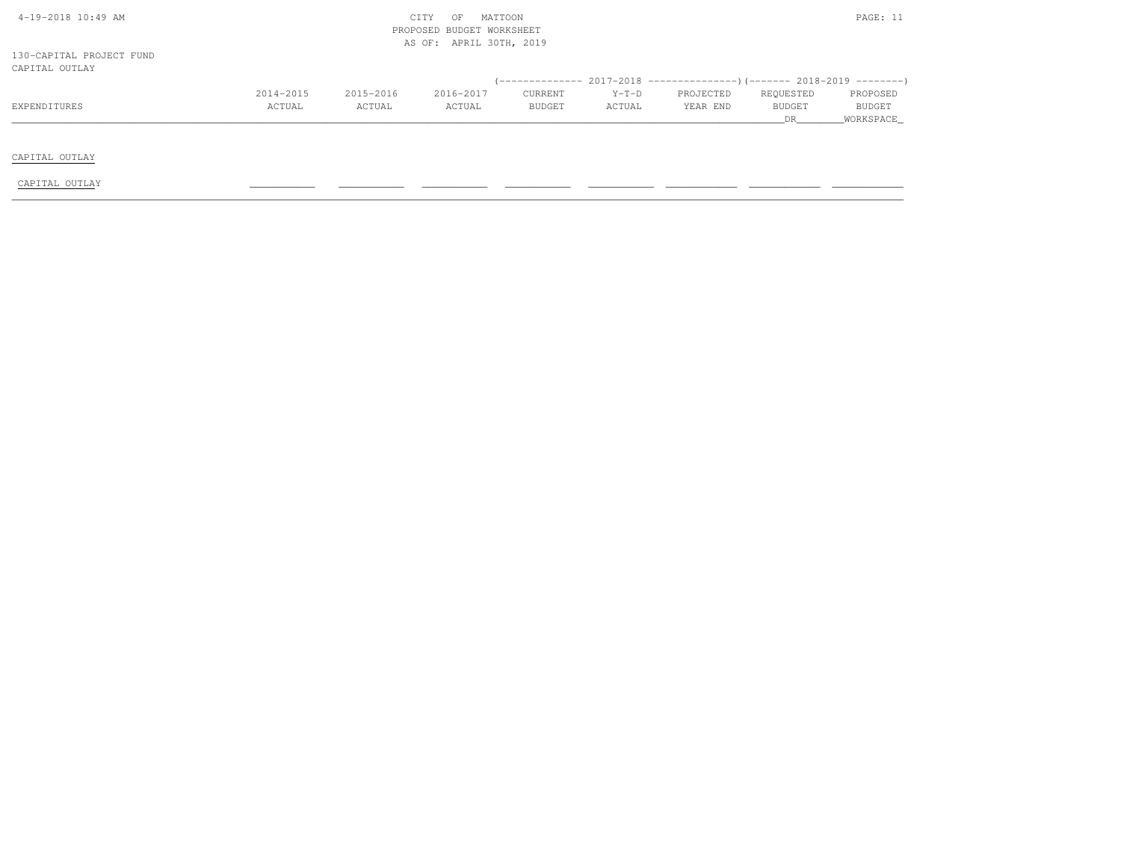| 4-19-2018 10:49 AM       |           |           | CITY<br>OF                | MATTOON       |         |           |           | PAGE: 11  |
|--------------------------|-----------|-----------|---------------------------|---------------|---------|-----------|-----------|-----------|
|                          |           |           | PROPOSED BUDGET WORKSHEET |               |         |           |           |           |
|                          |           |           | AS OF: APRIL 30TH, 2019   |               |         |           |           |           |
| 130-CAPITAL PROJECT FUND |           |           |                           |               |         |           |           |           |
| CAPITAL OUTLAY           |           |           |                           |               |         |           |           |           |
|                          |           |           |                           |               |         |           |           |           |
|                          | 2014-2015 | 2015-2016 | 2016-2017                 | CURRENT       | $Y-T-D$ | PROJECTED | REQUESTED | PROPOSED  |
| EXPENDITURES             | ACTUAL    | ACTUAL    | ACTUAL                    | <b>BUDGET</b> | ACTUAL  | YEAR END  | BUDGET    | BUDGET    |
|                          |           |           |                           |               |         |           | DR        | WORKSPACE |
|                          |           |           |                           |               |         |           |           |           |
|                          |           |           |                           |               |         |           |           |           |
| CAPITAL OUTLAY           |           |           |                           |               |         |           |           |           |
|                          |           |           |                           |               |         |           |           |           |
| CAPITAL OUTLAY           |           |           |                           |               |         |           |           |           |
|                          |           |           |                           |               |         |           |           |           |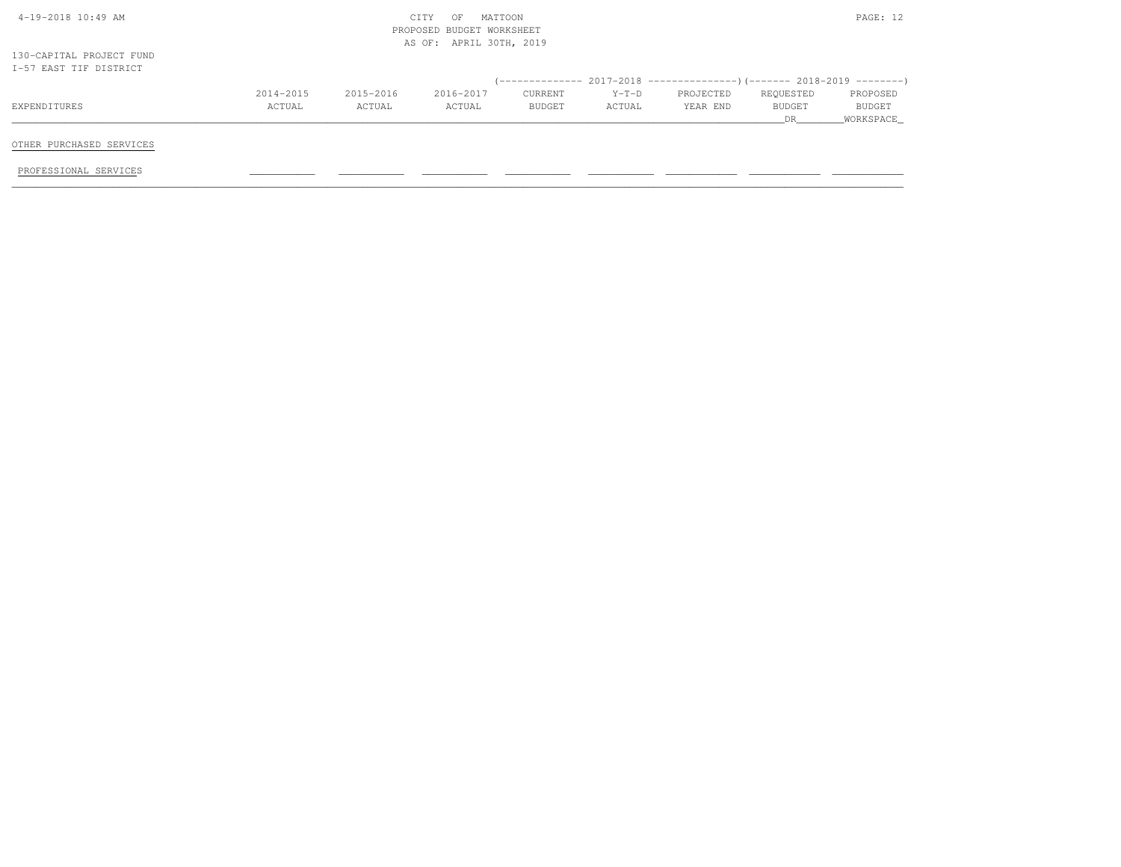|           |                     | AS OF: APRIL 30TH, 2019 |         |           |               |                                                                          |
|-----------|---------------------|-------------------------|---------|-----------|---------------|--------------------------------------------------------------------------|
|           |                     |                         |         |           |               |                                                                          |
|           |                     |                         |         |           |               |                                                                          |
| 2015-2016 | 2016-2017           | CURRENT                 | $Y-T-D$ | PROJECTED | REQUESTED     | PROPOSED                                                                 |
| ACTUAL    | ACTUAL              | BUDGET                  | ACTUAL  | YEAR END  | <b>BUDGET</b> | BUDGET                                                                   |
|           |                     |                         |         |           | DR.           | WORKSPACE                                                                |
|           | 2014-2015<br>ACTUAL |                         |         |           |               | (-------------- 2017-2018 ----------------)(------- 2018-2019 ---------) |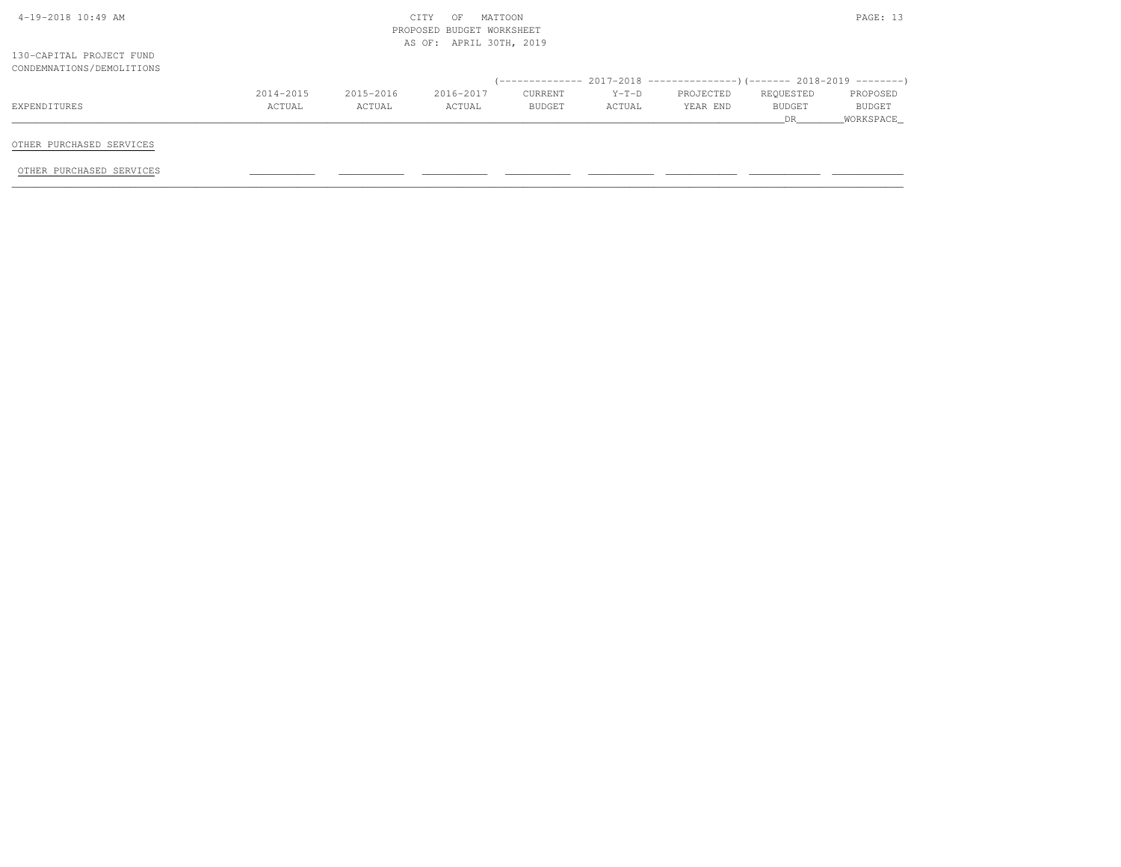| $4-19-2018$ $10:49$ AM    |           |           | CITY<br>MATTOON<br>OF     |         |         |                                                                               |               | PAGE: 13      |
|---------------------------|-----------|-----------|---------------------------|---------|---------|-------------------------------------------------------------------------------|---------------|---------------|
|                           |           |           | PROPOSED BUDGET WORKSHEET |         |         |                                                                               |               |               |
|                           |           |           | AS OF: APRIL 30TH, 2019   |         |         |                                                                               |               |               |
| 130-CAPITAL PROJECT FUND  |           |           |                           |         |         |                                                                               |               |               |
| CONDEMNATIONS/DEMOLITIONS |           |           |                           |         |         |                                                                               |               |               |
|                           |           |           |                           |         |         | $(-$ ------------- 2017-2018 -----------------) (------- 2018-2019 ---------) |               |               |
|                           | 2014-2015 | 2015-2016 | 2016-2017                 | CURRENT | $Y-T-D$ | PROJECTED                                                                     | REQUESTED     | PROPOSED      |
| EXPENDITURES              | ACTUAL    | ACTUAL    | ACTUAL                    | BUDGET  | ACTUAL  | YEAR END                                                                      | <b>BUDGET</b> | <b>BUDGET</b> |
|                           |           |           |                           |         |         |                                                                               | DR            | WORKSPACE     |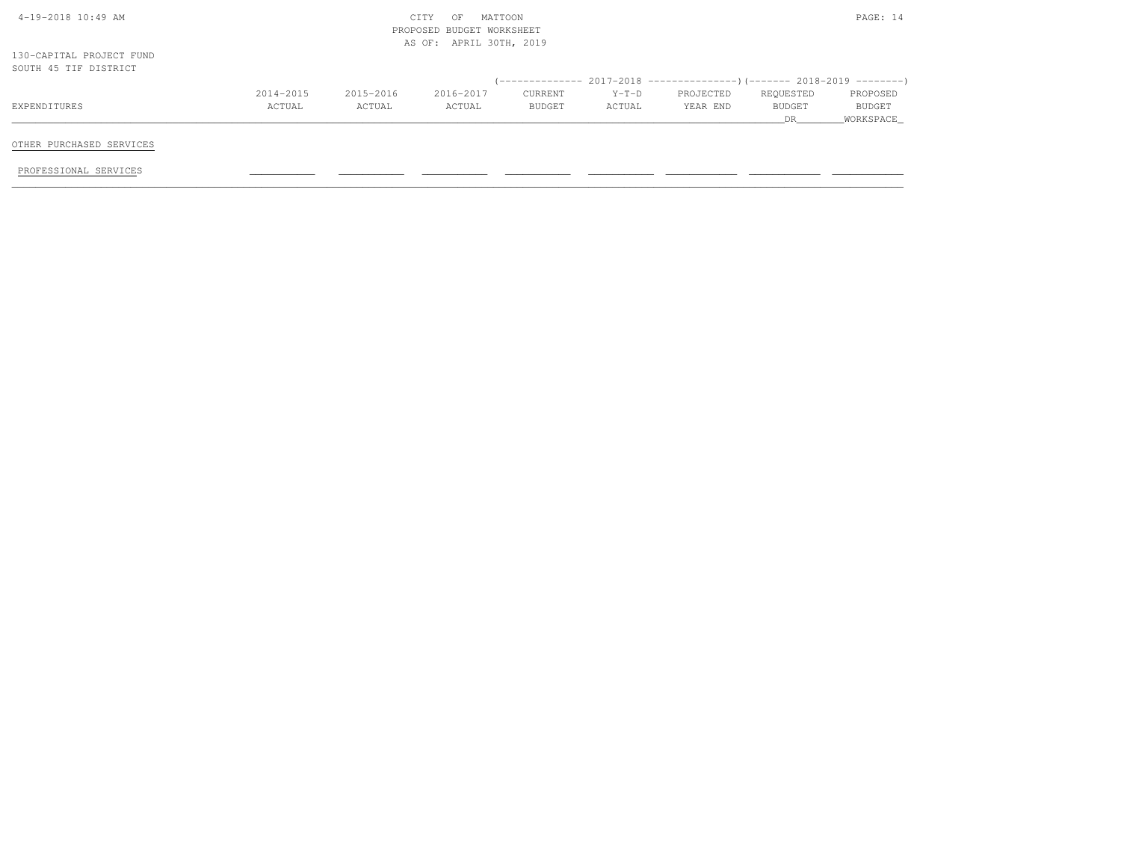| 4-19-2018 10:49 AM       |           |           | CITY<br>OF                | MATTOON |         |                                                                               |           | PAGE: 14  |
|--------------------------|-----------|-----------|---------------------------|---------|---------|-------------------------------------------------------------------------------|-----------|-----------|
|                          |           |           | PROPOSED BUDGET WORKSHEET |         |         |                                                                               |           |           |
|                          |           |           | AS OF: APRIL 30TH, 2019   |         |         |                                                                               |           |           |
| 130-CAPITAL PROJECT FUND |           |           |                           |         |         |                                                                               |           |           |
| SOUTH 45 TIF DISTRICT    |           |           |                           |         |         |                                                                               |           |           |
|                          |           |           |                           |         |         | $($ -------------- 2017-2018 -----------------) (------- 2018-2019 ---------) |           |           |
|                          | 2014-2015 | 2015-2016 | 2016-2017                 | CURRENT | $Y-T-D$ | PROJECTED                                                                     | REQUESTED | PROPOSED  |
| EXPENDITURES             | ACTUAL    | ACTUAL    | ACTUAL                    | BUDGET  | ACTUAL  | YEAR END                                                                      | BUDGET    | BUDGET    |
|                          |           |           |                           |         |         |                                                                               | DR.       | WORKSPACE |
|                          |           |           |                           |         |         |                                                                               |           |           |
| OTHER PURCHASED SERVICES |           |           |                           |         |         |                                                                               |           |           |
|                          |           |           |                           |         |         |                                                                               |           |           |
| PROFESSIONAL SERVICES    |           |           |                           |         |         |                                                                               |           |           |
|                          |           |           |                           |         |         |                                                                               |           |           |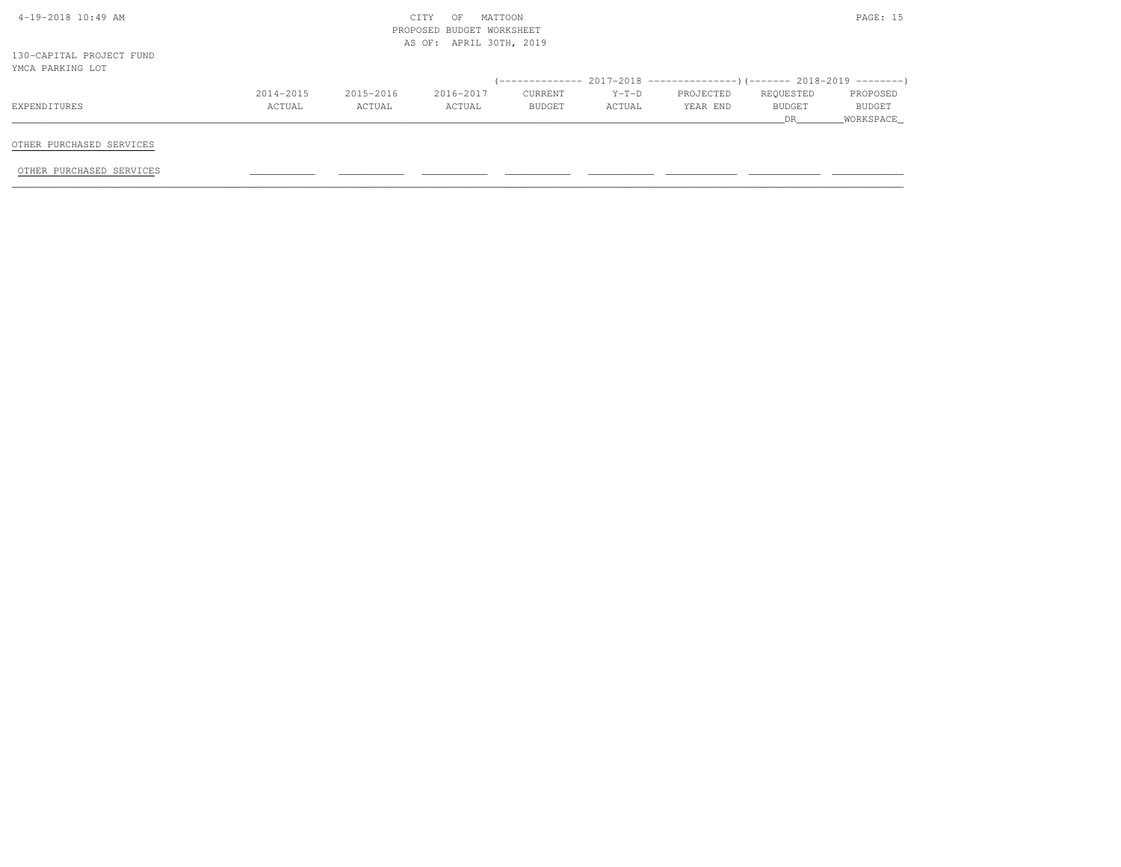| $4-19-2018$ $10:49$ AM                       |           |           | CITY<br>MATTOON<br>OF     |         |         |                                                                            |               | PAGE: 15  |
|----------------------------------------------|-----------|-----------|---------------------------|---------|---------|----------------------------------------------------------------------------|---------------|-----------|
|                                              |           |           | PROPOSED BUDGET WORKSHEET |         |         |                                                                            |               |           |
|                                              |           |           | AS OF: APRIL 30TH, 2019   |         |         |                                                                            |               |           |
| 130-CAPITAL PROJECT FUND<br>YMCA PARKING LOT |           |           |                           |         |         |                                                                            |               |           |
|                                              |           |           |                           |         |         | (-------------- 2017-2018 -----------------) (------- 2018-2019 ---------) |               |           |
|                                              | 2014-2015 | 2015-2016 | 2016-2017                 | CURRENT | $Y-T-D$ | PROJECTED                                                                  | REQUESTED     | PROPOSED  |
| EXPENDITURES                                 | ACTUAL    | ACTUAL    | ACTUAL                    | BUDGET  | ACTUAL  | YEAR END                                                                   | <b>BUDGET</b> | BUDGET    |
|                                              |           |           |                           |         |         |                                                                            | DR.           | WORKSPACE |
|                                              |           |           |                           |         |         |                                                                            |               |           |
| OTHER PURCHASED SERVICES                     |           |           |                           |         |         |                                                                            |               |           |
|                                              |           |           |                           |         |         |                                                                            |               |           |
| OTHER PURCHASED SERVICES                     |           |           |                           |         |         |                                                                            |               |           |
|                                              |           |           |                           |         |         |                                                                            |               |           |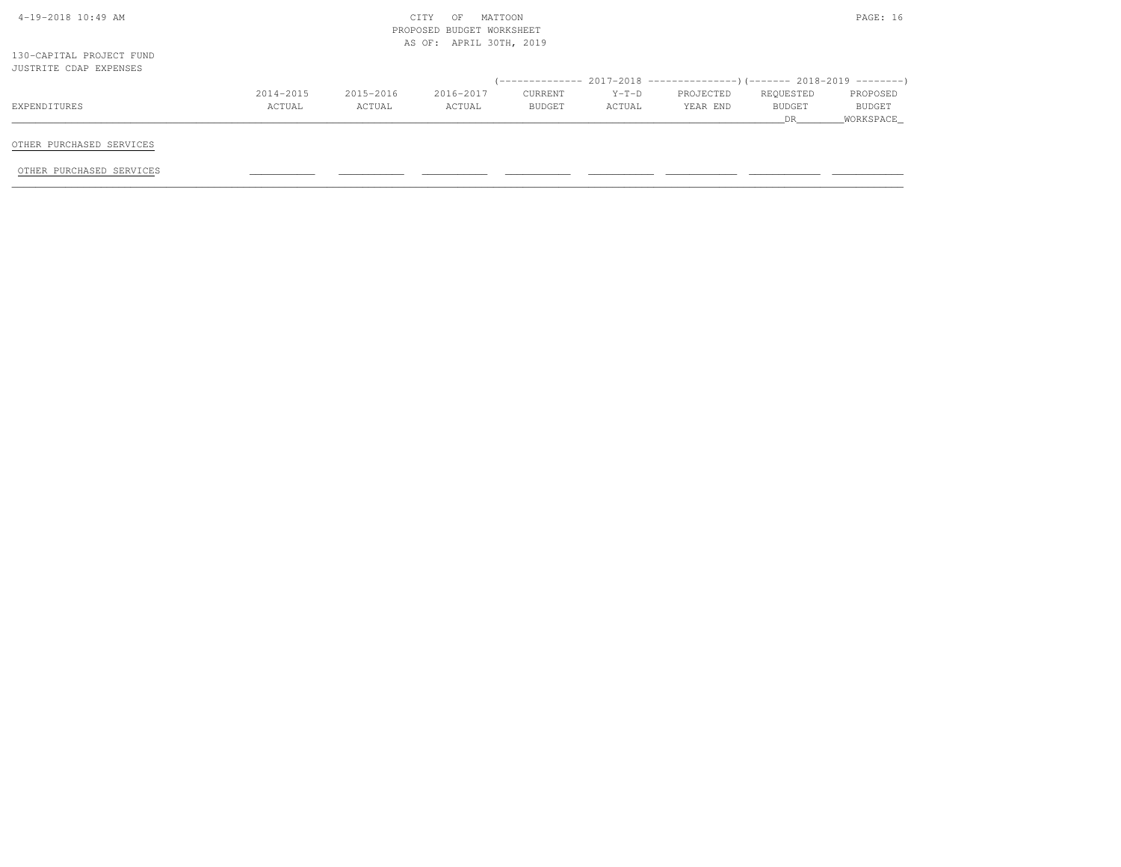| $4-19-2018$ $10:49$ AM   |           |           | CITY<br>MATTOON<br>OF     |         |         |           |           | PAGE: 16      |
|--------------------------|-----------|-----------|---------------------------|---------|---------|-----------|-----------|---------------|
|                          |           |           | PROPOSED BUDGET WORKSHEET |         |         |           |           |               |
|                          |           |           | AS OF: APRIL 30TH, 2019   |         |         |           |           |               |
| 130-CAPITAL PROJECT FUND |           |           |                           |         |         |           |           |               |
| JUSTRITE CDAP EXPENSES   |           |           |                           |         |         |           |           |               |
|                          |           |           |                           |         |         |           |           |               |
|                          | 2014-2015 | 2015-2016 | 2016-2017                 | CURRENT | $Y-T-D$ | PROJECTED | REQUESTED | PROPOSED      |
| EXPENDITURES             | ACTUAL    | ACTUAL    | ACTUAL                    | BUDGET  | ACTUAL  | YEAR END  | BUDGET    | <b>BUDGET</b> |
|                          |           |           |                           |         |         |           | DR        | _WORKSPACE_   |
|                          |           |           |                           |         |         |           |           |               |
| OTHER PURCHASED SERVICES |           |           |                           |         |         |           |           |               |
|                          |           |           |                           |         |         |           |           |               |
| OTHER PURCHASED SERVICES |           |           |                           |         |         |           |           |               |
|                          |           |           |                           |         |         |           |           |               |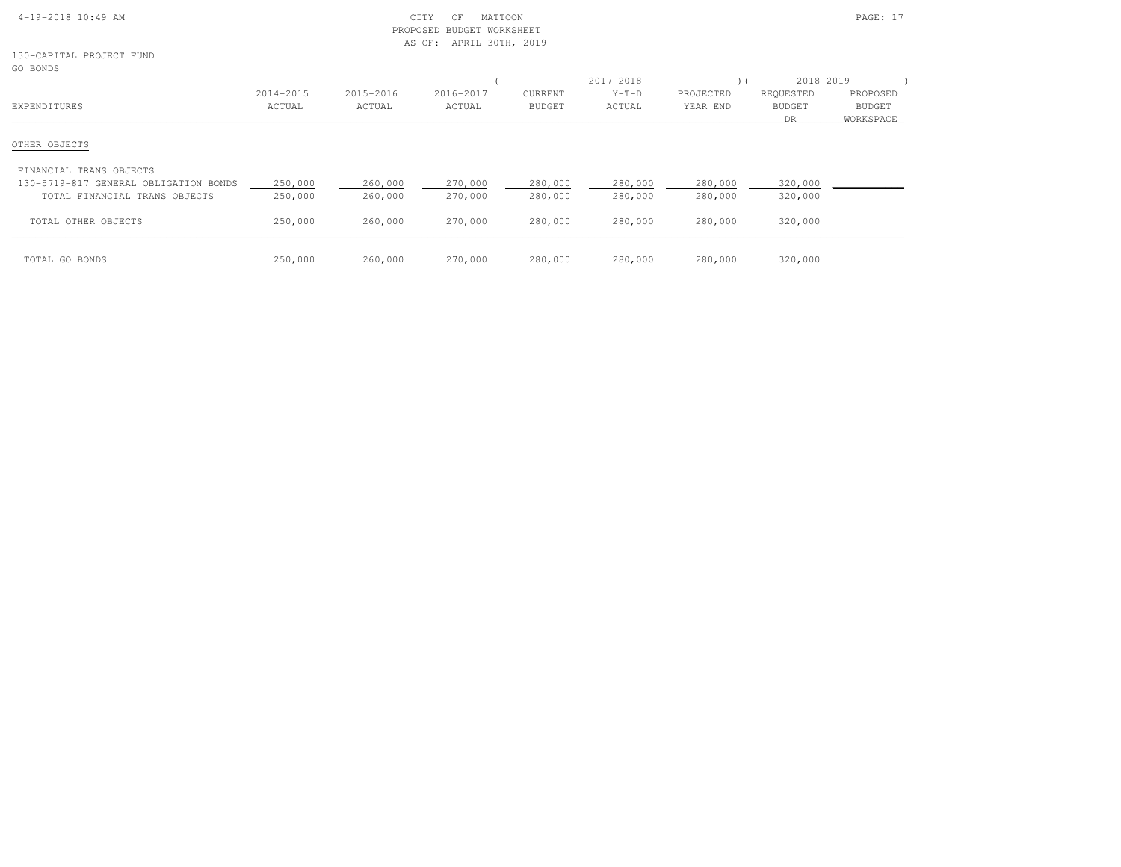| $4-19-2018$ 10:49 AM |  |
|----------------------|--|

130-CAPITAL PROJECT FUNDGO BONDS

| GO DOMDO                              |                     |                     |                     | ' ---------------               |                   |                       |                                  |                                 |
|---------------------------------------|---------------------|---------------------|---------------------|---------------------------------|-------------------|-----------------------|----------------------------------|---------------------------------|
| EXPENDITURES                          | 2014-2015<br>ACTUAL | 2015-2016<br>ACTUAL | 2016-2017<br>ACTUAL | <b>CURRENT</b><br><b>BUDGET</b> | $Y-T-D$<br>ACTUAL | PROJECTED<br>YEAR END | REQUESTED<br><b>BUDGET</b><br>DR | PROPOSED<br>BUDGET<br>WORKSPACE |
| OTHER OBJECTS                         |                     |                     |                     |                                 |                   |                       |                                  |                                 |
| FINANCIAL TRANS OBJECTS               |                     |                     |                     |                                 |                   |                       |                                  |                                 |
| 130-5719-817 GENERAL OBLIGATION BONDS | 250,000             | 260,000             | 270,000             | 280,000                         | 280,000           | 280,000               | 320,000                          |                                 |
| TOTAL FINANCIAL TRANS OBJECTS         | 250,000             | 260,000             | 270,000             | 280,000                         | 280,000           | 280,000               | 320,000                          |                                 |
| TOTAL OTHER OBJECTS                   | 250,000             | 260,000             | 270,000             | 280,000                         | 280,000           | 280,000               | 320,000                          |                                 |
| TOTAL GO BONDS                        | 250,000             | 260,000             | 270,000             | 280,000                         | 280,000           | 280,000               | 320,000                          |                                 |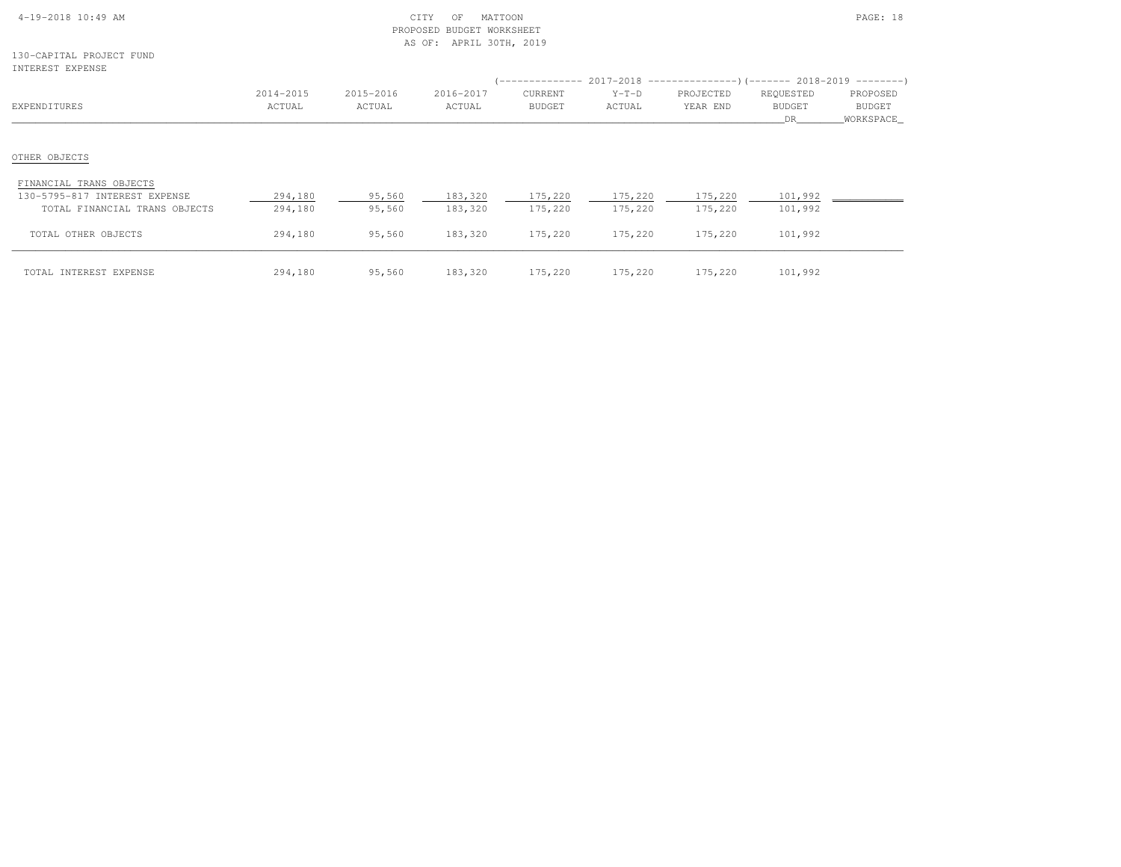| $4-19-2018$ 10:49 AM |  |  |
|----------------------|--|--|

130-CAPITAL PROJECT FUNDINTEREST EXPENSE

| INTEREST EXPENSE                                         |                     |                     |                     |                                 | $($ -------------- 2017-2018 ----------------) (------- 2018-2019 --------) |                       |                                  |                                        |
|----------------------------------------------------------|---------------------|---------------------|---------------------|---------------------------------|-----------------------------------------------------------------------------|-----------------------|----------------------------------|----------------------------------------|
| EXPENDITURES                                             | 2014-2015<br>ACTUAL | 2015-2016<br>ACTUAL | 2016-2017<br>ACTUAL | <b>CURRENT</b><br><b>BUDGET</b> | $Y-T-D$<br>ACTUAL                                                           | PROJECTED<br>YEAR END | REQUESTED<br><b>BUDGET</b><br>DR | PROPOSED<br><b>BUDGET</b><br>WORKSPACE |
| OTHER OBJECTS                                            |                     |                     |                     |                                 |                                                                             |                       |                                  |                                        |
|                                                          |                     |                     |                     |                                 |                                                                             |                       |                                  |                                        |
| FINANCIAL TRANS OBJECTS<br>130-5795-817 INTEREST EXPENSE | 294,180             | 95,560              | 183,320             | 175,220                         | 175,220                                                                     | 175,220               | 101,992                          |                                        |
| TOTAL FINANCIAL TRANS OBJECTS                            | 294,180             | 95,560              | 183,320             | 175,220                         | 175,220                                                                     | 175,220               | 101,992                          |                                        |
| TOTAL OTHER OBJECTS                                      | 294,180             | 95,560              | 183,320             | 175,220                         | 175,220                                                                     | 175,220               | 101,992                          |                                        |
| TOTAL INTEREST EXPENSE                                   | 294,180             | 95,560              | 183,320             | 175,220                         | 175,220                                                                     | 175,220               | 101,992                          |                                        |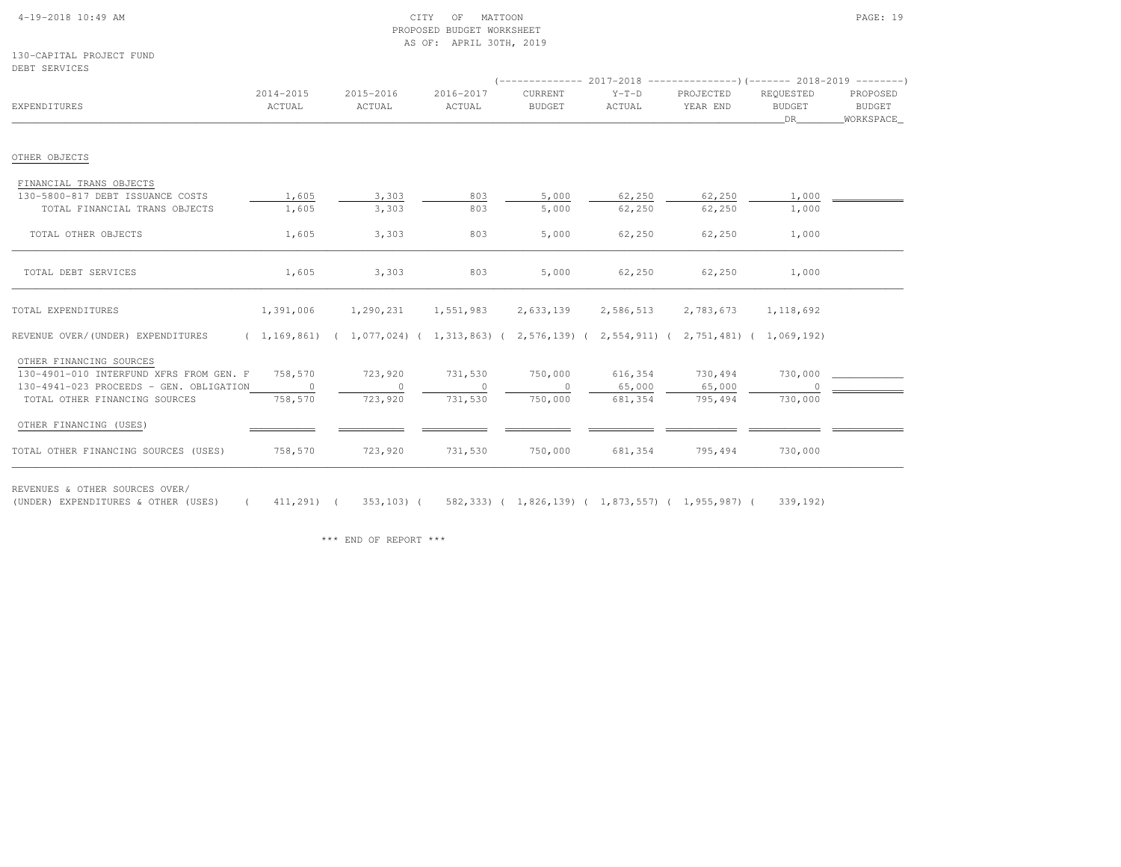#### 4-19-2018 10:49 AM CITY OF MATTOON PAGE: 19 PROPOSED BUDGET WORKSHEETAS OF: APRIL 30TH, 2019

130-CAPITAL PROJECT FUNDDEBT SERVICES

| EXPENDITURES                                                                                                                                   | 2014-2015<br>ACTUAL            | 2015-2016<br>ACTUAL                                                                 | 2016-2017<br>ACTUAL           | CURRENT<br><b>BUDGET</b>      | $Y-T-D$<br>ACTUAL            | (-------------- 2017-2018 -----------------) (------- 2018-2019 ---------)<br>PROJECTED<br>YEAR END | REQUESTED<br><b>BUDGET</b><br>DR | PROPOSED<br>BUDGET<br>WORKSPACE_ |
|------------------------------------------------------------------------------------------------------------------------------------------------|--------------------------------|-------------------------------------------------------------------------------------|-------------------------------|-------------------------------|------------------------------|-----------------------------------------------------------------------------------------------------|----------------------------------|----------------------------------|
| OTHER OBJECTS                                                                                                                                  |                                |                                                                                     |                               |                               |                              |                                                                                                     |                                  |                                  |
| FINANCIAL TRANS OBJECTS<br>130-5800-817 DEBT ISSUANCE COSTS<br>TOTAL FINANCIAL TRANS OBJECTS<br>TOTAL OTHER OBJECTS                            | 1,605<br>1,605<br>1,605        | 3,303<br>3,303<br>3,303                                                             | 803<br>803<br>803             | 5,000<br>5,000<br>5,000       | 62,250<br>62,250<br>62,250   | 62,250<br>62,250<br>62,250                                                                          | 1,000<br>1,000<br>1,000          |                                  |
| TOTAL DEBT SERVICES                                                                                                                            | 1,605                          | 3,303                                                                               | 803                           | 5,000                         | 62,250                       | 62,250                                                                                              | 1,000                            |                                  |
| TOTAL EXPENDITURES                                                                                                                             | 1,391,006                      | 1,290,231                                                                           | 1,551,983                     | 2,633,139                     | 2,586,513                    | 2,783,673                                                                                           | 1,118,692                        |                                  |
| REVENUE OVER/(UNDER) EXPENDITURES                                                                                                              | (1, 169, 861)                  | $(1,077,024)$ $(1,313,863)$ $(2,576,139)$ $(2,554,911)$ $(2,751,481)$ $(1,069,192)$ |                               |                               |                              |                                                                                                     |                                  |                                  |
| OTHER FINANCING SOURCES<br>130-4901-010 INTERFUND XFRS FROM GEN. F<br>130-4941-023 PROCEEDS - GEN. OBLIGATION<br>TOTAL OTHER FINANCING SOURCES | 758,570<br>$\sim$ 0<br>758,570 | 723,920<br>723,920                                                                  | 731,530<br>$\circ$<br>731,530 | 750,000<br>$\circ$<br>750,000 | 616,354<br>65,000<br>681,354 | 730,494<br>65,000<br>795,494                                                                        | 730,000<br>730,000               |                                  |
| OTHER FINANCING (USES)                                                                                                                         |                                |                                                                                     |                               |                               |                              |                                                                                                     |                                  |                                  |
| TOTAL OTHER FINANCING SOURCES (USES)                                                                                                           | 758,570                        | 723,920                                                                             | 731,530                       | 750,000                       | 681,354                      | 795,494                                                                                             | 730,000                          |                                  |

REVENUES & OTHER SOURCES OVER/

(UNDER) EXPENDITURES & OTHER (USES) ( 411,291) ( 353,103) ( 582,333) ( 1,826,139) ( 1,873,557) ( 1,955,987) ( 339,192)

\*\*\* END OF REPORT \*\*\*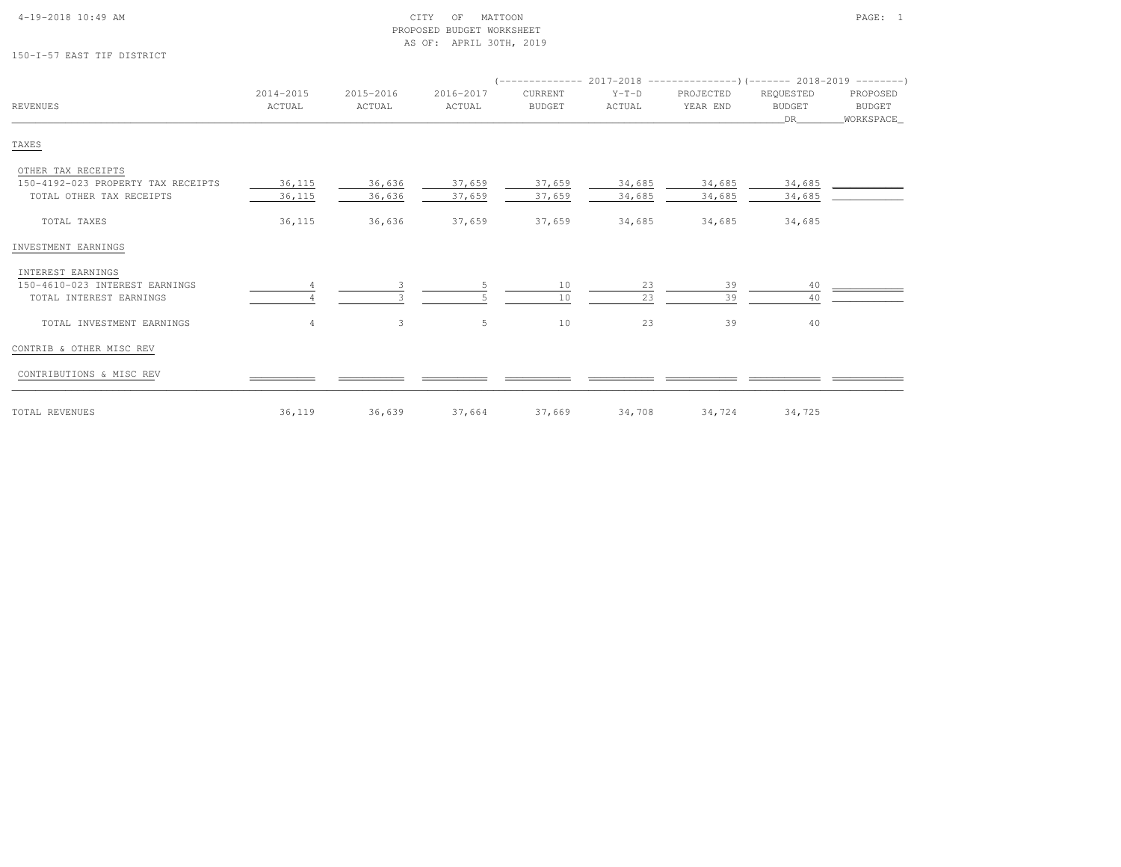| $4-19-2018$ $10:49$ AM |  |  |
|------------------------|--|--|

# 150-I-57 EAST TIF DISTRICT

| <b>REVENUES</b>                    | 2014-2015<br>ACTUAL | 2015-2016<br>ACTUAL | 2016-2017<br>ACTUAL | CURRENT<br><b>BUDGET</b> | $Y-T-D$<br>ACTUAL | PROJECTED<br>YEAR END | REQUESTED<br><b>BUDGET</b><br>DR | PROPOSED<br>BUDGET<br>WORKSPACE |
|------------------------------------|---------------------|---------------------|---------------------|--------------------------|-------------------|-----------------------|----------------------------------|---------------------------------|
| TAXES                              |                     |                     |                     |                          |                   |                       |                                  |                                 |
| OTHER TAX RECEIPTS                 |                     |                     |                     |                          |                   |                       |                                  |                                 |
| 150-4192-023 PROPERTY TAX RECEIPTS | 36,115              | 36,636              | 37,659              | 37,659                   | 34,685            | 34,685                | 34,685                           |                                 |
| TOTAL OTHER TAX RECEIPTS           | 36,115              | 36,636              | 37,659              | 37,659                   | 34,685            | 34,685                | 34,685                           |                                 |
| TOTAL TAXES                        | 36,115              | 36,636              | 37,659              | 37,659                   | 34,685            | 34,685                | 34,685                           |                                 |
| INVESTMENT EARNINGS                |                     |                     |                     |                          |                   |                       |                                  |                                 |
| INTEREST EARNINGS                  |                     |                     |                     |                          |                   |                       |                                  |                                 |
| 150-4610-023 INTEREST EARNINGS     |                     |                     |                     | 10                       | 23                | 39                    | 40                               |                                 |
| TOTAL INTEREST EARNINGS            |                     |                     |                     | 10                       | 23                | 39                    | 40                               |                                 |
| TOTAL INVESTMENT EARNINGS          | 4                   | 3                   | 5                   | 10                       | 23                | 39                    | 40                               |                                 |
| CONTRIB & OTHER MISC REV           |                     |                     |                     |                          |                   |                       |                                  |                                 |
| CONTRIBUTIONS & MISC REV           |                     |                     |                     |                          |                   |                       |                                  |                                 |
| TOTAL REVENUES                     | 36,119              | 36,639              | 37,664              | 37,669                   | 34,708            | 34,724                | 34,725                           |                                 |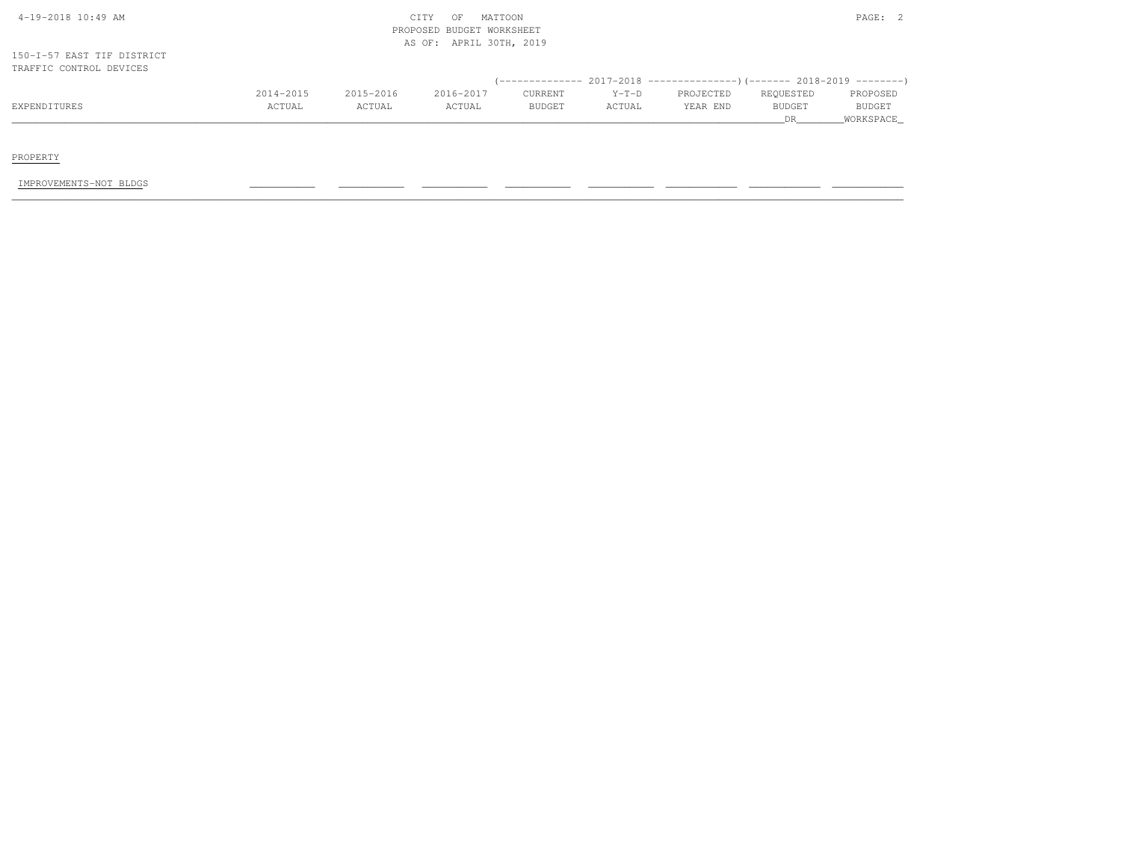| 4-19-2018 10:49 AM                                    |           |           | MATTOON<br>CITY<br>OF                                   |               |         |                                                                          |               | PAGE: 2       |
|-------------------------------------------------------|-----------|-----------|---------------------------------------------------------|---------------|---------|--------------------------------------------------------------------------|---------------|---------------|
|                                                       |           |           | PROPOSED BUDGET WORKSHEET<br>APRIL 30TH, 2019<br>AS OF: |               |         |                                                                          |               |               |
| 150-I-57 EAST TIF DISTRICT<br>TRAFFIC CONTROL DEVICES |           |           |                                                         |               |         |                                                                          |               |               |
|                                                       |           |           |                                                         |               |         | (-------------- 2017-2018 ----------------) (------- 2018-2019 --------) |               |               |
|                                                       | 2014-2015 | 2015-2016 | 2016-2017                                               | CURRENT       | $Y-T-D$ | PROJECTED                                                                | REQUESTED     | PROPOSED      |
| EXPENDITURES                                          | ACTUAL    | ACTUAL    | ACTUAL                                                  | <b>BUDGET</b> | ACTUAL  | YEAR END                                                                 | <b>BUDGET</b> | <b>BUDGET</b> |
|                                                       |           |           |                                                         |               |         |                                                                          | DR.           | WORKSPACE     |

PROPERTY

IMPROVEMENTS-NOT BLDGS \_\_\_\_\_\_\_\_\_\_\_ \_\_\_\_\_\_\_\_\_\_\_ \_\_\_\_\_\_\_\_\_\_\_ \_\_\_\_\_\_\_\_\_\_\_ \_\_\_\_\_\_\_\_\_\_\_ \_\_\_\_\_\_\_\_\_\_\_\_ \_\_\_\_\_\_\_\_\_\_\_\_ \_\_\_\_\_\_\_\_\_\_\_\_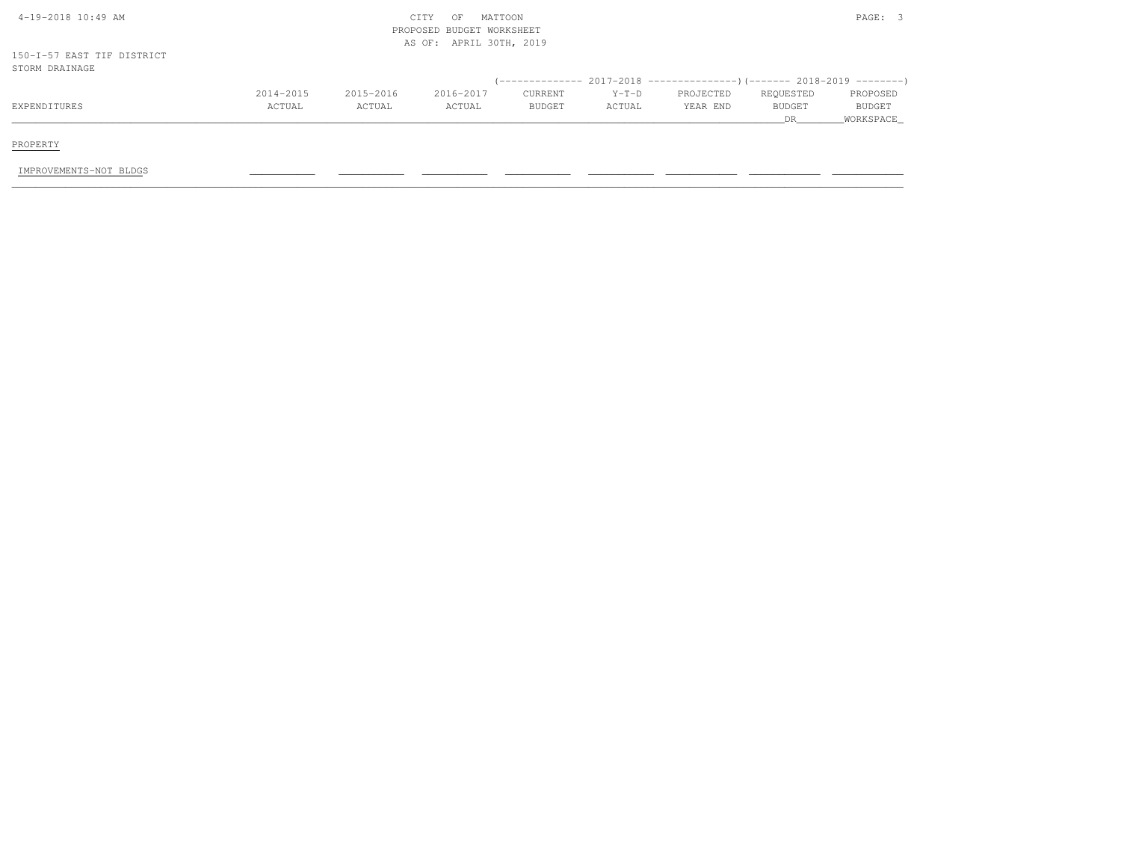| 4-19-2018 10:49 AM         |           |           | MATTOON<br>CITY<br>OF     |         |         |           |           | PAGE: 3       |
|----------------------------|-----------|-----------|---------------------------|---------|---------|-----------|-----------|---------------|
|                            |           |           | PROPOSED BUDGET WORKSHEET |         |         |           |           |               |
|                            |           |           | AS OF: APRIL 30TH, 2019   |         |         |           |           |               |
| 150-I-57 EAST TIF DISTRICT |           |           |                           |         |         |           |           |               |
| STORM DRAINAGE             |           |           |                           |         |         |           |           |               |
|                            |           |           |                           |         |         |           |           |               |
|                            | 2014-2015 | 2015-2016 | 2016-2017                 | CURRENT | $Y-T-D$ | PROJECTED | REQUESTED | PROPOSED      |
| EXPENDITURES               | ACTUAL    | ACTUAL    | ACTUAL                    | BUDGET  | ACTUAL  | YEAR END  | BUDGET    | <b>BUDGET</b> |
|                            |           |           |                           |         |         |           | DR        | WORKSPACE     |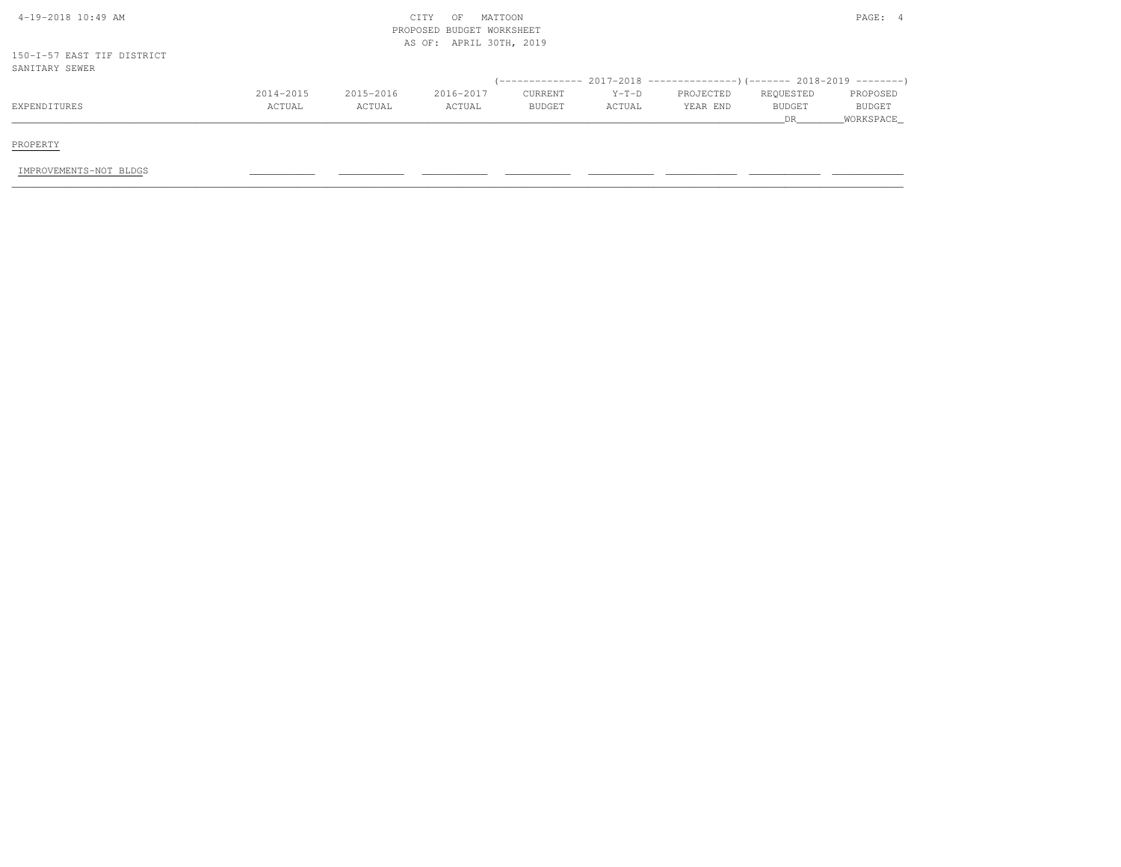| 4-19-2018 10:49 AM                           |           |           | MATTOON<br>CITY<br>OF<br>PROPOSED BUDGET WORKSHEET |         |         |           |           | PAGE: 4   |
|----------------------------------------------|-----------|-----------|----------------------------------------------------|---------|---------|-----------|-----------|-----------|
| 150-I-57 EAST TIF DISTRICT<br>SANITARY SEWER |           |           | AS OF: APRIL 30TH, 2019                            |         |         |           |           |           |
|                                              |           |           |                                                    |         |         |           |           |           |
|                                              | 2014-2015 | 2015-2016 | 2016-2017                                          | CURRENT | $Y-T-D$ | PROJECTED | REQUESTED | PROPOSED  |
| EXPENDITURES                                 | ACTUAL    | ACTUAL    | ACTUAL                                             | BUDGET  | ACTUAL  | YEAR END  | BUDGET    | BUDGET    |
|                                              |           |           |                                                    |         |         |           | DR        | WORKSPACE |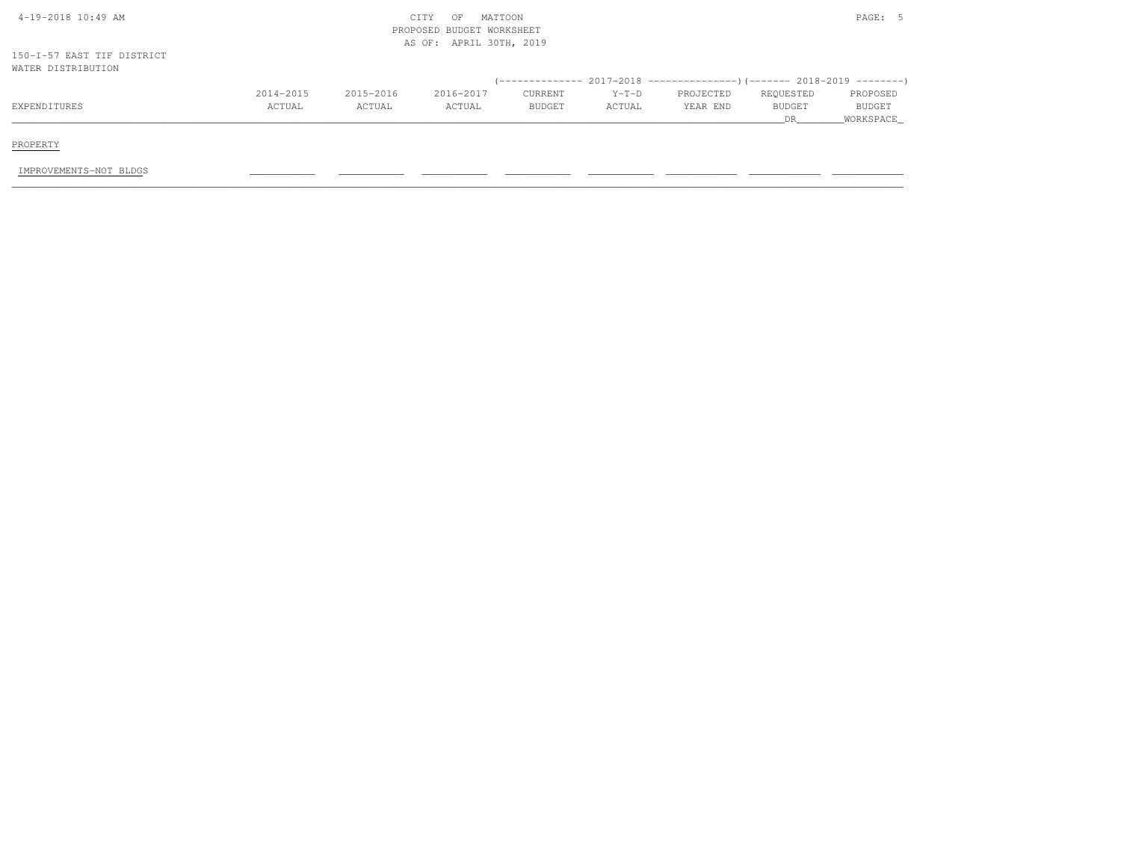| 4-19-2018 10:49 AM         |           |           | MATTOON<br>CITY<br>OF     |         |         |           |           | PAGE: 5   |
|----------------------------|-----------|-----------|---------------------------|---------|---------|-----------|-----------|-----------|
|                            |           |           | PROPOSED BUDGET WORKSHEET |         |         |           |           |           |
|                            |           |           | AS OF: APRIL 30TH, 2019   |         |         |           |           |           |
| 150-I-57 EAST TIF DISTRICT |           |           |                           |         |         |           |           |           |
| WATER DISTRIBUTION         |           |           |                           |         |         |           |           |           |
|                            |           |           |                           |         |         |           |           |           |
|                            | 2014-2015 | 2015-2016 | 2016-2017                 | CURRENT | $Y-T-D$ | PROJECTED | REQUESTED | PROPOSED  |
| EXPENDITURES               | ACTUAL    | ACTUAL    | ACTUAL                    | BUDGET  | ACTUAL  | YEAR END  | BUDGET    | BUDGET    |
|                            |           |           |                           |         |         |           | DR        | WORKSPACE |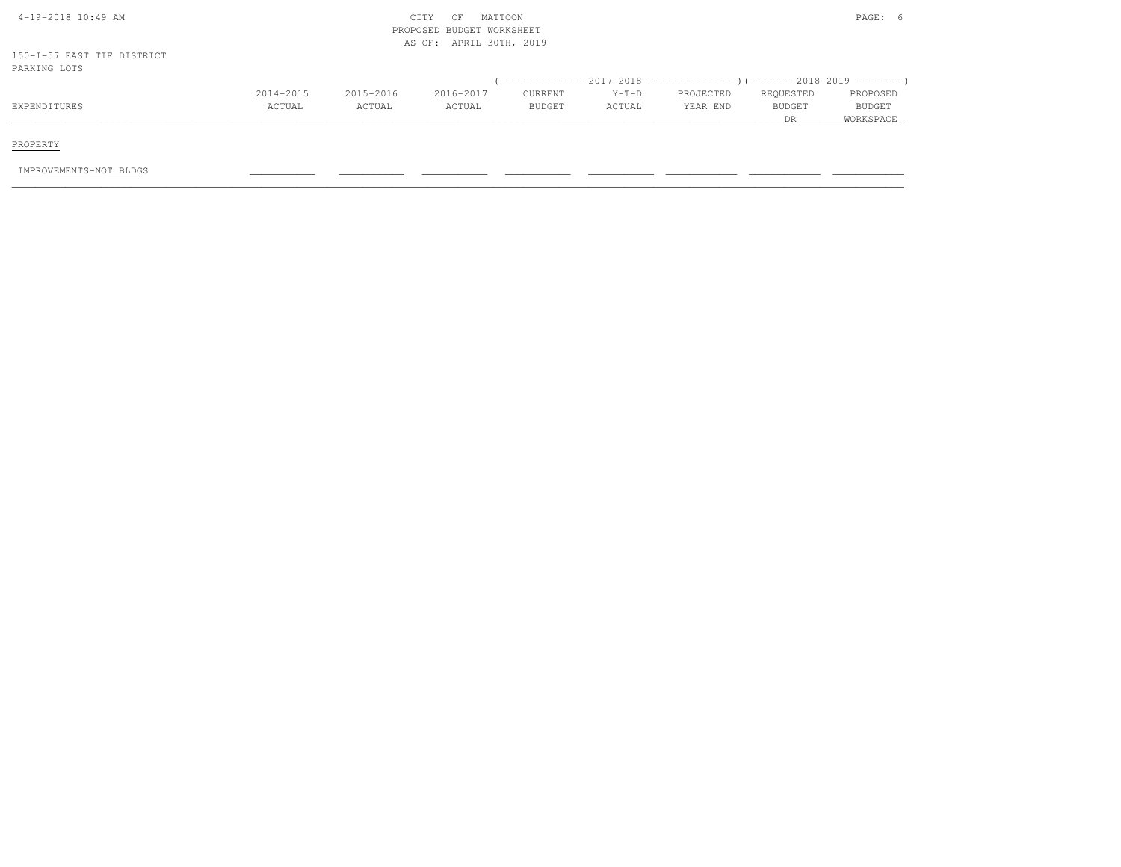| 4-19-2018 10:49 AM                         |           |           | MATTOON<br>CITY<br>OF<br>PROPOSED BUDGET WORKSHEET<br>AS OF: APRIL 30TH, 2019 |         |         |                                                                              |           |           |
|--------------------------------------------|-----------|-----------|-------------------------------------------------------------------------------|---------|---------|------------------------------------------------------------------------------|-----------|-----------|
| 150-I-57 EAST TIF DISTRICT<br>PARKING LOTS |           |           |                                                                               |         |         |                                                                              |           |           |
|                                            |           |           |                                                                               |         |         | $($ -------------- 2017-2018 ----------------) (------- 2018-2019 ---------) |           |           |
|                                            | 2014-2015 | 2015-2016 | 2016-2017                                                                     | CURRENT | $Y-T-D$ | PROJECTED                                                                    | REQUESTED | PROPOSED  |
| EXPENDITURES                               | ACTUAL    | ACTUAL    | ACTUAL                                                                        | BUDGET  | ACTUAL  | YEAR END                                                                     | BUDGET    | BUDGET    |
|                                            |           |           |                                                                               |         |         |                                                                              | <b>DR</b> | WORKSPACE |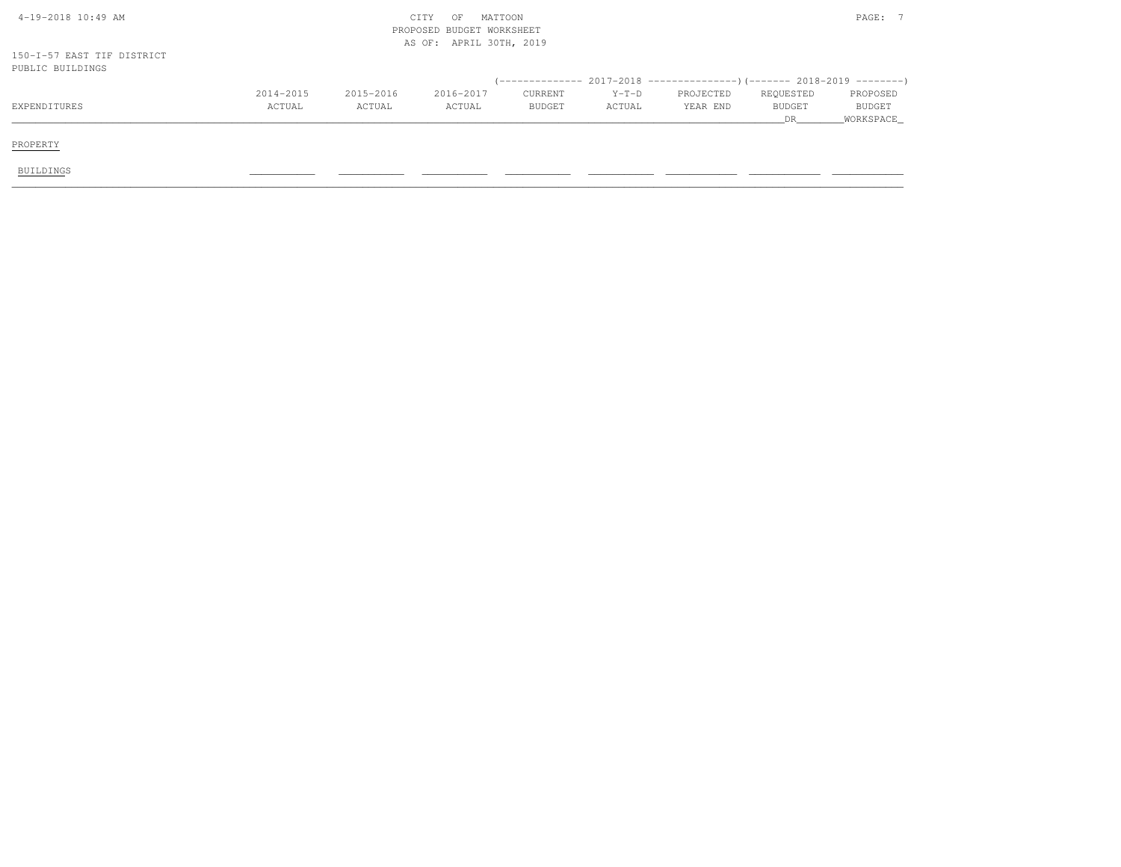| 4-19-2018 10:49 AM                             |           |           | CITY<br>OF<br>PROPOSED BUDGET WORKSHEET<br>AS OF: APRIL 30TH, 2019 | MATTOON       |         | PAGE: 7                                                                      |               |               |  |
|------------------------------------------------|-----------|-----------|--------------------------------------------------------------------|---------------|---------|------------------------------------------------------------------------------|---------------|---------------|--|
| 150-I-57 EAST TIF DISTRICT<br>PUBLIC BUILDINGS |           |           |                                                                    |               |         |                                                                              |               |               |  |
|                                                |           |           |                                                                    |               |         | $(-$ ------------- 2017-2018 -----------------)(------- 2018-2019 ---------) |               |               |  |
|                                                | 2014-2015 | 2015-2016 | 2016-2017                                                          | CURRENT       | $Y-T-D$ | PROJECTED                                                                    | REQUESTED     | PROPOSED      |  |
| EXPENDITURES                                   | ACTUAL    | ACTUAL    | ACTUAL                                                             | <b>BUDGET</b> | ACTUAL  | YEAR END                                                                     | <b>BUDGET</b> | <b>BUDGET</b> |  |
|                                                |           |           |                                                                    |               |         |                                                                              | DR            | _WORKSPACE_   |  |
| PROPERTY                                       |           |           |                                                                    |               |         |                                                                              |               |               |  |
| <b>BUILDINGS</b>                               |           |           |                                                                    |               |         |                                                                              |               |               |  |
|                                                |           |           |                                                                    |               |         |                                                                              |               |               |  |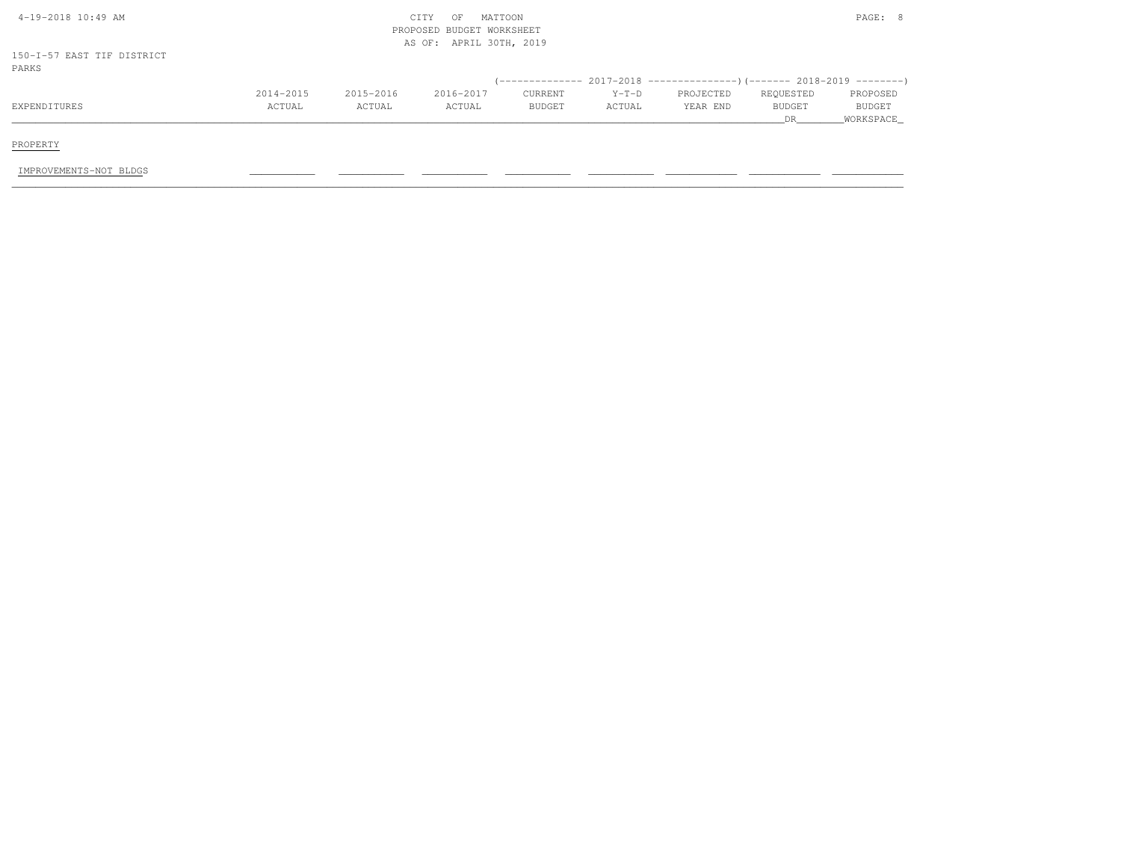| 4-19-2018 10:49 AM                  |           |           | MATTOON<br>CITY<br>OF<br>PROPOSED BUDGET WORKSHEET<br>AS OF: APRIL 30TH, 2019 |         |         |           |           | PAGE: 8   |
|-------------------------------------|-----------|-----------|-------------------------------------------------------------------------------|---------|---------|-----------|-----------|-----------|
| 150-I-57 EAST TIF DISTRICT<br>PARKS |           |           |                                                                               |         |         |           |           |           |
|                                     |           |           |                                                                               |         |         |           |           |           |
|                                     | 2014-2015 | 2015-2016 | 2016-2017                                                                     | CURRENT | $Y-T-D$ | PROJECTED | REQUESTED | PROPOSED  |
| EXPENDITURES                        | ACTUAL    | ACTUAL    | ACTUAL                                                                        | BUDGET  | ACTUAL  | YEAR END  | BUDGET    | BUDGET    |
|                                     |           |           |                                                                               |         |         |           | DR.       | WORKSPACE |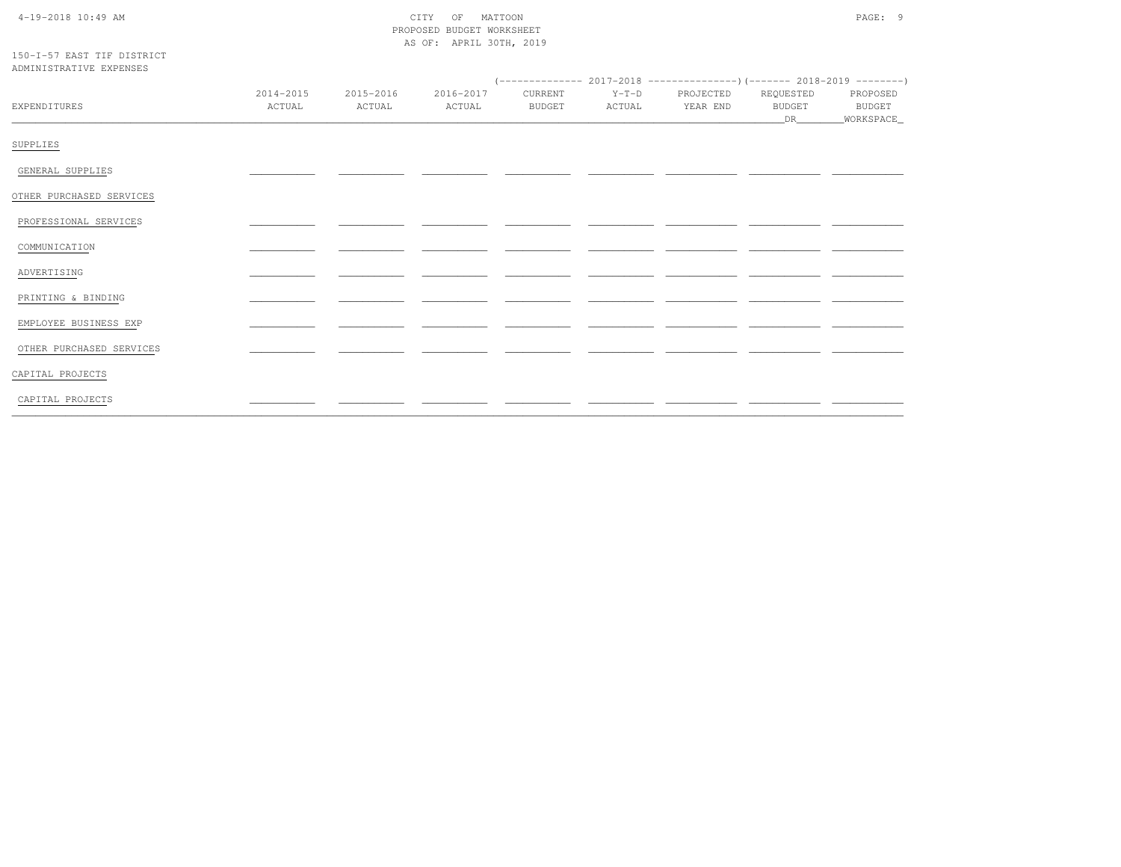| $4-19-2018$ 10:49 AM |  |
|----------------------|--|

## CITY OF MATTOON PROPOSED BUDGET WORKSHEET AS OF: APRIL 30TH, 2019

#### 150-I-57 EAST TIF DISTRICT ADMINISTRATIVE EXPENSES

| EXPENDITURES             | 2014-2015<br>ACTUAL | 2015-2016<br>ACTUAL | 2016-2017<br>ACTUAL | CURRENT<br>BUDGET | $Y-T-D$<br>ACTUAL | PROJECTED<br>YEAR END | REQUESTED<br>BUDGET<br><b>DR</b> | PROPOSED<br>BUDGET<br>_WORKSPACE_ |
|--------------------------|---------------------|---------------------|---------------------|-------------------|-------------------|-----------------------|----------------------------------|-----------------------------------|
| SUPPLIES                 |                     |                     |                     |                   |                   |                       |                                  |                                   |
| GENERAL SUPPLIES         |                     |                     |                     |                   |                   |                       |                                  |                                   |
| OTHER PURCHASED SERVICES |                     |                     |                     |                   |                   |                       |                                  |                                   |
| PROFESSIONAL SERVICES    |                     |                     |                     |                   |                   |                       |                                  |                                   |
| COMMUNICATION            |                     |                     |                     |                   |                   |                       |                                  |                                   |
| ADVERTISING              |                     |                     |                     |                   |                   |                       |                                  |                                   |
| PRINTING & BINDING       |                     |                     |                     |                   |                   |                       |                                  |                                   |
| EMPLOYEE BUSINESS EXP    |                     |                     |                     |                   |                   |                       |                                  |                                   |
| OTHER PURCHASED SERVICES |                     |                     |                     |                   |                   |                       |                                  |                                   |
| CAPITAL PROJECTS         |                     |                     |                     |                   |                   |                       |                                  |                                   |
| CAPITAL PROJECTS         |                     |                     |                     |                   |                   |                       |                                  |                                   |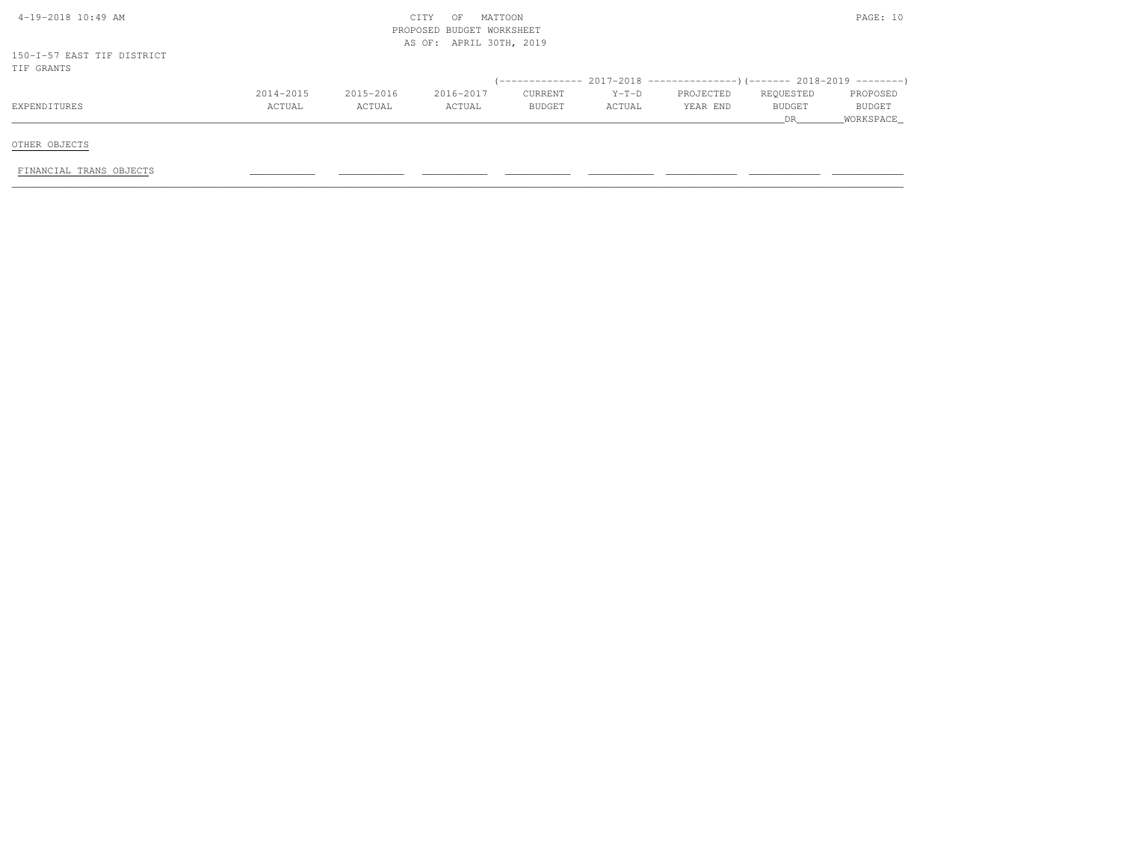| 4-19-2018 10:49 AM         |           |           | MATTOON<br>CITY<br>OF<br>PROPOSED BUDGET WORKSHEET<br>AS OF: APRIL 30TH, 2019 |         |         |           |               | PAGE: 10  |
|----------------------------|-----------|-----------|-------------------------------------------------------------------------------|---------|---------|-----------|---------------|-----------|
| 150-I-57 EAST TIF DISTRICT |           |           |                                                                               |         |         |           |               |           |
| TIF GRANTS                 |           |           |                                                                               |         |         |           |               |           |
|                            |           |           |                                                                               |         |         |           |               |           |
|                            | 2014-2015 | 2015-2016 | 2016-2017                                                                     | CURRENT | $Y-T-D$ | PROJECTED | REQUESTED     | PROPOSED  |
| EXPENDITURES               | ACTUAL    | ACTUAL    | ACTUAL                                                                        | BUDGET  | ACTUAL  | YEAR END  | <b>BUDGET</b> | BUDGET    |
|                            |           |           |                                                                               |         |         |           | DR.           | WORKSPACE |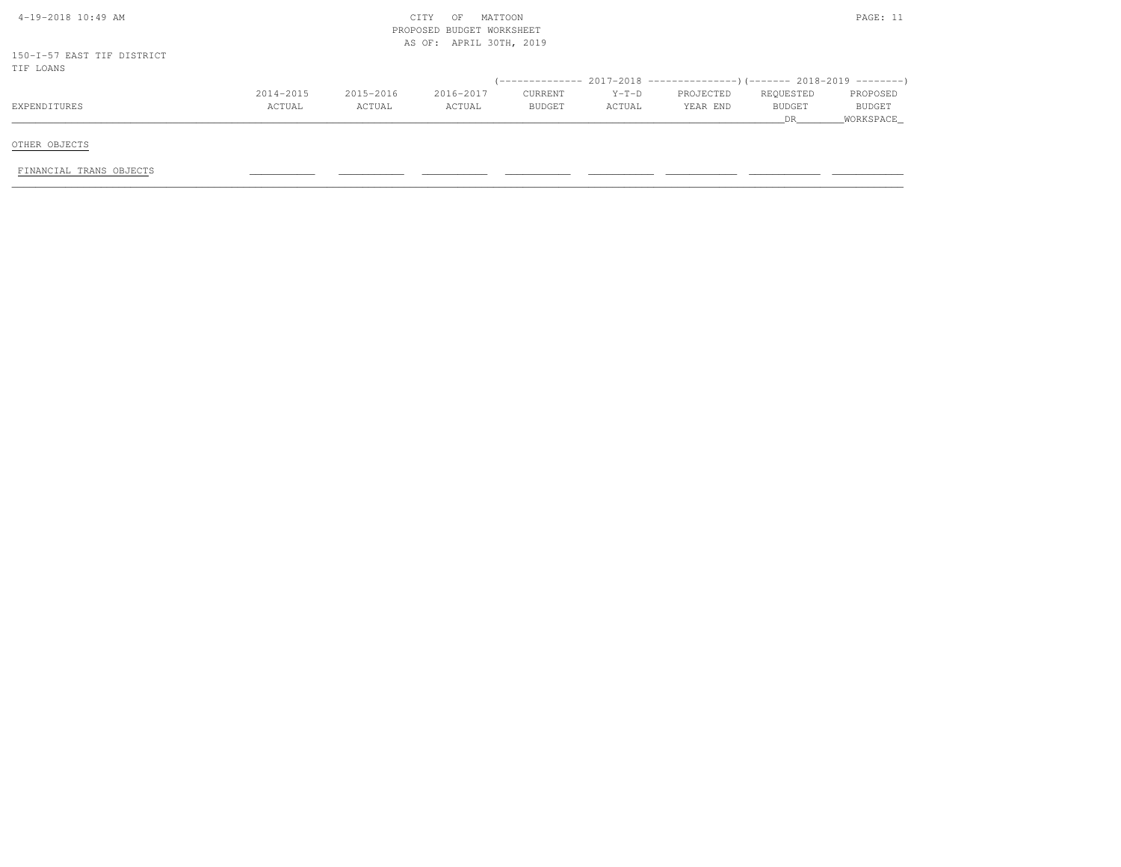|        |               |         |          |               | PROPOSED            |
|--------|---------------|---------|----------|---------------|---------------------|
| ACTUAL | <b>BUDGET</b> | ACTUAL  | YEAR END | <b>BUDGET</b> | BUDGET<br>WORKSPACE |
|        | 2016-2017     | CURRENT | $Y-T-D$  | PROJECTED     | REQUESTED<br>DR     |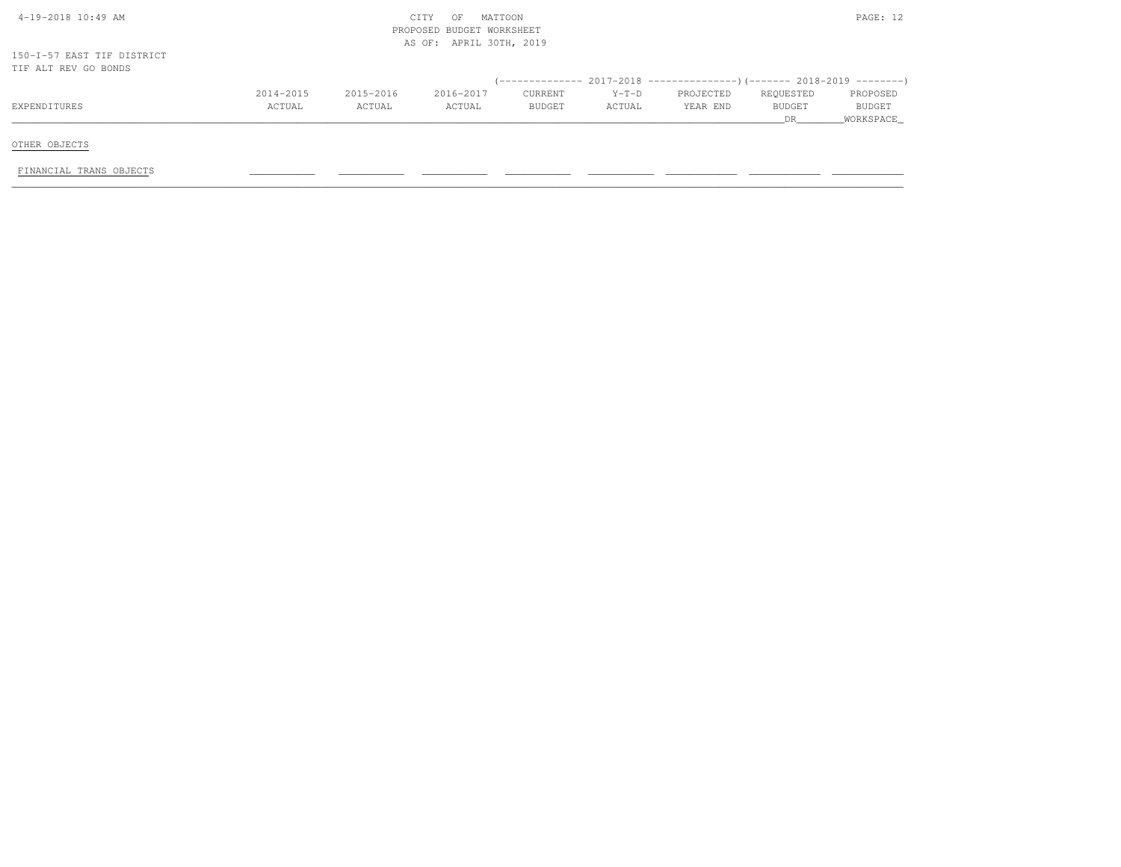| $4-19-2018$ $10:49$ AM     |           |           | MATTOON<br>CITY<br>OF<br>PROPOSED BUDGET WORKSHEET |         |         |                                                                        |               | PAGE: 12  |
|----------------------------|-----------|-----------|----------------------------------------------------|---------|---------|------------------------------------------------------------------------|---------------|-----------|
|                            |           |           | AS OF: APRIL 30TH, 2019                            |         |         |                                                                        |               |           |
| 150-I-57 EAST TIF DISTRICT |           |           |                                                    |         |         |                                                                        |               |           |
| TIF ALT REV GO BONDS       |           |           |                                                    |         |         |                                                                        |               |           |
|                            |           |           |                                                    |         |         | (-------------- 2017-2018 --------------------- 2018-2019 ---------- ) |               |           |
|                            | 2014-2015 | 2015-2016 | 2016-2017                                          | CURRENT | $Y-T-D$ | PROJECTED                                                              | REQUESTED     | PROPOSED  |
| EXPENDITURES               | ACTUAL    | ACTUAL    | ACTUAL                                             | BUDGET  | ACTUAL  | YEAR END                                                               | <b>BUDGET</b> | BUDGET    |
|                            |           |           |                                                    |         |         |                                                                        | DR.           | WORKSPACE |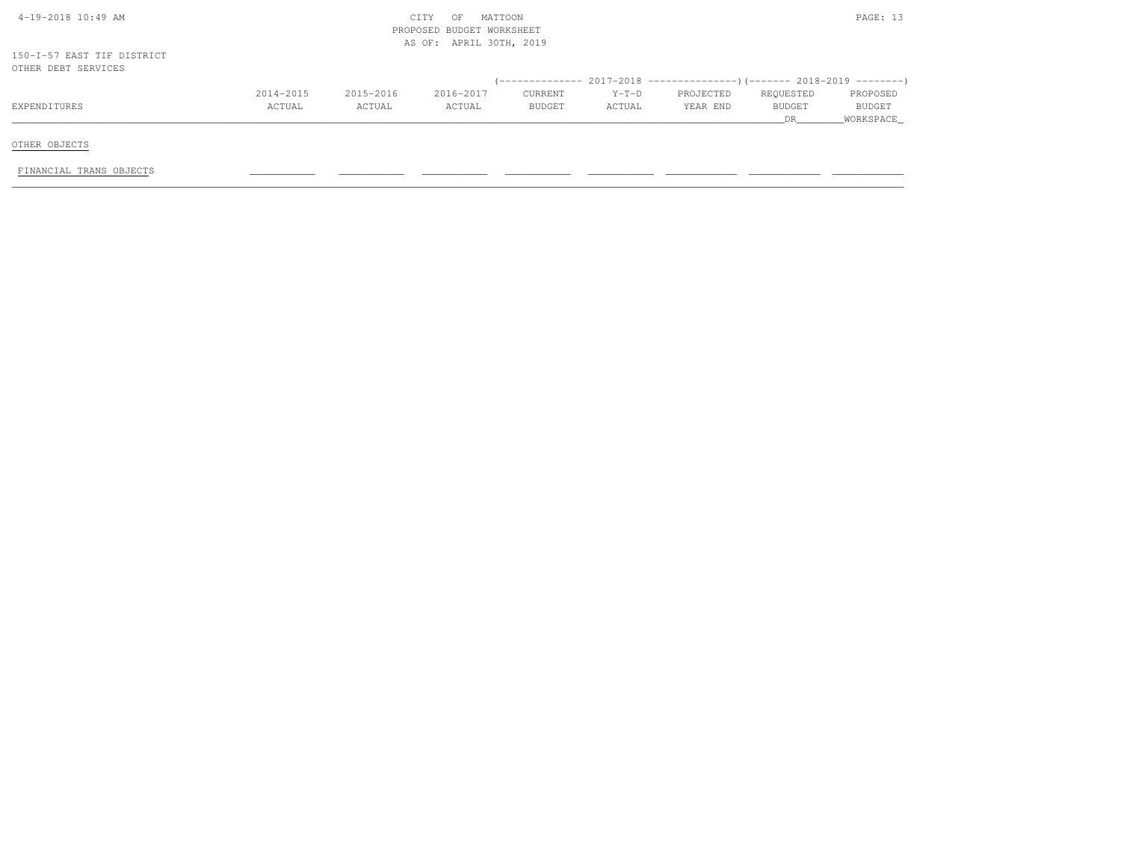| $4-19-2018$ $10:49$ AM                            |               |           | MATTOON<br>CITY<br>OF     |         |         |                                                                          |               | PAGE: 13  |
|---------------------------------------------------|---------------|-----------|---------------------------|---------|---------|--------------------------------------------------------------------------|---------------|-----------|
|                                                   |               |           | PROPOSED BUDGET WORKSHEET |         |         |                                                                          |               |           |
|                                                   |               |           | AS OF: APRIL 30TH, 2019   |         |         |                                                                          |               |           |
| 150-I-57 EAST TIF DISTRICT<br>OTHER DEBT SERVICES |               |           |                           |         |         |                                                                          |               |           |
|                                                   |               |           |                           |         |         | (-------------- 2017-2018 ----------------)(------- 2018-2019 ---------) |               |           |
|                                                   | $2014 - 2015$ | 2015-2016 | 2016-2017                 | CURRENT | $Y-T-D$ | PROJECTED                                                                | REQUESTED     | PROPOSED  |
| EXPENDITURES                                      | ACTUAL        | ACTUAL    | ACTUAL                    | BUDGET  | ACTUAL  | YEAR END                                                                 | <b>BUDGET</b> | BUDGET    |
|                                                   |               |           |                           |         |         |                                                                          | DR.           | WORKSPACE |
|                                                   |               |           |                           |         |         |                                                                          |               |           |
| OTHER OBJECTS                                     |               |           |                           |         |         |                                                                          |               |           |
|                                                   |               |           |                           |         |         |                                                                          |               |           |
| FINANCIAL TRANS OBJECTS                           |               |           |                           |         |         |                                                                          |               |           |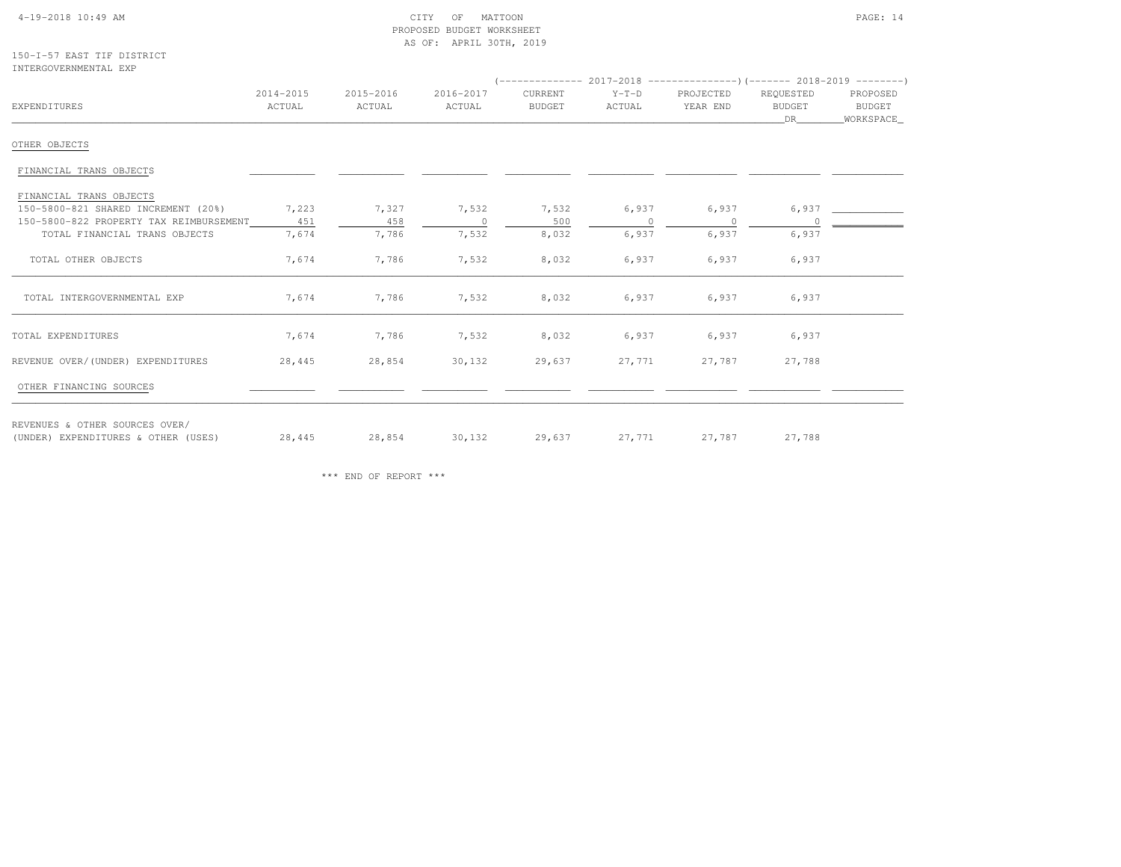#### 4-19-2018 10:49 AM CITY OF MATTOON PAGE: 14 PROPOSED BUDGET WORKSHEETAS OF: APRIL 30TH, 2019

150-I-57 EAST TIF DISTRICTINTERGOVERNMENTAL EXP

| EXPENDITURES                            | 2014-2015<br>ACTUAL | 2015-2016<br>ACTUAL | 2016-2017<br>ACTUAL | CURRENT<br><b>BUDGET</b> | $Y-T-D$<br>ACTUAL | PROJECTED<br>YEAR END | REQUESTED<br><b>BUDGET</b> | PROPOSED<br>BUDGET |
|-----------------------------------------|---------------------|---------------------|---------------------|--------------------------|-------------------|-----------------------|----------------------------|--------------------|
|                                         |                     |                     |                     |                          |                   |                       | DR                         | _WORKSPACE_        |
| OTHER OBJECTS                           |                     |                     |                     |                          |                   |                       |                            |                    |
| FINANCIAL TRANS OBJECTS                 |                     |                     |                     |                          |                   |                       |                            |                    |
| FINANCIAL TRANS OBJECTS                 |                     |                     |                     |                          |                   |                       |                            |                    |
| 150-5800-821 SHARED INCREMENT (20%)     | 7,223               | 7,327               | 7,532               | 7,532                    | 6,937             | 6,937                 | 6,937                      |                    |
| 150-5800-822 PROPERTY TAX REIMBURSEMENT | 451                 | 458                 | $\circ$             | 500                      | $\cap$            | $\overline{0}$        |                            |                    |
| TOTAL FINANCIAL TRANS OBJECTS           | 7,674               | 7,786               | 7,532               | 8,032                    | 6,937             | 6,937                 | 6,937                      |                    |
| TOTAL OTHER OBJECTS                     | 7,674               | 7,786               | 7,532               | 8,032                    | 6,937             | 6,937                 | 6,937                      |                    |
| TOTAL INTERGOVERNMENTAL EXP             | 7,674               | 7,786               | 7,532               | 8,032                    | 6,937             | 6,937                 | 6,937                      |                    |
| TOTAL EXPENDITURES                      | 7,674               | 7,786               | 7,532               | 8,032                    | 6,937             | 6,937                 | 6,937                      |                    |
| REVENUE OVER/(UNDER) EXPENDITURES       | 28,445              | 28,854              | 30,132              | 29,637                   | 27,771            | 27,787                | 27,788                     |                    |
| OTHER FINANCING SOURCES                 |                     |                     |                     |                          |                   |                       |                            |                    |
| REVENUES & OTHER SOURCES OVER/          |                     |                     |                     |                          |                   |                       |                            |                    |
| (UNDER) EXPENDITURES & OTHER (USES)     | 28,445              | 28,854              | 30,132              | 29,637                   | 27,771            | 27,787                | 27,788                     |                    |

\*\*\* END OF REPORT \*\*\*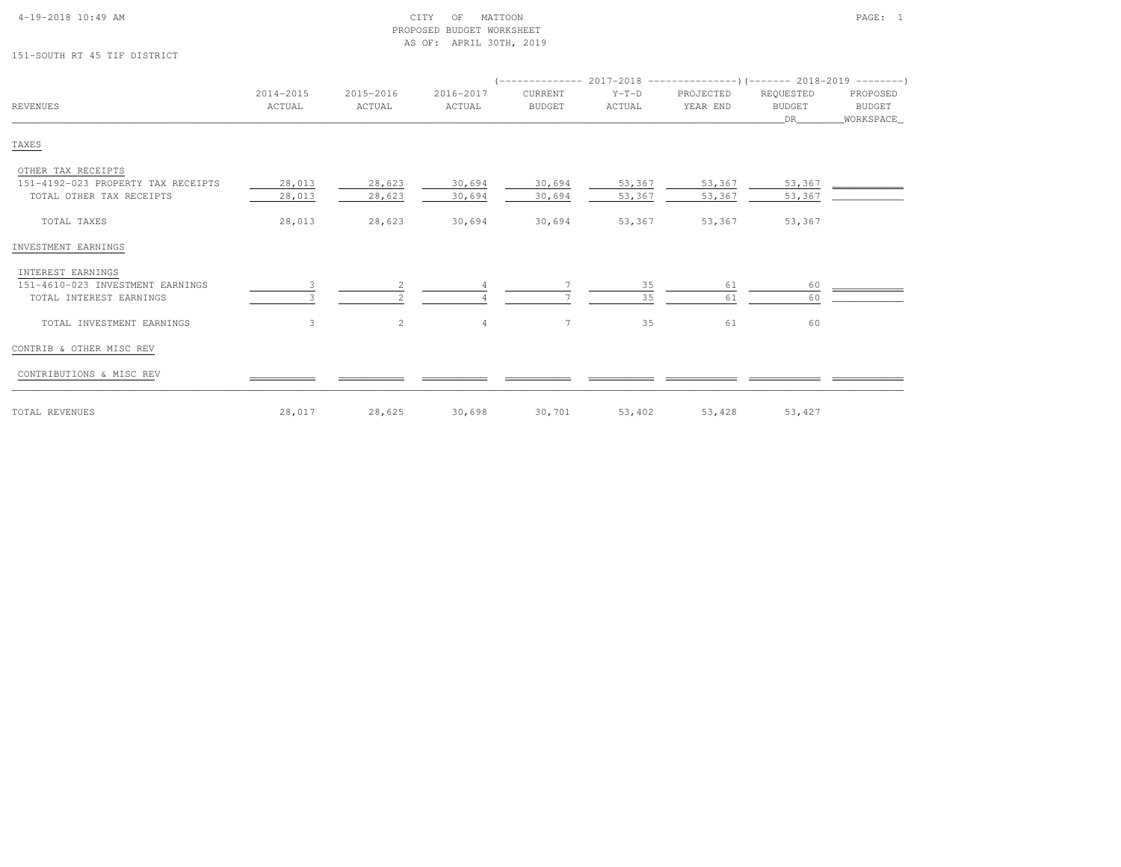|  | $4-19-2018$ $10:49$ AM |  |
|--|------------------------|--|

# 151-SOUTH RT 45 TIF DISTRICT

| <b>REVENUES</b>                                                | 2014-2015<br>ACTUAL | 2015-2016<br>ACTUAL | 2016-2017<br>ACTUAL | CURRENT<br><b>BUDGET</b> | $Y-T-D$<br>ACTUAL | PROJECTED<br>YEAR END | REQUESTED<br><b>BUDGET</b><br>DR | PROPOSED<br>BUDGET<br>WORKSPACE |
|----------------------------------------------------------------|---------------------|---------------------|---------------------|--------------------------|-------------------|-----------------------|----------------------------------|---------------------------------|
| TAXES                                                          |                     |                     |                     |                          |                   |                       |                                  |                                 |
| OTHER TAX RECEIPTS                                             |                     |                     |                     |                          |                   |                       |                                  |                                 |
| 151-4192-023 PROPERTY TAX RECEIPTS<br>TOTAL OTHER TAX RECEIPTS | 28,013<br>28,013    | 28,623<br>28,623    | 30,694<br>30,694    | 30,694<br>30,694         | 53,367<br>53,367  | 53,367<br>53,367      | 53,367<br>53,367                 |                                 |
| TOTAL TAXES                                                    | 28,013              | 28,623              | 30,694              | 30,694                   | 53,367            | 53,367                | 53,367                           |                                 |
| INVESTMENT EARNINGS                                            |                     |                     |                     |                          |                   |                       |                                  |                                 |
| INTEREST EARNINGS                                              |                     |                     |                     |                          |                   |                       |                                  |                                 |
| 151-4610-023 INVESTMENT EARNINGS<br>TOTAL INTEREST EARNINGS    |                     |                     |                     |                          | 35<br>35          | 61<br>61              | 60<br>60                         |                                 |
| TOTAL INVESTMENT EARNINGS                                      | 3                   | 2                   | $\overline{4}$      | $7\phantom{.0}$          | 35                | 61                    | 60                               |                                 |
| CONTRIB & OTHER MISC REV                                       |                     |                     |                     |                          |                   |                       |                                  |                                 |
| CONTRIBUTIONS & MISC REV                                       |                     |                     |                     |                          |                   |                       |                                  |                                 |
| TOTAL REVENUES                                                 | 28,017              | 28,625              | 30,698              | 30,701                   | 53,402            | 53,428                | 53,427                           |                                 |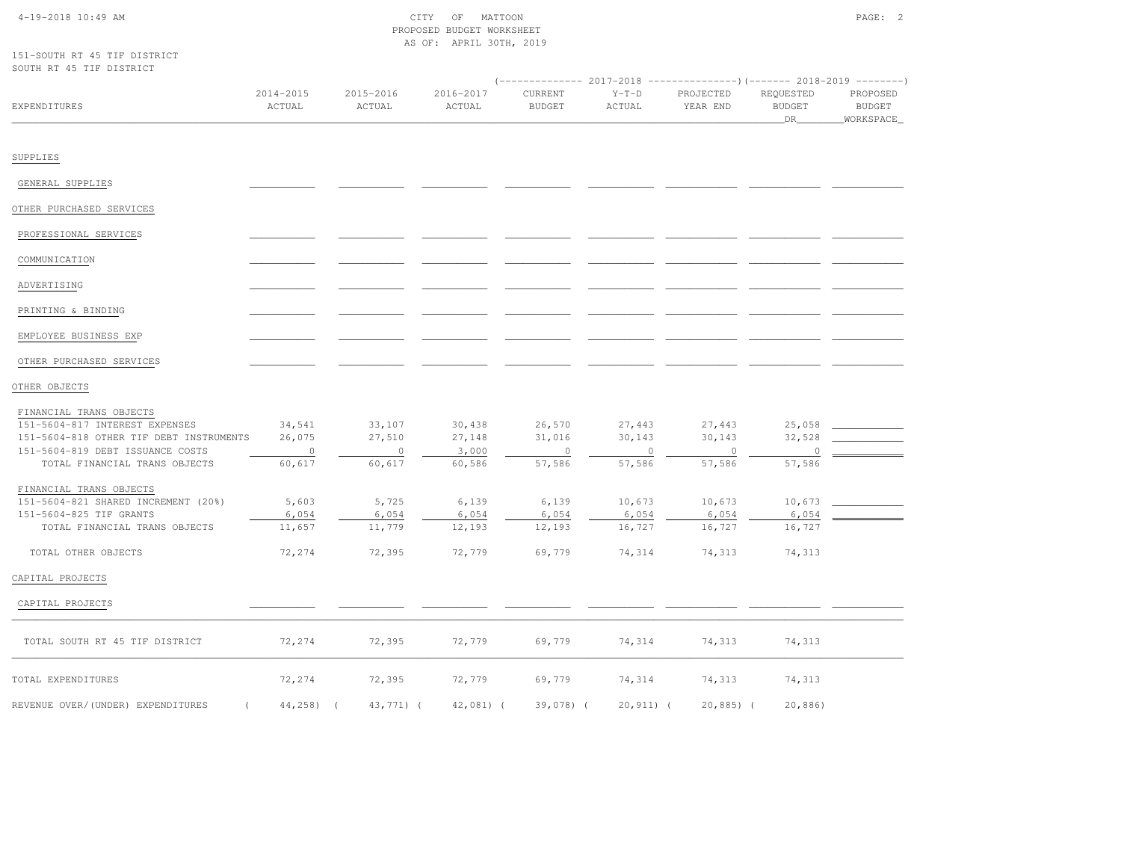## 4-19-2018 10:49 AM CITY OF MATTOON PAGE: 2 PROPOSED BUDGET WORKSHEETAS OF: APRIL 30TH, 2019

151-SOUTH RT 45 TIF DISTRICTSOUTH RT 45 TIF DISTRICT

| OODIL MI AG ITE DIGIMICI                |                          |                     |                     | $(---------- 2017-2018$ ---------------)(------- 2018-2019 -------) |                   |                       |                                  |                                          |
|-----------------------------------------|--------------------------|---------------------|---------------------|---------------------------------------------------------------------|-------------------|-----------------------|----------------------------------|------------------------------------------|
| EXPENDITURES                            | 2014-2015<br>ACTUAL      | 2015-2016<br>ACTUAL | 2016-2017<br>ACTUAL | CURRENT<br><b>BUDGET</b>                                            | $Y-T-D$<br>ACTUAL | PROJECTED<br>YEAR END | REQUESTED<br><b>BUDGET</b><br>DR | PROPOSED<br><b>BUDGET</b><br>_WORKSPACE_ |
| SUPPLIES                                |                          |                     |                     |                                                                     |                   |                       |                                  |                                          |
| GENERAL SUPPLIES                        |                          |                     |                     |                                                                     |                   |                       |                                  |                                          |
| OTHER PURCHASED SERVICES                |                          |                     |                     |                                                                     |                   |                       |                                  |                                          |
| PROFESSIONAL SERVICES                   |                          |                     |                     |                                                                     |                   |                       |                                  |                                          |
| COMMUNICATION                           |                          |                     |                     |                                                                     |                   |                       |                                  |                                          |
| ADVERTISING                             |                          |                     |                     |                                                                     |                   |                       |                                  |                                          |
| PRINTING & BINDING                      |                          |                     |                     |                                                                     |                   |                       |                                  |                                          |
| EMPLOYEE BUSINESS EXP                   |                          |                     |                     |                                                                     |                   |                       |                                  |                                          |
| OTHER PURCHASED SERVICES                |                          |                     |                     |                                                                     |                   |                       |                                  |                                          |
| OTHER OBJECTS                           |                          |                     |                     |                                                                     |                   |                       |                                  |                                          |
| FINANCIAL TRANS OBJECTS                 |                          |                     |                     |                                                                     |                   |                       |                                  |                                          |
| 151-5604-817 INTEREST EXPENSES          | 34,541                   | 33,107              | 30,438              | 26,570                                                              | 27,443            | 27,443                | 25,058                           |                                          |
| 151-5604-818 OTHER TIF DEBT INSTRUMENTS | 26,075                   | 27,510              | 27,148              | 31,016                                                              | 30,143            | 30,143                | 32,528                           |                                          |
| 151-5604-819 DEBT ISSUANCE COSTS        | $\overline{\phantom{0}}$ | $\circ$             | 3,000               | $\circ$                                                             | $\circ$           | $\circ$               | $\circ$                          |                                          |
| TOTAL FINANCIAL TRANS OBJECTS           | 60,617                   | 60,617              | 60,586              | 57,586                                                              | 57,586            | 57,586                | 57,586                           |                                          |
| FINANCIAL TRANS OBJECTS                 |                          |                     |                     |                                                                     |                   |                       |                                  |                                          |
| 151-5604-821 SHARED INCREMENT (20%)     | 5,603                    | 5,725               | 6,139               | 6,139                                                               | 10,673            | 10,673                | 10,673                           |                                          |
| 151-5604-825 TIF GRANTS                 | 6,054                    | 6,054               | 6,054               | 6,054                                                               | 6,054             | 6,054                 | 6,054                            |                                          |
| TOTAL FINANCIAL TRANS OBJECTS           | 11,657                   | 11,779              | 12,193              | 12,193                                                              | 16,727            | 16,727                | 16,727                           |                                          |
| TOTAL OTHER OBJECTS                     | 72,274                   | 72,395              | 72,779              | 69,779                                                              | 74,314            | 74,313                | 74,313                           |                                          |
| CAPITAL PROJECTS                        |                          |                     |                     |                                                                     |                   |                       |                                  |                                          |
| CAPITAL PROJECTS                        |                          |                     |                     |                                                                     |                   |                       |                                  |                                          |
| TOTAL SOUTH RT 45 TIF DISTRICT          | 72,274                   | 72,395              | 72,779              | 69,779                                                              | 74,314            | 74,313                | 74,313                           |                                          |
| TOTAL EXPENDITURES                      | 72,274                   | 72,395              | 72,779              | 69,779                                                              | 74,314            | 74,313                | 74,313                           |                                          |
| REVENUE OVER/(UNDER) EXPENDITURES       | $44, 258$ ) (            | 43,771) (           | $42,081$ (          | 39,078) (                                                           | $20, 911)$ (      | $20,885$ ) (          | 20,886)                          |                                          |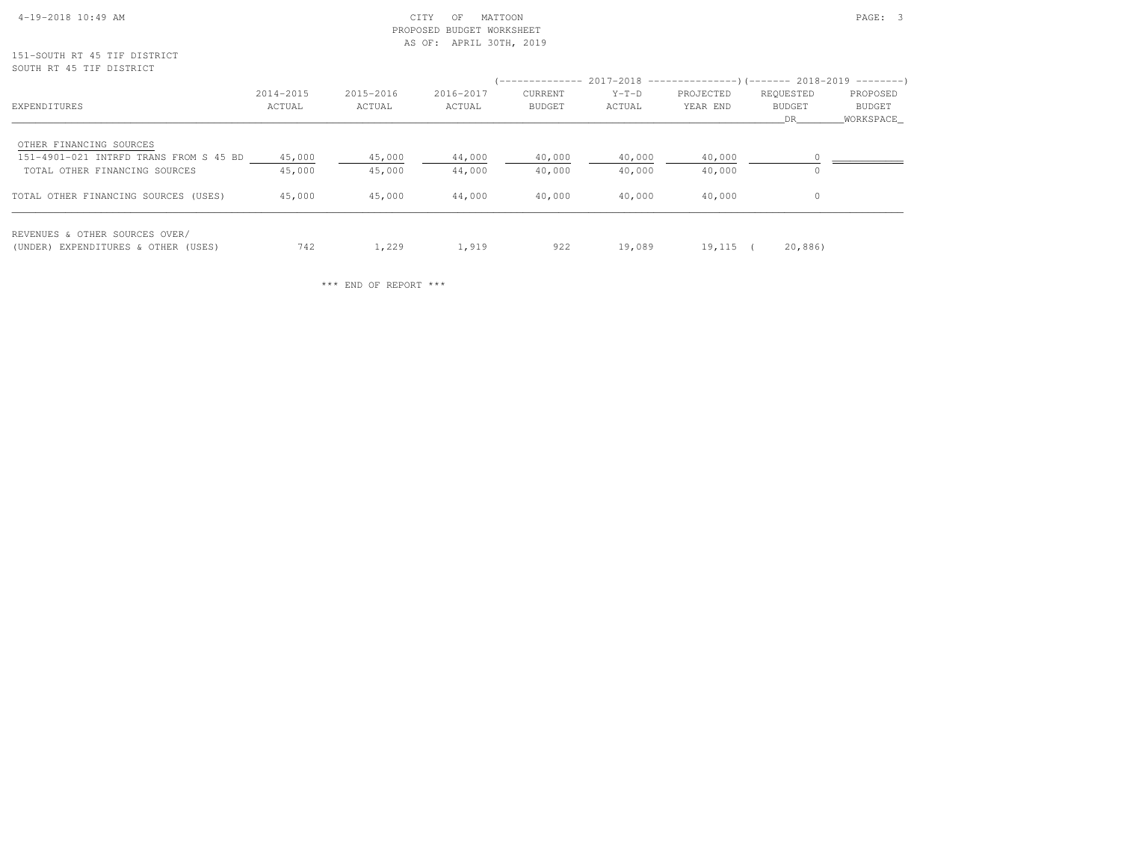# 4-19-2018 10:49 AM CITY OF MATTOON PAGE: 3 PROPOSED BUDGET WORKSHEETAS OF: APRIL 30TH, 2019

151-SOUTH RT 45 TIF DISTRICTSOUTH RT 45 TIF DISTRICT

| EXPENDITURES                                                                                       | 2014-2015<br>ACTUAL | 2015-2016<br>ACTUAL | 2016-2017<br>ACTUAL | CURRENT<br>BUDGET | $Y-T-D$<br>ACTUAL | (-------------- 2017-2018 -----------------) (------- 2018-2019 ---------)<br>PROJECTED<br>YEAR END | REQUESTED<br>BUDGET<br>DR. | PROPOSED<br>BUDGET<br>WORKSPACE |
|----------------------------------------------------------------------------------------------------|---------------------|---------------------|---------------------|-------------------|-------------------|-----------------------------------------------------------------------------------------------------|----------------------------|---------------------------------|
| OTHER FINANCING SOURCES<br>151-4901-021 INTRFD TRANS FROM S 45 BD<br>TOTAL OTHER FINANCING SOURCES | 45,000<br>45,000    | 45,000<br>45,000    | 44,000<br>44,000    | 40,000<br>40,000  | 40,000<br>40,000  | 40,000<br>40,000                                                                                    | $\Omega$                   |                                 |
| TOTAL OTHER FINANCING SOURCES (USES)                                                               | 45,000              | 45,000              | 44,000              | 40,000            | 40,000            | 40,000                                                                                              | $\Omega$                   |                                 |
| REVENUES & OTHER SOURCES OVER/<br>(UNDER) EXPENDITURES & OTHER (USES)                              | 742                 | 1,229               | 1,919               | 922               | 19,089            | 19,115 (                                                                                            | 20,886)                    |                                 |

\*\*\* END OF REPORT \*\*\*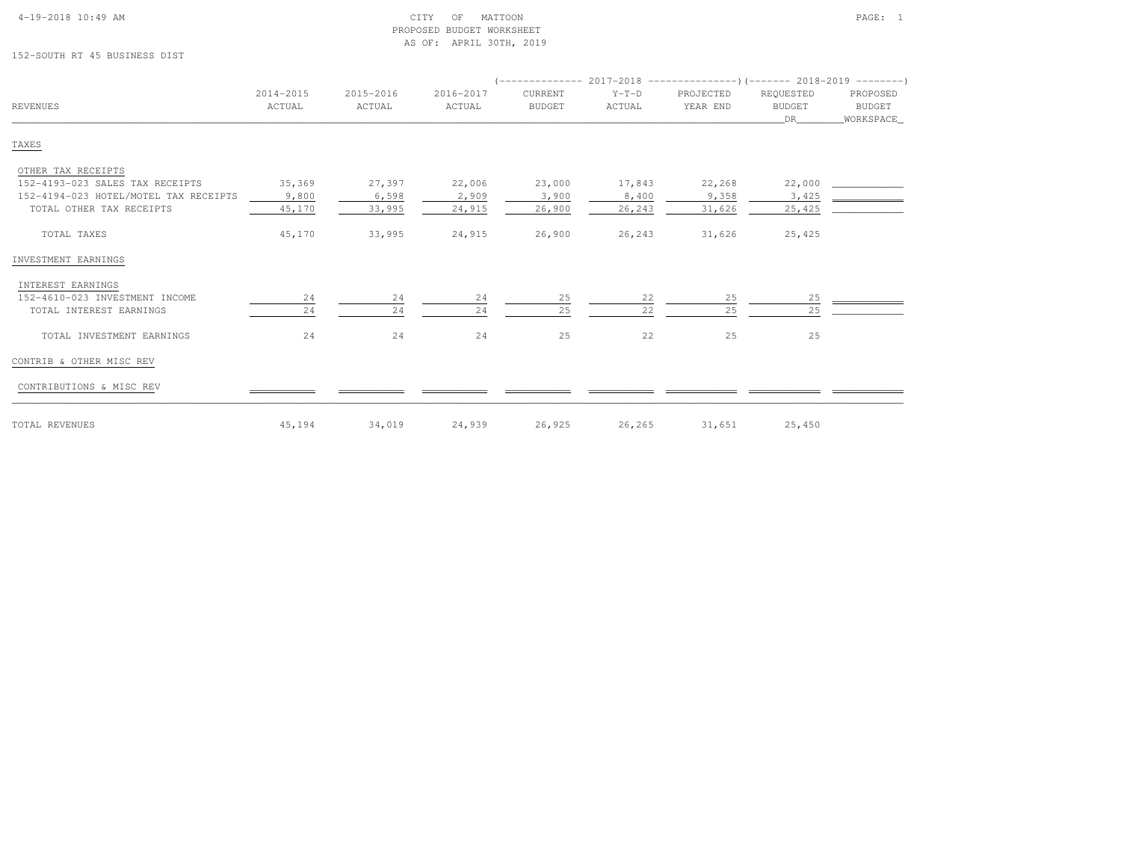| 4-19-2018 10:49 AM |  |  |  |
|--------------------|--|--|--|

# $\begin{array}{ccc} \text{CITY} & \text{OF} & \text{MATION} \end{array}$  PROPOSED BUDGET WORKSHEETAS OF: APRIL 30TH, 2019

152-SOUTH RT 45 BUSINESS DIST

| $Y-T-D$<br>ACTUAL | PROJECTED<br>YEAR END | REQUESTED<br><b>BUDGET</b><br>DR | PROPOSED<br>BUDGET<br>WORKSPACE |
|-------------------|-----------------------|----------------------------------|---------------------------------|
|                   |                       |                                  |                                 |
|                   |                       |                                  |                                 |
|                   |                       |                                  |                                 |
|                   |                       |                                  |                                 |
|                   |                       |                                  |                                 |
| 23,000<br>17,843  | 22,268                | 22,000                           |                                 |
| 8,400             | 9,358                 | 3,425                            |                                 |
| 26,900<br>26,243  | 31,626                | 25,425                           |                                 |
| 26,900<br>26,243  | 31,626                | 25,425                           |                                 |
|                   |                       |                                  |                                 |
|                   |                       |                                  |                                 |
| 22                | 25                    | 25                               |                                 |
| 22                | 25                    | 25                               |                                 |
| 22                | 25                    | 25                               |                                 |
|                   |                       |                                  |                                 |
|                   |                       |                                  |                                 |
|                   |                       |                                  |                                 |

TOTAL REVENUES 45,194 34,019 24,939 26,925 26,265 31,651 25,450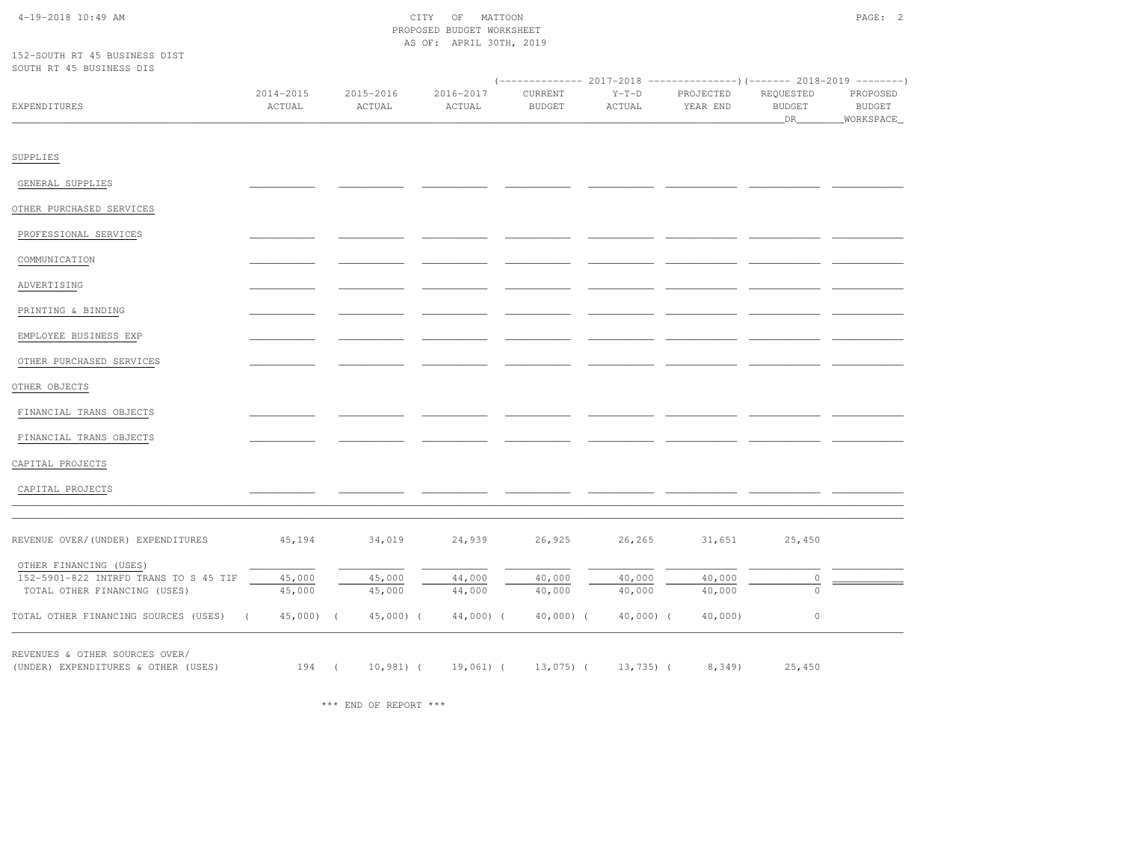# 4-19-2018 10:49 AM CITY OF MATTOON PAGE: 2 PROPOSED BUDGET WORKSHEETAS OF: APRIL 30TH, 2019

152-SOUTH RT 45 BUSINESS DISTSOUTH RT 45 BUSINESS DIS

| OOOTH MI ID DOOINDOO DIO              |                            |                     |                     |                          |                   |                       |                                  |                                          |
|---------------------------------------|----------------------------|---------------------|---------------------|--------------------------|-------------------|-----------------------|----------------------------------|------------------------------------------|
| EXPENDITURES                          | 2014-2015<br>ACTUAL        | 2015-2016<br>ACTUAL | 2016-2017<br>ACTUAL | CURRENT<br><b>BUDGET</b> | $Y-T-D$<br>ACTUAL | PROJECTED<br>YEAR END | REQUESTED<br><b>BUDGET</b><br>DR | PROPOSED<br><b>BUDGET</b><br>_WORKSPACE_ |
| SUPPLIES                              |                            |                     |                     |                          |                   |                       |                                  |                                          |
| GENERAL SUPPLIES                      |                            |                     |                     |                          |                   |                       |                                  |                                          |
| OTHER PURCHASED SERVICES              |                            |                     |                     |                          |                   |                       |                                  |                                          |
| PROFESSIONAL SERVICES                 |                            |                     |                     |                          |                   |                       |                                  |                                          |
| COMMUNICATION                         |                            |                     |                     |                          |                   |                       |                                  |                                          |
| ADVERTISING                           |                            |                     |                     |                          |                   |                       |                                  |                                          |
| PRINTING & BINDING                    |                            |                     |                     |                          |                   |                       |                                  |                                          |
| EMPLOYEE BUSINESS EXP                 |                            |                     |                     |                          |                   |                       |                                  |                                          |
| OTHER PURCHASED SERVICES              |                            |                     |                     |                          |                   |                       |                                  |                                          |
| OTHER OBJECTS                         |                            |                     |                     |                          |                   |                       |                                  |                                          |
| FINANCIAL TRANS OBJECTS               |                            |                     |                     |                          |                   |                       |                                  |                                          |
| FINANCIAL TRANS OBJECTS               |                            |                     |                     |                          |                   |                       |                                  |                                          |
| CAPITAL PROJECTS                      |                            |                     |                     |                          |                   |                       |                                  |                                          |
| CAPITAL PROJECTS                      |                            |                     |                     |                          |                   |                       |                                  |                                          |
| REVENUE OVER/(UNDER) EXPENDITURES     | 45,194                     | 34,019              | 24,939              | 26,925                   | 26,265            | 31,651                | 25,450                           |                                          |
| OTHER FINANCING (USES)                |                            |                     |                     |                          |                   |                       |                                  |                                          |
| 152-5901-822 INTRFD TRANS TO S 45 TIF | 45,000                     | 45,000              | 44,000              | 40,000                   | 40,000            | 40,000                | $\circ$                          |                                          |
| TOTAL OTHER FINANCING (USES)          | 45,000                     | 45,000              | 44,000              | 40,000                   | 40,000            | 40,000                | $\circ$                          |                                          |
| TOTAL OTHER FINANCING SOURCES (USES)  | $45,000$ ) (<br>$\sqrt{2}$ | $45,000$ ) (        | $44,000$ ) (        | 40,000) (                | $40,000)$ (       | $40,000$ )            | $\circ$                          |                                          |
| REVENUES & OTHER SOURCES OVER/        |                            |                     |                     |                          |                   |                       |                                  |                                          |
| (UNDER) EXPENDITURES & OTHER (USES)   | 194 (                      | $10,981$ (          | 19,061) (           | $13,075$ ) (             | $13,735$ ) (      | 8,349                 | 25,450                           |                                          |

\*\*\* END OF REPORT \*\*\*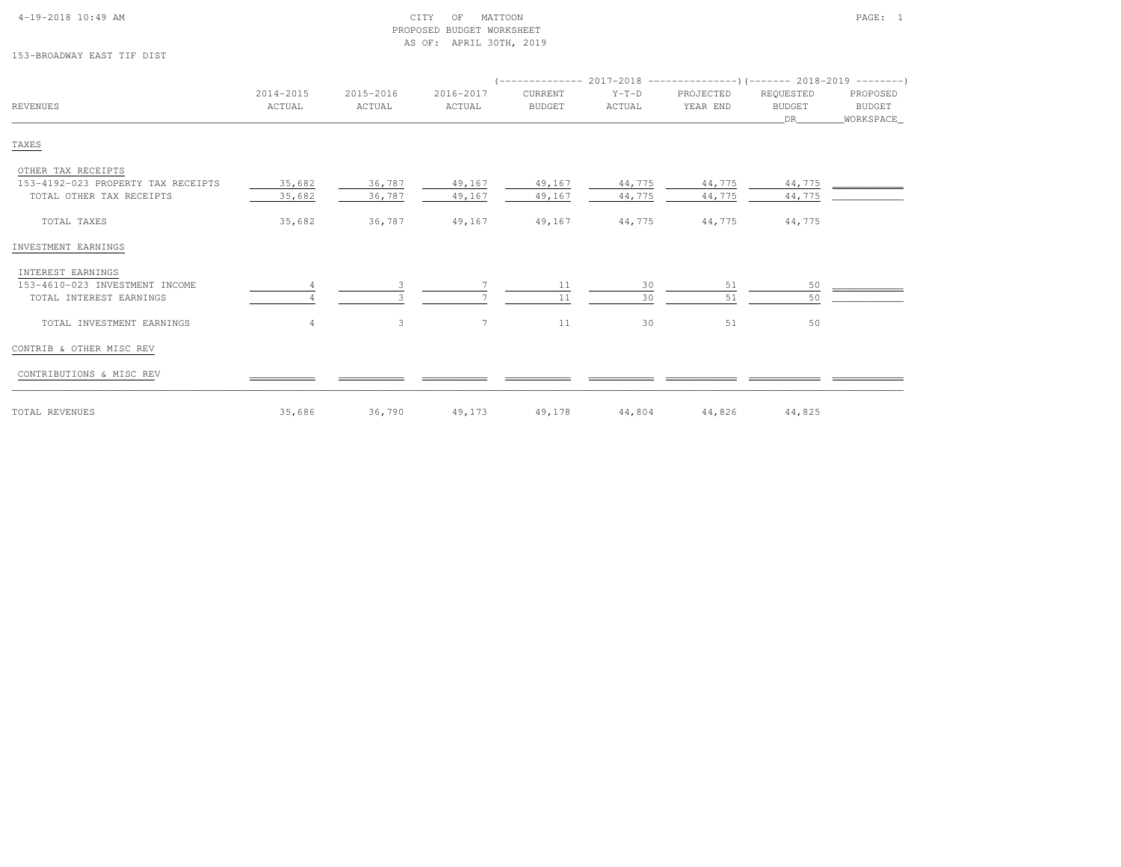| $4-19-2018$ $10:49$ AM |  |  |
|------------------------|--|--|

# $\begin{array}{ccc} \text{CITY} & \text{OF} & \text{MATION} \end{array}$  PROPOSED BUDGET WORKSHEETAS OF: APRIL 30TH, 2019

# 153-BROADWAY EAST TIF DIST

|                                    |                     |                     |                     |                          |                   | $(-$ ------------- 2017-2018 -----------------) (------- 2018-2019 ---------) |                                  |                                   |
|------------------------------------|---------------------|---------------------|---------------------|--------------------------|-------------------|-------------------------------------------------------------------------------|----------------------------------|-----------------------------------|
| <b>REVENUES</b>                    | 2014-2015<br>ACTUAL | 2015-2016<br>ACTUAL | 2016-2017<br>ACTUAL | CURRENT<br><b>BUDGET</b> | $Y-T-D$<br>ACTUAL | PROJECTED<br>YEAR END                                                         | REQUESTED<br><b>BUDGET</b><br>DR | PROPOSED<br>BUDGET<br>_WORKSPACE_ |
| TAXES                              |                     |                     |                     |                          |                   |                                                                               |                                  |                                   |
| OTHER TAX RECEIPTS                 |                     |                     |                     |                          |                   |                                                                               |                                  |                                   |
| 153-4192-023 PROPERTY TAX RECEIPTS | 35,682              | 36,787              | 49,167              | 49,167                   | 44,775            | 44,775                                                                        | 44,775                           |                                   |
| TOTAL OTHER TAX RECEIPTS           | 35,682              | 36,787              | 49,167              | 49,167                   | 44,775            | 44,775                                                                        | 44,775                           |                                   |
| TOTAL TAXES                        | 35,682              | 36,787              | 49,167              | 49,167                   | 44,775            | 44,775                                                                        | 44,775                           |                                   |
| INVESTMENT EARNINGS                |                     |                     |                     |                          |                   |                                                                               |                                  |                                   |
| INTEREST EARNINGS                  |                     |                     |                     |                          |                   |                                                                               |                                  |                                   |
| 153-4610-023 INVESTMENT INCOME     |                     |                     |                     | 11                       | 30                | 51                                                                            | 50                               |                                   |
| TOTAL INTEREST EARNINGS            |                     |                     |                     | 11                       | 30                | 51                                                                            | 50                               |                                   |
| TOTAL INVESTMENT EARNINGS          | $\overline{4}$      | 3                   | $7^{\circ}$         | 11                       | 30                | 51                                                                            | 50                               |                                   |
| CONTRIB & OTHER MISC REV           |                     |                     |                     |                          |                   |                                                                               |                                  |                                   |
| CONTRIBUTIONS & MISC REV           |                     |                     |                     |                          |                   |                                                                               |                                  |                                   |
| TOTAL REVENUES                     | 35,686              | 36,790              | 49,173              | 49,178                   | 44,804            | 44,826                                                                        | 44,825                           |                                   |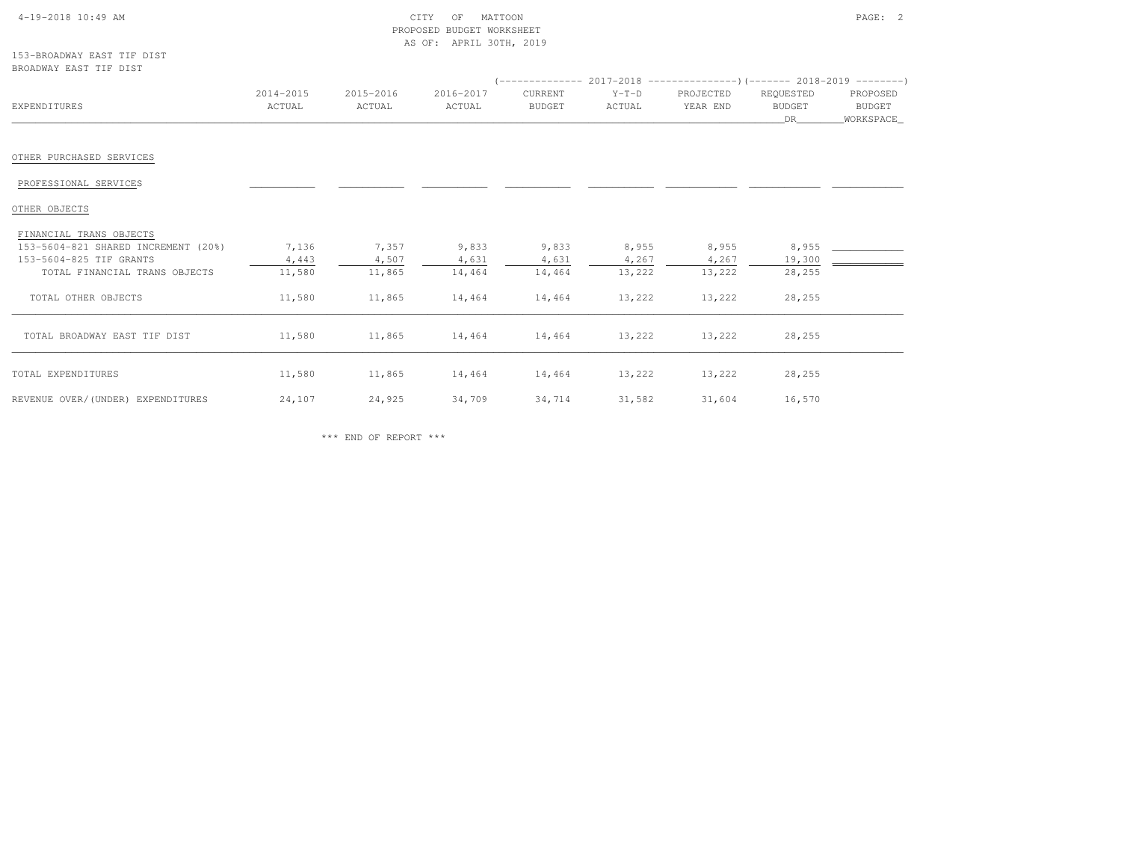| $4-19-2018$ 10:49 AM |  |  |
|----------------------|--|--|
|                      |  |  |

# $\text{CITY}$  of MATTOON  $\text{PAGE:}$  2 PROPOSED BUDGET WORKSHEETAS OF: APRIL 30TH, 2019

| 153-BROADWAY EAST TIF DIST |  |  |
|----------------------------|--|--|
| BROADWAY FAST TIF DIST     |  |  |

| DROADWAI EAGI III DIGI                                         |                     |                     |                             |                   |                   |                       |                           |                                   |
|----------------------------------------------------------------|---------------------|---------------------|-----------------------------|-------------------|-------------------|-----------------------|---------------------------|-----------------------------------|
| EXPENDITURES                                                   | 2014-2015<br>ACTUAL | 2015-2016<br>ACTUAL | 2016-2017<br>ACTUAL         | CURRENT<br>BUDGET | $Y-T-D$<br>ACTUAL | PROJECTED<br>YEAR END | REQUESTED<br>BUDGET<br>DR | PROPOSED<br>BUDGET<br>_WORKSPACE_ |
| OTHER PURCHASED SERVICES                                       |                     |                     |                             |                   |                   |                       |                           |                                   |
| PROFESSIONAL SERVICES                                          |                     |                     |                             |                   |                   |                       |                           |                                   |
| OTHER OBJECTS                                                  |                     |                     |                             |                   |                   |                       |                           |                                   |
| FINANCIAL TRANS OBJECTS<br>153-5604-821 SHARED INCREMENT (20%) | 7,136               | 7,357               | 9,833                       | 9,833             | 8,955             | 8,955                 | 8,955                     |                                   |
| 153-5604-825 TIF GRANTS<br>TOTAL FINANCIAL TRANS OBJECTS       | 4,443<br>11,580     | 4,507<br>11,865     | 4,631<br>14,464             | 4,631<br>14,464   | 4,267<br>13,222   | 4,267<br>13,222       | 19,300<br>28,255          |                                   |
| TOTAL OTHER OBJECTS                                            | 11,580              | 11,865              | 14,464                      | 14,464            | 13,222            | 13,222                | 28,255                    |                                   |
| TOTAL BROADWAY EAST TIF DIST                                   | 11,580              | 11,865              | 14,464 14,464 13,222        |                   |                   | 13,222                | 28,255                    |                                   |
| TOTAL EXPENDITURES                                             | 11,580              |                     | 11,865 14,464 14,464 13,222 |                   |                   | 13,222                | 28,255                    |                                   |
| REVENUE OVER/(UNDER) EXPENDITURES                              | 24,107              | 24,925              | 34,709 34,714 31,582        |                   |                   |                       | 31,604 16,570             |                                   |

\*\*\* END OF REPORT \*\*\*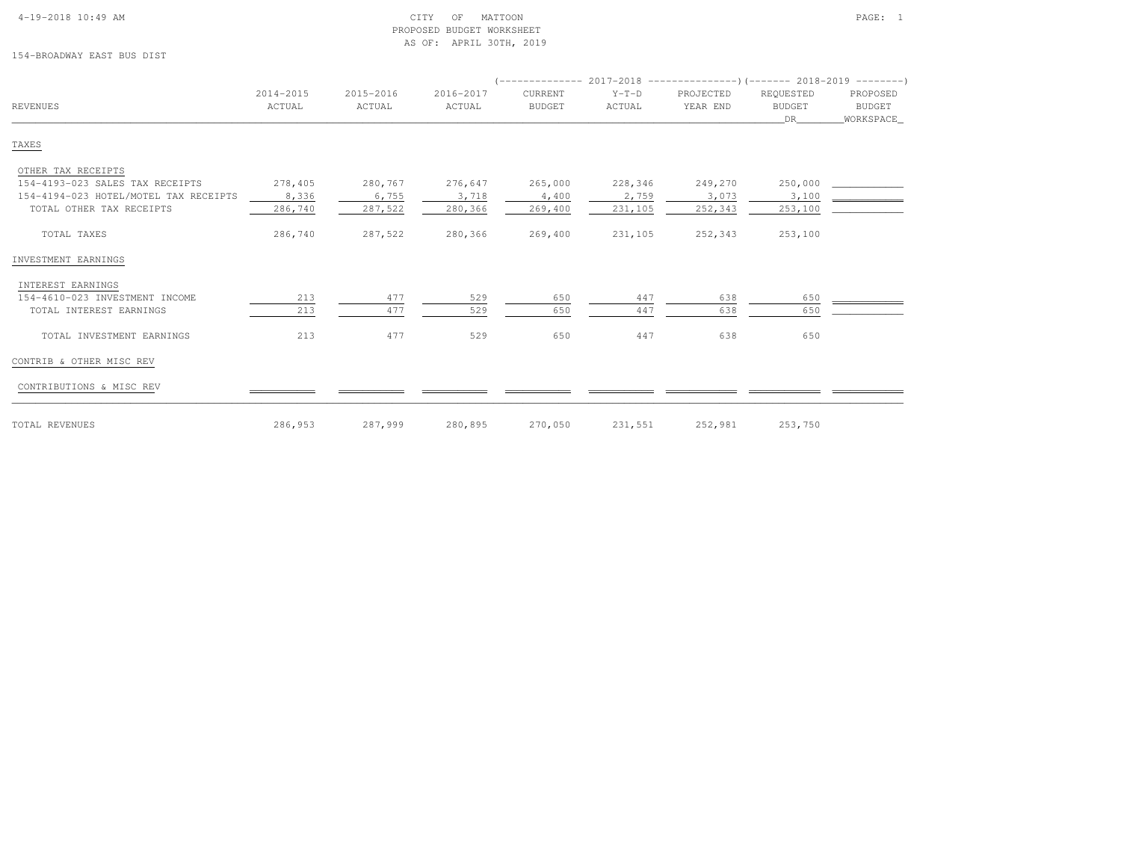### 4-19-2018 10:49 AM CITY OF MATTOON PAGE: 1 PROPOSED BUDGET WORKSHEETAS OF: APRIL 30TH, 2019

154-BROADWAY EAST BUS DIST

| REVENUES                              | 2014-2015<br>ACTUAL | 2015-2016<br>ACTUAL | 2016-2017<br>ACTUAL | CURRENT<br><b>BUDGET</b> | $Y-T-D$<br>ACTUAL | PROJECTED<br>YEAR END | REQUESTED<br><b>BUDGET</b><br>DR | PROPOSED<br>BUDGET<br>WORKSPACE |
|---------------------------------------|---------------------|---------------------|---------------------|--------------------------|-------------------|-----------------------|----------------------------------|---------------------------------|
| TAXES                                 |                     |                     |                     |                          |                   |                       |                                  |                                 |
| OTHER TAX RECEIPTS                    |                     |                     |                     |                          |                   |                       |                                  |                                 |
| 154-4193-023 SALES TAX RECEIPTS       | 278,405             | 280,767             | 276,647             | 265,000                  | 228,346           | 249,270               | 250,000                          |                                 |
| 154-4194-023 HOTEL/MOTEL TAX RECEIPTS | 8,336               | 6,755               | 3,718               | 4,400                    | 2,759             | 3,073                 | 3,100                            |                                 |
| TOTAL OTHER TAX RECEIPTS              | 286,740             | 287,522             | 280,366             | 269,400                  | 231,105           | 252,343               | 253,100                          |                                 |
| TOTAL TAXES                           | 286,740             | 287,522             | 280,366             | 269,400                  | 231,105           | 252,343               | 253,100                          |                                 |
| INVESTMENT EARNINGS                   |                     |                     |                     |                          |                   |                       |                                  |                                 |
| INTEREST EARNINGS                     |                     |                     |                     |                          |                   |                       |                                  |                                 |
| 154-4610-023 INVESTMENT INCOME        | 213                 | 477                 | 529                 | 650                      | 447               | 638                   | 650                              |                                 |
| TOTAL INTEREST EARNINGS               | 213                 | 477                 | 529                 | 650                      | 447               | 638                   | 650                              |                                 |
| TOTAL INVESTMENT EARNINGS             | 213                 | 477                 | 529                 | 650                      | 447               | 638                   | 650                              |                                 |
| CONTRIB & OTHER MISC REV              |                     |                     |                     |                          |                   |                       |                                  |                                 |
| CONTRIBUTIONS & MISC REV              |                     |                     |                     |                          |                   |                       |                                  |                                 |
| TOTAL REVENUES                        | 286,953             | 287,999             | 280,895             | 270,050                  | 231,551           | 252,981               | 253,750                          |                                 |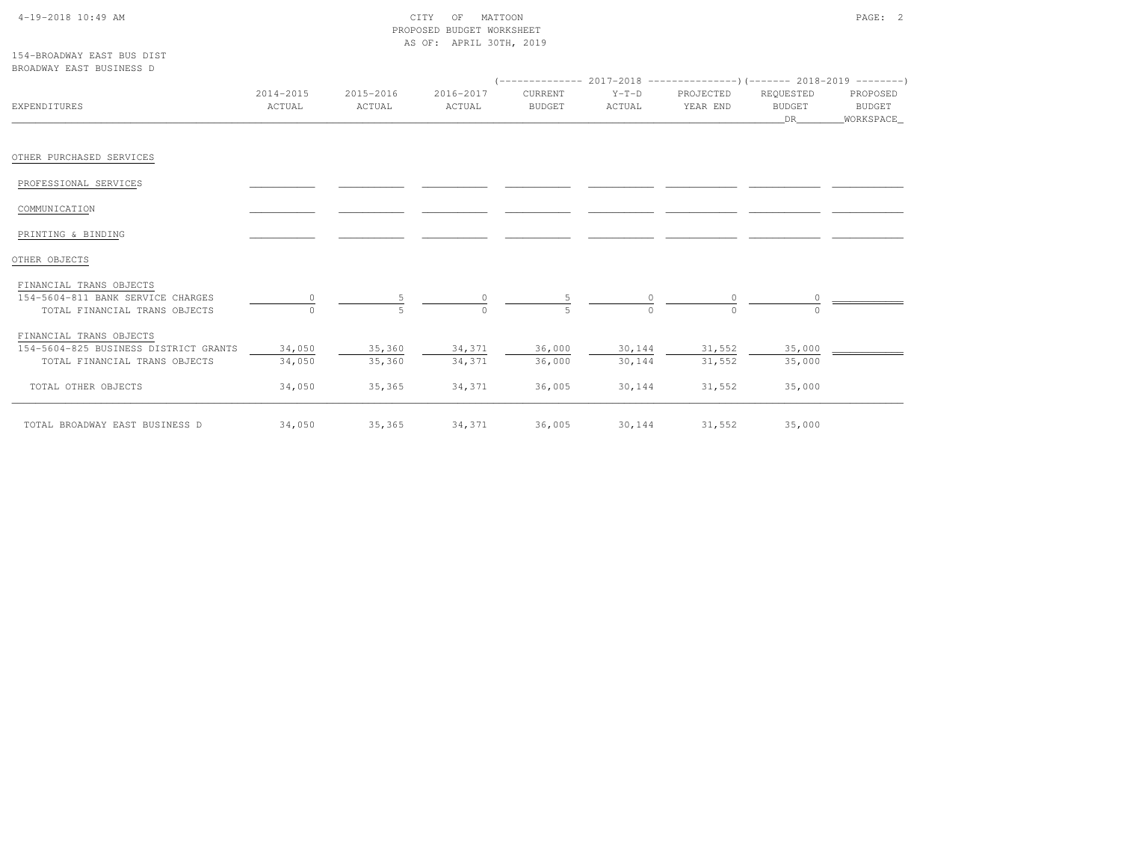# 4-19-2018 10:49 AM CITY OF MATTOON PAGE: 2 PROPOSED BUDGET WORKSHEETAS OF: APRIL 30TH, 2019

| 154-BROADWAY FAST BUS DIST |  |  |
|----------------------------|--|--|
| BROADWAY EAST BUSINESS D   |  |  |

| EXPENDITURES                          | 2014-2015<br>ACTUAL | 2015-2016<br>ACTUAL | 2016-2017<br>ACTUAL | CURRENT<br><b>BUDGET</b> | $Y-T-D$<br>ACTUAL | PROJECTED<br>YEAR END | REQUESTED<br>BUDGET<br>DR | PROPOSED<br>BUDGET<br>WORKSPACE_ |
|---------------------------------------|---------------------|---------------------|---------------------|--------------------------|-------------------|-----------------------|---------------------------|----------------------------------|
|                                       |                     |                     |                     |                          |                   |                       |                           |                                  |
| OTHER PURCHASED SERVICES              |                     |                     |                     |                          |                   |                       |                           |                                  |
| PROFESSIONAL SERVICES                 |                     |                     |                     |                          |                   |                       |                           |                                  |
| COMMUNICATION                         |                     |                     |                     |                          |                   |                       |                           |                                  |
| PRINTING & BINDING                    |                     |                     |                     |                          |                   |                       |                           |                                  |
| OTHER OBJECTS                         |                     |                     |                     |                          |                   |                       |                           |                                  |
| FINANCIAL TRANS OBJECTS               |                     |                     |                     |                          |                   |                       |                           |                                  |
| 154-5604-811 BANK SERVICE CHARGES     |                     |                     | $\circ$             |                          |                   |                       |                           |                                  |
| TOTAL FINANCIAL TRANS OBJECTS         |                     |                     | $\cap$              |                          |                   | $\Omega$              |                           |                                  |
| FINANCIAL TRANS OBJECTS               |                     |                     |                     |                          |                   |                       |                           |                                  |
| 154-5604-825 BUSINESS DISTRICT GRANTS | 34,050              | 35,360              | 34,371              | 36,000                   | 30,144            | 31,552                | 35,000                    |                                  |
| TOTAL FINANCIAL TRANS OBJECTS         | 34,050              | 35,360              | 34,371              | 36,000                   | 30,144            | 31,552                | 35,000                    |                                  |
| TOTAL OTHER OBJECTS                   | 34,050              | 35,365              | 34,371              | 36,005                   | 30,144            | 31,552                | 35,000                    |                                  |
| TOTAL BROADWAY EAST BUSINESS D        | 34,050              | 35,365              | 34,371              | 36,005                   | 30,144            | 31,552                | 35,000                    |                                  |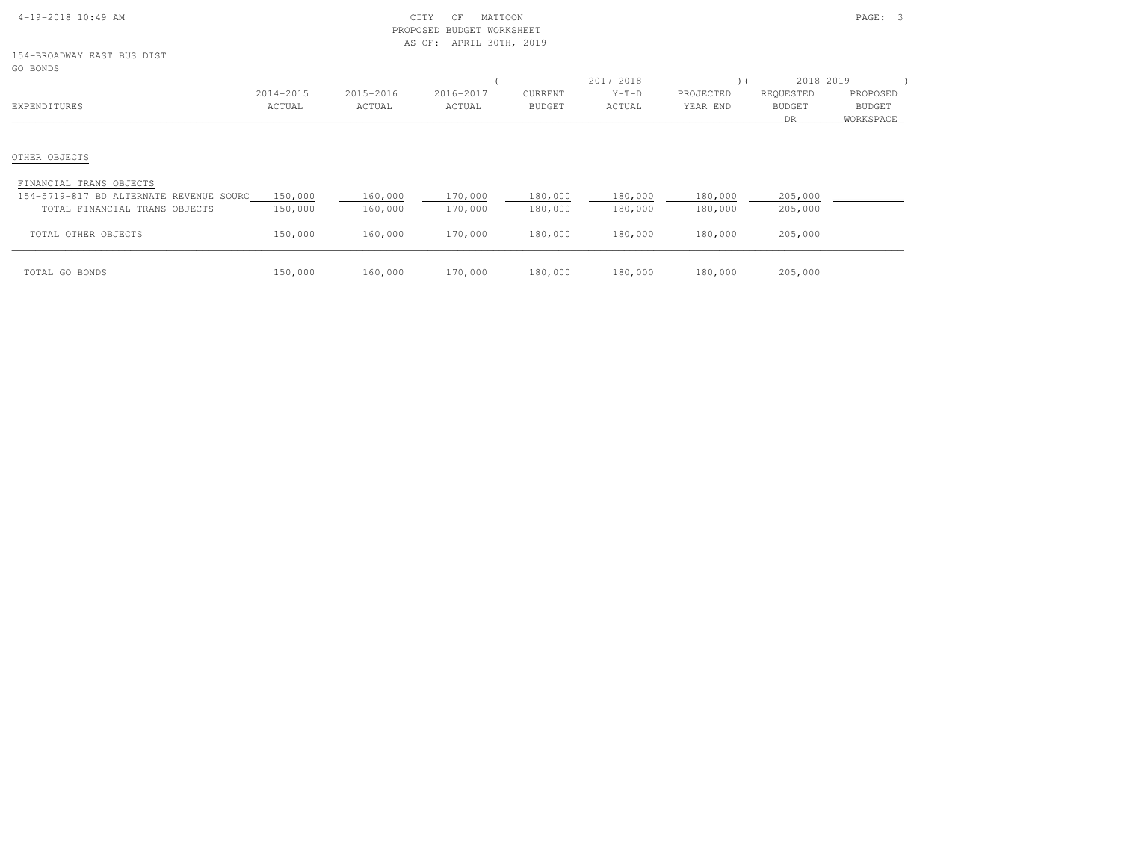| $4-19-2018$ $10:49$ AM |  |  |
|------------------------|--|--|

# $\begin{array}{ccc} \text{CITY} & \text{OF} & \text{MATION} \end{array}$  PROPOSED BUDGET WORKSHEETAS OF: APRIL 30TH, 2019

154-BROADWAY EAST BUS DISTGO BONDS

| GO BONDS                                |           |           |           |               |                                                                            |           |           |           |
|-----------------------------------------|-----------|-----------|-----------|---------------|----------------------------------------------------------------------------|-----------|-----------|-----------|
|                                         |           |           |           |               | ------------- 2017-2018 -------------------- (------- 2018-2019 ---------) |           |           |           |
|                                         | 2014-2015 | 2015-2016 | 2016-2017 | CURRENT       | $Y-T-D$                                                                    | PROJECTED | REQUESTED | PROPOSED  |
| EXPENDITURES                            | ACTUAL    | ACTUAL    | ACTUAL    | <b>BUDGET</b> | ACTUAL                                                                     | YEAR END  | BUDGET    | BUDGET    |
|                                         |           |           |           |               |                                                                            |           | DR.       | WORKSPACE |
|                                         |           |           |           |               |                                                                            |           |           |           |
|                                         |           |           |           |               |                                                                            |           |           |           |
| OTHER OBJECTS                           |           |           |           |               |                                                                            |           |           |           |
|                                         |           |           |           |               |                                                                            |           |           |           |
| FINANCIAL TRANS OBJECTS                 |           |           |           |               |                                                                            |           |           |           |
| 154-5719-817 BD ALTERNATE REVENUE SOURC | 150,000   | 160,000   | 170,000   | 180,000       | 180,000                                                                    | 180,000   | 205,000   |           |
| TOTAL FINANCIAL TRANS OBJECTS           | 150,000   | 160,000   | 170,000   | 180,000       | 180,000                                                                    | 180,000   | 205,000   |           |
|                                         |           |           |           |               |                                                                            |           |           |           |
| TOTAL OTHER OBJECTS                     | 150,000   | 160,000   | 170,000   | 180,000       | 180,000                                                                    | 180,000   | 205,000   |           |
|                                         |           |           |           |               |                                                                            |           |           |           |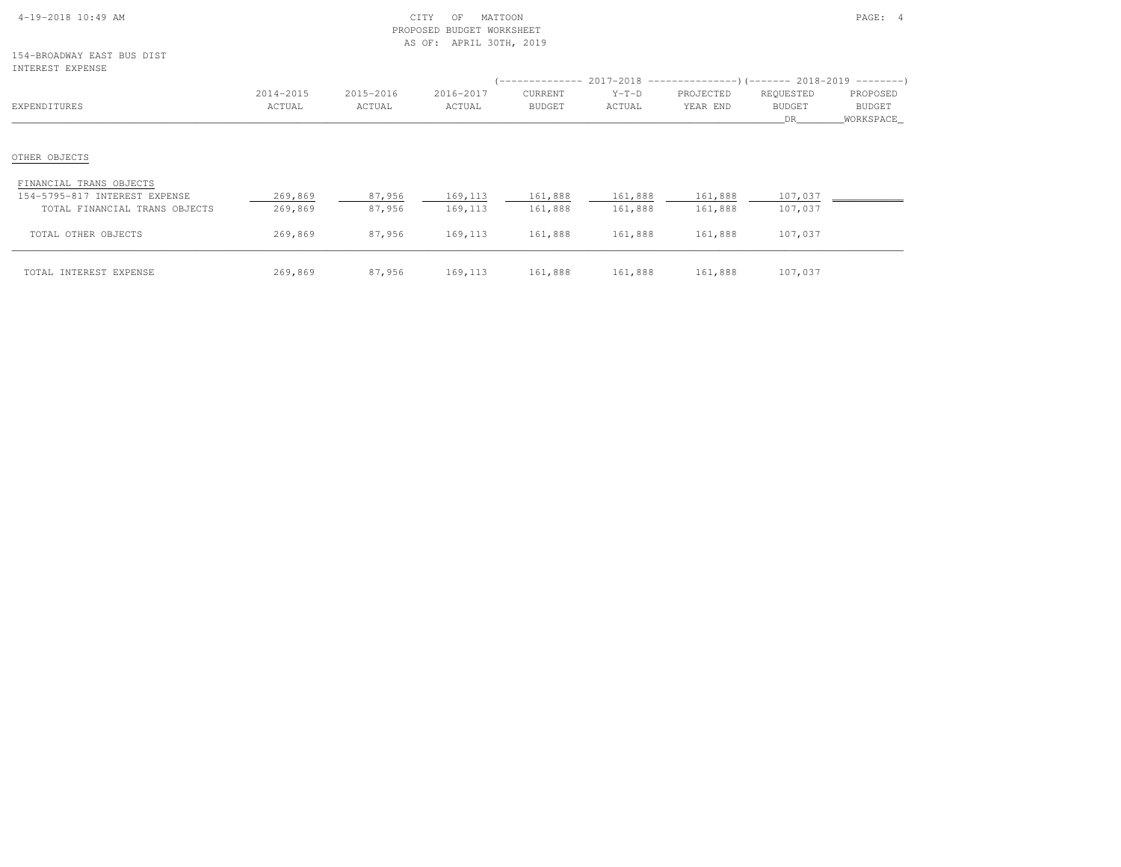|  | $4-19-2018$ 10:49 AM |  |  |
|--|----------------------|--|--|

# $\text{CITY}$  of MATTOON  $\text{PAGE:}$  4 PROPOSED BUDGET WORKSHEETAS OF: APRIL 30TH, 2019

154-BROADWAY EAST BUS DISTINTEREST EXPENSE

| INTEREST EXPENSE              |           |           |           |               |         | (-------------- 2017-2018 ----------------)(------- 2018-2019 ---------) |               |           |
|-------------------------------|-----------|-----------|-----------|---------------|---------|--------------------------------------------------------------------------|---------------|-----------|
|                               | 2014-2015 | 2015-2016 | 2016-2017 | CURRENT       | $Y-T-D$ | PROJECTED                                                                | REQUESTED     | PROPOSED  |
| EXPENDITURES                  | ACTUAL    | ACTUAL    | ACTUAL    | <b>BUDGET</b> | ACTUAL  | YEAR END                                                                 | <b>BUDGET</b> | BUDGET    |
|                               |           |           |           |               |         |                                                                          | DR            | WORKSPACE |
| OTHER OBJECTS                 |           |           |           |               |         |                                                                          |               |           |
| FINANCIAL TRANS OBJECTS       |           |           |           |               |         |                                                                          |               |           |
| 154-5795-817 INTEREST EXPENSE | 269,869   | 87,956    | 169,113   | 161,888       | 161,888 | 161,888                                                                  | 107,037       |           |
| TOTAL FINANCIAL TRANS OBJECTS | 269,869   | 87,956    | 169, 113  | 161,888       | 161,888 | 161,888                                                                  | 107,037       |           |
| TOTAL OTHER OBJECTS           | 269,869   | 87,956    | 169, 113  | 161,888       | 161,888 | 161,888                                                                  | 107,037       |           |
| TOTAL INTEREST EXPENSE        | 269,869   | 87,956    | 169,113   | 161,888       | 161,888 | 161,888                                                                  | 107,037       |           |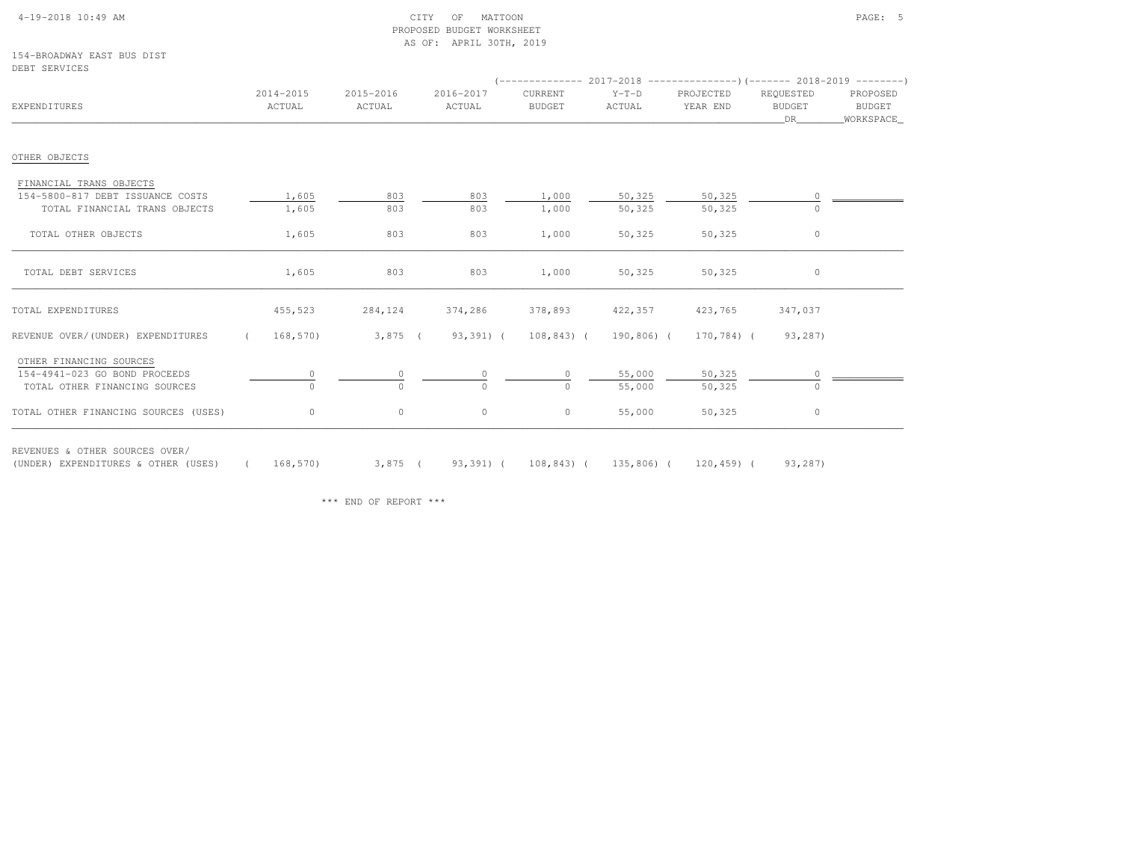## 4-19-2018 10:49 AM CITY OF MATTOON PAGE: 5 PROPOSED BUDGET WORKSHEETAS OF: APRIL 30TH, 2019

154-BROADWAY EAST BUS DISTDEBT SERVICES

| EXPENDITURES                         | 2014-2015<br>ACTUAL | 2015-2016<br>ACTUAL | 2016-2017<br>ACTUAL | CURRENT<br><b>BUDGET</b> | $Y-T-D$<br>ACTUAL | $(----------2017-2018$ ---------------) (------- 2018-2019 -------)<br>PROJECTED<br>YEAR END | REQUESTED<br><b>BUDGET</b><br>DR | PROPOSED<br><b>BUDGET</b><br>WORKSPACE_ |
|--------------------------------------|---------------------|---------------------|---------------------|--------------------------|-------------------|----------------------------------------------------------------------------------------------|----------------------------------|-----------------------------------------|
| OTHER OBJECTS                        |                     |                     |                     |                          |                   |                                                                                              |                                  |                                         |
| FINANCIAL TRANS OBJECTS              |                     |                     |                     |                          |                   |                                                                                              |                                  |                                         |
| 154-5800-817 DEBT ISSUANCE COSTS     | 1,605               | 803                 | 803                 | 1,000                    | 50,325            | 50,325                                                                                       |                                  |                                         |
| TOTAL FINANCIAL TRANS OBJECTS        | 1,605               | 803                 | 803                 | 1,000                    | 50,325            | 50,325                                                                                       |                                  |                                         |
| TOTAL OTHER OBJECTS                  | 1,605               | 803                 | 803                 | 1,000                    | 50,325            | 50,325                                                                                       | $\circ$                          |                                         |
| TOTAL DEBT SERVICES                  | 1,605               | 803                 | 803                 | 1,000                    | 50,325            | 50,325                                                                                       | 0                                |                                         |
| TOTAL EXPENDITURES                   | 455,523             | 284,124             | 374,286             | 378,893                  | 422,357           | 423,765                                                                                      | 347,037                          |                                         |
| REVENUE OVER/(UNDER) EXPENDITURES    | 168,570             | $3,875$ (           | 93,391) (           | $108, 843)$ (            | 190,806) (        | 170,784) (                                                                                   | 93,287)                          |                                         |
| OTHER FINANCING SOURCES              |                     |                     |                     |                          |                   |                                                                                              |                                  |                                         |
| 154-4941-023 GO BOND PROCEEDS        |                     |                     |                     | $\circ$                  | 55,000            | 50,325                                                                                       |                                  |                                         |
| TOTAL OTHER FINANCING SOURCES        | $\Omega$            | $\Omega$            | $\Omega$            | $\circ$                  | 55,000            | 50,325                                                                                       | $\Omega$                         |                                         |
| TOTAL OTHER FINANCING SOURCES (USES) | $\circ$             | $\circ$             | $\circ$             | $\circ$                  | 55,000            | 50,325                                                                                       | $\circ$                          |                                         |

(UNDER) EXPENDITURES & OTHER (USES) ( 168,570) 3,875 ( 93,391) ( 108,843) ( 135,806) ( 120,459) ( 93,287)

\*\*\* END OF REPORT \*\*\*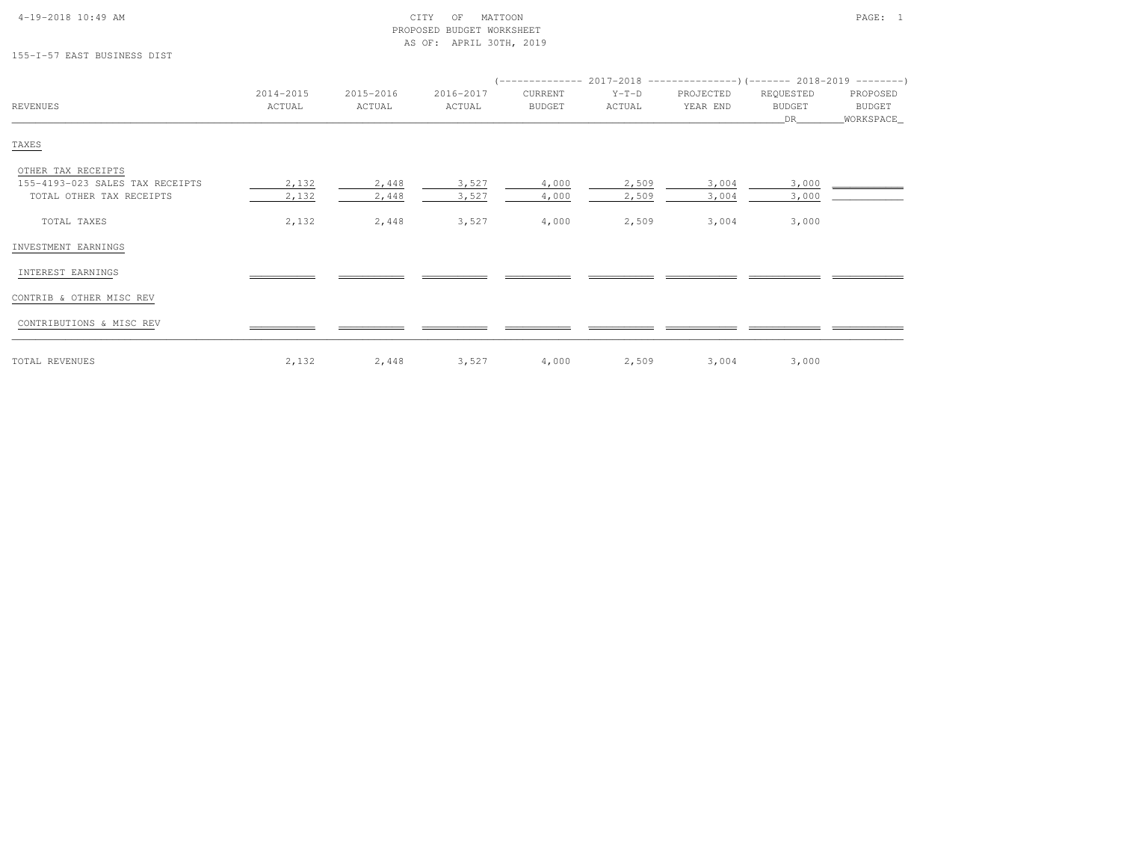# 4-19-2018 10:49 AM CITY OF MATTOON PAGE: 1 PROPOSED BUDGET WORKSHEETAS OF: APRIL 30TH, 2019

# 155-I-57 EAST BUSINESS DIST

|                                 |                     |                     |                     | (-------------- 2017-2018 -----------------) (------- 2018-2019 ---------) |                   |                       |                            |                    |
|---------------------------------|---------------------|---------------------|---------------------|----------------------------------------------------------------------------|-------------------|-----------------------|----------------------------|--------------------|
| REVENUES                        | 2014-2015<br>ACTUAL | 2015-2016<br>ACTUAL | 2016-2017<br>ACTUAL | CURRENT<br><b>BUDGET</b>                                                   | $Y-T-D$<br>ACTUAL | PROJECTED<br>YEAR END | REQUESTED<br><b>BUDGET</b> | PROPOSED<br>BUDGET |
|                                 |                     |                     |                     |                                                                            |                   |                       | DR                         | WORKSPACE_         |
| TAXES                           |                     |                     |                     |                                                                            |                   |                       |                            |                    |
| OTHER TAX RECEIPTS              |                     |                     |                     |                                                                            |                   |                       |                            |                    |
| 155-4193-023 SALES TAX RECEIPTS | 2,132               | 2,448               | 3,527               | 4,000                                                                      | 2,509             | 3,004                 | 3,000                      |                    |
| TOTAL OTHER TAX RECEIPTS        | 2,132               | 2,448               | 3,527               | 4,000                                                                      | 2,509             | 3,004                 | 3,000                      |                    |
| TOTAL TAXES                     | 2,132               | 2,448               | 3,527               | 4,000                                                                      | 2,509             | 3,004                 | 3,000                      |                    |
| INVESTMENT EARNINGS             |                     |                     |                     |                                                                            |                   |                       |                            |                    |
| INTEREST EARNINGS               |                     |                     |                     |                                                                            |                   |                       |                            |                    |
| CONTRIB & OTHER MISC REV        |                     |                     |                     |                                                                            |                   |                       |                            |                    |
| CONTRIBUTIONS & MISC REV        |                     |                     |                     |                                                                            |                   |                       |                            |                    |
|                                 |                     |                     |                     |                                                                            |                   |                       |                            |                    |

| TOTAL REVENUES | $\sim$ $\sim$ $\sim$<br>4.134 | 2,448 | 527 | 4,000 | 2.509 | ,,004 | 3,000 |
|----------------|-------------------------------|-------|-----|-------|-------|-------|-------|
|----------------|-------------------------------|-------|-----|-------|-------|-------|-------|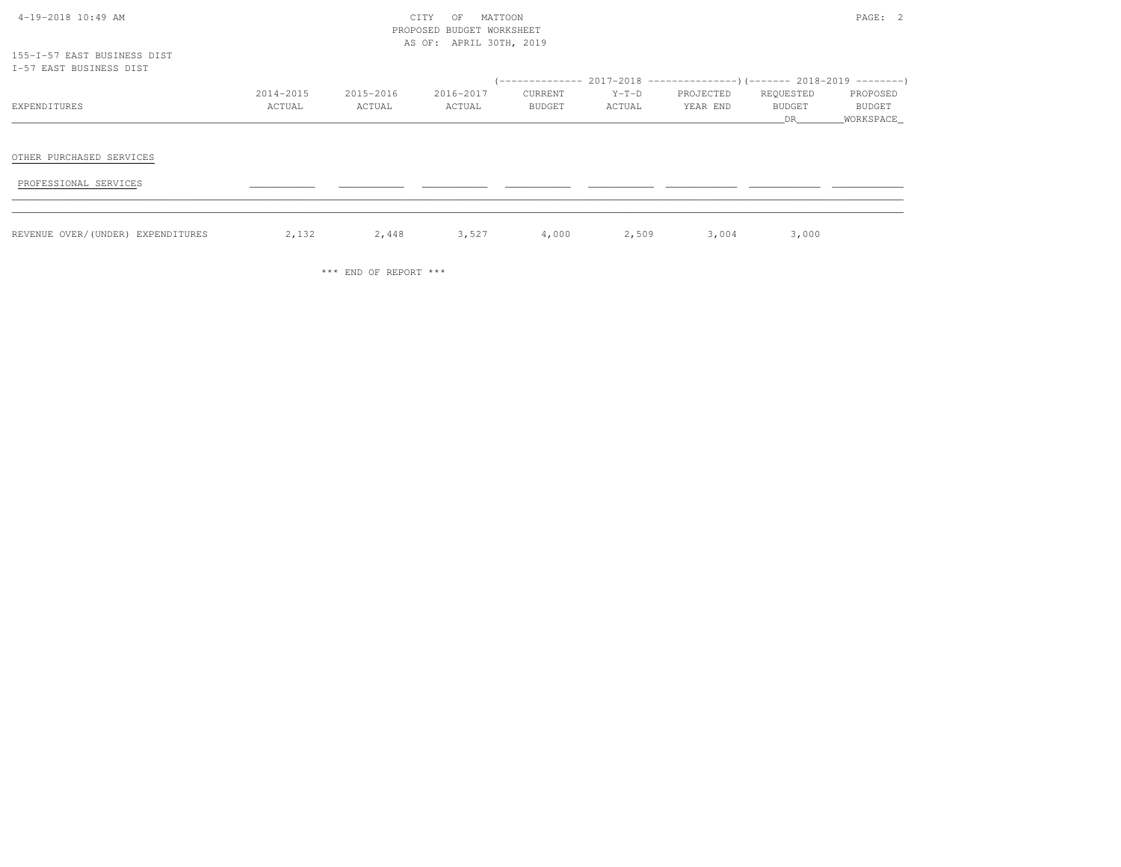| $4-19-2018$ 10:49 AM |  |  |
|----------------------|--|--|

# $\text{CITY}$  of MATTOON  $\text{PAGE:}$  2 PROPOSED BUDGET WORKSHEETAS OF: APRIL 30TH, 2019

155-I-57 EAST BUSINESS DISTI-57 EAST BUSINESS DIST

| -I-57 EAST BUSINESS DIST          |                     |                     |                     |                   |                   |                                                                                                    |                           |                                   |
|-----------------------------------|---------------------|---------------------|---------------------|-------------------|-------------------|----------------------------------------------------------------------------------------------------|---------------------------|-----------------------------------|
| EXPENDITURES                      | 2014-2015<br>ACTUAL | 2015-2016<br>ACTUAL | 2016-2017<br>ACTUAL | CURRENT<br>BUDGET | $Y-T-D$<br>ACTUAL | (-------------- 2017-2018 ----------------) (------- 2018-2019 ---------)<br>PROJECTED<br>YEAR END | REQUESTED<br>BUDGET<br>DR | PROPOSED<br>BUDGET<br>_WORKSPACE_ |
| OTHER PURCHASED SERVICES          |                     |                     |                     |                   |                   |                                                                                                    |                           |                                   |
| PROFESSIONAL SERVICES             |                     |                     |                     |                   |                   |                                                                                                    |                           |                                   |
| REVENUE OVER/(UNDER) EXPENDITURES | 2,132               | 2,448               | 3,527               | 4,000             | 2,509             | 3,004                                                                                              | 3,000                     |                                   |

\*\*\* END OF REPORT \*\*\*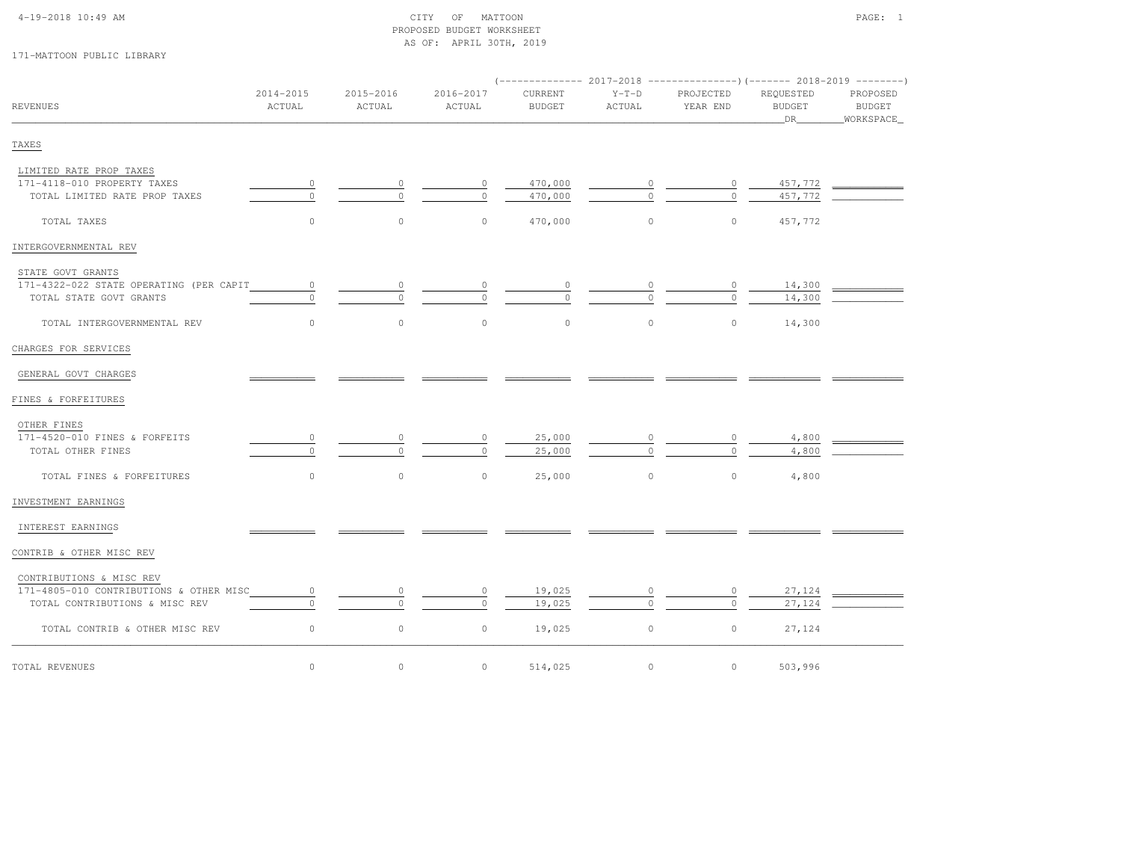# 4-19-2018 10:49 AM CITY OF MATTOON PAGE: 1 PROPOSED BUDGET WORKSHEETAS OF: APRIL 30TH, 2019

# 171-MATTOON PUBLIC LIBRARY

|                                         |                     |                     |                     |                          | $(----------2017-2018$ ---------------) (------- 2018-2019 -------) |                       |                                      |                                          |  |
|-----------------------------------------|---------------------|---------------------|---------------------|--------------------------|---------------------------------------------------------------------|-----------------------|--------------------------------------|------------------------------------------|--|
| <b>REVENUES</b>                         | 2014-2015<br>ACTUAL | 2015-2016<br>ACTUAL | 2016-2017<br>ACTUAL | CURRENT<br><b>BUDGET</b> | $Y-T-D$<br>ACTUAL                                                   | PROJECTED<br>YEAR END | REQUESTED<br><b>BUDGET</b><br>$\_DR$ | PROPOSED<br><b>BUDGET</b><br>_WORKSPACE_ |  |
| TAXES                                   |                     |                     |                     |                          |                                                                     |                       |                                      |                                          |  |
| LIMITED RATE PROP TAXES                 |                     |                     |                     |                          |                                                                     |                       |                                      |                                          |  |
| 171-4118-010 PROPERTY TAXES             | $\circ$             | 0                   | $\circ$             | 470,000                  | 0                                                                   | $\circ$               | 457,772                              |                                          |  |
| TOTAL LIMITED RATE PROP TAXES           | $\circ$             | $\Omega$            | $\circ$             | 470,000                  | $\Omega$                                                            | $\Omega$              | 457,772                              |                                          |  |
| TOTAL TAXES                             | $\circ$             | $\circ$             | $\circ$             | 470,000                  | $\circ$                                                             | $\circ$               | 457,772                              |                                          |  |
| INTERGOVERNMENTAL REV                   |                     |                     |                     |                          |                                                                     |                       |                                      |                                          |  |
| STATE GOVT GRANTS                       |                     |                     |                     |                          |                                                                     |                       |                                      |                                          |  |
| 171-4322-022 STATE OPERATING (PER CAPIT | $\circ$             | 0                   |                     |                          |                                                                     |                       | 14,300                               |                                          |  |
| TOTAL STATE GOVT GRANTS                 | $\circ$             |                     | $\Omega$            | $\circ$                  |                                                                     | $\Omega$              | 14,300                               |                                          |  |
| TOTAL INTERGOVERNMENTAL REV             | $\circ$             | $\mathbf{0}$        | $\circ$             | $\circ$                  | $\circ$                                                             | $\circ$               | 14,300                               |                                          |  |
| CHARGES FOR SERVICES                    |                     |                     |                     |                          |                                                                     |                       |                                      |                                          |  |
| GENERAL GOVT CHARGES                    |                     |                     |                     |                          |                                                                     |                       |                                      |                                          |  |
| FINES & FORFEITURES                     |                     |                     |                     |                          |                                                                     |                       |                                      |                                          |  |
| OTHER FINES                             |                     |                     |                     |                          |                                                                     |                       |                                      |                                          |  |
| 171-4520-010 FINES & FORFEITS           | 0                   |                     | $\circ$             | 25,000                   |                                                                     | $\circ$               | 4,800                                |                                          |  |
| TOTAL OTHER FINES                       | $\circ$             |                     | $\Omega$            | 25,000                   | $\Omega$                                                            | $\Omega$              | 4,800                                |                                          |  |
| TOTAL FINES & FORFEITURES               | $\circ$             | $\mathbb O$         | $\circ$             | 25,000                   | $\circ$                                                             | $\circ$               | 4,800                                |                                          |  |
| INVESTMENT EARNINGS                     |                     |                     |                     |                          |                                                                     |                       |                                      |                                          |  |
| INTEREST EARNINGS                       |                     |                     |                     |                          |                                                                     |                       |                                      |                                          |  |
| CONTRIB & OTHER MISC REV                |                     |                     |                     |                          |                                                                     |                       |                                      |                                          |  |
| CONTRIBUTIONS & MISC REV                |                     |                     |                     |                          |                                                                     |                       |                                      |                                          |  |
| 171-4805-010 CONTRIBUTIONS & OTHER MISC | $\circ$             | 0                   | $\circ$             | 19,025                   |                                                                     | $\circ$               | 27,124                               |                                          |  |
| TOTAL CONTRIBUTIONS & MISC REV          | $\circ$             |                     | $\circ$             | 19,025                   |                                                                     | $\Omega$              | 27,124                               |                                          |  |
| TOTAL CONTRIB & OTHER MISC REV          | $\circ$             | $\mathbb O$         | $\circ$             | 19,025                   | $\circ$                                                             | $\circ$               | 27,124                               |                                          |  |
| TOTAL REVENUES                          | $\circ$             | $\mathbb O$         | $\circ$             | 514,025                  | $\circ$                                                             | $\circ$               | 503,996                              |                                          |  |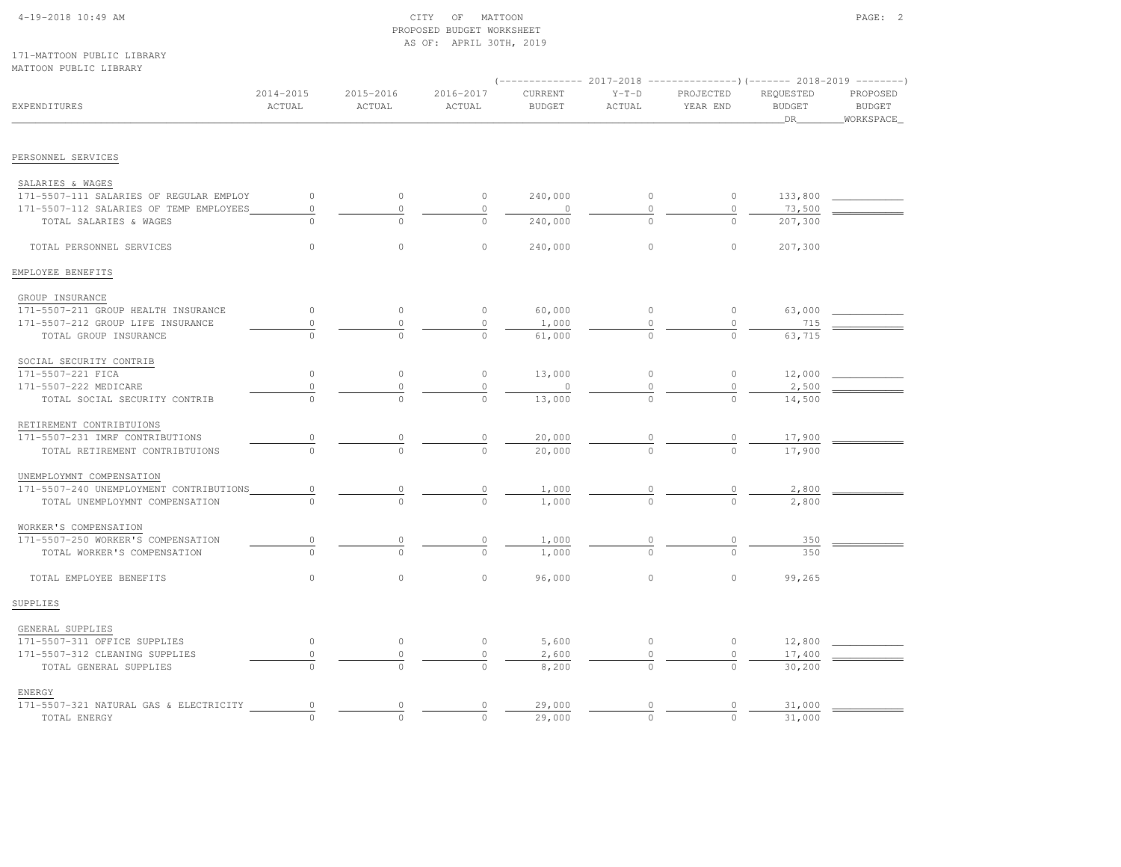# 4-19-2018 10:49 AM CITY OF MATTOON PAGE: 2 PROPOSED BUDGET WORKSHEETAS OF: APRIL 30TH, 2019

### 171-MATTOON PUBLIC LIBRARYMATTOON PUBLIC LIBRARY

|                                         |                     |                     |                     | $---------2017-2018$     |                   |                       |                                  |                                         |
|-----------------------------------------|---------------------|---------------------|---------------------|--------------------------|-------------------|-----------------------|----------------------------------|-----------------------------------------|
| EXPENDITURES                            | 2014-2015<br>ACTUAL | 2015-2016<br>ACTUAL | 2016-2017<br>ACTUAL | CURRENT<br><b>BUDGET</b> | $Y-T-D$<br>ACTUAL | PROJECTED<br>YEAR END | REQUESTED<br><b>BUDGET</b><br>DR | PROPOSED<br><b>BUDGET</b><br>WORKSPACE_ |
| PERSONNEL SERVICES                      |                     |                     |                     |                          |                   |                       |                                  |                                         |
|                                         |                     |                     |                     |                          |                   |                       |                                  |                                         |
| SALARIES & WAGES                        |                     |                     |                     |                          |                   |                       |                                  |                                         |
| 171-5507-111 SALARIES OF REGULAR EMPLOY | $\circ$             | $\circ$             | $\circ$             | 240,000                  | $\circ$           | $\circ$               | 133,800                          |                                         |
| 171-5507-112 SALARIES OF TEMP EMPLOYEES | $\circ$             | $\mathbb O$         | $\mathsf{O}\xspace$ | $\circ$                  | 0                 | $\circ$               | 73,500                           |                                         |
| TOTAL SALARIES & WAGES                  | $\Omega$            | $\Omega$            | $\Omega$            | 240,000                  |                   | $\Omega$              | 207,300                          |                                         |
| TOTAL PERSONNEL SERVICES                | $\Omega$            | $\circ$             | $\circ$             | 240,000                  | $\circ$           | $\circ$               | 207,300                          |                                         |
| EMPLOYEE BENEFITS                       |                     |                     |                     |                          |                   |                       |                                  |                                         |
| GROUP INSURANCE                         |                     |                     |                     |                          |                   |                       |                                  |                                         |
| 171-5507-211 GROUP HEALTH INSURANCE     | $\circ$             | $\circ$             | $\circ$             | 60,000                   | $\circ$           | $\circ$               | 63,000                           |                                         |
| 171-5507-212 GROUP LIFE INSURANCE       | $\circ$             | $\Omega$            | $\circ$             | 1,000                    |                   | $\circ$               | 715                              |                                         |
| TOTAL GROUP INSURANCE                   | $\Omega$            | $\Omega$            | $\Omega$            | 61,000                   | $\Omega$          | $\circ$               | 63,715                           |                                         |
| SOCIAL SECURITY CONTRIB                 |                     |                     |                     |                          |                   |                       |                                  |                                         |
| 171-5507-221 FICA                       | $\circ$             | $\circ$             | $\circ$             | 13,000                   | $\circ$           | $\circ$               | 12,000                           |                                         |
| 171-5507-222 MEDICARE                   | $\circ$             | $\circ$             | $\circ$             | $\circ$                  |                   | $\circ$               | 2,500                            |                                         |
| TOTAL SOCIAL SECURITY CONTRIB           |                     |                     |                     | 13,000                   |                   |                       | 14,500                           |                                         |
| RETIREMENT CONTRIBTUIONS                |                     |                     |                     |                          |                   |                       |                                  |                                         |
| 171-5507-231 IMRF CONTRIBUTIONS         | 0                   | 0                   | 0                   | 20,000                   |                   | $\circ$               | 17,900                           |                                         |
| TOTAL RETIREMENT CONTRIBTUIONS          | $\Omega$            | $\cap$              | $\Omega$            | 20,000                   |                   | $\Omega$              | 17,900                           |                                         |
| UNEMPLOYMNT COMPENSATION                |                     |                     |                     |                          |                   |                       |                                  |                                         |
| 171-5507-240 UNEMPLOYMENT CONTRIBUTIONS | $\circ$             | $\overline{0}$      | 0                   | 1,000                    |                   | 0                     | 2,800                            |                                         |
| TOTAL UNEMPLOYMNT COMPENSATION          |                     |                     |                     | 1,000                    |                   |                       | 2,800                            |                                         |
| WORKER'S COMPENSATION                   |                     |                     |                     |                          |                   |                       |                                  |                                         |
| 171-5507-250 WORKER'S COMPENSATION      | $\circ$             | $\circ$             | 0                   | 1,000                    |                   | $\circ$               | 350                              |                                         |
| TOTAL WORKER'S COMPENSATION             | $\Omega$            | $\Omega$            | $\Omega$            | 1,000                    |                   | $\Omega$              | 350                              |                                         |
| TOTAL EMPLOYEE BENEFITS                 | $\circ$             | $\mathbb O$         | 0                   | 96,000                   | $\circ$           | $\circ$               | 99,265                           |                                         |
| SUPPLIES                                |                     |                     |                     |                          |                   |                       |                                  |                                         |
| GENERAL SUPPLIES                        |                     |                     |                     |                          |                   |                       |                                  |                                         |
| 171-5507-311 OFFICE SUPPLIES            | $\circ$             | $\circ$             | $\circ$             | 5,600                    | $\circ$           | $\circ$               | 12,800                           |                                         |
| 171-5507-312 CLEANING SUPPLIES          | 0                   | $\mathbb O$         | $\mathbb O$         | 2,600                    |                   | 0                     | 17,400                           |                                         |
| TOTAL GENERAL SUPPLIES                  |                     |                     |                     | 8,200                    |                   |                       | 30,200                           |                                         |
| ENERGY                                  |                     |                     |                     |                          |                   |                       |                                  |                                         |
| 171-5507-321 NATURAL GAS & ELECTRICITY  | $\circ$             | 0                   | 0                   | 29,000                   | $\circ$           | $\circ$               | 31,000                           |                                         |
| TOTAL ENERGY                            | $\Omega$            | $\Omega$            | $\Omega$            | 29,000                   | $\Omega$          | $\Omega$              | 31,000                           |                                         |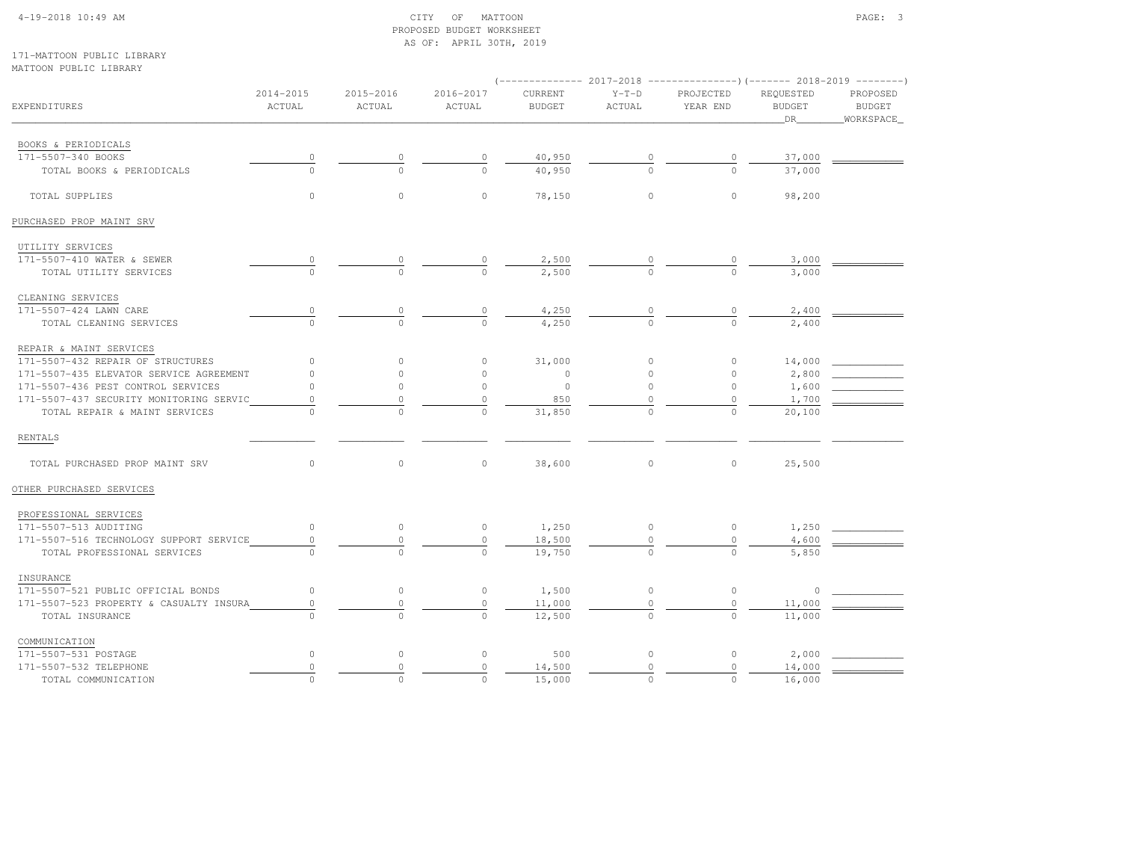## 4-19-2018 10:49 AM CITY OF MATTOON PAGE: 3 PROPOSED BUDGET WORKSHEETAS OF: APRIL 30TH, 2019

### 171-MATTOON PUBLIC LIBRARYMATTOON PUBLIC LIBRARY

|                                         |                     |                     |                     | (-------------- 2017-2018 ----------------)(------- 2018-2019 --------) |                   |                       |                                  |                                        |
|-----------------------------------------|---------------------|---------------------|---------------------|-------------------------------------------------------------------------|-------------------|-----------------------|----------------------------------|----------------------------------------|
| EXPENDITURES                            | 2014-2015<br>ACTUAL | 2015-2016<br>ACTUAL | 2016-2017<br>ACTUAL | CURRENT<br><b>BUDGET</b>                                                | $Y-T-D$<br>ACTUAL | PROJECTED<br>YEAR END | REQUESTED<br><b>BUDGET</b><br>DR | PROPOSED<br><b>BUDGET</b><br>WORKSPACE |
| BOOKS & PERIODICALS                     |                     |                     |                     |                                                                         |                   |                       |                                  |                                        |
| 171-5507-340 BOOKS                      | $\circ$             | 0                   | 0                   | 40,950                                                                  | $\circ$           | $\circ$               | 37,000                           |                                        |
| TOTAL BOOKS & PERIODICALS               | $\Omega$            | $\Omega$            | $\Omega$            | 40,950                                                                  |                   | $\Omega$              | 37,000                           |                                        |
| TOTAL SUPPLIES                          | $\circ$             | $\mathbf{0}$        | $\circ$             | 78,150                                                                  | $\circ$           | $\circ$               | 98,200                           |                                        |
| PURCHASED PROP MAINT SRV                |                     |                     |                     |                                                                         |                   |                       |                                  |                                        |
| UTILITY SERVICES                        |                     |                     |                     |                                                                         |                   |                       |                                  |                                        |
| 171-5507-410 WATER & SEWER              |                     |                     |                     | 2,500                                                                   |                   |                       | 3,000                            |                                        |
| TOTAL UTILITY SERVICES                  | $\Omega$            | $\Omega$            | $\Omega$            | 2,500                                                                   | $\Omega$          | $\Omega$              | 3,000                            |                                        |
| CLEANING SERVICES                       |                     |                     |                     |                                                                         |                   |                       |                                  |                                        |
| 171-5507-424 LAWN CARE                  | $\circ$             | 0                   | $\circ$             | 4,250                                                                   | $\mathbb O$       | 0                     | 2,400                            |                                        |
| TOTAL CLEANING SERVICES                 | $\circ$             | $\Omega$            | $\Omega$            | 4,250                                                                   | $\Omega$          | $\Omega$              | 2,400                            |                                        |
| REPAIR & MAINT SERVICES                 |                     |                     |                     |                                                                         |                   |                       |                                  |                                        |
| 171-5507-432 REPAIR OF STRUCTURES       | $\circ$             | $\circ$             | $\circ$             | 31,000                                                                  | $\circ$           | $\circ$               | 14,000                           |                                        |
| 171-5507-435 ELEVATOR SERVICE AGREEMENT | $\Omega$            | $\Omega$            | $\circ$             | $\circ$                                                                 | $\circ$           | $\circ$               | 2,800                            |                                        |
| 171-5507-436 PEST CONTROL SERVICES      | $\circ$             | $\Omega$            | $\circ$             | $\circ$                                                                 | $\circ$           | $\circ$               | 1,600                            |                                        |
| 171-5507-437 SECURITY MONITORING SERVIC | $\mathbf{0}$        | $\mathbf 0$         | $\circ$             | 850                                                                     | $\Omega$          | $\circ$               | 1,700                            |                                        |
| TOTAL REPAIR & MAINT SERVICES           |                     | $\Omega$            | $\Omega$            | 31,850                                                                  | $\circ$           | $\Omega$              | 20,100                           |                                        |
| <b>RENTALS</b>                          |                     |                     |                     |                                                                         |                   |                       |                                  |                                        |
| TOTAL PURCHASED PROP MAINT SRV          | $\circ$             | $\mathbb O$         | $\circ$             | 38,600                                                                  | $\circ$           | $\circ$               | 25,500                           |                                        |
| OTHER PURCHASED SERVICES                |                     |                     |                     |                                                                         |                   |                       |                                  |                                        |
| PROFESSIONAL SERVICES                   |                     |                     |                     |                                                                         |                   |                       |                                  |                                        |
| 171-5507-513 AUDITING                   | $\circ$             | $\circ$             | $\circ$             | 1,250                                                                   | $\circ$           | $\circ$               | 1,250                            |                                        |
| 171-5507-516 TECHNOLOGY SUPPORT SERVICE | $\mathbb O$         | $\mathbb O$         | $\overline{0}$      | 18,500                                                                  | 0                 | $\mathbb O$           | 4,600                            |                                        |
| TOTAL PROFESSIONAL SERVICES             |                     |                     | $\circ$             | 19,750                                                                  |                   |                       | 5,850                            |                                        |
| INSURANCE                               |                     |                     |                     |                                                                         |                   |                       |                                  |                                        |
| 171-5507-521 PUBLIC OFFICIAL BONDS      | $\circ$             | $\circ$             | $\circ$             | 1,500                                                                   | $\circ$           | $\circ$               | $\circ$                          |                                        |
| 171-5507-523 PROPERTY & CASUALTY INSURA | $\circ$             | $\mathbb O$         | $\mathbb O$         | 11,000                                                                  | $\mathbb O$       | $\mathbb O$           | 11,000                           |                                        |
| TOTAL INSURANCE                         |                     | $\Omega$            | $\Omega$            | 12,500                                                                  |                   | $\Omega$              | 11,000                           |                                        |
| COMMUNICATION                           |                     |                     |                     |                                                                         |                   |                       |                                  |                                        |
| 171-5507-531 POSTAGE                    | $\circ$             | $\circ$             | $\circ$             | 500                                                                     | $\circ$           | $\circ$               | 2,000                            |                                        |
| 171-5507-532 TELEPHONE                  | $\mathbb O$         | $\circ$             | $\circ$             | 14,500                                                                  | $\circ$           | $\mathbb O$           | 14,000                           |                                        |
| TOTAL COMMUNICATION                     | $\Omega$            | $\Omega$            | $\circ$             | 15,000                                                                  | $\circ$           | $\Omega$              | 16,000                           |                                        |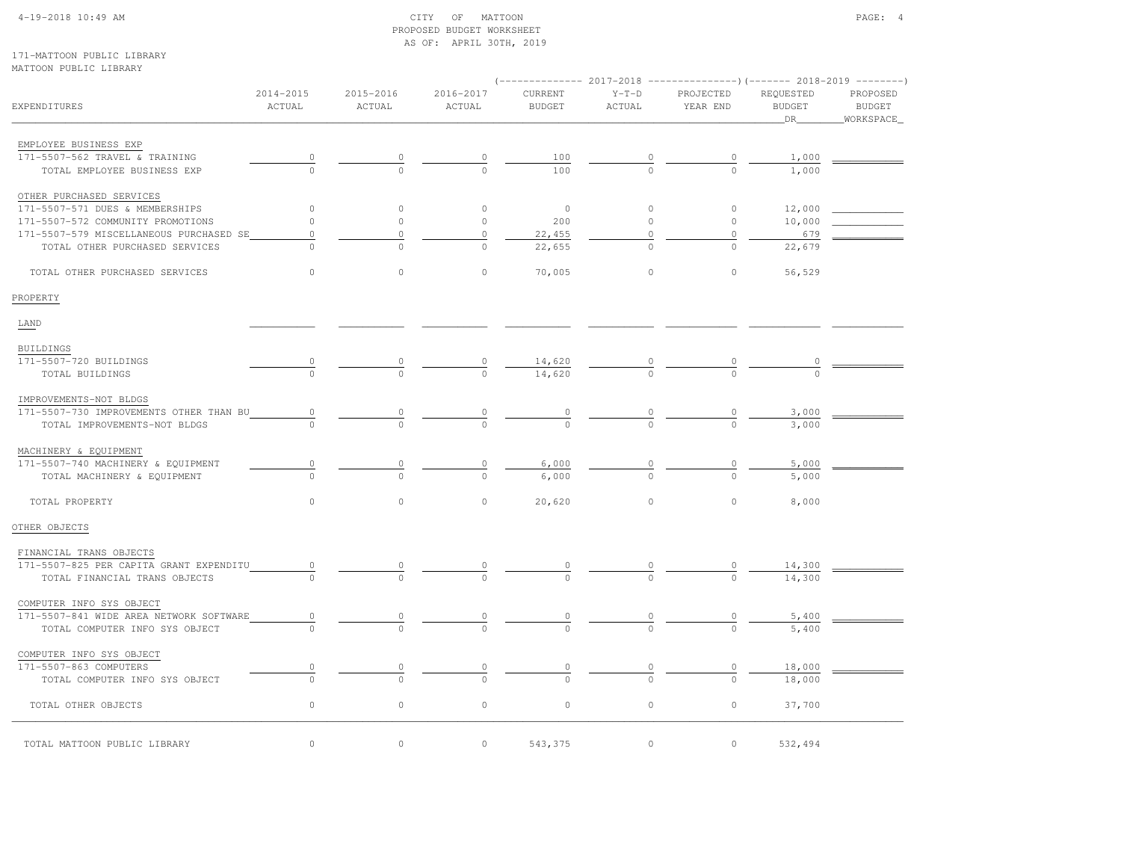# 4-19-2018 10:49 AM CITY OF MATTOON PAGE: 4 PROPOSED BUDGET WORKSHEETAS OF: APRIL 30TH, 2019

171-MATTOON PUBLIC LIBRARYMATTOON PUBLIC LIBRARY

|                                         |                     |                     |                      | $(----------2017-2018$ ---------------) (------- 2018-2019 -------) |                   |                       |                            |                    |
|-----------------------------------------|---------------------|---------------------|----------------------|---------------------------------------------------------------------|-------------------|-----------------------|----------------------------|--------------------|
| EXPENDITURES                            | 2014-2015<br>ACTUAL | 2015-2016<br>ACTUAL | 2016-2017<br>ACTUAL  | CURRENT<br><b>BUDGET</b>                                            | $Y-T-D$<br>ACTUAL | PROJECTED<br>YEAR END | REQUESTED<br><b>BUDGET</b> | PROPOSED<br>BUDGET |
|                                         |                     |                     |                      |                                                                     |                   |                       | DR                         | WORKSPACE          |
| EMPLOYEE BUSINESS EXP                   |                     |                     |                      |                                                                     |                   |                       |                            |                    |
| 171-5507-562 TRAVEL & TRAINING          | $\overline{0}$      |                     | $\frac{0}{\sqrt{2}}$ | 100                                                                 |                   |                       | 1,000                      |                    |
| TOTAL EMPLOYEE BUSINESS EXP             |                     |                     |                      | 100                                                                 | $\frac{0}{0}$     | $\frac{0}{0}$         | 1,000                      |                    |
| OTHER PURCHASED SERVICES                |                     |                     |                      |                                                                     |                   |                       |                            |                    |
| 171-5507-571 DUES & MEMBERSHIPS         | $\circ$             | $\circ$             | $\circ$              | $\circ$                                                             | $\circ$           | $\circ$               | 12,000                     |                    |
| 171-5507-572 COMMUNITY PROMOTIONS       | $\circ$             | $\circ$             | $\circ$              | 200                                                                 | $\circ$           | $\circ$               | 10,000                     |                    |
| 171-5507-579 MISCELLANEOUS PURCHASED SE | $\circ$             | $\circ$             | $\circ$              | 22,455                                                              | $\mathbb O$       | $\circ$               | 679                        |                    |
| TOTAL OTHER PURCHASED SERVICES          | $\Omega$            | $\cap$              | $\Omega$             | 22,655                                                              | $\Omega$          | $\Omega$              | 22,679                     |                    |
| TOTAL OTHER PURCHASED SERVICES          | $\circ$             | $\circ$             | $\circ$              | 70,005                                                              | $\circ$           | $\circ$               | 56,529                     |                    |
| PROPERTY                                |                     |                     |                      |                                                                     |                   |                       |                            |                    |
| LAND                                    |                     |                     |                      |                                                                     |                   |                       |                            |                    |
| BUILDINGS                               |                     |                     |                      |                                                                     |                   |                       |                            |                    |
| 171-5507-720 BUILDINGS                  | $\circ$             | $\frac{0}{0}$       | $\frac{0}{0}$        |                                                                     | $\frac{0}{0}$     |                       |                            |                    |
| TOTAL BUILDINGS                         |                     |                     |                      | $\frac{14,620}{14,620}$                                             |                   |                       |                            |                    |
| IMPROVEMENTS-NOT BLDGS                  |                     |                     |                      |                                                                     |                   |                       |                            |                    |
| 171-5507-730 IMPROVEMENTS OTHER THAN BU | $\circ$             |                     |                      |                                                                     |                   |                       | 3,000                      |                    |
| TOTAL IMPROVEMENTS-NOT BLDGS            |                     | $\frac{0}{0}$       | $\frac{0}{0}$        | $\frac{0}{0}$                                                       | $\frac{0}{0}$     | $\frac{0}{0}$         | 3,000                      |                    |
| MACHINERY & EQUIPMENT                   |                     |                     |                      |                                                                     |                   |                       |                            |                    |
| 171-5507-740 MACHINERY & EQUIPMENT      | $\circ$             | $\overline{0}$      | $\frac{0}{\sqrt{2}}$ | 6,000                                                               | $\overline{0}$    | $\frac{0}{\sqrt{2}}$  | 5,000                      |                    |
| TOTAL MACHINERY & EQUIPMENT             |                     |                     | $\Omega$             | 6,000                                                               |                   |                       | 5,000                      |                    |
| TOTAL PROPERTY                          | $\circ$             | $\circ$             | $\circ$              | 20,620                                                              | $\circ$           | $\circ$               | 8,000                      |                    |
| OTHER OBJECTS                           |                     |                     |                      |                                                                     |                   |                       |                            |                    |
| FINANCIAL TRANS OBJECTS                 |                     |                     |                      |                                                                     |                   |                       |                            |                    |
| 171-5507-825 PER CAPITA GRANT EXPENDITU | $\circ$             |                     |                      |                                                                     |                   |                       | 14,300                     |                    |
| TOTAL FINANCIAL TRANS OBJECTS           | $\Omega$            |                     | $\Omega$             | $\Omega$                                                            | $\frac{0}{0}$     | $\frac{0}{0}$         | 14,300                     |                    |
| COMPUTER INFO SYS OBJECT                |                     |                     |                      |                                                                     |                   |                       |                            |                    |
| 171-5507-841 WIDE AREA NETWORK SOFTWARE | $\circ$             | 0                   | $\overline{0}$       | $\overline{0}$                                                      |                   | $\overline{0}$        | 5,400                      |                    |
| TOTAL COMPUTER INFO SYS OBJECT          |                     |                     | $\Omega$             | $\Omega$                                                            | $\frac{0}{0}$     |                       | 5,400                      |                    |
| COMPUTER INFO SYS OBJECT                |                     |                     |                      |                                                                     |                   |                       |                            |                    |
| 171-5507-863 COMPUTERS                  | $\circ$             | 0                   | 0                    | 0                                                                   | $\circ$           | $\circ$               | 18,000                     |                    |
| TOTAL COMPUTER INFO SYS OBJECT          | $\Omega$            | $\cap$              |                      | $\cap$                                                              | $\cap$            | $\Omega$              | 18,000                     |                    |
| TOTAL OTHER OBJECTS                     | $\circ$             | $\circ$             | $\circ$              | $\circ$                                                             | $\circ$           | $\circ$               | 37,700                     |                    |
| TOTAL MATTOON PUBLIC LIBRARY            | $\circ$             | 0                   | 0                    | 543,375                                                             | $\circ$           | $\circ$               | 532,494                    |                    |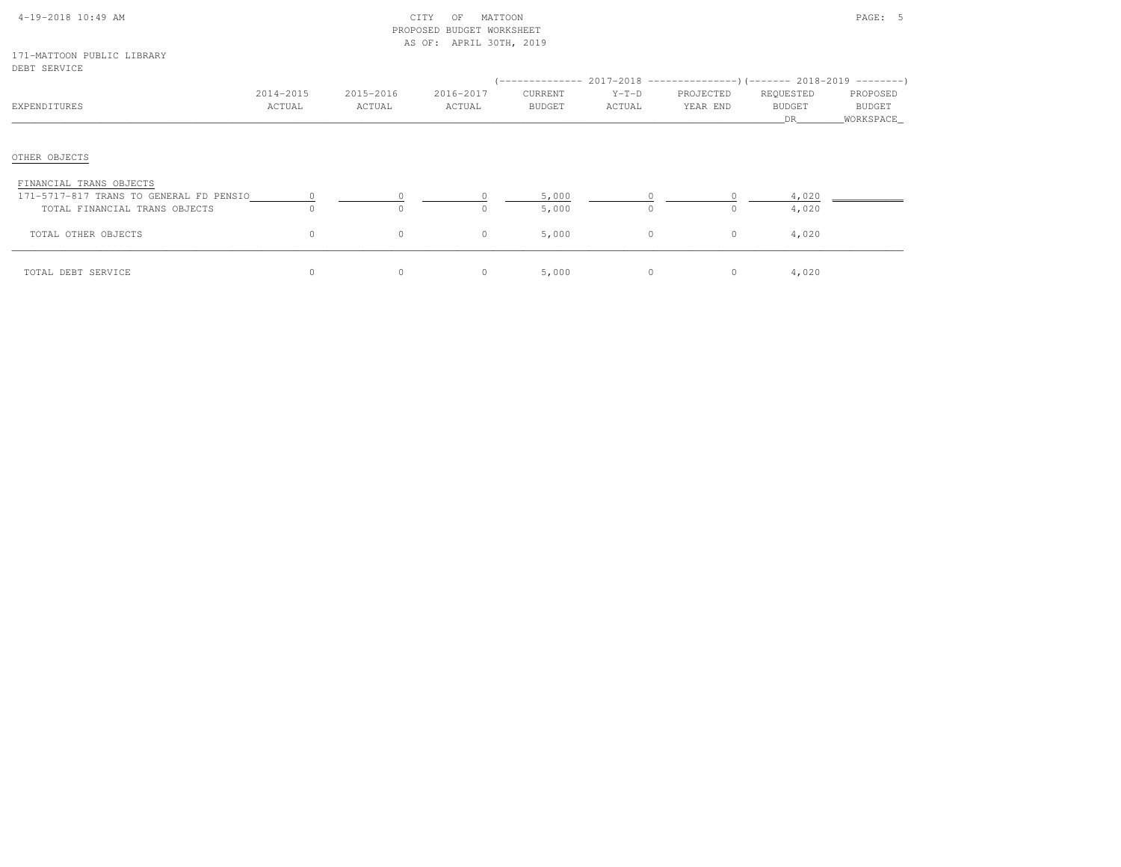|  | $4-19-2018$ 10:49 AM |  |
|--|----------------------|--|

# $\begin{array}{ccc} \text{CITY} & \text{OF} & \text{MATION} \end{array}$  PROPOSED BUDGET WORKSHEETAS OF: APRIL 30TH, 2019

#### 171-MATTOON PUBLIC LIBRARYDEBT SERVICE

| EXPENDITURES                                                                                        | 2014-2015<br>ACTUAL  | 2015-2016<br>ACTUAL | 2016-2017<br>ACTUAL | CURRENT<br>BUDGET | $Y-T-D$<br>ACTUAL | (-------------- 2017-2018 ----------------)(------- 2018-2019 ---------)<br>PROJECTED<br>YEAR END | REQUESTED<br>BUDGET<br>DR. | PROPOSED<br><b>BUDGET</b><br>_WORKSPACE_ |
|-----------------------------------------------------------------------------------------------------|----------------------|---------------------|---------------------|-------------------|-------------------|---------------------------------------------------------------------------------------------------|----------------------------|------------------------------------------|
| OTHER OBJECTS                                                                                       |                      |                     |                     |                   |                   |                                                                                                   |                            |                                          |
| FINANCIAL TRANS OBJECTS<br>171-5717-817 TRANS TO GENERAL FD PENSIO<br>TOTAL FINANCIAL TRANS OBJECTS | $\sim$ 0<br>$\Omega$ | $\Omega$            |                     | 5,000<br>5,000    | $\Omega$          |                                                                                                   | 4,020<br>4,020             |                                          |
| TOTAL OTHER OBJECTS                                                                                 | $\circ$              | $\circ$             | 0                   | 5,000             | $\circ$           | $\circ$                                                                                           | 4,020                      |                                          |
| TOTAL DEBT SERVICE                                                                                  | $\circ$              |                     |                     | 5,000             | $\circ$           | $\circ$                                                                                           | 4,020                      |                                          |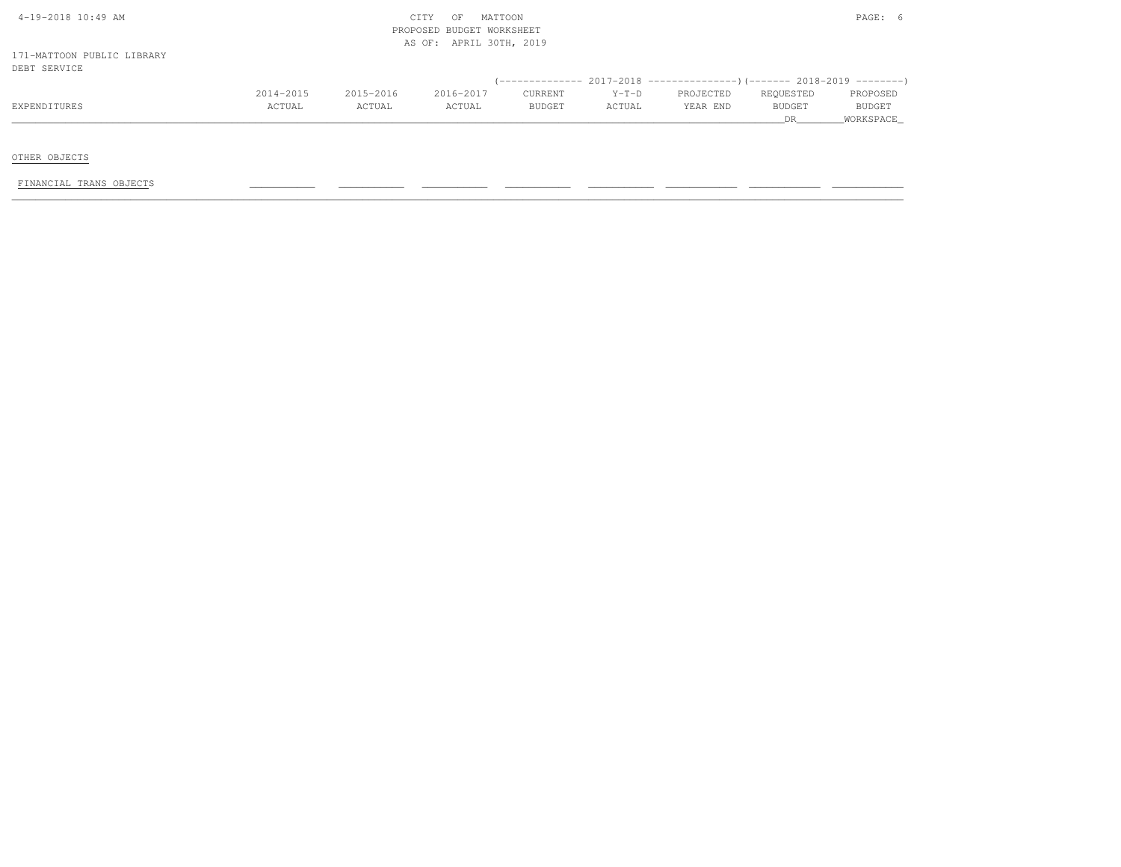|                            |           |           | AS OF: APRIL 30TH, 2019 |         |         |                                                                              |           |           |
|----------------------------|-----------|-----------|-------------------------|---------|---------|------------------------------------------------------------------------------|-----------|-----------|
| 171-MATTOON PUBLIC LIBRARY |           |           |                         |         |         |                                                                              |           |           |
| DEBT SERVICE               |           |           |                         |         |         | $(-$ -------------- 2017-2018 -----------------)(------- 2018-2019 --------) |           |           |
|                            | 2014-2015 | 2015-2016 | 2016-2017               | CURRENT | $Y-T-D$ | PROJECTED                                                                    | REOUESTED | PROPOSED  |
| EXPENDITURES               | ACTUAL    | ACTUAL    | ACTUAL                  | BUDGET  | ACTUAL  | YEAR END                                                                     | BUDGET    | BUDGET    |
|                            |           |           |                         |         |         |                                                                              | <b>DR</b> | WORKSPACE |

OTHER OBJECTS

FINANCIAL TRANS OBJECTS \_\_\_\_\_\_\_\_\_\_\_ \_\_\_\_\_\_\_\_\_\_\_ \_\_\_\_\_\_\_\_\_\_\_ \_\_\_\_\_\_\_\_\_\_\_ \_\_\_\_\_\_\_\_\_\_\_ \_\_\_\_\_\_\_\_\_\_\_\_ \_\_\_\_\_\_\_\_\_\_\_\_ \_\_\_\_\_\_\_\_\_\_\_\_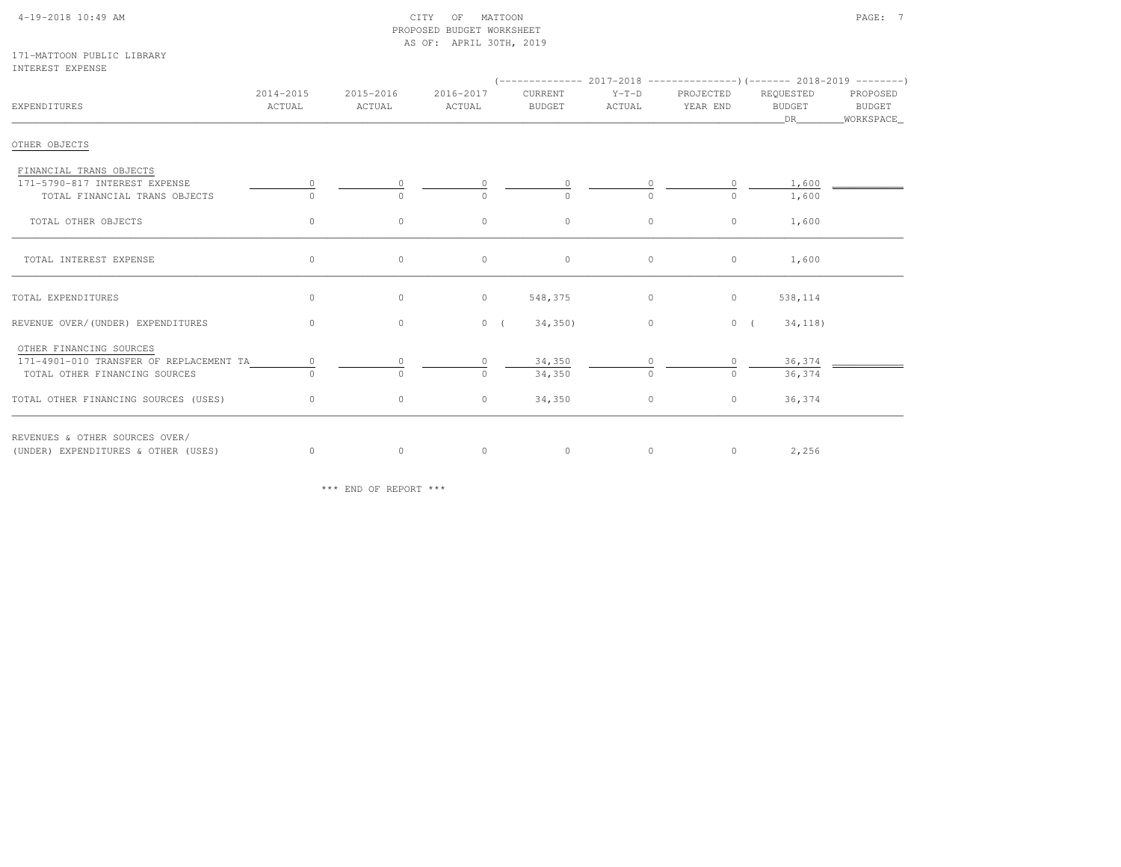# 4-19-2018 10:49 AM CITY OF MATTOON PAGE: 7 PROPOSED BUDGET WORKSHEETAS OF: APRIL 30TH, 2019

### 171-MATTOON PUBLIC LIBRARYINTEREST EXPENSE

| EXPENDITURES                            | 2014-2015<br>ACTUAL | 2015-2016<br>ACTUAL | 2016-2017<br>ACTUAL | CURRENT<br>BUDGET | Y-T-D PROJECTED<br>ACTUAL | YEAR END | REQUESTED<br>BUDGET<br>DR — | PROPOSED<br><b>BUDGET</b><br>WORKSPACE_ |
|-----------------------------------------|---------------------|---------------------|---------------------|-------------------|---------------------------|----------|-----------------------------|-----------------------------------------|
| OTHER OBJECTS                           |                     |                     |                     |                   |                           |          |                             |                                         |
| FINANCIAL TRANS OBJECTS                 |                     |                     |                     |                   |                           |          |                             |                                         |
| 171-5790-817 INTEREST EXPENSE           | $\circ$             |                     |                     |                   | $\circ$                   | $\circ$  | 1,600                       |                                         |
| TOTAL FINANCIAL TRANS OBJECTS           |                     | $\Omega$            |                     |                   | $\cap$                    | $\Omega$ | 1,600                       |                                         |
| TOTAL OTHER OBJECTS                     | $\circ$             | $\circ$             | $\circ$             | $\circ$           | $\circ$                   | $\circ$  | 1,600                       |                                         |
| TOTAL INTEREST EXPENSE                  | $\circ$             | $\circ$             | 0                   | $\circ$           | $\circ$                   | $\circ$  | 1,600                       |                                         |
| TOTAL EXPENDITURES                      | $\circ$             | $\circ$             | $\circ$             | 548,375           | $\circ$                   | $\circ$  | 538,114                     |                                         |
| REVENUE OVER/(UNDER) EXPENDITURES       | $\overline{0}$      | $\circ$             | $0 \left($          | 34,350)           | $\overline{0}$            | 0(       | 34, 118)                    |                                         |
| OTHER FINANCING SOURCES                 |                     |                     |                     |                   |                           |          |                             |                                         |
| 171-4901-010 TRANSFER OF REPLACEMENT TA | $\circ$             |                     |                     | 34,350            |                           | $\Omega$ | 36,374                      |                                         |
| TOTAL OTHER FINANCING SOURCES           | $\Omega$            | $\Omega$            | $\cap$              | 34,350            | $\bigcirc$                | $\Omega$ | 36,374                      |                                         |
| TOTAL OTHER FINANCING SOURCES (USES)    | $\circ$             | $\circ$             | $\circ$             | 34,350            | $\circ$                   | $\circ$  | 36,374                      |                                         |
| REVENUES & OTHER SOURCES OVER/          |                     |                     |                     |                   |                           |          |                             |                                         |
| (UNDER) EXPENDITURES & OTHER (USES)     | $\circ$             | $\circ$             | $\circ$             | $\circ$           | $\circ$                   |          | $0 \t 2, 256$               |                                         |

\*\*\* END OF REPORT \*\*\*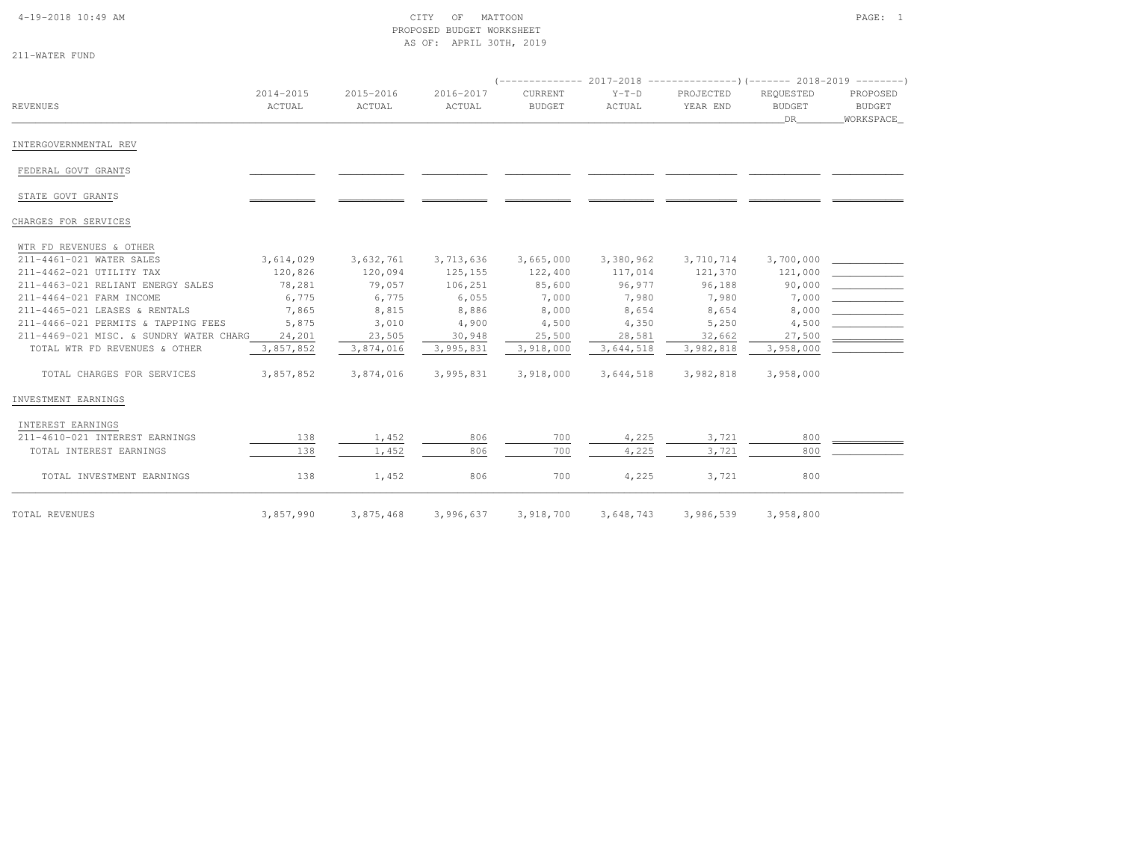## 4-19-2018 10:49 AM CITY OF MATTOON PAGE: 1 PROPOSED BUDGET WORKSHEETAS OF: APRIL 30TH, 2019

|  |  |  |  | 211-WATER FUND |  |
|--|--|--|--|----------------|--|
|--|--|--|--|----------------|--|

|                                         |                     |                     |                     | $($ -------------- 2017-2018 -----------------) (------- 2018-2019 ---------) |                   |                       |                                  |                                        |
|-----------------------------------------|---------------------|---------------------|---------------------|-------------------------------------------------------------------------------|-------------------|-----------------------|----------------------------------|----------------------------------------|
| REVENUES                                | 2014-2015<br>ACTUAL | 2015-2016<br>ACTUAL | 2016-2017<br>ACTUAL | CURRENT<br><b>BUDGET</b>                                                      | $Y-T-D$<br>ACTUAL | PROJECTED<br>YEAR END | REQUESTED<br><b>BUDGET</b><br>DR | PROPOSED<br><b>BUDGET</b><br>WORKSPACE |
| INTERGOVERNMENTAL REV                   |                     |                     |                     |                                                                               |                   |                       |                                  |                                        |
| FEDERAL GOVT GRANTS                     |                     |                     |                     |                                                                               |                   |                       |                                  |                                        |
| STATE GOVT GRANTS                       |                     |                     |                     |                                                                               |                   |                       |                                  |                                        |
| CHARGES FOR SERVICES                    |                     |                     |                     |                                                                               |                   |                       |                                  |                                        |
| WTR FD REVENUES & OTHER                 |                     |                     |                     |                                                                               |                   |                       |                                  |                                        |
| 211-4461-021 WATER SALES                | 3,614,029           | 3,632,761           | 3,713,636           | 3,665,000                                                                     | 3,380,962         | 3,710,714             | 3,700,000                        |                                        |
| 211-4462-021 UTILITY TAX                | 120,826             | 120,094             | 125, 155            | 122,400                                                                       | 117,014           | 121,370               | 121,000                          |                                        |
| 211-4463-021 RELIANT ENERGY SALES       | 78,281              | 79,057              | 106,251             | 85,600                                                                        | 96,977            | 96,188                | 90,000                           |                                        |
| 211-4464-021 FARM INCOME                | 6,775               | 6,775               | 6,055               | 7,000                                                                         | 7,980             | 7,980                 | 7,000                            |                                        |
| 211-4465-021 LEASES & RENTALS           | 7,865               | 8,815               | 8,886               | 8,000                                                                         | 8,654             | 8,654                 | 8,000                            |                                        |
| 211-4466-021 PERMITS & TAPPING FEES     | 5,875               | 3,010               | 4,900               | 4,500                                                                         | 4,350             | 5,250                 | 4,500                            |                                        |
| 211-4469-021 MISC. & SUNDRY WATER CHARG | 24,201              | 23,505              | 30,948              | 25,500                                                                        | 28,581            | 32,662                | 27,500                           |                                        |
| TOTAL WTR FD REVENUES & OTHER           | 3,857,852           | 3,874,016           | 3,995,831           | 3,918,000                                                                     | 3,644,518         | 3,982,818             | 3,958,000                        |                                        |
| TOTAL CHARGES FOR SERVICES              | 3,857,852           | 3,874,016           | 3,995,831           | 3,918,000                                                                     | 3,644,518         | 3,982,818             | 3,958,000                        |                                        |
| INVESTMENT EARNINGS                     |                     |                     |                     |                                                                               |                   |                       |                                  |                                        |
| INTEREST EARNINGS                       |                     |                     |                     |                                                                               |                   |                       |                                  |                                        |
| 211-4610-021 INTEREST EARNINGS          | 138                 | 1,452               | 806                 | 700                                                                           | 4,225             | 3,721                 | 800                              |                                        |
| TOTAL INTEREST EARNINGS                 | 138                 | 1,452               | 806                 | 700                                                                           | 4,225             | 3,721                 | 800                              |                                        |
| TOTAL INVESTMENT EARNINGS               | 138                 | 1,452               | 806                 | 700                                                                           | 4,225             | 3,721                 | 800                              |                                        |
| TOTAL REVENUES                          | 3,857,990           | 3,875,468           | 3,996,637           | 3,918,700                                                                     | 3,648,743         | 3,986,539             | 3,958,800                        |                                        |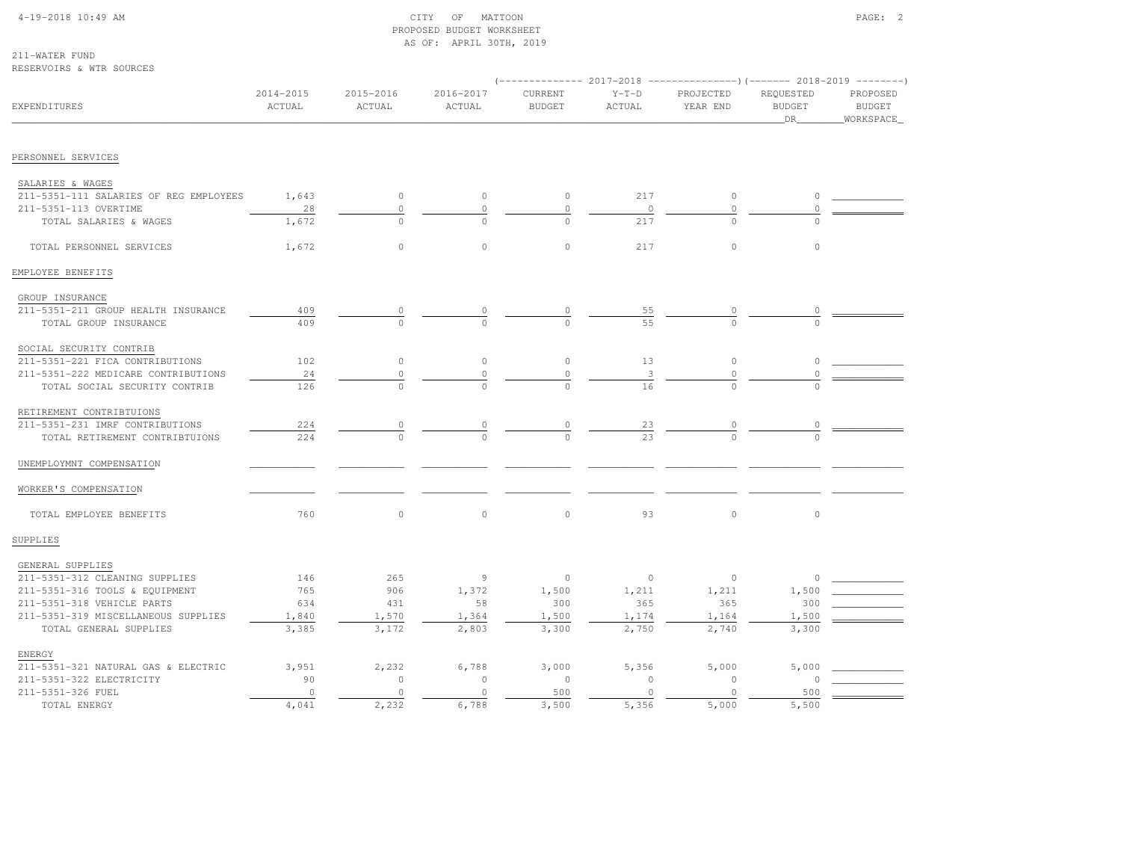## 4-19-2018 10:49 AM CITY OF MATTOON PAGE: 2 PROPOSED BUDGET WORKSHEETAS OF: APRIL 30TH, 2019

211-WATER FUNDRESERVOIRS & WTR SOURCES

|                                        |                     |                     |                     |                          |                   | (-------------- 2017-2018 ----------------)(------- 2018-2019 --------) |                                  |                                        |
|----------------------------------------|---------------------|---------------------|---------------------|--------------------------|-------------------|-------------------------------------------------------------------------|----------------------------------|----------------------------------------|
| <b>EXPENDITURES</b>                    | 2014-2015<br>ACTUAL | 2015-2016<br>ACTUAL | 2016-2017<br>ACTUAL | CURRENT<br><b>BUDGET</b> | $Y-T-D$<br>ACTUAL | PROJECTED<br>YEAR END                                                   | REQUESTED<br><b>BUDGET</b><br>DR | PROPOSED<br><b>BUDGET</b><br>WORKSPACE |
| PERSONNEL SERVICES                     |                     |                     |                     |                          |                   |                                                                         |                                  |                                        |
| SALARIES & WAGES                       |                     |                     |                     |                          |                   |                                                                         |                                  |                                        |
| 211-5351-111 SALARIES OF REG EMPLOYEES | 1,643               | $\circ$             | $\circ$             | $\circ$                  | 217               | $\circ$                                                                 | $\circ$                          |                                        |
| 211-5351-113 OVERTIME                  | 28                  |                     | 0                   | $\circ$                  | $\circ$           | $\circ$                                                                 | $\circ$                          |                                        |
| TOTAL SALARIES & WAGES                 | 1,672               |                     |                     |                          | 217               |                                                                         |                                  |                                        |
| TOTAL PERSONNEL SERVICES               | 1,672               | $\circ$             | $\circ$             | $\circ$                  | 217               | $\circ$                                                                 | $\circ$                          |                                        |
| EMPLOYEE BENEFITS                      |                     |                     |                     |                          |                   |                                                                         |                                  |                                        |
| GROUP INSURANCE                        |                     |                     |                     |                          |                   |                                                                         |                                  |                                        |
| 211-5351-211 GROUP HEALTH INSURANCE    | 409                 |                     |                     |                          | 55                |                                                                         |                                  |                                        |
| TOTAL GROUP INSURANCE                  | 409                 |                     |                     |                          | 55                | $\cap$                                                                  |                                  |                                        |
| SOCIAL SECURITY CONTRIB                |                     |                     |                     |                          |                   |                                                                         |                                  |                                        |
| 211-5351-221 FICA CONTRIBUTIONS        | 102                 | $\circ$             | $\circ$             | $\circ$                  | 13                | $\circ$                                                                 | 0                                |                                        |
| 211-5351-222 MEDICARE CONTRIBUTIONS    | 24                  |                     | $\Omega$            | $\mathbf 0$              |                   | $\Omega$                                                                |                                  |                                        |
| TOTAL SOCIAL SECURITY CONTRIB          | 126                 |                     |                     |                          |                   |                                                                         |                                  |                                        |
| RETIREMENT CONTRIBTUIONS               |                     |                     |                     |                          |                   |                                                                         |                                  |                                        |
| 211-5351-231 IMRF CONTRIBUTIONS        | 224                 |                     |                     |                          |                   |                                                                         |                                  |                                        |
| TOTAL RETIREMENT CONTRIBTUIONS         | 224                 |                     |                     |                          | $\frac{23}{23}$   |                                                                         |                                  |                                        |
| UNEMPLOYMNT COMPENSATION               |                     |                     |                     |                          |                   |                                                                         |                                  |                                        |
| WORKER'S COMPENSATION                  |                     |                     |                     |                          |                   |                                                                         |                                  |                                        |
| TOTAL EMPLOYEE BENEFITS                | 760                 | $\Omega$            | $\Omega$            | $\circ$                  | 93                | $\circ$                                                                 | $\circ$                          |                                        |
| SUPPLIES                               |                     |                     |                     |                          |                   |                                                                         |                                  |                                        |
| GENERAL SUPPLIES                       |                     |                     |                     |                          |                   |                                                                         |                                  |                                        |
| 211-5351-312 CLEANING SUPPLIES         | 146                 | 265                 | 9                   | $\circ$                  | $\circ$           | $\mathbb O$                                                             | 0                                |                                        |
| 211-5351-316 TOOLS & EQUIPMENT         | 765                 | 906                 | 1,372               | 1,500                    | 1,211             | 1,211                                                                   | 1,500                            |                                        |
| 211-5351-318 VEHICLE PARTS             | 634                 | 431                 | 58                  | 300                      | 365               | 365                                                                     | 300                              |                                        |
| 211-5351-319 MISCELLANEOUS SUPPLIES    | 1,840               | 1,570               | 1,364               | 1,500                    | 1,174             | 1,164                                                                   | 1,500                            |                                        |
| TOTAL GENERAL SUPPLIES                 | 3,385               | 3,172               | 2,803               | 3,300                    | 2,750             | 2,740                                                                   | 3,300                            |                                        |
| ENERGY                                 |                     |                     |                     |                          |                   |                                                                         |                                  |                                        |
| 211-5351-321 NATURAL GAS & ELECTRIC    | 3,951               | 2,232               | 6,788               | 3,000                    | 5,356             | 5,000                                                                   | 5,000                            |                                        |
| 211-5351-322 ELECTRICITY               | 90                  | $\circ$             | $\circ$             | $\circ$                  | $\circ$           | $\mathbb O$                                                             | $\Omega$                         |                                        |
| 211-5351-326 FUEL                      | $\Omega$            | $\Omega$            | $\Omega$            | 500                      | $\bigcap$         | $\Omega$                                                                | 500                              |                                        |

TOTAL ENERGY 4,041 2,232 6,788 3,500 5,356 5,000 5,500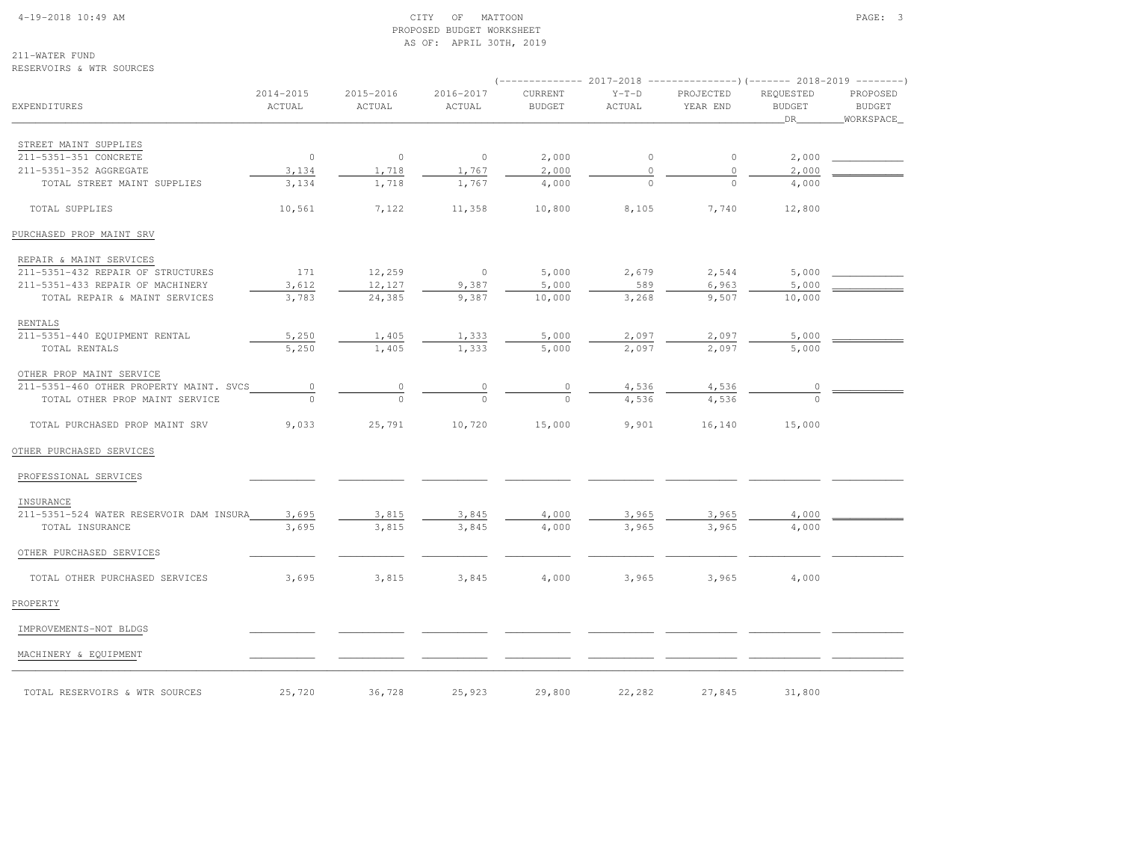# 4-19-2018 10:49 AM CITY OF MATTOON PAGE: 3 PROPOSED BUDGET WORKSHEETAS OF: APRIL 30TH, 2019

211-WATER FUNDRESERVOIRS & WTR SOURCES

|                                         |                     |                     |                     |                          |                   | ------------- 2017-2018 ---------------------- 2018-2019 ---------- |                                  |                                        |
|-----------------------------------------|---------------------|---------------------|---------------------|--------------------------|-------------------|---------------------------------------------------------------------|----------------------------------|----------------------------------------|
| <b>EXPENDITURES</b>                     | 2014-2015<br>ACTUAL | 2015-2016<br>ACTUAL | 2016-2017<br>ACTUAL | CURRENT<br><b>BUDGET</b> | $Y-T-D$<br>ACTUAL | PROJECTED<br>YEAR END                                               | REQUESTED<br><b>BUDGET</b><br>DR | PROPOSED<br><b>BUDGET</b><br>WORKSPACE |
| STREET MAINT SUPPLIES                   |                     |                     |                     |                          |                   |                                                                     |                                  |                                        |
| 211-5351-351 CONCRETE                   | $\overline{0}$      | $\overline{0}$      | $\circ$             | 2,000                    | $\circ$           | $\circ$                                                             | 2,000                            |                                        |
| 211-5351-352 AGGREGATE                  | 3,134               | 1,718               | 1,767               | 2,000                    | $\circ$           | $\circ$                                                             | 2,000                            |                                        |
| TOTAL STREET MAINT SUPPLIES             | 3,134               | 1,718               | 1,767               | 4,000                    |                   |                                                                     | 4,000                            |                                        |
| TOTAL SUPPLIES                          | 10,561              | 7,122               | 11,358              | 10,800                   | 8,105             | 7,740                                                               | 12,800                           |                                        |
| PURCHASED PROP MAINT SRV                |                     |                     |                     |                          |                   |                                                                     |                                  |                                        |
| REPAIR & MAINT SERVICES                 |                     |                     |                     |                          |                   |                                                                     |                                  |                                        |
| 211-5351-432 REPAIR OF STRUCTURES       | 171                 | 12,259              | $\overline{0}$      | 5,000                    | 2,679             | 2,544                                                               |                                  | 5,000                                  |
| 211-5351-433 REPAIR OF MACHINERY        | 3,612               | 12,127              | 9,387               | 5,000                    | 589               | 6,963                                                               | 5,000                            |                                        |
| TOTAL REPAIR & MAINT SERVICES           | 3,783               | 24,385              | 9,387               | 10,000                   | 3,268             | 9,507                                                               | 10,000                           |                                        |
| RENTALS                                 |                     |                     |                     |                          |                   |                                                                     |                                  |                                        |
| 211-5351-440 EQUIPMENT RENTAL           | 5,250               | 1,405               | 1,333               | 5,000                    | 2,097             | 2,097                                                               | 5,000                            |                                        |
| TOTAL RENTALS                           | 5,250               | 1,405               | 1,333               | 5,000                    | 2,097             | 2,097                                                               | 5,000                            |                                        |
| OTHER PROP MAINT SERVICE                |                     |                     |                     |                          |                   |                                                                     |                                  |                                        |
| 211-5351-460 OTHER PROPERTY MAINT. SVCS | $\overline{0}$      | 0                   | 0                   | 0                        | 4,536             | 4,536                                                               | 0                                |                                        |
| TOTAL OTHER PROP MAINT SERVICE          | $\Omega$            | $\Omega$            | $\Omega$            | $\Omega$                 | 4,536             | 4,536                                                               | $\Omega$                         |                                        |
| TOTAL PURCHASED PROP MAINT SRV          | 9,033               | 25,791              | 10,720              | 15,000                   | 9,901             | 16,140                                                              | 15,000                           |                                        |
| OTHER PURCHASED SERVICES                |                     |                     |                     |                          |                   |                                                                     |                                  |                                        |
| PROFESSIONAL SERVICES                   |                     |                     |                     |                          |                   |                                                                     |                                  |                                        |
| INSURANCE                               |                     |                     |                     |                          |                   |                                                                     |                                  |                                        |
| 211-5351-524 WATER RESERVOIR DAM INSURA | 3,695               | 3,815               | 3,845               | 4,000                    | 3,965             | 3,965                                                               | 4,000                            |                                        |
| TOTAL INSURANCE                         | 3,695               | 3,815               | 3,845               | 4,000                    | 3,965             | 3,965                                                               | 4,000                            |                                        |
| OTHER PURCHASED SERVICES                |                     |                     |                     |                          |                   |                                                                     |                                  |                                        |
| TOTAL OTHER PURCHASED SERVICES          | 3,695               | 3,815               | 3,845               | 4,000                    | 3,965             | 3,965                                                               | 4,000                            |                                        |
| PROPERTY                                |                     |                     |                     |                          |                   |                                                                     |                                  |                                        |
| IMPROVEMENTS-NOT BLDGS                  |                     |                     |                     |                          |                   |                                                                     |                                  |                                        |
| MACHINERY & EQUIPMENT                   |                     |                     |                     |                          |                   |                                                                     |                                  |                                        |
| TOTAL RESERVOIRS & WTR SOURCES          | 25,720              | 36,728              | 25,923              | 29,800                   | 22,282            | 27,845                                                              | 31,800                           |                                        |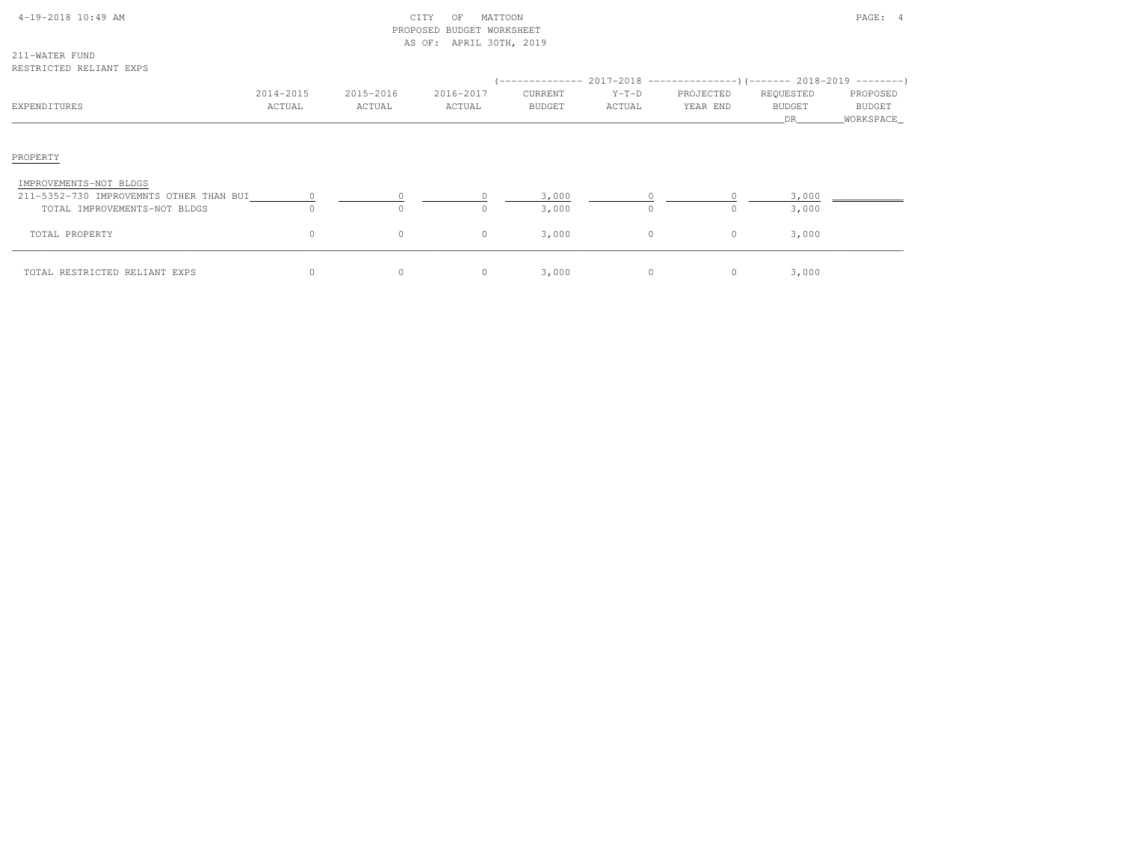| $4-19-2018$ $10:49$ AM |  |  |
|------------------------|--|--|

# $\text{CITY}$  of MATTOON  $\text{PAGE:}$  4 PROPOSED BUDGET WORKSHEETAS OF: APRIL 30TH, 2019

211-WATER FUNDRESTRICTED RELIANT EXPS

| TO THE THE THREAD PAPE                                                                            |                     |                     |                     |                          |                   | (-------------- 2017-2018 --------------------- 2018-2019 ---------- ) |                                   |                                          |
|---------------------------------------------------------------------------------------------------|---------------------|---------------------|---------------------|--------------------------|-------------------|------------------------------------------------------------------------|-----------------------------------|------------------------------------------|
| EXPENDITURES                                                                                      | 2014-2015<br>ACTUAL | 2015-2016<br>ACTUAL | 2016-2017<br>ACTUAL | CURRENT<br><b>BUDGET</b> | $Y-T-D$<br>ACTUAL | PROJECTED<br>YEAR END                                                  | REQUESTED<br><b>BUDGET</b><br>DR. | PROPOSED<br><b>BUDGET</b><br>_WORKSPACE_ |
| PROPERTY                                                                                          |                     |                     |                     |                          |                   |                                                                        |                                   |                                          |
| IMPROVEMENTS-NOT BLDGS<br>211-5352-730 IMPROVEMNTS OTHER THAN BUI<br>TOTAL IMPROVEMENTS-NOT BLDGS |                     | $\Omega$            | O.                  | 3,000<br>3,000           |                   |                                                                        | 3,000<br>3,000                    |                                          |
| TOTAL PROPERTY                                                                                    | $\circ$             | $\circ$             | $\circ$             | 3,000                    | $\circ$           | $\circ$                                                                | 3,000                             |                                          |
| TOTAL RESTRICTED RELIANT EXPS                                                                     | $\circ$             | $\circ$             | 0                   | 3,000                    | $\circ$           | 0                                                                      | 3,000                             |                                          |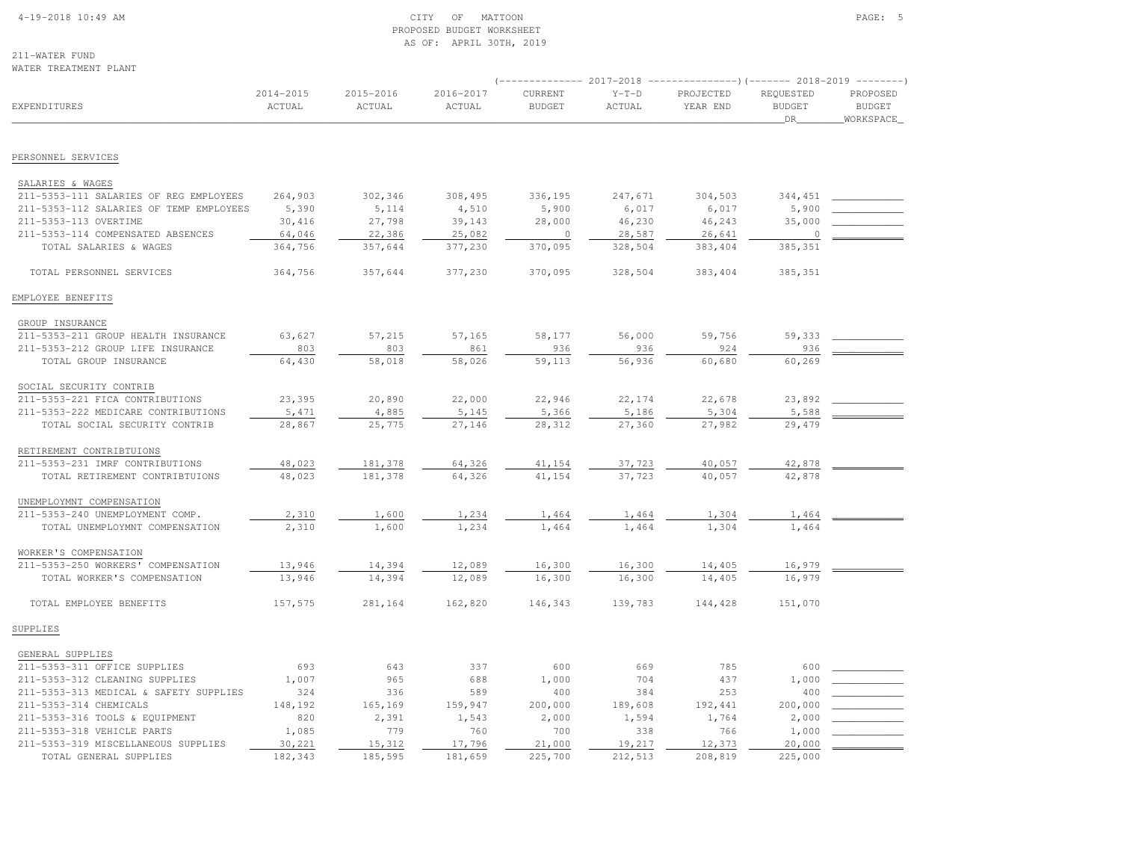### 4-19-2018 10:49 AM CITY OF MATTOON PAGE: 5 PROPOSED BUDGET WORKSHEETAS OF: APRIL 30TH, 2019

211-WATER FUNDWATER TREATMENT PLANT

| WAILK IKLAIMLNI FLANI                                       |                     |                     |                     |                          |                          |                       |                                  |                                        |
|-------------------------------------------------------------|---------------------|---------------------|---------------------|--------------------------|--------------------------|-----------------------|----------------------------------|----------------------------------------|
| <b>EXPENDITURES</b>                                         | 2014-2015<br>ACTUAL | 2015-2016<br>ACTUAL | 2016-2017<br>ACTUAL | CURRENT<br><b>BUDGET</b> | $Y-T-D$<br><b>ACTUAL</b> | PROJECTED<br>YEAR END | REQUESTED<br><b>BUDGET</b><br>DR | PROPOSED<br><b>BUDGET</b><br>WORKSPACE |
| PERSONNEL SERVICES                                          |                     |                     |                     |                          |                          |                       |                                  |                                        |
|                                                             |                     |                     |                     |                          |                          |                       |                                  |                                        |
| SALARIES & WAGES                                            |                     |                     |                     |                          |                          |                       |                                  |                                        |
| 211-5353-111 SALARIES OF REG EMPLOYEES                      | 264,903             | 302,346             | 308,495             | 336,195                  | 247,671                  | 304,503               | 344,451                          |                                        |
| 211-5353-112 SALARIES OF TEMP EMPLOYEES                     | 5,390               | 5,114               | 4,510               | 5,900                    | 6,017                    | 6,017                 | 5,900                            |                                        |
| 211-5353-113 OVERTIME                                       | 30,416              | 27,798              | 39,143              | 28,000<br>$\circ$        | 46,230                   | 46,243                | 35,000<br>$\circ$                |                                        |
| 211-5353-114 COMPENSATED ABSENCES<br>TOTAL SALARIES & WAGES | 64,046<br>364,756   | 22,386<br>357,644   | 25,082<br>377,230   | 370,095                  | 28,587<br>328,504        | 26,641<br>383,404     | 385,351                          |                                        |
|                                                             |                     |                     |                     |                          |                          |                       |                                  |                                        |
| TOTAL PERSONNEL SERVICES                                    | 364,756             | 357,644             | 377,230             | 370,095                  | 328,504                  | 383,404               | 385,351                          |                                        |
| EMPLOYEE BENEFITS                                           |                     |                     |                     |                          |                          |                       |                                  |                                        |
| GROUP INSURANCE                                             |                     |                     |                     |                          |                          |                       |                                  |                                        |
| 211-5353-211 GROUP HEALTH INSURANCE                         | 63,627              | 57,215              | 57,165              | 58,177                   | 56,000                   | 59,756                | 59,333                           |                                        |
| 211-5353-212 GROUP LIFE INSURANCE                           | 803                 | 803                 | 861                 | 936                      | 936                      | 924                   | 936                              |                                        |
| TOTAL GROUP INSURANCE                                       | 64,430              | 58,018              | 58,026              | 59,113                   | 56,936                   | 60,680                | 60,269                           |                                        |
| SOCIAL SECURITY CONTRIB                                     |                     |                     |                     |                          |                          |                       |                                  |                                        |
| 211-5353-221 FICA CONTRIBUTIONS                             | 23,395              | 20,890              | 22,000              | 22,946                   | 22,174                   | 22,678                | 23,892                           |                                        |
| 211-5353-222 MEDICARE CONTRIBUTIONS                         | 5,471               | 4,885               | 5,145               | 5,366                    | 5,186                    | 5,304                 | 5,588                            |                                        |
| TOTAL SOCIAL SECURITY CONTRIB                               | 28,867              | 25,775              | 27,146              | 28,312                   | 27,360                   | 27,982                | 29,479                           |                                        |
| RETIREMENT CONTRIBTUIONS                                    |                     |                     |                     |                          |                          |                       |                                  |                                        |
| 211-5353-231 IMRF CONTRIBUTIONS                             | 48,023              | 181,378             | 64,326              | 41,154                   | 37,723                   | 40,057                | 42,878                           |                                        |
| TOTAL RETIREMENT CONTRIBTUIONS                              | 48,023              | 181,378             | 64,326              | 41,154                   | 37,723                   | 40,057                | 42,878                           |                                        |
|                                                             |                     |                     |                     |                          |                          |                       |                                  |                                        |
| UNEMPLOYMNT COMPENSATION                                    |                     |                     |                     |                          |                          |                       |                                  |                                        |
| 211-5353-240 UNEMPLOYMENT COMP.                             | 2,310               | 1,600               | 1,234               | 1,464                    | 1,464                    | 1,304                 | 1,464                            |                                        |
| TOTAL UNEMPLOYMNT COMPENSATION                              | 2,310               | 1,600               | 1,234               | 1,464                    | 1,464                    | 1,304                 | 1,464                            |                                        |
| WORKER'S COMPENSATION                                       |                     |                     |                     |                          |                          |                       |                                  |                                        |
| 211-5353-250 WORKERS' COMPENSATION                          | 13,946              | 14,394              | 12,089              | 16,300                   | 16,300                   | 14,405                | 16,979                           |                                        |
| TOTAL WORKER'S COMPENSATION                                 | 13,946              | 14,394              | 12,089              | 16,300                   | 16,300                   | 14,405                | 16,979                           |                                        |
| TOTAL EMPLOYEE BENEFITS                                     | 157,575             | 281,164             | 162,820             | 146,343                  | 139,783                  | 144,428               | 151,070                          |                                        |
| SUPPLIES                                                    |                     |                     |                     |                          |                          |                       |                                  |                                        |
| GENERAL SUPPLIES                                            |                     |                     |                     |                          |                          |                       |                                  |                                        |
| 211-5353-311 OFFICE SUPPLIES                                | 693                 | 643                 | 337                 | 600                      | 669                      | 785                   | 600                              |                                        |
| 211-5353-312 CLEANING SUPPLIES                              | 1,007               | 965                 | 688                 | 1,000                    | 704                      | 437                   | 1,000                            |                                        |
| 211-5353-313 MEDICAL & SAFETY SUPPLIES                      | 324                 | 336                 | 589                 | 400                      | 384                      | 253                   | 400                              |                                        |
| 211-5353-314 CHEMICALS                                      | 148,192             | 165,169             | 159,947             | 200,000                  | 189,608                  | 192,441               | 200,000                          |                                        |
| 211-5353-316 TOOLS & EQUIPMENT                              | 820                 | 2,391               | 1,543               | 2,000                    | 1,594                    | 1,764                 | 2,000                            |                                        |
| 211-5353-318 VEHICLE PARTS                                  | 1,085               | 779                 | 760                 | 700                      | 338                      | 766                   | 1,000                            |                                        |
| 211-5353-319 MISCELLANEOUS SUPPLIES                         | 30,221              | 15,312              | 17,796              | 21,000                   | 19,217                   | 12,373                | 20,000                           |                                        |
| TOTAL GENERAL SUPPLIES                                      | 182,343             | 185,595             | 181,659             | 225,700                  | 212,513                  | 208,819               | 225,000                          |                                        |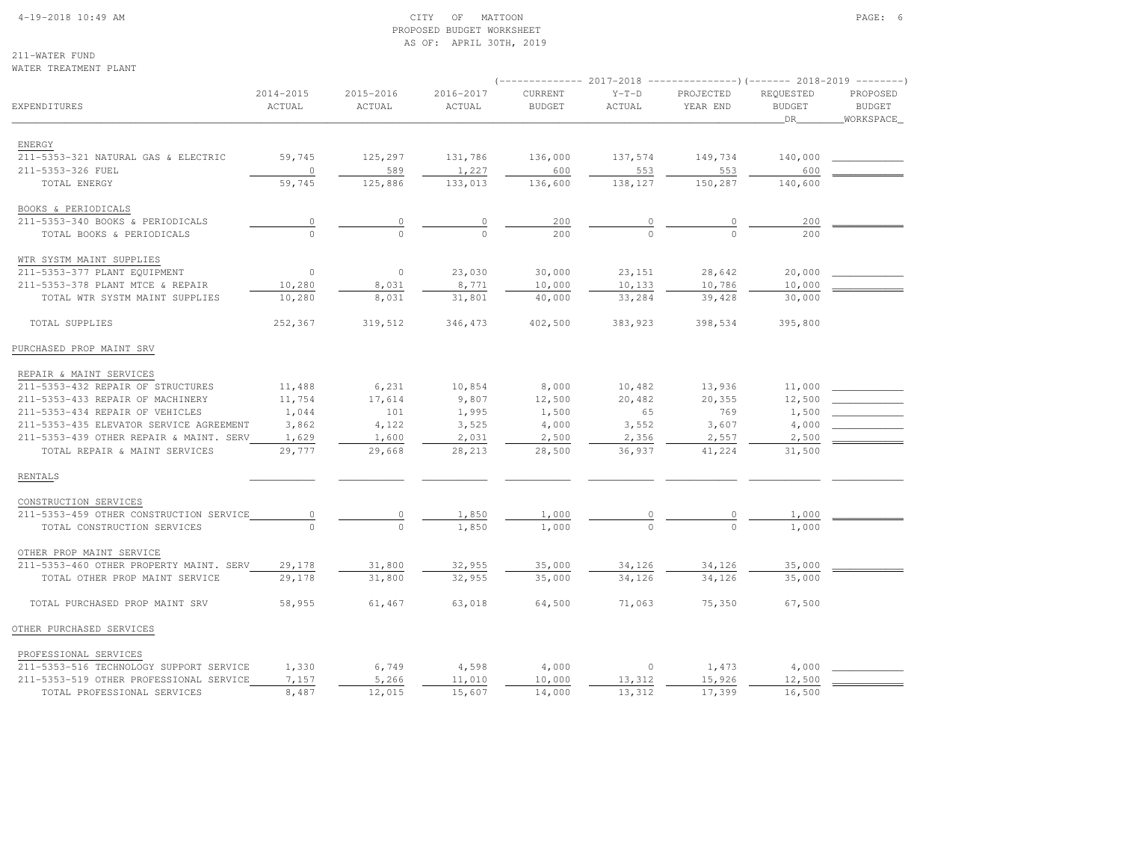## 4-19-2018 10:49 AM CITY OF MATTOON PAGE: 6 PROPOSED BUDGET WORKSHEETAS OF: APRIL 30TH, 2019

211-WATER FUNDWATER TREATMENT PLANT

|                                                                                    |                     |                     |                     |                          |                   | ------------ 2017-2018 ----------------) (------- 2018-2019 --------) |                                  |                                        |
|------------------------------------------------------------------------------------|---------------------|---------------------|---------------------|--------------------------|-------------------|-----------------------------------------------------------------------|----------------------------------|----------------------------------------|
| EXPENDITURES                                                                       | 2014-2015<br>ACTUAL | 2015-2016<br>ACTUAL | 2016-2017<br>ACTUAL | CURRENT<br><b>BUDGET</b> | $Y-T-D$<br>ACTUAL | PROJECTED<br>YEAR END                                                 | REQUESTED<br><b>BUDGET</b><br>DR | PROPOSED<br><b>BUDGET</b><br>WORKSPACE |
|                                                                                    |                     |                     |                     |                          |                   |                                                                       |                                  |                                        |
| ENERGY                                                                             |                     |                     |                     |                          |                   |                                                                       |                                  |                                        |
| 211-5353-321 NATURAL GAS & ELECTRIC                                                | 59,745              | 125,297             | 131,786             | 136,000                  | 137,574           | 149,734                                                               | 140,000                          |                                        |
| 211-5353-326 FUEL                                                                  | $\overline{0}$      | 589                 | 1,227               | 600                      | 553               | 553                                                                   | 600                              |                                        |
| TOTAL ENERGY                                                                       | 59,745              | 125,886             | 133,013             | 136,600                  | 138,127           | 150,287                                                               | 140,600                          |                                        |
| BOOKS & PERIODICALS                                                                |                     |                     |                     |                          |                   |                                                                       |                                  |                                        |
| 211-5353-340 BOOKS & PERIODICALS                                                   |                     | $\overline{0}$      | $\overline{0}$      | 200                      |                   |                                                                       | 200                              |                                        |
| TOTAL BOOKS & PERIODICALS                                                          |                     |                     | $\overline{0}$      | 200                      |                   |                                                                       | 200                              |                                        |
| WTR SYSTM MAINT SUPPLIES                                                           |                     |                     |                     |                          |                   |                                                                       |                                  |                                        |
| 211-5353-377 PLANT EQUIPMENT                                                       | $\Omega$            | $\circ$             | 23,030              | 30,000                   | 23, 151           | 28,642                                                                | 20,000                           |                                        |
| 211-5353-378 PLANT MTCE & REPAIR                                                   | 10,280              | 8,031               | 8,771               | 10,000                   | 10,133            | 10,786                                                                | 10,000                           |                                        |
| TOTAL WTR SYSTM MAINT SUPPLIES                                                     | 10,280              | 8,031               | 31,801              | 40,000                   | 33,284            | 39,428                                                                | 30,000                           |                                        |
| TOTAL SUPPLIES                                                                     | 252,367             | 319,512             | 346,473             | 402,500                  | 383,923           | 398,534                                                               | 395,800                          |                                        |
| PURCHASED PROP MAINT SRV                                                           |                     |                     |                     |                          |                   |                                                                       |                                  |                                        |
| REPAIR & MAINT SERVICES                                                            |                     |                     |                     |                          |                   |                                                                       |                                  |                                        |
| 211-5353-432 REPAIR OF STRUCTURES                                                  | 11,488              | 6,231               | 10,854              | 8,000                    | 10,482            | 13,936                                                                | 11,000                           |                                        |
| 211-5353-433 REPAIR OF MACHINERY                                                   | 11,754              | 17,614              | 9,807               | 12,500                   | 20,482            | 20,355                                                                | 12,500                           |                                        |
| 211-5353-434 REPAIR OF VEHICLES                                                    | 1,044               | 101                 | 1,995               | 1,500                    | 65                | 769                                                                   | 1,500                            |                                        |
| 211-5353-435 ELEVATOR SERVICE AGREEMENT                                            | 3,862               | 4,122               | 3,525               | 4,000                    | 3,552             | 3,607                                                                 | 4,000                            |                                        |
| 211-5353-439 OTHER REPAIR & MAINT. SERV                                            | 1,629               | 1,600               | 2,031               | 2,500                    | 2,356             | 2,557                                                                 | 2,500                            |                                        |
| TOTAL REPAIR & MAINT SERVICES                                                      | 29,777              | 29,668              | 28,213              | 28,500                   | 36,937            | 41,224                                                                | 31,500                           |                                        |
| RENTALS                                                                            |                     |                     |                     |                          |                   |                                                                       |                                  |                                        |
| CONSTRUCTION SERVICES                                                              |                     |                     |                     |                          |                   |                                                                       |                                  |                                        |
| 211-5353-459 OTHER CONSTRUCTION SERVICE                                            | $\circ$             | $\circ$             | 1,850               | 1,000                    |                   |                                                                       | 1,000                            |                                        |
| TOTAL CONSTRUCTION SERVICES                                                        |                     | $\Omega$            | 1,850               | 1,000                    |                   |                                                                       | 1,000                            |                                        |
| OTHER PROP MAINT SERVICE                                                           |                     |                     |                     |                          |                   |                                                                       |                                  |                                        |
| 211-5353-460 OTHER PROPERTY MAINT. SERV                                            | 29,178              | 31,800              | 32,955              | 35,000                   | 34,126            | 34,126                                                                | 35,000                           |                                        |
| TOTAL OTHER PROP MAINT SERVICE                                                     | 29,178              | 31,800              | 32,955              | 35,000                   | 34,126            | 34,126                                                                | 35,000                           |                                        |
| TOTAL PURCHASED PROP MAINT SRV                                                     | 58,955              | 61,467              | 63,018              | 64,500                   | 71,063            | 75,350                                                                | 67,500                           |                                        |
| OTHER PURCHASED SERVICES                                                           |                     |                     |                     |                          |                   |                                                                       |                                  |                                        |
|                                                                                    |                     |                     |                     |                          |                   |                                                                       |                                  |                                        |
| PROFESSIONAL SERVICES                                                              |                     |                     |                     |                          |                   |                                                                       | 4,000                            |                                        |
| 211-5353-516 TECHNOLOGY SUPPORT SERVICE<br>211-5353-519 OTHER PROFESSIONAL SERVICE | 1,330<br>7,157      | 6,749<br>5,266      | 4,598<br>11,010     | 4,000<br>10,000          | $\circ$<br>13,312 | 1,473<br>15,926                                                       | 12,500                           |                                        |
| TOTAL PROFESSIONAL SERVICES                                                        | 8,487               | 12,015              | 15,607              | 14,000                   | 13,312            | 17,399                                                                | 16,500                           |                                        |
|                                                                                    |                     |                     |                     |                          |                   |                                                                       |                                  |                                        |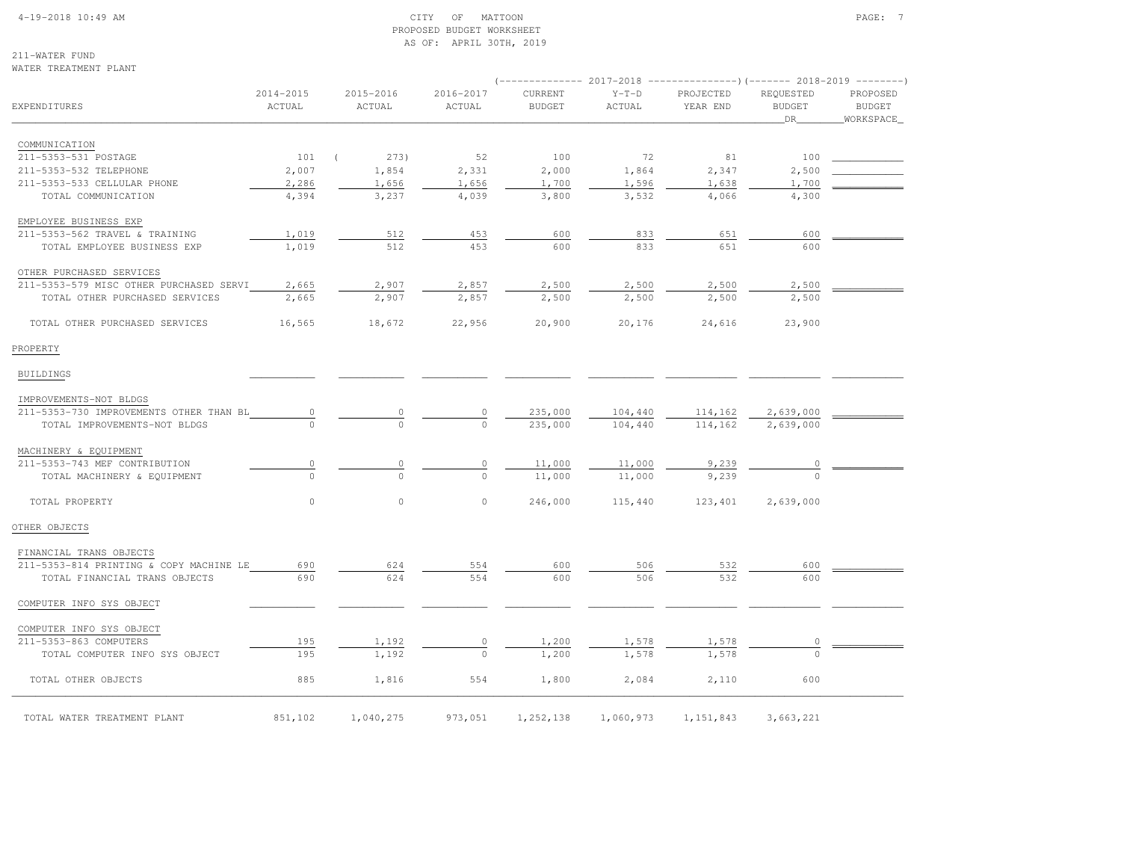### 4-19-2018 10:49 AM CITY OF MATTOON PAGE: 7 PROPOSED BUDGET WORKSHEETAS OF: APRIL 30TH, 2019

211-WATER FUNDWATER TREATMENT PLANT

| EXPENDITURES                            | 2014-2015<br>ACTUAL | 2015-2016<br>ACTUAL | 2016-2017<br>ACTUAL | CURRENT<br><b>BUDGET</b> | $Y-T-D$<br>ACTUAL     | PROJECTED<br>YEAR END | REQUESTED<br><b>BUDGET</b><br>DR | PROPOSED<br><b>BUDGET</b><br>WORKSPACE |
|-----------------------------------------|---------------------|---------------------|---------------------|--------------------------|-----------------------|-----------------------|----------------------------------|----------------------------------------|
| COMMUNICATION                           |                     |                     |                     |                          |                       |                       |                                  |                                        |
| 211-5353-531 POSTAGE                    | 101                 | 273)<br>$\left($    | 52                  | 100                      | 72                    | 81                    | 100                              |                                        |
| 211-5353-532 TELEPHONE                  | 2,007               | 1,854               | 2,331               | 2,000                    | 1,864                 | 2,347                 | 2,500                            |                                        |
| 211-5353-533 CELLULAR PHONE             | 2,286               | 1,656               | 1,656               | 1,700                    | 1,596                 | 1,638                 | 1,700                            |                                        |
| TOTAL COMMUNICATION                     | 4,394               | 3,237               | 4,039               | 3,800                    | 3,532                 | 4,066                 | 4,300                            |                                        |
| EMPLOYEE BUSINESS EXP                   |                     |                     |                     |                          |                       |                       |                                  |                                        |
| 211-5353-562 TRAVEL & TRAINING          | 1,019               | 512                 | 453                 | 600                      | 833                   | 651                   | 600                              |                                        |
| TOTAL EMPLOYEE BUSINESS EXP             | 1,019               | 512                 | 453                 | 600                      | 833                   | 651                   | 600                              |                                        |
| OTHER PURCHASED SERVICES                |                     |                     |                     |                          |                       |                       |                                  |                                        |
| 211-5353-579 MISC OTHER PURCHASED SERVI | 2,665               | 2,907               | 2,857               | 2,500                    | 2,500                 | 2,500                 | 2,500                            |                                        |
| TOTAL OTHER PURCHASED SERVICES          | 2,665               | 2,907               | 2,857               | 2,500                    | 2,500                 | 2,500                 | 2,500                            |                                        |
| TOTAL OTHER PURCHASED SERVICES          | 16,565              | 18,672              | 22,956              | 20,900                   | 20,176                | 24,616                | 23,900                           |                                        |
| PROPERTY                                |                     |                     |                     |                          |                       |                       |                                  |                                        |
| BUILDINGS                               |                     |                     |                     |                          |                       |                       |                                  |                                        |
| IMPROVEMENTS-NOT BLDGS                  |                     |                     |                     |                          |                       |                       |                                  |                                        |
| 211-5353-730 IMPROVEMENTS OTHER THAN BL | $\circ$             |                     | $\frac{0}{0}$       | 235,000                  | 104,440               | 114,162               | 2,639,000                        |                                        |
| TOTAL IMPROVEMENTS-NOT BLDGS            |                     |                     |                     | 235,000                  | 104,440               | 114,162               | 2,639,000                        |                                        |
| MACHINERY & EQUIPMENT                   |                     |                     |                     |                          |                       |                       |                                  |                                        |
| 211-5353-743 MEF CONTRIBUTION           | $\mathbb O$         | $\mathbb O$         | $\circ$             | 11,000                   | 11,000                | 9,239                 | $\circ$                          |                                        |
| TOTAL MACHINERY & EQUIPMENT             | $\Omega$            | $\Omega$            | $\cap$              | 11,000                   | 11,000                | 9,239                 |                                  |                                        |
| TOTAL PROPERTY                          | $\circ$             | $\circ$             | $\circ$             | 246,000                  | 115,440               | 123,401               | 2,639,000                        |                                        |
| OTHER OBJECTS                           |                     |                     |                     |                          |                       |                       |                                  |                                        |
| FINANCIAL TRANS OBJECTS                 |                     |                     |                     |                          |                       |                       |                                  |                                        |
| 211-5353-814 PRINTING & COPY MACHINE LE | 690                 | 624                 | 554                 | 600                      | 506                   | 532                   | 600                              |                                        |
| TOTAL FINANCIAL TRANS OBJECTS           | 690                 | 624                 | 554                 | 600                      | 506                   | 532                   | 600                              |                                        |
| COMPUTER INFO SYS OBJECT                |                     |                     |                     |                          |                       |                       |                                  |                                        |
| COMPUTER INFO SYS OBJECT                |                     |                     |                     |                          |                       |                       |                                  |                                        |
| 211-5353-863 COMPUTERS                  | 195                 | 1,192               | $\frac{0}{0}$       | 1,200                    | $\frac{1,578}{1,578}$ | 1,578                 |                                  |                                        |
| TOTAL COMPUTER INFO SYS OBJECT          | 195                 | 1,192               |                     | 1,200                    |                       | 1,578                 |                                  |                                        |
| TOTAL OTHER OBJECTS                     | 885                 | 1,816               | 554                 | 1,800                    | 2,084                 | 2,110                 | 600                              |                                        |
| TOTAL WATER TREATMENT PLANT             | 851,102             | 1,040,275           | 973,051             | 1,252,138                | 1,060,973             | 1, 151, 843           | 3,663,221                        |                                        |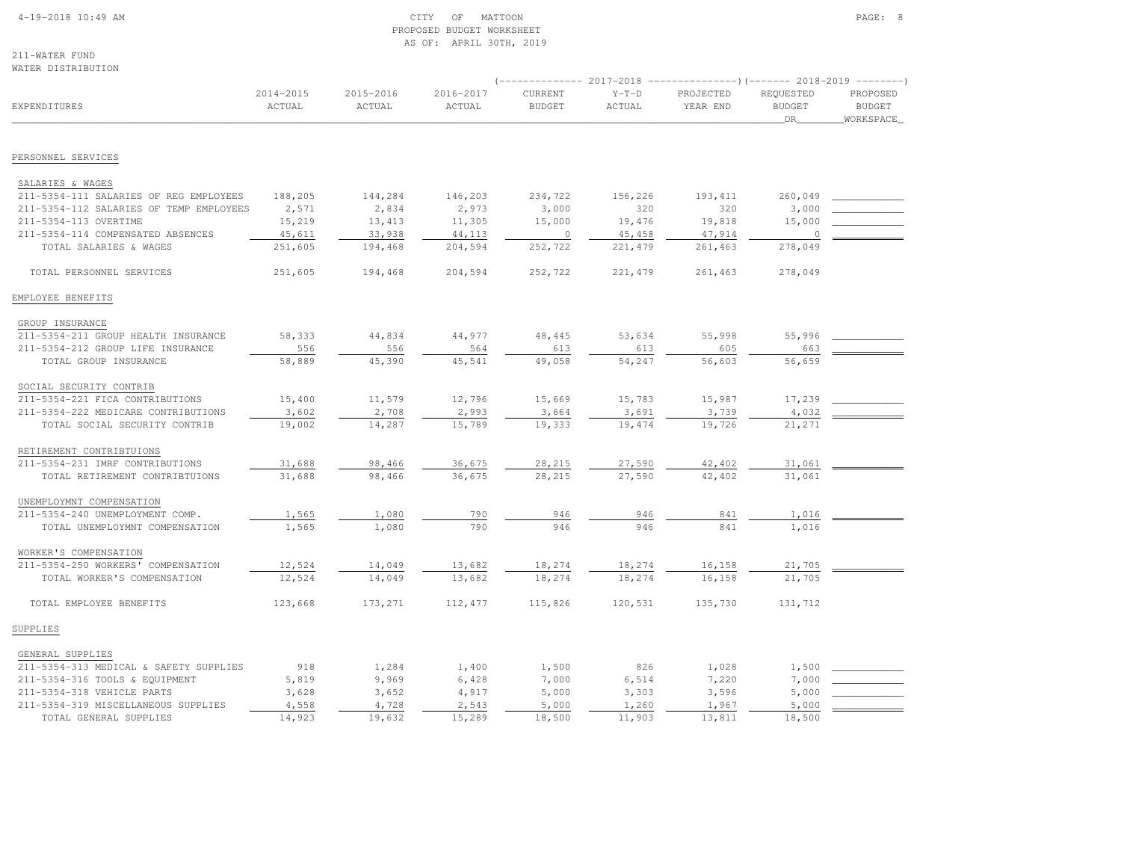#### 4-19-2018 10:49 AM CITY OF MATTOON PAGE: 8 PROPOSED BUDGET WORKSHEETAS OF: APRIL 30TH, 2019

211-WATER FUNDWATER DISTRIBUTION

|                                         |                         |                     |                     |                          |                   | $($ -------------- 2017-2018 ----------------) (------- 2018-2019 ---------) |                                    |                                          |
|-----------------------------------------|-------------------------|---------------------|---------------------|--------------------------|-------------------|------------------------------------------------------------------------------|------------------------------------|------------------------------------------|
| <b>EXPENDITURES</b>                     | $2014 - 2015$<br>ACTUAL | 2015-2016<br>ACTUAL | 2016-2017<br>ACTUAL | CURRENT<br><b>BUDGET</b> | $Y-T-D$<br>ACTUAL | PROJECTED<br>YEAR END                                                        | REQUESTED<br><b>BUDGET</b><br>_DR_ | PROPOSED<br><b>BUDGET</b><br>_WORKSPACE_ |
| PERSONNEL SERVICES                      |                         |                     |                     |                          |                   |                                                                              |                                    |                                          |
|                                         |                         |                     |                     |                          |                   |                                                                              |                                    |                                          |
| SALARIES & WAGES                        |                         |                     |                     |                          |                   |                                                                              |                                    |                                          |
| 211-5354-111 SALARIES OF REG EMPLOYEES  | 188,205                 | 144,284             | 146,203             | 234,722                  | 156,226           | 193, 411                                                                     | 260,049                            |                                          |
| 211-5354-112 SALARIES OF TEMP EMPLOYEES | 2,571                   | 2,834               | 2,973               | 3,000                    | 320               | 320                                                                          | 3,000                              |                                          |
| 211-5354-113 OVERTIME                   | 15,219                  | 13,413              | 11,305              | 15,000                   | 19,476            | 19,818                                                                       | 15,000                             |                                          |
| 211-5354-114 COMPENSATED ABSENCES       | 45,611                  | 33,938              | 44,113              | $\circ$                  | 45, 458           | 47,914                                                                       | $\circ$                            |                                          |
| TOTAL SALARIES & WAGES                  | 251,605                 | 194,468             | 204,594             | 252,722                  | 221, 479          | 261,463                                                                      | 278,049                            |                                          |
| TOTAL PERSONNEL SERVICES                | 251,605                 | 194,468             | 204,594             | 252,722                  | 221, 479          | 261,463                                                                      | 278,049                            |                                          |
| EMPLOYEE BENEFITS                       |                         |                     |                     |                          |                   |                                                                              |                                    |                                          |
| GROUP INSURANCE                         |                         |                     |                     |                          |                   |                                                                              |                                    |                                          |
| 211-5354-211 GROUP HEALTH INSURANCE     | 58,333                  | 44,834              | 44,977              | 48,445                   | 53,634            | 55,998                                                                       | 55,996                             |                                          |
| 211-5354-212 GROUP LIFE INSURANCE       | 556                     | 556                 | 564                 | 613                      | 613               | 605                                                                          | 663                                |                                          |
| TOTAL GROUP INSURANCE                   | 58,889                  | 45,390              | 45,541              | 49,058                   | 54,247            | 56,603                                                                       | 56,659                             |                                          |
| SOCIAL SECURITY CONTRIB                 |                         |                     |                     |                          |                   |                                                                              |                                    |                                          |
| 211-5354-221 FICA CONTRIBUTIONS         | 15,400                  | 11,579              | 12,796              | 15,669                   | 15,783            | 15,987                                                                       | 17,239                             |                                          |
| 211-5354-222 MEDICARE CONTRIBUTIONS     | 3,602                   | 2,708               | 2,993               | 3,664                    | 3,691             | 3,739                                                                        | 4,032                              |                                          |
| TOTAL SOCIAL SECURITY CONTRIB           | 19,002                  | 14,287              | 15,789              | 19,333                   | 19,474            | 19,726                                                                       | 21,271                             |                                          |
| RETIREMENT CONTRIBTUIONS                |                         |                     |                     |                          |                   |                                                                              |                                    |                                          |
| 211-5354-231 IMRF CONTRIBUTIONS         | 31,688                  | 98,466              | 36,675              | 28,215                   | 27,590            | 42,402                                                                       | 31,061                             |                                          |
| TOTAL RETIREMENT CONTRIBTUIONS          | 31,688                  | 98,466              | 36,675              | 28,215                   | 27,590            | 42,402                                                                       | 31,061                             |                                          |
| UNEMPLOYMNT COMPENSATION                |                         |                     |                     |                          |                   |                                                                              |                                    |                                          |
| 211-5354-240 UNEMPLOYMENT COMP.         | 1,565                   | 1,080               | 790                 | 946                      | 946               | 841                                                                          | 1,016                              |                                          |
| TOTAL UNEMPLOYMNT COMPENSATION          | 1,565                   | 1,080               | 790                 | 946                      | 946               | 841                                                                          | 1,016                              |                                          |
| WORKER'S COMPENSATION                   |                         |                     |                     |                          |                   |                                                                              |                                    |                                          |
| 211-5354-250 WORKERS' COMPENSATION      | 12,524                  | 14,049              | 13,682              | 18,274                   | 18,274            | 16, 158                                                                      | 21,705                             |                                          |
| TOTAL WORKER'S COMPENSATION             | 12,524                  | 14,049              | 13,682              | 18,274                   | 18,274            | 16,158                                                                       | 21,705                             |                                          |
| TOTAL EMPLOYEE BENEFITS                 | 123,668                 | 173,271             | 112,477             | 115,826                  | 120,531           | 135,730                                                                      | 131,712                            |                                          |
| SUPPLIES                                |                         |                     |                     |                          |                   |                                                                              |                                    |                                          |
| GENERAL SUPPLIES                        |                         |                     |                     |                          |                   |                                                                              |                                    |                                          |
| 211-5354-313 MEDICAL & SAFETY SUPPLIES  | 918                     | 1,284               | 1,400               | 1,500                    | 826               | 1,028                                                                        | 1,500                              |                                          |
| 211-5354-316 TOOLS & EQUIPMENT          | 5,819                   | 9,969               | 6,428               | 7,000                    | 6,514             | 7,220                                                                        | 7,000                              |                                          |
| 211-5354-318 VEHICLE PARTS              | 3,628                   | 3,652               | 4,917               | 5,000                    | 3,303             | 3,596                                                                        | 5,000                              |                                          |
| 211-5354-319 MISCELLANEOUS SUPPLIES     | 4,558                   | 4,728               | 2,543               | 5,000                    | 1,260             | 1,967                                                                        | 5,000                              |                                          |
| TOTAL GENERAL SUPPLIES                  | 14,923                  | 19,632              | 15,289              | 18,500                   | 11,903            | 13,811                                                                       | 18,500                             |                                          |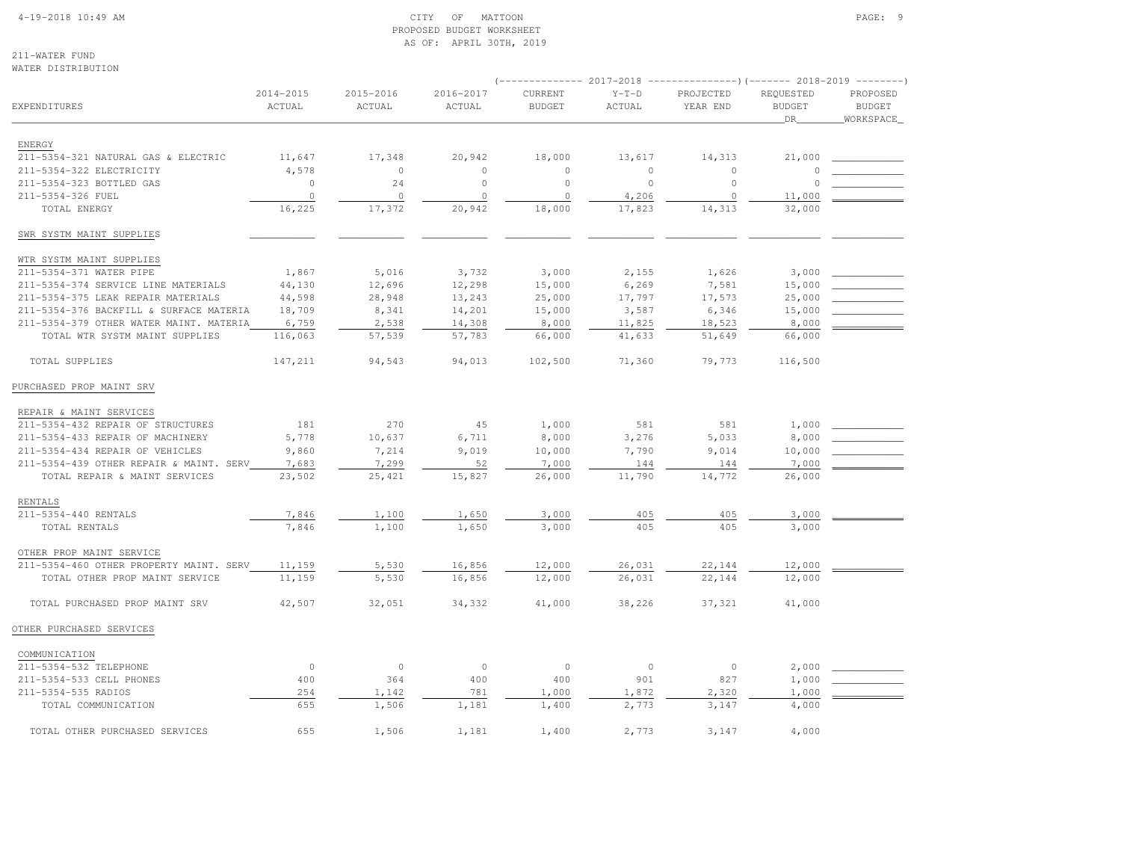#### 4-19-2018 10:49 AM CITY OF MATTOON PAGE: 9 PROPOSED BUDGET WORKSHEETAS OF: APRIL 30TH, 2019

211-WATER FUNDWATER DISTRIBUTION

| WAILIN DIUINIDUIION                     |                         |                     |                     |                          |                   | ------------- 2017-2018 ----------------) (------- 2018-2019 --------) |                                  |                                        |
|-----------------------------------------|-------------------------|---------------------|---------------------|--------------------------|-------------------|------------------------------------------------------------------------|----------------------------------|----------------------------------------|
| EXPENDITURES                            | $2014 - 2015$<br>ACTUAL | 2015-2016<br>ACTUAL | 2016-2017<br>ACTUAL | CURRENT<br><b>BUDGET</b> | $Y-T-D$<br>ACTUAL | PROJECTED<br>YEAR END                                                  | REQUESTED<br><b>BUDGET</b><br>DR | PROPOSED<br><b>BUDGET</b><br>WORKSPACE |
| <b>ENERGY</b>                           |                         |                     |                     |                          |                   |                                                                        |                                  |                                        |
| 211-5354-321 NATURAL GAS & ELECTRIC     | 11,647                  | 17,348              | 20,942              | 18,000                   | 13,617            | 14,313                                                                 | 21,000                           |                                        |
| 211-5354-322 ELECTRICITY                | 4,578                   | $\circ$             | $\circ$             | $\circ$                  | $\Omega$          | $\circ$                                                                |                                  |                                        |
| 211-5354-323 BOTTLED GAS                | $\circ$                 | 24                  | $\circ$             | $\mathbb O$              | $\mathbb O$       | $\circ$                                                                |                                  |                                        |
| 211-5354-326 FUEL                       | $\circ$                 | $\circ$             | $\circ$             | $\mathbb O$              | 4,206             | $\circ$                                                                | 11,000                           |                                        |
| TOTAL ENERGY                            | 16,225                  | 17,372              | 20,942              | 18,000                   | 17,823            | 14,313                                                                 | 32,000                           |                                        |
| SWR SYSTM MAINT SUPPLIES                |                         |                     |                     |                          |                   |                                                                        |                                  |                                        |
| WTR SYSTM MAINT SUPPLIES                |                         |                     |                     |                          |                   |                                                                        |                                  |                                        |
| 211-5354-371 WATER PIPE                 | 1,867                   | 5,016               | 3,732               | 3,000                    | 2,155             | 1,626                                                                  | 3,000                            |                                        |
| 211-5354-374 SERVICE LINE MATERIALS     | 44,130                  | 12,696              | 12,298              | 15,000                   | 6,269             | 7,581                                                                  | 15,000                           |                                        |
| 211-5354-375 LEAK REPAIR MATERIALS      | 44,598                  | 28,948              | 13,243              | 25,000                   | 17,797            | 17,573                                                                 | 25,000                           |                                        |
| 211-5354-376 BACKFILL & SURFACE MATERIA | 18,709                  | 8,341               | 14,201              | 15,000                   | 3,587             | 6,346                                                                  | 15,000                           |                                        |
| 211-5354-379 OTHER WATER MAINT. MATERIA | 6,759                   | 2,538               | 14,308              | 8,000                    | 11,825            | 18,523                                                                 | 8,000                            |                                        |
| TOTAL WTR SYSTM MAINT SUPPLIES          | 116,063                 | 57,539              | 57,783              | 66,000                   | 41,633            | 51,649                                                                 | 66,000                           |                                        |
| TOTAL SUPPLIES                          | 147,211                 | 94,543              | 94,013              | 102,500                  | 71,360            | 79,773                                                                 | 116,500                          |                                        |
| PURCHASED PROP MAINT SRV                |                         |                     |                     |                          |                   |                                                                        |                                  |                                        |
| REPAIR & MAINT SERVICES                 |                         |                     |                     |                          |                   |                                                                        |                                  |                                        |
| 211-5354-432 REPAIR OF STRUCTURES       | 181                     | 270                 | 45                  | 1,000                    | 581               | 581                                                                    | 1,000                            |                                        |
| 211-5354-433 REPAIR OF MACHINERY        | 5,778                   | 10,637              | 6,711               | 8,000                    | 3,276             | 5,033                                                                  | 8,000                            |                                        |
| 211-5354-434 REPAIR OF VEHICLES         | 9,860                   | 7,214               | 9,019               | 10,000                   | 7,790             | 9,014                                                                  | 10,000                           |                                        |
| 211-5354-439 OTHER REPAIR & MAINT. SERV | 7,683                   | 7,299               | 52                  | 7,000                    | 144               | 144                                                                    | 7,000                            |                                        |
| TOTAL REPAIR & MAINT SERVICES           | 23,502                  | 25,421              | 15,827              | 26,000                   | 11,790            | 14,772                                                                 | 26,000                           |                                        |
| <b>RENTALS</b>                          |                         |                     |                     |                          |                   |                                                                        |                                  |                                        |
| 211-5354-440 RENTALS                    | 7,846                   | 1,100               | 1,650               | 3,000                    | 405               | 405                                                                    | 3,000                            |                                        |
| TOTAL RENTALS                           | 7,846                   | 1,100               | 1,650               | 3,000                    | 405               | 405                                                                    | 3,000                            |                                        |
| OTHER PROP MAINT SERVICE                |                         |                     |                     |                          |                   |                                                                        |                                  |                                        |
| 211-5354-460 OTHER PROPERTY MAINT. SERV | 11,159                  | 5,530               | 16,856              | 12,000                   | 26,031            | 22,144                                                                 | 12,000                           |                                        |
| TOTAL OTHER PROP MAINT SERVICE          | 11,159                  | 5,530               | 16,856              | 12,000                   | 26,031            | 22,144                                                                 | 12,000                           |                                        |
| TOTAL PURCHASED PROP MAINT SRV          | 42,507                  | 32,051              | 34,332              | 41,000                   | 38,226            | 37,321                                                                 | 41,000                           |                                        |
| OTHER PURCHASED SERVICES                |                         |                     |                     |                          |                   |                                                                        |                                  |                                        |
| COMMUNICATION                           |                         |                     |                     |                          |                   |                                                                        |                                  |                                        |
| 211-5354-532 TELEPHONE                  | $\mathbb O$             | $\mathbb O$         | $\circ$             | $\circ$                  | $\circ$           | $\circ$                                                                | 2,000                            |                                        |
| 211-5354-533 CELL PHONES                | 400                     | 364                 | 400                 | 400                      | 901               | 827                                                                    | 1,000                            |                                        |
| 211-5354-535 RADIOS                     | 254                     | 1,142               | 781                 | 1,000                    | 1,872             | 2,320                                                                  | 1,000                            |                                        |
| TOTAL COMMUNICATION                     | 655                     | 1,506               | 1,181               | 1,400                    | 2,773             | 3,147                                                                  | 4,000                            |                                        |
| TOTAL OTHER PURCHASED SERVICES          | 655                     | 1,506               | 1,181               | 1,400                    | 2,773             | 3,147                                                                  | 4,000                            |                                        |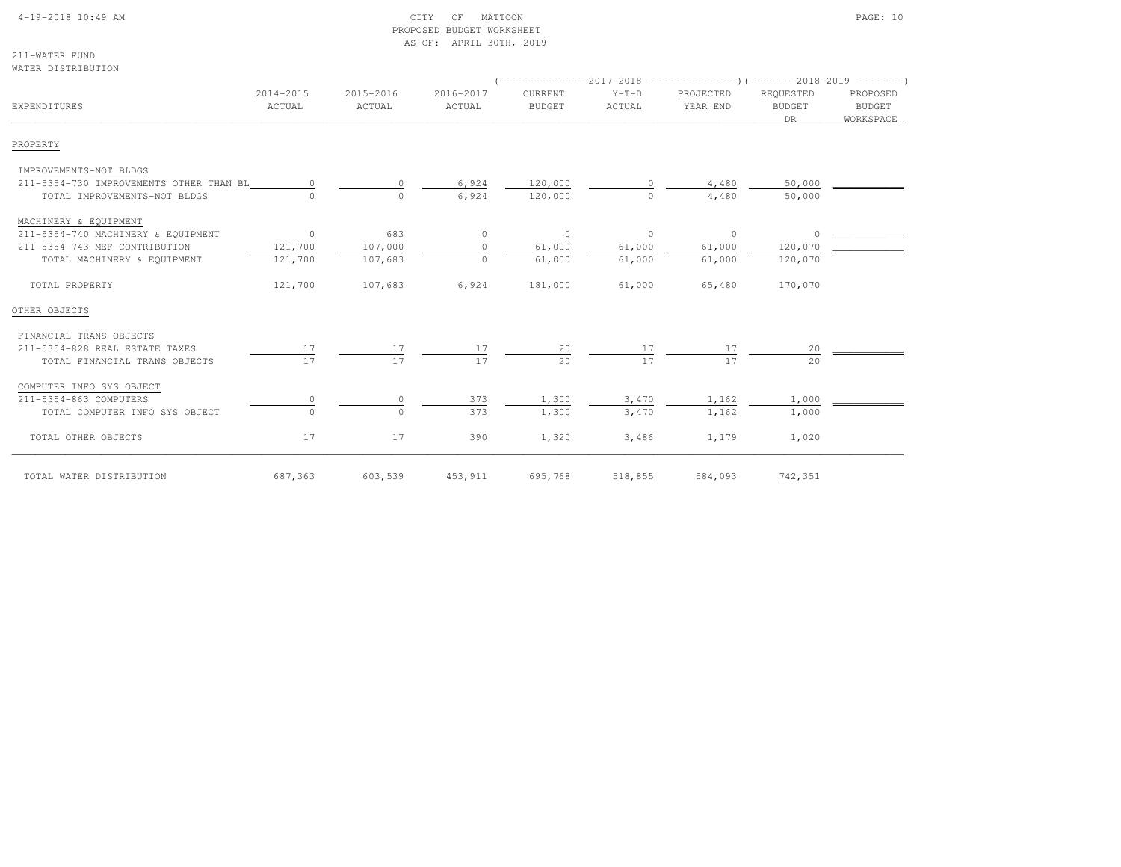#### 4-19-2018 10:49 AM CITY OF MATTOON PAGE: 10 PROPOSED BUDGET WORKSHEETAS OF: APRIL 30TH, 2019

211-WATER FUNDWATER DISTRIBUTION

| EXPENDITURES                            | 2014-2015<br>ACTUAL | 2015-2016<br>ACTUAL | 2016-2017<br>ACTUAL | CURRENT<br><b>BUDGET</b> | $Y-T-D$<br>ACTUAL | PROJECTED<br>YEAR END | REQUESTED<br><b>BUDGET</b><br><b>DR</b> | PROPOSED<br><b>BUDGET</b><br>WORKSPACE |
|-----------------------------------------|---------------------|---------------------|---------------------|--------------------------|-------------------|-----------------------|-----------------------------------------|----------------------------------------|
| PROPERTY                                |                     |                     |                     |                          |                   |                       |                                         |                                        |
| IMPROVEMENTS-NOT BLDGS                  |                     |                     |                     |                          |                   |                       |                                         |                                        |
| 211-5354-730 IMPROVEMENTS OTHER THAN BL |                     | $\Omega$            | 6,924               | 120,000                  |                   | 4,480                 | 50,000                                  |                                        |
| TOTAL IMPROVEMENTS-NOT BLDGS            | $\cap$              | $\Omega$            | 6,924               | 120,000                  | $\cap$            | 4,480                 | 50,000                                  |                                        |
| MACHINERY & EQUIPMENT                   |                     |                     |                     |                          |                   |                       |                                         |                                        |
| 211-5354-740 MACHINERY & EQUIPMENT      | $\circ$             | 683                 | $\circ$             | $\circ$                  | $\circ$           | $\overline{0}$        | 0                                       |                                        |
| 211-5354-743 MEF CONTRIBUTION           | 121,700             | 107,000             | $\Omega$            | 61,000                   | 61,000            | 61,000                | 120,070                                 |                                        |
| TOTAL MACHINERY & EQUIPMENT             | 121,700             | 107,683             | $\Omega$            | 61,000                   | 61,000            | 61,000                | 120,070                                 |                                        |
| TOTAL PROPERTY                          | 121,700             | 107,683             | 6,924               | 181,000                  | 61,000            | 65,480                | 170,070                                 |                                        |
| OTHER OBJECTS                           |                     |                     |                     |                          |                   |                       |                                         |                                        |
| FINANCIAL TRANS OBJECTS                 |                     |                     |                     |                          |                   |                       |                                         |                                        |
| 211-5354-828 REAL ESTATE TAXES          | 17                  | 17                  | 17                  | 20                       | 17                | 17                    | 20                                      |                                        |
| TOTAL FINANCIAL TRANS OBJECTS           | 17                  | 17                  | 17                  | 20                       | 17                | 17                    | 20                                      |                                        |
| COMPUTER INFO SYS OBJECT                |                     |                     |                     |                          |                   |                       |                                         |                                        |
| 211-5354-863 COMPUTERS                  | $\circ$             | $\circ$             | 373                 | 1,300                    | 3,470             | 1,162                 | 1,000                                   |                                        |
| TOTAL COMPUTER INFO SYS OBJECT          | $\Omega$            | $\Omega$            | 373                 | 1,300                    | 3,470             | 1,162                 | 1,000                                   |                                        |
| TOTAL OTHER OBJECTS                     | 17                  | 17                  | 390                 | 1,320                    | 3,486             | 1,179                 | 1,020                                   |                                        |
| TOTAL WATER DISTRIBUTION                | 687,363             | 603,539             | 453,911             | 695,768                  | 518,855           | 584,093               | 742,351                                 |                                        |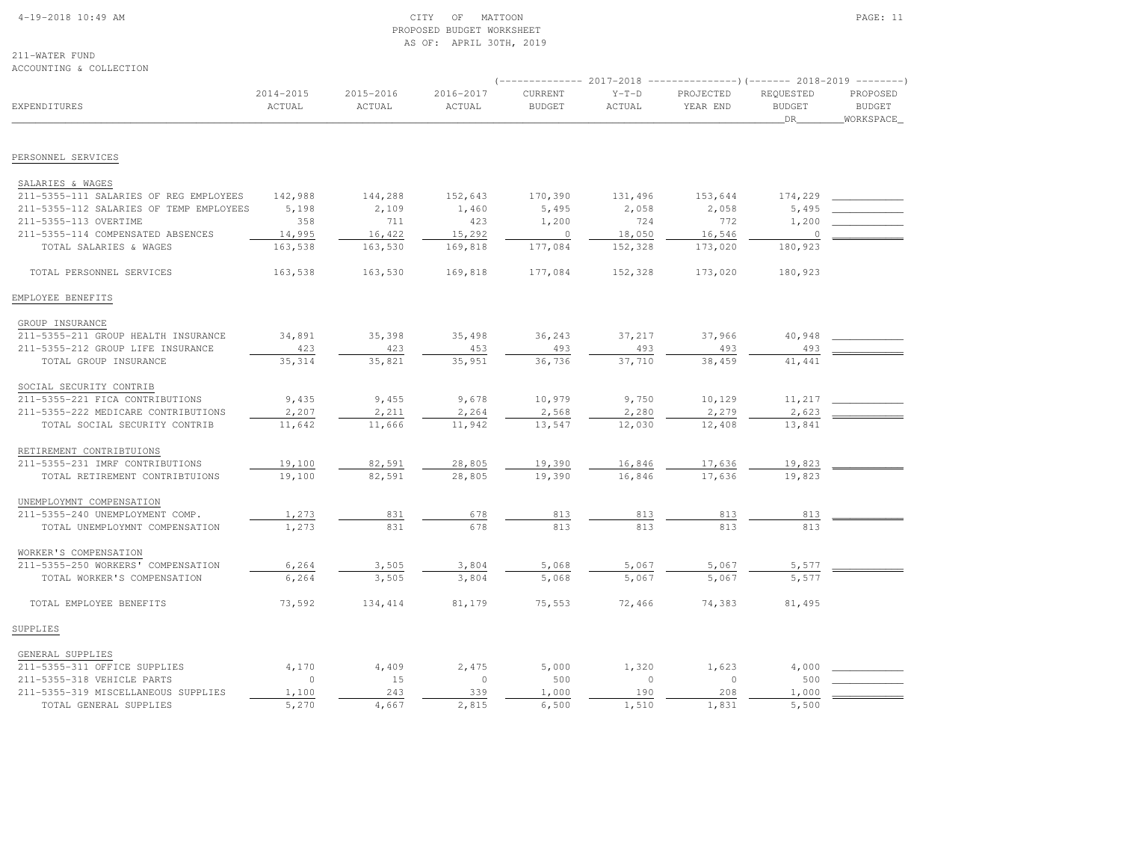#### 4-19-2018 10:49 AM CITY OF MATTOON PAGE: 11 PROPOSED BUDGET WORKSHEETAS OF: APRIL 30TH, 2019

211-WATER FUND

| ACCOUNTING & COLLECTION                 |                         |                     |                         |                          |                   |                                                                                                   |                                  |                                        |
|-----------------------------------------|-------------------------|---------------------|-------------------------|--------------------------|-------------------|---------------------------------------------------------------------------------------------------|----------------------------------|----------------------------------------|
| <b>EXPENDITURES</b>                     | $2014 - 2015$<br>ACTUAL | 2015-2016<br>ACTUAL | $2016 - 2017$<br>ACTUAL | CURRENT<br><b>BUDGET</b> | $Y-T-D$<br>ACTUAL | (-------------- 2017-2018 ----------------) (------- 2018-2019 --------)<br>PROJECTED<br>YEAR END | REQUESTED<br><b>BUDGET</b><br>DR | PROPOSED<br><b>BUDGET</b><br>WORKSPACE |
| PERSONNEL SERVICES                      |                         |                     |                         |                          |                   |                                                                                                   |                                  |                                        |
|                                         |                         |                     |                         |                          |                   |                                                                                                   |                                  |                                        |
| SALARIES & WAGES                        |                         |                     |                         |                          |                   |                                                                                                   |                                  |                                        |
| 211-5355-111 SALARIES OF REG EMPLOYEES  | 142,988                 | 144,288             | 152,643                 | 170,390                  | 131,496           | 153,644                                                                                           | 174,229                          |                                        |
| 211-5355-112 SALARIES OF TEMP EMPLOYEES | 5,198                   | 2,109               | 1,460                   | 5,495                    | 2,058             | 2,058                                                                                             | 5,495                            |                                        |
| 211-5355-113 OVERTIME                   | 358                     | 711                 | 423                     | 1,200                    | 724               | 772                                                                                               | 1,200                            |                                        |
| 211-5355-114 COMPENSATED ABSENCES       | 14,995                  | 16,422              | 15,292                  | $\circ$                  | 18,050            | 16,546                                                                                            | 0                                |                                        |
| TOTAL SALARIES & WAGES                  | 163,538                 | 163,530             | 169,818                 | 177,084                  | 152,328           | 173,020                                                                                           | 180,923                          |                                        |
| TOTAL PERSONNEL SERVICES                | 163,538                 | 163,530             | 169,818                 | 177,084                  | 152,328           | 173,020                                                                                           | 180,923                          |                                        |
| EMPLOYEE BENEFITS                       |                         |                     |                         |                          |                   |                                                                                                   |                                  |                                        |
| GROUP INSURANCE                         |                         |                     |                         |                          |                   |                                                                                                   |                                  |                                        |
| 211-5355-211 GROUP HEALTH INSURANCE     | 34,891                  | 35,398              | 35,498                  | 36,243                   | 37,217            | 37,966                                                                                            | 40,948                           |                                        |
| 211-5355-212 GROUP LIFE INSURANCE       | 423                     | 423                 | 453                     | 493                      | 493               | 493                                                                                               | 493                              |                                        |
| TOTAL GROUP INSURANCE                   | 35,314                  | 35,821              | 35,951                  | 36,736                   | 37,710            | 38,459                                                                                            | 41,441                           |                                        |
| SOCIAL SECURITY CONTRIB                 |                         |                     |                         |                          |                   |                                                                                                   |                                  |                                        |
| 211-5355-221 FICA CONTRIBUTIONS         | 9,435                   | 9,455               | 9,678                   | 10,979                   | 9,750             | 10,129                                                                                            | 11,217                           |                                        |
| 211-5355-222 MEDICARE CONTRIBUTIONS     | 2,207                   | 2,211               | 2,264                   | 2,568                    | 2,280             | 2,279                                                                                             | 2,623                            |                                        |
| TOTAL SOCIAL SECURITY CONTRIB           | 11,642                  | 11,666              | 11,942                  | 13,547                   | 12,030            | 12,408                                                                                            | 13,841                           |                                        |
| RETIREMENT CONTRIBTUIONS                |                         |                     |                         |                          |                   |                                                                                                   |                                  |                                        |
| 211-5355-231 IMRF CONTRIBUTIONS         | 19,100                  | 82,591              | 28,805                  | 19,390                   | 16,846            | 17,636                                                                                            | 19,823                           |                                        |
| TOTAL RETIREMENT CONTRIBTUIONS          | 19,100                  | 82,591              | 28,805                  | 19,390                   | 16,846            | 17,636                                                                                            | 19,823                           |                                        |
| UNEMPLOYMNT COMPENSATION                |                         |                     |                         |                          |                   |                                                                                                   |                                  |                                        |
| 211-5355-240 UNEMPLOYMENT COMP.         | 1,273                   | 831                 | 678                     | 813                      | 813               | 813                                                                                               | 813                              |                                        |
| TOTAL UNEMPLOYMNT COMPENSATION          | 1,273                   | 831                 | 678                     | 813                      | 813               | 813                                                                                               | 813                              |                                        |
| WORKER'S COMPENSATION                   |                         |                     |                         |                          |                   |                                                                                                   |                                  |                                        |
| 211-5355-250 WORKERS' COMPENSATION      | 6,264                   | 3,505               | 3,804                   | 5,068                    | 5,067             | 5,067                                                                                             | 5,577                            |                                        |
| TOTAL WORKER'S COMPENSATION             | 6,264                   | 3,505               | 3,804                   | 5,068                    | 5,067             | 5,067                                                                                             | 5,577                            |                                        |
| TOTAL EMPLOYEE BENEFITS                 | 73,592                  | 134, 414            | 81,179                  | 75,553                   | 72,466            | 74,383                                                                                            | 81,495                           |                                        |
| SUPPLIES                                |                         |                     |                         |                          |                   |                                                                                                   |                                  |                                        |
| GENERAL SUPPLIES                        |                         |                     |                         |                          |                   |                                                                                                   |                                  |                                        |
| 211-5355-311 OFFICE SUPPLIES            | 4,170                   | 4,409               | 2,475                   | 5,000                    | 1,320             | 1,623                                                                                             | 4,000                            |                                        |
| 211-5355-318 VEHICLE PARTS              | $\circ$                 | 15                  | $\circ$                 | 500                      | $\circ$           | $\circ$                                                                                           | 500                              |                                        |
| 211-5355-319 MISCELLANEOUS SUPPLIES     | 1,100                   | 243                 | 339                     | 1,000                    | 190               | 208                                                                                               | 1,000                            |                                        |
| TOTAL GENERAL SUPPLIES                  | 5,270                   | 4,667               | 2,815                   | 6,500                    | 1,510             | 1,831                                                                                             | 5,500                            |                                        |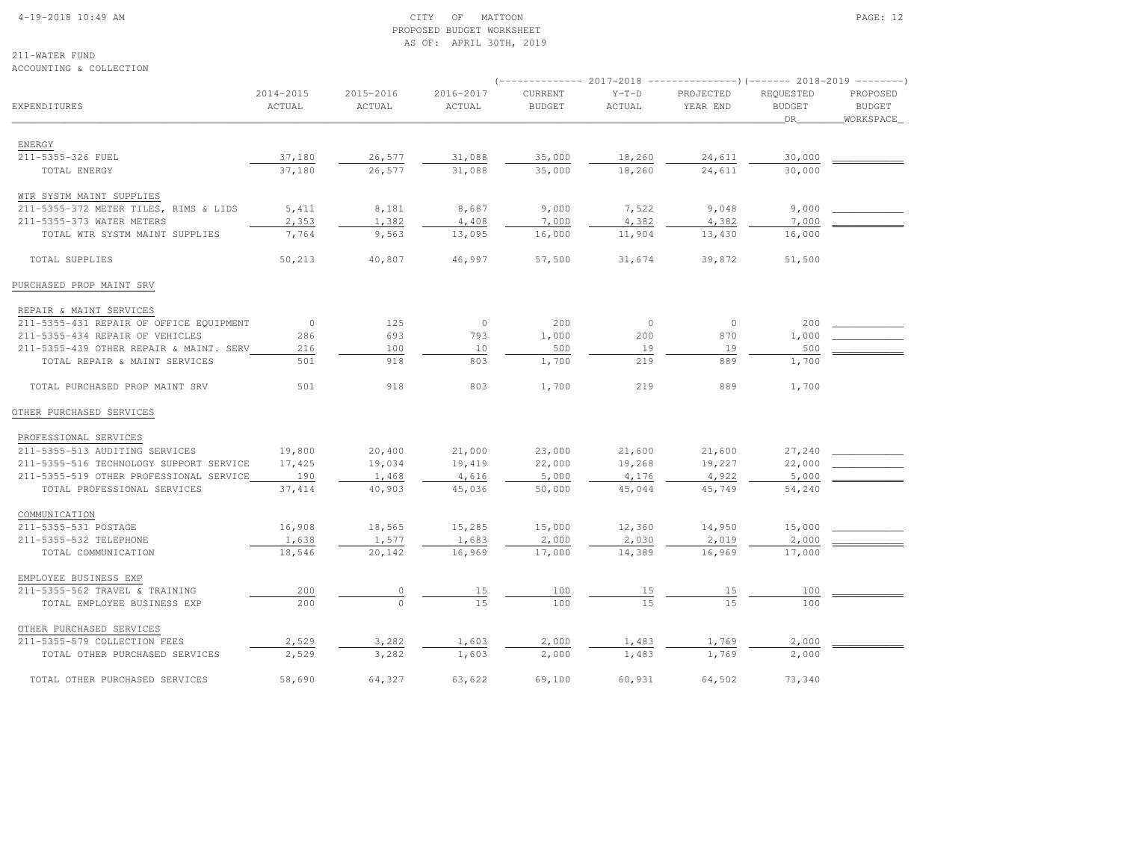# 4-19-2018 10:49 AM CITY OF MATTOON PAGE: 12 PROPOSED BUDGET WORKSHEETAS OF: APRIL 30TH, 2019

211-WATER FUNDACCOUNTING & COLLECTION

|                                         |                |           |           |               |               | $(----------2017-2018$ ---------------) (------- 2018-2019 -------) |               |               |
|-----------------------------------------|----------------|-----------|-----------|---------------|---------------|---------------------------------------------------------------------|---------------|---------------|
|                                         | 2014-2015      | 2015-2016 | 2016-2017 | CURRENT       | $Y-T-D$       | PROJECTED                                                           | REQUESTED     | PROPOSED      |
| EXPENDITURES                            | ACTUAL         | ACTUAL    | ACTUAL    | <b>BUDGET</b> | <b>ACTUAL</b> | YEAR END                                                            | <b>BUDGET</b> | <b>BUDGET</b> |
|                                         |                |           |           |               |               |                                                                     | DR            | WORKSPACE     |
|                                         |                |           |           |               |               |                                                                     |               |               |
| ENERGY                                  |                |           |           |               |               |                                                                     |               |               |
| 211-5355-326 FUEL                       | 37,180         | 26,577    | 31,088    | 35,000        | 18,260        | 24,611                                                              | 30,000        |               |
| TOTAL ENERGY                            | 37,180         | 26,577    | 31,088    | 35,000        | 18,260        | 24,611                                                              | 30,000        |               |
| WTR SYSTM MAINT SUPPLIES                |                |           |           |               |               |                                                                     |               |               |
| 211-5355-372 METER TILES, RIMS & LIDS   | 5,411          | 8,181     | 8,687     | 9,000         | 7,522         | 9,048                                                               | 9,000         |               |
| 211-5355-373 WATER METERS               | 2,353          | 1,382     | 4,408     | 7,000         | 4,382         | 4,382                                                               | 7,000         |               |
| TOTAL WTR SYSTM MAINT SUPPLIES          | 7,764          | 9,563     | 13,095    | 16,000        | 11,904        | 13,430                                                              | 16,000        |               |
|                                         |                |           |           |               |               |                                                                     |               |               |
| TOTAL SUPPLIES                          | 50,213         | 40,807    | 46,997    | 57,500        | 31,674        | 39,872                                                              | 51,500        |               |
| PURCHASED PROP MAINT SRV                |                |           |           |               |               |                                                                     |               |               |
| REPAIR & MAINT SERVICES                 |                |           |           |               |               |                                                                     |               |               |
| 211-5355-431 REPAIR OF OFFICE EQUIPMENT | $\overline{0}$ | 125       | $\circ$   | 200           | $\circ$       | $\Omega$                                                            | 200           |               |
| 211-5355-434 REPAIR OF VEHICLES         | 286            | 693       | 793       | 1,000         | 200           | 870                                                                 | 1,000         |               |
| 211-5355-439 OTHER REPAIR & MAINT. SERV | 216            | 100       | 10        | 500           | 19            | 19                                                                  | 500           |               |
| TOTAL REPAIR & MAINT SERVICES           | 501            | 918       | 803       | 1,700         | 219           | 889                                                                 | 1,700         |               |
|                                         |                |           |           |               |               |                                                                     |               |               |
| TOTAL PURCHASED PROP MAINT SRV          | 501            | 918       | 803       | 1,700         | 219           | 889                                                                 | 1,700         |               |
| OTHER PURCHASED SERVICES                |                |           |           |               |               |                                                                     |               |               |
| PROFESSIONAL SERVICES                   |                |           |           |               |               |                                                                     |               |               |
| 211-5355-513 AUDITING SERVICES          | 19,800         | 20,400    | 21,000    | 23,000        | 21,600        | 21,600                                                              | 27,240        |               |
| 211-5355-516 TECHNOLOGY SUPPORT SERVICE | 17,425         | 19,034    | 19,419    | 22,000        | 19,268        | 19,227                                                              | 22,000        |               |
| 211-5355-519 OTHER PROFESSIONAL SERVICE | 190            | 1,468     | 4,616     | 5,000         | 4,176         | 4,922                                                               | 5,000         |               |
| TOTAL PROFESSIONAL SERVICES             | 37, 414        | 40,903    | 45,036    | 50,000        | 45,044        | 45,749                                                              | 54,240        |               |
|                                         |                |           |           |               |               |                                                                     |               |               |
| COMMUNICATION                           |                |           |           |               |               |                                                                     |               |               |
| 211-5355-531 POSTAGE                    | 16,908         | 18,565    | 15,285    | 15,000        | 12,360        | 14,950                                                              | 15,000        |               |
| 211-5355-532 TELEPHONE                  | 1,638          | 1,577     | 1,683     | 2,000         | 2,030         | 2,019                                                               | 2,000         |               |
| TOTAL COMMUNICATION                     | 18,546         | 20,142    | 16,969    | 17,000        | 14,389        | 16,969                                                              | 17,000        |               |
| EMPLOYEE BUSINESS EXP                   |                |           |           |               |               |                                                                     |               |               |
| 211-5355-562 TRAVEL & TRAINING          | 200            | 0         | 15        | 100           | 15            | 15                                                                  | 100           |               |
| TOTAL EMPLOYEE BUSINESS EXP             | 200            | $\Omega$  | 15        | 100           | 1.5           | 15                                                                  | 100           |               |
| OTHER PURCHASED SERVICES                |                |           |           |               |               |                                                                     |               |               |
| 211-5355-579 COLLECTION FEES            | 2,529          | 3,282     | 1,603     | 2,000         | 1,483         | 1,769                                                               | 2,000         |               |
| TOTAL OTHER PURCHASED SERVICES          | 2,529          | 3,282     | 1,603     | 2,000         | 1,483         | 1,769                                                               | 2,000         |               |
| TOTAL OTHER PURCHASED SERVICES          | 58,690         | 64,327    | 63,622    | 69,100        | 60,931        | 64,502                                                              | 73,340        |               |
|                                         |                |           |           |               |               |                                                                     |               |               |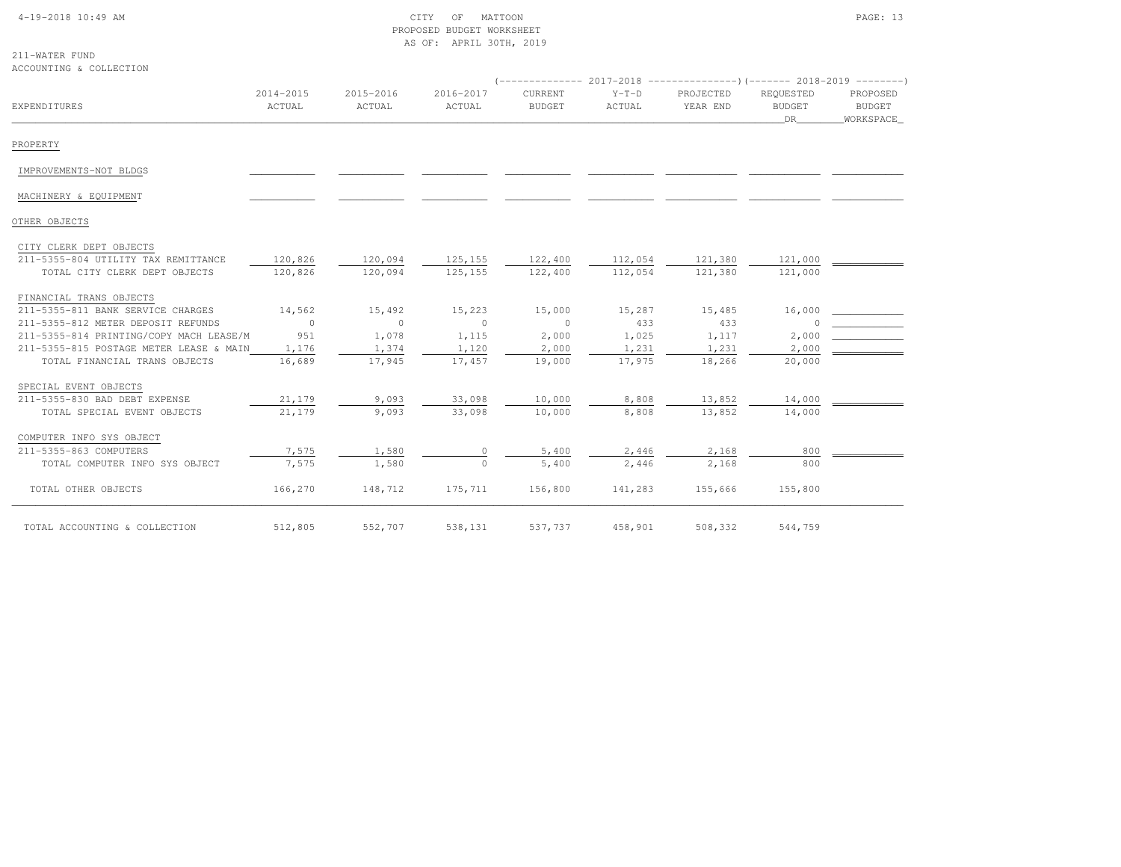### 4-19-2018 10:49 AM CITY OF MATTOON PAGE: 13 PROPOSED BUDGET WORKSHEETAS OF: APRIL 30TH, 2019

#### 211-WATER FUNDACCOUNTING & COLLECTION

| EXPENDITURES                                                         | $2014 - 2015$<br>ACTUAL | 2015-2016<br>ACTUAL | 2016-2017<br>ACTUAL | CURRENT<br><b>BUDGET</b> | $Y-T-D$<br>ACTUAL  | PROJECTED<br>YEAR END | REQUESTED<br><b>BUDGET</b><br>DR | PROPOSED<br>BUDGET<br>WORKSPACE |
|----------------------------------------------------------------------|-------------------------|---------------------|---------------------|--------------------------|--------------------|-----------------------|----------------------------------|---------------------------------|
| PROPERTY                                                             |                         |                     |                     |                          |                    |                       |                                  |                                 |
| IMPROVEMENTS-NOT BLDGS                                               |                         |                     |                     |                          |                    |                       |                                  |                                 |
| MACHINERY & EQUIPMENT                                                |                         |                     |                     |                          |                    |                       |                                  |                                 |
| OTHER OBJECTS                                                        |                         |                     |                     |                          |                    |                       |                                  |                                 |
| CITY CLERK DEPT OBJECTS                                              |                         |                     |                     |                          |                    |                       |                                  |                                 |
| 211-5355-804 UTILITY TAX REMITTANCE<br>TOTAL CITY CLERK DEPT OBJECTS | 120,826<br>120,826      | 120,094<br>120,094  | 125,155<br>125, 155 | 122,400<br>122,400       | 112,054<br>112,054 | 121,380<br>121,380    | 121,000<br>121,000               |                                 |
| FINANCIAL TRANS OBJECTS                                              |                         |                     |                     |                          |                    |                       |                                  |                                 |
| 211-5355-811 BANK SERVICE CHARGES                                    | 14,562                  | 15,492              | 15,223              | 15,000                   | 15,287             | 15,485                | 16,000                           |                                 |
| 211-5355-812 METER DEPOSIT REFUNDS                                   | $\bigcirc$              | $\circ$             | $\overline{0}$      | $\sim$ 0                 | 433                | 433                   |                                  |                                 |
| 211-5355-814 PRINTING/COPY MACH LEASE/M                              | 951                     | 1,078               | 1,115               | 2,000                    | 1,025              | 1,117                 | 2,000                            |                                 |
| 211-5355-815 POSTAGE METER LEASE & MAIN                              | 1,176                   | 1,374               | 1,120               | 2,000                    | 1,231              | 1,231                 | 2,000                            |                                 |
| TOTAL FINANCIAL TRANS OBJECTS                                        | 16,689                  | 17,945              | 17,457              | 19,000                   | 17,975             | 18,266                | 20,000                           |                                 |
| SPECIAL EVENT OBJECTS                                                |                         |                     |                     |                          |                    |                       |                                  |                                 |
| 211-5355-830 BAD DEBT EXPENSE                                        | 21,179                  | 9,093               | 33,098              | 10,000                   | 8,808              | 13,852                | 14,000                           |                                 |
| TOTAL SPECIAL EVENT OBJECTS                                          | 21,179                  | 9,093               | 33,098              | 10,000                   | 8,808              | 13,852                | 14,000                           |                                 |
| COMPUTER INFO SYS OBJECT                                             |                         |                     |                     |                          |                    |                       |                                  |                                 |
| 211-5355-863 COMPUTERS                                               | 7,575                   | 1,580               |                     | 5,400                    | 2,446              | 2,168                 | 800                              |                                 |
| TOTAL COMPUTER INFO SYS OBJECT                                       | 7,575                   | 1,580               | $\Omega$            | 5,400                    | 2,446              | 2,168                 | 800                              |                                 |
| TOTAL OTHER OBJECTS                                                  | 166,270                 | 148,712             | 175,711             | 156,800                  | 141,283            | 155,666               | 155,800                          |                                 |
| TOTAL ACCOUNTING & COLLECTION                                        | 512,805                 | 552,707             | 538,131             | 537,737                  | 458,901            | 508,332               | 544,759                          |                                 |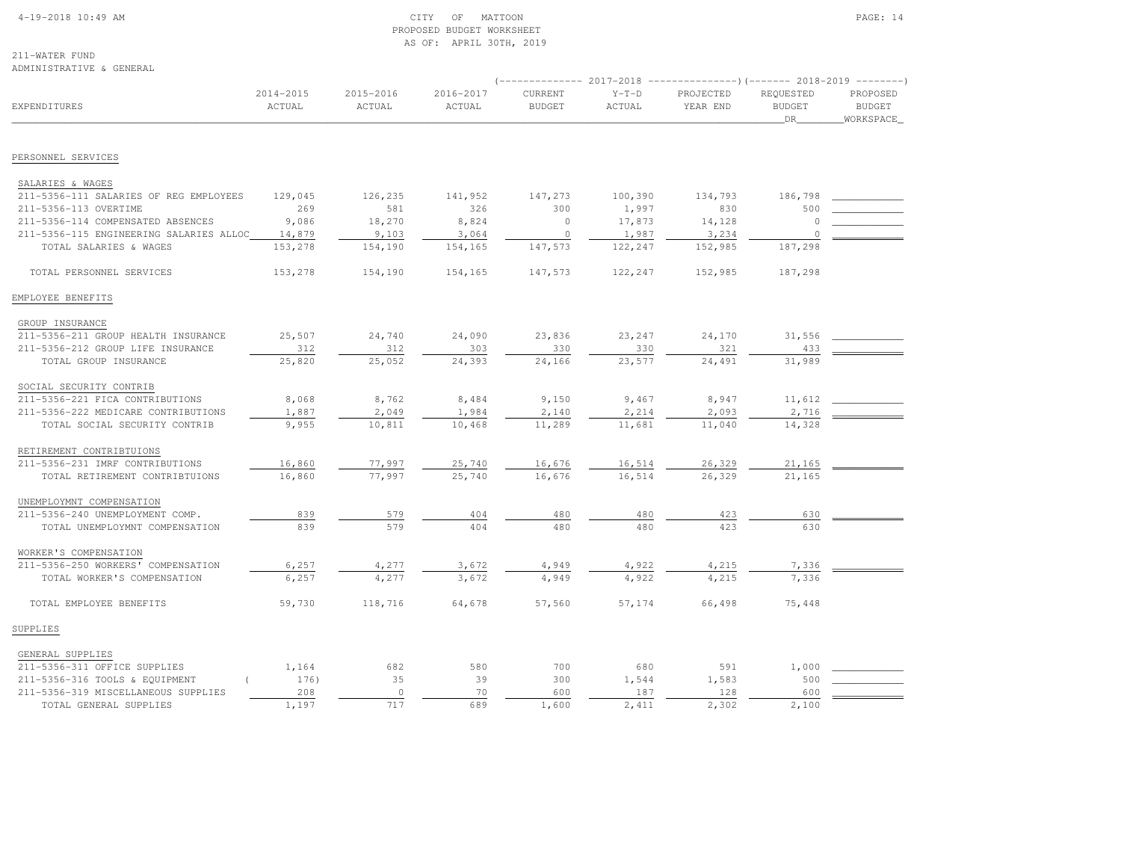#### 4-19-2018 10:49 AM CITY OF MATTOON PAGE: 14 PROPOSED BUDGET WORKSHEETAS OF: APRIL 30TH, 2019

211-WATER FUNDADMINISTRATIVE & GENERAL

|                                         |                     |                     |                     | $---------2017-2018$     |                   | ----------------)(------- 2018-2019 ---------) |                                  |                                        |
|-----------------------------------------|---------------------|---------------------|---------------------|--------------------------|-------------------|------------------------------------------------|----------------------------------|----------------------------------------|
| EXPENDITURES                            | 2014-2015<br>ACTUAL | 2015-2016<br>ACTUAL | 2016-2017<br>ACTUAL | CURRENT<br><b>BUDGET</b> | $Y-T-D$<br>ACTUAL | PROJECTED<br>YEAR END                          | REQUESTED<br><b>BUDGET</b><br>DR | PROPOSED<br><b>BUDGET</b><br>WORKSPACE |
|                                         |                     |                     |                     |                          |                   |                                                |                                  |                                        |
| PERSONNEL SERVICES                      |                     |                     |                     |                          |                   |                                                |                                  |                                        |
| SALARIES & WAGES                        |                     |                     |                     |                          |                   |                                                |                                  |                                        |
| 211-5356-111 SALARIES OF REG EMPLOYEES  | 129,045             | 126,235             | 141,952             | 147,273                  | 100,390           | 134,793                                        | 186,798                          |                                        |
| 211-5356-113 OVERTIME                   | 269                 | 581                 | 326                 | 300                      | 1,997             | 830                                            | 500                              |                                        |
| 211-5356-114 COMPENSATED ABSENCES       | 9,086               | 18,270              | 8,824               | $\circ$                  | 17,873            | 14,128                                         | $\Omega$                         |                                        |
| 211-5356-115 ENGINEERING SALARIES ALLOC | 14,879              | 9,103               | 3,064               | $\circ$                  | 1,987             | 3,234                                          | $\circ$                          |                                        |
| TOTAL SALARIES & WAGES                  | 153,278             | 154,190             | 154,165             | 147,573                  | 122,247           | 152,985                                        | 187,298                          |                                        |
| TOTAL PERSONNEL SERVICES                | 153,278             | 154,190             | 154,165             | 147,573                  | 122,247           | 152,985                                        | 187,298                          |                                        |
| EMPLOYEE BENEFITS                       |                     |                     |                     |                          |                   |                                                |                                  |                                        |
| GROUP INSURANCE                         |                     |                     |                     |                          |                   |                                                |                                  |                                        |
| 211-5356-211 GROUP HEALTH INSURANCE     | 25,507              | 24,740              | 24,090              | 23,836                   | 23,247            | 24,170                                         | 31,556                           |                                        |
| 211-5356-212 GROUP LIFE INSURANCE       | 312                 | 312                 | 303                 | 330                      | 330               | 321                                            | 433                              |                                        |
| TOTAL GROUP INSURANCE                   | 25,820              | 25,052              | 24,393              | 24,166                   | 23,577            | 24,491                                         | 31,989                           |                                        |
| SOCIAL SECURITY CONTRIB                 |                     |                     |                     |                          |                   |                                                |                                  |                                        |
| 211-5356-221 FICA CONTRIBUTIONS         | 8,068               | 8,762               | 8,484               | 9,150                    | 9,467             | 8,947                                          | 11,612                           |                                        |
| 211-5356-222 MEDICARE CONTRIBUTIONS     | 1,887               | 2,049               | 1,984               | 2,140                    | 2,214             | 2,093                                          | 2,716                            |                                        |
| TOTAL SOCIAL SECURITY CONTRIB           | 9,955               | 10,811              | 10,468              | 11,289                   | 11,681            | 11,040                                         | 14,328                           |                                        |
| RETIREMENT CONTRIBTUIONS                |                     |                     |                     |                          |                   |                                                |                                  |                                        |
| 211-5356-231 IMRF CONTRIBUTIONS         | 16,860              | 77,997              | 25,740              | 16,676                   | 16,514            | 26,329                                         | 21,165                           |                                        |
| TOTAL RETIREMENT CONTRIBTUIONS          | 16,860              | 77.997              | 25,740              | 16,676                   | 16,514            | 26,329                                         | 21,165                           |                                        |
| UNEMPLOYMNT COMPENSATION                |                     |                     |                     |                          |                   |                                                |                                  |                                        |
| 211-5356-240 UNEMPLOYMENT COMP.         | 839                 | 579                 | 404                 | 480                      | 480               | 423                                            | 630                              |                                        |
| TOTAL UNEMPLOYMNT COMPENSATION          | 839                 | 579                 | 404                 | 480                      | 480               | 423                                            | 630                              |                                        |
| WORKER'S COMPENSATION                   |                     |                     |                     |                          |                   |                                                |                                  |                                        |
| 211-5356-250 WORKERS' COMPENSATION      | 6,257               | 4,277               | 3,672               | 4,949                    | 4,922             | 4,215                                          | 7,336                            |                                        |
| TOTAL WORKER'S COMPENSATION             | 6,257               | 4,277               | 3,672               | 4,949                    | 4,922             | 4,215                                          | 7,336                            |                                        |
| TOTAL EMPLOYEE BENEFITS                 | 59,730              | 118,716             | 64,678              | 57,560                   | 57,174            | 66,498                                         | 75,448                           |                                        |
| SUPPLIES                                |                     |                     |                     |                          |                   |                                                |                                  |                                        |
| GENERAL SUPPLIES                        |                     |                     |                     |                          |                   |                                                |                                  |                                        |
| 211-5356-311 OFFICE SUPPLIES            | 1,164               | 682                 | 580                 | 700                      | 680               | 591                                            | 1,000                            |                                        |
| 211-5356-316 TOOLS & EQUIPMENT          | 176)                | 35                  | 39                  | 300                      | 1,544             | 1,583                                          | 500                              |                                        |
| 211-5356-319 MISCELLANEOUS SUPPLIES     | 208                 | $\circ$             | 70                  | 600                      | 187               | 128                                            | 600                              |                                        |

TOTAL GENERAL SUPPLIES 1,197 717 689 1,600 2,411 2,302 2,100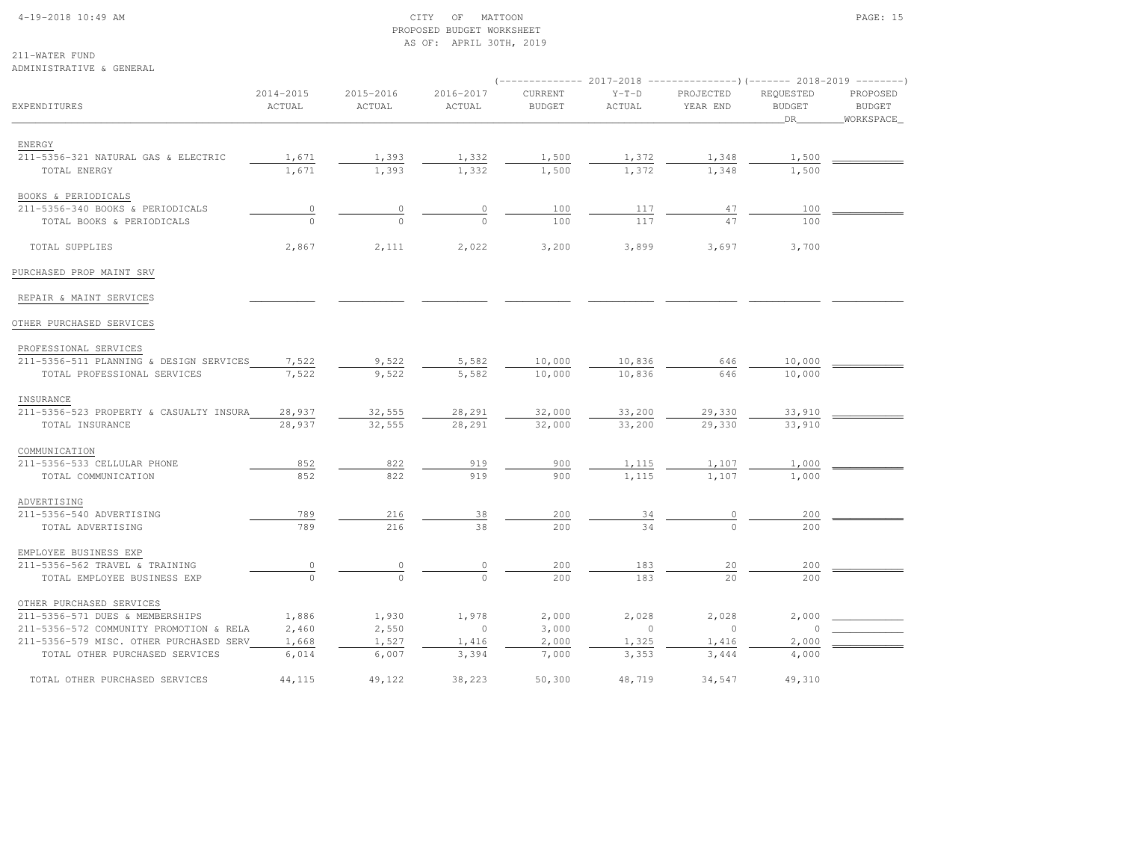#### 4-19-2018 10:49 AM CITY OF MATTOON PAGE: 15 PROPOSED BUDGET WORKSHEETAS OF: APRIL 30TH, 2019

211-WATER FUNDADMINISTRATIV

OTHER PURCHASED SERVICES

| ADMINISTRATIVE & GENERAL                      |                     |                     |                     |                          |                       |                                                                                                  |                                  |                                        |
|-----------------------------------------------|---------------------|---------------------|---------------------|--------------------------|-----------------------|--------------------------------------------------------------------------------------------------|----------------------------------|----------------------------------------|
| <b>EXPENDITURES</b>                           | 2014-2015<br>ACTUAL | 2015-2016<br>ACTUAL | 2016-2017<br>ACTUAL | CURRENT<br><b>BUDGET</b> | $Y-T-D$<br>ACTUAL     | (-------------- 2017-2018 ----------------)(------- 2018-2019 --------)<br>PROJECTED<br>YEAR END | REQUESTED<br><b>BUDGET</b><br>DR | PROPOSED<br><b>BUDGET</b><br>WORKSPACE |
|                                               |                     |                     |                     |                          |                       |                                                                                                  |                                  |                                        |
| ENERGY                                        |                     |                     |                     |                          |                       |                                                                                                  |                                  |                                        |
| 211-5356-321 NATURAL GAS & ELECTRIC           | 1,671<br>1,671      | 1,393<br>1,393      | 1,332<br>1,332      | 1,500<br>1,500           | $\frac{1,372}{1,372}$ | $\frac{1,348}{1,348}$                                                                            | 1,500<br>1,500                   |                                        |
| TOTAL ENERGY                                  |                     |                     |                     |                          |                       |                                                                                                  |                                  |                                        |
| BOOKS & PERIODICALS                           |                     |                     |                     |                          |                       |                                                                                                  |                                  |                                        |
| 211-5356-340 BOOKS & PERIODICALS              | $\overline{0}$      |                     |                     | 100                      | 117                   | 47                                                                                               | 100                              |                                        |
| TOTAL BOOKS & PERIODICALS                     | $\Omega$            | $\Omega$            | $\Omega$            | 100                      | 117                   | 47                                                                                               | 100                              |                                        |
|                                               |                     |                     |                     |                          |                       |                                                                                                  |                                  |                                        |
| TOTAL SUPPLIES                                | 2,867               | 2,111               | 2,022               | 3,200                    | 3,899                 | 3,697                                                                                            | 3,700                            |                                        |
| PURCHASED PROP MAINT SRV                      |                     |                     |                     |                          |                       |                                                                                                  |                                  |                                        |
| REPAIR & MAINT SERVICES                       |                     |                     |                     |                          |                       |                                                                                                  |                                  |                                        |
| OTHER PURCHASED SERVICES                      |                     |                     |                     |                          |                       |                                                                                                  |                                  |                                        |
| PROFESSIONAL SERVICES                         |                     |                     |                     |                          |                       |                                                                                                  |                                  |                                        |
| 211-5356-511 PLANNING & DESIGN SERVICES       | 7,522               | 9,522               | 5,582               | 10,000                   | 10,836                | 646                                                                                              | 10,000                           |                                        |
| TOTAL PROFESSIONAL SERVICES                   | 7,522               | 9,522               | 5,582               | 10,000                   | 10,836                | 646                                                                                              | 10,000                           |                                        |
| INSURANCE                                     |                     |                     |                     |                          |                       |                                                                                                  |                                  |                                        |
| 211-5356-523 PROPERTY & CASUALTY INSURA       | 28,937              | 32,555              | 28,291              | 32,000                   | 33,200                | 29,330                                                                                           | 33,910                           |                                        |
| TOTAL INSURANCE                               | 28,937              | 32,555              | 28,291              | 32,000                   | 33,200                | 29,330                                                                                           | 33,910                           |                                        |
| COMMUNICATION                                 |                     |                     |                     |                          |                       |                                                                                                  |                                  |                                        |
| 211-5356-533 CELLULAR PHONE                   | 852                 | 822                 | 919                 | 900                      | 1,115                 | 1,107                                                                                            | 1,000                            |                                        |
| TOTAL COMMUNICATION                           | 852                 | 822                 | 919                 | 900                      | 1,115                 | 1,107                                                                                            | 1,000                            |                                        |
|                                               |                     |                     |                     |                          |                       |                                                                                                  |                                  |                                        |
| ADVERTISING                                   |                     |                     |                     |                          |                       |                                                                                                  |                                  |                                        |
| 211-5356-540 ADVERTISING<br>TOTAL ADVERTISING | 789<br>789          | 216<br>216          | 38<br>38            | 200<br>200               | $\frac{34}{}$<br>34   |                                                                                                  | 200<br>200                       |                                        |
|                                               |                     |                     |                     |                          |                       |                                                                                                  |                                  |                                        |
| EMPLOYEE BUSINESS EXP                         |                     |                     |                     |                          |                       |                                                                                                  |                                  |                                        |
| 211-5356-562 TRAVEL & TRAINING                |                     |                     |                     | 200                      | 183                   | 20                                                                                               | 200                              |                                        |
| TOTAL EMPLOYEE BUSINESS EXP                   | $\Omega$            | $\Omega$            | $\Omega$            | 200                      | 183                   | 2.0                                                                                              | 200                              |                                        |

211-5356-571 DUES & MEMBERSHIPS 1,886 1,930 1,978 2,000 2,028 2,028 2,000 \_\_\_\_\_\_\_\_\_\_\_\_

211-5356-572 COMMUNITY PROMOTION & RELA 2,460 2,550 0 3,000 0 0 0 0 0 0 211-5356-579 MISC. OTHER PURCHASED SERV 1,668 1,527 1,416 2,000 1,325 1,416 2,000 TOTAL OTHER PURCHASED SERVICES  $\overline{6,014}$   $\overline{6,007}$   $\overline{3,394}$   $\overline{7,000}$   $\overline{3,353}$   $\overline{3,444}$   $\overline{4,000}$ TOTAL OTHER PURCHASED SERVICES 44,115 49,122 38,223 50,300 48,719 34,547 49,310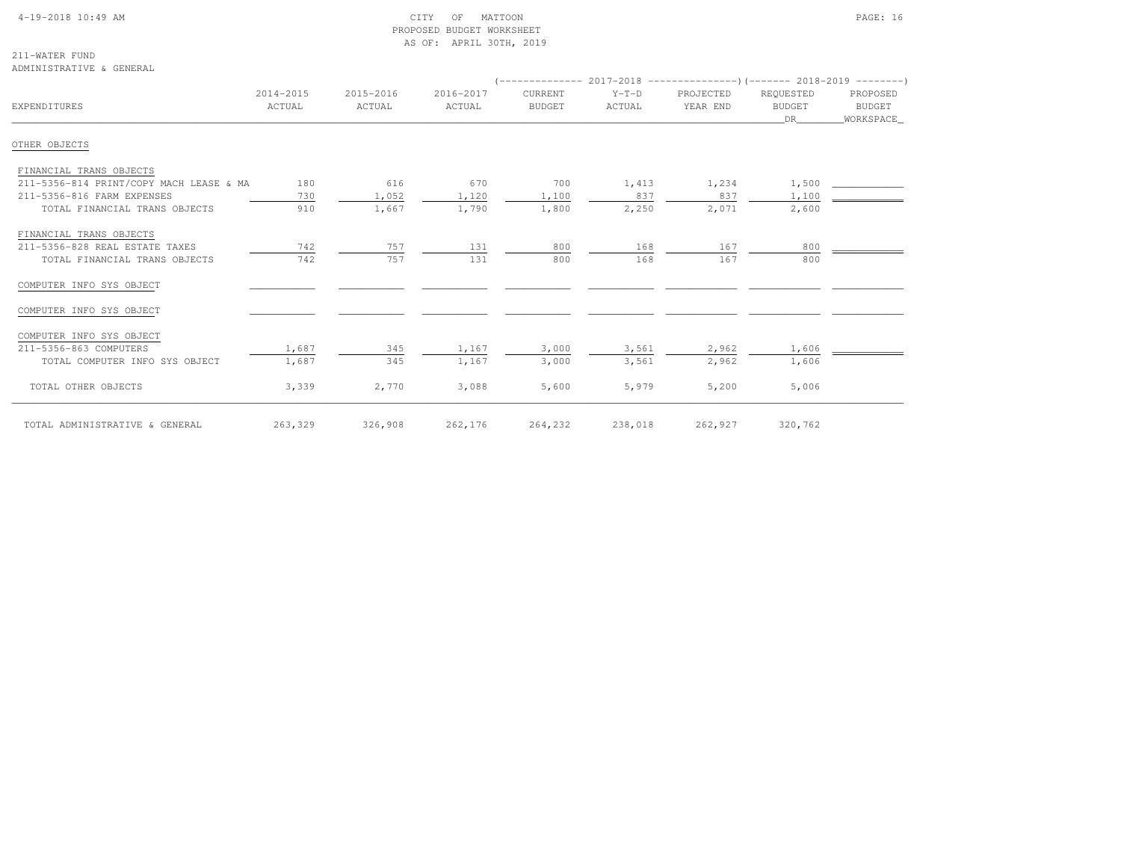# 4-19-2018 10:49 AM CITY OF MATTOON PAGE: 16 PROPOSED BUDGET WORKSHEETAS OF: APRIL 30TH, 2019

211-WATER FUNDADMINISTRATIVE & GENERAL

| EXPENDITURES                            | 2014-2015<br>ACTUAL | 2015-2016<br>ACTUAL | 2016-2017<br>ACTUAL | CURRENT<br><b>BUDGET</b> | $Y-T-D$<br>ACTUAL | PROJECTED<br>YEAR END | REQUESTED<br><b>BUDGET</b><br>DR — | PROPOSED<br>BUDGET<br>WORKSPACE |  |
|-----------------------------------------|---------------------|---------------------|---------------------|--------------------------|-------------------|-----------------------|------------------------------------|---------------------------------|--|
| OTHER OBJECTS                           |                     |                     |                     |                          |                   |                       |                                    |                                 |  |
| FINANCIAL TRANS OBJECTS                 |                     |                     |                     |                          |                   |                       |                                    |                                 |  |
| 211-5356-814 PRINT/COPY MACH LEASE & MA | 180                 | 616                 | 670                 | 700                      | 1,413             | 1,234                 | 1,500                              |                                 |  |
| 211-5356-816 FARM EXPENSES              | 730                 | 1,052               | 1,120               | 1,100                    | 837               | 837                   | 1,100                              |                                 |  |
| TOTAL FINANCIAL TRANS OBJECTS           | 910                 | 1,667               | 1,790               | 1,800                    | 2,250             | 2,071                 | 2,600                              |                                 |  |
| FINANCIAL TRANS OBJECTS                 |                     |                     |                     |                          |                   |                       |                                    |                                 |  |
| 211-5356-828 REAL ESTATE TAXES          | 742                 | 757                 | 131                 | 800                      | 168               | 167                   | 800                                |                                 |  |
| TOTAL FINANCIAL TRANS OBJECTS           | 742                 | 757                 | 131                 | 800                      | 168               | 167                   | 800                                |                                 |  |
| COMPUTER INFO SYS OBJECT                |                     |                     |                     |                          |                   |                       |                                    |                                 |  |
| COMPUTER INFO SYS OBJECT                |                     |                     |                     |                          |                   |                       |                                    |                                 |  |
| COMPUTER INFO SYS OBJECT                |                     |                     |                     |                          |                   |                       |                                    |                                 |  |
| 211-5356-863 COMPUTERS                  | 1,687               | 345                 | 1,167               | 3,000                    | 3,561             | 2,962                 | 1,606                              |                                 |  |
| TOTAL COMPUTER INFO SYS OBJECT          | 1,687               | 345                 | 1,167               | 3,000                    | 3,561             | 2,962                 | 1,606                              |                                 |  |
| TOTAL OTHER OBJECTS                     | 3,339               | 2,770               | 3,088               | 5,600                    | 5,979             | 5,200                 | 5,006                              |                                 |  |
| TOTAL ADMINISTRATIVE & GENERAL          | 263,329             | 326,908             | 262,176             | 264,232                  | 238,018           | 262,927               | 320,762                            |                                 |  |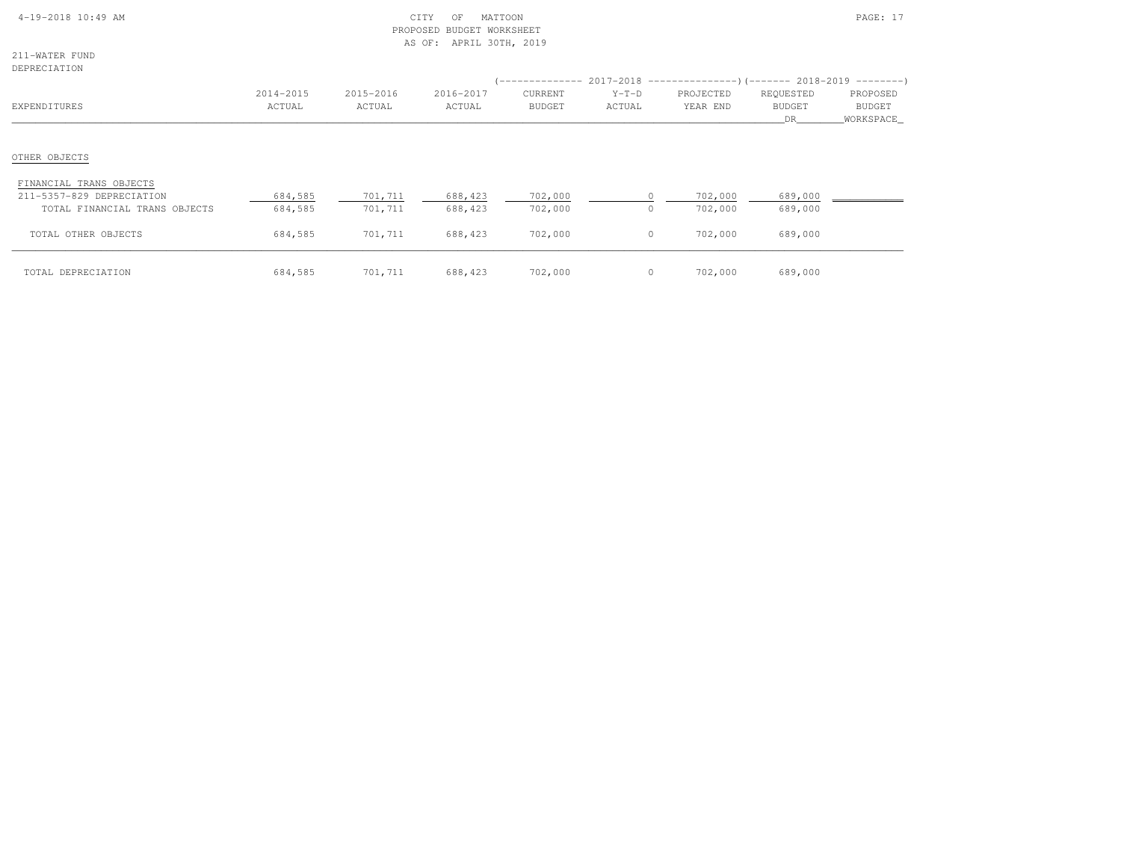| 4-19-2018 10:49 AM |  |  |
|--------------------|--|--|
|                    |  |  |

# $\text{CITY}$  of MATTOON PAGE: 17 PROPOSED BUDGET WORKSHEETAS OF: APRIL 30TH, 2019

211-WATER FUNDDEPRECIATION

| DEFKECIAIION                                                                          |                     |                     |                     |                          |                   | (-------------- 2017-2018 -----------------) (------- 2018-2019 ---------) |                                   |                                        |
|---------------------------------------------------------------------------------------|---------------------|---------------------|---------------------|--------------------------|-------------------|----------------------------------------------------------------------------|-----------------------------------|----------------------------------------|
| EXPENDITURES                                                                          | 2014-2015<br>ACTUAL | 2015-2016<br>ACTUAL | 2016-2017<br>ACTUAL | CURRENT<br><b>BUDGET</b> | $Y-T-D$<br>ACTUAL | PROJECTED<br>YEAR END                                                      | REQUESTED<br><b>BUDGET</b><br>DR. | PROPOSED<br><b>BUDGET</b><br>WORKSPACE |
| OTHER OBJECTS                                                                         |                     |                     |                     |                          |                   |                                                                            |                                   |                                        |
| FINANCIAL TRANS OBJECTS<br>211-5357-829 DEPRECIATION<br>TOTAL FINANCIAL TRANS OBJECTS | 684,585<br>684,585  | 701,711<br>701,711  | 688,423<br>688,423  | 702,000<br>702,000       |                   | 702,000<br>702,000                                                         | 689,000<br>689,000                |                                        |
| TOTAL OTHER OBJECTS                                                                   | 684,585             | 701,711             | 688,423             | 702,000                  | $\Omega$          | 702,000                                                                    | 689,000                           |                                        |
| TOTAL DEPRECIATION                                                                    | 684,585             | 701,711             | 688,423             | 702,000                  |                   | 702,000                                                                    | 689,000                           |                                        |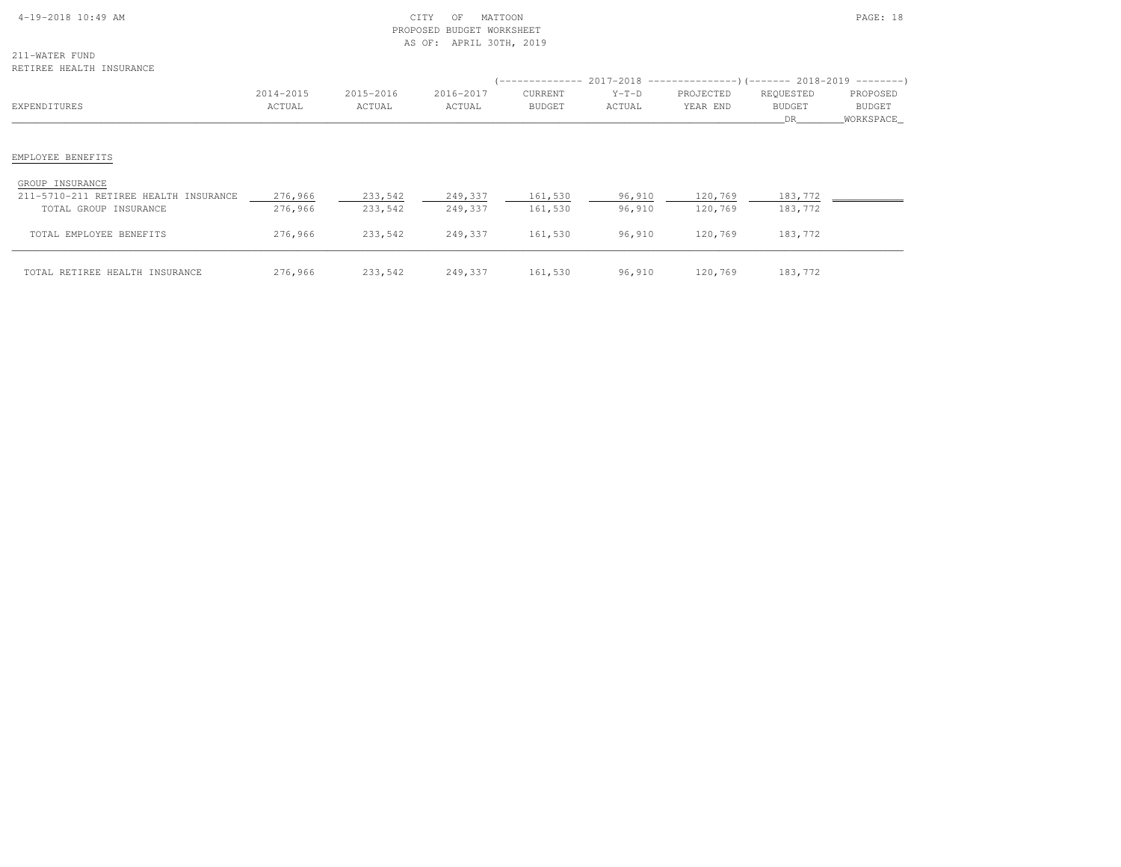| $4-19-2018$ 10:49 AM |  |  |
|----------------------|--|--|

# $\begin{array}{ccc} \text{CITY} & \text{OF} & \text{MATION} \end{array}$  PROPOSED BUDGET WORKSHEETAS OF: APRIL 30TH, 2019

211-WATER FUND

| RETIREE HEALTH INSURANCE                                                          |                     |                     |                     |                          |                   |                                                                                                            |                           |                                   |
|-----------------------------------------------------------------------------------|---------------------|---------------------|---------------------|--------------------------|-------------------|------------------------------------------------------------------------------------------------------------|---------------------------|-----------------------------------|
| EXPENDITURES                                                                      | 2014-2015<br>ACTUAL | 2015-2016<br>ACTUAL | 2016-2017<br>ACTUAL | CURRENT<br><b>BUDGET</b> | $Y-T-D$<br>ACTUAL | (-------------- 2017-2018 ---------------------- 2018-2019 ----------------------<br>PROJECTED<br>YEAR END | REQUESTED<br>BUDGET<br>DR | PROPOSED<br>BUDGET<br>_WORKSPACE_ |
| EMPLOYEE BENEFITS                                                                 |                     |                     |                     |                          |                   |                                                                                                            |                           |                                   |
| GROUP INSURANCE<br>211-5710-211 RETIREE HEALTH INSURANCE<br>TOTAL GROUP INSURANCE | 276,966<br>276,966  | 233,542<br>233,542  | 249,337<br>249,337  | 161,530<br>161,530       | 96,910<br>96,910  | 120,769<br>120,769                                                                                         | 183,772<br>183,772        |                                   |
| TOTAL EMPLOYEE BENEFITS                                                           | 276,966             | 233,542             | 249,337             | 161,530                  | 96,910            | 120,769                                                                                                    | 183,772                   |                                   |
| TOTAL RETIREE HEALTH INSURANCE                                                    | 276,966             | 233,542             | 249,337             | 161,530                  | 96,910            | 120,769                                                                                                    | 183,772                   |                                   |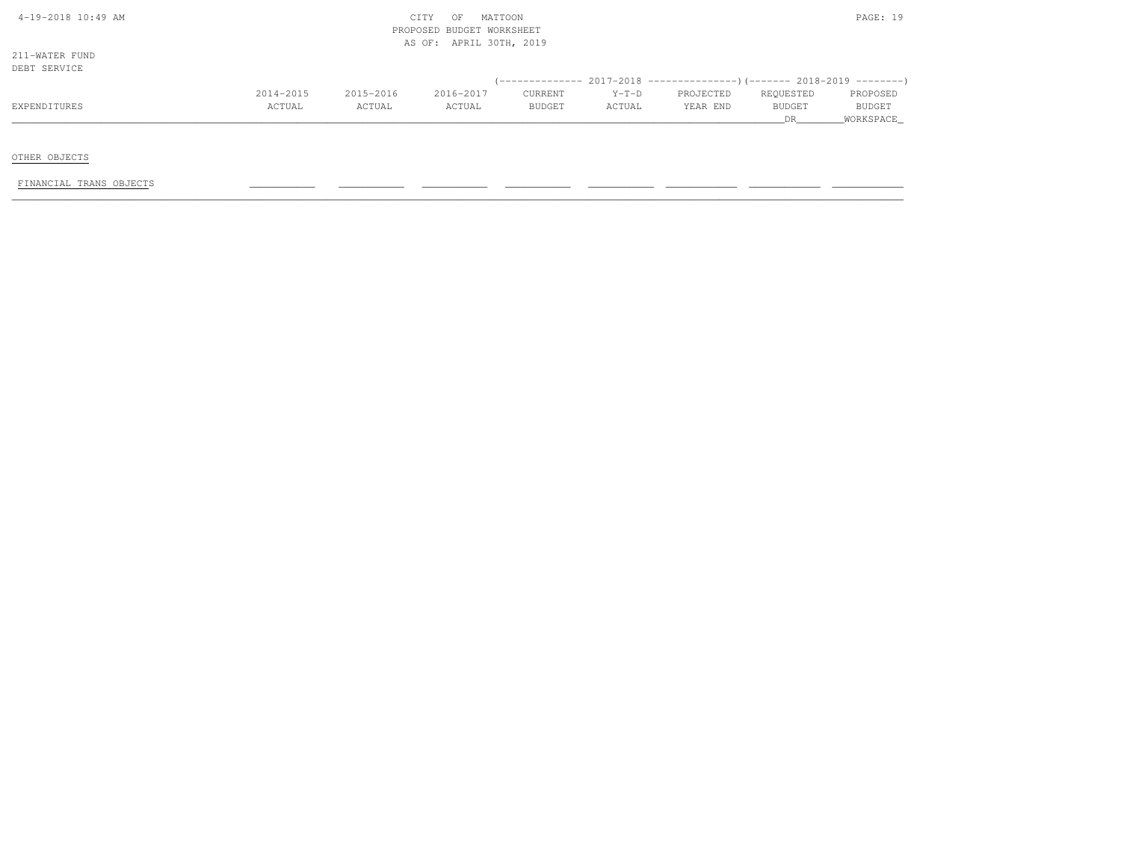| $4-19-2018$ $10:49$ AM |  |
|------------------------|--|

# $\begin{array}{ccc} \text{CITY} & \text{OF} & \text{MATION} \end{array}$  PROPOSED BUDGET WORKSHEETAS OF: APRIL 30TH, 2019

211-WATER FUNDDEBT SERVICE

| DEBI SERVICE |           |           |           |               |         |                                                                          |           |               |
|--------------|-----------|-----------|-----------|---------------|---------|--------------------------------------------------------------------------|-----------|---------------|
|              |           |           |           |               |         | (-------------- 2017-2018 ----------------) (------- 2018-2019 --------) |           |               |
|              | 2014-2015 | 2015-2016 | 2016-2017 | CURRENT       | $Y-T-D$ | PROJECTED                                                                | REOUESTED | PROPOSED      |
| EXPENDITURES | ACTUAL    | ACTUAL    | ACTUAL    | <b>BUDGET</b> | ACTUAL  | YEAR END                                                                 | BUDGET    | <b>BUDGET</b> |
|              |           |           |           |               |         |                                                                          |           | WORKSPACE     |

OTHER OBJECTS

FINANCIAL TRANS OBJECTS \_\_\_\_\_\_\_\_\_\_\_ \_\_\_\_\_\_\_\_\_\_\_ \_\_\_\_\_\_\_\_\_\_\_ \_\_\_\_\_\_\_\_\_\_\_ \_\_\_\_\_\_\_\_\_\_\_ \_\_\_\_\_\_\_\_\_\_\_\_ \_\_\_\_\_\_\_\_\_\_\_\_ \_\_\_\_\_\_\_\_\_\_\_\_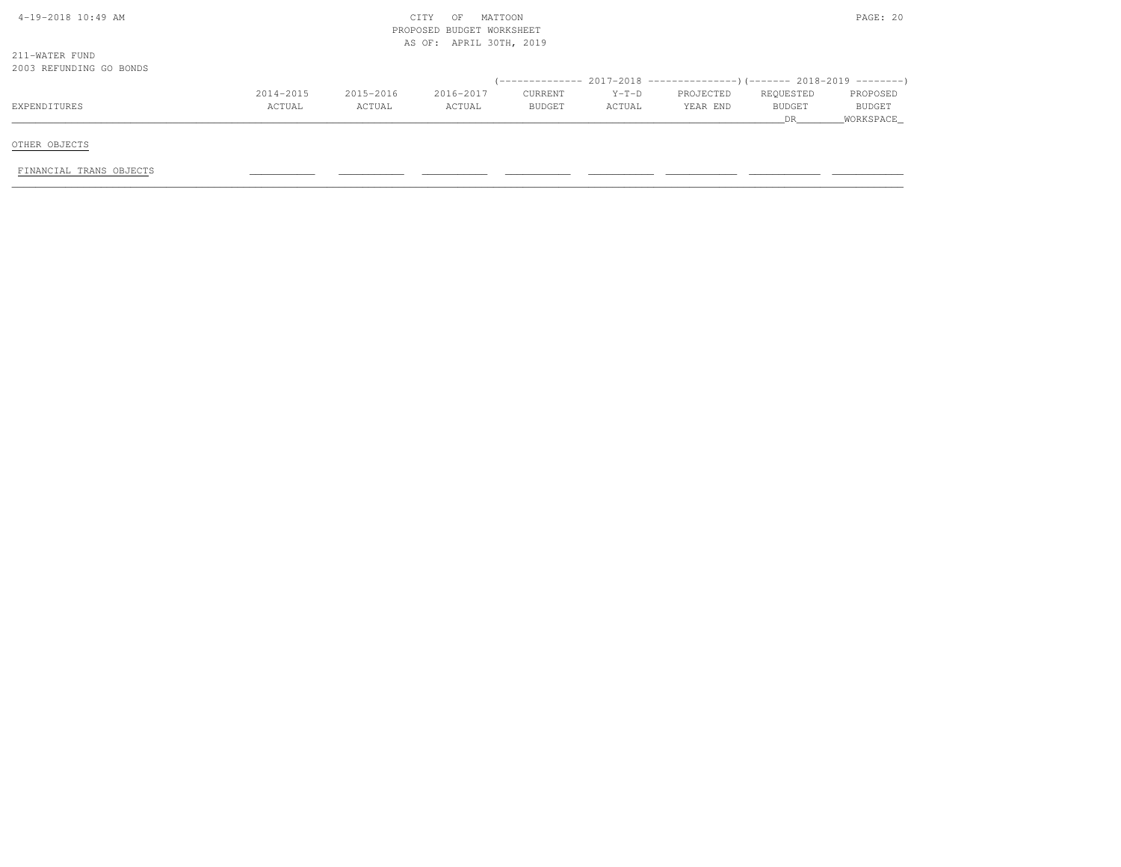| $4-19-2018$ $10:49$ AM  |           |           | CITY<br>MATTOON<br>OF     |                | PAGE: 20 |                                                                          |           |               |
|-------------------------|-----------|-----------|---------------------------|----------------|----------|--------------------------------------------------------------------------|-----------|---------------|
|                         |           |           | PROPOSED BUDGET WORKSHEET |                |          |                                                                          |           |               |
|                         |           |           | AS OF: APRIL 30TH, 2019   |                |          |                                                                          |           |               |
| 211-WATER FUND          |           |           |                           |                |          |                                                                          |           |               |
| 2003 REFUNDING GO BONDS |           |           |                           |                |          |                                                                          |           |               |
|                         |           |           |                           |                |          | (-------------- 2017-2018 ----------------)(------- 2018-2019 ---------) |           |               |
|                         | 2014-2015 | 2015-2016 | 2016-2017                 | <b>CURRENT</b> | $Y-T-D$  | PROJECTED                                                                | REQUESTED | PROPOSED      |
| EXPENDITURES            | ACTUAL    | ACTUAL    | ACTUAL                    | <b>BUDGET</b>  | ACTUAL   | YEAR END                                                                 | BUDGET    | <b>BUDGET</b> |
|                         |           |           |                           |                |          |                                                                          | <b>DR</b> | WORKSPACE     |
|                         |           |           |                           |                |          |                                                                          |           |               |
| OTHER OBJECTS           |           |           |                           |                |          |                                                                          |           |               |
|                         |           |           |                           |                |          |                                                                          |           |               |
| FINANCIAL TRANS OBJECTS |           |           |                           |                |          |                                                                          |           |               |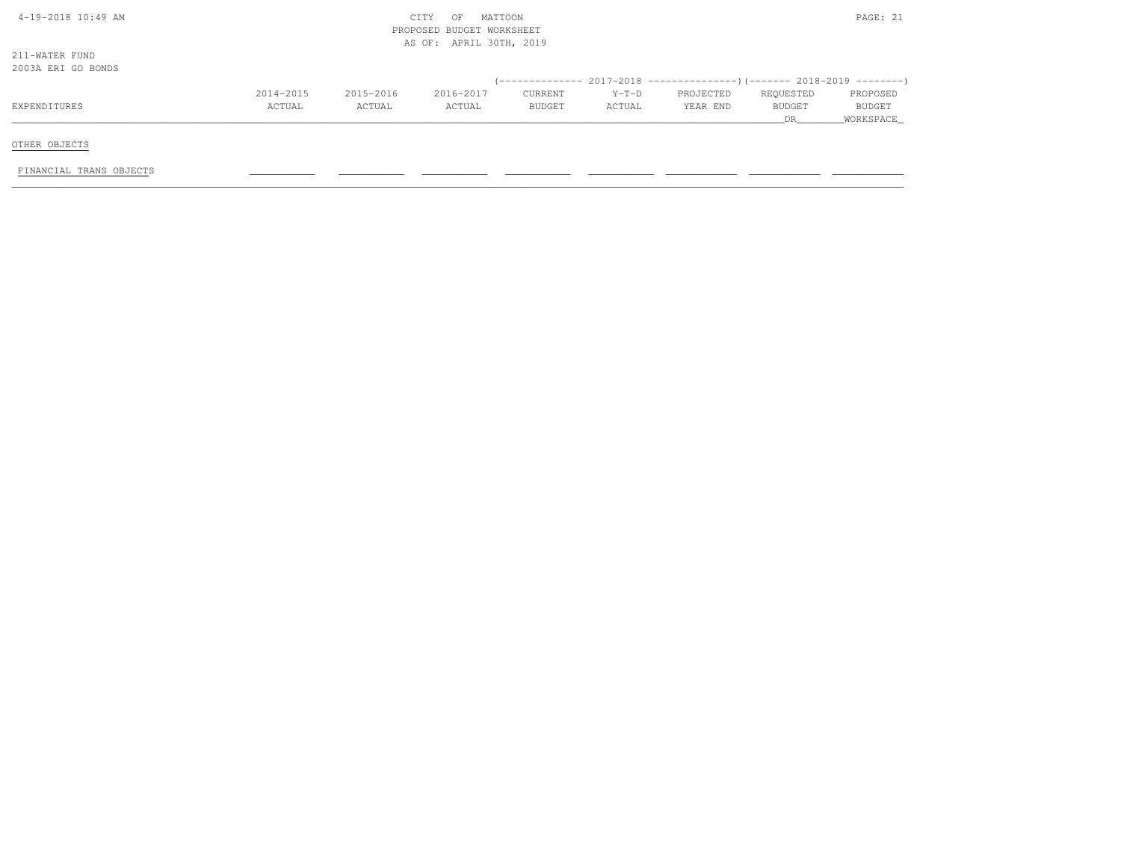| $4-19-2018$ $10:49$ AM  |           |           | CITY<br>OF                | MATTOON |         |                                                                        |           | PAGE: 21  |
|-------------------------|-----------|-----------|---------------------------|---------|---------|------------------------------------------------------------------------|-----------|-----------|
|                         |           |           | PROPOSED BUDGET WORKSHEET |         |         |                                                                        |           |           |
|                         |           |           | AS OF: APRIL 30TH, 2019   |         |         |                                                                        |           |           |
| 211-WATER FUND          |           |           |                           |         |         |                                                                        |           |           |
| 2003A ERI GO BONDS      |           |           |                           |         |         |                                                                        |           |           |
|                         |           |           |                           |         |         | (-------------- 2017-2018 --------------------- 2018-2019 ---------- ) |           |           |
|                         | 2014-2015 | 2015-2016 | 2016-2017                 | CURRENT | $Y-T-D$ | PROJECTED                                                              | REQUESTED | PROPOSED  |
| EXPENDITURES            | ACTUAL    | ACTUAL    | ACTUAL                    | BUDGET  | ACTUAL  | YEAR END                                                               | BUDGET    | BUDGET    |
|                         |           |           |                           |         |         |                                                                        | DR        | WORKSPACE |
|                         |           |           |                           |         |         |                                                                        |           |           |
| OTHER OBJECTS           |           |           |                           |         |         |                                                                        |           |           |
| FINANCIAL TRANS OBJECTS |           |           |                           |         |         |                                                                        |           |           |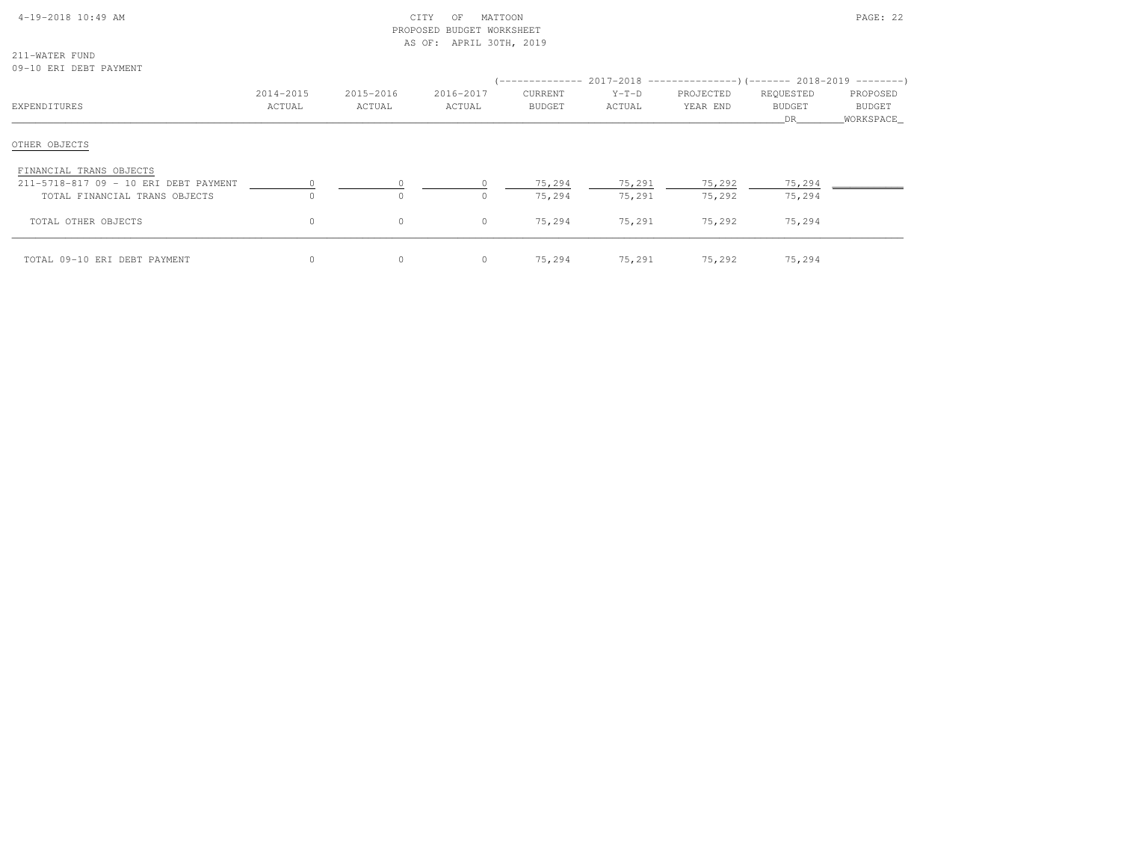| $4-19-2018$ $10:49$ AM |  |
|------------------------|--|

# $\text{CITY}$  of MATTOON  $\text{PAGE: } 22$  PROPOSED BUDGET WORKSHEETAS OF: APRIL 30TH, 2019

211-WATER FUND09-10 ERI DEBT PAYMENT

| EXPENDITURES                                                     | 2014-2015<br>ACTUAL | 2015-2016<br>ACTUAL | 2016-2017<br>ACTUAL | CURRENT<br><b>BUDGET</b> | $Y-T-D$<br>ACTUAL | (-------------- 2017-2018 ----------------) (------- 2018-2019 ---------)<br>PROJECTED<br>YEAR END | REQUESTED<br><b>BUDGET</b><br>DR. | PROPOSED<br>BUDGET<br>WORKSPACE |
|------------------------------------------------------------------|---------------------|---------------------|---------------------|--------------------------|-------------------|----------------------------------------------------------------------------------------------------|-----------------------------------|---------------------------------|
| OTHER OBJECTS                                                    |                     |                     |                     |                          |                   |                                                                                                    |                                   |                                 |
| FINANCIAL TRANS OBJECTS<br>211-5718-817 09 - 10 ERI DEBT PAYMENT |                     |                     |                     | 75,294                   | 75,291            | 75,292                                                                                             | 75,294                            |                                 |
| TOTAL FINANCIAL TRANS OBJECTS                                    | $\Omega$            | $\circ$             |                     | 75,294                   | 75,291            | 75,292                                                                                             | 75,294                            |                                 |
| TOTAL OTHER OBJECTS                                              | $\circ$             | $\circ$             | $\circ$             | 75,294                   | 75,291            | 75,292                                                                                             | 75,294                            |                                 |
| TOTAL 09-10 ERI DEBT PAYMENT                                     | $\circ$             | $\circ$             | $\circ$             | 75,294                   | 75,291            | 75,292                                                                                             | 75,294                            |                                 |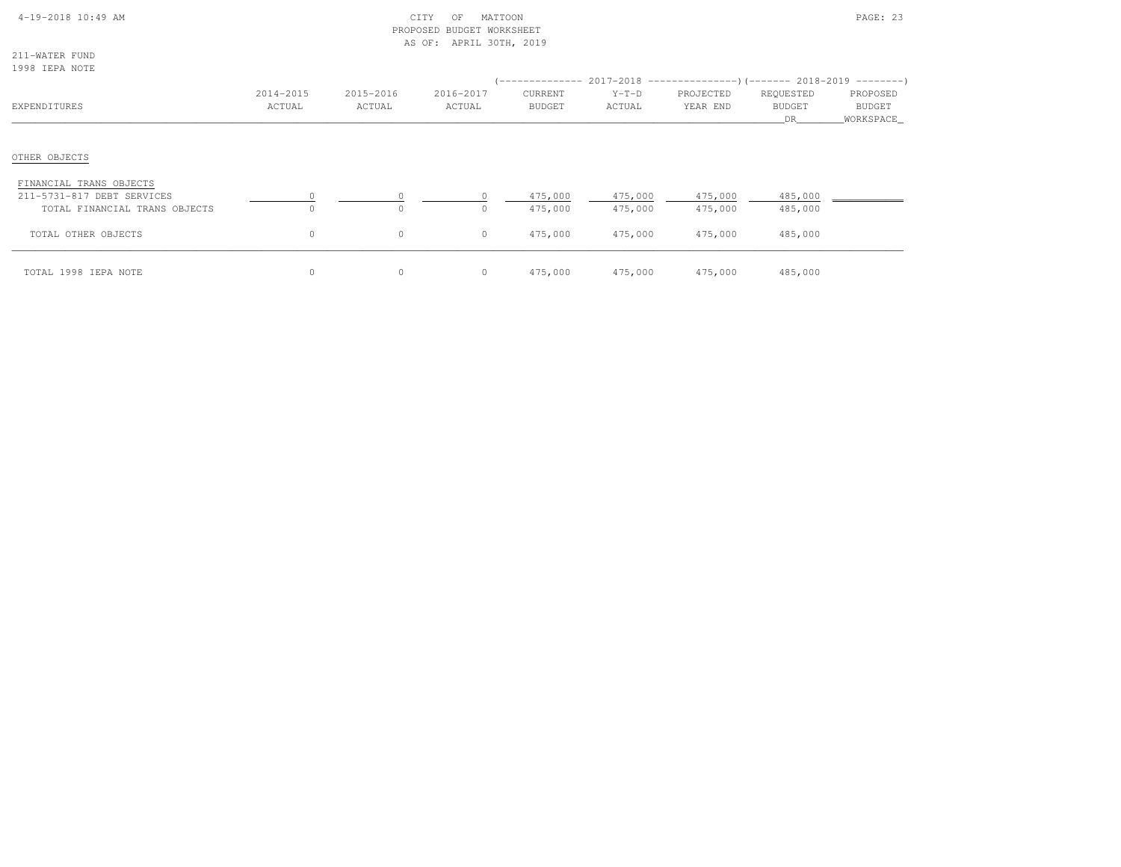|  | 4-19-2018 10:49 AM |  |
|--|--------------------|--|
|  |                    |  |

# $\text{CITY}$  of MATTOON  $\text{PAGE: } 23$  PROPOSED BUDGET WORKSHEETAS OF: APRIL 30TH, 2019

211-WATER FUND1998 IEPA NOTE

| TANG THEM MATH                                              |                     |                     |                     |                          |                    | (-------------- 2017-2018 ----------------) (------- 2018-2019 ---------) |                                   |                                         |
|-------------------------------------------------------------|---------------------|---------------------|---------------------|--------------------------|--------------------|---------------------------------------------------------------------------|-----------------------------------|-----------------------------------------|
| EXPENDITURES                                                | 2014-2015<br>ACTUAL | 2015-2016<br>ACTUAL | 2016-2017<br>ACTUAL | CURRENT<br><b>BUDGET</b> | $Y-T-D$<br>ACTUAL  | PROJECTED<br>YEAR END                                                     | REQUESTED<br><b>BUDGET</b><br>DR. | PROPOSED<br><b>BUDGET</b><br>WORKSPACE_ |
| OTHER OBJECTS                                               |                     |                     |                     |                          |                    |                                                                           |                                   |                                         |
| FINANCIAL TRANS OBJECTS                                     |                     |                     |                     |                          |                    |                                                                           |                                   |                                         |
| 211-5731-817 DEBT SERVICES<br>TOTAL FINANCIAL TRANS OBJECTS |                     | $\Omega$<br>$\circ$ | $\Omega$            | 475,000<br>475,000       | 475,000<br>475,000 | 475,000<br>475,000                                                        | 485,000<br>485,000                |                                         |
| TOTAL OTHER OBJECTS                                         | $\circ$             | 0                   | $\circ$             | 475,000                  | 475,000            | 475,000                                                                   | 485,000                           |                                         |
| TOTAL 1998 IEPA NOTE                                        | $\circ$             | $\circ$             | $\circ$             | 475,000                  | 475,000            | 475,000                                                                   | 485,000                           |                                         |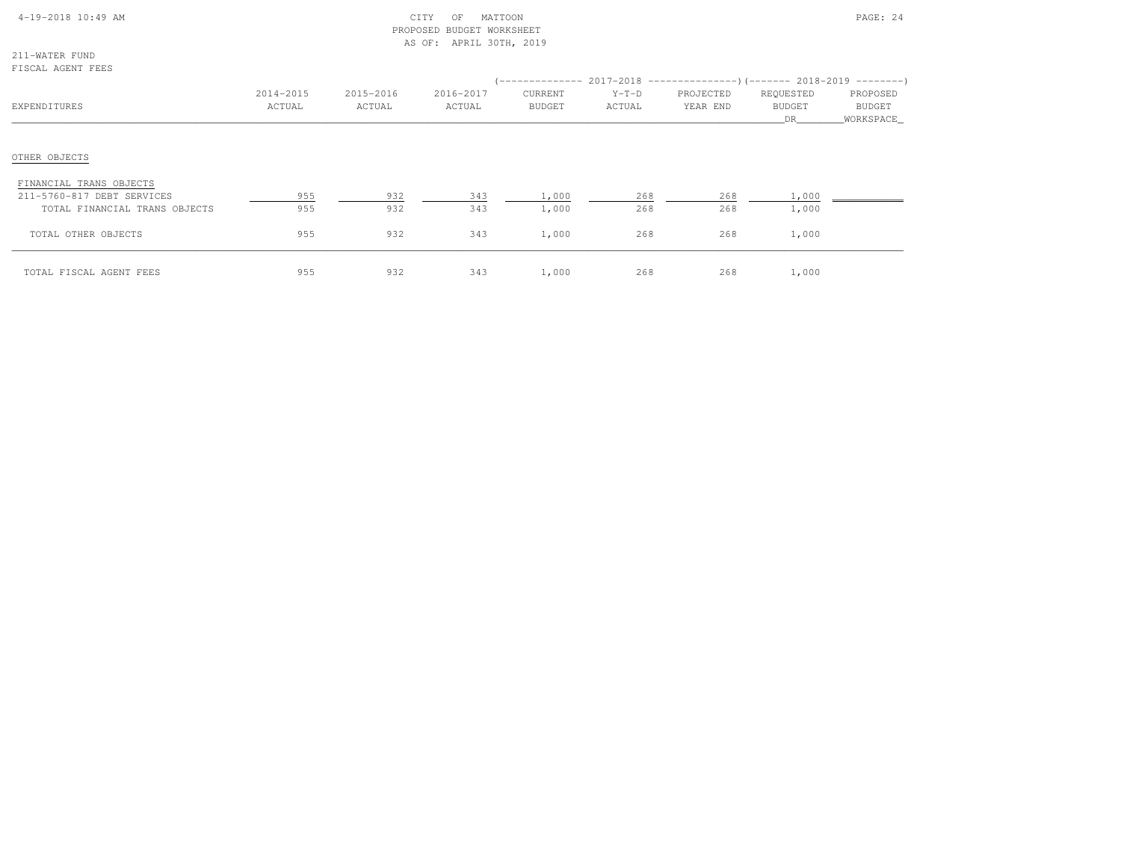# 4-19-2018 10:49 AM CITY OF MATTOON PAGE: 24 PROPOSED BUDGET WORKSHEETAS OF: APRIL 30TH, 2019

211-WATER FUNDFISCAL AGENT FEES

| E TOUAT WARNI LEEO                                                                     |                     |                     |                     |                          |                   | (-------------- 2017-2018 ----------------) (------- 2018-2019 ---------) |                                  |                                        |
|----------------------------------------------------------------------------------------|---------------------|---------------------|---------------------|--------------------------|-------------------|---------------------------------------------------------------------------|----------------------------------|----------------------------------------|
| EXPENDITURES                                                                           | 2014-2015<br>ACTUAL | 2015-2016<br>ACTUAL | 2016-2017<br>ACTUAL | CURRENT<br><b>BUDGET</b> | $Y-T-D$<br>ACTUAL | PROJECTED<br>YEAR END                                                     | REQUESTED<br><b>BUDGET</b><br>DR | PROPOSED<br><b>BUDGET</b><br>WORKSPACE |
| OTHER OBJECTS                                                                          |                     |                     |                     |                          |                   |                                                                           |                                  |                                        |
| FINANCIAL TRANS OBJECTS<br>211-5760-817 DEBT SERVICES<br>TOTAL FINANCIAL TRANS OBJECTS | 955<br>955          | 932<br>932          | 343<br>343          | 1,000<br>1,000           | 268<br>268        | 268<br>268                                                                | 1,000<br>1,000                   |                                        |
| TOTAL OTHER OBJECTS                                                                    | 955                 | 932                 | 343                 | 1,000                    | 268               | 268                                                                       | 1,000                            |                                        |
| TOTAL FISCAL AGENT FEES                                                                | 955                 | 932                 | 343                 | 1,000                    | 268               | 268                                                                       | 1,000                            |                                        |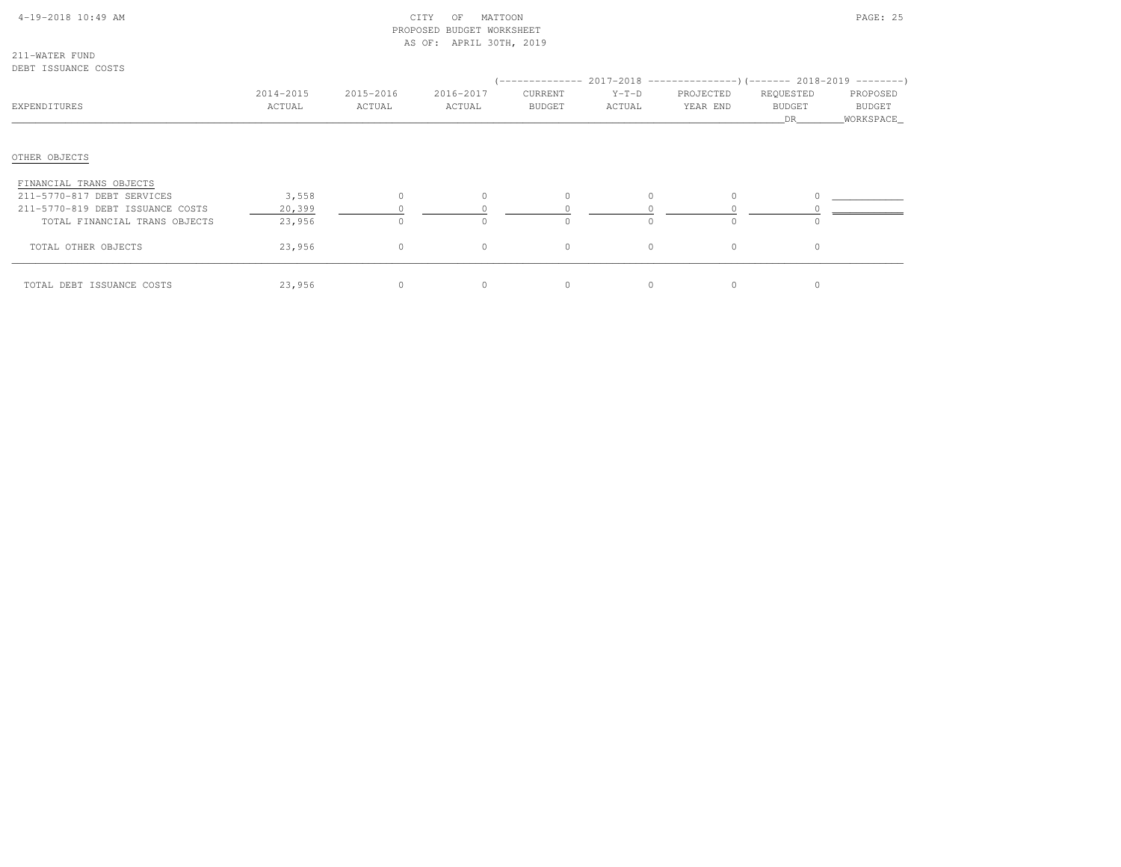# 4-19-2018 10:49 AM CITY OF MATTOON PAGE: 25 PROPOSED BUDGET WORKSHEETAS OF: APRIL 30TH, 2019

211-WATER FUNDDEBT ISSUANCE COSTS

| EXPENDITURES                                                   | 2014-2015<br>ACTUAL | 2015-2016<br>ACTUAL | 2016-2017<br>ACTUAL | <b>CURRENT</b><br><b>BUDGET</b> | $Y-T-D$<br>ACTUAL | PROJECTED<br>YEAR END | REQUESTED<br><b>BUDGET</b><br>DR. | PROPOSED<br><b>BUDGET</b><br>_WORKSPACE_ |
|----------------------------------------------------------------|---------------------|---------------------|---------------------|---------------------------------|-------------------|-----------------------|-----------------------------------|------------------------------------------|
| OTHER OBJECTS                                                  |                     |                     |                     |                                 |                   |                       |                                   |                                          |
| FINANCIAL TRANS OBJECTS                                        |                     |                     |                     |                                 |                   |                       |                                   |                                          |
| 211-5770-817 DEBT SERVICES<br>211-5770-819 DEBT ISSUANCE COSTS | 3,558<br>20,399     | $\Omega$            |                     | 0                               | $\Omega$          |                       |                                   |                                          |
| TOTAL FINANCIAL TRANS OBJECTS                                  | 23,956              | $\mathbf 0$         |                     | $\Omega$                        |                   |                       | 0                                 |                                          |
| TOTAL OTHER OBJECTS                                            | 23,956              | $\circ$             | $\circ$             | $\circ$                         | $\circ$           | $\circ$               | $\Omega$                          |                                          |
| TOTAL DEBT ISSUANCE COSTS                                      | 23,956              | $\mathbf{0}$        |                     | 0                               | $\Omega$          | $\Omega$              | 0                                 |                                          |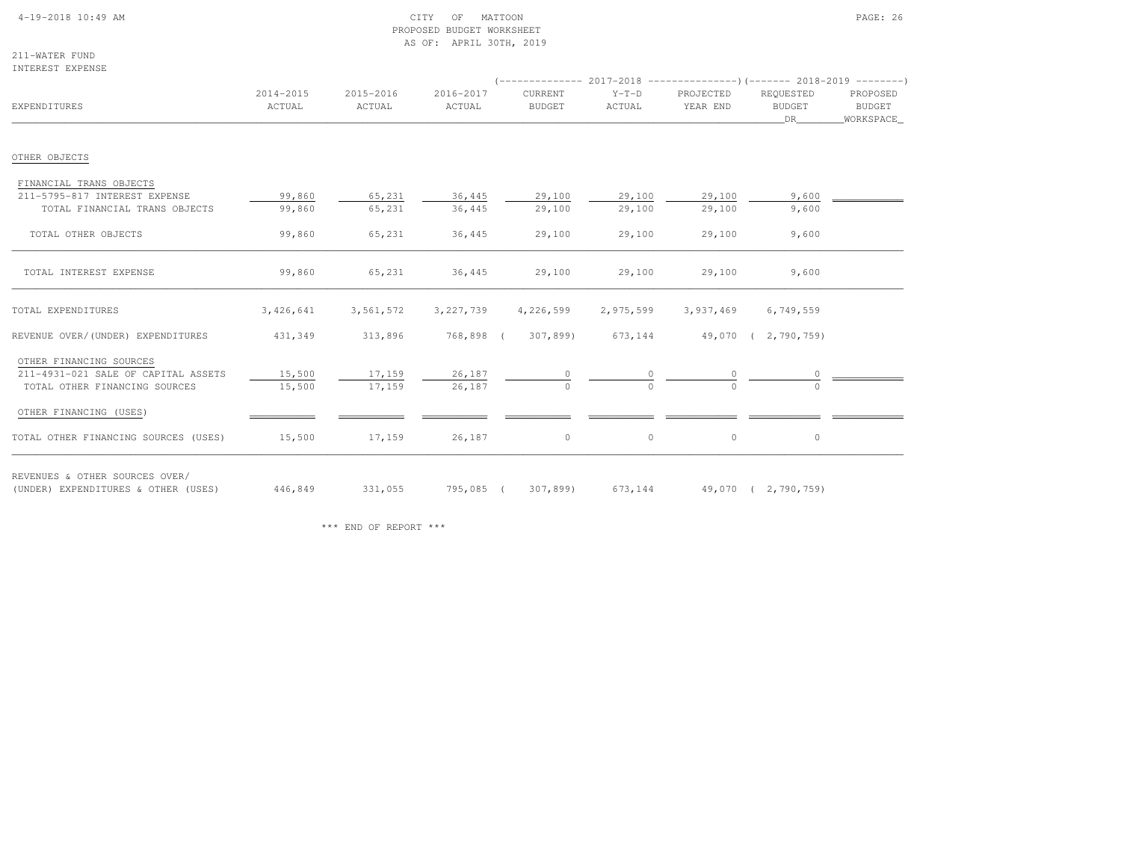### 4-19-2018 10:49 AM CITY OF MATTOON PAGE: 26 PROPOSED BUDGET WORKSHEETAS OF: APRIL 30TH, 2019

211-WATER FUNDINTEREST EXPENSE

| EXPENDITURES                                                          | 2014-2015<br>ACTUAL | 2015-2016<br>ACTUAL | 2016-2017<br>ACTUAL | CURRENT<br><b>BUDGET</b>                     | $Y-T-D$<br>ACTUAL | PROJECTED<br>YEAR END | REQUESTED<br><b>BUDGET</b><br>DR | PROPOSED<br><b>BUDGET</b><br>WORKSPACE |
|-----------------------------------------------------------------------|---------------------|---------------------|---------------------|----------------------------------------------|-------------------|-----------------------|----------------------------------|----------------------------------------|
| OTHER OBJECTS                                                         |                     |                     |                     |                                              |                   |                       |                                  |                                        |
| FINANCIAL TRANS OBJECTS                                               |                     |                     |                     |                                              |                   |                       |                                  |                                        |
| 211-5795-817 INTEREST EXPENSE<br>TOTAL FINANCIAL TRANS OBJECTS        | 99,860<br>99,860    | 65,231<br>65,231    | 36,445<br>36,445    | 29,100<br>29,100                             | 29,100<br>29,100  | 29,100<br>29,100      | 9,600<br>9,600                   |                                        |
| TOTAL OTHER OBJECTS                                                   | 99,860              | 65,231              | 36,445              | 29,100                                       | 29,100            | 29,100                | 9,600                            |                                        |
| TOTAL INTEREST EXPENSE                                                | 99,860              | 65,231              | 36,445              | 29,100                                       | 29,100            | 29,100                | 9,600                            |                                        |
| TOTAL EXPENDITURES                                                    | 3,426,641           | 3,561,572           | 3,227,739           | 4,226,599                                    | 2,975,599         | 3,937,469             | 6,749,559                        |                                        |
| REVENUE OVER/(UNDER) EXPENDITURES                                     | 431,349             | 313,896             |                     | 768,898 (307,899) 673,144 49,070 (2,790,759) |                   |                       |                                  |                                        |
| OTHER FINANCING SOURCES<br>211-4931-021 SALE OF CAPITAL ASSETS        | 15,500              | 17,159              | 26,187              |                                              |                   |                       |                                  |                                        |
| TOTAL OTHER FINANCING SOURCES                                         | 15,500              | 17,159              | 26,187              | $\Omega$                                     |                   |                       |                                  |                                        |
| OTHER FINANCING (USES)                                                |                     |                     |                     |                                              |                   |                       |                                  |                                        |
| TOTAL OTHER FINANCING SOURCES (USES)                                  | 15,500              | 17,159              | 26,187              | $\circ$                                      | $\circ$           | $\circ$               | $\circ$                          |                                        |
| REVENUES & OTHER SOURCES OVER/<br>(UNDER) EXPENDITURES & OTHER (USES) | 446,849             | 331,055             |                     | 795,085 (307,899)                            | 673,144           |                       | 49,070 ( 2,790,759)              |                                        |

\*\*\* END OF REPORT \*\*\*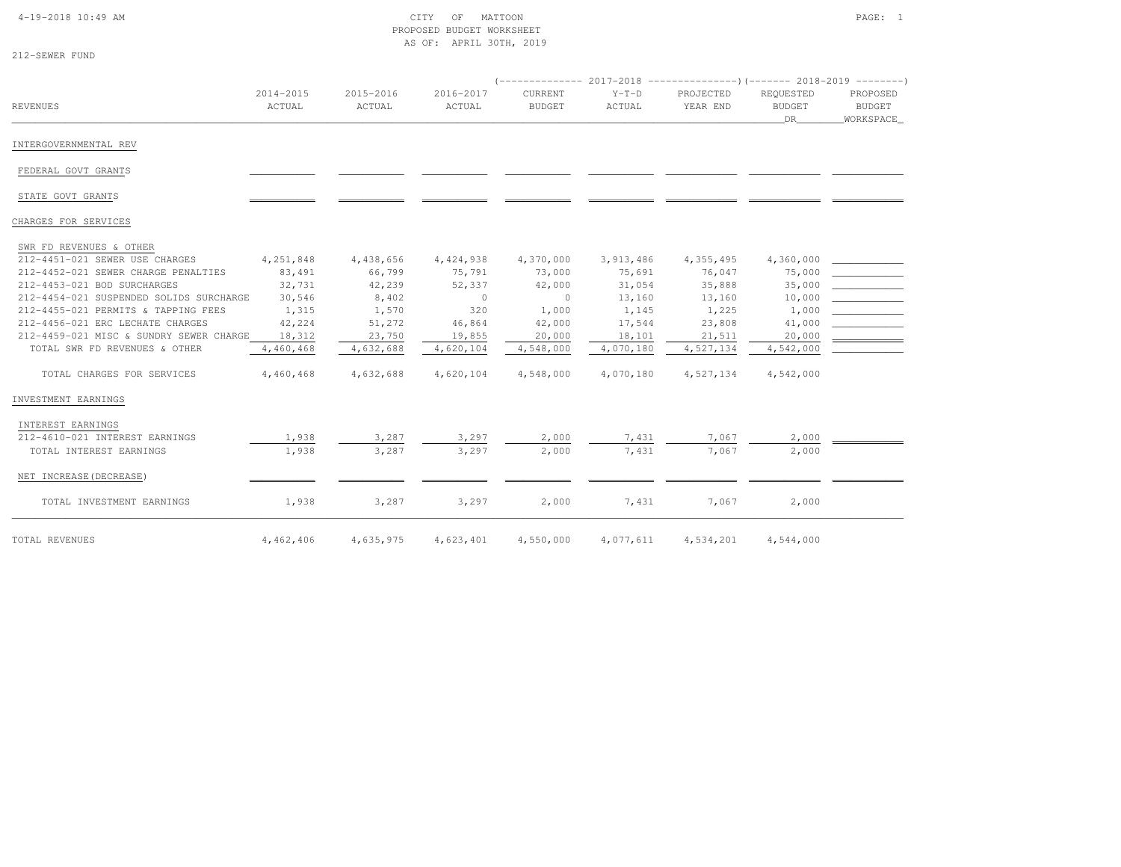#### 4-19-2018 10:49 AM CITY OF MATTOON PAGE: 1 PROPOSED BUDGET WORKSHEETAS OF: APRIL 30TH, 2019

| SEMER<br>٠<br>.,<br>۰. | INF<br>F<br>١<br>T<br>$\sim$ |
|------------------------|------------------------------|
|------------------------|------------------------------|

| REVENUES                                | 2014-2015<br>ACTUAL | 2015-2016<br>ACTUAL | 2016-2017<br>ACTUAL | CURRENT<br><b>BUDGET</b> | $Y-T-D$<br>ACTUAL | PROJECTED<br>YEAR END | REQUESTED<br><b>BUDGET</b><br>DR . | PROPOSED<br><b>BUDGET</b><br>WORKSPACE |
|-----------------------------------------|---------------------|---------------------|---------------------|--------------------------|-------------------|-----------------------|------------------------------------|----------------------------------------|
| INTERGOVERNMENTAL REV                   |                     |                     |                     |                          |                   |                       |                                    |                                        |
| FEDERAL GOVT GRANTS                     |                     |                     |                     |                          |                   |                       |                                    |                                        |
| STATE GOVT GRANTS                       |                     |                     |                     |                          |                   |                       |                                    |                                        |
| CHARGES FOR SERVICES                    |                     |                     |                     |                          |                   |                       |                                    |                                        |
| SWR FD REVENUES & OTHER                 |                     |                     |                     |                          |                   |                       |                                    |                                        |
| 212-4451-021 SEWER USE CHARGES          | 4,251,848           | 4,438,656           | 4,424,938           | 4,370,000                | 3,913,486         | 4,355,495             | 4,360,000                          |                                        |
| 212-4452-021 SEWER CHARGE PENALTIES     | 83,491              | 66,799              | 75,791              | 73,000                   | 75,691            | 76,047                | 75,000                             |                                        |
| 212-4453-021 BOD SURCHARGES             | 32,731              | 42,239              | 52,337              | 42,000                   | 31,054            | 35,888                | 35,000                             |                                        |
| 212-4454-021 SUSPENDED SOLIDS SURCHARGE | 30,546              | 8,402               | $\circ$             | $\circ$                  | 13,160            | 13,160                | 10,000                             |                                        |
| 212-4455-021 PERMITS & TAPPING FEES     | 1,315               | 1,570               | 320                 | 1,000                    | 1,145             | 1,225                 | 1,000                              |                                        |
| 212-4456-021 ERC LECHATE CHARGES        | 42,224              | 51,272              | 46,864              | 42,000                   | 17,544            | 23,808                | 41,000                             |                                        |
| 212-4459-021 MISC & SUNDRY SEWER CHARGE | 18,312              | 23,750              | 19,855              | 20,000                   | 18,101            | 21,511                | 20,000                             |                                        |
| TOTAL SWR FD REVENUES & OTHER           | 4,460,468           | 4,632,688           | 4,620,104           | 4,548,000                | 4,070,180         | 4,527,134             | 4,542,000                          |                                        |
| TOTAL CHARGES FOR SERVICES              | 4,460,468           | 4,632,688           | 4,620,104           | 4,548,000                | 4,070,180         | 4,527,134             | 4,542,000                          |                                        |
| INVESTMENT EARNINGS                     |                     |                     |                     |                          |                   |                       |                                    |                                        |
| INTEREST EARNINGS                       |                     |                     |                     |                          |                   |                       |                                    |                                        |
| 212-4610-021 INTEREST EARNINGS          | 1,938               | 3,287               | 3,297               | 2,000                    | 7,431             | 7,067                 | 2,000                              |                                        |
| TOTAL INTEREST EARNINGS                 | 1,938               | 3,287               | 3,297               | 2,000                    | 7,431             | 7.067                 | 2,000                              |                                        |
| NET INCREASE (DECREASE)                 |                     |                     |                     |                          |                   |                       |                                    |                                        |
| TOTAL INVESTMENT EARNINGS               | 1,938               | 3,287               | 3,297               | 2,000                    | 7,431             | 7,067                 | 2,000                              |                                        |
| TOTAL REVENUES                          | 4,462,406           | 4,635,975           | 4,623,401           | 4,550,000                | 4,077,611         | 4,534,201             | 4,544,000                          |                                        |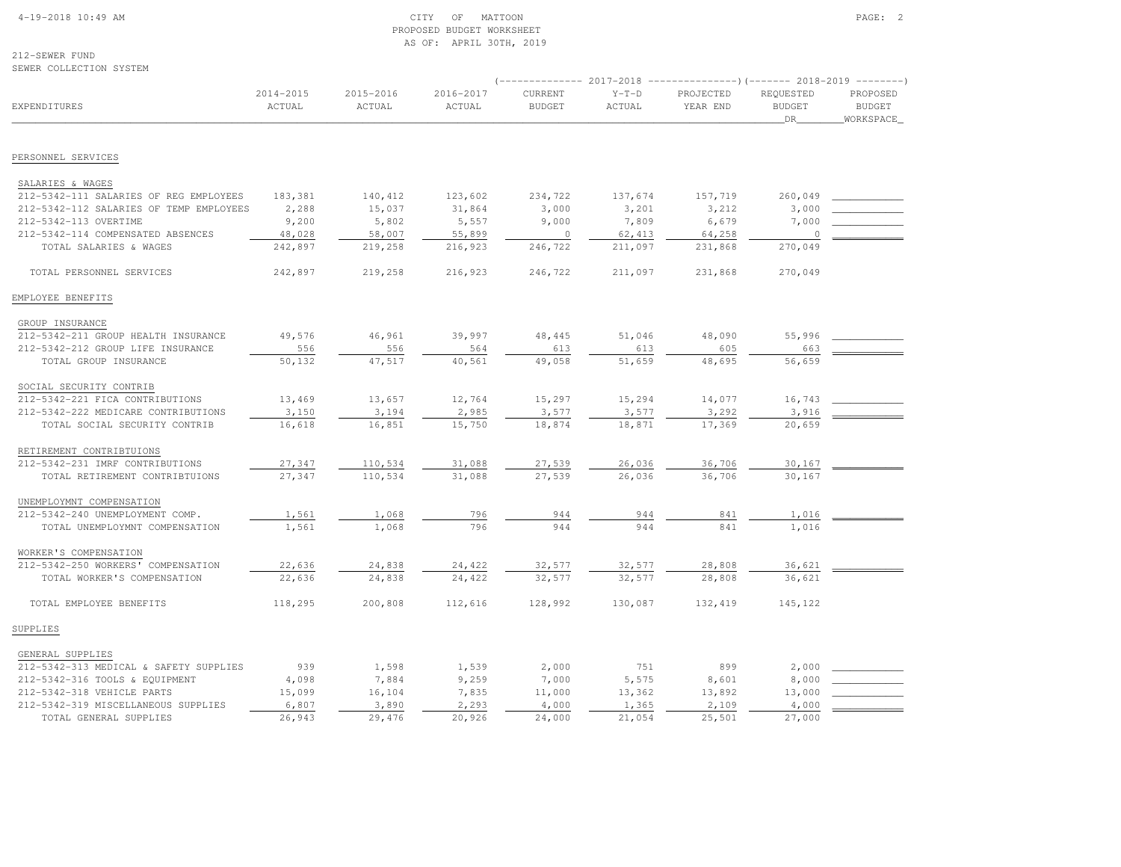#### 4-19-2018 10:49 AM CITY OF MATTOON PAGE: 2 PROPOSED BUDGET WORKSHEETAS OF: APRIL 30TH, 2019

212-SEWER FUNDSEWER COLLECTION SYSTEM

| SPMPK ANTISAITAM SISIEM                 |                     |                     |                     |                          |                   | (-------------- 2017-2018 -----------------) (------- 2018-2019 ---------) |                                  |                                        |
|-----------------------------------------|---------------------|---------------------|---------------------|--------------------------|-------------------|----------------------------------------------------------------------------|----------------------------------|----------------------------------------|
| EXPENDITURES                            | 2014-2015<br>ACTUAL | 2015-2016<br>ACTUAL | 2016-2017<br>ACTUAL | CURRENT<br><b>BUDGET</b> | $Y-T-D$<br>ACTUAL | PROJECTED<br>YEAR END                                                      | REQUESTED<br><b>BUDGET</b><br>DR | PROPOSED<br><b>BUDGET</b><br>WORKSPACE |
| PERSONNEL SERVICES                      |                     |                     |                     |                          |                   |                                                                            |                                  |                                        |
|                                         |                     |                     |                     |                          |                   |                                                                            |                                  |                                        |
| SALARIES & WAGES                        |                     |                     |                     |                          |                   |                                                                            |                                  |                                        |
| 212-5342-111 SALARIES OF REG EMPLOYEES  | 183,381             | 140,412             | 123,602             | 234,722                  | 137,674           | 157,719                                                                    | 260,049                          |                                        |
| 212-5342-112 SALARIES OF TEMP EMPLOYEES | 2,288               | 15,037              | 31,864              | 3,000                    | 3,201             | 3,212                                                                      | 3,000                            |                                        |
| 212-5342-113 OVERTIME                   | 9,200               | 5,802               | 5,557               | 9,000                    | 7,809             | 6,679                                                                      | 7,000                            |                                        |
| 212-5342-114 COMPENSATED ABSENCES       | 48,028              | 58,007              | 55,899              | $\circ$                  | 62,413            | 64,258                                                                     | $\circ$                          |                                        |
| TOTAL SALARIES & WAGES                  | 242,897             | 219,258             | 216,923             | 246,722                  | 211,097           | 231,868                                                                    | 270,049                          |                                        |
| TOTAL PERSONNEL SERVICES                | 242,897             | 219,258             | 216,923             | 246,722                  | 211,097           | 231,868                                                                    | 270,049                          |                                        |
| EMPLOYEE BENEFITS                       |                     |                     |                     |                          |                   |                                                                            |                                  |                                        |
| GROUP INSURANCE                         |                     |                     |                     |                          |                   |                                                                            |                                  |                                        |
| 212-5342-211 GROUP HEALTH INSURANCE     | 49,576              | 46,961              | 39,997              | 48,445                   | 51,046            | 48,090                                                                     | 55,996                           |                                        |
| 212-5342-212 GROUP LIFE INSURANCE       | 556                 | 556                 | 564                 | 613                      | 613               | 605                                                                        | 663                              |                                        |
| TOTAL GROUP INSURANCE                   | 50,132              | 47,517              | 40,561              | 49,058                   | 51,659            | 48,695                                                                     | 56,659                           |                                        |
| SOCIAL SECURITY CONTRIB                 |                     |                     |                     |                          |                   |                                                                            |                                  |                                        |
| 212-5342-221 FICA CONTRIBUTIONS         | 13,469              | 13,657              | 12,764              | 15,297                   | 15,294            | 14,077                                                                     | 16,743                           |                                        |
| 212-5342-222 MEDICARE CONTRIBUTIONS     | 3,150               | 3,194               | 2,985               | 3,577                    | 3,577             | 3,292                                                                      | 3,916                            |                                        |
| TOTAL SOCIAL SECURITY CONTRIB           | 16,618              | 16,851              | 15,750              | 18,874                   | 18,871            | 17,369                                                                     | 20,659                           |                                        |
| RETIREMENT CONTRIBTUIONS                |                     |                     |                     |                          |                   |                                                                            |                                  |                                        |
| 212-5342-231 IMRF CONTRIBUTIONS         | 27,347              | 110,534             | 31,088              | 27,539                   | 26,036            | 36,706                                                                     | 30,167                           |                                        |
| TOTAL RETIREMENT CONTRIBTUIONS          | 27,347              | 110,534             | 31,088              | 27,539                   | 26,036            | 36,706                                                                     | 30,167                           |                                        |
| UNEMPLOYMNT COMPENSATION                |                     |                     |                     |                          |                   |                                                                            |                                  |                                        |
| 212-5342-240 UNEMPLOYMENT COMP.         | 1,561               | 1,068               | 796                 | 944                      | 944               | 841                                                                        | 1,016                            |                                        |
| TOTAL UNEMPLOYMNT COMPENSATION          | 1,561               | 1,068               | 796                 | 944                      | 944               | 841                                                                        | 1,016                            |                                        |
| WORKER'S COMPENSATION                   |                     |                     |                     |                          |                   |                                                                            |                                  |                                        |
| 212-5342-250 WORKERS' COMPENSATION      | 22,636              | 24,838              | 24,422              | 32,577                   | 32,577            | 28,808                                                                     | 36,621                           |                                        |
| TOTAL WORKER'S COMPENSATION             | 22,636              | 24,838              | 24,422              | 32,577                   | 32,577            | 28,808                                                                     | 36,621                           |                                        |
| TOTAL EMPLOYEE BENEFITS                 | 118,295             | 200,808             | 112,616             | 128,992                  | 130,087           | 132,419                                                                    | 145,122                          |                                        |
| SUPPLIES                                |                     |                     |                     |                          |                   |                                                                            |                                  |                                        |
| GENERAL SUPPLIES                        |                     |                     |                     |                          |                   |                                                                            |                                  |                                        |
| 212-5342-313 MEDICAL & SAFETY SUPPLIES  | 939                 | 1,598               | 1,539               | 2,000                    | 751               | 899                                                                        | 2,000                            |                                        |
| 212-5342-316 TOOLS & EQUIPMENT          | 4,098               | 7,884               | 9,259               | 7,000                    | 5,575             | 8,601                                                                      | 8,000                            |                                        |
| 212-5342-318 VEHICLE PARTS              | 15,099              | 16,104              | 7,835               | 11,000                   | 13,362            | 13,892                                                                     | 13,000                           |                                        |
| 212-5342-319 MISCELLANEOUS SUPPLIES     | 6,807               | 3,890               | 2,293               | 4,000                    | 1,365             | 2,109                                                                      | 4,000                            |                                        |
| TOTAL GENERAL SUPPLIES                  | 26,943              | 29,476              | 20,926              | 24,000                   | 21,054            | 25,501                                                                     | 27,000                           |                                        |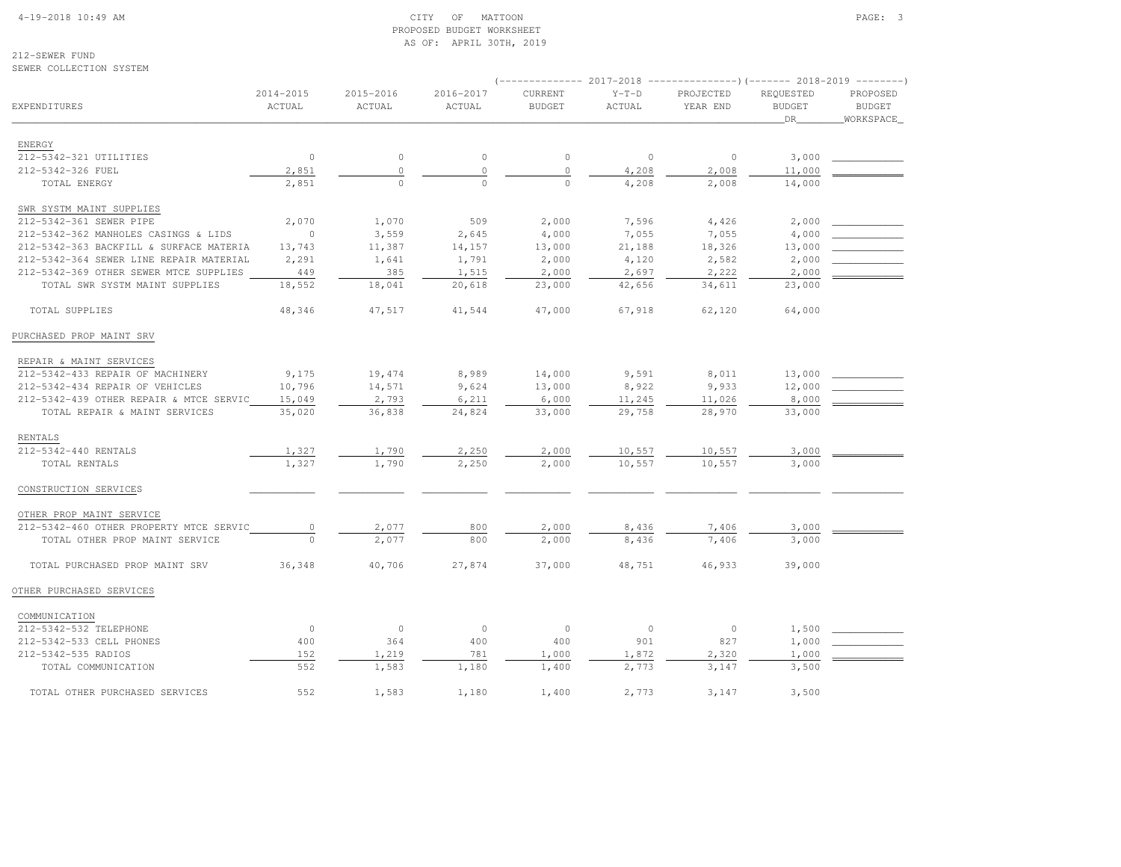#### 4-19-2018 10:49 AM CITY OF MATTOON PAGE: 3 PROPOSED BUDGET WORKSHEETAS OF: APRIL 30TH, 2019

212-SEWER FUNDSEWER COLLECTION SYSTEM

# (-------------- 2017-2018 ---------------)(------- 2018-2019 --------) 2014-2015 2015-2016 2016-2017 CURRENT Y-T-D PROJECTED REQUESTED PROPOSED**BUDGET** EXPENDITURES ACTUAL ACTUAL ACTUAL BUDGET ACTUAL YEAR END BUDGET BUDGETWORKSPACE \_\_\_\_\_\_\_\_\_\_\_\_\_\_\_\_\_\_\_\_\_\_\_\_\_\_\_\_\_\_\_\_\_\_\_\_\_\_\_\_\_\_\_\_\_\_\_\_\_\_\_\_\_\_\_\_\_\_\_\_\_\_\_\_\_\_\_\_\_\_\_\_\_\_\_\_\_\_\_\_\_\_\_\_\_\_\_\_\_\_\_\_\_\_\_\_\_\_\_\_\_\_\_\_\_\_\_\_\_\_\_\_\_\_\_\_\_\_\_\_\_\_\_\_\_\_\_\_\_\_DR\_\_\_\_\_\_\_\_WORKSPACE\_ ENERGY 212-5342-321 UTILITIES 0 0 0 0 0 0 3,000 \_\_\_\_\_\_\_\_\_\_\_\_ 212-5342-326 FUEL 2,851 0 0 0 4,208 2,008 11,000 \_\_\_\_\_\_\_\_\_\_\_\_ TOTAL ENERGY 2,851 0 0 0 4,208 2,008 14,000SWR SYSTM MAINT SUPPLIES 212-5342-361 SEWER PIPE 2,070 1,070 509 2,000 7,596 4,426 2,000 \_\_\_\_\_\_\_\_\_\_\_\_ 212-5342-362 MANHOLES CASINGS & LIDS 0 3,559 2,645 4,000 7,055 7,055 4,000 \_\_\_\_\_\_\_\_\_\_\_\_212-5342-363 BACKFILL & SURFACE MATERIA 13,743 11,387 14,157 13,000 21,188 18,326 13,000 212-5342-364 SEWER LINE REPAIR MATERIAL 2,291 1,641 1,791 2,000 4,120 2,582 2,000 212-5342-369 OTHER SEWER MTCE SUPPLIES 449 385 1,515 2,000 2,697 2,222 2,000 TOTAL SWR SYSTM MAINT SUPPLIES 18,552 18,041 20,618 23,000 42,656 34,611 23,000TOTAL SUPPLIES 48,346 47,517 41,544 47,000 67,918 62,120 64,000 PURCHASED PROP MAINT SRV REPAIR & MAINT SERVICES 212-5342-433 REPAIR OF MACHINERY 9,175 19,474 8,989 14,000 9,591 8,011 13,000 \_\_\_\_\_\_\_\_\_\_\_\_212-5342-434 REPAIR OF VEHICLES 10,796 14,571 9,624 13,000 8,922 9,933 12,000 212-5342-439 OTHER REPAIR & MTCE SERVIC 15,049 2,793 6,211 6,000 11,245 11,026 8,000 TOTAL REPAIR & MAINT SERVICES 35,020 36,838 24,824 33,000 29,758 28,970 33,000 RENTALS 212-5342-440 RENTALS 1,327 1,790 2,250 2,000 10,557 10,557 3,000 \_\_\_\_\_\_\_\_\_\_\_\_ TOTAL RENTALS 1,327 1,790 2,250 2,000 10,557 10,557 3,000 CONSTRUCTION SERVICES \_\_\_\_\_\_\_\_\_\_\_ \_\_\_\_\_\_\_\_\_\_\_ \_\_\_\_\_\_\_\_\_\_\_ \_\_\_\_\_\_\_\_\_\_\_ \_\_\_\_\_\_\_\_\_\_\_ \_\_\_\_\_\_\_\_\_\_\_\_ \_\_\_\_\_\_\_\_\_\_\_\_ \_\_\_\_\_\_\_\_\_\_\_\_ OTHER PROP MAINT SERVICE 212-5342-460 OTHER PROPERTY MTCE SERVIC 0 2,077 800 2,000 8,436 7,406 3,000 \_\_\_\_\_\_\_\_\_\_\_\_TOTAL OTHER PROP MAINT SERVICE  $\overline{0}$   $\overline{2,077}$  800  $\overline{2,000}$   $\overline{8,436}$  7,406 7,400 TOTAL PURCHASED PROP MAINT SRV 36,348 40,706 27,874 37,000 48,751 46,933 39,000OTHER PURCHASED SERVICES COMMUNICATION 212-5342-532 TELEPHONE 0 0 0 0 0 0 1,500 \_\_\_\_\_\_\_\_\_\_\_\_ 212-5342-533 CELL PHONES 400 364 400 400 901 827 1,000 \_\_\_\_\_\_\_\_\_\_\_\_ 212-5342-535 RADIOS 152 1,219 781 1,000 1,872 2,320 1,000 \_\_\_\_\_\_\_\_\_\_\_\_ TOTAL COMMUNICATION 552 1,583 1,180 1,400 2,773 3,147 3,500TOTAL OTHER PURCHASED SERVICES 552 1,583 1,180 1,400 2,773 3,147 3,500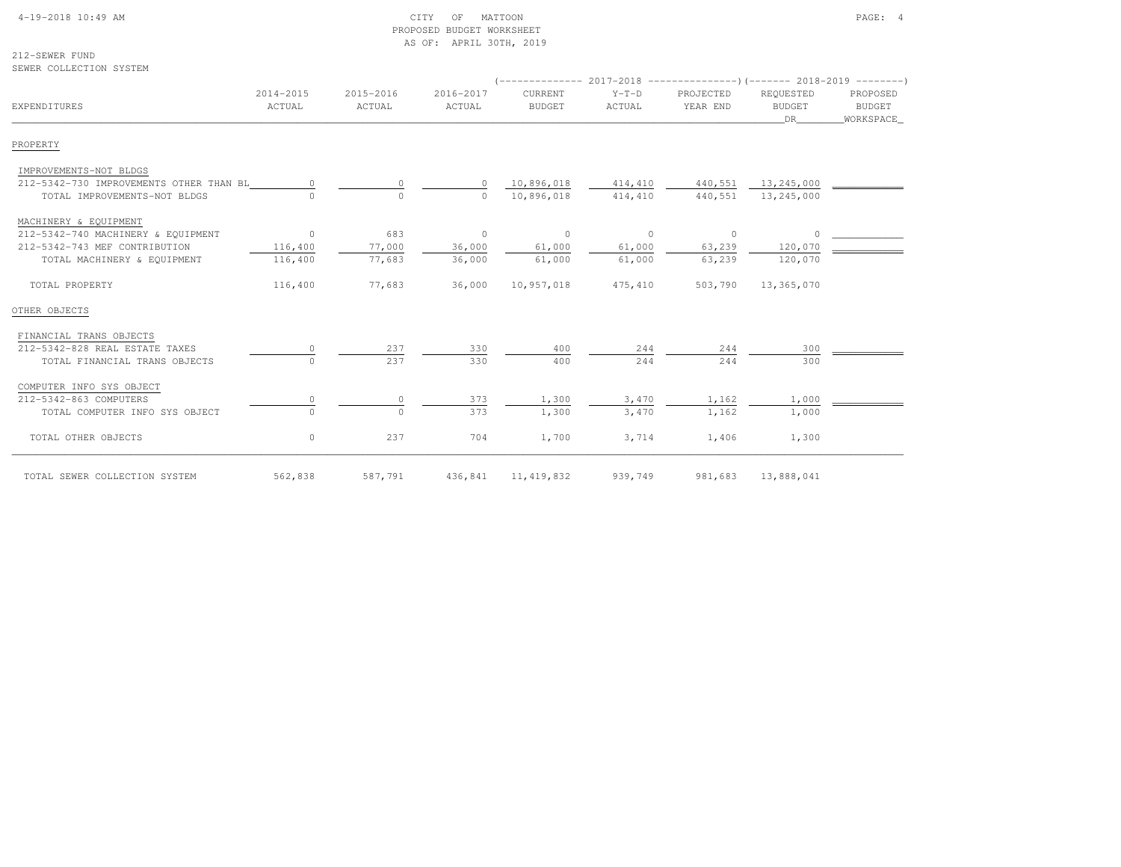# 4-19-2018 10:49 AM CITY OF MATTOON PAGE: 4 PROPOSED BUDGET WORKSHEETAS OF: APRIL 30TH, 2019

212-SEWER FUNDSEWER COLLECTION SYSTEM

|                                         |                     |                     |                     | $($ -------------- 2017-2018 -----------------) (------- 2018-2019 --------) |                   |                       |                                  |                                         |
|-----------------------------------------|---------------------|---------------------|---------------------|------------------------------------------------------------------------------|-------------------|-----------------------|----------------------------------|-----------------------------------------|
| EXPENDITURES                            | 2014-2015<br>ACTUAL | 2015-2016<br>ACTUAL | 2016-2017<br>ACTUAL | CURRENT<br><b>BUDGET</b>                                                     | $Y-T-D$<br>ACTUAL | PROJECTED<br>YEAR END | REQUESTED<br><b>BUDGET</b><br>DR | PROPOSED<br><b>BUDGET</b><br>WORKSPACE_ |
| PROPERTY                                |                     |                     |                     |                                                                              |                   |                       |                                  |                                         |
| IMPROVEMENTS-NOT BLDGS                  |                     |                     |                     |                                                                              |                   |                       |                                  |                                         |
| 212-5342-730 IMPROVEMENTS OTHER THAN BL |                     | $\Omega$            |                     | 10,896,018                                                                   | 414,410           | 440,551               | 13,245,000                       |                                         |
| TOTAL IMPROVEMENTS-NOT BLDGS            |                     | $\Omega$            | $\Omega$            | 10,896,018                                                                   | 414,410           | 440,551               | 13,245,000                       |                                         |
| MACHINERY & EQUIPMENT                   |                     |                     |                     |                                                                              |                   |                       |                                  |                                         |
| 212-5342-740 MACHINERY & EQUIPMENT      | $\overline{0}$      | 683                 | $\circ$             | $\mathbf{0}$                                                                 | $\circ$           | $\circ$               |                                  |                                         |
| 212-5342-743 MEF CONTRIBUTION           | 116,400             | 77,000              | 36,000              | 61,000                                                                       | 61,000            | 63,239                | 120,070                          |                                         |
| TOTAL MACHINERY & EQUIPMENT             | 116,400             | 77,683              | 36,000              | 61,000                                                                       | 61,000            | 63,239                | 120,070                          |                                         |
| TOTAL PROPERTY                          | 116,400             | 77,683              | 36,000              | 10,957,018                                                                   | 475,410           | 503,790               | 13,365,070                       |                                         |
| OTHER OBJECTS                           |                     |                     |                     |                                                                              |                   |                       |                                  |                                         |
| FINANCIAL TRANS OBJECTS                 |                     |                     |                     |                                                                              |                   |                       |                                  |                                         |
| 212-5342-828 REAL ESTATE TAXES          | $\circ$             | 237                 | 330                 | 400                                                                          | 244               | 244                   | 300                              |                                         |
| TOTAL FINANCIAL TRANS OBJECTS           | $\Omega$            | 237                 | 330                 | 400                                                                          | 244               | 244                   | 300                              |                                         |
| COMPUTER INFO SYS OBJECT                |                     |                     |                     |                                                                              |                   |                       |                                  |                                         |
| 212-5342-863 COMPUTERS                  |                     | $\mathbf{0}$        | 373                 | 1,300                                                                        | 3,470             | 1,162                 | 1,000                            |                                         |
| TOTAL COMPUTER INFO SYS OBJECT          | $\Omega$            | $\Omega$            | 373                 | 1,300                                                                        | 3,470             | 1,162                 | 1,000                            |                                         |
| TOTAL OTHER OBJECTS                     | $\circ$             | 237                 | 704                 | 1,700                                                                        | 3,714             | 1,406                 | 1,300                            |                                         |
| TOTAL SEWER COLLECTION SYSTEM           | 562,838             | 587,791             | 436,841             | 11, 419, 832                                                                 | 939,749           | 981,683               | 13,888,041                       |                                         |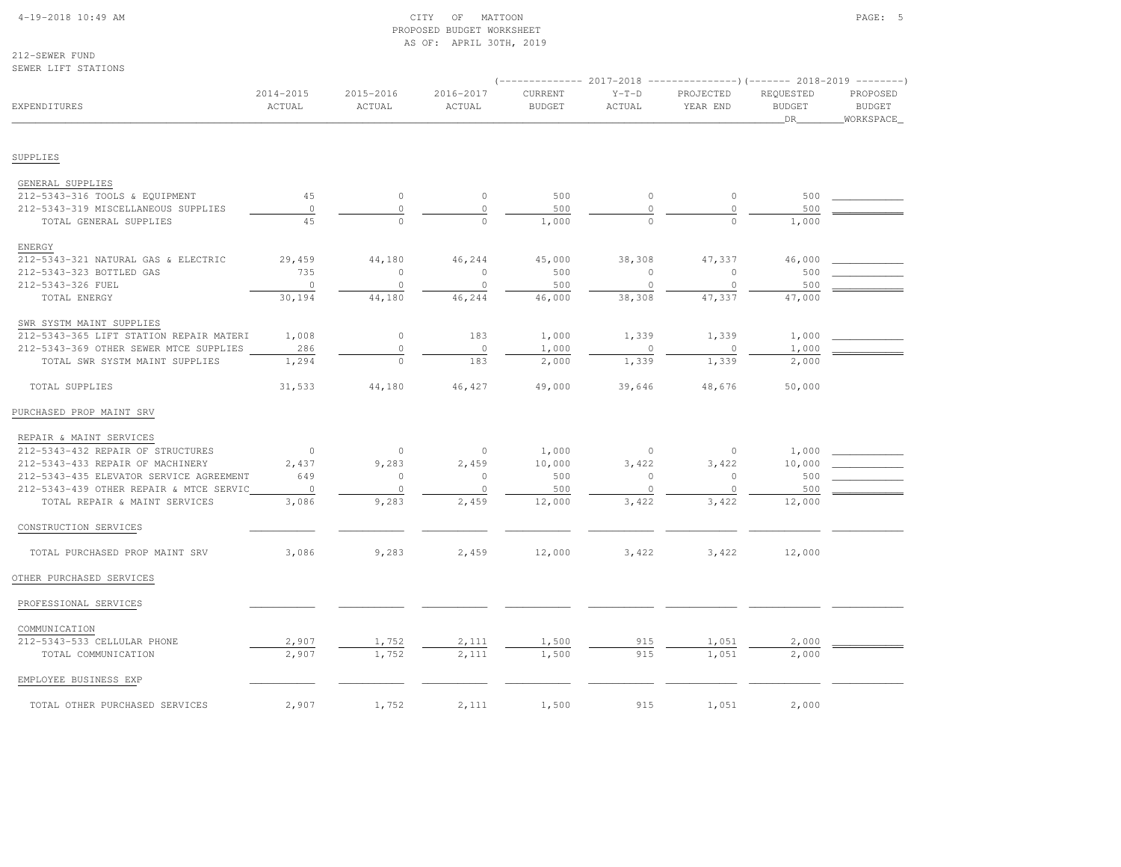# 4-19-2018 10:49 AM CITY OF MATTOON PAGE: 5 PROPOSED BUDGET WORKSHEETAS OF: APRIL 30TH, 2019

212-SEWER FUNDSEWER LIFT STATIONS

|                                              |                     |                     |                     |                          |                   | -------------        2017-2018 ---------------------        2018-2019 ----------- |                                  |                                         |
|----------------------------------------------|---------------------|---------------------|---------------------|--------------------------|-------------------|-----------------------------------------------------------------------------------|----------------------------------|-----------------------------------------|
| EXPENDITURES                                 | 2014-2015<br>ACTUAL | 2015-2016<br>ACTUAL | 2016-2017<br>ACTUAL | CURRENT<br><b>BUDGET</b> | $Y-T-D$<br>ACTUAL | PROJECTED<br>YEAR END                                                             | REQUESTED<br><b>BUDGET</b><br>DR | PROPOSED<br><b>BUDGET</b><br>WORKSPACE_ |
| SUPPLIES                                     |                     |                     |                     |                          |                   |                                                                                   |                                  |                                         |
|                                              |                     |                     |                     |                          |                   |                                                                                   |                                  |                                         |
| GENERAL SUPPLIES                             |                     |                     |                     |                          |                   |                                                                                   |                                  |                                         |
| 212-5343-316 TOOLS & EQUIPMENT               | 45                  | $\circ$             | $\circ$             | 500                      | $\circ$           | $\circ$                                                                           | 500                              |                                         |
| 212-5343-319 MISCELLANEOUS SUPPLIES          | $\circ$             | $\circ$             | $\circ$             | 500                      | $\circ$           | $\circ$                                                                           | 500                              |                                         |
| TOTAL GENERAL SUPPLIES                       | 45                  | $\Omega$            | $\circ$             | 1,000                    | $\Omega$          | $\circ$                                                                           | 1,000                            |                                         |
| ENERGY                                       |                     |                     |                     |                          |                   |                                                                                   |                                  |                                         |
| 212-5343-321 NATURAL GAS & ELECTRIC          | 29,459              | 44,180              | 46,244              | 45,000                   | 38,308            | 47,337                                                                            | 46,000                           |                                         |
| 212-5343-323 BOTTLED GAS                     | 735                 | $\mathbf{0}$        | $\circ$             | 500                      | $\circ$           | $\circ$                                                                           | 500                              |                                         |
| 212-5343-326 FUEL                            | $\circ$             | $\mathbb O$         | $\circ$             | 500                      | $\circ$           | $\mathbf{0}$                                                                      | 500                              |                                         |
| TOTAL ENERGY                                 | 30,194              | 44,180              | 46,244              | 46,000                   | 38,308            | 47,337                                                                            | 47,000                           |                                         |
| SWR SYSTM MAINT SUPPLIES                     |                     |                     |                     |                          |                   |                                                                                   |                                  |                                         |
| 212-5343-365 LIFT STATION REPAIR MATERI      | 1,008               | $\circ$             | 183                 | 1,000                    | 1,339             | 1,339                                                                             | 1,000                            |                                         |
| 212-5343-369 OTHER SEWER MTCE SUPPLIES       | 286                 | $\mathbb O$         | $\circ$             | 1,000                    | $\mathbf{0}$      | $\mathbf 0$                                                                       | 1,000                            |                                         |
| TOTAL SWR SYSTM MAINT SUPPLIES               | 1,294               | $\Omega$            | 183                 | 2,000                    | 1,339             | 1,339                                                                             | 2,000                            |                                         |
| TOTAL SUPPLIES                               | 31,533              | 44,180              | 46,427              | 49,000                   | 39,646            | 48,676                                                                            | 50,000                           |                                         |
| PURCHASED PROP MAINT SRV                     |                     |                     |                     |                          |                   |                                                                                   |                                  |                                         |
| REPAIR & MAINT SERVICES                      |                     |                     |                     |                          |                   |                                                                                   |                                  |                                         |
| 212-5343-432 REPAIR OF STRUCTURES            | $\overline{0}$      | $\circ$             | $\circ$             | 1,000                    | $\circ$           | $\circ$                                                                           | 1,000                            |                                         |
| 212-5343-433 REPAIR OF MACHINERY             | 2,437               | 9,283               | 2,459               | 10,000                   | 3,422             | 3,422                                                                             | 10,000                           |                                         |
| 212-5343-435 ELEVATOR SERVICE AGREEMENT      | 649                 | $\mathbf 0$         | $\circ$             | 500                      | 0                 | $\mathbf 0$                                                                       | 500                              |                                         |
| 212-5343-439 OTHER REPAIR & MTCE SERVIC      | $\circ$             | $\circ$             | $\circ$             | 500                      | $\mathbb O$       | $\circ$                                                                           | 500                              |                                         |
| TOTAL REPAIR & MAINT SERVICES                | 3,086               | 9,283               | 2,459               | 12,000                   | 3,422             | 3,422                                                                             | 12,000                           |                                         |
| CONSTRUCTION SERVICES                        |                     |                     |                     |                          |                   |                                                                                   |                                  |                                         |
| TOTAL PURCHASED PROP MAINT SRV               | 3,086               | 9,283               | 2,459               | 12,000                   | 3,422             | 3,422                                                                             | 12,000                           |                                         |
| OTHER PURCHASED SERVICES                     |                     |                     |                     |                          |                   |                                                                                   |                                  |                                         |
| PROFESSIONAL SERVICES                        |                     |                     |                     |                          |                   |                                                                                   |                                  |                                         |
|                                              |                     |                     |                     |                          |                   |                                                                                   |                                  |                                         |
| COMMUNICATION<br>212-5343-533 CELLULAR PHONE | 2,907               | 1,752               | 2,111               | 1,500                    | 915               | 1,051                                                                             | 2,000                            |                                         |
| TOTAL COMMUNICATION                          | 2,907               | 1,752               | 2,111               | 1,500                    | 915               | 1,051                                                                             | 2,000                            |                                         |
|                                              |                     |                     |                     |                          |                   |                                                                                   |                                  |                                         |
| EMPLOYEE BUSINESS EXP                        |                     |                     |                     |                          |                   |                                                                                   |                                  |                                         |
| TOTAL OTHER PURCHASED SERVICES               | 2,907               | 1,752               | 2,111               | 1,500                    | 915               | 1,051                                                                             | 2,000                            |                                         |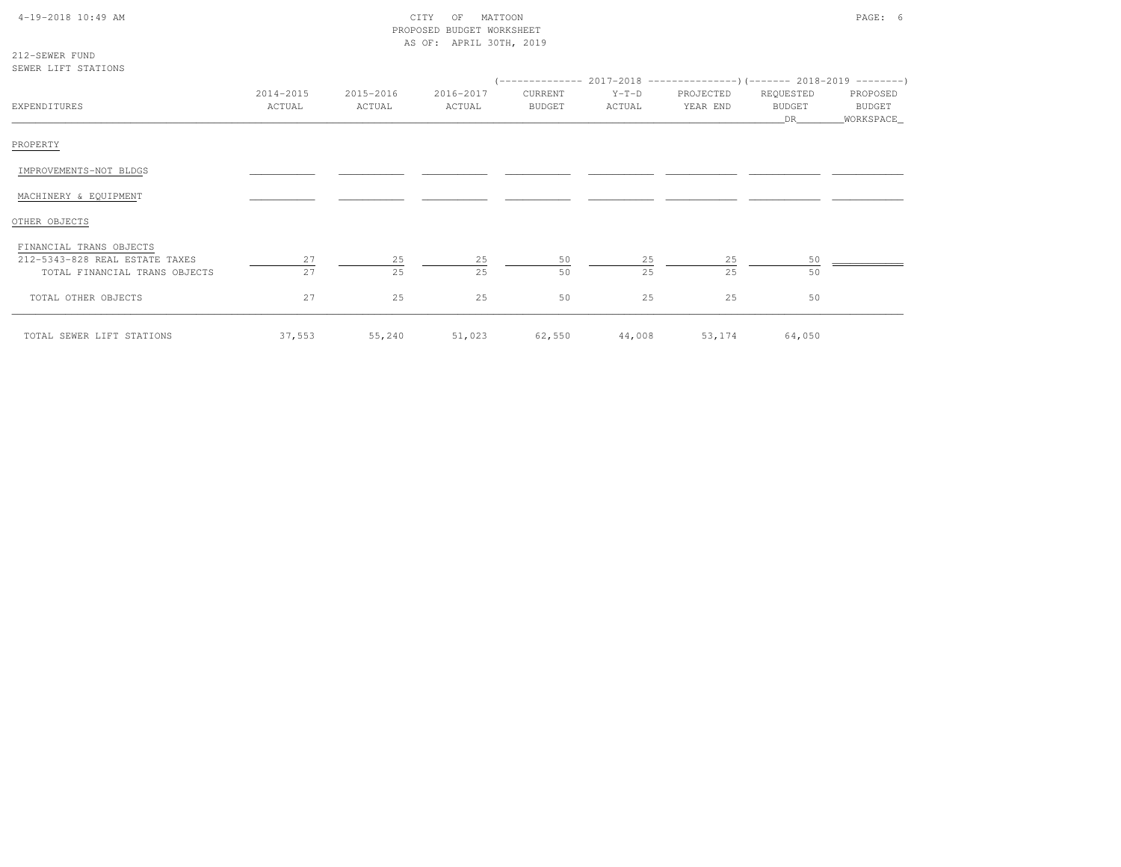| $4-19-2018$ $10:49$ AM |  |  |  |  |
|------------------------|--|--|--|--|
|------------------------|--|--|--|--|

# $\begin{array}{ccc} \text{CITY} & \text{OF} & \text{MATION} \end{array}$  PROPOSED BUDGET WORKSHEETAS OF: APRIL 30TH, 2019

| 212-SEWER FUND |                     |
|----------------|---------------------|
|                | SEWER LIFT STATIONS |

|                                |           |           |           |               | (-------------- 2017-2018 ----------------)(------- 2018-2019 ---------) |           |               |            |
|--------------------------------|-----------|-----------|-----------|---------------|--------------------------------------------------------------------------|-----------|---------------|------------|
|                                | 2014-2015 | 2015-2016 | 2016-2017 | CURRENT       | $Y-T-D$                                                                  | PROJECTED | REQUESTED     | PROPOSED   |
| EXPENDITURES                   | ACTUAL    | ACTUAL    | ACTUAL    | <b>BUDGET</b> | ACTUAL                                                                   | YEAR END  | <b>BUDGET</b> | BUDGET     |
|                                |           |           |           |               |                                                                          |           | DR            | WORKSPACE_ |
| PROPERTY                       |           |           |           |               |                                                                          |           |               |            |
| IMPROVEMENTS-NOT BLDGS         |           |           |           |               |                                                                          |           |               |            |
| MACHINERY & EQUIPMENT          |           |           |           |               |                                                                          |           |               |            |
| OTHER OBJECTS                  |           |           |           |               |                                                                          |           |               |            |
| FINANCIAL TRANS OBJECTS        |           |           |           |               |                                                                          |           |               |            |
| 212-5343-828 REAL ESTATE TAXES | 27        | 25        | 25        | 50            | 25                                                                       | 25        | 50            |            |
| TOTAL FINANCIAL TRANS OBJECTS  | 27        | 25        | 25        | 50            | 25                                                                       | 25        | 50            |            |
| TOTAL OTHER OBJECTS            | 27        | 25        | 25        | 50            | 25                                                                       | 25        | 50            |            |
| TOTAL SEWER LIFT STATIONS      | 37,553    | 55,240    | 51,023    | 62,550        | 44,008                                                                   | 53,174    | 64,050        |            |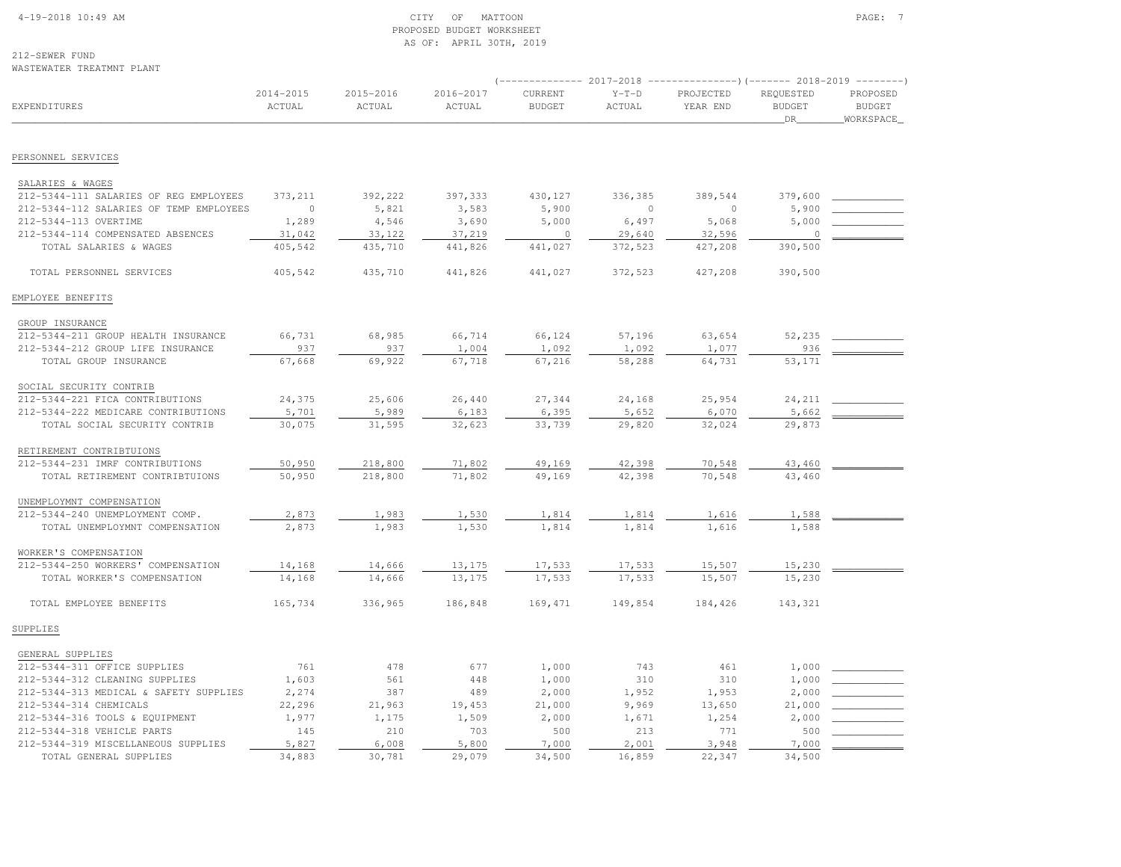#### 4-19-2018 10:49 AM CITY OF MATTOON PAGE: 7 PROPOSED BUDGET WORKSHEETAS OF: APRIL 30TH, 2019

212-SEWER FUND

| WASTEWATER TREATMNT PLANT                                         |                     |                     |                     |                          |                   |                                                                                                    |                                  |                                        |
|-------------------------------------------------------------------|---------------------|---------------------|---------------------|--------------------------|-------------------|----------------------------------------------------------------------------------------------------|----------------------------------|----------------------------------------|
| <b>EXPENDITURES</b>                                               | 2014-2015<br>ACTUAL | 2015-2016<br>ACTUAL | 2016-2017<br>ACTUAL | CURRENT<br><b>BUDGET</b> | $Y-T-D$<br>ACTUAL | (-------------- 2017-2018 ----------------) (------- 2018-2019 ---------)<br>PROJECTED<br>YEAR END | REQUESTED<br><b>BUDGET</b><br>DR | PROPOSED<br><b>BUDGET</b><br>WORKSPACE |
| PERSONNEL SERVICES                                                |                     |                     |                     |                          |                   |                                                                                                    |                                  |                                        |
|                                                                   |                     |                     |                     |                          |                   |                                                                                                    |                                  |                                        |
| SALARIES & WAGES                                                  |                     |                     |                     |                          |                   |                                                                                                    |                                  |                                        |
| 212-5344-111 SALARIES OF REG EMPLOYEES                            | 373, 211            | 392,222             | 397,333             | 430,127                  | 336,385           | 389,544<br>$\Omega$                                                                                | 379,600                          |                                        |
| 212-5344-112 SALARIES OF TEMP EMPLOYEES<br>212-5344-113 OVERTIME  | $\circ$<br>1,289    | 5,821<br>4,546      | 3,583<br>3,690      | 5,900<br>5,000           | $\circ$<br>6,497  | 5,068                                                                                              | 5,900<br>5,000                   |                                        |
| 212-5344-114 COMPENSATED ABSENCES                                 | 31,042              | 33,122              | 37,219              | $\circ$                  | 29,640            | 32,596                                                                                             | $\circ$                          |                                        |
| TOTAL SALARIES & WAGES                                            | 405,542             | 435,710             | 441,826             | 441,027                  | 372,523           | 427,208                                                                                            | 390,500                          |                                        |
| TOTAL PERSONNEL SERVICES                                          | 405,542             | 435,710             | 441,826             | 441,027                  | 372,523           | 427,208                                                                                            | 390,500                          |                                        |
| EMPLOYEE BENEFITS                                                 |                     |                     |                     |                          |                   |                                                                                                    |                                  |                                        |
| GROUP INSURANCE                                                   |                     |                     |                     |                          |                   |                                                                                                    |                                  |                                        |
| 212-5344-211 GROUP HEALTH INSURANCE                               | 66,731              | 68,985              | 66,714              | 66,124                   | 57,196            | 63,654                                                                                             | 52,235                           |                                        |
| 212-5344-212 GROUP LIFE INSURANCE                                 | 937                 | 937                 | 1,004               | 1,092                    | 1,092             | 1,077                                                                                              | 936                              |                                        |
| TOTAL GROUP INSURANCE                                             | 67,668              | 69,922              | 67,718              | 67,216                   | 58,288            | 64,731                                                                                             | 53,171                           |                                        |
| SOCIAL SECURITY CONTRIB                                           |                     |                     |                     |                          |                   |                                                                                                    |                                  |                                        |
| 212-5344-221 FICA CONTRIBUTIONS                                   | 24,375              | 25,606              | 26,440              | 27,344                   | 24,168            | 25,954                                                                                             | 24,211                           |                                        |
| 212-5344-222 MEDICARE CONTRIBUTIONS                               | 5,701               | 5,989               | 6,183               | 6,395                    | 5,652             | 6,070                                                                                              | 5,662                            |                                        |
| TOTAL SOCIAL SECURITY CONTRIB                                     | 30,075              | 31,595              | 32,623              | 33,739                   | 29,820            | 32,024                                                                                             | 29,873                           |                                        |
| RETIREMENT CONTRIBTUIONS                                          |                     |                     |                     |                          |                   |                                                                                                    |                                  |                                        |
| 212-5344-231 IMRF CONTRIBUTIONS                                   | 50,950              | 218,800             | 71,802              | 49,169                   | 42,398            | 70,548                                                                                             | 43,460                           |                                        |
| TOTAL RETIREMENT CONTRIBTUIONS                                    | 50,950              | 218,800             | 71,802              | 49,169                   | 42,398            | 70,548                                                                                             | 43,460                           |                                        |
| UNEMPLOYMNT COMPENSATION                                          |                     |                     |                     |                          |                   |                                                                                                    |                                  |                                        |
| 212-5344-240 UNEMPLOYMENT COMP.                                   | 2,873               | 1,983               | 1,530               | 1,814                    | 1,814             | 1,616                                                                                              | 1,588                            |                                        |
| TOTAL UNEMPLOYMNT COMPENSATION                                    | 2,873               | 1,983               | 1,530               | 1,814                    | 1,814             | 1,616                                                                                              | 1,588                            |                                        |
| WORKER'S COMPENSATION                                             |                     |                     |                     |                          |                   |                                                                                                    |                                  |                                        |
| 212-5344-250 WORKERS' COMPENSATION                                | 14,168              | 14,666              | 13,175              | 17,533                   | 17,533            | 15,507                                                                                             | 15,230                           |                                        |
| TOTAL WORKER'S COMPENSATION                                       | 14,168              | 14,666              | 13,175              | 17,533                   | 17,533            | 15,507                                                                                             | 15,230                           |                                        |
| TOTAL EMPLOYEE BENEFITS                                           | 165,734             | 336,965             | 186,848             | 169,471                  | 149,854           | 184,426                                                                                            | 143,321                          |                                        |
| SUPPLIES                                                          |                     |                     |                     |                          |                   |                                                                                                    |                                  |                                        |
| GENERAL SUPPLIES                                                  |                     |                     |                     |                          |                   |                                                                                                    |                                  |                                        |
| 212-5344-311 OFFICE SUPPLIES                                      | 761                 | 478                 | 677                 | 1,000                    | 743               | 461                                                                                                | 1,000                            |                                        |
| 212-5344-312 CLEANING SUPPLIES                                    | 1,603               | 561                 | 448                 | 1,000                    | 310               | 310                                                                                                | 1,000                            |                                        |
| 212-5344-313 MEDICAL & SAFETY SUPPLIES                            | 2,274               | 387                 | 489                 | 2,000                    | 1,952             | 1,953                                                                                              | 2,000                            |                                        |
| 212-5344-314 CHEMICALS                                            | 22,296              | 21,963              | 19,453              | 21,000                   | 9,969             | 13,650                                                                                             | 21,000                           |                                        |
| 212-5344-316 TOOLS & EQUIPMENT                                    | 1,977               | 1,175               | 1,509               | 2,000                    | 1,671             | 1,254                                                                                              | 2,000                            |                                        |
| 212-5344-318 VEHICLE PARTS<br>212-5344-319 MISCELLANEOUS SUPPLIES | 145<br>5,827        | 210<br>6,008        | 703<br>5,800        | 500<br>7,000             | 213<br>2,001      | 771<br>3,948                                                                                       | 500<br>7,000                     |                                        |
| TOTAL GENERAL SUPPLIES                                            | 34,883              | 30,781              | 29,079              | 34,500                   | 16,859            | 22,347                                                                                             | 34,500                           |                                        |
|                                                                   |                     |                     |                     |                          |                   |                                                                                                    |                                  |                                        |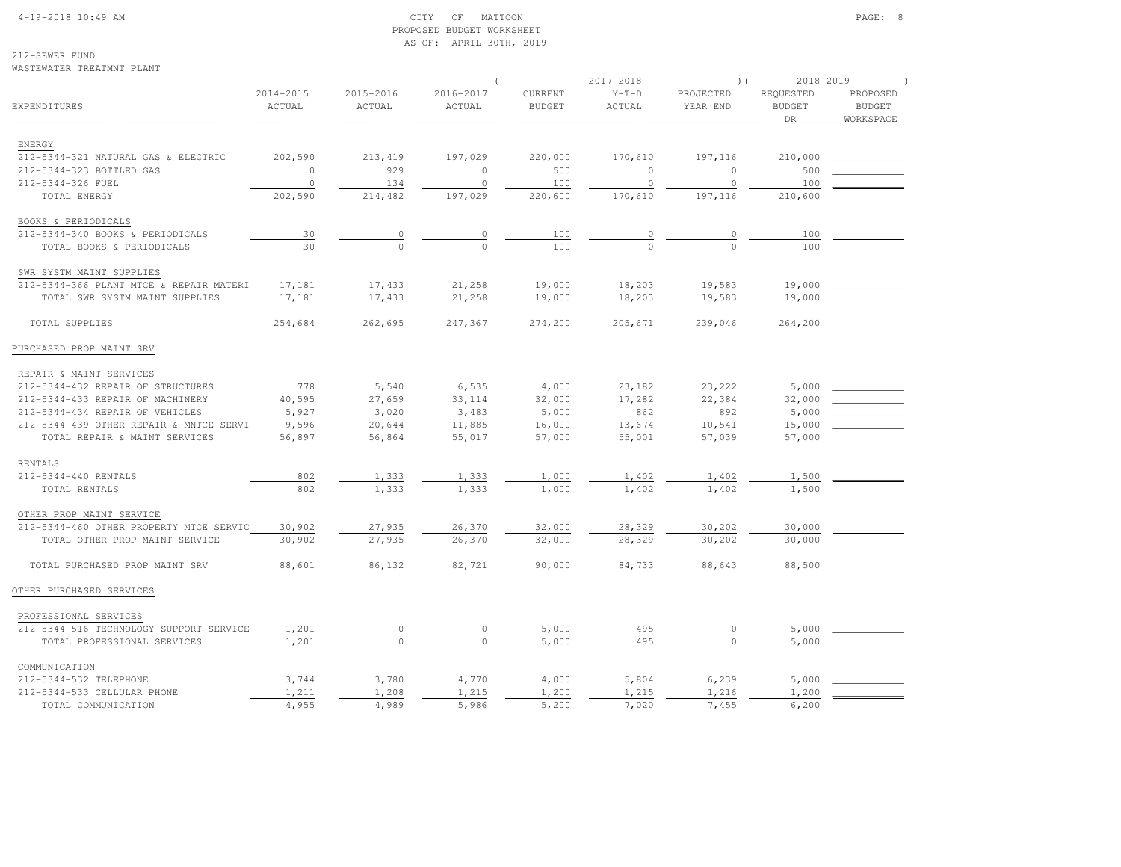#### 4-19-2018 10:49 AM CITY OF MATTOON PAGE: 8 PROPOSED BUDGET WORKSHEETAS OF: APRIL 30TH, 2019

212-SEWER FUNDWASTEWATER TREATMNT PLANT

|                                         |                     |                     |                     |                          | 2017-2018         |                       |                            |                           |
|-----------------------------------------|---------------------|---------------------|---------------------|--------------------------|-------------------|-----------------------|----------------------------|---------------------------|
| <b>EXPENDITURES</b>                     | 2014-2015<br>ACTUAL | 2015-2016<br>ACTUAL | 2016-2017<br>ACTUAL | CURRENT<br><b>BUDGET</b> | $Y-T-D$<br>ACTUAL | PROJECTED<br>YEAR END | REQUESTED<br><b>BUDGET</b> | PROPOSED<br><b>BUDGET</b> |
|                                         |                     |                     |                     |                          |                   |                       | DR                         | WORKSPACE                 |
| ENERGY                                  |                     |                     |                     |                          |                   |                       |                            |                           |
| 212-5344-321 NATURAL GAS & ELECTRIC     | 202,590             | 213,419             | 197,029             | 220,000                  | 170,610           | 197,116               | 210,000                    |                           |
| 212-5344-323 BOTTLED GAS                | $\circ$             | 929                 | $\circ$             | 500                      | $\circ$           | $\circ$               | 500                        |                           |
| 212-5344-326 FUEL                       | $\circ$             | 134                 | $\circ$             | 100                      | $\circ$           | $\circ$               | 100                        |                           |
| TOTAL ENERGY                            | 202,590             | 214,482             | 197,029             | 220,600                  | 170,610           | 197,116               | 210,600                    |                           |
| BOOKS & PERIODICALS                     |                     |                     |                     |                          |                   |                       |                            |                           |
| 212-5344-340 BOOKS & PERIODICALS        | 30                  | 0                   | $\circ$             | 100                      | 0                 | $\circ$               | 100                        |                           |
| TOTAL BOOKS & PERIODICALS               | 30                  | $\Omega$            | $\cap$              | 100                      | $\cap$            | $\Omega$              | 100                        |                           |
| SWR SYSTM MAINT SUPPLIES                |                     |                     |                     |                          |                   |                       |                            |                           |
| 212-5344-366 PLANT MTCE & REPAIR MATERI | 17,181              | 17,433              | 21,258              | 19,000                   | 18,203            | 19,583                | 19,000                     |                           |
| TOTAL SWR SYSTM MAINT SUPPLIES          | 17,181              | 17,433              | 21,258              | 19,000                   | 18,203            | 19,583                | 19,000                     |                           |
| TOTAL SUPPLIES                          | 254,684             | 262,695             | 247,367             | 274,200                  | 205,671           | 239,046               | 264,200                    |                           |
| PURCHASED PROP MAINT SRV                |                     |                     |                     |                          |                   |                       |                            |                           |
| REPAIR & MAINT SERVICES                 |                     |                     |                     |                          |                   |                       |                            |                           |
| 212-5344-432 REPAIR OF STRUCTURES       | 778                 | 5,540               | 6,535               | 4,000                    | 23,182            | 23,222                | 5,000                      |                           |
| 212-5344-433 REPAIR OF MACHINERY        | 40,595              | 27,659              | 33, 114             | 32,000                   | 17,282            | 22,384                | 32,000                     |                           |
| 212-5344-434 REPAIR OF VEHICLES         | 5,927               | 3,020               | 3,483               | 5,000                    | 862               | 892                   | 5,000                      |                           |
| 212-5344-439 OTHER REPAIR & MNTCE SERVI | 9,596               | 20,644              | 11,885              | 16,000                   | 13,674            | 10,541                | 15,000                     |                           |
| TOTAL REPAIR & MAINT SERVICES           | 56,897              | 56,864              | 55,017              | 57,000                   | 55,001            | 57,039                | 57,000                     |                           |
| RENTALS                                 |                     |                     |                     |                          |                   |                       |                            |                           |
| 212-5344-440 RENTALS                    | 802                 | 1,333               | 1,333               | 1,000                    | 1,402             | 1,402                 | 1,500                      |                           |
| TOTAL RENTALS                           | 802                 | 1,333               | 1,333               | 1,000                    | 1,402             | 1,402                 | 1,500                      |                           |
| OTHER PROP MAINT SERVICE                |                     |                     |                     |                          |                   |                       |                            |                           |
| 212-5344-460 OTHER PROPERTY MTCE SERVIC | 30,902              | 27,935              | 26,370              | 32,000                   | 28,329            | 30,202                | 30,000                     |                           |
| TOTAL OTHER PROP MAINT SERVICE          | 30,902              | 27,935              | 26,370              | 32,000                   | 28,329            | 30,202                | 30,000                     |                           |
| TOTAL PURCHASED PROP MAINT SRV          | 88,601              | 86,132              | 82,721              | 90,000                   | 84,733            | 88,643                | 88,500                     |                           |
| OTHER PURCHASED SERVICES                |                     |                     |                     |                          |                   |                       |                            |                           |
| PROFESSIONAL SERVICES                   |                     |                     |                     |                          |                   |                       |                            |                           |

| 212-5344-516 TECHNOLOGY SUPPORT SERVICE | 1,201 |       |       | 5,000 | 495   |       | 5,000       |  |
|-----------------------------------------|-------|-------|-------|-------|-------|-------|-------------|--|
| TOTAL PROFESSIONAL SERVICES             | .,201 |       |       | 5,000 | 495   |       | 5,000       |  |
| COMMUNICATION                           |       |       |       |       |       |       |             |  |
| 212-5344-532 TELEPHONE                  | 3,744 | 3,780 | 4,770 | 4,000 | 5,804 | 6,239 | 5,000       |  |
| 212-5344-533 CELLULAR PHONE             | 1,211 | ,208  | 1,215 | 1,200 | 1,215 | 1,216 | $\pm$ , 200 |  |
| COMMUNICATION<br>TOTAL                  | 4,955 | .,989 | 5,986 | 5,200 | ,020  | .455  | 6,200       |  |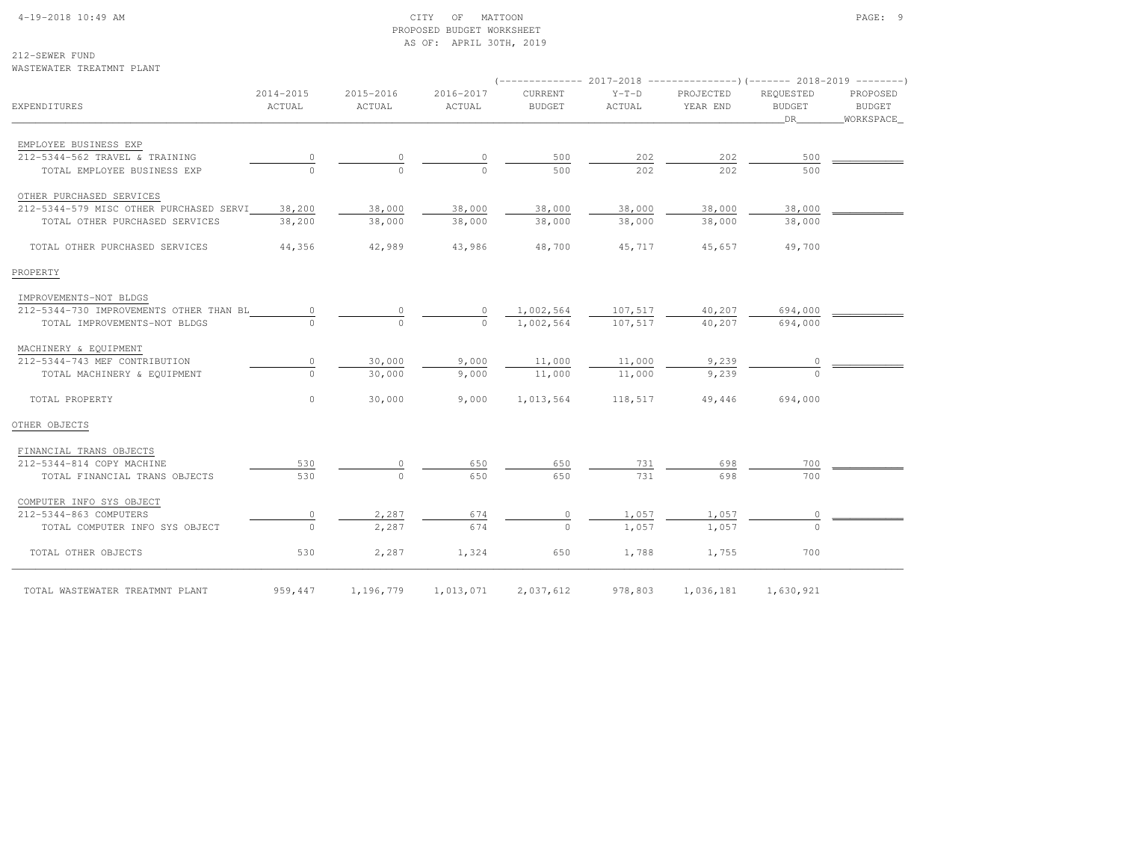# 4-19-2018 10:49 AM CITY OF MATTOON PAGE: 9 PROPOSED BUDGET WORKSHEETAS OF: APRIL 30TH, 2019

212-SEWER FUND

| WASTEWATER TREATMNT PLANT               |                     |                     |                     |                                                                                                           |                   |                       |                                   |                                        |
|-----------------------------------------|---------------------|---------------------|---------------------|-----------------------------------------------------------------------------------------------------------|-------------------|-----------------------|-----------------------------------|----------------------------------------|
| EXPENDITURES                            | 2014-2015<br>ACTUAL | 2015-2016<br>ACTUAL | 2016-2017<br>ACTUAL | ------------- 2017-2018 ----------------) (------- 2018-2019 --------)<br><b>CURRENT</b><br><b>BUDGET</b> | $Y-T-D$<br>ACTUAL | PROJECTED<br>YEAR END | REOUESTED<br><b>BUDGET</b><br>DR. | PROPOSED<br><b>BUDGET</b><br>WORKSPACE |
| EMPLOYEE BUSINESS EXP                   |                     |                     |                     |                                                                                                           |                   |                       |                                   |                                        |
| 212-5344-562 TRAVEL & TRAINING          |                     |                     |                     | 500                                                                                                       | 202               | 202                   | 500                               |                                        |
| TOTAL EMPLOYEE BUSINESS EXP             | $\cap$              | $\Omega$            | $\cap$              | 500                                                                                                       | 202               | 202                   | 500                               |                                        |
| OTHER PURCHASED SERVICES                |                     |                     |                     |                                                                                                           |                   |                       |                                   |                                        |
| 212-5344-579 MISC OTHER PURCHASED SERVI | 38,200              | 38,000              | 38,000              | 38,000                                                                                                    | 38,000            | 38,000                | 38,000                            |                                        |
| TOTAL OTHER PURCHASED SERVICES          | 38,200              | 38,000              | 38,000              | 38,000                                                                                                    | 38,000            | 38,000                | 38,000                            |                                        |
| TOTAL OTHER PURCHASED SERVICES          | 44,356              | 42,989              | 43,986              | 48,700                                                                                                    | 45,717            | 45,657                | 49,700                            |                                        |
| PROPERTY                                |                     |                     |                     |                                                                                                           |                   |                       |                                   |                                        |
| IMPROVEMENTS-NOT BLDGS                  |                     |                     |                     |                                                                                                           |                   |                       |                                   |                                        |
| 212-5344-730 IMPROVEMENTS OTHER THAN BL | $\mathbf{0}$        |                     |                     | 1,002,564                                                                                                 | 107,517           | 40,207                | 694,000                           |                                        |
| TOTAL IMPROVEMENTS-NOT BLDGS            |                     | $\Omega$            | $\cap$              | 1,002,564                                                                                                 | 107,517           | 40,207                | 694,000                           |                                        |
| MACHINERY & EQUIPMENT                   |                     |                     |                     |                                                                                                           |                   |                       |                                   |                                        |
| 212-5344-743 MEF CONTRIBUTION           | 0                   | 30,000              | 9,000               | 11,000                                                                                                    | 11,000            | 9,239                 | 0                                 |                                        |
| TOTAL MACHINERY & EQUIPMENT             | $\Omega$            | 30,000              | 9,000               | 11,000                                                                                                    | 11,000            | 9,239                 | $\Omega$                          |                                        |
| TOTAL PROPERTY                          | $\circ$             | 30,000              | 9,000               | 1,013,564                                                                                                 | 118,517           | 49,446                | 694,000                           |                                        |
| OTHER OBJECTS                           |                     |                     |                     |                                                                                                           |                   |                       |                                   |                                        |
| FINANCIAL TRANS OBJECTS                 |                     |                     |                     |                                                                                                           |                   |                       |                                   |                                        |
| 212-5344-814 COPY MACHINE               | 530                 |                     | 650                 | 650                                                                                                       | 731               | 698                   | 700                               |                                        |
| TOTAL FINANCIAL TRANS OBJECTS           | 530                 | $\Omega$            | 650                 | 650                                                                                                       | 731               | 698                   | 700                               |                                        |
| COMPUTER INFO SYS OBJECT                |                     |                     |                     |                                                                                                           |                   |                       |                                   |                                        |
| 212-5344-863 COMPUTERS                  | $\mathbf{0}$        | 2,287               | 674                 | $\circ$                                                                                                   | 1,057             | 1,057                 | 0                                 |                                        |
| TOTAL COMPUTER INFO SYS OBJECT          | $\circ$             | 2,287               | 674                 | $\circ$                                                                                                   | 1,057             | 1,057                 | $\Omega$                          |                                        |
| TOTAL OTHER OBJECTS                     | 530                 | 2,287               | 1,324               | 650                                                                                                       | 1,788             | 1,755                 | 700                               |                                        |

TOTAL WASTEWATER TREATMNT PLANT 959,447 1,196,779 1,013,071 2,037,612 978,803 1,036,181 1,630,921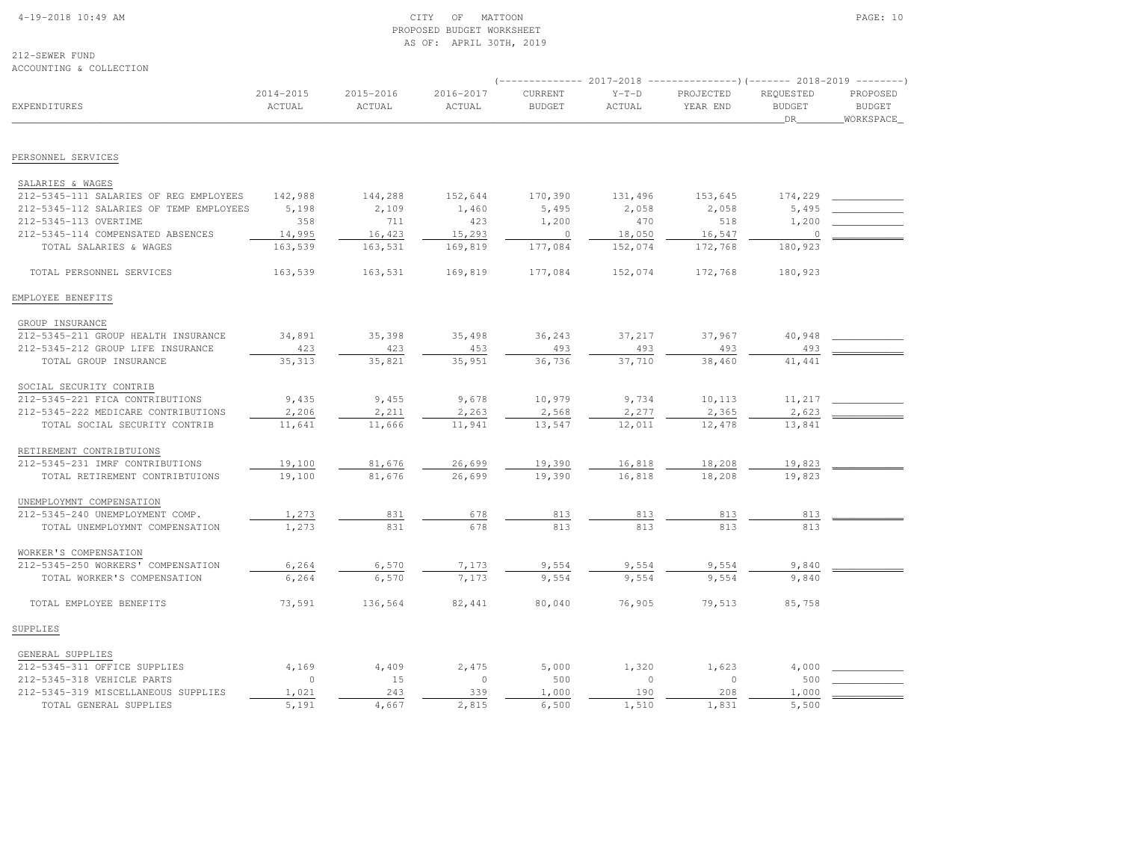#### 4-19-2018 10:49 AM CITY OF MATTOON PAGE: 10 PROPOSED BUDGET WORKSHEETAS OF: APRIL 30TH, 2019

212-SEWER FUNDACCOUNTING & COLLECTION

|                                         |                         |                     |                     | $---------2017-2018$     |                   | $---------(---)(---2018-2019------)$ |                                  |                                        |
|-----------------------------------------|-------------------------|---------------------|---------------------|--------------------------|-------------------|--------------------------------------|----------------------------------|----------------------------------------|
| EXPENDITURES                            | $2014 - 2015$<br>ACTUAL | 2015-2016<br>ACTUAL | 2016-2017<br>ACTUAL | CURRENT<br><b>BUDGET</b> | $Y-T-D$<br>ACTUAL | PROJECTED<br>YEAR END                | REQUESTED<br><b>BUDGET</b><br>DR | PROPOSED<br><b>BUDGET</b><br>WORKSPACE |
|                                         |                         |                     |                     |                          |                   |                                      |                                  |                                        |
| PERSONNEL SERVICES                      |                         |                     |                     |                          |                   |                                      |                                  |                                        |
| SALARIES & WAGES                        |                         |                     |                     |                          |                   |                                      |                                  |                                        |
| 212-5345-111 SALARIES OF REG EMPLOYEES  | 142,988                 | 144,288             | 152,644             | 170,390                  | 131,496           | 153,645                              | 174,229                          |                                        |
| 212-5345-112 SALARIES OF TEMP EMPLOYEES | 5,198                   | 2,109               | 1,460               | 5,495                    | 2,058             | 2,058                                | 5,495                            |                                        |
| 212-5345-113 OVERTIME                   | 358                     | 711                 | 423                 | 1,200                    | 470               | 518                                  | 1,200                            |                                        |
| 212-5345-114 COMPENSATED ABSENCES       | 14,995                  | 16,423              | 15,293              | $\overline{0}$           | 18,050            | 16,547                               | $\mathbb O$                      |                                        |
| TOTAL SALARIES & WAGES                  | 163,539                 | 163,531             | 169,819             | 177,084                  | 152,074           | 172,768                              | 180,923                          |                                        |
| TOTAL PERSONNEL SERVICES                | 163,539                 | 163,531             | 169,819             | 177,084                  | 152,074           | 172,768                              | 180,923                          |                                        |
| EMPLOYEE BENEFITS                       |                         |                     |                     |                          |                   |                                      |                                  |                                        |
| GROUP INSURANCE                         |                         |                     |                     |                          |                   |                                      |                                  |                                        |
| 212-5345-211 GROUP HEALTH INSURANCE     | 34,891                  | 35,398              | 35,498              | 36,243                   | 37,217            | 37,967                               | 40,948                           |                                        |
| 212-5345-212 GROUP LIFE INSURANCE       | 423                     | 423                 | 453                 | 493                      | 493               | 493                                  | 493                              |                                        |
| TOTAL GROUP INSURANCE                   | 35,313                  | 35,821              | 35,951              | 36,736                   | 37,710            | 38,460                               | 41,441                           |                                        |
| SOCIAL SECURITY CONTRIB                 |                         |                     |                     |                          |                   |                                      |                                  |                                        |
| 212-5345-221 FICA CONTRIBUTIONS         | 9,435                   | 9,455               | 9,678               | 10,979                   | 9,734             | 10,113                               | 11,217                           |                                        |
| 212-5345-222 MEDICARE CONTRIBUTIONS     | 2,206                   | 2,211               | 2,263               | 2,568                    | 2,277             | 2,365                                | 2,623                            |                                        |
| TOTAL SOCIAL SECURITY CONTRIB           | 11,641                  | 11,666              | 11,941              | 13,547                   | 12,011            | 12,478                               | 13,841                           |                                        |
| RETIREMENT CONTRIBTUIONS                |                         |                     |                     |                          |                   |                                      |                                  |                                        |
| 212-5345-231 IMRF CONTRIBUTIONS         | 19,100                  | 81,676              | 26,699              | 19,390                   | 16,818            | 18,208                               | 19,823                           |                                        |
| TOTAL RETIREMENT CONTRIBTUIONS          | 19,100                  | 81,676              | 26,699              | 19,390                   | 16,818            | 18,208                               | 19,823                           |                                        |
| UNEMPLOYMNT COMPENSATION                |                         |                     |                     |                          |                   |                                      |                                  |                                        |
| 212-5345-240 UNEMPLOYMENT COMP.         | 1,273                   | 831                 | 678                 | 813                      | 813               | 813                                  | 813                              |                                        |
| TOTAL UNEMPLOYMNT COMPENSATION          | 1,273                   | 831                 | 678                 | 813                      | 813               | 813                                  | 813                              |                                        |
| WORKER'S COMPENSATION                   |                         |                     |                     |                          |                   |                                      |                                  |                                        |
| 212-5345-250 WORKERS' COMPENSATION      | 6,264                   | 6,570               | 7,173               | 9,554                    | 9,554             | 9,554                                | 9,840                            |                                        |
| TOTAL WORKER'S COMPENSATION             | 6,264                   | 6,570               | 7,173               | 9,554                    | 9,554             | 9,554                                | 9,840                            |                                        |
| TOTAL EMPLOYEE BENEFITS                 | 73,591                  | 136,564             | 82,441              | 80,040                   | 76,905            | 79,513                               | 85,758                           |                                        |
| SUPPLIES                                |                         |                     |                     |                          |                   |                                      |                                  |                                        |
| GENERAL SUPPLIES                        |                         |                     |                     |                          |                   |                                      |                                  |                                        |
| 212-5345-311 OFFICE SUPPLIES            | 4,169                   | 4,409               | 2,475               | 5,000                    | 1,320             | 1,623                                | 4,000                            |                                        |
| 212-5345-318 VEHICLE PARTS              | $\circ$                 | 15                  | $\circ$             | 500                      | $\circ$           | $\circ$                              | 500                              |                                        |
| 212-5345-319 MISCELLANEOUS SUPPLIES     | 1,021                   | 243                 | 339                 | 1,000                    | 190               | 208                                  | 1,000                            |                                        |
| TOTAL GENERAL SUPPLIES                  | 5,191                   | 4,667               | 2,815               | 6,500                    | 1,510             | 1,831                                | 5,500                            |                                        |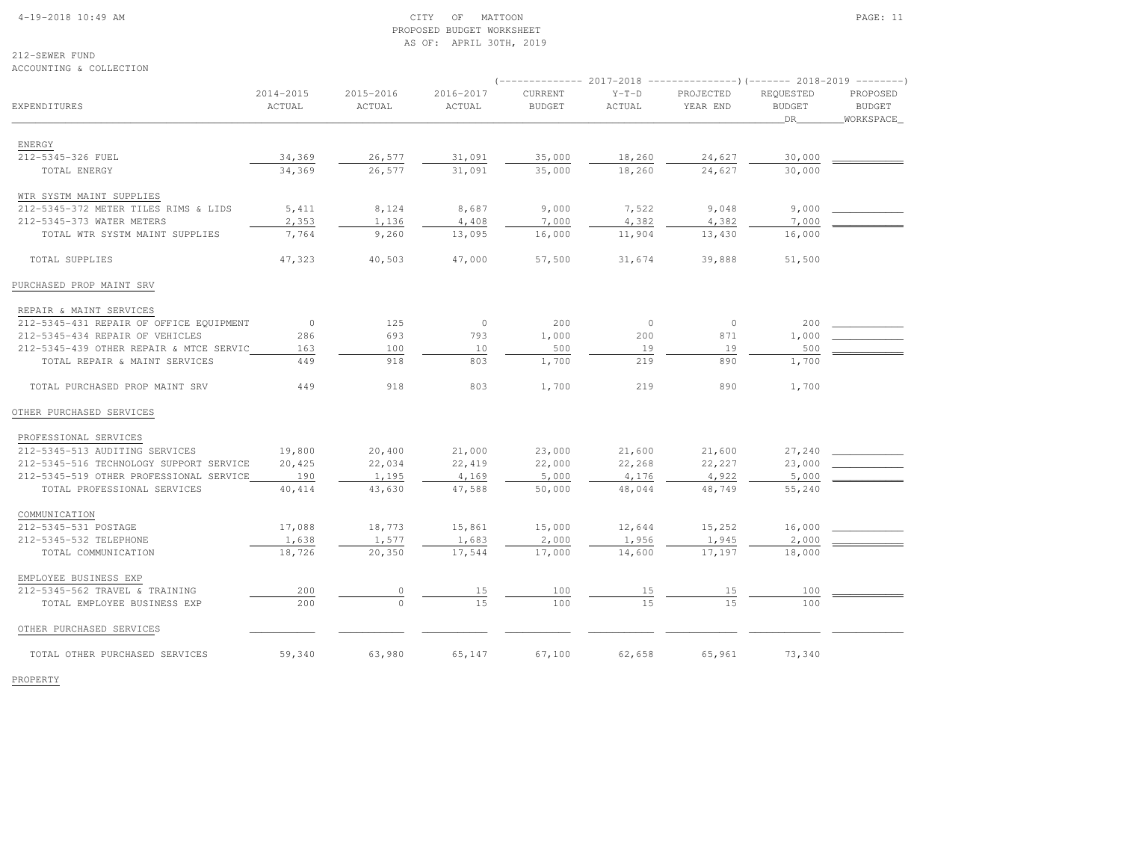# 4-19-2018 10:49 AM CITY OF MATTOON PAGE: 11 PROPOSED BUDGET WORKSHEETAS OF: APRIL 30TH, 2019

212-SEWER FUNDACCOUNTING & COLLECTION

|                                         |                     |                     |                     |                          |                   | $(---------- 2017-2018 ---------- 2018-2018-2019 ----2018-2019)$ |                            |                           |
|-----------------------------------------|---------------------|---------------------|---------------------|--------------------------|-------------------|------------------------------------------------------------------|----------------------------|---------------------------|
| EXPENDITURES                            | 2014-2015<br>ACTUAL | 2015-2016<br>ACTUAL | 2016-2017<br>ACTUAL | CURRENT<br><b>BUDGET</b> | $Y-T-D$<br>ACTUAL | PROJECTED<br>YEAR END                                            | REQUESTED<br><b>BUDGET</b> | PROPOSED<br><b>BUDGET</b> |
|                                         |                     |                     |                     |                          |                   |                                                                  | DR                         | WORKSPACE                 |
| ENERGY                                  |                     |                     |                     |                          |                   |                                                                  |                            |                           |
| 212-5345-326 FUEL                       | 34,369              | 26,577              | 31,091              | 35,000                   | 18,260            | 24,627                                                           | 30,000                     |                           |
| TOTAL ENERGY                            | 34,369              | 26,577              | 31,091              | 35,000                   | 18,260            | 24,627                                                           | 30,000                     |                           |
| WTR SYSTM MAINT SUPPLIES                |                     |                     |                     |                          |                   |                                                                  |                            |                           |
| 212-5345-372 METER TILES RIMS & LIDS    | 5,411               | 8,124               | 8,687               | 9,000                    | 7,522             | 9,048                                                            | 9,000                      |                           |
| 212-5345-373 WATER METERS               | 2,353               | 1,136               | 4,408               | 7,000                    | 4,382             | 4,382                                                            | 7,000                      |                           |
| TOTAL WTR SYSTM MAINT SUPPLIES          | 7,764               | 9,260               | 13,095              | 16,000                   | 11,904            | 13,430                                                           | 16,000                     |                           |
| TOTAL SUPPLIES                          | 47,323              | 40,503              | 47,000              | 57,500                   | 31,674            | 39,888                                                           | 51,500                     |                           |
| PURCHASED PROP MAINT SRV                |                     |                     |                     |                          |                   |                                                                  |                            |                           |
| REPAIR & MAINT SERVICES                 |                     |                     |                     |                          |                   |                                                                  |                            |                           |
| 212-5345-431 REPAIR OF OFFICE EQUIPMENT | $\circ$             | 125                 | $\circ$             | 200                      | $\circ$           | $\circ$                                                          | 200                        |                           |
| 212-5345-434 REPAIR OF VEHICLES         | 286                 | 693                 | 793                 | 1,000                    | 200               | 871                                                              | 1,000                      |                           |
| 212-5345-439 OTHER REPAIR & MTCE SERVIC | 163                 | 100                 | 10                  | 500                      | 19                | 19                                                               | 500                        |                           |
| TOTAL REPAIR & MAINT SERVICES           | 449                 | 918                 | 803                 | 1,700                    | 219               | 890                                                              | 1,700                      |                           |
| TOTAL PURCHASED PROP MAINT SRV          | 449                 | 918                 | 803                 | 1,700                    | 219               | 890                                                              | 1,700                      |                           |
| OTHER PURCHASED SERVICES                |                     |                     |                     |                          |                   |                                                                  |                            |                           |
| PROFESSIONAL SERVICES                   |                     |                     |                     |                          |                   |                                                                  |                            |                           |
| 212-5345-513 AUDITING SERVICES          | 19,800              | 20,400              | 21,000              | 23,000                   | 21,600            | 21,600                                                           | 27,240                     |                           |
| 212-5345-516 TECHNOLOGY SUPPORT SERVICE | 20,425              | 22,034              | 22,419              | 22,000                   | 22,268            | 22,227                                                           | 23,000                     |                           |
| 212-5345-519 OTHER PROFESSIONAL SERVICE | 190                 | 1,195               | 4,169               | 5,000                    | 4,176             | 4,922                                                            | 5,000                      |                           |
| TOTAL PROFESSIONAL SERVICES             | 40, 414             | 43,630              | 47,588              | 50,000                   | 48,044            | 48,749                                                           | 55,240                     |                           |
| COMMUNICATION                           |                     |                     |                     |                          |                   |                                                                  |                            |                           |
| 212-5345-531 POSTAGE                    | 17,088              | 18,773              | 15,861              | 15,000                   | 12,644            | 15,252                                                           | 16,000                     |                           |
| 212-5345-532 TELEPHONE                  | 1,638               | 1,577               | 1,683               | 2,000                    | 1,956             | 1,945                                                            | 2,000                      |                           |
| TOTAL COMMUNICATION                     | 18,726              | 20,350              | 17,544              | 17,000                   | 14,600            | 17,197                                                           | 18,000                     |                           |
| EMPLOYEE BUSINESS EXP                   |                     |                     |                     |                          |                   |                                                                  |                            |                           |
| 212-5345-562 TRAVEL & TRAINING          | 200                 | 0                   | 15                  | 100                      | 15                | 15                                                               | 100                        |                           |
| TOTAL EMPLOYEE BUSINESS EXP             | 200                 |                     | 1.5                 | 100                      | 15                | 1.5                                                              | 100                        |                           |
| OTHER PURCHASED SERVICES                |                     |                     |                     |                          |                   |                                                                  |                            |                           |
| TOTAL OTHER PURCHASED SERVICES          | 59,340              | 63,980              | 65,147              | 67,100                   | 62,658            | 65,961                                                           | 73,340                     |                           |

PROPERTY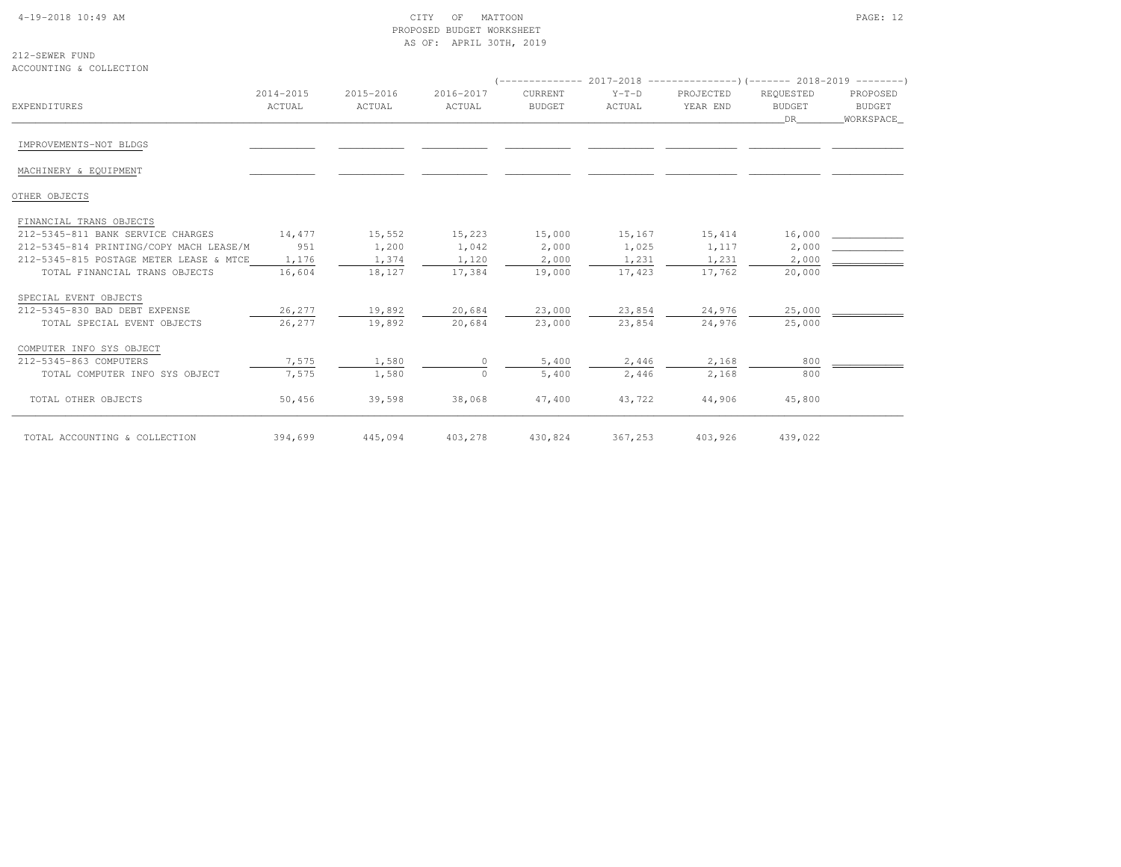## 4-19-2018 10:49 AM CITY OF MATTOON PAGE: 12 PROPOSED BUDGET WORKSHEETAS OF: APRIL 30TH, 2019

212-SEWER FUNDACCOUNTING & COLLECTION

|                                         |                     |                     |                     |                          |                   | $($ -------------- 2017-2018 --------------------- $($ ------- 2018-2019 --------- |                                  |                                  |
|-----------------------------------------|---------------------|---------------------|---------------------|--------------------------|-------------------|------------------------------------------------------------------------------------|----------------------------------|----------------------------------|
| <b>EXPENDITURES</b>                     | 2014-2015<br>ACTUAL | 2015-2016<br>ACTUAL | 2016-2017<br>ACTUAL | CURRENT<br><b>BUDGET</b> | $Y-T-D$<br>ACTUAL | PROJECTED<br>YEAR END                                                              | REQUESTED<br><b>BUDGET</b><br>DR | PROPOSED<br>BUDGET<br>WORKSPACE_ |
| IMPROVEMENTS-NOT BLDGS                  |                     |                     |                     |                          |                   |                                                                                    |                                  |                                  |
| MACHINERY & EQUIPMENT                   |                     |                     |                     |                          |                   |                                                                                    |                                  |                                  |
| OTHER OBJECTS                           |                     |                     |                     |                          |                   |                                                                                    |                                  |                                  |
| FINANCIAL TRANS OBJECTS                 |                     |                     |                     |                          |                   |                                                                                    |                                  |                                  |
| 212-5345-811 BANK SERVICE CHARGES       | 14,477              | 15,552              | 15,223              | 15,000                   | 15,167            | 15,414                                                                             | 16,000                           |                                  |
| 212-5345-814 PRINTING/COPY MACH LEASE/M | 951                 | 1,200               | 1,042               | 2,000                    | 1,025             | 1,117                                                                              | 2,000                            |                                  |
| 212-5345-815 POSTAGE METER LEASE & MTCE | 1,176               | 1,374               | 1,120               | 2,000                    | 1,231             | 1,231                                                                              | 2,000                            |                                  |
| TOTAL FINANCIAL TRANS OBJECTS           | 16,604              | 18,127              | 17,384              | 19,000                   | 17,423            | 17,762                                                                             | 20,000                           |                                  |
| SPECIAL EVENT OBJECTS                   |                     |                     |                     |                          |                   |                                                                                    |                                  |                                  |
| 212-5345-830 BAD DEBT EXPENSE           | 26,277              | 19,892              | 20,684              | 23,000                   | 23,854            | 24,976                                                                             | 25,000                           |                                  |
| TOTAL SPECIAL EVENT OBJECTS             | 26,277              | 19,892              | 20,684              | 23,000                   | 23,854            | 24,976                                                                             | 25,000                           |                                  |
| COMPUTER INFO SYS OBJECT                |                     |                     |                     |                          |                   |                                                                                    |                                  |                                  |
| 212-5345-863 COMPUTERS                  | 7,575               | 1,580               |                     | 5,400                    | 2,446             | 2,168                                                                              | 800                              |                                  |
| TOTAL COMPUTER INFO SYS OBJECT          | 7,575               | 1,580               | $\cap$              | 5,400                    | 2,446             | 2,168                                                                              | 800                              |                                  |
| TOTAL OTHER OBJECTS                     | 50,456              | 39,598              | 38,068              | 47,400                   | 43,722            | 44,906                                                                             | 45,800                           |                                  |
| TOTAL ACCOUNTING & COLLECTION           | 394,699             | 445,094             | 403,278             | 430,824                  | 367,253           | 403,926                                                                            | 439,022                          |                                  |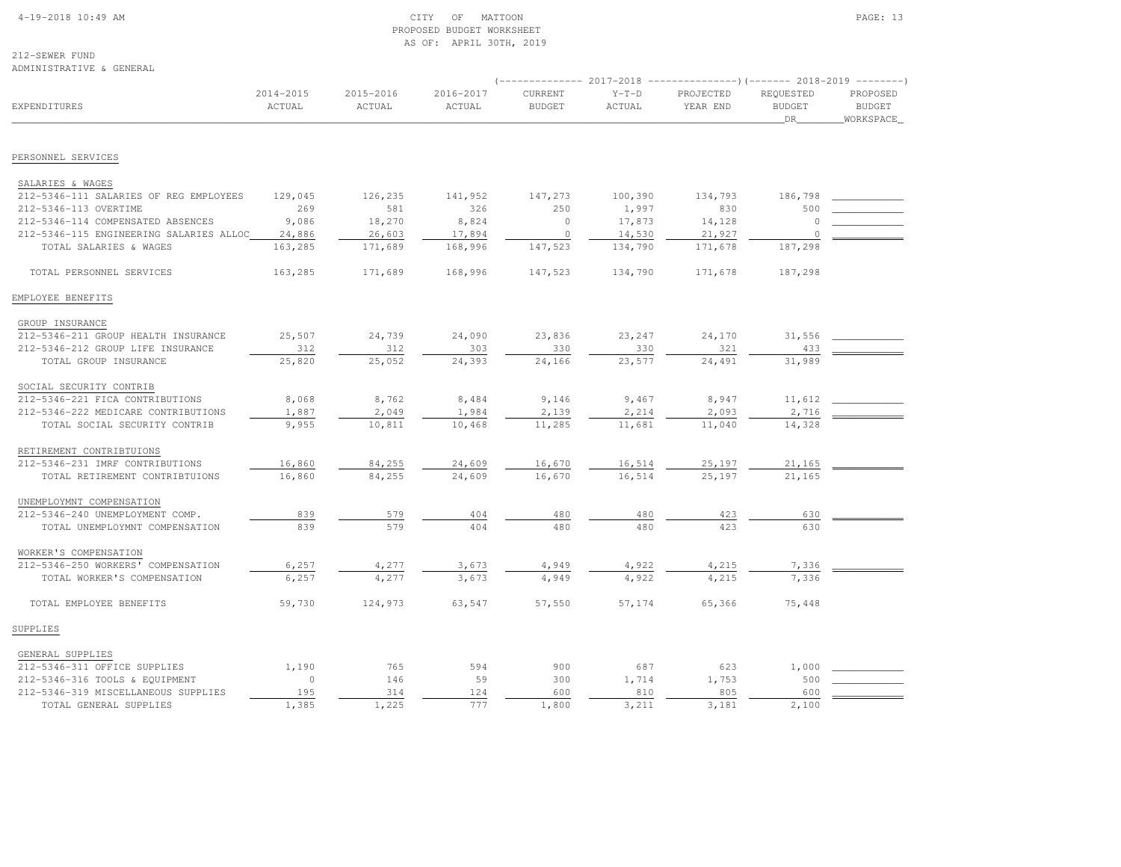#### 4-19-2018 10:49 AM CITY OF MATTOON PAGE: 13 PROPOSED BUDGET WORKSHEETAS OF: APRIL 30TH, 2019

212-SEWER FUNDADMINISTRATIVE & GENERAL

|                                         |                     |                     |                     |                          |                   | $($ -------------- 2017-2018 ----------------) (------- 2018-2019 --------) |                                  |                                        |
|-----------------------------------------|---------------------|---------------------|---------------------|--------------------------|-------------------|-----------------------------------------------------------------------------|----------------------------------|----------------------------------------|
| <b>EXPENDITURES</b>                     | 2014-2015<br>ACTUAL | 2015-2016<br>ACTUAL | 2016-2017<br>ACTUAL | CURRENT<br><b>BUDGET</b> | $Y-T-D$<br>ACTUAL | PROJECTED<br>YEAR END                                                       | REQUESTED<br><b>BUDGET</b><br>DR | PROPOSED<br><b>BUDGET</b><br>WORKSPACE |
|                                         |                     |                     |                     |                          |                   |                                                                             |                                  |                                        |
| PERSONNEL SERVICES                      |                     |                     |                     |                          |                   |                                                                             |                                  |                                        |
| SALARIES & WAGES                        |                     |                     |                     |                          |                   |                                                                             |                                  |                                        |
| 212-5346-111 SALARIES OF REG EMPLOYEES  | 129,045             | 126,235             | 141,952             | 147,273                  | 100,390           | 134,793                                                                     | 186,798                          |                                        |
| 212-5346-113 OVERTIME                   | 269                 | 581                 | 326                 | 250                      | 1,997             | 830                                                                         | 500                              |                                        |
| 212-5346-114 COMPENSATED ABSENCES       | 9,086               | 18,270              | 8,824               | $\circ$                  | 17,873            | 14,128                                                                      | $\Omega$                         |                                        |
| 212-5346-115 ENGINEERING SALARIES ALLOC | 24,886              | 26,603              | 17,894              | $\circ$                  | 14,530            | 21,927                                                                      | $\mathbf 0$                      |                                        |
| TOTAL SALARIES & WAGES                  | 163,285             | 171,689             | 168,996             | 147,523                  | 134,790           | 171,678                                                                     | 187,298                          |                                        |
| TOTAL PERSONNEL SERVICES                | 163,285             | 171,689             | 168,996             | 147,523                  | 134,790           | 171,678                                                                     | 187,298                          |                                        |
| EMPLOYEE BENEFITS                       |                     |                     |                     |                          |                   |                                                                             |                                  |                                        |
| GROUP INSURANCE                         |                     |                     |                     |                          |                   |                                                                             |                                  |                                        |
| 212-5346-211 GROUP HEALTH INSURANCE     | 25,507              | 24,739              | 24,090              | 23,836                   | 23,247            | 24,170                                                                      | 31,556                           |                                        |
| 212-5346-212 GROUP LIFE INSURANCE       | 312                 | 312                 | 303                 | 330                      | 330               | 321                                                                         | 433                              |                                        |
| TOTAL GROUP INSURANCE                   | 25,820              | 25,052              | 24,393              | 24,166                   | 23,577            | 24,491                                                                      | 31,989                           |                                        |
| SOCIAL SECURITY CONTRIB                 |                     |                     |                     |                          |                   |                                                                             |                                  |                                        |
| 212-5346-221 FICA CONTRIBUTIONS         | 8,068               | 8,762               | 8,484               | 9,146                    | 9,467             | 8,947                                                                       | 11,612                           |                                        |
| 212-5346-222 MEDICARE CONTRIBUTIONS     | 1,887               | 2,049               | 1,984               | 2,139                    | 2,214             | 2,093                                                                       | 2,716                            |                                        |
| TOTAL SOCIAL SECURITY CONTRIB           | 9,955               | 10,811              | 10,468              | 11,285                   | 11,681            | 11,040                                                                      | 14,328                           |                                        |
| RETIREMENT CONTRIBTUIONS                |                     |                     |                     |                          |                   |                                                                             |                                  |                                        |
| 212-5346-231 IMRF CONTRIBUTIONS         | 16,860              | 84,255              | 24,609              | 16,670                   | 16,514            | 25,197                                                                      | 21,165                           |                                        |
| TOTAL RETIREMENT CONTRIBTUIONS          | 16,860              | 84,255              | 24,609              | 16,670                   | 16,514            | 25,197                                                                      | 21,165                           |                                        |
| UNEMPLOYMNT COMPENSATION                |                     |                     |                     |                          |                   |                                                                             |                                  |                                        |
| 212-5346-240 UNEMPLOYMENT COMP.         | 839                 | 579                 | 404                 | 480                      | 480               | 423                                                                         | 630                              |                                        |
| TOTAL UNEMPLOYMNT COMPENSATION          | 839                 | 579                 | 404                 | 480                      | 480               | 423                                                                         | 630                              |                                        |
| WORKER'S COMPENSATION                   |                     |                     |                     |                          |                   |                                                                             |                                  |                                        |
| 212-5346-250 WORKERS' COMPENSATION      | 6,257               | 4,277               | 3,673               | 4,949                    | 4,922             | 4,215                                                                       | 7,336                            |                                        |
| TOTAL WORKER'S COMPENSATION             | 6,257               | 4,277               | 3,673               | 4,949                    | 4,922             | 4,215                                                                       | 7,336                            |                                        |
| TOTAL EMPLOYEE BENEFITS                 | 59,730              | 124,973             | 63,547              | 57,550                   | 57,174            | 65,366                                                                      | 75,448                           |                                        |
| SUPPLIES                                |                     |                     |                     |                          |                   |                                                                             |                                  |                                        |
| GENERAL SUPPLIES                        |                     |                     |                     |                          |                   |                                                                             |                                  |                                        |
| 212-5346-311 OFFICE SUPPLIES            | 1,190               | 765                 | 594                 | 900                      | 687               | 623                                                                         | 1,000                            |                                        |
| 212-5346-316 TOOLS & EQUIPMENT          | $\circ$             | 146                 | 59                  | 300                      | 1,714             | 1,753                                                                       | 500                              |                                        |
| 212-5346-319 MISCELLANEOUS SUPPLIES     | 195                 | 314                 | 124                 | 600                      | 810               | 805                                                                         | 600                              |                                        |

TOTAL GENERAL SUPPLIES 1,385 1,225 777 1,800 3,211 3,181 2,100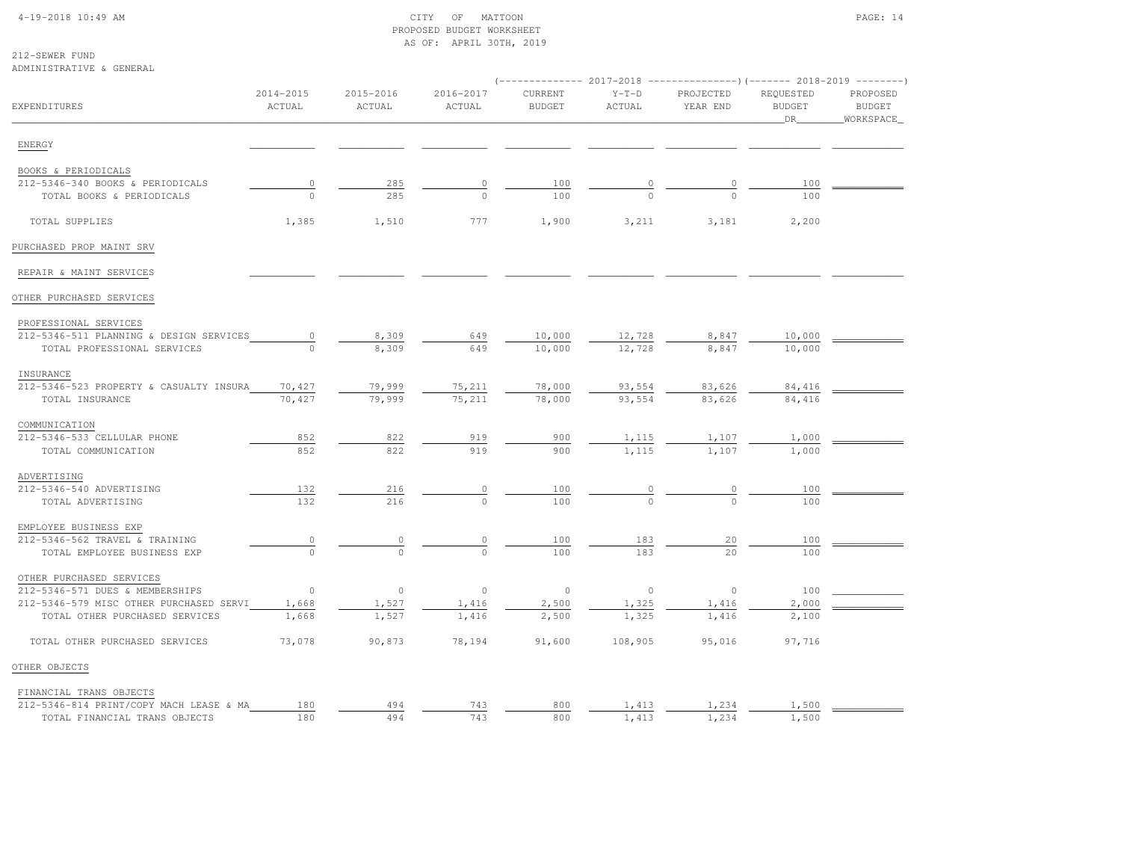# 4-19-2018 10:49 AM CITY OF MATTOON PAGE: 14 PROPOSED BUDGET WORKSHEETAS OF: APRIL 30TH, 2019

212-SEWER FUNDADMINISTRATIVE & GENERAL

|                                         |                     |                     |                     | $($ -------------- 2017-2018 ----------------) (------- 2018-2019 --------) |                   |                       |                                  |                                        |
|-----------------------------------------|---------------------|---------------------|---------------------|-----------------------------------------------------------------------------|-------------------|-----------------------|----------------------------------|----------------------------------------|
| <b>EXPENDITURES</b>                     | 2014-2015<br>ACTUAL | 2015-2016<br>ACTUAL | 2016-2017<br>ACTUAL | CURRENT<br><b>BUDGET</b>                                                    | $Y-T-D$<br>ACTUAL | PROJECTED<br>YEAR END | REQUESTED<br><b>BUDGET</b><br>DR | PROPOSED<br><b>BUDGET</b><br>WORKSPACE |
| ENERGY                                  |                     |                     |                     |                                                                             |                   |                       |                                  |                                        |
| BOOKS & PERIODICALS                     |                     |                     |                     |                                                                             |                   |                       |                                  |                                        |
| 212-5346-340 BOOKS & PERIODICALS        | $\mathbb O$         | 285                 | $\circ$             | 100                                                                         | 0                 | $\circ$               | 100                              |                                        |
| TOTAL BOOKS & PERIODICALS               | $\Omega$            | 285                 | $\cap$              | 100                                                                         | $\cap$            | $\cap$                | 100                              |                                        |
| TOTAL SUPPLIES                          | 1,385               | 1,510               | 777                 | 1,900                                                                       | 3,211             | 3,181                 | 2,200                            |                                        |
| PURCHASED PROP MAINT SRV                |                     |                     |                     |                                                                             |                   |                       |                                  |                                        |
| REPAIR & MAINT SERVICES                 |                     |                     |                     |                                                                             |                   |                       |                                  |                                        |
| OTHER PURCHASED SERVICES                |                     |                     |                     |                                                                             |                   |                       |                                  |                                        |
| PROFESSIONAL SERVICES                   |                     |                     |                     |                                                                             |                   |                       |                                  |                                        |
| 212-5346-511 PLANNING & DESIGN SERVICES | 0                   | 8,309               | 649                 | 10,000                                                                      | 12,728            | 8,847                 | 10,000                           |                                        |
| TOTAL PROFESSIONAL SERVICES             | $\Omega$            | 8,309               | 649                 | 10,000                                                                      | 12,728            | 8,847                 | 10,000                           |                                        |
| INSURANCE                               |                     |                     |                     |                                                                             |                   |                       |                                  |                                        |
| 212-5346-523 PROPERTY & CASUALTY INSURA | 70,427              | 79,999              | 75,211              | 78,000                                                                      | 93,554            | 83,626                | 84,416                           |                                        |
| TOTAL INSURANCE                         | 70,427              | 79,999              | 75,211              | 78,000                                                                      | 93,554            | 83,626                | 84,416                           |                                        |
| COMMUNICATION                           |                     |                     |                     |                                                                             |                   |                       |                                  |                                        |
| 212-5346-533 CELLULAR PHONE             | 852                 | 822                 | 919                 | 900                                                                         | 1,115             | 1,107                 | 1,000                            |                                        |
| TOTAL COMMUNICATION                     | 852                 | 822                 | 919                 | 900                                                                         | 1,115             | 1,107                 | 1,000                            |                                        |
| ADVERTISING                             |                     |                     |                     |                                                                             |                   |                       |                                  |                                        |
| 212-5346-540 ADVERTISING                | 132                 | 216                 | 0                   | 100                                                                         | $\overline{0}$    | $\circ$               | 100                              |                                        |
| TOTAL ADVERTISING                       | 132                 | 216                 | $\Omega$            | 100                                                                         | $\Omega$          | $\cap$                | 100                              |                                        |
| EMPLOYEE BUSINESS EXP                   |                     |                     |                     |                                                                             |                   |                       |                                  |                                        |
| 212-5346-562 TRAVEL & TRAINING          | 0                   | 0                   | 0                   | 100                                                                         | 183               | 20                    | 100                              |                                        |
| TOTAL EMPLOYEE BUSINESS EXP             | $\Omega$            | $\Omega$            | $\Omega$            | 100                                                                         | 183               | 20                    | 100                              |                                        |
| OTHER PURCHASED SERVICES                |                     |                     |                     |                                                                             |                   |                       |                                  |                                        |
| 212-5346-571 DUES & MEMBERSHIPS         | $\circ$             | $\circ$             | $\circ$             | $\circ$                                                                     | $\circ$           | $\circ$               | 100                              |                                        |
| 212-5346-579 MISC OTHER PURCHASED SERVI | 1,668               | 1,527               | 1,416               | 2,500                                                                       | 1,325             | 1,416                 | 2,000                            |                                        |
| TOTAL OTHER PURCHASED SERVICES          | 1,668               | 1,527               | 1,416               | 2,500                                                                       | 1,325             | 1,416                 | 2,100                            |                                        |
| TOTAL OTHER PURCHASED SERVICES          | 73,078              | 90,873              | 78,194              | 91,600                                                                      | 108,905           | 95,016                | 97,716                           |                                        |
| OTHER OBJECTS                           |                     |                     |                     |                                                                             |                   |                       |                                  |                                        |
| FINANCIAL TRANS OBJECTS                 |                     |                     |                     |                                                                             |                   |                       |                                  |                                        |
| 212-5346-814 PRINT/COPY MACH LEASE & MA | 180                 | 494                 | 743                 | 800                                                                         | 1,413             | 1,234                 | 1,500                            |                                        |
| TOTAL FINANCIAL TRANS OBJECTS           | 180                 | 494                 | 743                 | 800                                                                         | 1,413             | 1,234                 | 1,500                            |                                        |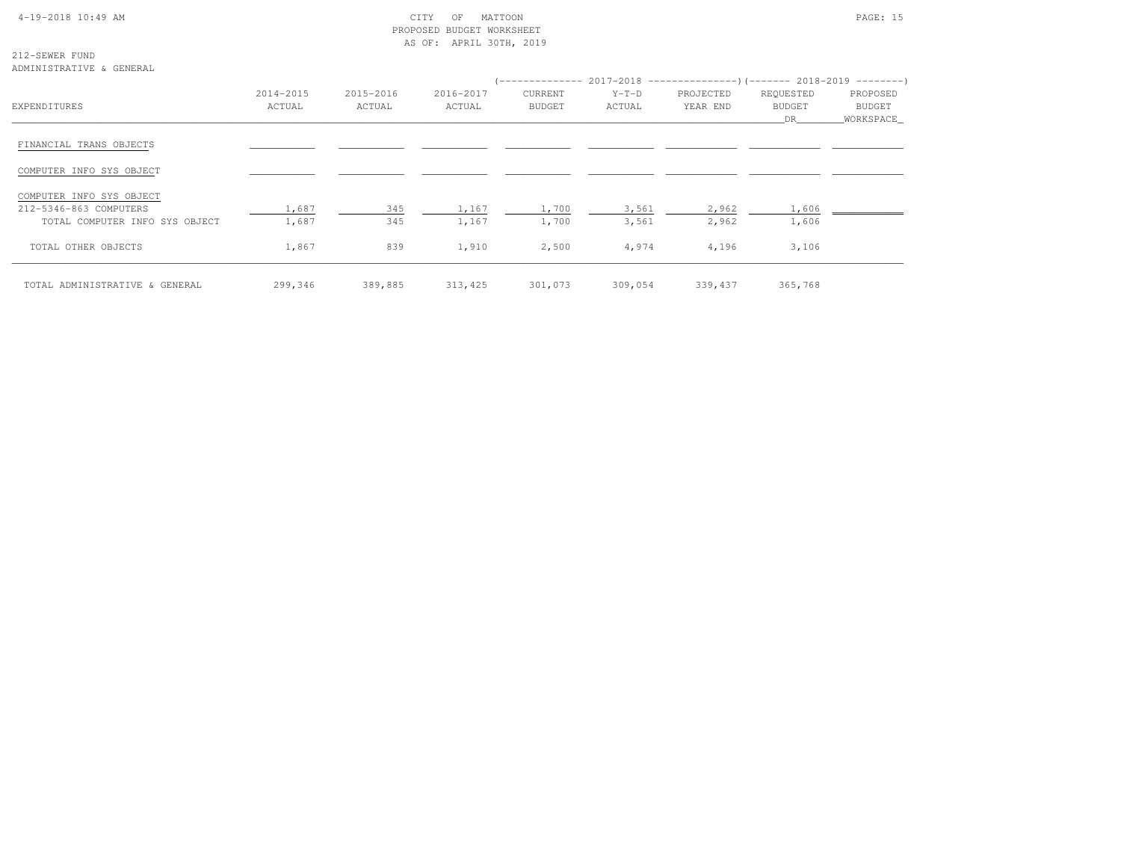# 4-19-2018 10:49 AM CITY OF MATTOON PAGE: 15 PROPOSED BUDGET WORKSHEETAS OF: APRIL 30TH, 2019

212-SEWER FUNDADMINISTRATIVE & GENERAL

| $\ldots$                       |                     |                     |                     |                          |                   |                       | (-------------- 2017-2018 -----------------) (------- 2018-2019 ---------) |                                 |
|--------------------------------|---------------------|---------------------|---------------------|--------------------------|-------------------|-----------------------|----------------------------------------------------------------------------|---------------------------------|
| EXPENDITURES                   | 2014-2015<br>ACTUAL | 2015-2016<br>ACTUAL | 2016-2017<br>ACTUAL | CURRENT<br><b>BUDGET</b> | $Y-T-D$<br>ACTUAL | PROJECTED<br>YEAR END | REQUESTED<br>BUDGET<br>DR                                                  | PROPOSED<br>BUDGET<br>WORKSPACE |
| FINANCIAL TRANS OBJECTS        |                     |                     |                     |                          |                   |                       |                                                                            |                                 |
| COMPUTER INFO SYS OBJECT       |                     |                     |                     |                          |                   |                       |                                                                            |                                 |
| COMPUTER INFO SYS OBJECT       |                     |                     |                     |                          |                   |                       |                                                                            |                                 |
| 212-5346-863 COMPUTERS         | 1,687               | 345                 | 1,167               | 1,700                    | 3,561             | 2,962                 | 1,606                                                                      |                                 |
| TOTAL COMPUTER INFO SYS OBJECT | 1,687               | 345                 | 1,167               | 1,700                    | 3,561             | 2,962                 | 1,606                                                                      |                                 |
| TOTAL OTHER OBJECTS            | 1,867               | 839                 | 1,910               | 2,500                    | 4,974             | 4,196                 | 3,106                                                                      |                                 |
| TOTAL ADMINISTRATIVE & GENERAL | 299,346             | 389,885             | 313,425             | 301,073                  | 309,054           | 339,437               | 365,768                                                                    |                                 |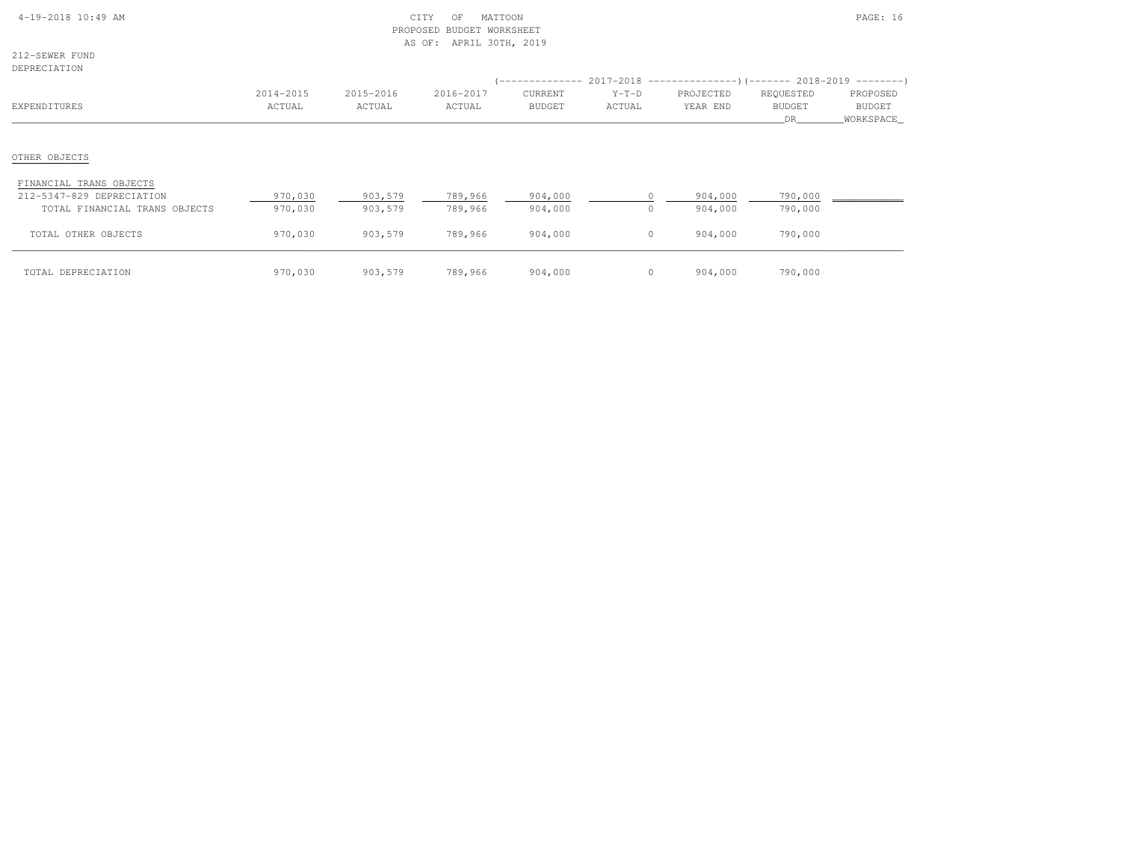| 4-19-2018 10:49 AM |  |  |
|--------------------|--|--|
|                    |  |  |

# $\begin{array}{ccc} \text{CITY} & \text{OF} & \text{MATION} \end{array}$  PROPOSED BUDGET WORKSHEETAS OF: APRIL 30TH, 2019

212-SEWER FUNDDEPRECIATION

| DEPRECIATION                                                                          |                     |                     |                     |                          |                   | (-------------- 2017-2018 -----------------) (------- 2018-2019 ---------) |                                  |                                        |
|---------------------------------------------------------------------------------------|---------------------|---------------------|---------------------|--------------------------|-------------------|----------------------------------------------------------------------------|----------------------------------|----------------------------------------|
| EXPENDITURES                                                                          | 2014-2015<br>ACTUAL | 2015-2016<br>ACTUAL | 2016-2017<br>ACTUAL | CURRENT<br><b>BUDGET</b> | $Y-T-D$<br>ACTUAL | PROJECTED<br>YEAR END                                                      | REQUESTED<br><b>BUDGET</b><br>DR | PROPOSED<br><b>BUDGET</b><br>WORKSPACE |
| OTHER OBJECTS                                                                         |                     |                     |                     |                          |                   |                                                                            |                                  |                                        |
| FINANCIAL TRANS OBJECTS<br>212-5347-829 DEPRECIATION<br>TOTAL FINANCIAL TRANS OBJECTS | 970,030<br>970,030  | 903,579<br>903,579  | 789,966<br>789,966  | 904,000<br>904,000       | $\Omega$          | 904,000<br>904,000                                                         | 790,000<br>790,000               |                                        |
| TOTAL OTHER OBJECTS                                                                   | 970,030             | 903,579             | 789,966             | 904,000                  | $\circ$           | 904,000                                                                    | 790,000                          |                                        |
| TOTAL DEPRECIATION                                                                    | 970,030             | 903,579             | 789,966             | 904,000                  |                   | 904,000                                                                    | 790,000                          |                                        |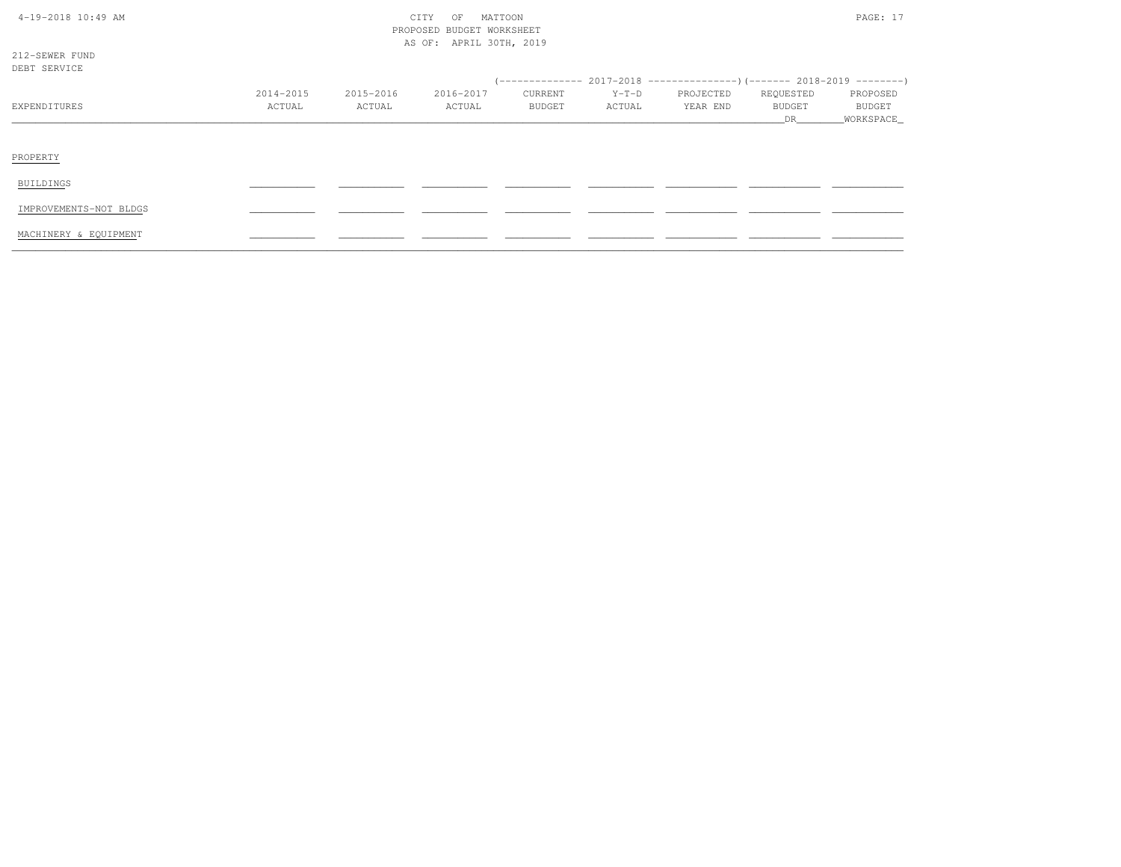| $4-19-2018$ $10:49$ AM |
|------------------------|
|------------------------|

# $\text{CITY}$  of MATTOON  $\text{PAGE: } 17$  PROPOSED BUDGET WORKSHEETAS OF: APRIL 30TH, 2019

212-SEWER FUNDDEBT SERVICE

| DEBT SERVICE           |           |           |           |         |         |           |           |                                                                            |
|------------------------|-----------|-----------|-----------|---------|---------|-----------|-----------|----------------------------------------------------------------------------|
|                        |           |           |           |         |         |           |           | (-------------- 2017-2018 -----------------) (------- 2018-2019 ---------) |
|                        | 2014-2015 | 2015-2016 | 2016-2017 | CURRENT | $Y-T-D$ | PROJECTED | REQUESTED | PROPOSED                                                                   |
| EXPENDITURES           | ACTUAL    | ACTUAL    | ACTUAL    | BUDGET  | ACTUAL  | YEAR END  | BUDGET    | <b>BUDGET</b>                                                              |
|                        |           |           |           |         |         |           | DR        | _WORKSPACE_                                                                |
|                        |           |           |           |         |         |           |           |                                                                            |
| PROPERTY               |           |           |           |         |         |           |           |                                                                            |
| BUILDINGS              |           |           |           |         |         |           |           |                                                                            |
| IMPROVEMENTS-NOT BLDGS |           |           |           |         |         |           |           |                                                                            |
| MACHINERY & EQUIPMENT  |           |           |           |         |         |           |           |                                                                            |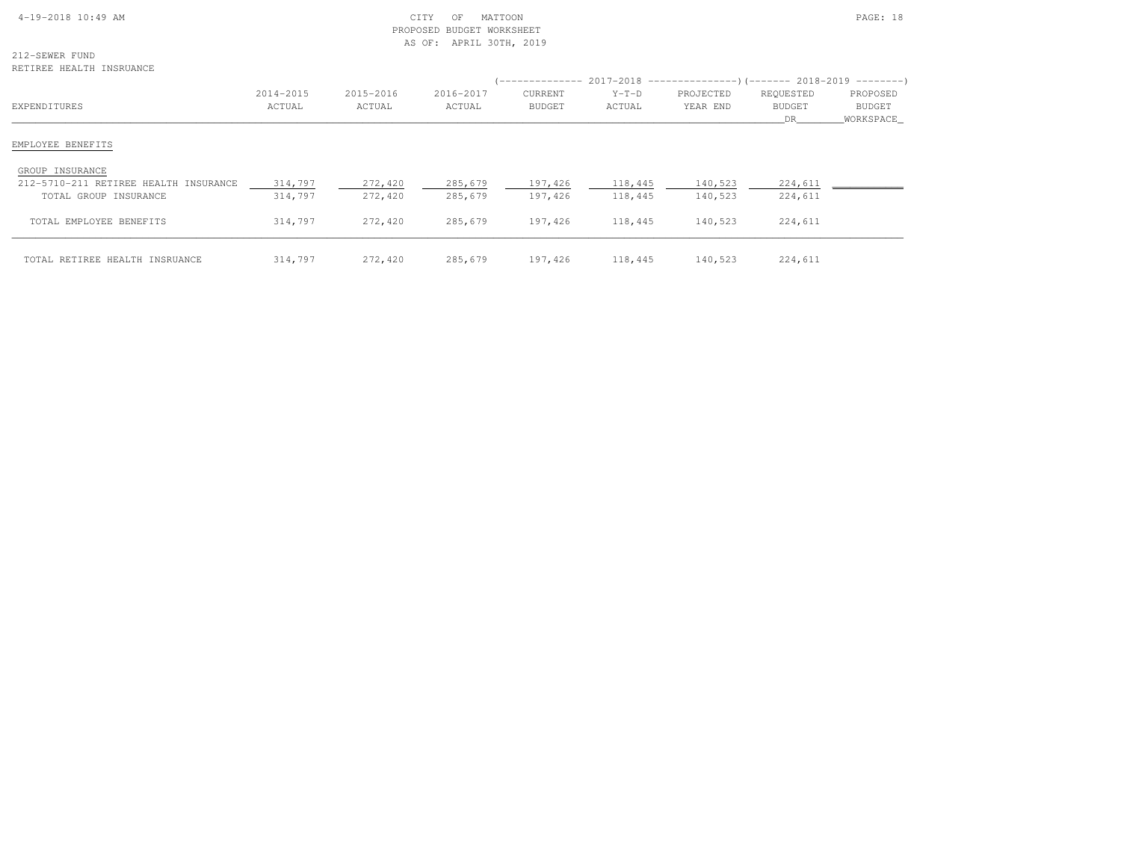| $4-19-2018$ 10:49 AM |  |
|----------------------|--|

# $\begin{array}{ccc} \text{CITY} & \text{OF} & \text{MATION} \end{array}$  PROPOSED BUDGET WORKSHEETAS OF: APRIL 30TH, 2019

212-SEWER FUNDRETIREE HEALTH INSRUANCE

| .wirinu nonisti invonvolu             |                     |                     |                     |                          |                   | (-------------- 2017-2018 -----------------) (------- 2018-2019 ---------) |                                  |                                        |
|---------------------------------------|---------------------|---------------------|---------------------|--------------------------|-------------------|----------------------------------------------------------------------------|----------------------------------|----------------------------------------|
| EXPENDITURES                          | 2014-2015<br>ACTUAL | 2015-2016<br>ACTUAL | 2016-2017<br>ACTUAL | CURRENT<br><b>BUDGET</b> | $Y-T-D$<br>ACTUAL | PROJECTED<br>YEAR END                                                      | REQUESTED<br><b>BUDGET</b><br>DR | PROPOSED<br><b>BUDGET</b><br>WORKSPACE |
| EMPLOYEE BENEFITS                     |                     |                     |                     |                          |                   |                                                                            |                                  |                                        |
| GROUP INSURANCE                       |                     |                     |                     |                          |                   |                                                                            |                                  |                                        |
| 212-5710-211 RETIREE HEALTH INSURANCE | 314,797             | 272,420             | 285,679             | 197,426                  | 118,445           | 140,523                                                                    | 224,611                          |                                        |
| TOTAL GROUP INSURANCE                 | 314,797             | 272,420             | 285,679             | 197,426                  | 118,445           | 140,523                                                                    | 224,611                          |                                        |
| TOTAL EMPLOYEE BENEFITS               | 314,797             | 272,420             | 285,679             | 197,426                  | 118,445           | 140,523                                                                    | 224,611                          |                                        |
| TOTAL RETIREE HEALTH INSRUANCE        | 314,797             | 272,420             | 285,679             | 197,426                  | 118,445           | 140,523                                                                    | 224,611                          |                                        |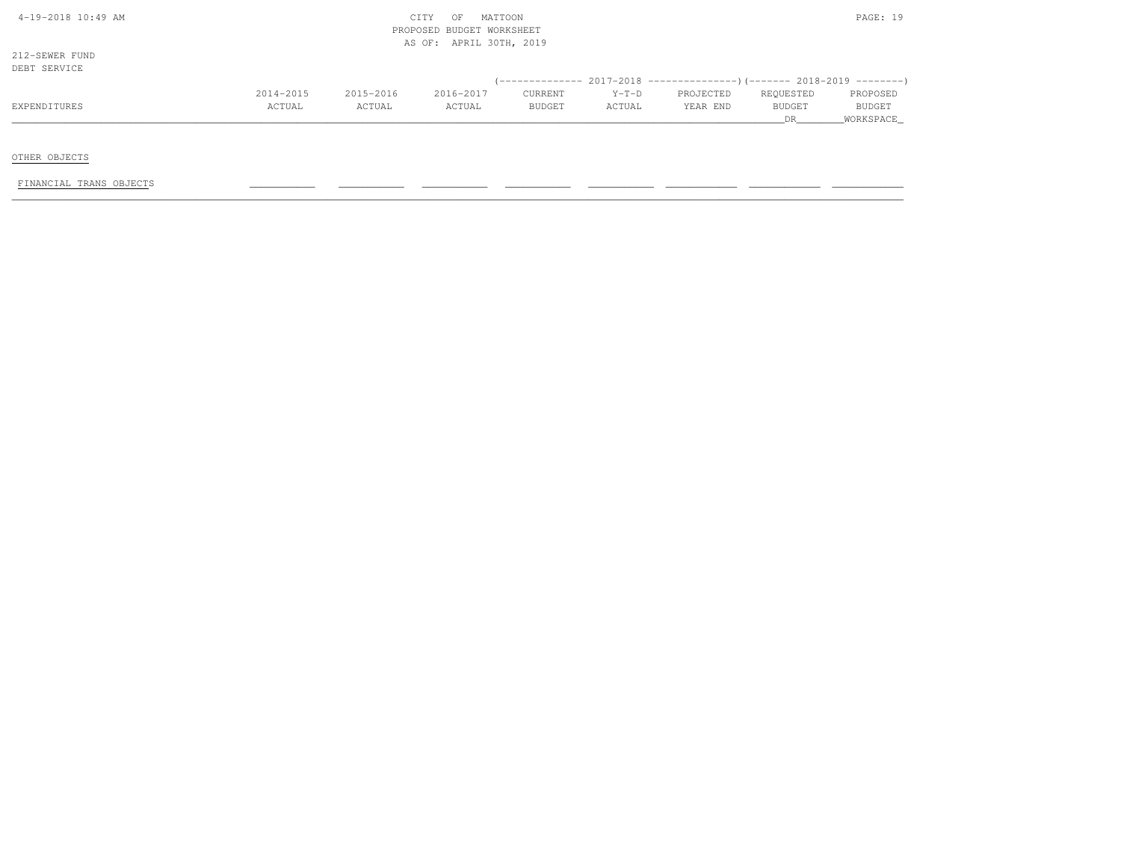| 4-19-2018 10:49 AM |  |
|--------------------|--|
|                    |  |

# $\begin{array}{ccc} \text{CITY} & \text{OF} & \text{MATION} \end{array}$  PROPOSED BUDGET WORKSHEETAS OF: APRIL 30TH, 2019

212-SEWER FUNDDEBT SERVICE

| DEBI SEKVICE |           |           |           |               |         |                                                                         |               |               |
|--------------|-----------|-----------|-----------|---------------|---------|-------------------------------------------------------------------------|---------------|---------------|
|              |           |           |           |               |         | (-------------- 2017-2018 ----------------)(------- 2018-2019 --------) |               |               |
|              | 2014-2015 | 2015-2016 | 2016-2017 | CURRENT       | $Y-T-D$ | PROJECTED                                                               | REOUESTED     | PROPOSED      |
| EXPENDITURES | ACTUAL    | ACTUAL    | ACTUAL    | <b>BUDGET</b> | ACTUAL  | YEAR END                                                                | <b>BUDGET</b> | <b>BUDGET</b> |
|              |           |           |           |               |         |                                                                         |               | WORKSPACE     |

OTHER OBJECTS

FINANCIAL TRANS OBJECTS \_\_\_\_\_\_\_\_\_\_\_ \_\_\_\_\_\_\_\_\_\_\_ \_\_\_\_\_\_\_\_\_\_\_ \_\_\_\_\_\_\_\_\_\_\_ \_\_\_\_\_\_\_\_\_\_\_ \_\_\_\_\_\_\_\_\_\_\_\_ \_\_\_\_\_\_\_\_\_\_\_\_ \_\_\_\_\_\_\_\_\_\_\_\_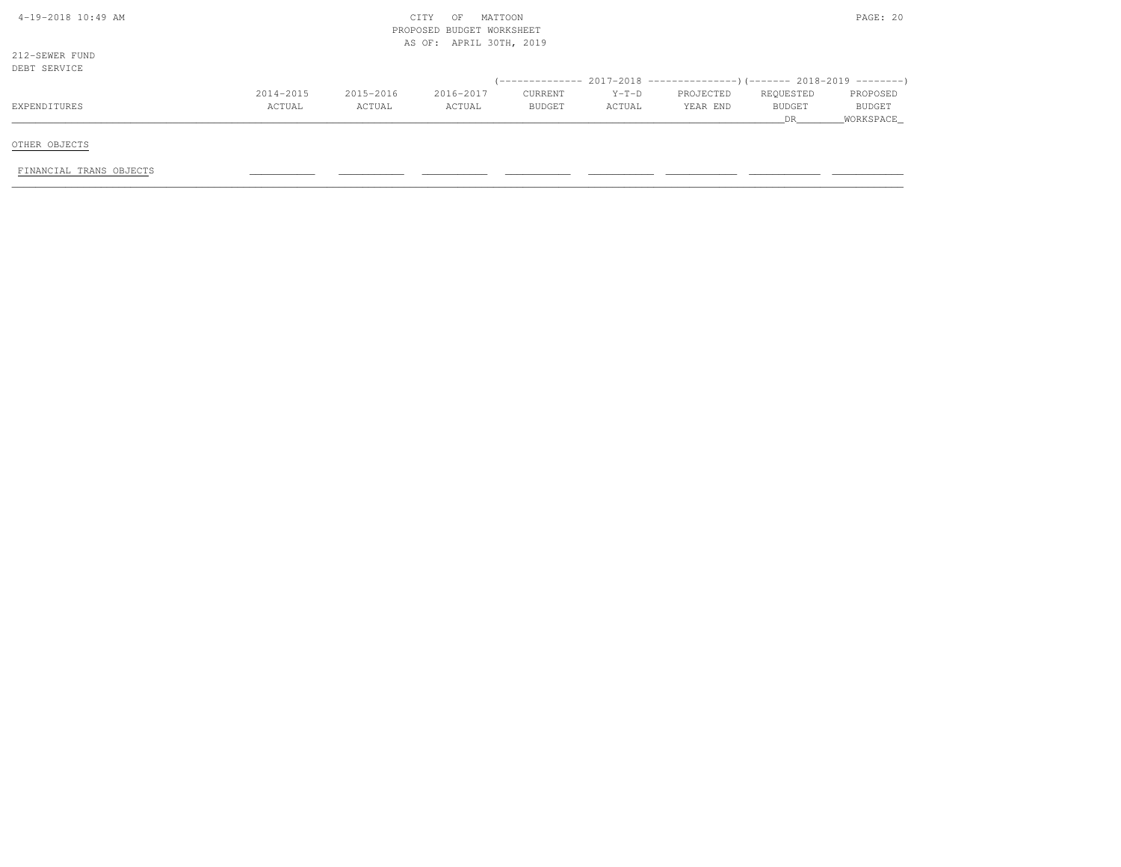| $4-19-2018$ $10:49$ AM         |                     |                     | OF<br>CITY<br>PROPOSED BUDGET WORKSHEET | MATTOON           |                   |                                                                              |                            | PAGE: 20                  |
|--------------------------------|---------------------|---------------------|-----------------------------------------|-------------------|-------------------|------------------------------------------------------------------------------|----------------------------|---------------------------|
| 212-SEWER FUND<br>DEBT SERVICE |                     |                     | AS OF: APRIL 30TH, 2019                 |                   |                   |                                                                              |                            |                           |
|                                |                     |                     |                                         |                   |                   | $(-$ ------------- 2017-2018 -----------------)(------- 2018-2019 ---------) |                            |                           |
| EXPENDITURES                   | 2014-2015<br>ACTUAL | 2015-2016<br>ACTUAL | 2016-2017<br>ACTUAL                     | CURRENT<br>BUDGET | $Y-T-D$<br>ACTUAL | PROJECTED<br>YEAR END                                                        | REQUESTED<br><b>BUDGET</b> | PROPOSED<br><b>BUDGET</b> |
|                                |                     |                     |                                         |                   |                   |                                                                              | DR                         | WORKSPACE                 |
| OTHER OBJECTS                  |                     |                     |                                         |                   |                   |                                                                              |                            |                           |
| FINANCIAL TRANS OBJECTS        |                     |                     |                                         |                   |                   |                                                                              |                            |                           |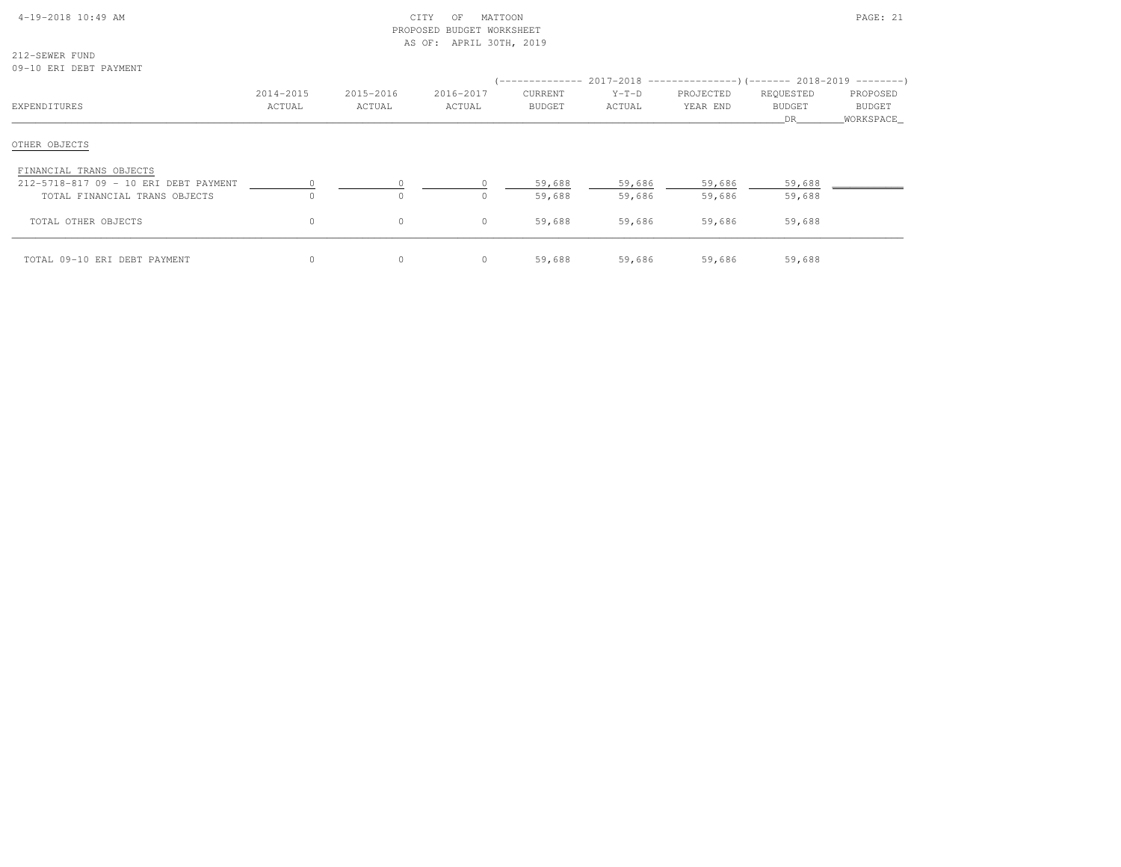| $4-19-2018$ $10:49$ AM |  |
|------------------------|--|

# $\text{CHY}$  OF MATTOON PAGE: 21 PROPOSED BUDGET WORKSHEETAS OF: APRIL 30TH, 2019

212-SEWER FUND09-10 ERI DEBT PAYMENT

|                                       | 2014-2015 | 2015-2016 | 2016-2017 | CURRENT       | $Y-T-D$ | (-------------- 2017-2018 ----------------) (------- 2018-2019 ---------)<br>PROJECTED | REQUESTED           | PROPOSED                   |
|---------------------------------------|-----------|-----------|-----------|---------------|---------|----------------------------------------------------------------------------------------|---------------------|----------------------------|
| EXPENDITURES                          | ACTUAL    | ACTUAL    | ACTUAL    | <b>BUDGET</b> | ACTUAL  | YEAR END                                                                               | <b>BUDGET</b><br>DR | <b>BUDGET</b><br>WORKSPACE |
| OTHER OBJECTS                         |           |           |           |               |         |                                                                                        |                     |                            |
| FINANCIAL TRANS OBJECTS               |           |           |           |               |         |                                                                                        |                     |                            |
| 212-5718-817 09 - 10 ERI DEBT PAYMENT |           |           |           | 59,688        | 59,686  | 59,686                                                                                 | 59,688              |                            |
| TOTAL FINANCIAL TRANS OBJECTS         |           | $\circ$   |           | 59,688        | 59,686  | 59,686                                                                                 | 59,688              |                            |
| TOTAL OTHER OBJECTS                   | $\circ$   | $\circ$   | $\Omega$  | 59,688        | 59,686  | 59,686                                                                                 | 59,688              |                            |
| TOTAL 09-10 ERI DEBT PAYMENT          | $\circ$   | 0         | 0         | 59,688        | 59,686  | 59,686                                                                                 | 59,688              |                            |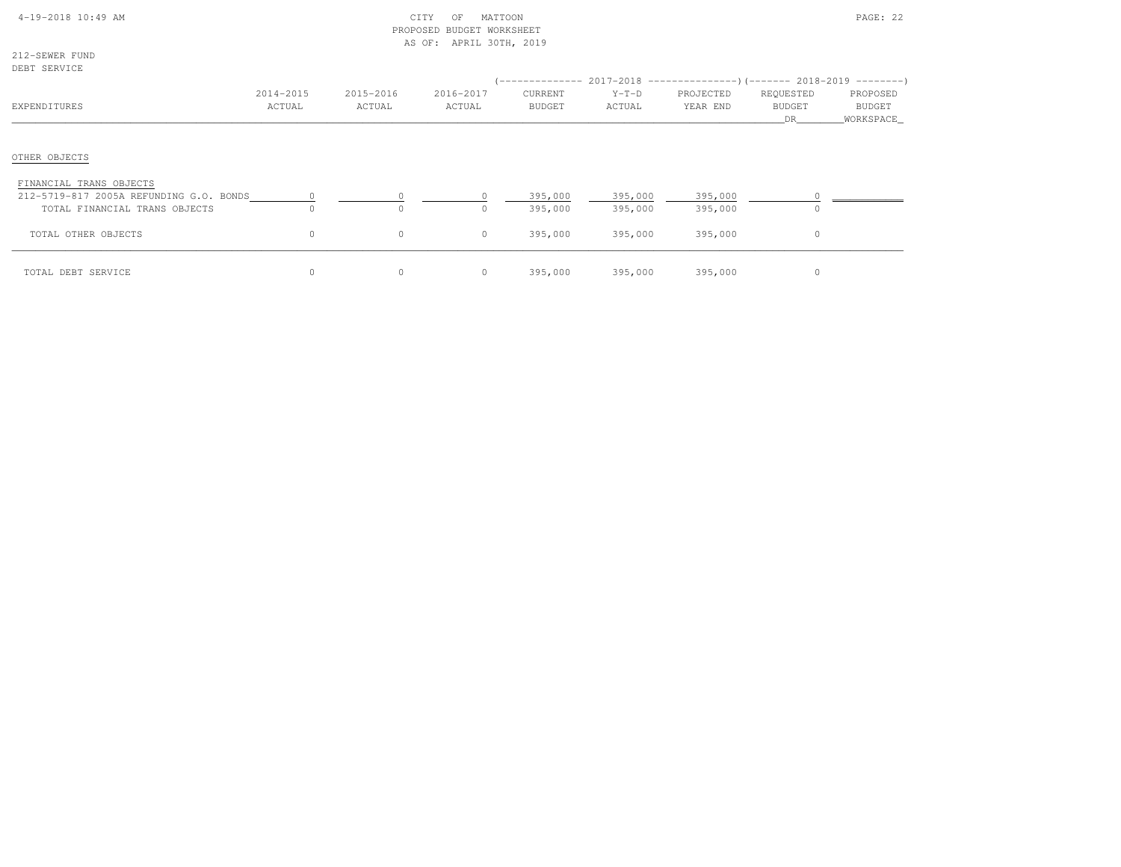| 4-19-2018 10:49 AM |  |  |
|--------------------|--|--|
|                    |  |  |

# $\text{CITY}$  of MATTOON  $\text{PAGE: } 22$  PROPOSED BUDGET WORKSHEETAS OF: APRIL 30TH, 2019

212-SEWER FUNDDEBT SERVICE

| DEBI SEKVICE                                                                                        |                     |                     |                     |                                 |                    | $($ -------------- 2017-2018 -----------------) (------- 2018-2019 ---------) |                                  |                                   |
|-----------------------------------------------------------------------------------------------------|---------------------|---------------------|---------------------|---------------------------------|--------------------|-------------------------------------------------------------------------------|----------------------------------|-----------------------------------|
| EXPENDITURES                                                                                        | 2014-2015<br>ACTUAL | 2015-2016<br>ACTUAL | 2016-2017<br>ACTUAL | <b>CURRENT</b><br><b>BUDGET</b> | $Y-T-D$<br>ACTUAL  | PROJECTED<br>YEAR END                                                         | REQUESTED<br><b>BUDGET</b><br>DR | PROPOSED<br>BUDGET<br>_WORKSPACE_ |
| OTHER OBJECTS                                                                                       |                     |                     |                     |                                 |                    |                                                                               |                                  |                                   |
| FINANCIAL TRANS OBJECTS<br>212-5719-817 2005A REFUNDING G.O. BONDS<br>TOTAL FINANCIAL TRANS OBJECTS | $\Omega$            | $\Omega$            |                     | 395,000<br>395,000              | 395,000<br>395,000 | 395,000<br>395,000                                                            |                                  |                                   |
| TOTAL OTHER OBJECTS                                                                                 | $\circ$             | $\circ$             | $\circ$             | 395,000                         | 395,000            | 395,000                                                                       | 0                                |                                   |
| TOTAL DEBT SERVICE                                                                                  | $\circ$             | $\circ$             | 0                   | 395,000                         | 395,000            | 395,000                                                                       |                                  |                                   |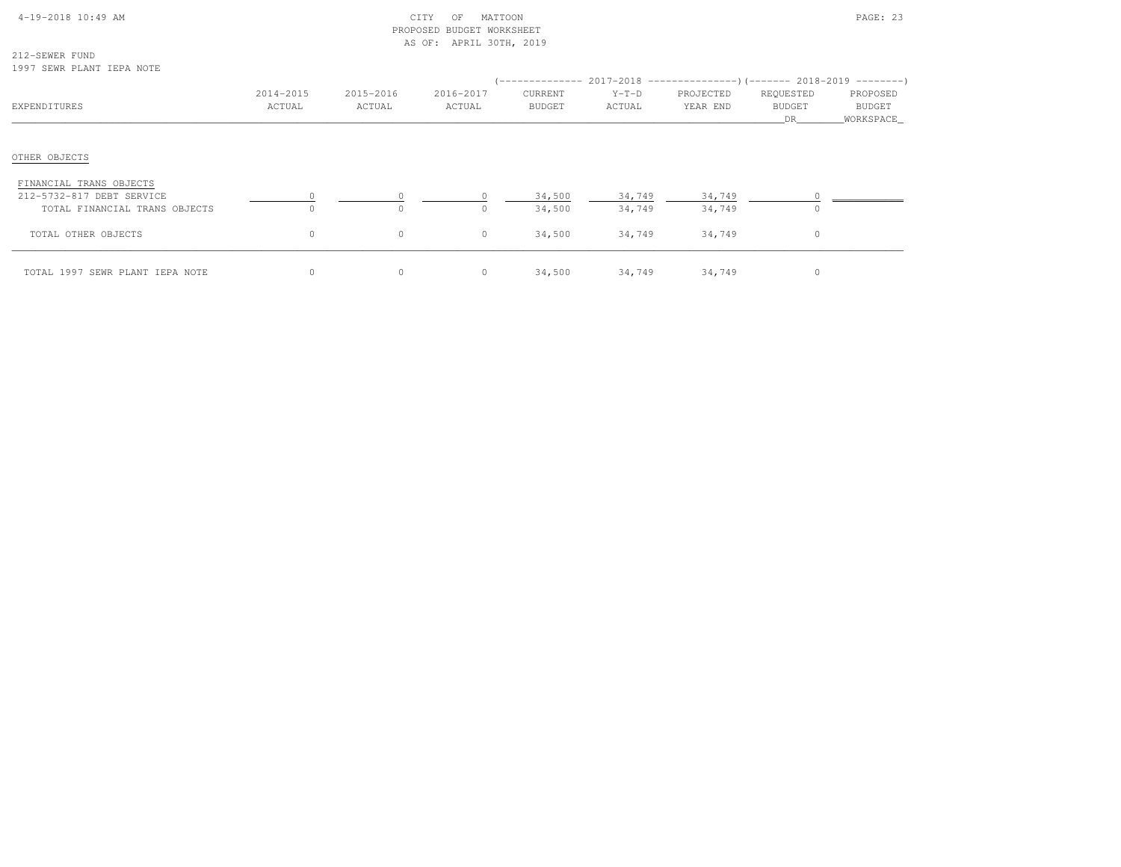| $4-19-2018$ 10:49 AM |  |  |
|----------------------|--|--|

# $\text{CITY}$  of MATTOON  $\text{PAGE: } 23$  PROPOSED BUDGET WORKSHEETAS OF: APRIL 30TH, 2019

212-SEWER FUND1997 SEWR PLANT IEPA NOTE

| 1997 ULINI LEHINI ILILIN NOIB                                                         |                     |                     |                     |                          |                   | $($ -------------- 2017-2018 ----------------) (------- 2018-2019 ---------) |                                  |                                 |
|---------------------------------------------------------------------------------------|---------------------|---------------------|---------------------|--------------------------|-------------------|------------------------------------------------------------------------------|----------------------------------|---------------------------------|
| EXPENDITURES                                                                          | 2014-2015<br>ACTUAL | 2015-2016<br>ACTUAL | 2016-2017<br>ACTUAL | CURRENT<br><b>BUDGET</b> | $Y-T-D$<br>ACTUAL | PROJECTED<br>YEAR END                                                        | REQUESTED<br><b>BUDGET</b><br>DR | PROPOSED<br>BUDGET<br>WORKSPACE |
| OTHER OBJECTS                                                                         |                     |                     |                     |                          |                   |                                                                              |                                  |                                 |
| FINANCIAL TRANS OBJECTS<br>212-5732-817 DEBT SERVICE<br>TOTAL FINANCIAL TRANS OBJECTS | $\Omega$            | $\Omega$            | $\Omega$            | 34,500<br>34,500         | 34,749<br>34,749  | 34,749<br>34,749                                                             | $\Omega$                         |                                 |
| TOTAL OTHER OBJECTS                                                                   | $\circ$             | $\circ$             | $\circ$             | 34,500                   | 34,749            | 34,749                                                                       | $\circ$                          |                                 |
| TOTAL 1997 SEWR PLANT IEPA NOTE                                                       | $\circ$             | $\circ$             | $\circ$             | 34,500                   | 34,749            | 34,749                                                                       | 0                                |                                 |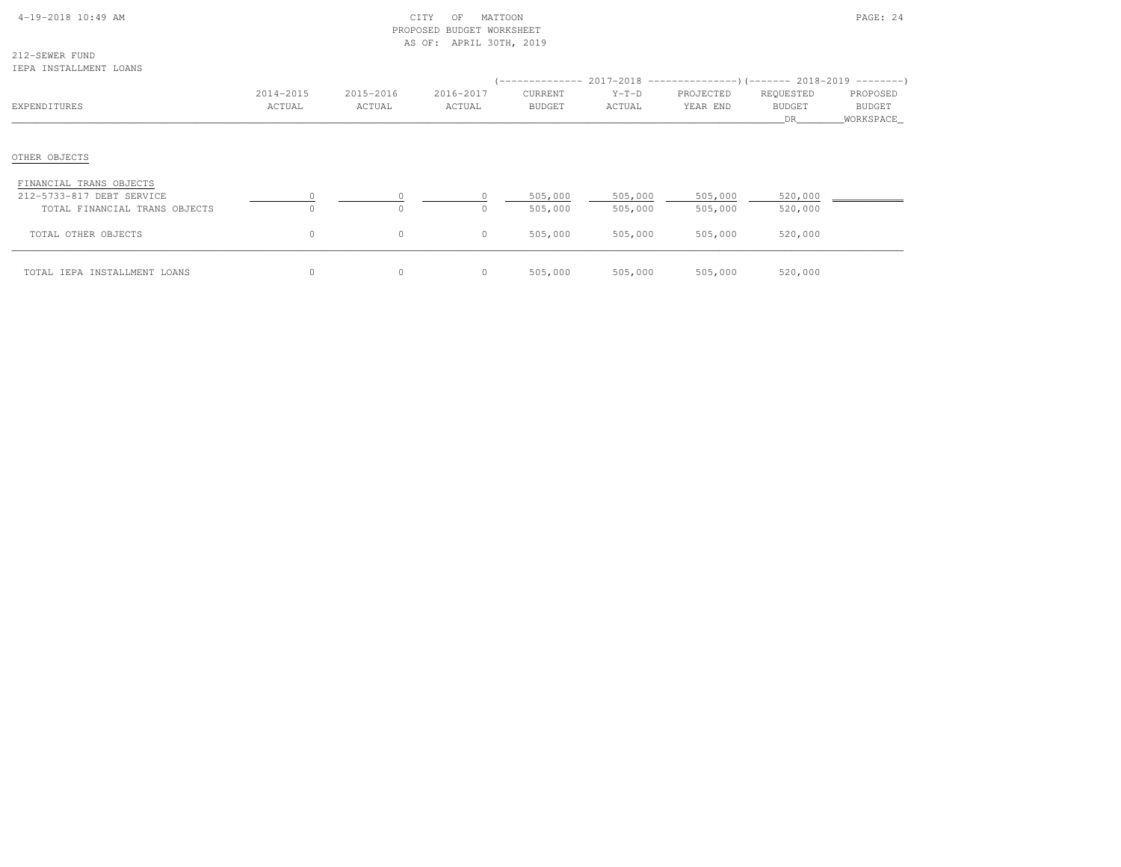| $4-19-2018$ 10:49 AM |  |
|----------------------|--|

# CITY OF MATTOON **PAGE: 24**  PROPOSED BUDGET WORKSHEETAS OF: APRIL 30TH, 2019

212-SEWER FUNDIEPA INSTALLMENT LOANS

| ------ ---------------- ------                                                        |                     |                     |                      |                    |                    |                       |                                         |                                 |
|---------------------------------------------------------------------------------------|---------------------|---------------------|----------------------|--------------------|--------------------|-----------------------|-----------------------------------------|---------------------------------|
| EXPENDITURES                                                                          | 2014-2015<br>ACTUAL | 2015-2016<br>ACTUAL | 2016-2017<br>ACTUAL  | CURRENT<br>BUDGET  | $Y-T-D$<br>ACTUAL  | PROJECTED<br>YEAR END | REQUESTED<br><b>BUDGET</b><br><b>DR</b> | PROPOSED<br>BUDGET<br>WORKSPACE |
| OTHER OBJECTS                                                                         |                     |                     |                      |                    |                    |                       |                                         |                                 |
| FINANCIAL TRANS OBJECTS<br>212-5733-817 DEBT SERVICE<br>TOTAL FINANCIAL TRANS OBJECTS |                     | $\circ$<br>$\Omega$ | $\Omega$<br>$\Omega$ | 505,000<br>505,000 | 505,000<br>505,000 | 505,000<br>505,000    | 520,000<br>520,000                      |                                 |
| TOTAL OTHER OBJECTS                                                                   | $\circ$             | $\circ$             | $\circ$              | 505,000            | 505,000            | 505,000               | 520,000                                 |                                 |
| TOTAL IEPA INSTALLMENT LOANS                                                          |                     | 0                   | $\circ$              | 505,000            | 505,000            | 505,000               | 520,000                                 |                                 |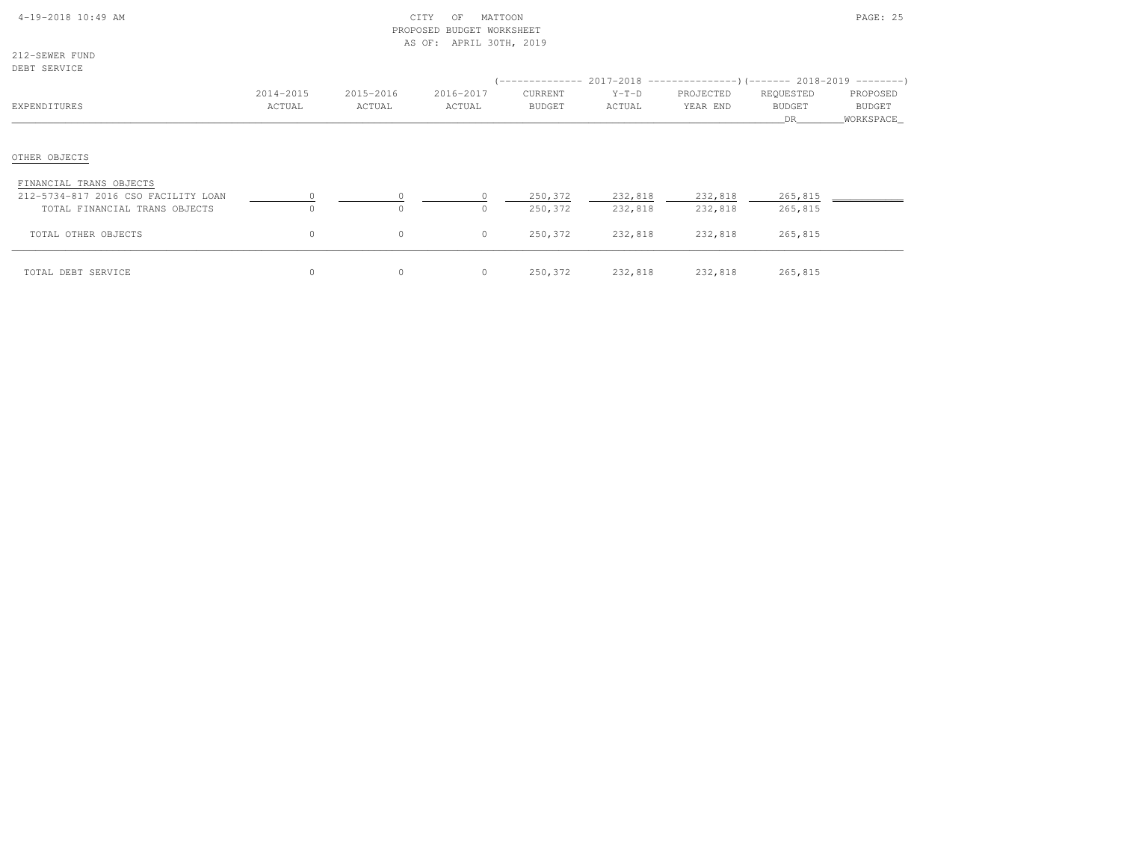| 4-19-2018 10:49 AM |  |  |
|--------------------|--|--|
|                    |  |  |

# $\text{CITY}$  of MATTOON  $\text{PAGE: } 25$  PROPOSED BUDGET WORKSHEETAS OF: APRIL 30TH, 2019

212-SEWER FUNDDEBT SERVICE

| DEDI SEKVICE                             |                     |                     |                     | (-------------- 2017-2018 -----------------) (------- 2018-2019 ---------) |                   |                       |                                   |                                 |
|------------------------------------------|---------------------|---------------------|---------------------|----------------------------------------------------------------------------|-------------------|-----------------------|-----------------------------------|---------------------------------|
| EXPENDITURES                             | 2014-2015<br>ACTUAL | 2015-2016<br>ACTUAL | 2016-2017<br>ACTUAL | CURRENT<br><b>BUDGET</b>                                                   | $Y-T-D$<br>ACTUAL | PROJECTED<br>YEAR END | REQUESTED<br><b>BUDGET</b><br>DR. | PROPOSED<br>BUDGET<br>WORKSPACE |
|                                          |                     |                     |                     |                                                                            |                   |                       |                                   |                                 |
| OTHER OBJECTS<br>FINANCIAL TRANS OBJECTS |                     |                     |                     |                                                                            |                   |                       |                                   |                                 |
| 212-5734-817 2016 CSO FACILITY LOAN      |                     |                     |                     | 250,372                                                                    | 232,818           | 232,818               | 265,815                           |                                 |
| TOTAL FINANCIAL TRANS OBJECTS            | $\Omega$            | $\Omega$            | $\Omega$            | 250,372                                                                    | 232,818           | 232,818               | 265,815                           |                                 |
| TOTAL OTHER OBJECTS                      | $\circ$             | $\circ$             | $\circ$             | 250,372                                                                    | 232,818           | 232,818               | 265,815                           |                                 |
| TOTAL DEBT SERVICE                       | $\Omega$            | $\circ$             | $\circ$             | 250,372                                                                    | 232,818           | 232,818               | 265,815                           |                                 |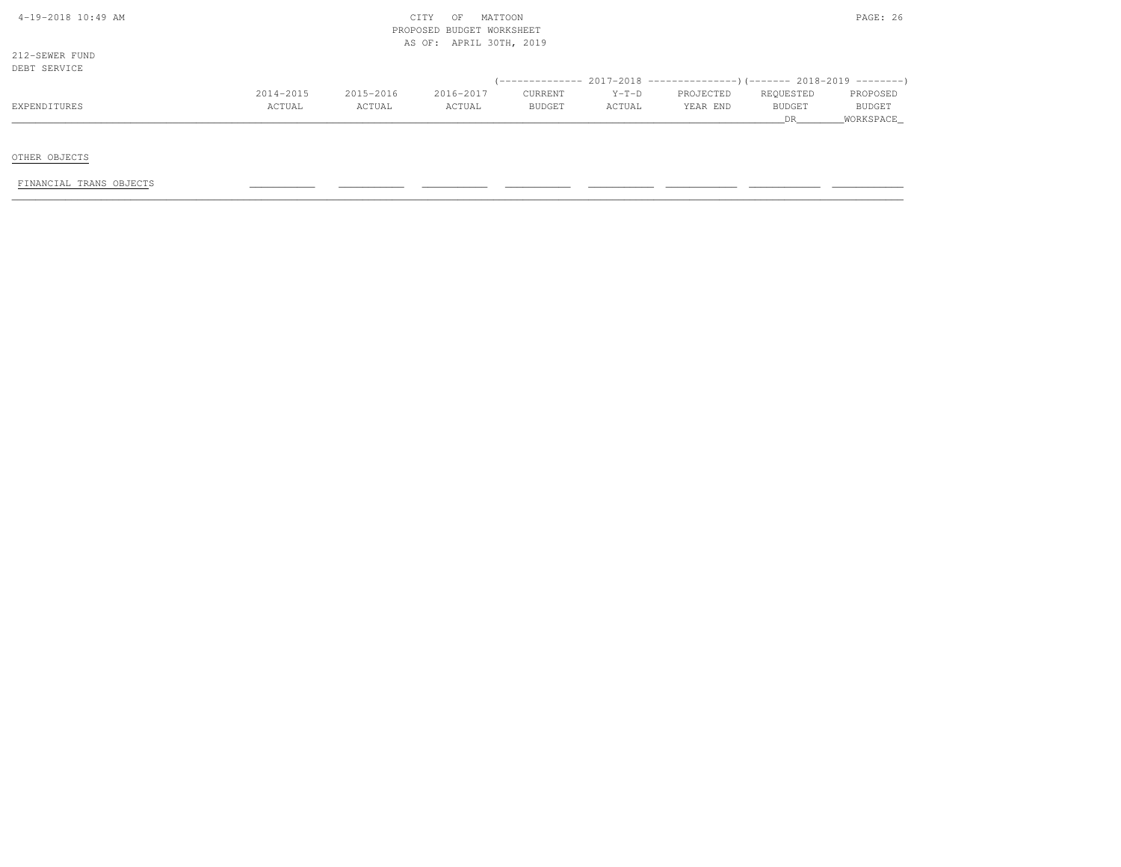| 4-19-2018 10:49 AM |  |
|--------------------|--|
|                    |  |

# $CITY$  OF MATTOON PAGE: 26 PROPOSED BUDGET WORKSHEETAS OF: APRIL 30TH, 2019

212-SEWER FUNDDEBT SERVICE

| DEBT SERVICE |           |           |           |               |         |                                                                          |           |               |
|--------------|-----------|-----------|-----------|---------------|---------|--------------------------------------------------------------------------|-----------|---------------|
|              |           |           |           |               |         | (-------------- 2017-2018 ----------------) (------- 2018-2019 --------) |           |               |
|              | 2014-2015 | 2015-2016 | 2016-2017 | CURRENT       | $Y-T-D$ | PROJECTED                                                                | REQUESTED | PROPOSED      |
| EXPENDITURES | ACTUAL    | ACTUAL    | ACTUAL    | <b>BUDGET</b> | ACTUAL  | YEAR END                                                                 | BUDGET    | <b>BUDGET</b> |
|              |           |           |           |               |         |                                                                          |           | WORKSPACE     |

OTHER OBJECTS

FINANCIAL TRANS OBJECTS \_\_\_\_\_\_\_\_\_\_\_ \_\_\_\_\_\_\_\_\_\_\_ \_\_\_\_\_\_\_\_\_\_\_ \_\_\_\_\_\_\_\_\_\_\_ \_\_\_\_\_\_\_\_\_\_\_ \_\_\_\_\_\_\_\_\_\_\_\_ \_\_\_\_\_\_\_\_\_\_\_\_ \_\_\_\_\_\_\_\_\_\_\_\_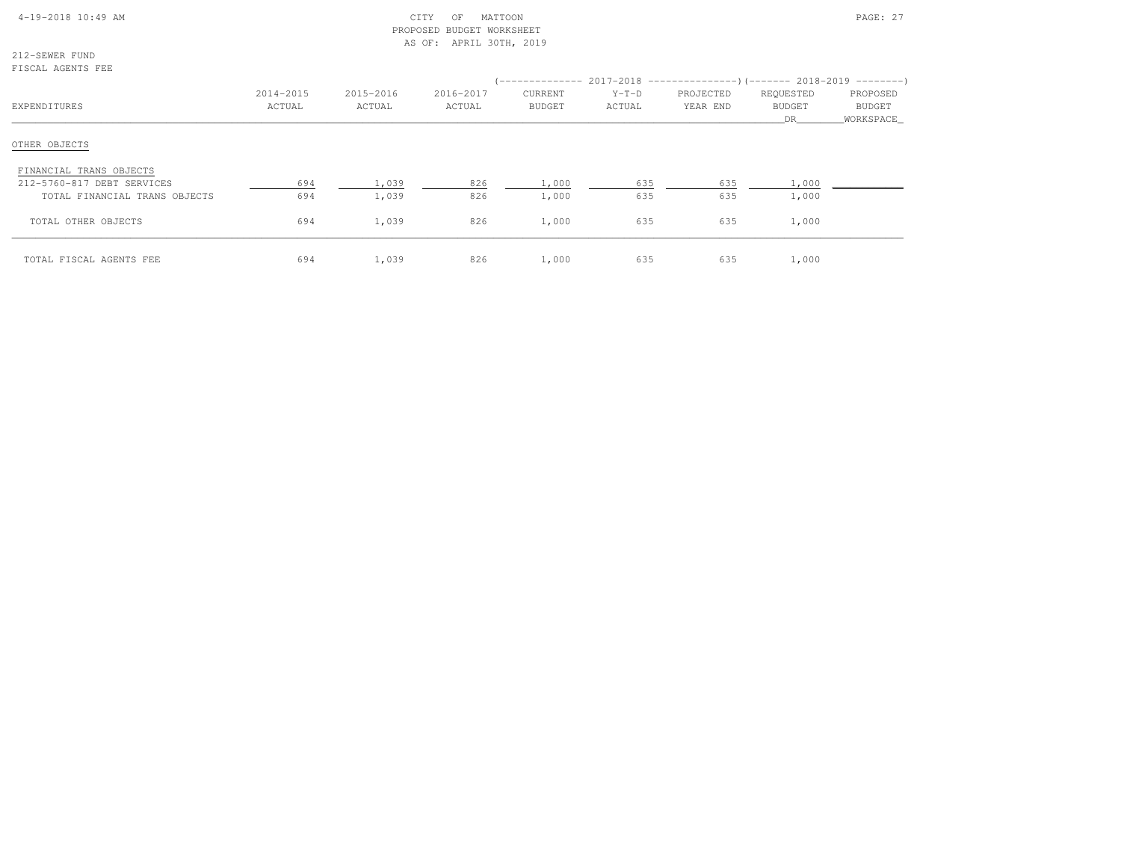# 4-19-2018 10:49 AM CITY OF MATTOON PAGE: 27 PROPOSED BUDGET WORKSHEETAS OF: APRIL 30TH, 2019

212-SEWER FUNDFISCAL AGENTS FEE

| -------------------           |                     |                     |                     |                                 |                   | (-------------- 2017-2018 --------------------- 2018-2019 ---------- ) |                                  |                                        |
|-------------------------------|---------------------|---------------------|---------------------|---------------------------------|-------------------|------------------------------------------------------------------------|----------------------------------|----------------------------------------|
| EXPENDITURES                  | 2014-2015<br>ACTUAL | 2015-2016<br>ACTUAL | 2016-2017<br>ACTUAL | <b>CURRENT</b><br><b>BUDGET</b> | $Y-T-D$<br>ACTUAL | PROJECTED<br>YEAR END                                                  | REQUESTED<br><b>BUDGET</b><br>DR | PROPOSED<br><b>BUDGET</b><br>WORKSPACE |
| OTHER OBJECTS                 |                     |                     |                     |                                 |                   |                                                                        |                                  |                                        |
| FINANCIAL TRANS OBJECTS       |                     |                     |                     |                                 |                   |                                                                        |                                  |                                        |
| 212-5760-817 DEBT SERVICES    | 694                 | 1,039               | 826                 | 1,000                           | 635               | 635                                                                    | 1,000                            |                                        |
| TOTAL FINANCIAL TRANS OBJECTS | 694                 | 1,039               | 826                 | 1,000                           | 635               | 635                                                                    | 1,000                            |                                        |
| TOTAL OTHER OBJECTS           | 694                 | 1,039               | 826                 | 1,000                           | 635               | 635                                                                    | 1,000                            |                                        |
| TOTAL FISCAL AGENTS FEE       | 694                 | 1,039               | 826                 | 1,000                           | 635               | 635                                                                    | 1,000                            |                                        |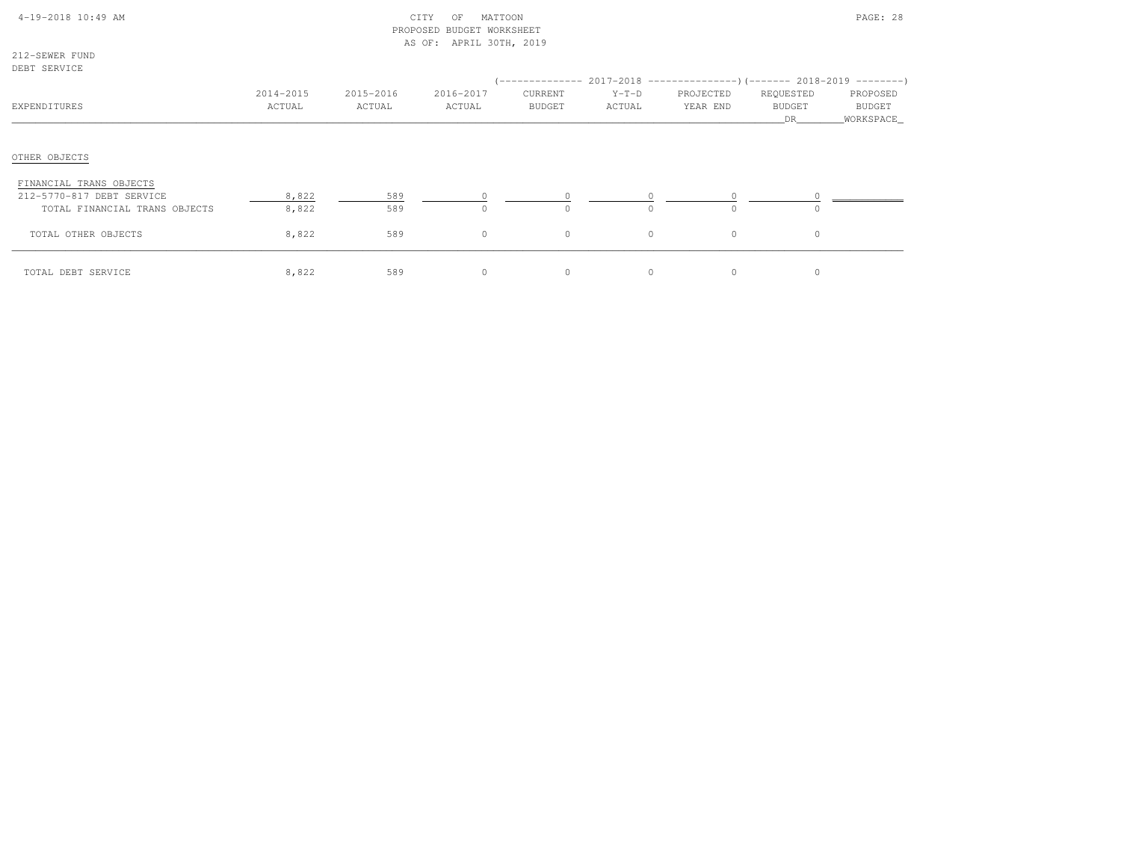# 4-19-2018 10:49 AM CITY OF MATTOON PAGE: 28 PROPOSED BUDGET WORKSHEETAS OF: APRIL 30TH, 2019

212-SEWER FUNDDEBT SERVICE

| NEDI SEKVIÇE                                                                          |                     |                     |                     |                          |                   | (-------------- 2017-2018 ----------------) (------- 2018-2019 ---------) |                                   |                                         |
|---------------------------------------------------------------------------------------|---------------------|---------------------|---------------------|--------------------------|-------------------|---------------------------------------------------------------------------|-----------------------------------|-----------------------------------------|
| EXPENDITURES                                                                          | 2014-2015<br>ACTUAL | 2015-2016<br>ACTUAL | 2016-2017<br>ACTUAL | CURRENT<br><b>BUDGET</b> | $Y-T-D$<br>ACTUAL | PROJECTED<br>YEAR END                                                     | REQUESTED<br><b>BUDGET</b><br>DR. | PROPOSED<br><b>BUDGET</b><br>WORKSPACE_ |
| OTHER OBJECTS                                                                         |                     |                     |                     |                          |                   |                                                                           |                                   |                                         |
| FINANCIAL TRANS OBJECTS<br>212-5770-817 DEBT SERVICE<br>TOTAL FINANCIAL TRANS OBJECTS | 8,822<br>8,822      | 589<br>589          |                     | $\Omega$                 | $\cap$            | $\cap$                                                                    | $\Omega$                          |                                         |
| TOTAL OTHER OBJECTS                                                                   | 8,822               | 589                 | 0                   | $\circ$                  | $\circ$           | $\circ$                                                                   | $\circ$                           |                                         |
| TOTAL DEBT SERVICE                                                                    | 8,822               | 589                 |                     | 0                        | $\Omega$          | $\circ$                                                                   | $\mathbf{0}$                      |                                         |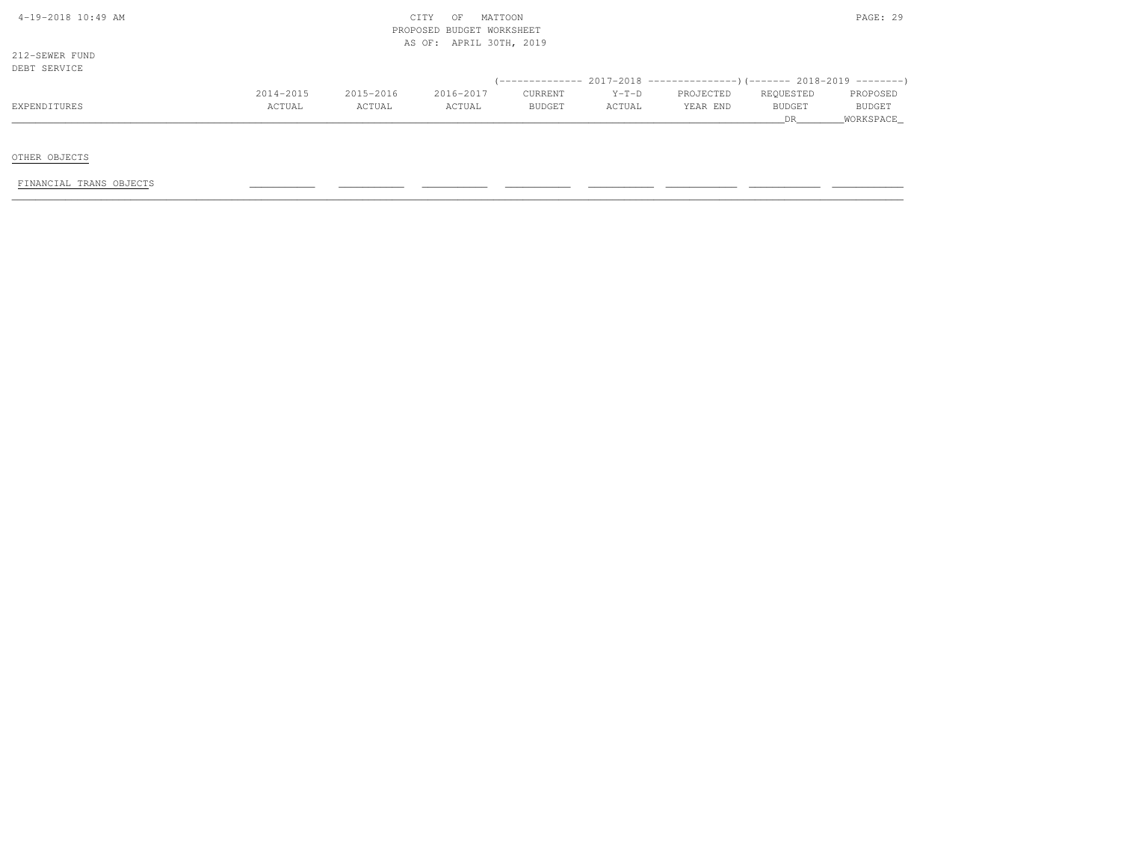| 4-19-2018 10:49 AM |  |
|--------------------|--|
|                    |  |

212-SEWER FUNDDEBT SERVICE

| DEBT SERVICE |           |           |           |               |         |                                                                          |               |                    |
|--------------|-----------|-----------|-----------|---------------|---------|--------------------------------------------------------------------------|---------------|--------------------|
|              |           |           |           |               |         | (-------------- 2017-2018 ----------------) (------- 2018-2019 --------) |               |                    |
|              | 2014-2015 | 2015-2016 | 2016-2017 | CURRENT       | $Y-T-D$ | PROJECTED                                                                | REQUESTED     | PROPOSED           |
| EXPENDITURES | ACTUAL    | ACTUAL    | ACTUAL    | <b>BUDGET</b> | ACTUAL  | YEAR END                                                                 | <b>BUDGET</b> | BUDGE <sup>7</sup> |
|              |           |           |           |               |         |                                                                          |               | WORKSPACE          |

OTHER OBJECTS

FINANCIAL TRANS OBJECTS \_\_\_\_\_\_\_\_\_\_\_ \_\_\_\_\_\_\_\_\_\_\_ \_\_\_\_\_\_\_\_\_\_\_ \_\_\_\_\_\_\_\_\_\_\_ \_\_\_\_\_\_\_\_\_\_\_ \_\_\_\_\_\_\_\_\_\_\_\_ \_\_\_\_\_\_\_\_\_\_\_\_ \_\_\_\_\_\_\_\_\_\_\_\_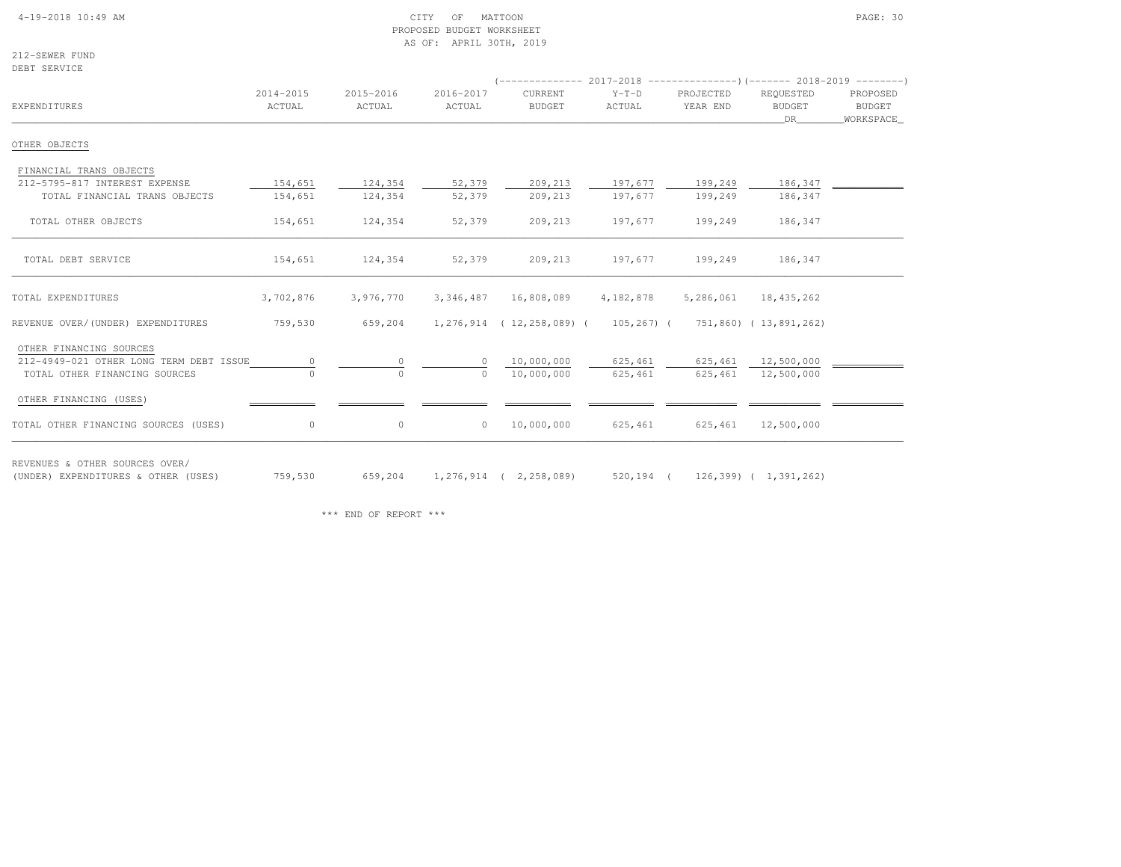#### 4-19-2018 10:49 AM CITY OF MATTOON PAGE: 30 PROPOSED BUDGET WORKSHEETAS OF: APRIL 30TH, 2019

212-SEWER FUNDDEBT SERVICE

| EXPENDITURES                            | 2014-2015<br>ACTUAL | 2015-2016<br>ACTUAL | 2016-2017<br>ACTUAL | CURRENT<br><b>BUDGET</b>     | $Y-T-D$<br>ACTUAL | PROJECTED<br>YEAR END | REQUESTED<br><b>BUDGET</b><br>DR 1 | PROPOSED<br>BUDGET<br>WORKSPACE_ |  |
|-----------------------------------------|---------------------|---------------------|---------------------|------------------------------|-------------------|-----------------------|------------------------------------|----------------------------------|--|
| OTHER OBJECTS                           |                     |                     |                     |                              |                   |                       |                                    |                                  |  |
| FINANCIAL TRANS OBJECTS                 |                     |                     |                     |                              |                   |                       |                                    |                                  |  |
| 212-5795-817 INTEREST EXPENSE           | 154,651             | 124,354             | 52,379              | 209,213                      | 197,677           | 199,249               | 186,347                            |                                  |  |
| TOTAL FINANCIAL TRANS OBJECTS           | 154,651             | 124,354             | 52,379              | 209,213                      | 197,677           | 199,249               | 186,347                            |                                  |  |
| TOTAL OTHER OBJECTS                     | 154,651             | 124,354             | 52,379              | 209,213                      | 197,677           | 199,249               | 186,347                            |                                  |  |
| TOTAL DEBT SERVICE                      | 154,651             | 124,354             | 52,379              | 209,213                      | 197,677           | 199,249               | 186,347                            |                                  |  |
| TOTAL EXPENDITURES                      | 3,702,876           | 3,976,770           | 3,346,487           | 16,808,089                   | 4,182,878         | 5,286,061             | 18,435,262                         |                                  |  |
| REVENUE OVER/(UNDER) EXPENDITURES       | 759,530             | 659,204             |                     | 1,276,914 (12,258,089) (     | 105,267) (        |                       | 751,860) (13,891,262)              |                                  |  |
| OTHER FINANCING SOURCES                 |                     |                     |                     |                              |                   |                       |                                    |                                  |  |
| 212-4949-021 OTHER LONG TERM DEBT ISSUE |                     | $\circ$             |                     | 10,000,000                   | 625,461           | 625,461               | 12,500,000                         |                                  |  |
| TOTAL OTHER FINANCING SOURCES           |                     | $\Omega$            | $\Omega$            | 10,000,000                   | 625,461           | 625,461               | 12,500,000                         |                                  |  |
| OTHER FINANCING (USES)                  |                     |                     |                     |                              |                   |                       |                                    |                                  |  |
| TOTAL OTHER FINANCING SOURCES (USES)    | 0                   | $\circ$             | $\circ$             | 10,000,000                   | 625,461           | 625,461               | 12,500,000                         |                                  |  |
| REVENUES & OTHER SOURCES OVER/          |                     |                     |                     |                              |                   |                       |                                    |                                  |  |
| (UNDER) EXPENDITURES & OTHER (USES)     | 759,530             | 659,204             |                     | $1, 276, 914$ ( 2, 258, 089) | 520,194 (         |                       | $126,399$ ( $1,391,262$ )          |                                  |  |

\*\*\* END OF REPORT \*\*\*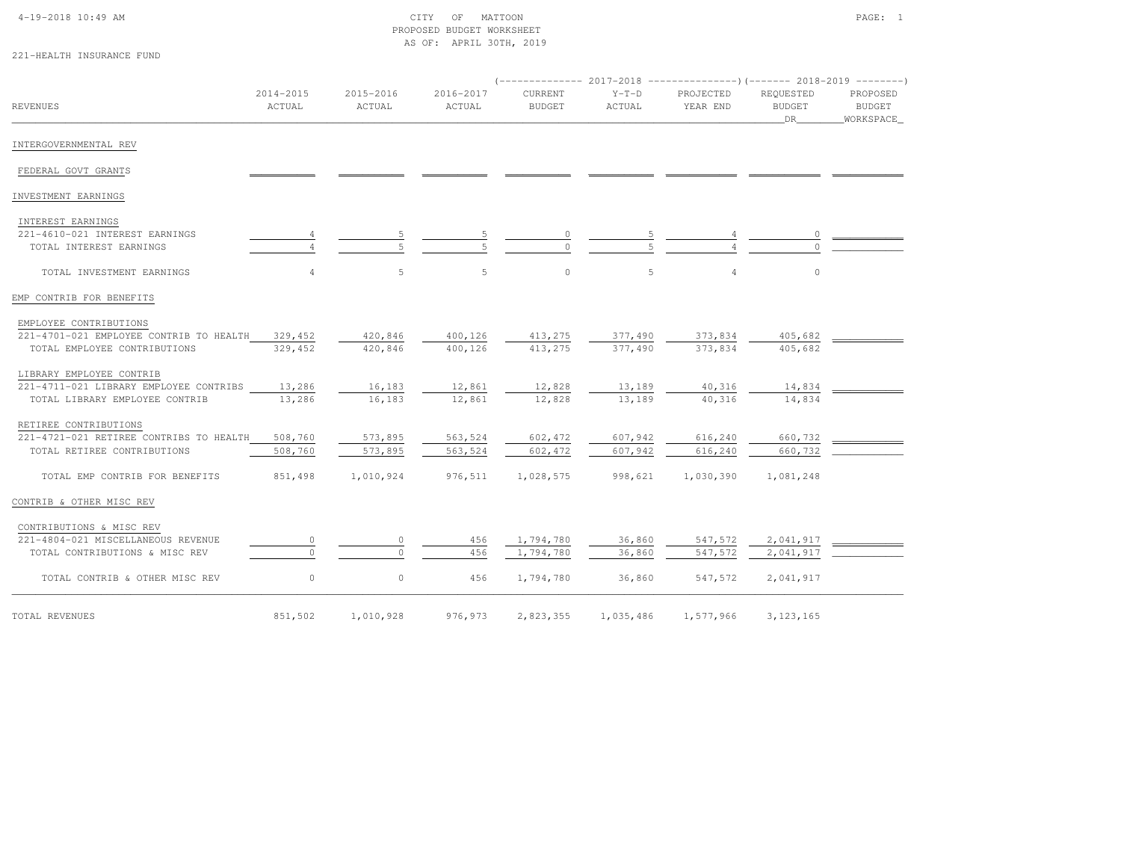### 4-19-2018 10:49 AM CITY OF MATTOON PAGE: 1 PROPOSED BUDGET WORKSHEETAS OF: APRIL 30TH, 2019

221-HEALTH INSURANCE FUND

| <b>REVENUES</b>                         | 2014-2015<br>ACTUAL | 2015-2016<br>ACTUAL | 2016-2017<br>ACTUAL | CURRENT<br><b>BUDGET</b> | $Y-T-D$<br>ACTUAL | PROJECTED<br>YEAR END | REOUESTED<br>BUDGET<br>DR | PROPOSED<br><b>BUDGET</b><br>_WORKSPACE_ |  |
|-----------------------------------------|---------------------|---------------------|---------------------|--------------------------|-------------------|-----------------------|---------------------------|------------------------------------------|--|
| INTERGOVERNMENTAL REV                   |                     |                     |                     |                          |                   |                       |                           |                                          |  |
| FEDERAL GOVT GRANTS                     |                     |                     |                     |                          |                   |                       |                           |                                          |  |
| INVESTMENT EARNINGS                     |                     |                     |                     |                          |                   |                       |                           |                                          |  |
| INTEREST EARNINGS                       |                     |                     |                     |                          |                   |                       |                           |                                          |  |
| 221-4610-021 INTEREST EARNINGS          |                     |                     |                     |                          |                   |                       |                           |                                          |  |
| TOTAL INTEREST EARNINGS                 |                     |                     |                     |                          |                   |                       |                           |                                          |  |
| TOTAL INVESTMENT EARNINGS               | $\overline{4}$      | 5                   | 5                   | $\circ$                  | 5                 | $\overline{4}$        | $\circ$                   |                                          |  |
| EMP CONTRIB FOR BENEFITS                |                     |                     |                     |                          |                   |                       |                           |                                          |  |
| EMPLOYEE CONTRIBUTIONS                  |                     |                     |                     |                          |                   |                       |                           |                                          |  |
| 221-4701-021 EMPLOYEE CONTRIB TO HEALTH | 329,452             | 420,846             | 400,126             | 413,275                  | 377,490           | 373,834               | 405,682                   |                                          |  |
| TOTAL EMPLOYEE CONTRIBUTIONS            | 329,452             | 420,846             | 400,126             | 413,275                  | 377,490           | 373,834               | 405,682                   |                                          |  |
| LIBRARY EMPLOYEE CONTRIB                |                     |                     |                     |                          |                   |                       |                           |                                          |  |
| 221-4711-021 LIBRARY EMPLOYEE CONTRIBS  | 13,286              | 16,183              | 12,861              | 12,828                   | 13,189            | 40,316                | 14,834                    |                                          |  |
| TOTAL LIBRARY EMPLOYEE CONTRIB          | 13,286              | 16,183              | 12,861              | 12,828                   | 13,189            | 40,316                | 14,834                    |                                          |  |
| RETIREE CONTRIBUTIONS                   |                     |                     |                     |                          |                   |                       |                           |                                          |  |
| 221-4721-021 RETIREE CONTRIBS TO HEALTH | 508,760             | 573,895             | 563,524             | 602,472                  | 607,942           | 616,240               | 660,732                   |                                          |  |
| TOTAL RETIREE CONTRIBUTIONS             | 508,760             | 573,895             | 563,524             | 602,472                  | 607,942           | 616,240               | 660,732                   |                                          |  |
| TOTAL EMP CONTRIB FOR BENEFITS          | 851,498             | 1,010,924           | 976,511             | 1,028,575                | 998,621           | 1,030,390             | 1,081,248                 |                                          |  |
| CONTRIB & OTHER MISC REV                |                     |                     |                     |                          |                   |                       |                           |                                          |  |
| CONTRIBUTIONS & MISC REV                |                     |                     |                     |                          |                   |                       |                           |                                          |  |
| 221-4804-021 MISCELLANEOUS REVENUE      | $\circ$             | $\circ$             | 456                 | 1,794,780                | 36,860            | 547,572               | 2,041,917                 |                                          |  |
| TOTAL CONTRIBUTIONS & MISC REV          |                     |                     | 456                 | 1,794,780                | 36,860            | 547,572               | 2,041,917                 |                                          |  |
| TOTAL CONTRIB & OTHER MISC REV          | $\circ$             | $\circ$             | 456                 | 1,794,780                | 36,860            | 547,572               | 2,041,917                 |                                          |  |
| TOTAL REVENUES                          | 851,502             | 1,010,928           | 976,973             | 2,823,355                | 1,035,486         | 1,577,966             | 3, 123, 165               |                                          |  |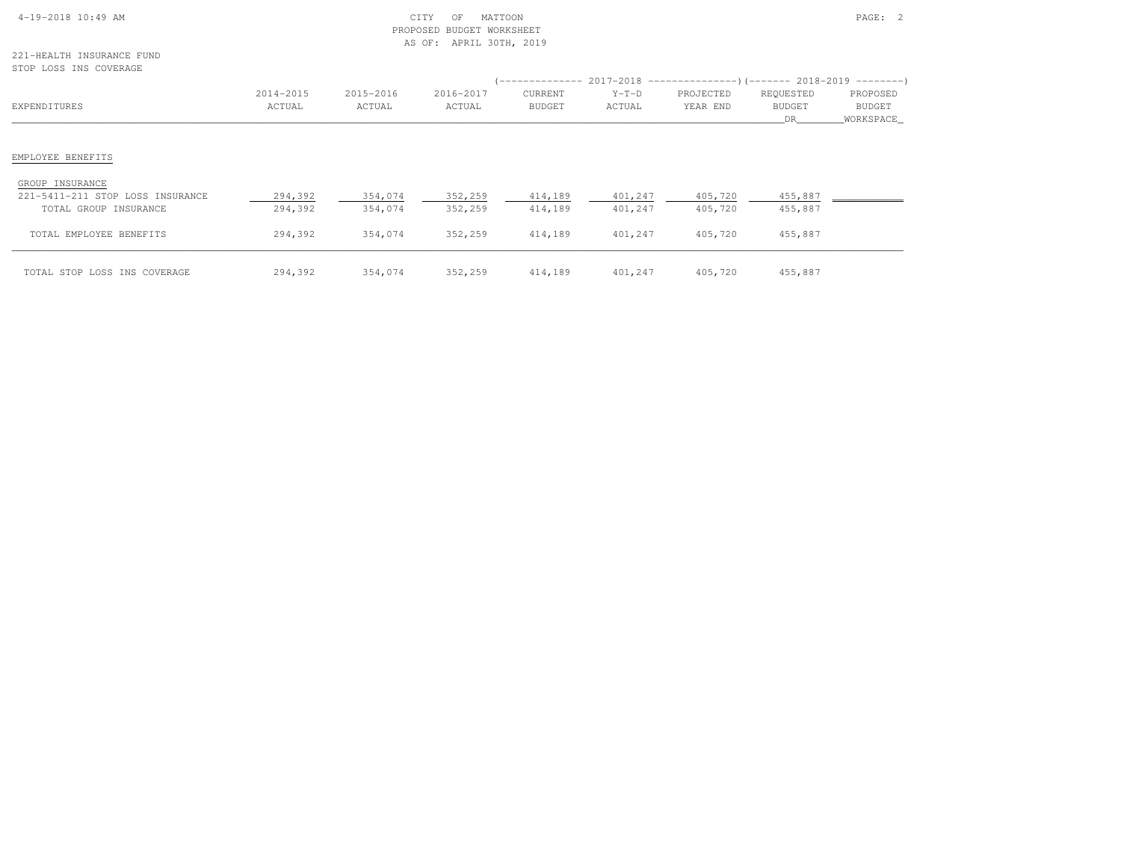| $4-19-2018$ 10:49 AM |  |  |
|----------------------|--|--|

## $\text{CITY}$  of MATTOON  $\text{PAGE:}$  2 PROPOSED BUDGET WORKSHEETAS OF: APRIL 30TH, 2019

221-HEALTH INSURANCE FUND

| STOP LOSS INS COVERAGE           |           |           |           |               |         |                                                                              |           |             |
|----------------------------------|-----------|-----------|-----------|---------------|---------|------------------------------------------------------------------------------|-----------|-------------|
|                                  |           |           |           |               |         | $($ -------------- 2017-2018 ----------------) (------- 2018-2019 ---------) |           |             |
|                                  | 2014-2015 | 2015-2016 | 2016-2017 | CURRENT       | $Y-T-D$ | PROJECTED                                                                    | REQUESTED | PROPOSED    |
| EXPENDITURES                     | ACTUAL    | ACTUAL    | ACTUAL    | <b>BUDGET</b> | ACTUAL  | YEAR END                                                                     | BUDGET    | BUDGET      |
|                                  |           |           |           |               |         |                                                                              | DR        | _WORKSPACE_ |
| EMPLOYEE BENEFITS                |           |           |           |               |         |                                                                              |           |             |
| GROUP INSURANCE                  |           |           |           |               |         |                                                                              |           |             |
| 221-5411-211 STOP LOSS INSURANCE | 294,392   | 354,074   | 352,259   | 414,189       | 401,247 | 405,720                                                                      | 455,887   |             |
| TOTAL GROUP INSURANCE            | 294,392   | 354,074   | 352,259   | 414,189       | 401,247 | 405,720                                                                      | 455,887   |             |
| TOTAL EMPLOYEE BENEFITS          | 294,392   | 354,074   | 352,259   | 414,189       | 401,247 | 405,720                                                                      | 455,887   |             |
| TOTAL STOP LOSS INS COVERAGE     | 294,392   | 354,074   | 352,259   | 414,189       | 401,247 | 405,720                                                                      | 455,887   |             |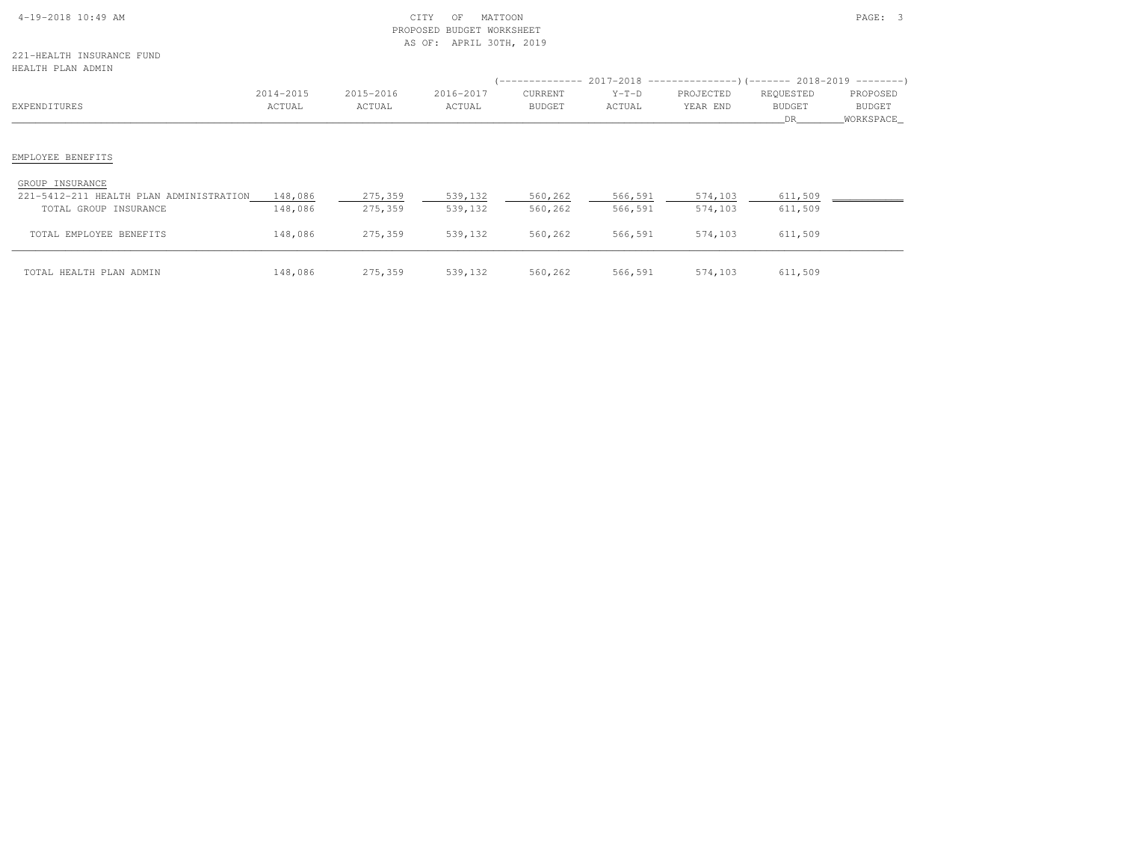| $4-19-2018$ 10:49 AM |  |
|----------------------|--|

221-HEALTH INSURANCE FUNDHEALTH PLAN ADMIN

| HEALTH PLAN ADMIN                       |           |           |           |                  |         |                                                           |               |               |
|-----------------------------------------|-----------|-----------|-----------|------------------|---------|-----------------------------------------------------------|---------------|---------------|
|                                         |           |           |           | ' ______________ |         | $2017-2018$ ----------------)(------- 2018-2019 --------) |               |               |
|                                         | 2014-2015 | 2015-2016 | 2016-2017 | CURRENT          | $Y-T-D$ | PROJECTED                                                 | REQUESTED     | PROPOSED      |
| EXPENDITURES                            | ACTUAL    | ACTUAL    | ACTUAL    | <b>BUDGET</b>    | ACTUAL  | YEAR END                                                  | <b>BUDGET</b> | <b>BUDGET</b> |
|                                         |           |           |           |                  |         |                                                           | DR.           | WORKSPACE     |
|                                         |           |           |           |                  |         |                                                           |               |               |
| EMPLOYEE BENEFITS                       |           |           |           |                  |         |                                                           |               |               |
| GROUP INSURANCE                         |           |           |           |                  |         |                                                           |               |               |
| 221-5412-211 HEALTH PLAN ADMINISTRATION | 148,086   | 275,359   | 539,132   | 560,262          | 566,591 | 574,103                                                   | 611,509       |               |
| TOTAL GROUP INSURANCE                   | 148,086   | 275,359   | 539,132   | 560,262          | 566,591 | 574,103                                                   | 611,509       |               |
| TOTAL EMPLOYEE BENEFITS                 | 148,086   | 275,359   | 539,132   | 560,262          | 566,591 | 574,103                                                   | 611,509       |               |
| TOTAL HEALTH PLAN ADMIN                 | 148,086   | 275,359   | 539,132   | 560,262          | 566,591 | 574,103                                                   | 611,509       |               |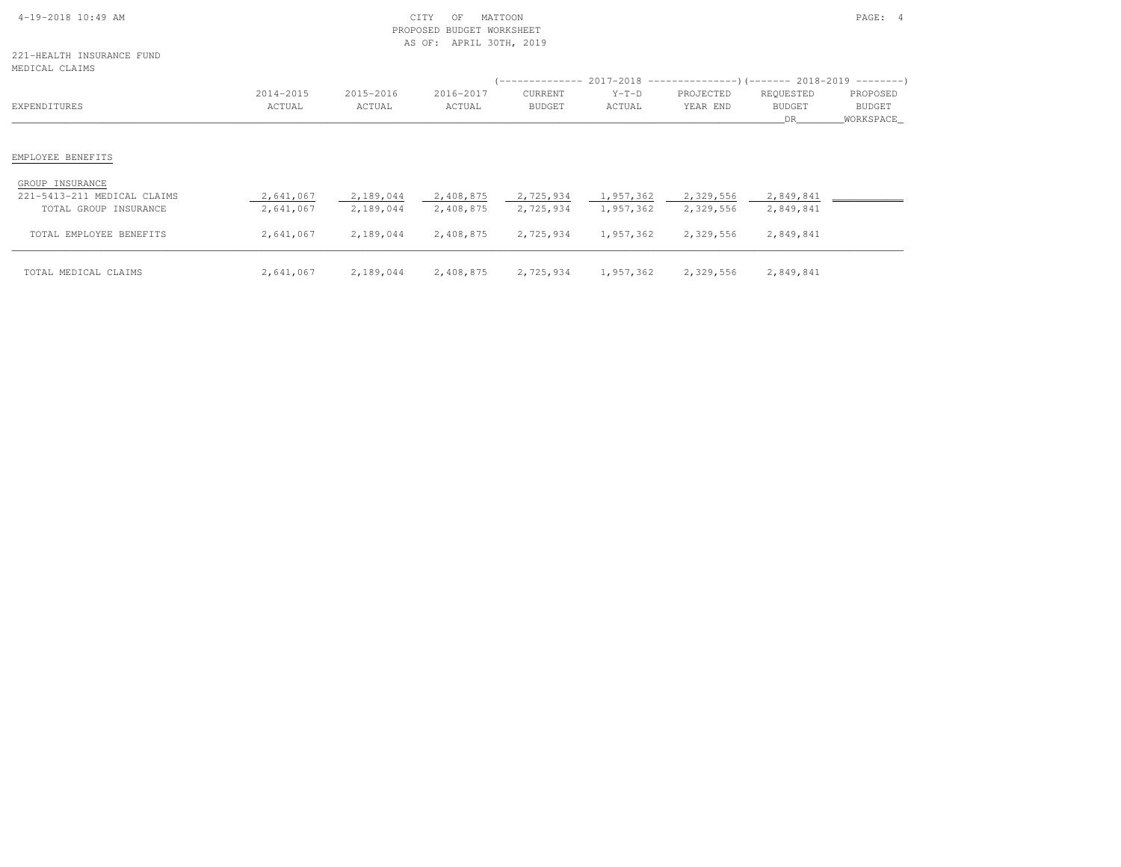| $4-19-2018$ 10:49 AM |  |
|----------------------|--|

### $\text{CITY}$  of MATTOON  $\text{PAGE:}$  4 PROPOSED BUDGET WORKSHEETAS OF: APRIL 30TH, 2019

221-HEALTH INSURANCE FUND $MED$ 

| MEDICAL CLAIMS                                 |                     |                     |                     |                          |                   |                                                                          |                                   |                                 |
|------------------------------------------------|---------------------|---------------------|---------------------|--------------------------|-------------------|--------------------------------------------------------------------------|-----------------------------------|---------------------------------|
|                                                |                     |                     |                     |                          |                   | (-------------- 2017-2018 ----------------) (------- 2018-2019 --------) |                                   |                                 |
| EXPENDITURES                                   | 2014-2015<br>ACTUAL | 2015-2016<br>ACTUAL | 2016-2017<br>ACTUAL | CURRENT<br><b>BUDGET</b> | $Y-T-D$<br>ACTUAL | PROJECTED<br>YEAR END                                                    | REQUESTED<br><b>BUDGET</b><br>DR. | PROPOSED<br>BUDGET<br>WORKSPACE |
| EMPLOYEE BENEFITS                              |                     |                     |                     |                          |                   |                                                                          |                                   |                                 |
| GROUP INSURANCE<br>221-5413-211 MEDICAL CLAIMS | 2,641,067           | 2,189,044           | 2,408,875           | 2,725,934                | 1,957,362         | 2,329,556                                                                | 2,849,841                         |                                 |

| TOTAL MEDICAL CLAIMS    | 2,641,067 | 2,189,044 | 2,408,875 | 2,725,934 | 1,957,362           | 2,329,556 | 2,849,841 |  |
|-------------------------|-----------|-----------|-----------|-----------|---------------------|-----------|-----------|--|
| TOTAL EMPLOYEE BENEFITS | 2,641,067 | 2,189,044 | 2,408,875 |           | 2,725,934 1,957,362 | 2,329,556 | 2,849,841 |  |
| TOTAL GROUP INSURANCE   | 2,641,067 | 2,189,044 | 2,408,875 | 2,725,934 | 1,957,362           | 2,329,556 | 2,849,841 |  |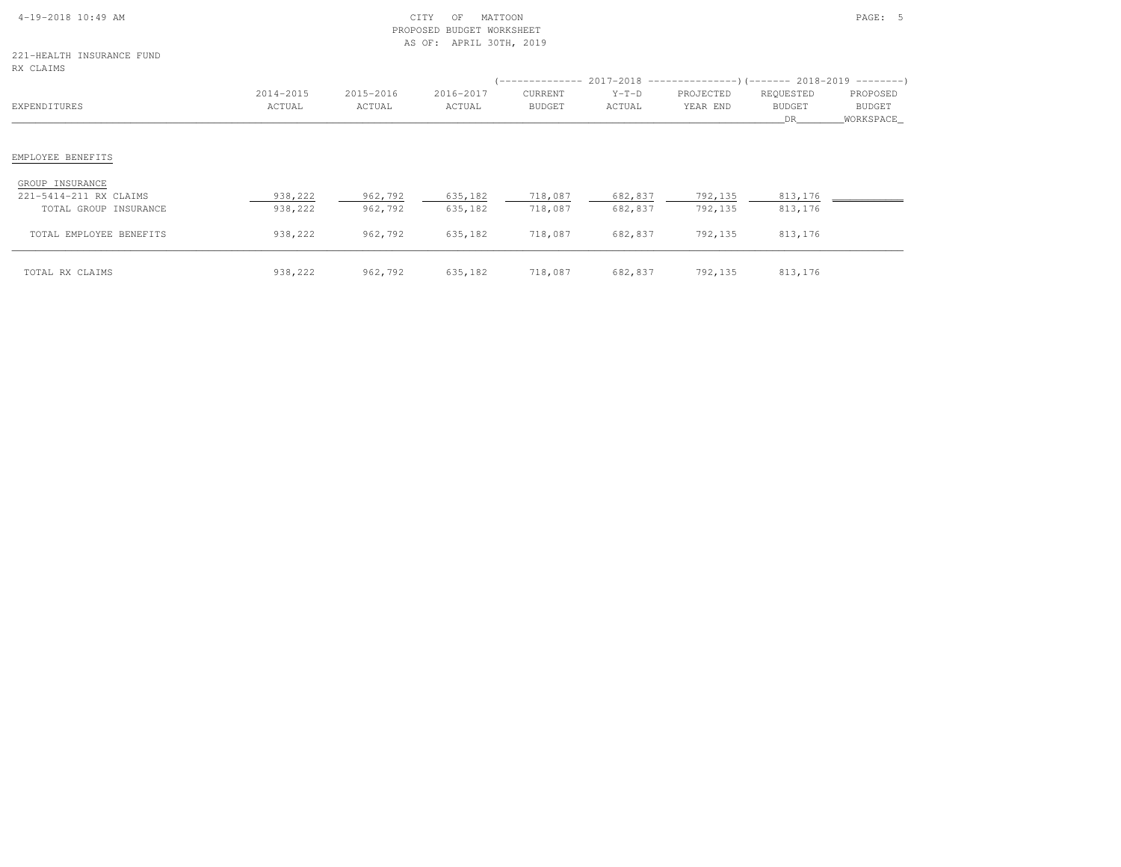| $4-19-2018$ 10:49 AM |  |
|----------------------|--|

# $\text{CITY}$  of MATTOON  $\text{PAGE:}$  5 PROPOSED BUDGET WORKSHEETAS OF: APRIL 30TH, 2019

221-HEALTH INSURANCE FUNDRX CLAIMS

| RX CLAIMS               |                     |                     |                     |                          |                   | (-------------- 2017-2018 -----------------) (------- 2018-2019 ---------) |                                  |                                 |
|-------------------------|---------------------|---------------------|---------------------|--------------------------|-------------------|----------------------------------------------------------------------------|----------------------------------|---------------------------------|
| EXPENDITURES            | 2014-2015<br>ACTUAL | 2015-2016<br>ACTUAL | 2016-2017<br>ACTUAL | CURRENT<br><b>BUDGET</b> | $Y-T-D$<br>ACTUAL | PROJECTED<br>YEAR END                                                      | REQUESTED<br><b>BUDGET</b><br>DR | PROPOSED<br>BUDGET<br>WORKSPACE |
|                         |                     |                     |                     |                          |                   |                                                                            |                                  |                                 |
| EMPLOYEE BENEFITS       |                     |                     |                     |                          |                   |                                                                            |                                  |                                 |
| GROUP INSURANCE         |                     |                     |                     |                          |                   |                                                                            |                                  |                                 |
| 221-5414-211 RX CLAIMS  | 938,222             | 962,792             | 635,182             | 718,087                  | 682,837           | 792,135                                                                    | 813,176                          |                                 |
| TOTAL GROUP INSURANCE   | 938,222             | 962,792             | 635,182             | 718,087                  | 682,837           | 792,135                                                                    | 813,176                          |                                 |
| TOTAL EMPLOYEE BENEFITS | 938,222             | 962,792             | 635,182             | 718,087                  | 682,837           | 792,135                                                                    | 813,176                          |                                 |
| TOTAL RX CLAIMS         | 938,222             | 962,792             | 635,182             | 718,087                  | 682,837           | 792,135                                                                    | 813,176                          |                                 |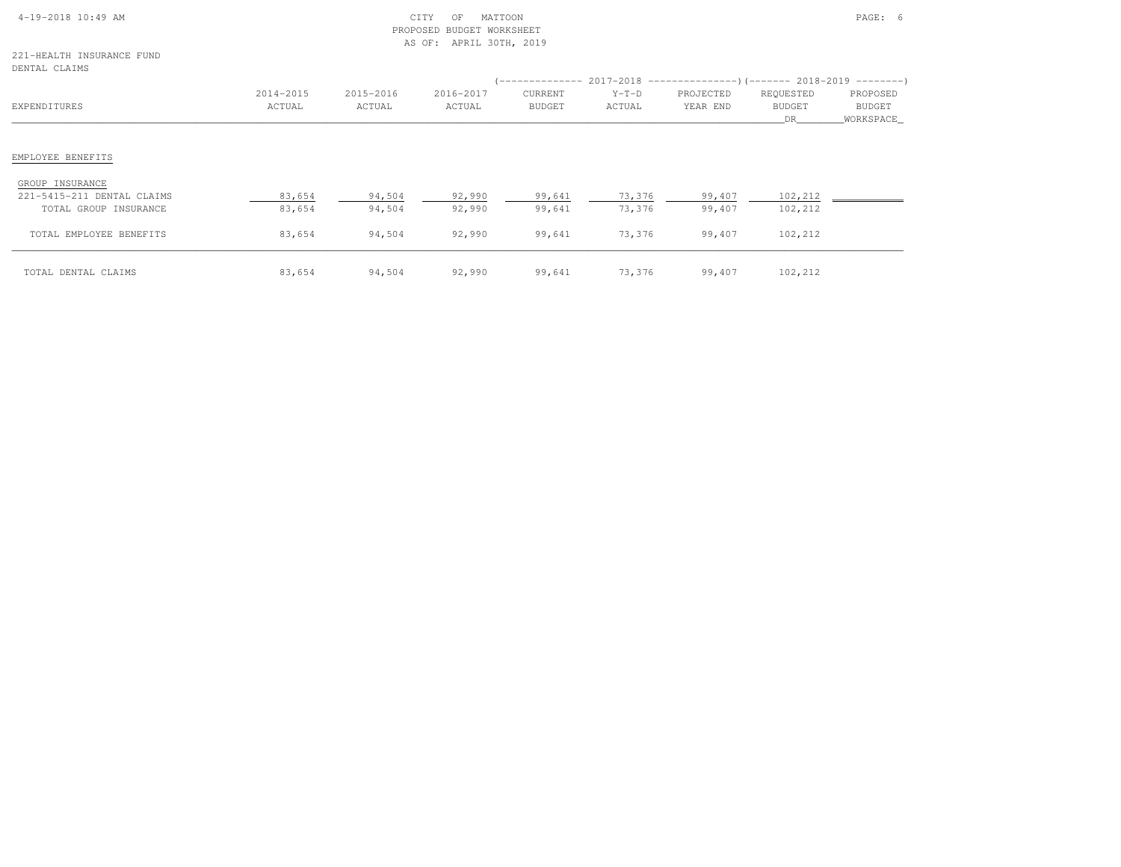| $4-19-2018$ 10:49 AM |  |  |
|----------------------|--|--|

#### 221-HEALTH INSURANCE FUNDDENTAL CLAIMS

| DEMIAL CLAIMS              |                     |                     |                     |                                 |                   | -------------- 2017-2018 --------------------- (------- 2018-2019 ----------) |                                         |                                        |
|----------------------------|---------------------|---------------------|---------------------|---------------------------------|-------------------|-------------------------------------------------------------------------------|-----------------------------------------|----------------------------------------|
| EXPENDITURES               | 2014-2015<br>ACTUAL | 2015-2016<br>ACTUAL | 2016-2017<br>ACTUAL | <b>CURRENT</b><br><b>BUDGET</b> | $Y-T-D$<br>ACTUAL | PROJECTED<br>YEAR END                                                         | REQUESTED<br><b>BUDGET</b><br><b>DR</b> | PROPOSED<br><b>BUDGET</b><br>WORKSPACE |
|                            |                     |                     |                     |                                 |                   |                                                                               |                                         |                                        |
| EMPLOYEE BENEFITS          |                     |                     |                     |                                 |                   |                                                                               |                                         |                                        |
| GROUP INSURANCE            |                     |                     |                     |                                 |                   |                                                                               |                                         |                                        |
| 221-5415-211 DENTAL CLAIMS | 83,654              | 94,504              | 92,990              | 99,641                          | 73,376            | 99,407                                                                        | 102,212                                 |                                        |
| TOTAL GROUP INSURANCE      | 83,654              | 94,504              | 92,990              | 99,641                          | 73,376            | 99,407                                                                        | 102,212                                 |                                        |
| TOTAL EMPLOYEE BENEFITS    | 83,654              | 94,504              | 92,990              | 99,641                          | 73,376            | 99,407                                                                        | 102,212                                 |                                        |
| TOTAL DENTAL CLAIMS        | 83,654              | 94,504              | 92,990              | 99,641                          | 73,376            | 99,407                                                                        | 102,212                                 |                                        |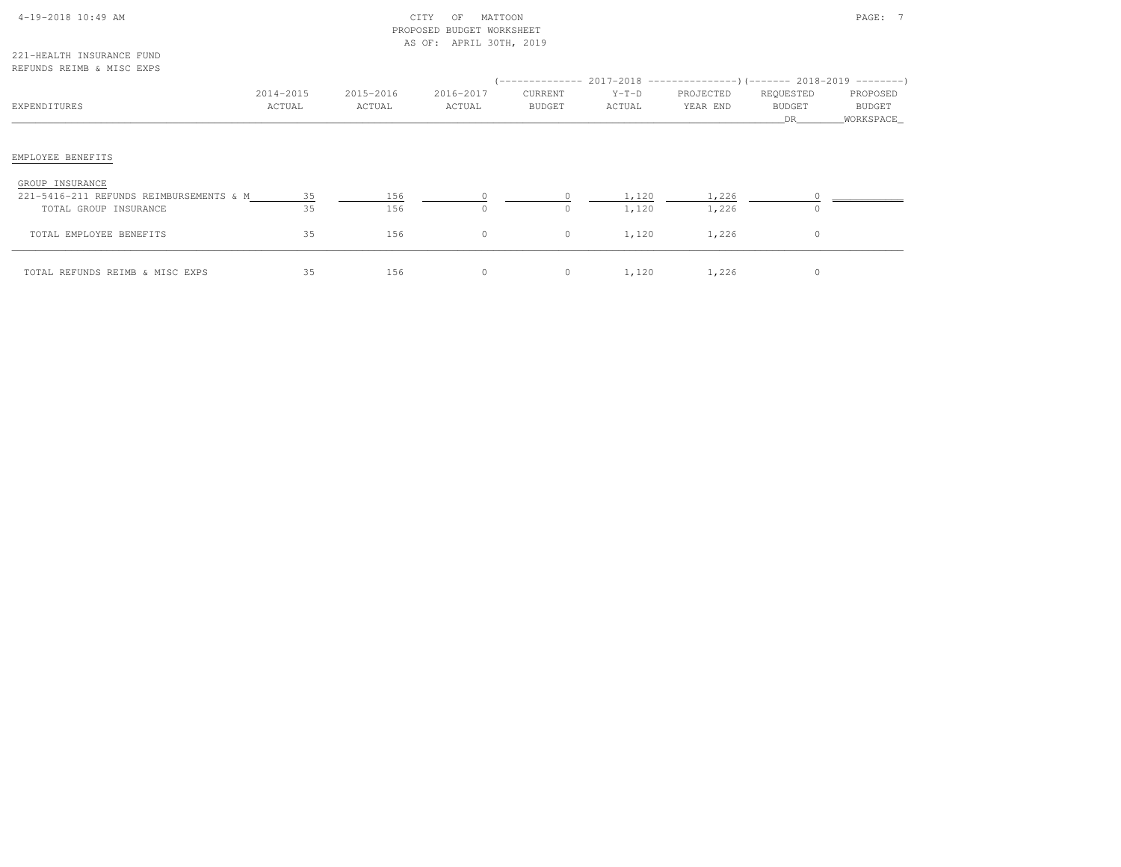| $4-19-2018$ 10:49 AM |  |  |
|----------------------|--|--|

# $\begin{array}{ccc} \multicolumn{2}{c}{{\text{CITY}}} & \multicolumn{2}{c}{{\text{OF}}} & \multicolumn{2}{c}{{\text{MATTOM}}} \\ \multicolumn{2}{c}{{\text{CITY}}} & \multicolumn{2}{c}{{\text{OF}}} & \multicolumn{2}{c}{{\text{MATTOM}}} \\ \multicolumn{2}{c}{{\text{MATTOM}}} & \multicolumn{2}{c}{{\text{MATTOM}}} & \multicolumn{2}{c}{{\text{MATTOM}}} \\ \multicolumn{2}{c}{{\text{MATTOM}}} & \multicolumn{2}{c}{{\text{MATTOM}}} & \multicolumn{2}{c}{{\$  PROPOSED BUDGET WORKSHEETAS OF: APRIL 30TH, 2019

221-HEALTH INSURANCE FUNDREFUNDS REIMB & MISC EXPS

| MERUNDO MEIND & NIOU EAFO                                  |                     |                     |                     |                          |                   |                       |                                  |                                 |
|------------------------------------------------------------|---------------------|---------------------|---------------------|--------------------------|-------------------|-----------------------|----------------------------------|---------------------------------|
| EXPENDITURES                                               | 2014-2015<br>ACTUAL | 2015-2016<br>ACTUAL | 2016-2017<br>ACTUAL | CURRENT<br><b>BUDGET</b> | $Y-T-D$<br>ACTUAL | PROJECTED<br>YEAR END | REQUESTED<br><b>BUDGET</b><br>DR | PROPOSED<br>BUDGET<br>WORKSPACE |
| EMPLOYEE BENEFITS                                          |                     |                     |                     |                          |                   |                       |                                  |                                 |
| GROUP INSURANCE<br>221-5416-211 REFUNDS REIMBURSEMENTS & M | 35                  | 156                 |                     |                          | 1,120             | 1,226                 |                                  |                                 |
| TOTAL GROUP INSURANCE<br>TOTAL EMPLOYEE BENEFITS           | 35<br>35            | 156<br>156          | $\Omega$<br>$\circ$ | $\cap$<br>$\circ$        | 1,120<br>1,120    | 1,226<br>1,226        | $\Omega$<br>$\circ$              |                                 |
| TOTAL REFUNDS REIMB & MISC EXPS                            | 35                  | 156                 | 0                   | $\circ$                  | 1,120             | 1,226                 | $\circ$                          |                                 |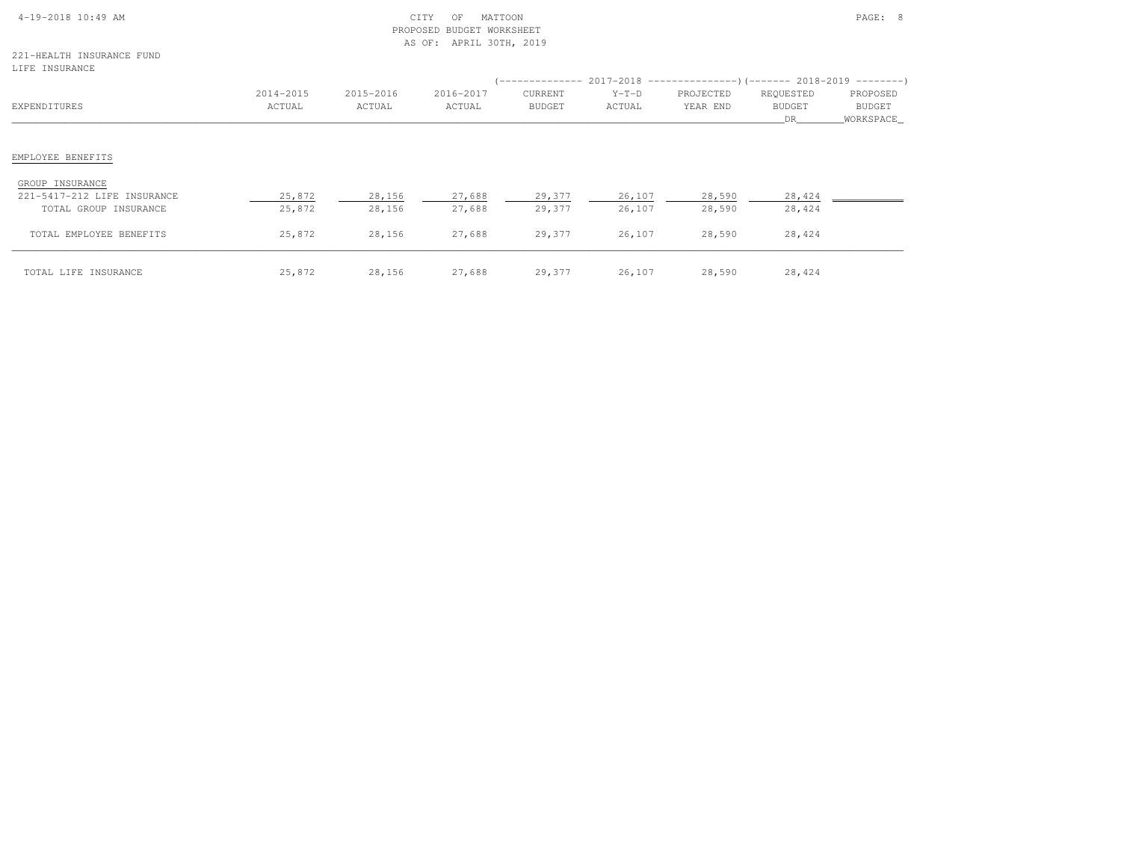# 4-19-2018 10:49 AM CITY OF MATTOON PAGE: 8 PROPOSED BUDGET WORKSHEETAS OF: APRIL 30TH, 2019

221-HEALTH INSURANCE FUNDLIFE INSURANCE

| TILE INSUKUNCE                                   |                     |                     |                     |                          |                   |                       |                                  |                                 |
|--------------------------------------------------|---------------------|---------------------|---------------------|--------------------------|-------------------|-----------------------|----------------------------------|---------------------------------|
| EXPENDITURES                                     | 2014-2015<br>ACTUAL | 2015-2016<br>ACTUAL | 2016-2017<br>ACTUAL | CURRENT<br><b>BUDGET</b> | $Y-T-D$<br>ACTUAL | PROJECTED<br>YEAR END | REQUESTED<br><b>BUDGET</b><br>DR | PROPOSED<br>BUDGET<br>WORKSPACE |
| EMPLOYEE BENEFITS                                |                     |                     |                     |                          |                   |                       |                                  |                                 |
| GROUP INSURANCE<br>221-5417-212 LIFE INSURANCE   | 25,872              | 28,156              | 27,688              | 29,377                   | 26,107            | 28,590                | 28,424                           |                                 |
| TOTAL GROUP INSURANCE<br>TOTAL EMPLOYEE BENEFITS | 25,872<br>25,872    | 28,156<br>28,156    | 27,688<br>27,688    | 29,377<br>29,377         | 26,107<br>26,107  | 28,590<br>28,590      | 28,424<br>28,424                 |                                 |
| TOTAL LIFE INSURANCE                             | 25,872              | 28,156              | 27,688              | 29,377                   | 26,107            | 28,590                | 28,424                           |                                 |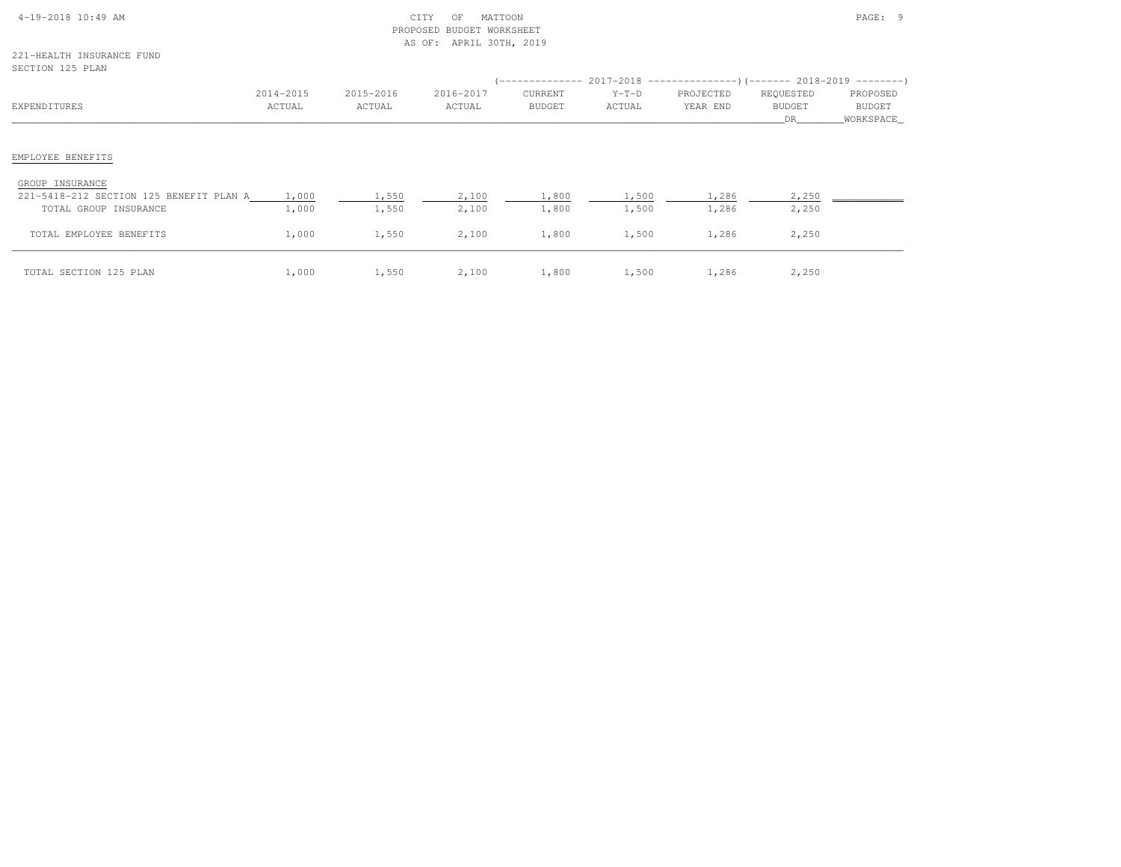| $4-19-2018$ 10:49 AM |  |
|----------------------|--|

221-HEALTH INSURANCE FUNDSECTION 125 PLAN

| SECIION 179 FLAN                                                 |                     |                     |                     |                          |                   | (-------------- 2017-2018 -----------------) (------- 2018-2019 ---------) |                                   |                                        |
|------------------------------------------------------------------|---------------------|---------------------|---------------------|--------------------------|-------------------|----------------------------------------------------------------------------|-----------------------------------|----------------------------------------|
| EXPENDITURES                                                     | 2014-2015<br>ACTUAL | 2015-2016<br>ACTUAL | 2016-2017<br>ACTUAL | CURRENT<br><b>BUDGET</b> | $Y-T-D$<br>ACTUAL | PROJECTED<br>YEAR END                                                      | REQUESTED<br><b>BUDGET</b><br>DR. | PROPOSED<br><b>BUDGET</b><br>WORKSPACE |
| EMPLOYEE BENEFITS                                                |                     |                     |                     |                          |                   |                                                                            |                                   |                                        |
| GROUP INSURANCE                                                  |                     |                     |                     |                          |                   |                                                                            |                                   |                                        |
| 221-5418-212 SECTION 125 BENEFIT PLAN A<br>TOTAL GROUP INSURANCE | 1,000<br>1,000      | 1,550<br>1,550      | 2,100<br>2,100      | 1,800<br>1,800           | 1,500<br>1,500    | 1,286<br>1,286                                                             | 2,250<br>2,250                    |                                        |
| TOTAL EMPLOYEE BENEFITS                                          | 1,000               | 1,550               | 2,100               | 1,800                    | 1,500             | 1,286                                                                      | 2,250                             |                                        |
| TOTAL SECTION 125 PLAN                                           | 1,000               | 1,550               | 2,100               | 1,800                    | 1,500             | 1,286                                                                      | 2,250                             |                                        |